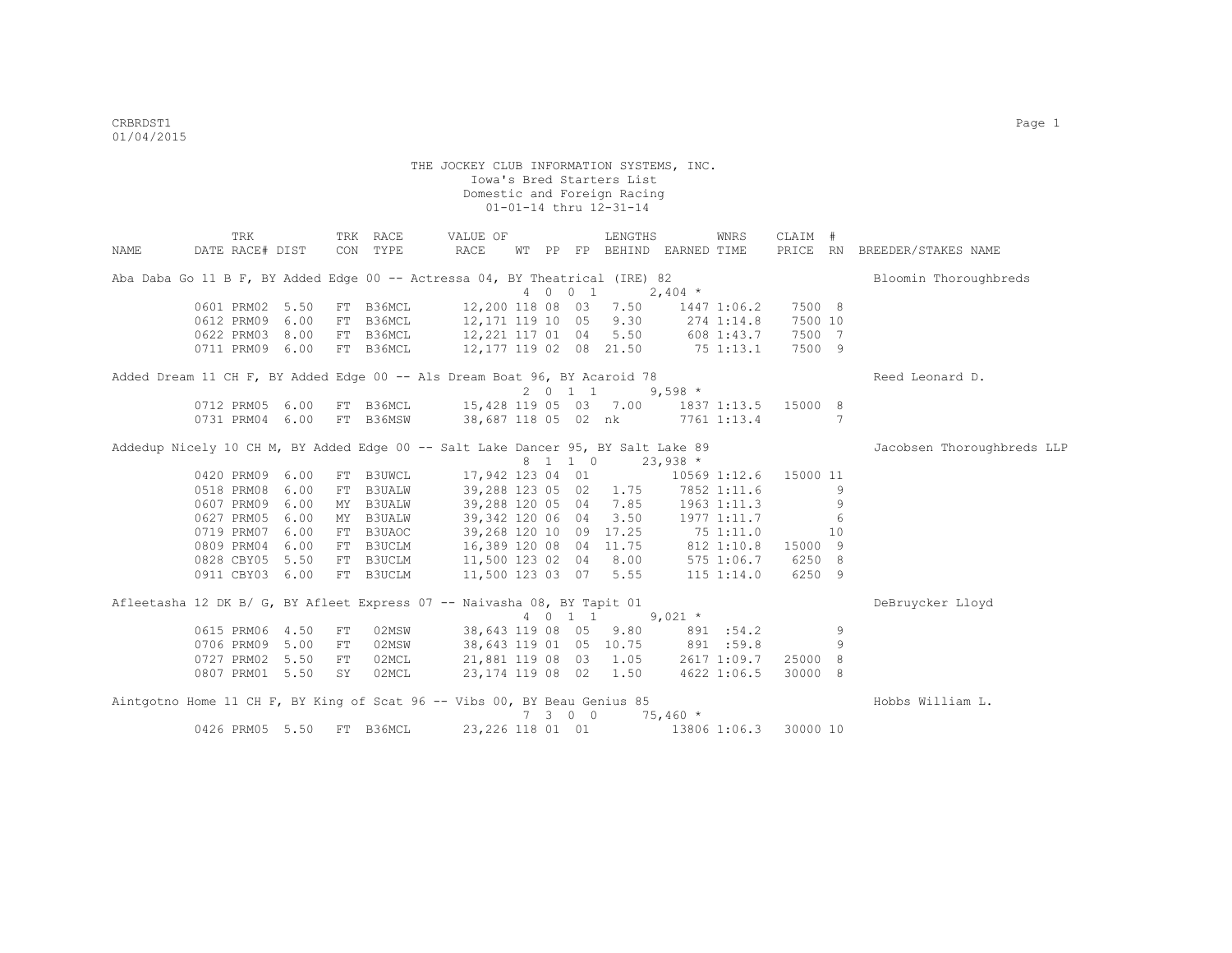|      | TRK                                                                              |      |            | TRK RACE  | VALUE OF                          |  |                    | LENGTHS                |                                                                                                                                 | WNRS            | CLAIM #  |    |                              |
|------|----------------------------------------------------------------------------------|------|------------|-----------|-----------------------------------|--|--------------------|------------------------|---------------------------------------------------------------------------------------------------------------------------------|-----------------|----------|----|------------------------------|
| NAME | DATE RACE# DIST                                                                  |      |            | CON TYPE  | RACE                              |  |                    |                        | WT PP FP BEHIND EARNED TIME                                                                                                     |                 |          |    | PRICE RN BREEDER/STAKES NAME |
|      | Aba Daba Go 11 B F, BY Added Edge 00 -- Actressa 04, BY Theatrical (IRE) 82      |      |            |           |                                   |  |                    |                        |                                                                                                                                 |                 |          |    | Bloomin Thoroughbreds        |
|      |                                                                                  |      |            |           |                                   |  | 4 0 0 1            |                        | $2,404$ *                                                                                                                       |                 |          |    |                              |
|      | 0601 PRM02 5.50                                                                  |      |            | FT B36MCL |                                   |  |                    | 12,200 118 08 03 7.50  |                                                                                                                                 | 1447 1:06.2     | 7500 8   |    |                              |
|      | 0612 PRM09                                                                       | 6.00 |            | FT B36MCL | 12,171 119 10 05 9.30             |  |                    |                        |                                                                                                                                 | 274 1:14.8      | 7500 10  |    |                              |
|      | 0622 PRM03 8.00                                                                  |      |            | FT B36MCL | 12,221 117 01 04 5.50 608 1:43.7  |  |                    |                        |                                                                                                                                 |                 | 7500 7   |    |                              |
|      | 0711 PRM09 6.00                                                                  |      |            | FT B36MCL | 12, 177 119 02 08 21.50 75 1:13.1 |  |                    |                        |                                                                                                                                 |                 | 7500 9   |    |                              |
|      | Added Dream 11 CH F, BY Added Edge 00 -- Als Dream Boat 96, BY Acaroid 78        |      |            |           |                                   |  |                    |                        |                                                                                                                                 |                 |          |    | Reed Leonard D.              |
|      |                                                                                  |      |            |           |                                   |  | $2 \t 0 \t 1 \t 1$ |                        | $9,598$ *                                                                                                                       |                 |          |    |                              |
|      | 0712 PRM05 6.00                                                                  |      |            | FT B36MCL |                                   |  |                    | 15,428 119 05 03 7.00  |                                                                                                                                 | 1837 1:13.5     | 15000 8  |    |                              |
|      | 0731 PRM04                                                                       | 6.00 |            | FT B36MSW |                                   |  |                    |                        | 38,687 118 05 02 nk 7761 1:13.4                                                                                                 |                 |          | 7  |                              |
|      | Addedup Nicely 10 CH M, BY Added Edge 00 -- Salt Lake Dancer 95, BY Salt Lake 89 |      |            |           |                                   |  |                    |                        |                                                                                                                                 |                 |          |    | Jacobsen Thoroughbreds LLP   |
|      |                                                                                  |      |            |           |                                   |  | 8 1 1 0            |                        | $23,938$ *                                                                                                                      |                 |          |    |                              |
|      | 0420 PRM09                                                                       | 6.00 |            | FT B3UWCL | 17,942 123 04 01                  |  |                    |                        |                                                                                                                                 | 10569 1:12.6    | 15000 11 |    |                              |
|      | 0518 PRM08                                                                       | 6.00 |            | FT B3UALW |                                   |  |                    | 39,288 123 05 02 1.75  |                                                                                                                                 | 7852 1:11.6     |          | 9  |                              |
|      | 0607 PRM09                                                                       | 6.00 |            | MY B3UALW |                                   |  |                    | 39,288 120 05 04 7.85  |                                                                                                                                 | $1963$ $1:11.3$ |          | 9  |                              |
|      | 0627 PRM05                                                                       | 6.00 |            | MY B3UALW | 39,342 120 06 04                  |  |                    | 3.50                   |                                                                                                                                 | 1977 1:11.7     |          | 6  |                              |
|      | 0719 PRM07                                                                       | 6.00 |            | FT B3UAOC |                                   |  |                    |                        |                                                                                                                                 |                 |          | 10 |                              |
|      | 0809 PRM04                                                                       | 6.00 |            | FT B3UCLM |                                   |  |                    |                        | $\begin{array}{cccc} 39,268 & 120 & 10 & 09 & 17.25 & 75 & 1:11.0 \\ 16,389 & 120 & 08 & 04 & 11.75 & 812 & 1:10.8 \end{array}$ |                 | 15000 9  |    |                              |
|      | 0828 CBY05 5.50                                                                  |      |            | FT B3UCLM | 11,500 123 02 04 8.00             |  |                    |                        |                                                                                                                                 | 575 1:06.7      | 6250 8   |    |                              |
|      | 0911 CBY03 6.00                                                                  |      |            | FT B3UCLM | 11,500 123 03 07 5.55             |  |                    |                        |                                                                                                                                 | $115$ $1:14.0$  | 6250 9   |    |                              |
|      | Afleetasha 12 DK B/ G, BY Afleet Express 07 -- Naivasha 08, BY Tapit 01          |      |            |           |                                   |  |                    |                        |                                                                                                                                 |                 |          |    | DeBruycker Lloyd             |
|      |                                                                                  |      |            |           |                                   |  | 4 0 1 1            |                        | $9,021$ *                                                                                                                       |                 |          |    |                              |
|      | 0615 PRM06 4.50                                                                  |      | ${\rm FT}$ | 02MSW     |                                   |  |                    | 38,643 119 08 05 9.80  |                                                                                                                                 | 891 :54.2       |          | 9  |                              |
|      | 0706 PRM09 5.00                                                                  |      | FT         | 02MSW     |                                   |  |                    |                        | 38,643 119 01 05 10.75 891 :59.8                                                                                                |                 |          | 9  |                              |
|      | 0727 PRM02 5.50                                                                  |      | FT         | 02MCL     |                                   |  |                    |                        | 21,881 119 08 03 1.05 2617 1:09.7                                                                                               |                 | 25000 8  |    |                              |
|      | 0807 PRM01 5.50                                                                  |      | SY         | 02MCL     |                                   |  |                    | 23, 174 119 08 02 1.50 |                                                                                                                                 | 4622 1:06.5     | 30000 8  |    |                              |
|      | Aintgotno Home 11 CH F, BY King of Scat 96 -- Vibs 00, BY Beau Genius 85         |      |            |           |                                   |  |                    |                        |                                                                                                                                 |                 |          |    | Hobbs William L.             |
|      |                                                                                  |      |            |           |                                   |  | 7 3 0 0            |                        | $75,460*$                                                                                                                       |                 |          |    |                              |
|      | 0426 PRM05 5.50                                                                  |      |            | FT B36MCL | 23, 226 118 01 01                 |  |                    |                        |                                                                                                                                 | 13806 1:06.3    | 30000 10 |    |                              |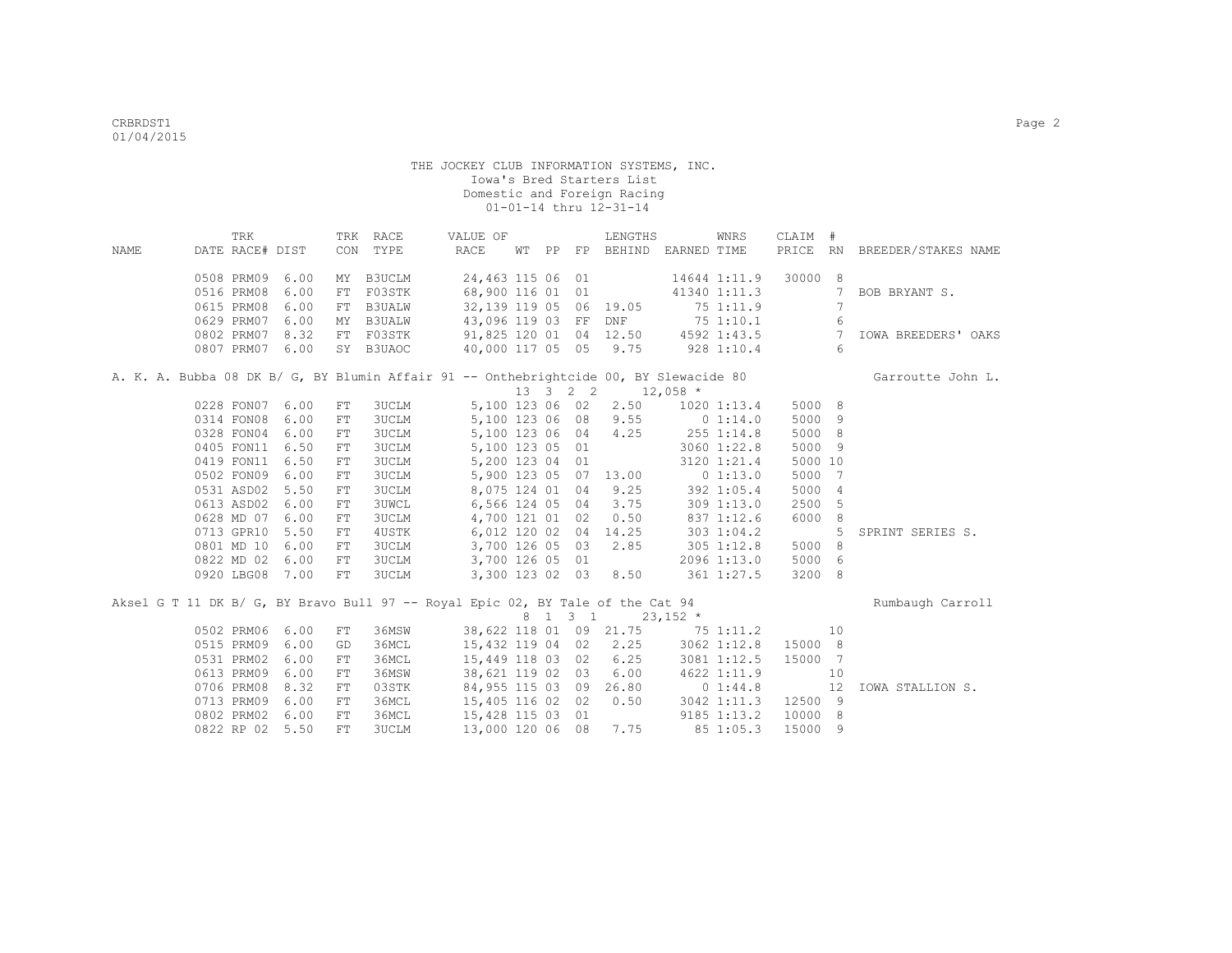|             | TRK                                                                            |      |            | TRK RACE      | VALUE OF         |  |         | LENGTHS                | WNRS                                                                                  | CLAIM # |                |                              |
|-------------|--------------------------------------------------------------------------------|------|------------|---------------|------------------|--|---------|------------------------|---------------------------------------------------------------------------------------|---------|----------------|------------------------------|
| <b>NAME</b> | DATE RACE# DIST                                                                |      |            | CON TYPE      | RACE             |  |         |                        | WT PP FP BEHIND EARNED TIME                                                           |         |                | PRICE RN BREEDER/STAKES NAME |
|             |                                                                                |      |            |               |                  |  |         |                        |                                                                                       |         |                |                              |
|             | 0508 PRM09                                                                     | 6.00 | MY         | B3UCLM        | 24,463 115 06 01 |  |         |                        | 14644 1:11.9                                                                          | 30000 8 |                |                              |
|             | 0516 PRM08                                                                     | 6.00 | FT         | F03STK        | 68,900 116 01 01 |  |         |                        | 41340 1:11.3                                                                          |         | 7              | BOB BRYANT S.                |
|             | 0615 PRM08                                                                     | 6.00 | ${\rm FT}$ | <b>B3UALW</b> |                  |  |         | 32,139 119 05 06 19.05 | 75 1:11.9                                                                             |         | 7              |                              |
|             | 0629 PRM07                                                                     | 6.00 | MY         | <b>B3UALW</b> |                  |  |         |                        | 43,096 119 03 FF DNF 75 1:10.1                                                        |         | 6              |                              |
|             | 0802 PRM07                                                                     | 8.32 | FT         | F03STK        |                  |  |         |                        | 91,825 120 01 04 12.50 4592 1:43.5                                                    |         | $\overline{7}$ | <b>IOWA BREEDERS' OAKS</b>   |
|             | 0807 PRM07                                                                     | 6.00 |            | SY B3UAOC     |                  |  |         |                        | 40,000 117 05 05 9.75 928 1:10.4                                                      |         | 6              |                              |
|             |                                                                                |      |            |               |                  |  |         |                        | A. K. A. Bubba 08 DK B/ G, BY Blumin Affair 91 -- Onthebrightcide 00, BY Slewacide 80 |         |                | Garroutte John L.            |
|             |                                                                                |      |            |               |                  |  |         | 13 3 2 2 12,058 *      |                                                                                       |         |                |                              |
|             | 0228 FON07 6.00                                                                |      | FT         | 3UCLM         |                  |  |         | 5,100 123 06 02 2.50   | $1020$ $1:13.4$                                                                       | 5000 8  |                |                              |
|             | 0314 FON08                                                                     | 6.00 | $FT$       | <b>3UCLM</b>  | 5,100 123 06 08  |  |         | 9.55                   | 0 1:14.0                                                                              | 5000 9  |                |                              |
|             | 0328 FON04                                                                     | 6.00 | ${\rm FT}$ | <b>3UCLM</b>  | 5,100 123 06 04  |  |         | 4.25                   | 255 1:14.8                                                                            | 5000 8  |                |                              |
|             | 0405 FON11                                                                     | 6.50 | ${\rm FT}$ | <b>3UCLM</b>  | 5,100 123 05 01  |  |         |                        | 3060 1:22.8                                                                           | 5000 9  |                |                              |
|             | 0419 FON11                                                                     | 6.50 | ${\rm FT}$ | <b>3UCLM</b>  | 5,200 123 04 01  |  |         |                        | 3120 1:21.4                                                                           | 5000 10 |                |                              |
|             | 0502 FON09                                                                     | 6.00 | ${\rm FT}$ | <b>3UCLM</b>  |                  |  |         | 5,900 123 05 07 13.00  | 0 1:13.0                                                                              | 5000 7  |                |                              |
|             | 0531 ASD02                                                                     | 5.50 | ${\rm FT}$ | <b>3UCLM</b>  | 8,075 124 01 04  |  |         | 9.25                   | 392 1:05.4                                                                            | 5000 4  |                |                              |
|             | 0613 ASD02                                                                     | 6.00 | FT         | <b>3UWCL</b>  | 6,566 124 05 04  |  |         | 3.75                   | 3091:13.0                                                                             | 2500 5  |                |                              |
|             | 0628 MD 07                                                                     | 6.00 | FT         | <b>3UCLM</b>  | 4,700 121 01 02  |  |         | 0.50                   | 8371:12.6                                                                             | 6000 8  |                |                              |
|             | 0713 GPR10                                                                     | 5.50 | ${\rm FT}$ | 4USTK         | 6,012 120 02 04  |  |         | 14.25                  | 303 1:04.2                                                                            |         | 5              | SPRINT SERIES S.             |
|             | 0801 MD 10                                                                     | 6.00 | ${\rm FT}$ | <b>3UCLM</b>  | 3,700 126 05 03  |  |         | 2.85                   | $305$ $1:12.8$                                                                        | 5000 8  |                |                              |
|             | 0822 MD 02                                                                     | 6.00 | FT         | 3UCLM         | 3,700 126 05 01  |  |         |                        | 2096 1:13.0                                                                           | 5000 6  |                |                              |
|             | 0920 LBG08 7.00                                                                |      | FT         | <b>3UCLM</b>  |                  |  |         | 3,300 123 02 03 8.50   | 361 1:27.5                                                                            | 3200 8  |                |                              |
|             | Aksel G T 11 DK B/ G, BY Bravo Bull 97 -- Royal Epic 02, BY Tale of the Cat 94 |      |            |               |                  |  |         |                        |                                                                                       |         |                | Rumbaugh Carroll             |
|             |                                                                                |      |            |               |                  |  | 8 1 3 1 | $23,152$ *             |                                                                                       |         |                |                              |
|             | 0502 PRM06                                                                     | 6.00 | FT         | 36MSW         |                  |  |         |                        | 38,622 118 01 09 21.75 75 1:11.2                                                      |         | 10             |                              |
|             | 0515 PRM09                                                                     | 6.00 | GD         | 36MCL         | 15,432 119 04 02 |  |         | 2.25                   | 3062 1:12.8                                                                           | 15000 8 |                |                              |
|             | 0531 PRM02                                                                     | 6.00 | $FT$       | 36MCL         | 15,449 118 03 02 |  |         | 6.25                   | 3081 1:12.5                                                                           | 15000 7 |                |                              |
|             | 0613 PRM09                                                                     | 6.00 | ${\rm FT}$ | 36MSW         | 38,621 119 02 03 |  |         | 6.00                   | 4622 1:11.9                                                                           |         | 10             |                              |
|             | 0706 PRM08                                                                     | 8.32 | FT         | 03STK         | 84,955 115 03 09 |  |         | 26.80                  | 0 1:44.8                                                                              |         | 12             | IOWA STALLION S.             |
|             | 0713 PRM09                                                                     | 6.00 | FT         | 36MCL         | 15,405 116 02 02 |  |         | 0.50                   | 3042 1:11.3                                                                           | 12500 9 |                |                              |
|             | 0802 PRM02                                                                     | 6.00 | FT         | 36MCL         | 15,428 115 03 01 |  |         |                        | 9185 1:13.2                                                                           | 10000 8 |                |                              |
|             | 0822 RP 02                                                                     | 5.50 | FT         | <b>3UCLM</b>  | 13,000 120 06 08 |  |         | 7.75                   | 85 1:05.3                                                                             | 15000 9 |                |                              |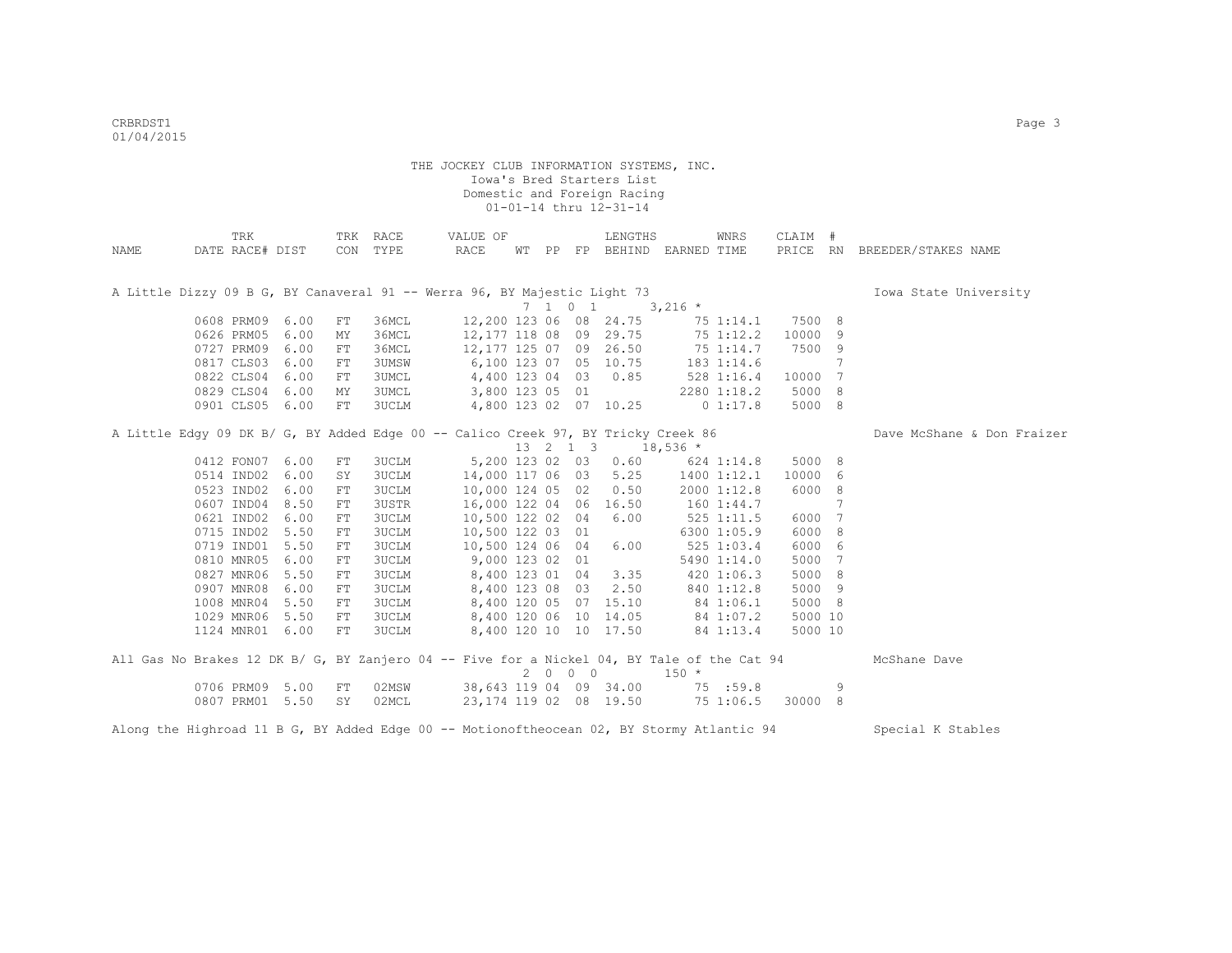|      | TRK                                                                                        |      |            | TRK RACE     | VALUE OF               |  |      | LENGTHS                                        |                                | WNRS        | CLAIM # |     |                              |
|------|--------------------------------------------------------------------------------------------|------|------------|--------------|------------------------|--|------|------------------------------------------------|--------------------------------|-------------|---------|-----|------------------------------|
| NAME | DATE RACE# DIST                                                                            |      |            | CON TYPE     | RACE                   |  |      |                                                | WT PP FP BEHIND EARNED TIME    |             |         |     | PRICE RN BREEDER/STAKES NAME |
|      |                                                                                            |      |            |              |                        |  |      |                                                |                                |             |         |     |                              |
|      |                                                                                            |      |            |              |                        |  |      |                                                |                                |             |         |     |                              |
|      | A Little Dizzy 09 B G, BY Canaveral 91 -- Werra 96, BY Majestic Light 73                   |      |            |              |                        |  |      |                                                |                                |             |         |     | Iowa State University        |
|      |                                                                                            |      |            |              |                        |  |      | $7 \t1 \t0 \t1 \t3,216 \t*$                    |                                |             |         |     |                              |
|      | 0608 PRM09                                                                                 | 6.00 | FT         | 36MCL        |                        |  |      | 12,200 123 06 08 24.75                         |                                | 75 1:14.1   | 7500 8  |     |                              |
|      | 0626 PRM05                                                                                 | 6.00 | MY         | 36MCL        |                        |  |      | 12, 177 118 08 09 29.75                        |                                | 75 1:12.2   | 10000 9 |     |                              |
|      | 0727 PRM09                                                                                 | 6.00 | FT         | 36MCL        |                        |  |      | 12,177 125 07 09 26.50                         |                                | 75 1:14.7   | 7500 9  |     |                              |
|      | 0817 CLS03                                                                                 | 6.00 | FT         | 3UMSW        | 6,100 123 07 05 10.75  |  |      |                                                |                                | 183 1:14.6  |         | 7   |                              |
|      | 0822 CLS04                                                                                 | 6.00 | FT         | 3UMCL        | 4,400 123 04 03        |  |      | 0.85                                           |                                | 528 1:16.4  | 10000 7 |     |                              |
|      | 0829 CLS04                                                                                 | 6.00 | MY         | <b>3UMCL</b> | 3,800 123 05 01        |  |      |                                                | 2280 1:18.2                    |             | 5000 8  |     |                              |
|      | 0901 CLS05 6.00                                                                            |      | FT         | 3UCLM        |                        |  |      |                                                | 4,800 123 02 07 10.25 0 1:17.8 |             | 5000 8  |     |                              |
|      |                                                                                            |      |            |              |                        |  |      |                                                |                                |             |         |     |                              |
|      | A Little Edgy 09 DK B/ G, BY Added Edge 00 -- Calico Creek 97, BY Tricky Creek 86          |      |            |              |                        |  |      |                                                |                                |             |         |     | Dave McShane & Don Fraizer   |
|      |                                                                                            |      |            |              |                        |  |      | $13 \quad 2 \quad 1 \quad 3 \quad 18,536 \neq$ |                                |             |         |     |                              |
|      | 0412 FON07                                                                                 | 6.00 | FT         | 3UCLM        |                        |  |      | 5,200 123 02 03 0.60                           |                                | 624 1:14.8  | 5000 8  |     |                              |
|      | 0514 IND02                                                                                 | 6.00 | SY         | <b>3UCLM</b> |                        |  |      | 14,000 117 06 03 5.25                          |                                | 1400 1:12.1 | 10000 6 |     |                              |
|      | 0523 IND02                                                                                 | 6.00 | FT         | <b>3UCLM</b> | 10,000 124 05 02       |  |      | 0.50                                           |                                | 2000 1:12.8 | 6000 8  |     |                              |
|      | 0607 IND04                                                                                 | 8.50 | FT         | 3USTR        | 16,000 122 04 06 16.50 |  |      |                                                |                                | 160 1:44.7  |         | 7   |                              |
|      | 0621 IND02                                                                                 | 6.00 | FT         | <b>3UCLM</b> | 10,500 122 02 04       |  |      | 6.00                                           |                                | 525 1:11.5  | 6000 7  |     |                              |
|      | 0715 IND02                                                                                 | 5.50 | FT         | 3UCLM        | 10,500 122 03 01       |  |      |                                                |                                | 6300 1:05.9 | 6000    | - 8 |                              |
|      | 0719 IND01                                                                                 | 5.50 | ${\rm FT}$ | 3UCLM        | 10,500 124 06 04       |  |      | 6.00                                           |                                | 525 1:03.4  | 6000    | 6   |                              |
|      | 0810 MNR05                                                                                 | 6.00 | FT         | 3UCLM        | 9,000 123 02 01        |  |      |                                                |                                | 5490 1:14.0 | 5000 7  |     |                              |
|      | 0827 MNR06                                                                                 | 5.50 | FT         | <b>3UCLM</b> | 8,400 123 01 04        |  |      | 3.35                                           |                                | 420 1:06.3  | 5000 8  |     |                              |
|      | 0907 MNR08                                                                                 | 6.00 | FT         | 3UCLM        | 8,400 123 08 03        |  |      | 2.50                                           |                                | 840 1:12.8  | 5000 9  |     |                              |
|      | 1008 MNR04 5.50                                                                            |      | FT         | 3UCLM        |                        |  |      | 8,400 120 05 07 15.10                          |                                | 84 1:06.1   | 5000 8  |     |                              |
|      | 1029 MNR06 5.50                                                                            |      | FT         | <b>3UCLM</b> |                        |  |      | 8,400 120 06 10 14.05                          |                                | 84 1:07.2   | 5000 10 |     |                              |
|      | 1124 MNR01 6.00                                                                            |      | ${\rm FT}$ | <b>3UCLM</b> |                        |  |      | 8,400 120 10 10 17.50                          |                                | 84 1:13.4   | 5000 10 |     |                              |
|      |                                                                                            |      |            |              |                        |  |      |                                                |                                |             |         |     |                              |
|      | All Gas No Brakes 12 DK B/ G, BY Zanjero 04 -- Five for a Nickel 04, BY Tale of the Cat 94 |      |            |              |                        |  |      |                                                |                                |             |         |     | McShane Dave                 |
|      |                                                                                            |      |            |              |                        |  | 2000 |                                                | $150 *$                        |             |         |     |                              |
|      | 0706 PRM09 5.00                                                                            |      | FT         | 02MSW        |                        |  |      | 38,643 119 04 09 34.00                         |                                | 75 :59.8    |         | 9   |                              |
|      | 0807 PRM01 5.50                                                                            |      | SY         | 02MCL        |                        |  |      | 23, 174 119 02 08 19.50                        |                                | 75 1:06.5   | 30000 8 |     |                              |
|      |                                                                                            |      |            |              |                        |  |      |                                                |                                |             |         |     |                              |

Along the Highroad 11 B G, BY Added Edge 00 -- Motionoftheocean 02, BY Stormy Atlantic 94 Special K Stables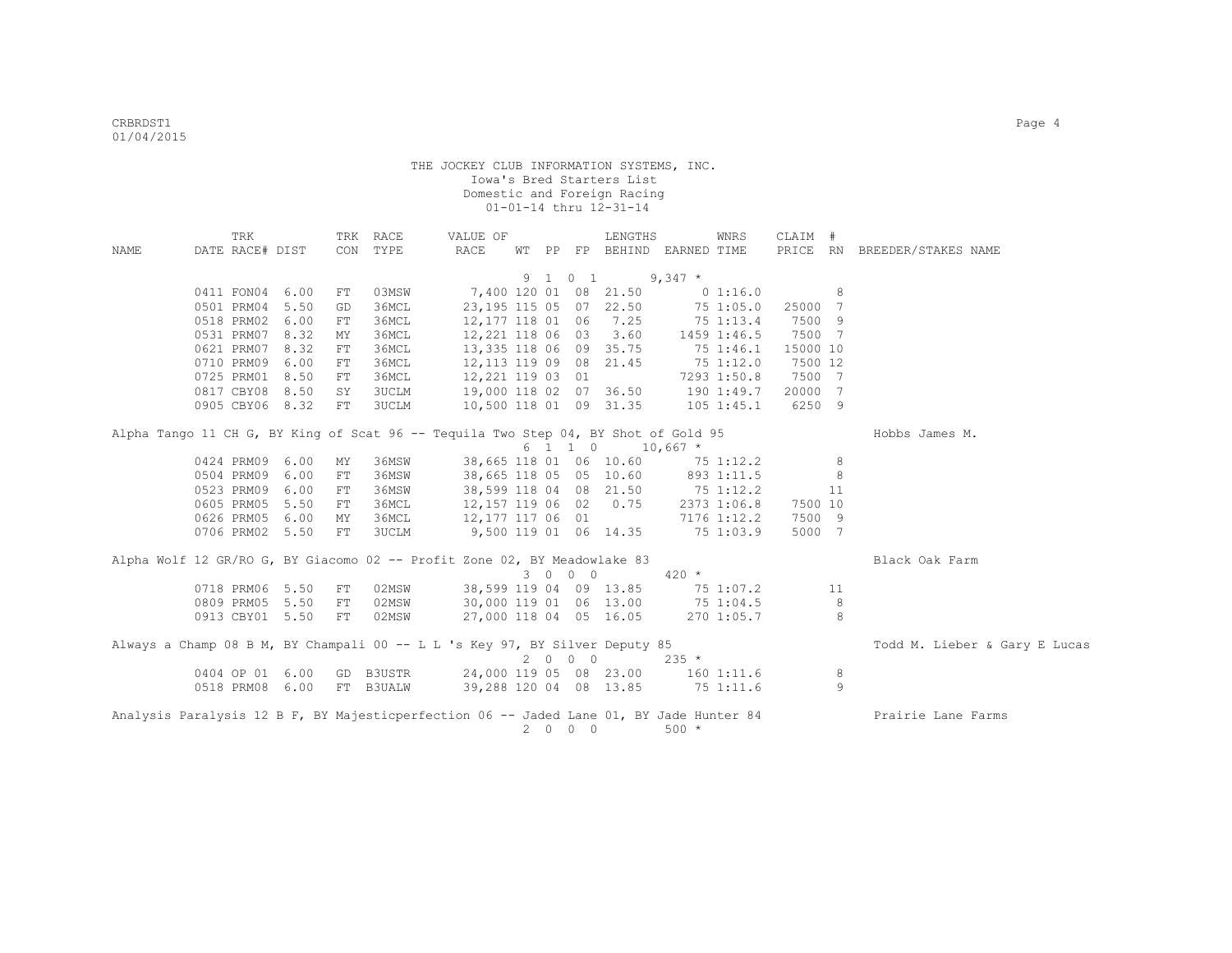|                                                                                         | TRK             |      | TRK | RACE      | VALUE OF                                                                           |                |    |                                         | LENGTHS                |            | WNRS           | CLAIM #  |    |                               |
|-----------------------------------------------------------------------------------------|-----------------|------|-----|-----------|------------------------------------------------------------------------------------|----------------|----|-----------------------------------------|------------------------|------------|----------------|----------|----|-------------------------------|
| NAME                                                                                    | DATE RACE# DIST |      | CON | TYPE      | RACE                                                                               | WТ             | PP |                                         | FP BEHIND EARNED TIME  |            |                |          |    | PRICE RN BREEDER/STAKES NAME  |
|                                                                                         |                 |      |     |           |                                                                                    |                |    |                                         |                        |            |                |          |    |                               |
|                                                                                         |                 |      |     |           |                                                                                    |                |    | 9 1 0 1                                 |                        | $9,347$ *  |                |          |    |                               |
|                                                                                         | 0411 FON04 6.00 |      | FT  | 03MSW     |                                                                                    |                |    |                                         | 7,400 120 01 08 21.50  |            | 0 1:16.0       |          | 8  |                               |
|                                                                                         | 0501 PRM04 5.50 |      | GD  | 36MCL     | 23, 195 115 05 07 22.50                                                            |                |    |                                         |                        |            | 75 1:05.0      | 25000 7  |    |                               |
|                                                                                         | 0518 PRM02 6.00 |      | FT  | 36MCL     | 12, 177 118 01 06 7.25                                                             |                |    |                                         |                        |            | 75 1:13.4      | 7500 9   |    |                               |
|                                                                                         | 0531 PRM07 8.32 |      | МY  | 36MCL     | 12,221 118 06 03                                                                   |                |    |                                         | 3.60                   |            | 1459 1:46.5    | 7500 7   |    |                               |
|                                                                                         | 0621 PRM07 8.32 |      | FT  | 36MCL     | 13,335 118 06 09 35.75                                                             |                |    |                                         |                        |            | 75 1:46.1      | 15000 10 |    |                               |
|                                                                                         | 0710 PRM09 6.00 |      | FT  | 36MCL     | 12, 113 119 09 08 21.45                                                            |                |    |                                         |                        |            | 751:12.0       | 7500 12  |    |                               |
|                                                                                         | 0725 PRM01 8.50 |      | FT  | 36MCL     | 12,221 119 03 01                                                                   |                |    |                                         |                        |            | 7293 1:50.8    | 7500 7   |    |                               |
|                                                                                         | 0817 CBY08 8.50 |      | SY  | 3UCLM     | 19,000 118 02 07 36.50                                                             |                |    |                                         |                        |            | 190 1:49.7     | 20000 7  |    |                               |
|                                                                                         | 0905 CBY06 8.32 |      | FT  | 3UCLM     | 10,500 118 01 09 31.35                                                             |                |    |                                         |                        |            | $105$ $1:45.1$ | 6250 9   |    |                               |
|                                                                                         |                 |      |     |           | Alpha Tango 11 CH G, BY King of Scat 96 -- Tequila Two Step 04, BY Shot of Gold 95 |                |    |                                         |                        |            |                |          |    | Hobbs James M.                |
|                                                                                         |                 |      |     |           |                                                                                    |                |    | 6 1 1 0                                 |                        | $10,667$ * |                |          |    |                               |
|                                                                                         | 0424 PRM09 6.00 |      | MΥ  | 36MSW     |                                                                                    |                |    |                                         | 38,665 118 01 06 10.60 |            | 75 1:12.2      |          | 8  |                               |
|                                                                                         | 0504 PRM09      | 6.00 | FT  | 36MSW     | 38,665 118 05 05 10.60                                                             |                |    |                                         |                        |            | 893 1:11.5     |          | 8  |                               |
|                                                                                         | 0523 PRM09 6.00 |      | FT  | 36MSW     | 38,599 118 04 08 21.50                                                             |                |    |                                         |                        | 751:12.2   |                |          | 11 |                               |
|                                                                                         | 0605 PRM05 5.50 |      |     | 36MCL     | 12,157 119 06 02 0.75                                                              |                |    |                                         |                        |            |                | 7500 10  |    |                               |
|                                                                                         |                 |      | FT  |           |                                                                                    |                |    |                                         |                        |            | 2373 1:06.8    |          |    |                               |
|                                                                                         | 0626 PRM05 6.00 |      | MY  | 36MCL     | 12,177 117 06 01                                                                   |                |    |                                         |                        |            | 7176 1:12.2    | 7500 9   |    |                               |
|                                                                                         | 0706 PRM02 5.50 |      | FT  | 3UCLM     | 9,500 119 01 06 14.35                                                              |                |    |                                         |                        |            | 75 1:03.9      | 5000 7   |    |                               |
|                                                                                         |                 |      |     |           | Alpha Wolf 12 GR/RO G, BY Giacomo 02 -- Profit Zone 02, BY Meadowlake 83           |                |    |                                         |                        |            |                |          |    | Black Oak Farm                |
|                                                                                         |                 |      |     |           |                                                                                    |                |    | 3 0 0 0                                 |                        | $420 *$    |                |          |    |                               |
|                                                                                         | 0718 PRM06 5.50 |      | FT  | 02MSW     | 38,599 119 04 09 13.85                                                             |                |    |                                         |                        | 75 1:07.2  |                |          | 11 |                               |
|                                                                                         | 0809 PRM05 5.50 |      | FT  | 02MSW     | 30,000 119 01 06 13.00                                                             |                |    |                                         |                        | 751:04.5   |                |          | 8  |                               |
|                                                                                         | 0913 CBY01 5.50 |      | FT  | 02MSW     | 27,000 118 04 05 16.05                                                             |                |    |                                         |                        |            | 270 1:05.7     |          | 8  |                               |
|                                                                                         |                 |      |     |           | Always a Champ 08 B M, BY Champali 00 -- L L 's Key 97, BY Silver Deputy 85        |                |    |                                         |                        |            |                |          |    | Todd M. Lieber & Gary E Lucas |
|                                                                                         |                 |      |     |           |                                                                                    |                |    | $2\qquad 0\qquad 0\qquad 0$             |                        | $235 *$    |                |          |    |                               |
|                                                                                         | 0404 OP 01 6.00 |      |     | GD B3USTR | 24,000 119 05 08 23.00                                                             |                |    |                                         |                        |            | 1601:11.6      |          | 8  |                               |
|                                                                                         | 0518 PRM08 6.00 |      |     | FT B3UALW | 39,288 120 04 08 13.85                                                             |                |    |                                         |                        | 75 1:11.6  |                |          | 9  |                               |
| Analysis Paralysis 12 B F, BY Majesticperfection 06 -- Jaded Lane 01, BY Jade Hunter 84 |                 |      |     |           |                                                                                    |                |    |                                         |                        |            |                |          |    | Prairie Lane Farms            |
|                                                                                         |                 |      |     |           |                                                                                    | $\overline{2}$ |    | $\begin{matrix} 0 & 0 & 0 \end{matrix}$ |                        | $500 *$    |                |          |    |                               |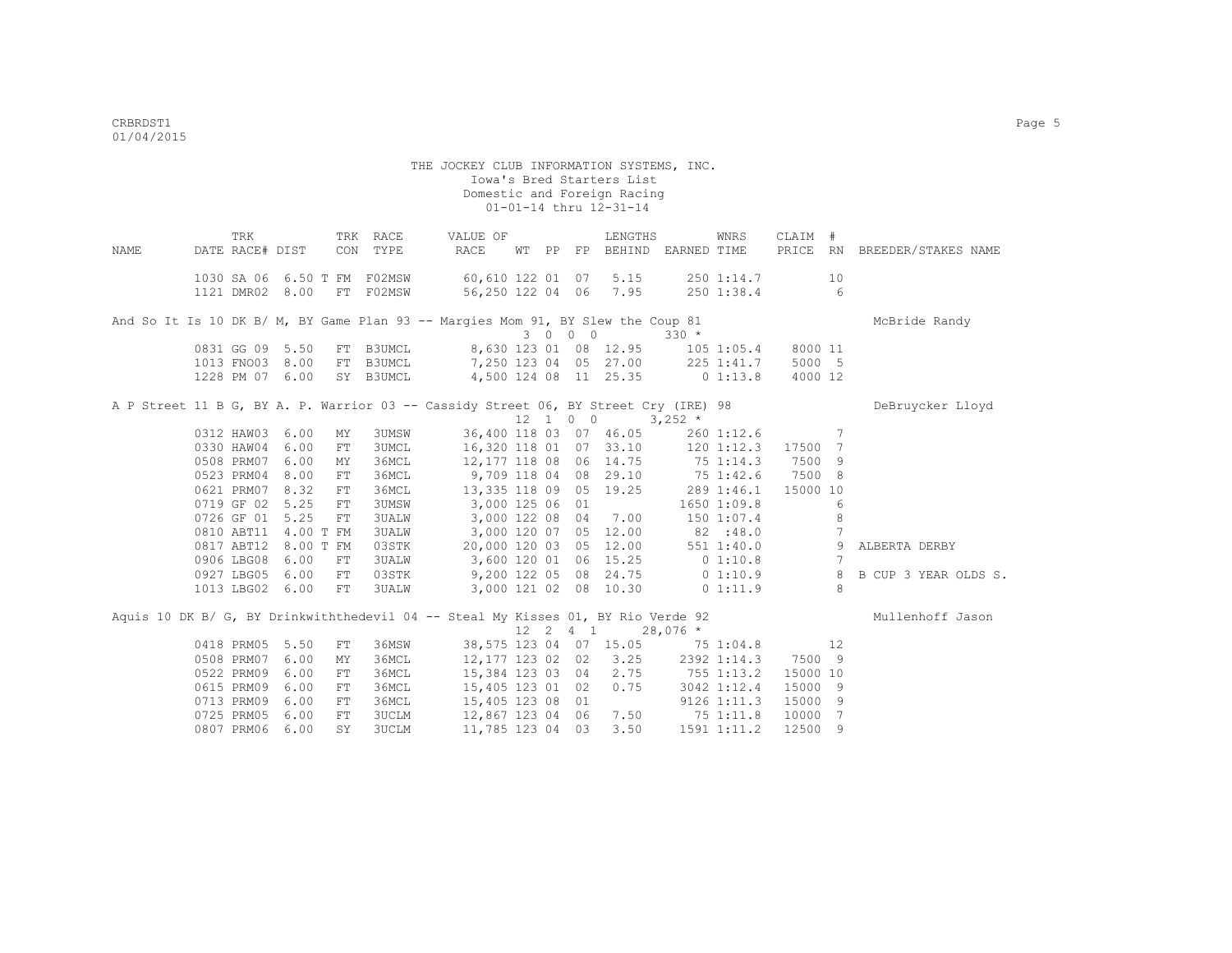| NAME | TRK<br>DATE RACE# DIST |                      |            | TRK RACE<br>CON TYPE        | VALUE OF<br>RACE                                                                    |  |             | LENGTHS                                       | WT PP FP BEHIND EARNED TIME      | WNRS        | CLAIM #  |                 | PRICE RN BREEDER/STAKES NAME |
|------|------------------------|----------------------|------------|-----------------------------|-------------------------------------------------------------------------------------|--|-------------|-----------------------------------------------|----------------------------------|-------------|----------|-----------------|------------------------------|
|      |                        |                      |            |                             |                                                                                     |  |             |                                               |                                  |             |          |                 |                              |
|      |                        |                      |            | 1030 SA 06 6.50 T FM F02MSW | 60,610 122 01 07 5.15                                                               |  |             |                                               |                                  | 250 1:14.7  |          | 10              |                              |
|      |                        |                      |            | 1121 DMR02 8.00 FT F02MSW   | 56,250 122 04 06 7.95                                                               |  |             |                                               |                                  | 250 1:38.4  |          | $6\overline{6}$ |                              |
|      |                        |                      |            |                             |                                                                                     |  |             |                                               |                                  |             |          |                 |                              |
|      |                        |                      |            |                             | And So It Is 10 DK B/ M, BY Game Plan 93 -- Margies Mom 91, BY Slew the Coup 81     |  |             |                                               |                                  |             |          |                 | McBride Randy                |
|      |                        |                      |            |                             |                                                                                     |  | 3 0 0 0     |                                               | $330 *$                          |             |          |                 |                              |
|      |                        | 0831 GG 09 5.50      |            |                             | FT B3UMCL 8,630 123 01 08 12.95                                                     |  |             |                                               | 105 1:05.4                       |             | 8000 11  |                 |                              |
|      |                        | 1013 FNO03 8.00      |            | FT B3UMCL                   | 7,250 123 04 05 27.00                                                               |  |             |                                               |                                  | 225 1:41.7  | 5000 5   |                 |                              |
|      |                        | 1228 PM 07 6.00      |            | SY B3UMCL                   |                                                                                     |  |             | 4,500 124 08 11 25.35                         | $0\;1:13.8$                      |             | 4000 12  |                 |                              |
|      |                        |                      |            |                             | A P Street 11 B G, BY A. P. Warrior 03 -- Cassidy Street 06, BY Street Cry (IRE) 98 |  |             |                                               |                                  |             |          |                 | DeBruycker Lloyd             |
|      |                        |                      |            |                             |                                                                                     |  |             | $12 \quad 1 \quad 0 \quad 0 \quad 3,252 \neq$ |                                  |             |          |                 |                              |
|      |                        | 0312 HAW03 6.00      | MY         | 3UMSW                       |                                                                                     |  |             | 36,400 118 03 07 46.05                        |                                  | 260 1:12.6  | $\sim$ 7 |                 |                              |
|      |                        | 0330 HAW04 6.00      | FT         | 3UMCL                       |                                                                                     |  |             | 16,320 118 01 07 33.10                        |                                  | 1201:12.3   | 17500 7  |                 |                              |
|      | 0508 PRM07             | 6.00                 | MΥ         | 36MCL                       |                                                                                     |  |             | 12,177 118 08 06 14.75                        | 75 1:14.3                        |             | 7500 9   |                 |                              |
|      | 0523 PRM04             | 8.00                 | FT         | 36MCL                       | 9,709 118 04 08 29.10                                                               |  |             |                                               | 75 1:42.6                        |             | 7500 8   |                 |                              |
|      |                        | 0621 PRM07 8.32      | FT         | 36MCL                       |                                                                                     |  |             | 13,335 118 09 05 19.25                        |                                  | 289 1:46.1  | 15000 10 |                 |                              |
|      | 0719 GF 02             | 5.25                 | ${\rm FT}$ | <b>3UMSW</b>                | 3,000 125 06 01                                                                     |  |             |                                               |                                  | 1650 1:09.8 |          | 6               |                              |
|      | 0726 GF 01             | 5.25                 | ${\rm FT}$ | <b>3UALW</b>                |                                                                                     |  |             | 3,000 122 08 04 7.00                          |                                  | 1501:07.4   |          | 8               |                              |
|      | 0810 ABT11             | 4.00 T FM            |            | <b>3UALW</b>                |                                                                                     |  |             | 3,000 120 07 05 12.00                         | 82:48.0                          |             |          | $7\phantom{.0}$ |                              |
|      |                        | 0817 ABT12 8.00 T FM |            | 03STK                       |                                                                                     |  |             | 20,000 120 03 05 12.00                        |                                  | 551 1:40.0  |          | 9               | ALBERTA DERBY                |
|      | 0906 LBG08             | 6.00                 | FT         | 3UALW                       | 3,600 120 01 06 15.25                                                               |  |             |                                               | 0 1:10.8                         |             |          | $7\phantom{.0}$ |                              |
|      | 0927 LBG05             | 6.00                 | FT         | 03STK                       | 9,200 122 05 08 24.75                                                               |  |             |                                               | 0 1:10.9                         |             |          | 8               | B CUP 3 YEAR OLDS S.         |
|      |                        | 1013 LBG02 6.00      | FT         | 3UALW                       | 3,000 121 02 08 10.30                                                               |  |             |                                               | 01:11.9                          |             |          | - 8             |                              |
|      |                        |                      |            |                             |                                                                                     |  |             |                                               |                                  |             |          |                 |                              |
|      |                        |                      |            |                             | Aquis 10 DK B/ G, BY Drinkwiththedevil 04 -- Steal My Kisses 01, BY Rio Verde 92    |  |             |                                               |                                  |             |          |                 | Mullenhoff Jason             |
|      |                        |                      |            |                             |                                                                                     |  | 12  2  4  1 |                                               | $28,076$ *                       |             |          |                 |                              |
|      | 0418 PRM05             | 5.50                 | FT         | 36MSW                       |                                                                                     |  |             |                                               | 38,575 123 04 07 15.05 75 1:04.8 |             | 12       |                 |                              |
|      | 0508 PRM07             | 6.00                 | MY         | 36MCL                       | 12,177 123 02 02                                                                    |  |             |                                               | $3.25$ 2392 1:14.3               |             | 7500 9   |                 |                              |
|      | 0522 PRM09             | 6.00                 | FT         | 36MCL                       | 15,384 123 03 04                                                                    |  |             | 2.75                                          | $755$ 1:13.2                     |             | 15000 10 |                 |                              |
|      | 0615 PRM09             | 6.00                 | FT         | 36MCL                       | 15,405 123 01 02                                                                    |  |             | 0.75                                          |                                  | 3042 1:12.4 | 15000 9  |                 |                              |
|      | 0713 PRM09             | 6.00                 | FT         | 36MCL                       | 15,405 123 08 01                                                                    |  |             |                                               |                                  | 91261:11.3  | 15000 9  |                 |                              |
|      | 0725 PRM05             | 6.00                 | FT         | 3UCLM                       | 12,867 123 04 06                                                                    |  |             |                                               | 7.50 75 1:11.8                   |             | 10000 7  |                 |                              |
|      |                        | 0807 PRM06 6.00      | SY         | <b>3UCLM</b>                | 11,785 123 04 03                                                                    |  |             | 3.50                                          |                                  | 1591 1:11.2 | 12500 9  |                 |                              |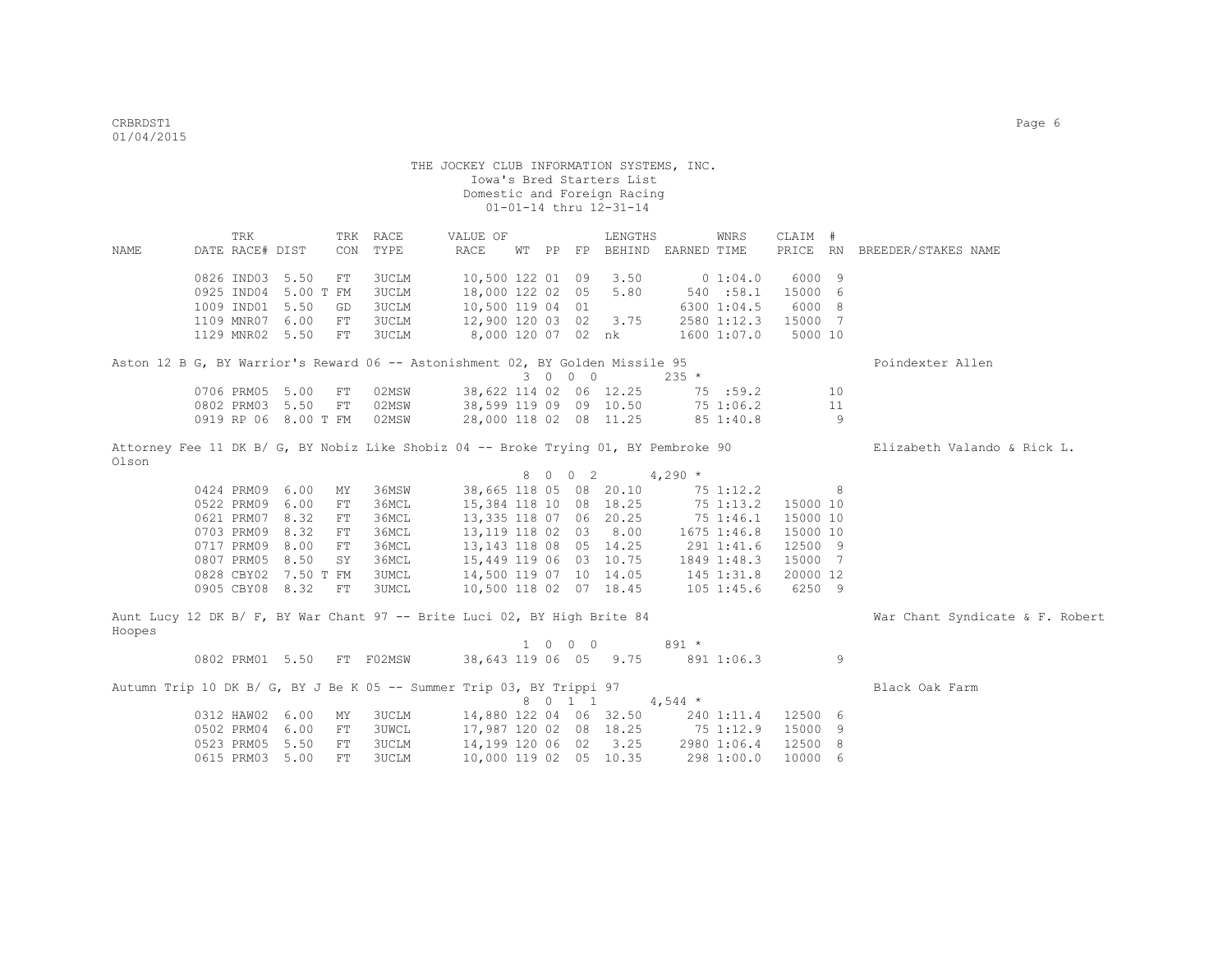|        | TRK                  |             | TRK RACE     | VALUE OF                                                                      |         | LENGTHS         | WNRS                                                                                | CLAIM #        |                                 |
|--------|----------------------|-------------|--------------|-------------------------------------------------------------------------------|---------|-----------------|-------------------------------------------------------------------------------------|----------------|---------------------------------|
| NAME   | DATE RACE# DIST      |             | CON TYPE     | RACE                                                                          |         |                 | WT PP FP BEHIND EARNED TIME                                                         |                | PRICE RN BREEDER/STAKES NAME    |
|        |                      |             |              |                                                                               |         |                 |                                                                                     |                |                                 |
|        | 0826 IND03 5.50      | FT          | 3UCLM        | 10,500 122 01 09                                                              |         | 3.50            | 0 1:04.0                                                                            | 6000 9         |                                 |
|        | 0925 IND04 5.00 T FM |             | <b>3UCLM</b> | 18,000 122 02 05                                                              |         | 5.80            | 540 :58.1                                                                           | 15000 6        |                                 |
|        | 1009 IND01 5.50      | GD          | 3UCLM        | 10,500 119 04 01                                                              |         |                 | 6300 1:04.5                                                                         | 6000 8         |                                 |
|        | 1109 MNR07 6.00      | FT          | 3UCLM        | 12,900 120 03 02 3.75                                                         |         |                 | 2580 1:12.3                                                                         | 15000 7        |                                 |
|        | 1129 MNR02 5.50      | FT          | <b>3UCLM</b> | 8,000 120 07 02 nk                                                            |         |                 | 1600 1:07.0                                                                         | 5000 10        |                                 |
|        |                      |             |              |                                                                               |         |                 |                                                                                     |                |                                 |
|        |                      |             |              | Aston 12 B G, BY Warrior's Reward 06 -- Astonishment 02, BY Golden Missile 95 |         |                 |                                                                                     |                | Poindexter Allen                |
|        |                      |             |              |                                                                               | 3 0 0 0 |                 | $235 *$                                                                             |                |                                 |
|        | 0706 PRM05 5.00      | FT          | 02MSW        | 38,622 114 02 06 12.25                                                        |         |                 | 75 :59.2                                                                            | 10             |                                 |
|        | 0802 PRM03 5.50      | FT          | 02MSW        | 38,599 119 09 09 10.50                                                        |         |                 | 75 1:06.2                                                                           | 11             |                                 |
|        | 0919 RP 06 8.00 T FM |             | 02MSW        | 28,000 118 02 08 11.25                                                        |         |                 | 851:40.8                                                                            | -9             |                                 |
|        |                      |             |              |                                                                               |         |                 | Attorney Fee 11 DK B/ G, BY Nobiz Like Shobiz 04 -- Broke Trying 01, BY Pembroke 90 |                | Elizabeth Valando & Rick L.     |
| Olson  |                      |             |              |                                                                               |         |                 |                                                                                     |                |                                 |
|        |                      |             |              |                                                                               |         | 8 0 0 2 4,290 * |                                                                                     |                |                                 |
|        | 0424 PRM09 6.00      | MY          | 36MSW        | 38,665 118 05 08 20.10                                                        |         |                 | 75 1:12.2                                                                           | 8 <sup>1</sup> |                                 |
|        | 0522 PRM09 6.00      | ${\rm FT}$  | 36MCL        | 15,384 118 10 08 18.25                                                        |         |                 | 75 1:13.2                                                                           | 15000 10       |                                 |
|        | 0621 PRM07 8.32      | FT          | 36MCL        | 13,335 118 07 06 20.25                                                        |         |                 | 75 1:46.1                                                                           | 15000 10       |                                 |
|        | 0703 PRM09 8.32      | FT          | 36MCL        | 13,119 118 02 03 8.00                                                         |         |                 | 1675 1:46.8                                                                         | 15000 10       |                                 |
|        | 0717 PRM09 8.00      | FT          | 36MCL        | 13, 143 118 08 05 14. 25                                                      |         |                 | 291 1:41.6                                                                          | 12500 9        |                                 |
|        | 0807 PRM05 8.50      | SY          | 36MCL        | 15,449 119 06 03 10.75                                                        |         |                 | 1849 1:48.3                                                                         | 15000 7        |                                 |
|        | 0828 CBY02 7.50 T FM |             | <b>3UMCL</b> |                                                                               |         |                 | 14,500 119 07 10 14.05 145 1:31.8                                                   | 20000 12       |                                 |
|        | 0905 CBY08 8.32      | ${\rm FT}$  | 3UMCL        | 10,500 118 02 07 18.45                                                        |         |                 | $105$ $1:45.6$                                                                      | 6250 9         |                                 |
|        |                      |             |              |                                                                               |         |                 |                                                                                     |                |                                 |
|        |                      |             |              | Aunt Lucy 12 DK B/ F, BY War Chant 97 -- Brite Luci 02, BY High Brite 84      |         |                 |                                                                                     |                | War Chant Syndicate & F. Robert |
| Hoopes |                      |             |              |                                                                               |         |                 |                                                                                     |                |                                 |
|        |                      |             |              |                                                                               | 1 0 0 0 |                 | $891 *$                                                                             |                |                                 |
|        | 0802 PRM01 5.50      |             | FT F02MSW    | 38,643 119 06 05 9.75                                                         |         |                 | 891 1:06.3                                                                          | 9              |                                 |
|        |                      |             |              | Autumn Trip 10 DK B/ G, BY J Be K 05 -- Summer Trip 03, BY Trippi 97          |         |                 |                                                                                     |                | Black Oak Farm                  |
|        |                      |             |              |                                                                               |         | 8 0 1 1 4,544 * |                                                                                     |                |                                 |
|        | 0312 HAW02 6.00      | ΜY          | 3UCLM        | 14,880 122 04 06 32.50                                                        |         |                 | 240 1:11.4                                                                          | 12500 6        |                                 |
|        | 0502 PRM04 6.00      | FT          | <b>3UWCL</b> |                                                                               |         |                 | 17,987 120 02 08 18.25 75 1:12.9                                                    | 15000 9        |                                 |
|        | 0523 PRM05 5.50      | FT          | <b>3UCLM</b> | 14,199 120 06 02 3.25                                                         |         |                 | 2980 1:06.4                                                                         | 12500 8        |                                 |
|        | 0615 PRM03           | 5.00<br>FT. | 3UCLM        | 10,000 119 02 05 10.35                                                        |         |                 | 298 1:00.0                                                                          | 10000 6        |                                 |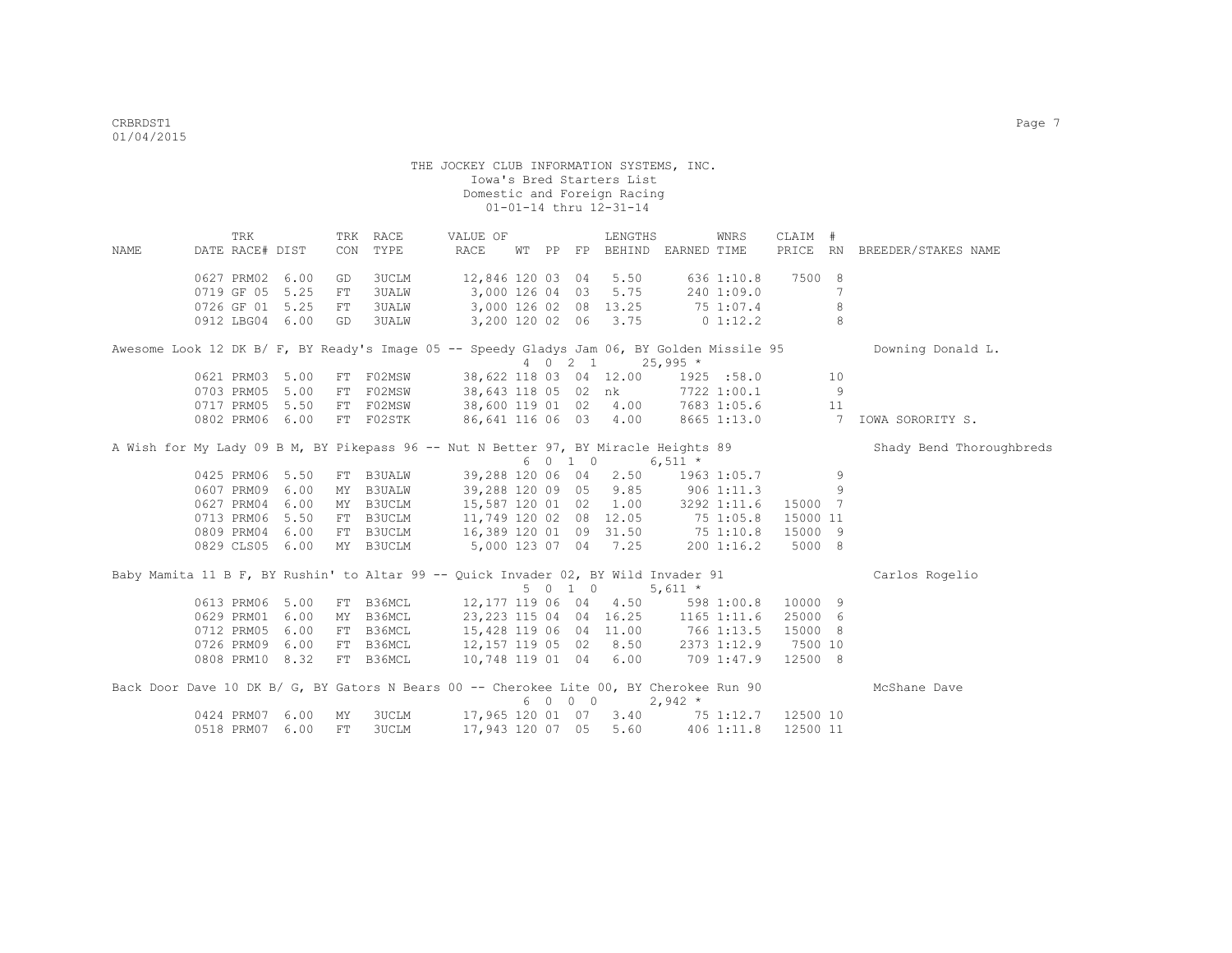|             |                 | TRK |      |           | TRK RACE     | VALUE OF                                                                                   |  |         | LENGTHS                                                                                        |             | WNRS         | CLAIM #  |     |                              |
|-------------|-----------------|-----|------|-----------|--------------|--------------------------------------------------------------------------------------------|--|---------|------------------------------------------------------------------------------------------------|-------------|--------------|----------|-----|------------------------------|
| <b>NAME</b> | DATE RACE# DIST |     |      | CON       | TYPE         | RACE                                                                                       |  |         | WT PP FP BEHIND EARNED TIME                                                                    |             |              |          |     | PRICE RN BREEDER/STAKES NAME |
|             | 0627 PRM02      |     | 6.00 | GD        | <b>3UCLM</b> | 12,846 120 03 04                                                                           |  |         | 5.50                                                                                           |             | 636 1:10.8   | 7500 8   |     |                              |
|             | 0719 GF 05      |     | 5.25 | FT        | <b>3UALW</b> | 3,000 126 04 03                                                                            |  |         | 5.75                                                                                           |             | 240 1:09.0   |          | 7   |                              |
|             | 0726 GF 01 5.25 |     |      | FT        |              | 3UALW 3,000 126 02 08 13.25                                                                |  |         |                                                                                                | 75 1:07.4   |              |          | 8   |                              |
|             | 0912 LBG04 6.00 |     |      | GD        |              | 3UALW 3,200 120 02 06 3.75                                                                 |  |         |                                                                                                | $0\;1:12.2$ |              |          | 8   |                              |
|             |                 |     |      |           |              |                                                                                            |  |         |                                                                                                |             |              |          |     |                              |
|             |                 |     |      |           |              | Awesome Look 12 DK B/ F, BY Ready's Image 05 -- Speedy Gladys Jam 06, BY Golden Missile 95 |  |         | 4 0 2 1 25,995 *                                                                               |             |              |          |     | Downing Donald L.            |
|             | 0621 PRM03      |     | 5.00 |           | FT FO2MSW    |                                                                                            |  |         | 38,622 118 03 04 12.00 1925 :58.0                                                              |             |              |          | 10  |                              |
|             | 0703 PRM05      |     | 5.00 |           | FT FO2MSW    |                                                                                            |  |         |                                                                                                |             |              |          | - 9 |                              |
|             | 0717 PRM05      |     | 5.50 |           | FT FO2MSW    |                                                                                            |  |         | 38,643 118 05 02 nk              7722 1:00.1<br>38,600 119 01   02     4.00        7683 1:05.6 |             |              |          | 11  |                              |
|             | 0802 PRM06 6.00 |     |      |           | FT F02STK    |                                                                                            |  |         | 86,641 116 06 03 4.00 8665 1:13.0 7                                                            |             |              |          |     | IOWA SORORITY S.             |
|             |                 |     |      |           |              | A Wish for My Lady 09 B M, BY Pikepass 96 -- Nut N Better 97, BY Miracle Heights 89        |  |         |                                                                                                |             |              |          |     | Shady Bend Thoroughbreds     |
|             |                 |     |      |           |              |                                                                                            |  | 6 0 1 0 |                                                                                                | $6,511$ *   |              |          |     |                              |
|             | 0425 PRM06 5.50 |     |      |           | FT B3UALW    |                                                                                            |  |         | 39,288 120 06 04 2.50                                                                          |             | 1963 1:05.7  |          | 9   |                              |
|             | 0607 PRM09      |     | 6.00 |           | MY B3UALW    |                                                                                            |  |         | 39,288 120 09 05 9.85 906 1:11.3                                                               |             |              |          | 9   |                              |
|             | 0627 PRM04      |     | 6.00 |           | MY B3UCLM    |                                                                                            |  |         | 15,587 120 01 02 1.00 3292 1:11.6                                                              |             |              | 15000 7  |     |                              |
|             | 0713 PRM06      |     | 5.50 |           | FT B3UCLM    |                                                                                            |  |         | 11,749 120 02 08 12.05                                                                         | 75 1:05.8   |              | 15000 11 |     |                              |
|             | 0809 PRM04 6.00 |     |      |           | FT B3UCLM    |                                                                                            |  |         | 16,389 120 01 09 31.50 75 1:10.8                                                               |             |              | 15000 9  |     |                              |
|             | 0829 CLS05 6.00 |     |      |           |              | MY B3UCLM 5,000 123 07 04 7.25                                                             |  |         |                                                                                                |             | 2001:16.2    | 5000 8   |     |                              |
|             |                 |     |      |           |              | Baby Mamita 11 B F, BY Rushin' to Altar 99 -- Quick Invader 02, BY Wild Invader 91         |  |         |                                                                                                |             |              |          |     | Carlos Rogelio               |
|             |                 |     |      |           |              |                                                                                            |  | 5 0 1 0 |                                                                                                | 5,611 $*$   |              |          |     |                              |
|             | 0613 PRM06      |     | 5.00 |           |              | FT B36MCL 12,177 119 06 04                                                                 |  |         | 4.50                                                                                           |             | 598 1:00.8   | 10000 9  |     |                              |
|             | 0629 PRM01      |     | 6.00 |           | MY B36MCL    |                                                                                            |  |         | 23, 223 115 04 04 16.25 1165 1:11.6                                                            |             |              | 25000 6  |     |                              |
|             | 0712 PRM05      |     | 6.00 |           | FT B36MCL    |                                                                                            |  |         | 15,428 119 06 04 11.00 766 1:13.5                                                              |             |              | 15000 8  |     |                              |
|             | 0726 PRM09      |     | 6.00 |           | FT B36MCL    |                                                                                            |  |         | 12, 157 119 05 02 8.50 2373 1:12.9 7500 10                                                     |             |              |          |     |                              |
|             | 0808 PRM10 8.32 |     |      |           | FT B36MCL    |                                                                                            |  |         | 10,748 119 01 04 6.00 709 1:47.9                                                               |             |              | 12500 8  |     |                              |
|             |                 |     |      |           |              | Back Door Dave 10 DK B/ G, BY Gators N Bears 00 -- Cherokee Lite 00, BY Cherokee Run 90    |  |         |                                                                                                |             |              |          |     | McShane Dave                 |
|             |                 |     |      |           |              |                                                                                            |  | 6 0 0 0 |                                                                                                | $2,942 *$   |              |          |     |                              |
|             | 0424 PRM07      |     | 6.00 | MY        | 3UCLM        |                                                                                            |  |         | 17,965 120 01 07 3.40 75 1:12.7 12500 10                                                       |             |              |          |     |                              |
|             | 0518 PRM07      |     | 6.00 | <b>FT</b> | 3UCLM        |                                                                                            |  |         | 17,943 120 07 05 5.60                                                                          |             | $406$ 1:11.8 | 12500 11 |     |                              |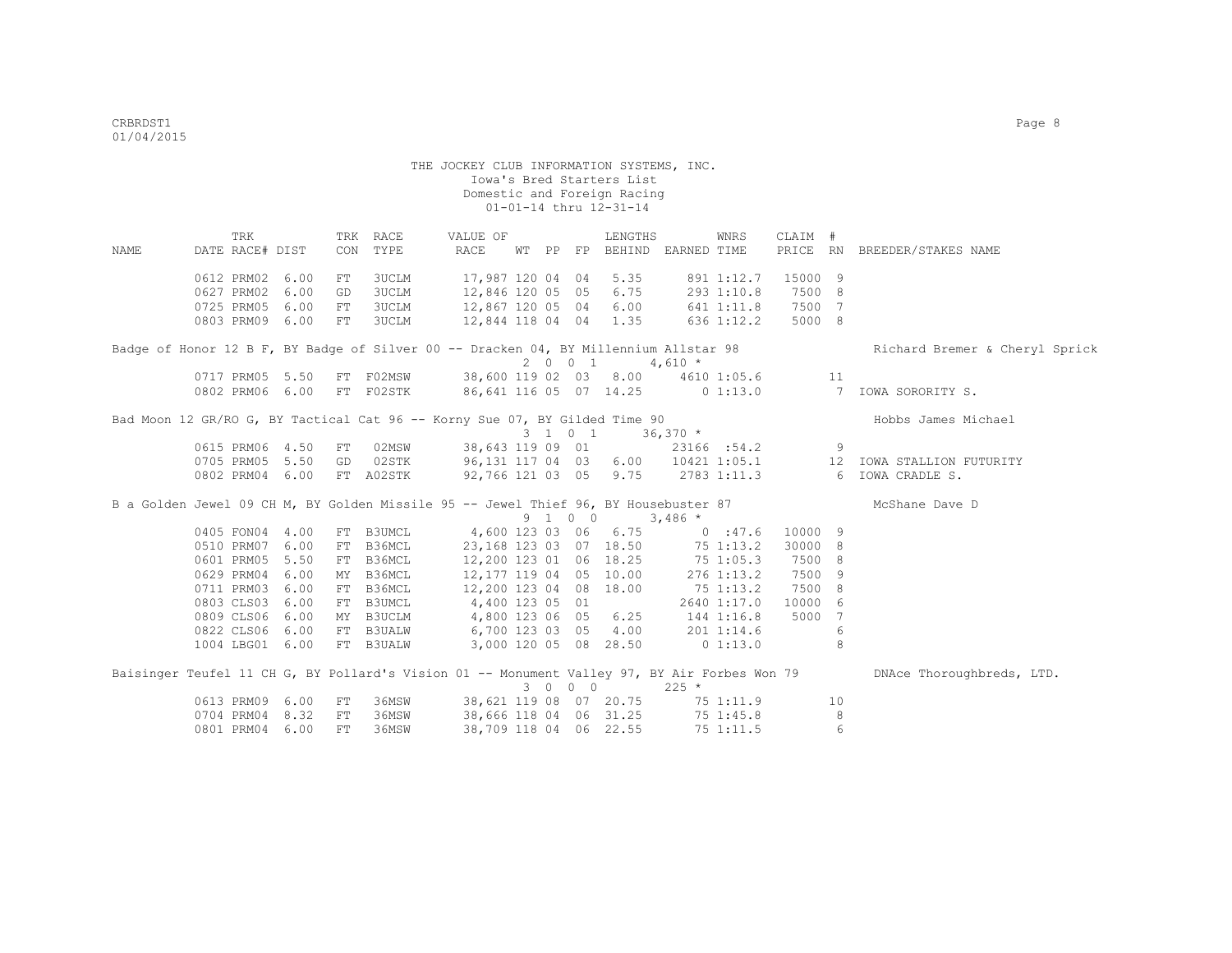TRK TRK RACE VALUE OF LENGTHS WNRS CLAIM # NAME DATE RACE# DIST CON TYPE RACE WT PP FP BEHIND EARNED TIME PRICE RN BREEDER/STAKES NAME 0612 PRM02 6.00 FT 3UCLM 17,987 120 04 04 5.35 891 1:12.7 15000 9 0627 PRM02 6.00 GD 3UCLM 12,846 120 05 05 6.75 293 1:10.8 7500 8 0725 PRM05 6.00 FT 3UCLM 12,867 120 05 04 6.00 641 1:11.8 7500 7<br>0803 PRM09 6.00 FT 3UCLM 12,844 118 04 04 1.35 636 1:12.2 5000 8 12,844 118 04 04 1.35 Badge of Honor 12 B F, BY Badge of Silver 00 -- Dracken 04, BY Millennium Allstar 98 Richard Bremer & Cheryl Sprick  $0717$  PRM05 5.50 FT F02MSW 38,600 119 02 03 8.00 4610 38,600 119 02 03 8.00 4610 1:05.6 11 0802 PRM06 6.00 FT F02STK 86,641 116 05 07 14.25 0 1:13.0 7 IOWA SORORITY S. Bad Moon 12 GR/RO G, BY Tactical Cat 96 -- Korny Sue 07, BY Gilded Time 90 Hobbs James Michael 3 1 0 1 36,370 \* 0615 PRM06 4.50 FT 02MSW 38,643 119 09 01 23166 :54.2 9 0705 PRM05 5.50 GD 02STK 96,131 117 04 03 6.00 10421 1:05.1 12 IOWA STALLION FUTURITY 0802 PRM04 6.00 FT A02STK 92,766 121 03 05 9.75 2783 1:11.3 6 IOWA CRADLE S. B a Golden Jewel 09 CH M, BY Golden Missile 95 -- Jewel Thief 96, BY Housebuster 87 McShane Dave D  $0405$  FON04 4.00 FT B3UMCL  $0405$  and  $06$   $06.75$  and  $060$   $060$   $075$  and  $080$   $090$   $090$   $090$   $090$   $090$   $090$   $090$   $090$   $090$   $090$   $090$   $090$   $090$   $090$   $090$   $090$   $090$   $090$   $090$   $090$   $090$   $090$   $090$ 4,600 123 03 06 6.75 0 :47.6 10000 9<br>23,168 123 03 07 18.50 75 1:13.2 30000 8 0510 PRM07 6.00 FT B36MCL 23,168 123 03 07 18.50 75 1:13.2 30000 8 0601 PRM05 5.50 FT B36MCL 12,200 123 01 06 18.25 75 1:05.3 7500 8 0629 PRM04 6.00 MY B36MCL 12,177 119 04 05 10.00 276 1:13.2 7500 9 0711 PRM03 6.00 FT B36MCL 12,200 123 04 08 18.00 75 1:13.2 7500 8 0803 CLS03 6.00 FT B3UMCL 4,400 123 05 01 2640 1:17.0 10000 6 0809 CLS06 6.00 MY B3UCLM 4,800 123 06 05 6.25 144 1:16.8 5000 7 0822 CLS06 6.00 FT B3UALW 6,700 123 03 05 4.00 201 1:14.6 6 1004 LBG01 6.00 FT B3UALW 3,000 120 05 08 28.50 0 1:13.0 8 Baisinger Teufel 11 CH G, BY Pollard's Vision 01 -- Monument Valley 97, BY Air Forbes Won 79 DNAce Thoroughbreds, LTD.  $30000$ <br>38,621 119 08 07 20.75 75 0613 PRM09 6.00 FT 36MSW 38,621 119 08 07 20.75 75 1:11.9 10 0704 PRM04 8.32 FT 36MSW 38,666 118 04 06 31.25 75 1:45.8 8 0801 PRM04 6.00 FT 36MSW 38,709 118 04 06 22.55 75 1:11.5 6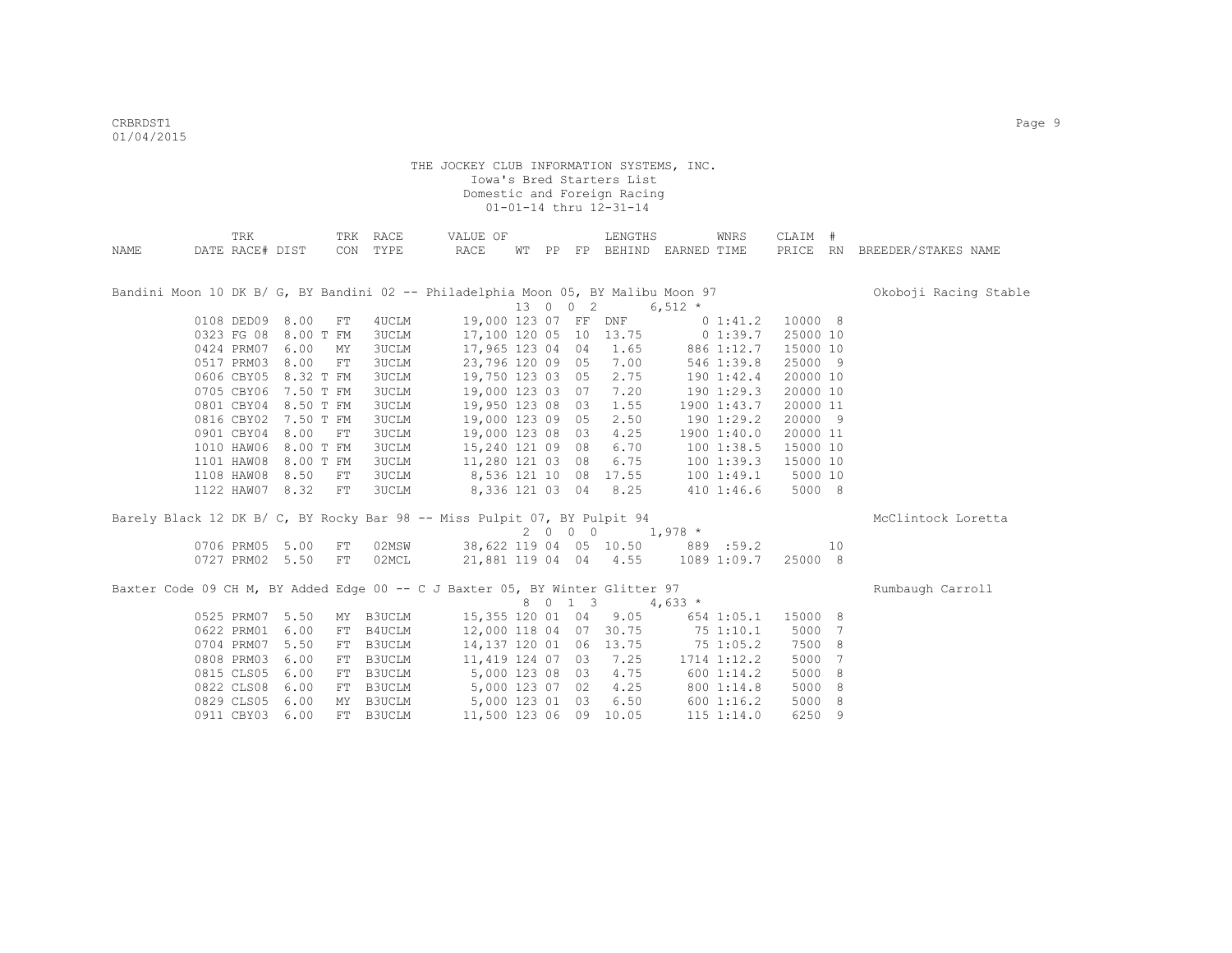|      | TRK             |                 |    | TRK RACE     | VALUE OF                                                                          |  |                      | LENGTHS                 |                               | WNRS           | CLAIM #  |                 |                              |
|------|-----------------|-----------------|----|--------------|-----------------------------------------------------------------------------------|--|----------------------|-------------------------|-------------------------------|----------------|----------|-----------------|------------------------------|
| NAME | DATE RACE# DIST |                 |    | CON TYPE     | RACE                                                                              |  |                      |                         | WT PP FP BEHIND EARNED TIME   |                |          |                 | PRICE RN BREEDER/STAKES NAME |
|      |                 |                 |    |              |                                                                                   |  |                      |                         |                               |                |          |                 |                              |
|      |                 |                 |    |              |                                                                                   |  |                      |                         |                               |                |          |                 |                              |
|      |                 |                 |    |              | Bandini Moon 10 DK B/ G, BY Bandini 02 -- Philadelphia Moon 05, BY Malibu Moon 97 |  |                      |                         |                               |                |          |                 | Okoboji Racing Stable        |
|      |                 |                 |    |              |                                                                                   |  | 13 0 0 2             |                         | 6,512 $*$                     |                |          |                 |                              |
|      |                 | 0108 DED09 8.00 | FT | 4UCLM        |                                                                                   |  | 19,000 123 07 FF DNF |                         |                               | $0\;1:41.2$    | 10000 8  |                 |                              |
|      | 0323 FG 08      | 8.00 T FM       |    | <b>3UCLM</b> |                                                                                   |  |                      | 17,100 120 05 10 13.75  | $0\;1:39.7$                   |                | 25000 10 |                 |                              |
|      | 0424 PRM07      | 6.00            | MY | <b>3UCLM</b> | 17,965 123 04                                                                     |  |                      | 04 1.65                 | 886 1:12.7                    |                | 15000 10 |                 |                              |
|      | 0517 PRM03      | 8.00            | FT | 3UCLM        | 23,796 120 09                                                                     |  |                      | 05 7.00                 |                               | 546 1:39.8     | 25000 9  |                 |                              |
|      | 0606 CBY05      | 8.32 T FM       |    | 3UCLM        |                                                                                   |  |                      | 19,750 123 03 05 2.75   |                               | 190 1:42.4     | 20000 10 |                 |                              |
|      | 0705 CBY06      | 7.50 T FM       |    | 3UCLM        |                                                                                   |  |                      | 19,000 123 03 07 7.20   |                               | 1901:29.3      | 20000 10 |                 |                              |
|      | 0801 CBY04      | 8.50 T FM       |    | 3UCLM        |                                                                                   |  |                      | 19,950 123 08 03 1.55   |                               | 1900 1:43.7    | 20000 11 |                 |                              |
|      | 0816 CBY02      | 7.50 T FM       |    | <b>3UCLM</b> |                                                                                   |  | 19,000 123 09 05     | 2.50                    |                               | 1901:29.2      | 20000 9  |                 |                              |
|      | 0901 CBY04      | 8.00            | FT | <b>3UCLM</b> | 19,000 123 08                                                                     |  | 03                   | 4.25                    |                               | 1900 1:40.0    | 20000 11 |                 |                              |
|      | 1010 HAW06      | 8.00 T FM       |    | 3UCLM        | 15,240 121 09                                                                     |  | 08                   | 6.70                    |                               | 1001:38.5      | 15000 10 |                 |                              |
|      | 1101 HAW08      | 8.00 T FM       |    | <b>3UCLM</b> | 11,280 121 03                                                                     |  | 08                   | 6.75                    |                               | 1001:39.3      | 15000 10 |                 |                              |
|      | 1108 HAW08      | 8.50            | FT | <b>3UCLM</b> | 8,536 121 10 08 17.55                                                             |  |                      |                         |                               | 1001:49.1      | 5000 10  |                 |                              |
|      |                 | 1122 HAW07 8.32 | FT | <b>3UCLM</b> |                                                                                   |  |                      | 8,336 121 03 04 8.25    |                               | 410 1:46.6     | 5000 8   |                 |                              |
|      |                 |                 |    |              |                                                                                   |  |                      |                         |                               |                |          |                 |                              |
|      |                 |                 |    |              | Barely Black 12 DK B/ C, BY Rocky Bar 98 -- Miss Pulpit 07, BY Pulpit 94          |  |                      |                         |                               |                |          |                 | McClintock Loretta           |
|      |                 |                 |    |              |                                                                                   |  |                      |                         | $2 \t 0 \t 0 \t 0 \t 1,978$ * |                |          |                 |                              |
|      | 0706 PRM05      | 5.00            | FT | 02MSW        |                                                                                   |  |                      | 38,622 119 04 05 10.50  |                               | 889:59.2       |          | 10              |                              |
|      | 0727 PRM02      | 5.50            | FT | 02MCL        |                                                                                   |  |                      | 21,881 119 04 04 4.55   |                               | 1089 1:09.7    | 25000 8  |                 |                              |
|      |                 |                 |    |              | Baxter Code 09 CH M, BY Added Edge 00 -- C J Baxter 05, BY Winter Glitter 97      |  |                      |                         |                               |                |          |                 | Rumbaugh Carroll             |
|      |                 |                 |    |              |                                                                                   |  | 8 0 1 3              |                         | 4,633 $*$                     |                |          |                 |                              |
|      | 0525 PRM07      | 5.50            | MY | B3UCLM       |                                                                                   |  |                      | 15, 355 120 01 04 9.05  |                               | 654 1:05.1     | 15000 8  |                 |                              |
|      | 0622 PRM01      | 6.00            | FT | B4UCLM       |                                                                                   |  |                      | 12,000 118 04 07 30.75  |                               | 751:10.1       | 5000     | $7\phantom{.0}$ |                              |
|      | 0704 PRM07      | 5.50            |    | FT B3UCLM    |                                                                                   |  |                      | 14, 137 120 01 06 13.75 |                               | 75 1:05.2      | 7500     | 8               |                              |
|      | 0808 PRM03      | 6.00            | FT | B3UCLM       | 11,419 124 07                                                                     |  | 03                   | 7.25                    |                               | 1714 1:12.2    | 5000     | 7               |                              |
|      | 0815 CLS05      | 6.00            | FT | B3UCLM       | 5,000 123 08                                                                      |  |                      | 03 4.75                 |                               | 6001:14.2      | 5000     | 8               |                              |
|      | 0822 CLS08      | 6.00            | FT | B3UCLM       | 5,000 123 07                                                                      |  | 02                   | 4.25                    |                               | 800 1:14.8     | 5000     | 8               |                              |
|      | 0829 CLS05      | 6.00            | MY | B3UCLM       | 5,000 123 01                                                                      |  | 03                   | 6.50                    |                               | 600 1:16.2     | 5000     | 8               |                              |
|      | 0911 CBY03      | 6.00            |    | FT B3UCLM    |                                                                                   |  |                      | 11,500 123 06 09 10.05  |                               | $115$ $1:14.0$ | 6250     | 9               |                              |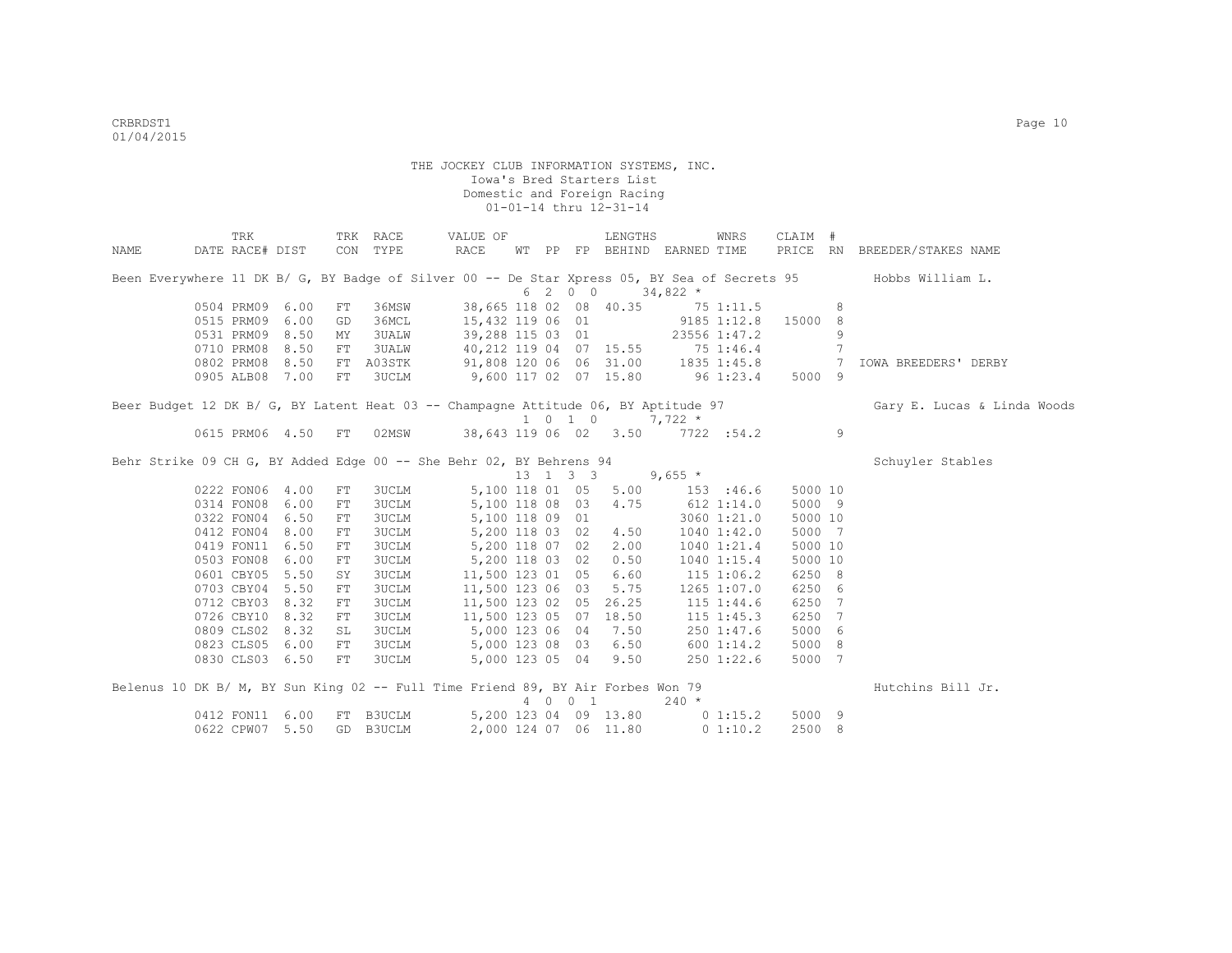|      | TRK             |      |    | TRK RACE     | VALUE OF                                                                           |  |                    | LENGTHS                                        |                                | WNRS            | CLAIM # |   |                                                                                                               |
|------|-----------------|------|----|--------------|------------------------------------------------------------------------------------|--|--------------------|------------------------------------------------|--------------------------------|-----------------|---------|---|---------------------------------------------------------------------------------------------------------------|
| NAME | DATE RACE# DIST |      |    | CON TYPE     | RACE                                                                               |  |                    |                                                | WT PP FP BEHIND EARNED TIME    |                 |         |   | PRICE RN BREEDER/STAKES NAME                                                                                  |
|      |                 |      |    |              |                                                                                    |  |                    |                                                |                                |                 |         |   | Been Everywhere 11 DK B/ G, BY Badge of Silver 00 -- De Star Xpress 05, BY Sea of Secrets 95 Hobbs William L. |
|      |                 |      |    |              |                                                                                    |  | 6 2 0 0            |                                                | $34,822$ *                     |                 |         |   |                                                                                                               |
|      | 0504 PRM09 6.00 |      | FT | 36MSW        |                                                                                    |  |                    | 38,665 118 02 08 40.35                         |                                | 75 1:11.5       |         | 8 |                                                                                                               |
|      | 0515 PRM09      | 6.00 | GD | 36MCL        | 15,432 119 06 01                                                                   |  |                    |                                                | $9185$ $1:12.8$                |                 | 15000 8 |   |                                                                                                               |
|      | 0531 PRM09      | 8.50 | MY | <b>3UALW</b> |                                                                                    |  |                    | 39,288 115 03 01                               |                                | 23556 1:47.2    |         | 9 |                                                                                                               |
|      | 0710 PRM08      | 8.50 | FT | <b>3UALW</b> | 40,212 119 04 07 15.55 75 1:46.4                                                   |  |                    |                                                |                                |                 |         | 7 |                                                                                                               |
|      | 0802 PRM08 8.50 |      |    | FT A03STK    | 91,808 120 06 06 31.00 1835 1:45.8 7                                               |  |                    |                                                |                                |                 |         |   | IOWA BREEDERS' DERBY                                                                                          |
|      | 0905 ALB08 7.00 |      | FT | 3UCLM        | 9,600 117 02 07 15.80 96 1:23.4                                                    |  |                    |                                                |                                |                 | 5000 9  |   |                                                                                                               |
|      |                 |      |    |              | Beer Budget 12 DK B/ G, BY Latent Heat 03 -- Champagne Attitude 06, BY Aptitude 97 |  |                    |                                                |                                |                 |         |   | Gary E. Lucas & Linda Woods                                                                                   |
|      |                 |      |    |              |                                                                                    |  | $1 \t 0 \t 1 \t 0$ |                                                | $7,722*$                       |                 |         |   |                                                                                                               |
|      | 0615 PRM06 4.50 |      | FT | 02MSW        | 38,643 119 06 02 3.50                                                              |  |                    |                                                |                                | 7722 :54.2      |         | 9 |                                                                                                               |
|      |                 |      |    |              | Behr Strike 09 CH G, BY Added Edge 00 -- She Behr 02, BY Behrens 94                |  |                    |                                                |                                |                 |         |   | Schuyler Stables                                                                                              |
|      |                 |      |    |              |                                                                                    |  |                    | $13 \quad 1 \quad 3 \quad 3 \quad 9,655 \star$ |                                |                 |         |   |                                                                                                               |
|      | 0222 FON06 4.00 |      | FT | <b>3UCLM</b> | 5,100 118 01 05                                                                    |  |                    |                                                | $5.00$ $153$ :46.6             |                 | 5000 10 |   |                                                                                                               |
|      | 0314 FON08      | 6.00 | FT | <b>3UCLM</b> | 5,100 118 08 03                                                                    |  |                    | 4.75                                           | $612$ $1:14.0$                 |                 | 5000 9  |   |                                                                                                               |
|      | 0322 FON04      | 6.50 | FT | 3UCLM        | 5,100 118 09 01                                                                    |  |                    |                                                |                                | 3060 1:21.0     | 5000 10 |   |                                                                                                               |
|      | 0412 FON04      | 8.00 | FT | 3UCLM        | 5,200 118 03 02                                                                    |  |                    | 4.50                                           |                                | $1040$ $1:42.0$ | 5000 7  |   |                                                                                                               |
|      | 0419 FON11      | 6.50 | FT | 3UCLM        | 5,200 118 07 02                                                                    |  |                    | 2.00                                           |                                | 1040 1:21.4     | 5000 10 |   |                                                                                                               |
|      | 0503 FON08      | 6.00 | FT | 3UCLM        | 5,200 118 03 02                                                                    |  |                    | 0.50                                           |                                | 1040 1:15.4     | 5000 10 |   |                                                                                                               |
|      | 0601 CBY05      | 5.50 | SY | 3UCLM        | 11,500 123 01 05                                                                   |  |                    | 6.60                                           |                                | $115$ $1:06.2$  | 6250 8  |   |                                                                                                               |
|      | 0703 CBY04 5.50 |      | FT | 3UCLM        | 11,500 123 06 03                                                                   |  |                    | 5.75                                           |                                | 1265 1:07.0     | 6250 6  |   |                                                                                                               |
|      | 0712 CBY03 8.32 |      | FT | 3UCLM        | 11,500 123 02 05                                                                   |  |                    | 26.25                                          |                                | $115$ $1:44.6$  | 6250 7  |   |                                                                                                               |
|      | 0726 CBY10      | 8.32 | FT | 3UCLM        |                                                                                    |  |                    | 11,500 123 05 07 18.50                         |                                | $115$ $1:45.3$  | 6250 7  |   |                                                                                                               |
|      | 0809 CLS02      | 8.32 | SL | 3UCLM        | 5,000 123 06 04                                                                    |  |                    | 7.50                                           |                                | 250 1:47.6      | 5000 6  |   |                                                                                                               |
|      | 0823 CLS05 6.00 |      | FT | 3UCLM        | 5,000 123 08 03                                                                    |  |                    | 6.50                                           |                                | 600 1:14.2      | 5000 8  |   |                                                                                                               |
|      | 0830 CLS03 6.50 |      | FT | 3UCLM        | 5,000 123 05 04                                                                    |  |                    | 9.50                                           |                                | 2501:22.6       | 5000 7  |   |                                                                                                               |
|      |                 |      |    |              | Belenus 10 DK B/ M, BY Sun King 02 -- Full Time Friend 89, BY Air Forbes Won 79    |  |                    |                                                |                                |                 |         |   | Hutchins Bill Jr.                                                                                             |
|      |                 |      |    |              |                                                                                    |  | 4 0 0 1            |                                                | $240 *$                        |                 |         |   |                                                                                                               |
|      | 0412 FON11      | 6.00 |    | FT B3UCLM    |                                                                                    |  |                    |                                                | 5,200 123 04 09 13.80 0 1:15.2 |                 | 5000 9  |   |                                                                                                               |
|      | 0622 CPW07 5.50 |      |    | GD B3UCLM    |                                                                                    |  |                    | 2,000 124 07 06 11.80                          |                                | 0 1:10.2        | 2500 8  |   |                                                                                                               |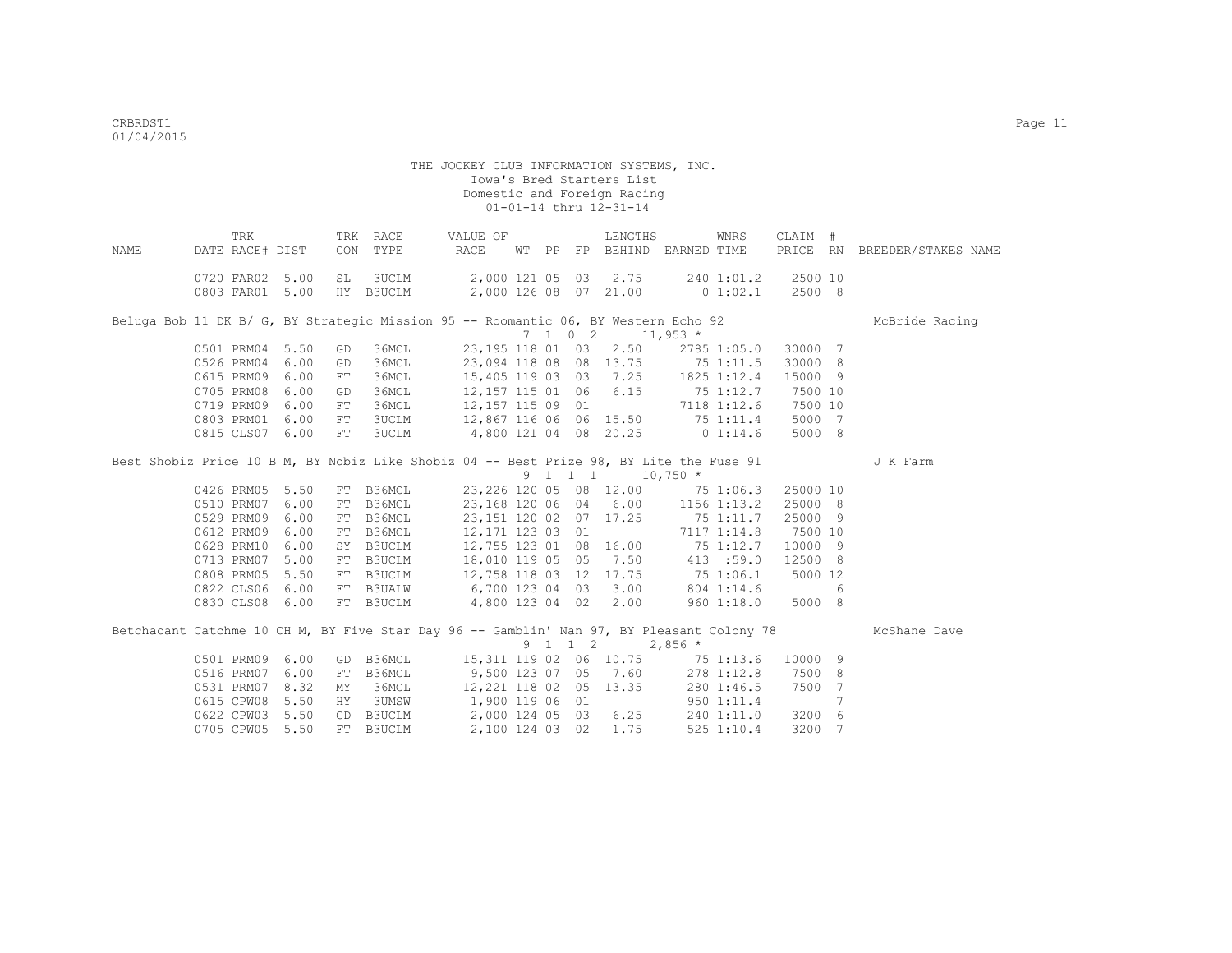| NAME | TRK<br>DATE RACE# DIST                                                                                                                         |                                      |                                        | TRK RACE<br>CON TYPE   | VALUE OF<br>RACE                                                                                                                                                                                                                                                                                                                             |  | LENGTHS<br>WT PP FP BEHIND EARNED TIME                             |           | WNRS           | CLAIM #                                                                  |                 | PRICE RN BREEDER/STAKES NAME |
|------|------------------------------------------------------------------------------------------------------------------------------------------------|--------------------------------------|----------------------------------------|------------------------|----------------------------------------------------------------------------------------------------------------------------------------------------------------------------------------------------------------------------------------------------------------------------------------------------------------------------------------------|--|--------------------------------------------------------------------|-----------|----------------|--------------------------------------------------------------------------|-----------------|------------------------------|
|      | 0720 FAR02 5.00                                                                                                                                |                                      | SL                                     |                        | 3UCLM 2,000 121 05 03 2.75 240 1:01.2 2500 10<br>0803 FAR01 5.00 HY B3UCLM 2,000 126 08 07 21.00 0 1:02.1                                                                                                                                                                                                                                    |  |                                                                    |           |                | 2500 8                                                                   |                 |                              |
|      | Beluga Bob 11 DK B/ G, BY Strategic Mission 95 -- Roomantic 06, BY Western Echo 92                                                             |                                      |                                        |                        |                                                                                                                                                                                                                                                                                                                                              |  | $7 \quad 1 \quad 0 \quad 2 \quad 11.953 \quad ^{\star}$            |           |                |                                                                          |                 | McBride Racing               |
|      | 0501 PRM04 5.50<br>0526 PRM04 6.00<br>0615 PRM09 6.00<br>0705 PRM08 6.00<br>0719 PRM09 6.00<br>0803 PRM01 6.00<br>0815 CLS07 6.00              |                                      | GD<br>GD<br>FT<br>GD<br>FT<br>FT<br>FT | 36MCL                  | 36MCL 23,094 118 08 08 13.75 75 1:11.5<br>36MCL 15,405 119 03 03 7.25 1825 1:12.4<br>36MCL 12,157 115 01 06 6.15 75 1:12.7 7500 10<br>36MCL 12,157 115 09 01<br>3UCLM 12,867 116 06 06 15.50 75 1:11.4<br>3UCLM 4,800 121 04 08 20.25 0 1:14.6                                                                                               |  | 23, 195 118 01 03 2.50 2785 1:05.0 30000 7<br>7118 1:12.6 7500 10  |           |                | 30000 8<br>15000 9<br>5000 7<br>5000 8                                   |                 |                              |
|      | Best Shobiz Price 10 B M, BY Nobiz Like Shobiz 04 -- Best Prize 98, BY Lite the Fuse 91                                                        |                                      |                                        |                        |                                                                                                                                                                                                                                                                                                                                              |  | $9 \quad 1 \quad 1 \quad 1 \quad 10,750 \atop$                     |           |                |                                                                          |                 | J K Farm                     |
|      | 0426 PRM05 5.50<br>0510 PRM07 6.00<br>0529 PRM09<br>0612 PRM09<br>0628 PRM10<br>0713 PRM07<br>0808 PRM05<br>0822 CLS06 6.00<br>0830 CLS08 6.00 | 6.00<br>6.00<br>6.00<br>5.00<br>5.50 |                                        | FT B36MCL<br>FT B3UCLM | FT B36MCL 23,226 120 05 08 12.00 75 1:06.3 25000 10<br>FT B36MCL 23,168 120 06 04 6.00 1156 1:13.2<br>FT B36MCL 12,171 123 03 01<br>SY B3UCLM 12,755 123 01 08 16.00 75 1:12.7<br>18,010 119 05 05<br>FT B3UCLM 12,758 118 03 12 17.75 75 1:06.1<br>FT B3UALW 6,700 123 04 03 3.00 804 1:14.6 6<br>FT B3UCLM 4,800 123 04 02 2.00 960 1:18.0 |  | 23, 151 120 02 07 17.25 75 1:11.7<br>7117 1:14.8<br>7.50 413 :59.0 |           |                | 25000 8<br>25000 9<br>7500 10<br>10000 9<br>12500 8<br>5000 12<br>5000 8 |                 |                              |
|      | Betchacant Catchme 10 CH M, BY Five Star Day 96 -- Gamblin' Nan 97, BY Pleasant Colony 78                                                      |                                      |                                        |                        |                                                                                                                                                                                                                                                                                                                                              |  | 9 1 1 2                                                            | $2,856$ * |                |                                                                          |                 | McShane Dave                 |
|      | 0501 PRM09 6.00<br>0516 PRM07 6.00<br>0531 PRM07 8.32<br>0615 CPW08 5.50<br>0622 CPW03 5.50                                                    |                                      |                                        |                        | GD B36MCL  15,311 119 02 06 10.75  75 1:13.6  10000 9<br>FT B36MCL 9,500 123 07 05 7.60 278 1:12.8 7500 8<br>MY 36MCL 12,221 118 02 05 13.35 280 1:46.5 7500 7<br>HY 3UMSW 1,900 119 06 01 950 1:11.4 7<br>GD B3UCLM 2,000 124 05 03 6.25 240 1:11.0 3200 6                                                                                  |  |                                                                    |           |                |                                                                          | $7\phantom{.0}$ |                              |
|      | 0705 CPW05 5.50                                                                                                                                |                                      |                                        | FT B3UCLM              | 2,100 124 03 02                                                                                                                                                                                                                                                                                                                              |  | 1.75                                                               |           | $525$ $1:10.4$ | 3200                                                                     |                 |                              |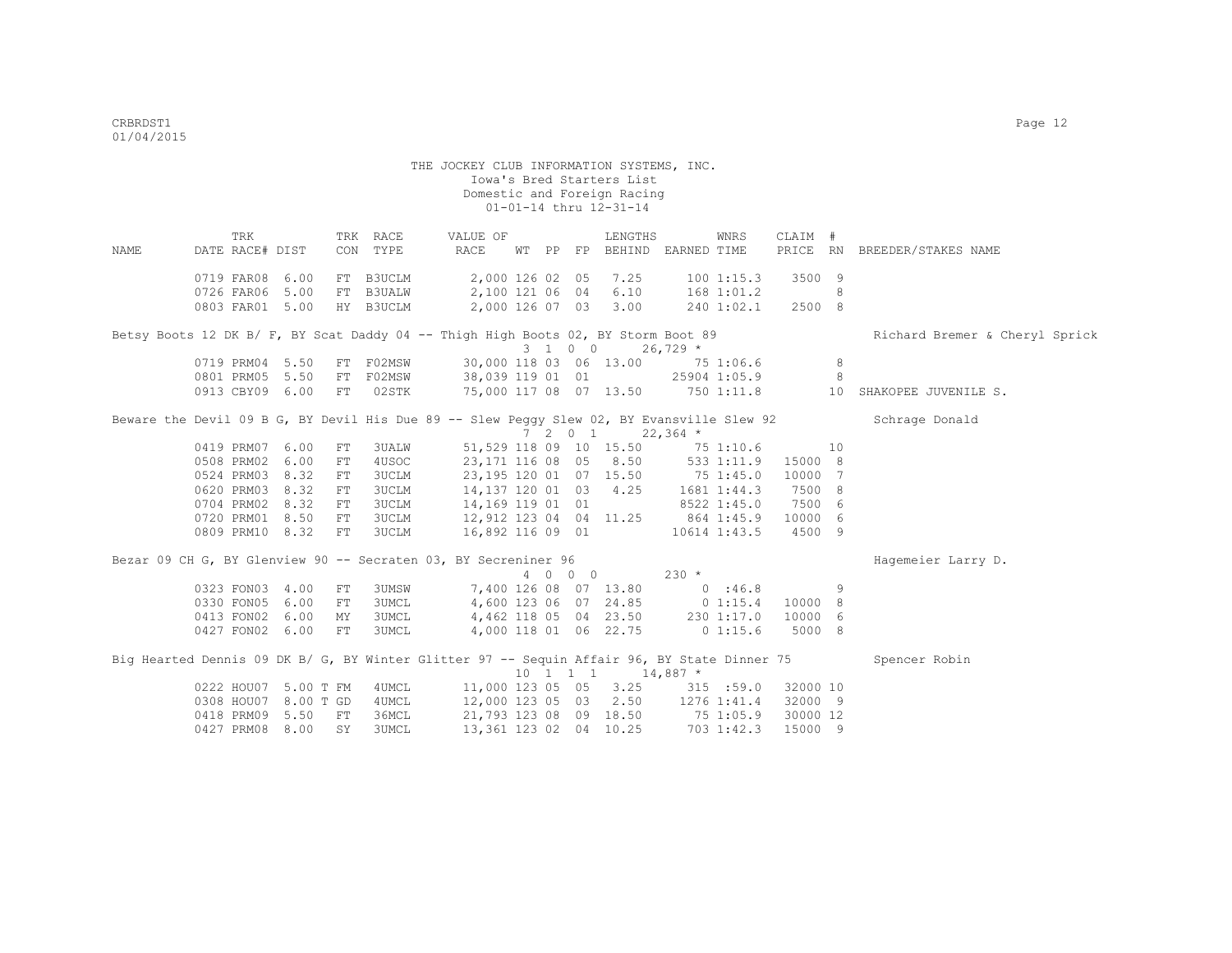THE JOCKEY CLUB INFORMATION SYSTEMS, INC. Iowa's Bred Starters List Domestic and Foreign Racing 01-01-14 thru 12-31-14 TRK TRK RACE VALUE OF LENGTHS WNRS CLAIM # NAME DATE RACE# DIST CON TYPE RACE WT PP FP BEHIND EARNED TIME PRICE RN BREEDER/STAKES NAME 0719 FAR08 6.00 FT B3UCLM 2,000 126 02 05 7.25 100 1:15.3 3500 9<br>0726 FAR06 5.00 FT B3UALW 2,100 121 06 04 6.10 168 1:01.2 8 0726 FAR06 5.00 FT B3UALW 2,100 121 06 04 6.10 168 1:01.2 8 0803 FAR01 5.00 HY B3UCLM 2,000 126 07 03 3.00 240 1:02.1 2500 8 Betsy Boots 12 DK B/ F, BY Scat Daddy 04 -- Thigh High Boots 02, BY Storm Boot 89 Richard Bremer & Cheryl Sprick  $3 \quad 1 \quad 0 \quad 0 \quad 26,729$ \* 0719 PRM04 5.50 FT F02MSW 30,000 118 03 06 13.00 75 1:06.6 8<br>0801 PRM05 5.50 FT F02MSW 38,039 119 01 01 25904 1:05.9 8 38,039 119 01 01 25904 1:05.9 0913 CBY09 6.00 FT 02STK 75,000 117 08 07 13.50 750 1:11.8 10 SHAKOPEE JUVENILE S. Beware the Devil 09 B G, BY Devil His Due 89 -- Slew Peggy Slew 02, BY Evansville Slew 92 Schrage Donald 7 2 0 1 22,364 \* 0419 PRM07 6.00 FT 3UALW 51,529 118 09 10 15.50 75 1:10.6 10 0508 PRM02 6.00 FT 4USOC 23,171 116 08 05 8.50 533 1:11.9 15000 8<br>0524 PRM03 8.32 FT 3UCLM 23,195 120 01 07 15.50 75 1:45.0 10000 7 0524 PRM03 8.32 FT 3UCLM 23,195 120 01 07 15.50 75 1:45.0 10000 7 0620 PRM03 8.32 FT 3UCLM 14,137 120 01 03 4.25 1681 1:44.3 7500 8 0704 PRM02 8.32 FT 3UCLM 14,169 119 01 01 8522 1:45.0 7500 6 0720 PRM01 8.50 FT 3UCLM 12,912 123 04 04 11.25 864 1:45.9 10000 6<br>0809 PRM10 8.32 FT 3UCLM 16,892 116 09 01 10614 1:43.5 4500 9 0809 PRM10 8.32 FT 3UCLM Bezar 09 CH G, BY Glenview 90 -- Secraten 03, BY Secreniner 96 Hagemeier Larry D. 4 0 0 0 230 \* 0323 FON03 4.00 FT 3UMSW 7,400 126 08 07 13.80 0 :46.8 9<br>0330 FON05 6.00 FT 3UMCL 4,600 123 06 07 24.85 0 1:15.4 10000 8 0330 FON05 6.00 FT 3UMCL 4,600 123 06 07 24.85 0 1:15.4 10000 8 0413 FON02 6.00 MY 3UMCL 4,462 118 05 04 23.50 230 1:17.0 10000 6 0427 FON02 6.00 FT 3UMCL 4,000 118 01 06 22.75 0 1:15.6 5000 8 Big Hearted Dennis 09 DK B/ G, BY Winter Glitter 97 -- Sequin Affair 96, BY State Dinner 75 Spencer Robin  $10 \quad 1 \quad 1 \quad 1 \quad 14.887$  \* 0222 HOU07 5.00 T FM 4UMCL 11,000 123 05 05 3.25 315 :59.0 32000 10<br>0308 HOU07 8.00 T GD 4UMCL 12,000 123 05 03 2.50 1276 1:41.4 32000 9 0308 HOU07 8.00 T GD 4UMCL 0418 PRM09 5.50 FT 36MCL 21,793 123 08 09 18.50 75 1:05.9 30000 12

0427 PRM08 8.00 SY 3UMCL 13,361 123 02 04 10.25 703 1:42.3 15000 9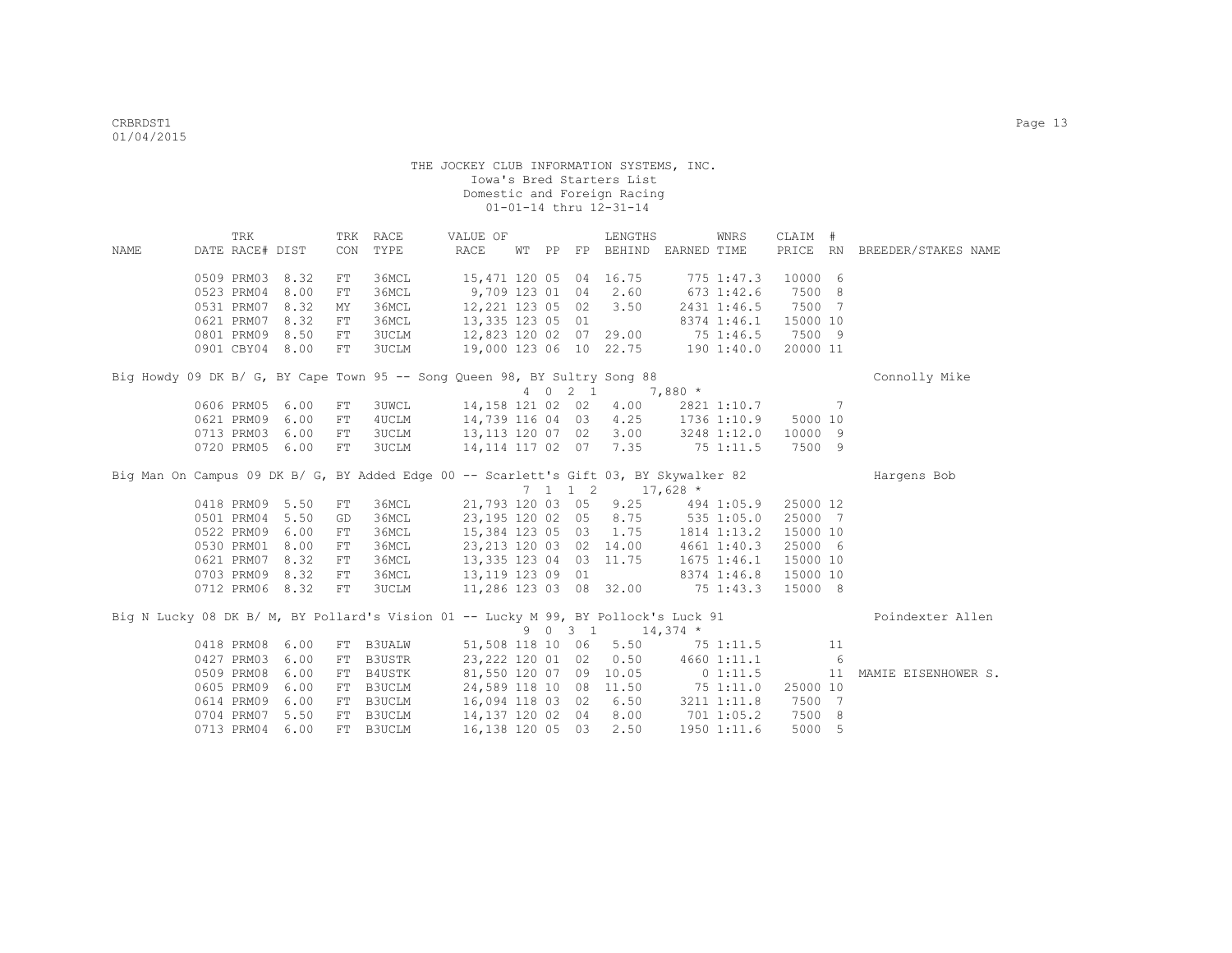| DATE RACE# DIST<br>CON<br>TYPE<br>RACE<br>PRICE RN<br>FP BEHIND EARNED TIME<br>BREEDER/STAKES NAME<br>NAME<br>WT PP |  |
|---------------------------------------------------------------------------------------------------------------------|--|
|                                                                                                                     |  |
|                                                                                                                     |  |
| 0509 PRM03<br>8.32<br>36MCL<br>15,471 120 05 04 16.75<br>775 1:47.3<br>10000 6<br>FT                                |  |
| 0523 PRM04<br>9,709 123 01 04<br>7500 8<br>8.00<br>36MCL<br>2.60<br>$673$ 1:42.6<br>FT                              |  |
| 7500 7<br>0531 PRM07<br>8.32<br>36MCL<br>12,221 123 05 02<br>3.50<br>2431 1:46.5<br>MY                              |  |
| 0621 PRM07<br>8.32<br>36MCL<br>13,335 123 05 01<br>8374 1:46.1<br>15000 10<br>FT                                    |  |
| 12,823 120 02 07 29.00<br>0801 PRM09 8.50<br><b>3UCLM</b><br>75 1:46.5<br>7500 9<br>FT                              |  |
| 19,000 123 06 10 22.75<br>0901 CBY04 8.00<br><b>3UCLM</b><br>1901:40.0<br>20000 11<br>${\rm FT}$                    |  |
| Big Howdy 09 DK B/ G, BY Cape Town 95 -- Song Queen 98, BY Sultry Song 88<br>Connolly Mike                          |  |
| 4 0 2 1<br>$7,880$ *                                                                                                |  |
| 14,158 121 02 02<br>0606 PRM05<br>6.00<br>3UWCL<br>4.00<br>$\sim$ 7<br>2821 1:10.7<br>FT                            |  |
| 14,739 116 04 03<br>4.25<br>0621 PRM09<br>6.00<br>4UCLM<br>1736 1:10.9<br>5000 10<br>FT                             |  |
| 3.00<br>0713 PRM03<br>6.00<br>13,113 120 07 02<br>3248 1:12.0<br>10000 9<br>${\rm FT}$<br>3UCLM                     |  |
| 14, 114 117 02 07<br>7.35<br>7500 9<br>0720 PRM05<br>6.00<br><b>3UCLM</b><br>75 1:11.5<br>FT                        |  |
|                                                                                                                     |  |
| Big Man On Campus 09 DK B/ G, BY Added Edge 00 -- Scarlett's Gift 03, BY Skywalker 82<br>Hargens Bob                |  |
| $17,628$ *<br>$7 \quad 1 \quad 1 \quad 2$                                                                           |  |
| 9.25<br>0418 PRM09 5.50<br>36MCL<br>21,793 120 03 05<br>25000 12<br>494 1:05.9<br>FT                                |  |
| 8.75<br>0501 PRM04 5.50<br>36MCL<br>23,195 120 02 05<br>535 1:05.0<br>25000 7<br>GD                                 |  |
| 1.75<br>0522 PRM09<br>6.00<br>36MCL<br>15,384 123 05 03<br>1814 1:13.2<br>15000 10<br>${\rm FT}$                    |  |
| 0530 PRM01<br>8.00<br>23, 213 120 03 02 14.00<br>25000 6<br>36MCL<br>4661 1:40.3<br>FT                              |  |
| 8.32<br>13, 335 123 04 03 11.75<br>0621 PRM07<br>36MCL<br>$1675$ $1:46.1$<br>15000 10<br>FT                         |  |
| 8.32<br>36MCL<br>13, 119 123 09 01<br>8374 1:46.8<br>0703 PRM09<br>${\rm FT}$<br>15000 10                           |  |
| 0712 PRM06 8.32<br>11,286 123 03 08 32.00<br>75 1:43.3<br>15000 8<br>FT<br><b>3UCLM</b>                             |  |
| Big N Lucky 08 DK B/ M, BY Pollard's Vision 01 -- Lucky M 99, BY Pollock's Luck 91<br>Poindexter Allen              |  |
| 9 0 3 1<br>$14,374$ *                                                                                               |  |
| 0418 PRM08<br>51,508 118 10 06<br>5.50<br>6.00<br>FT B3UALW<br>751:11.5<br>11                                       |  |
| 6.00<br>0.50<br>6<br>0427 PRM03<br>B3USTR<br>23, 222 120 01 02<br>4660 1:11.1<br>FT                                 |  |
| 0509 PRM08<br>6.00<br>81,550 120 07 09 10.05<br>B4USTK<br>$0\;1:11.5$<br>11<br>FT<br>MAMIE EISENHOWER S.            |  |
| 0605 PRM09<br>6.00<br>B3UCLM<br>24,589 118 10 08 11.50<br>751:11.0<br>25000 10<br>FT                                |  |
| 0614 PRM09<br>6.50<br>7500 7<br>6.00<br>B3UCLM<br>16,094 118 03 02<br>3211 1:11.8<br>FT                             |  |
| 0704 PRM07<br>8.00<br>7500 8<br>5.50<br>B3UCLM<br>14,137 120 02 04<br>$701$ 1:05.2<br>FT                            |  |
| 0713 PRM04<br>6.00<br>2.50<br>5000 5<br>FT B3UCLM<br>16,138 120 05 03<br>1950 1:11.6                                |  |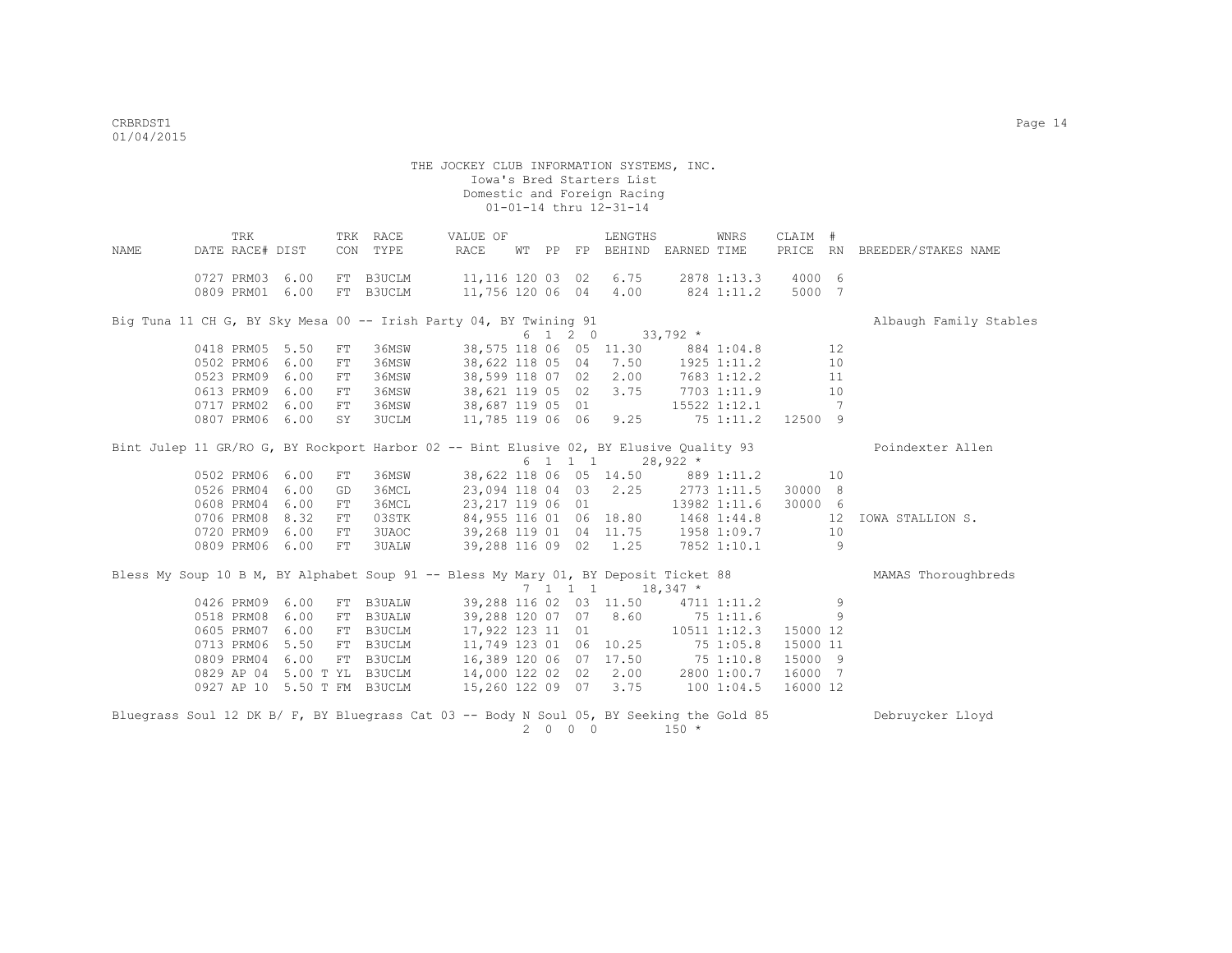THE JOCKEY CLUB INFORMATION SYSTEMS, INC. Iowa's Bred Starters List Domestic and Foreign Racing  $01-01-14$  thru  $12-31-14$  TRK TRK RACE VALUE OF LENGTHS WNRS CLAIM # NAME DATE RACE# DIST CON TYPE RACE WT PP FP BEHIND EARNED TIME PRICE RN BREEDER/STAKES NAME 0727 PRM03 6.00 FT B3UCLM 11,116 120 03 02 6.75 2878 1:13.3 4000 6 0809 PRM01 6.00 FT B3UCLM 11,756 120 06 04 4.00 824 1:11.2 5000 7 Big Tuna 11 CH G, BY Sky Mesa 00 -- Irish Party 04, BY Twining 91 Albaugh Family Stables 6 1 2 0 33,792 \*<br>0418 PRM05 5.50 FT 36MSW 38,575 118 06 05 11.30 88 0418 99,575 118 06 05 11.30 884 1:04.8 12<br>16MSW 38,622 118 05 04 7.50 1925 1:11.2 10 0502 PRM06 6.00 FT 36MSW 38,622 118 05 04 7.50 1925 1:11.2 10<br>0523 PRM09 6.00 FT 36MSW 38,599 118 07 02 2.00 7683 1:12.2 11 0523 PRM09 6.00 FT 36MSW 0613 PRM09 6.00 FT 36MSW 38,621 119 05 02 3.75 7703 1:11.9 10 0717 PRM02 6.00 FT 36MSW 38,687 119 05 01 15522 1:12.1 7 0807 PRM06 6.00 SY 3UCLM 11,785 119 06 06 9.25 75 1:11.2 12500 9 Bint Julep 11 GR/RO G, BY Rockport Harbor 02 -- Bint Elusive 02, BY Elusive Quality 93 Poindexter Allen  $6$  1 1 1 28,922  $*$ <br>38,622 118 06 05 14.50 889 0502 PRM06 6.00 FT 36MSW 38,622 118 06 05 14.50 889 1:11.2 10<br>0526 PRM04 6.00 GD 36MCL 23,094 118 04 03 2.25 2773 1:11.5 30000 8 0526 PRM04 6.00 GD 36MCL 23,094 118 04 03 2.25 2773 1:11.5 30000 8<br>0608 PRM04 6.00 FT 36MCL 23,217 119 06 01 13982 1:11.6 30000 6 0608 PRM04 6.00 FT 36MCL 0706 PRM08 8.32 FT 03STK 84,955 116 01 06 18.80 1468 1:44.8 12 IOWA STALLION S.<br>0720 PRM09 6.00 FT 3UAOC 39,268 119 01 04 11.75 1958 1:09.7 10 0720 PRM09 6.00 FT 3UAOC 0809 PRM06 6.00 FT 3UALW 39,288 116 09 02 1.25 7852 1:10.1 9 Bless My Soup 10 B M, BY Alphabet Soup 91 -- Bless My Mary 01, BY Deposit Ticket 88 MAMAS Thoroughbreds  $7$  1 1 1 1 18,347 \*<br>39,288 116 02 03 11.50 4711 0426 PRM09 6.00 FT B3UALW 39,288 116 02 03 11.50 4711 1:11.2 9 0518 PRM08 6.00 FT B3UALW 39,288 120 07 07 8.60 75 1:11.6 9 0605 PRM07 6.00 FT B3UCLM 17,922 123 11 01 10511 1:12.3 15000 12 0713 PRM06 5.50 FT B3UCLM 11,749 123 01 06 10.25 75 1:05.8 15000 11<br>0809 PRM04 6.00 FT B3UCLM 16,389 120 06 07 17.50 75 1:10.8 15000 9 0809 PRM04 6.00 FT B3UCLM 16,389 120 06 07 17.50 75 1:10.8 15000 9<br>0829 AP 04 5.00 T YL B3UCLM 14,000 122 02 02 2.00 2800 1:00.7 16000 7 0829 AP 04 5.00 T YL B3UCLM 14,000 122 02 02 2.00<br>0927 AP 10 5.50 T FM B3UCLM 15.260 122 09 07 3.75 0927 AP 10 5.50 T FM B3UCLM 15,260 122 09 07 3.75 100 1:04.5 16000 12

Bluegrass Soul 12 DK B/ F, BY Bluegrass Cat 03 -- Body N Soul 05, BY Seeking the Gold 85 Debruycker Lloyd 2 0 0 0 150 \*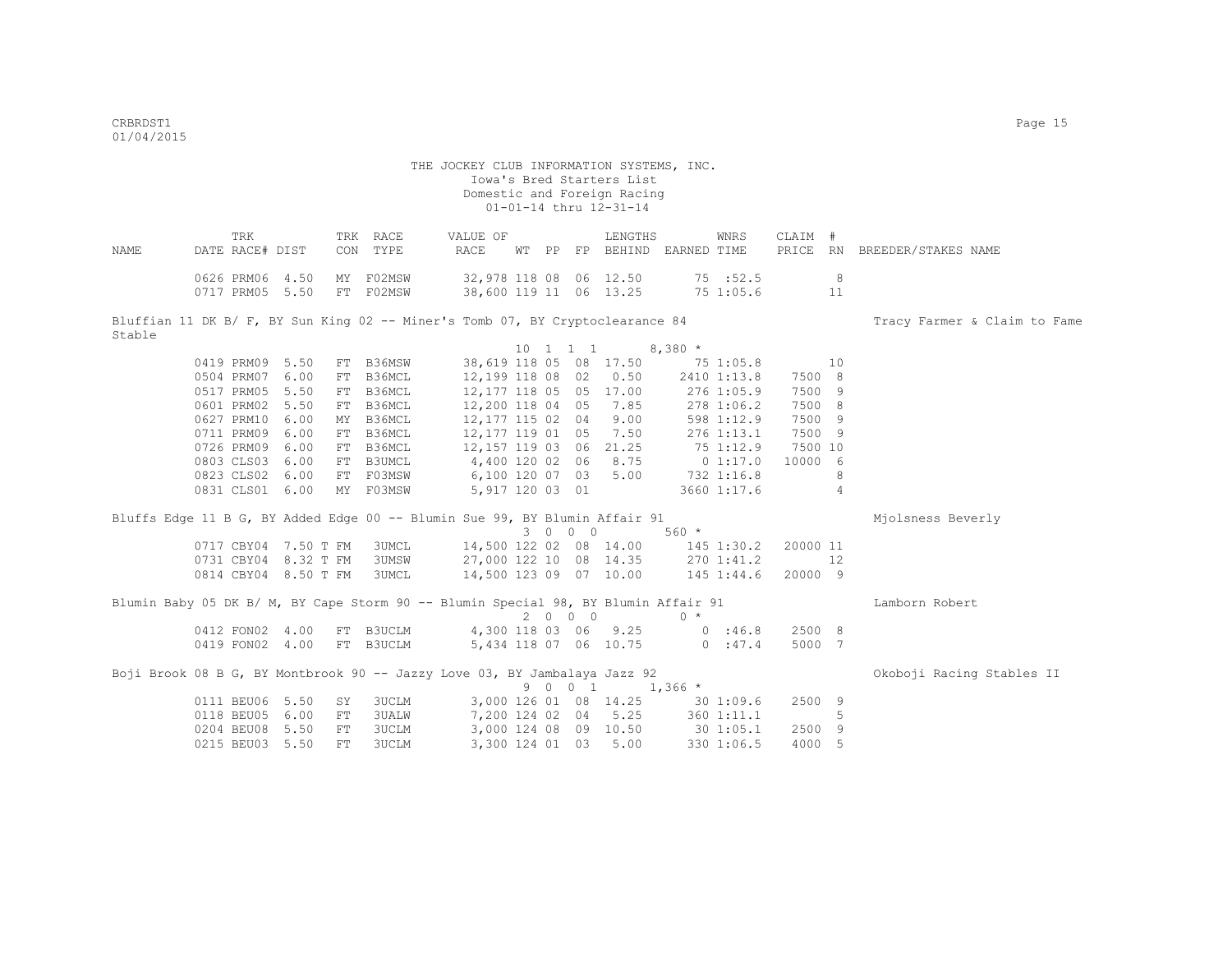|       | TRK             |                           | TRK RACE | VALUE OF |  | LENGTHS                | WNRS      | CLAIM # |                                                               |
|-------|-----------------|---------------------------|----------|----------|--|------------------------|-----------|---------|---------------------------------------------------------------|
| NAMF. | DATE RACE# DIST |                           | CON TYPE |          |  |                        |           |         | RACE WT PP FP BEHIND EARNED TIME PRICE RN BREEDER/STAKES NAME |
|       |                 |                           |          |          |  |                        |           |         |                                                               |
|       |                 | 0626 PRM06 4.50 MY F02MSW |          |          |  | 32,978 118 08 06 12.50 | 75:52.5   |         |                                                               |
|       |                 | 0717 PRM05 5.50 FT F02MSW |          |          |  | 38,600 119 11 06 13.25 | 75 1:05.6 |         |                                                               |
|       |                 |                           |          |          |  |                        |           |         |                                                               |

Bluffian 11 DK B/ F, BY Sun King 02 -- Miner's Tomb 07, BY Cryptoclearance 84 Tracy Farmer & Claim to Fame Stable  $10 \quad 1 \quad 1 \quad 1 \quad 8,380 \star$ 

|  | 0419 PRM09 5.50 |      | FT B36MSW | 38,619 118 05 08 17.50  |  |    |          |           | 75 1:05.8   |         | 10 |  |
|--|-----------------|------|-----------|-------------------------|--|----|----------|-----------|-------------|---------|----|--|
|  | 0504 PRM07 6.00 |      | FT B36MCL | 12,199 118 08 02 0.50   |  |    |          |           | 2410 1:13.8 | 7500 8  |    |  |
|  | 0517 PRM05 5.50 |      | FT B36MCL | 12,177 118 05 05 17.00  |  |    |          |           | 276 1:05.9  | 7500 9  |    |  |
|  | 0601 PRM02 5.50 |      | FT B36MCL | 12,200 118 04 05        |  |    | 7.85     |           | 278 1:06.2  | 7500 8  |    |  |
|  | 0627 PRM10 6.00 |      | MY B36MCL | 12,177 115 02 04 9.00   |  |    |          |           | 598 1:12.9  | 7500 9  |    |  |
|  | 0711 PRM09 6.00 |      | FT B36MCL | 12,177 119 01 05 7.50   |  |    |          |           | 276 1:13.1  | 7500 9  |    |  |
|  | 0726 PRM09 6.00 |      | FT B36MCL | 12, 157 119 03 06 21.25 |  |    |          | 75 1:12.9 |             | 7500 10 |    |  |
|  | 0803 CLS03 6.00 |      | FT B3UMCL | 4,400 120 02            |  | 06 | 8.75     |           | $0\;1:17.0$ | 10000 6 |    |  |
|  | 0823 CLS02 6.00 |      | FT F03MSW | 6,100 120 07            |  |    | 03, 5.00 |           | 732 1:16.8  |         | 8  |  |
|  | 0831 CLS01      | 6.00 | MY F03MSW | 5,917 120 03 01         |  |    |          |           | 3660 1:17.6 |         | 4  |  |
|  |                 |      |           |                         |  |    |          |           |             |         |    |  |

Bluffs Edge 11 B G, BY Added Edge 00 -- Blumin Sue 99, BY Blumin Affair 91 Mjolsness Beverly 3 0 0 0 560 \* 0717 CBY04 7.50 T FM 3UMCL 14,500 122 02 08 14.00 145 1:30.2 20000 11 0731 CBY04 8.32 T FM 3UMSW 27,000 122 10 08 14.35 270 1:41.2 12 0814 CBY04 8.50 T FM 3UMCL 14,500 123 09 07 10.00 145 1:44.6 20000 9

|                           |  | Blumin Baby 05 DK B/ M, BY Cape Storm 90 -- Blumin Special 98, BY Blumin Affair 91 |      |                                                     |                   |         |        | Lamborn Robert            |
|---------------------------|--|------------------------------------------------------------------------------------|------|-----------------------------------------------------|-------------------|---------|--------|---------------------------|
|                           |  |                                                                                    | 2000 |                                                     | $\bigcap$ $\star$ |         |        |                           |
| 0412 FON02 4.00 FT B3UCLM |  | 4,300 118 03 06 9.25                                                               |      |                                                     |                   | 0.36.8  | 2500 8 |                           |
| 0419 FON02 4.00 FT B3UCLM |  | 5,434 118 07 06 10.75                                                              |      |                                                     |                   | 0.147.4 | 5000 7 |                           |
|                           |  | Boji Brook 08 B G, BY Montbrook 90 -- Jazzy Love 03, BY Jambalaya Jazz 92          |      | $0 \quad 0 \quad 1 \quad 1 \quad 2 \in \mathcal{L}$ |                   |         |        | Okoboji Racing Stables II |

|  |                          |  |                       |  |                       | 9 U U LL LIJOO ^ |            |                |  |
|--|--------------------------|--|-----------------------|--|-----------------------|------------------|------------|----------------|--|
|  | 0111 BEU06 5.50 SY 3UCLM |  | 3,000 126 01 08 14.25 |  |                       |                  | 30 1:09.6  | 2500 9         |  |
|  | 0118 BEU05 6.00 FT 3UALW |  |                       |  | 7,200 124 02 04 5.25  |                  | 360 1:11.1 | 5 <sub>5</sub> |  |
|  | 0204 BEU08 5.50 FT 3UCLM |  |                       |  | 3,000 124 08 09 10.50 |                  | 30 1:05.1  | 2500 9         |  |
|  | 0215 BEU03 5.50 FT 3UCLM |  |                       |  | 3,300 124 01 03 5.00  |                  | 330 1:06.5 | 4000 5         |  |
|  |                          |  |                       |  |                       |                  |            |                |  |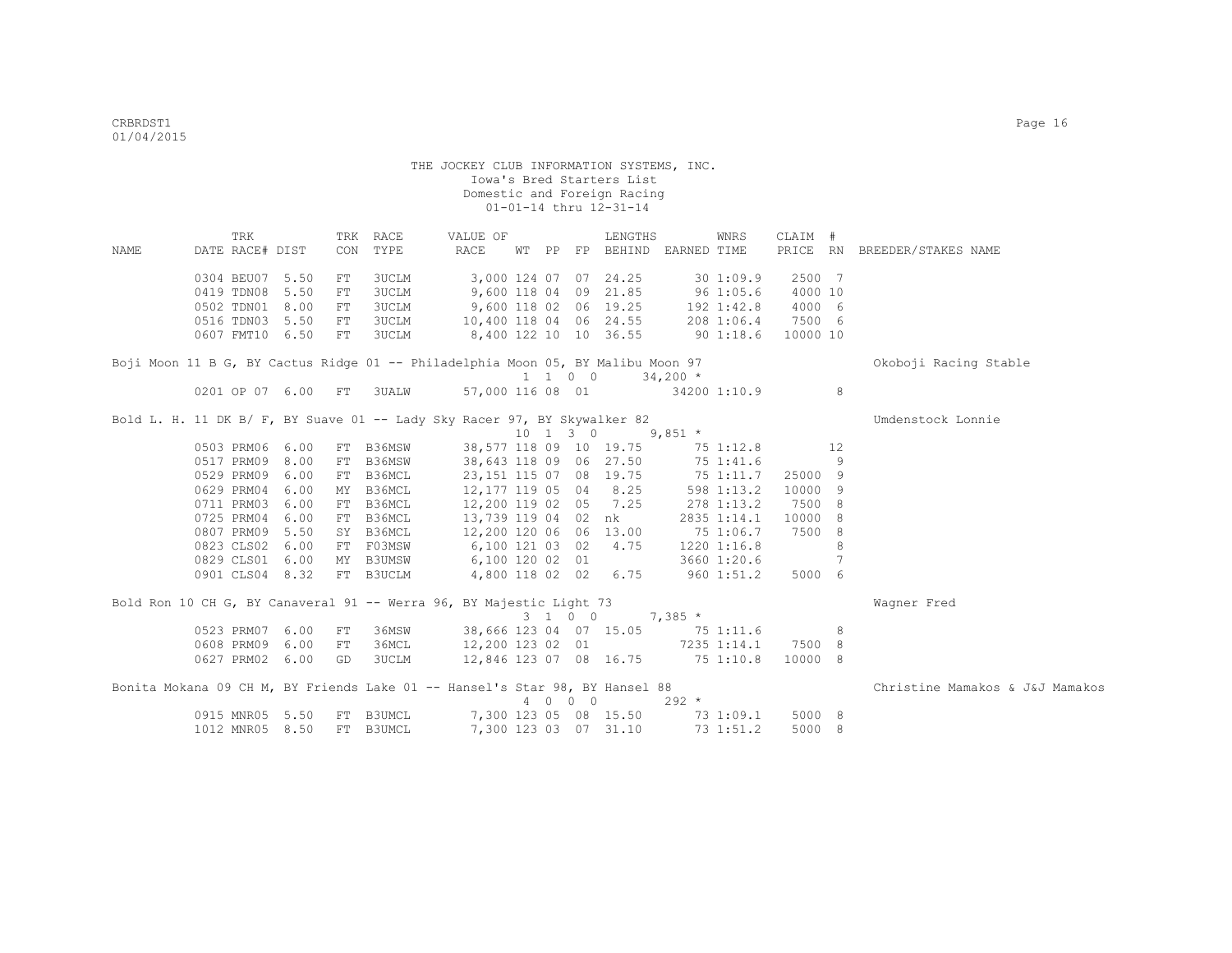| NAME | TRK<br>DATE RACE# DIST                                                          |      | CON        | TRK RACE<br>TYPE | VALUE OF<br>RACE                 |         | LENGTHS<br>WT PP FP BEHIND EARNED TIME         |            | WNRS         | CLAIM #  |    | PRICE RN BREEDER/STAKES NAME    |
|------|---------------------------------------------------------------------------------|------|------------|------------------|----------------------------------|---------|------------------------------------------------|------------|--------------|----------|----|---------------------------------|
|      |                                                                                 |      |            |                  |                                  |         |                                                |            |              |          |    |                                 |
|      | 0304 BEU07 5.50                                                                 |      | FT         | 3UCLM            |                                  |         | 3,000 124 07 07 24.25                          |            | 301:09.9     | 2500 7   |    |                                 |
|      | 0419 TDN08                                                                      | 5.50 | ${\rm FT}$ | <b>3UCLM</b>     |                                  |         | 9,600 118 04 09 21.85                          |            | 96 1:05.6    | 4000 10  |    |                                 |
|      | 0502 TDN01 8.00                                                                 |      | FT         | <b>3UCLM</b>     |                                  |         | 9,600 118 02 06 19.25                          |            | 192 1:42.8   | 4000 6   |    |                                 |
|      | 0516 TDN03 5.50                                                                 |      | FT         | <b>3UCLM</b>     | 10,400 118 04 06 24.55           |         |                                                |            | 208 1:06.4   | 7500 6   |    |                                 |
|      | 0607 FMT10 6.50                                                                 |      | ${\rm FT}$ | <b>3UCLM</b>     | 8,400 122 10 10 36.55            |         |                                                | 901:18.6   |              | 10000 10 |    |                                 |
|      | Boji Moon 11 B G, BY Cactus Ridge 01 -- Philadelphia Moon 05, BY Malibu Moon 97 |      |            |                  |                                  |         |                                                |            |              |          |    | Okoboji Racing Stable           |
|      |                                                                                 |      |            |                  |                                  | 1 1 0 0 |                                                | $34,200$ * |              |          |    |                                 |
|      | 0201 OP 07 6.00 FT                                                              |      |            | <b>3UALW</b>     | 57,000 116 08 01 34200 1:10.9    |         |                                                |            |              |          | 8  |                                 |
|      | Bold L. H. 11 DK B/ F, BY Suave 01 -- Lady Sky Racer 97, BY Skywalker 82        |      |            |                  |                                  |         |                                                |            |              |          |    | Umdenstock Lonnie               |
|      |                                                                                 |      |            |                  |                                  |         | $10 \quad 1 \quad 3 \quad 0 \quad 9,851 \star$ |            |              |          |    |                                 |
|      | 0503 PRM06 6.00                                                                 |      | FT         | B36MSW           |                                  |         | 38,577 118 09 10 19.75                         |            | 75 1:12.8    |          | 12 |                                 |
|      | 0517 PRM09 8.00                                                                 |      | FT         | B36MSW           | 38,643 118 09 06 27.50           |         |                                                |            | 75 1:41.6    |          | 9  |                                 |
|      | 0529 PRM09 6.00                                                                 |      | FT         | B36MCL           |                                  |         | 23,151 115 07 08 19.75                         |            | 75 1:11.7    | 25000 9  |    |                                 |
|      | 0629 PRM04 6.00                                                                 |      | MY         | B36MCL           | 12,177 119 05 04 8.25            |         |                                                |            | 598 1:13.2   | 10000 9  |    |                                 |
|      | 0711 PRM03 6.00                                                                 |      | FT         | B36MCL           | 12,200 119 02 05 7.25            |         |                                                |            | 278 1:13.2   | 7500 8   |    |                                 |
|      | 0725 PRM04 6.00                                                                 |      |            | FT B36MCL        |                                  |         | 13,739 119 04 02 nk                            |            | 2835 1:14.1  | 10000    | 8  |                                 |
|      | 0807 PRM09 5.50                                                                 |      |            | SY B36MCL        | 12,200 120 06 06 13.00           |         |                                                |            | 75 1:06.7    | 7500 8   |    |                                 |
|      | 0823 CLS02 6.00                                                                 |      |            | FT F03MSW        | 6,100 121 03 02                  |         | 4.75                                           |            | 1220 1:16.8  |          | 8  |                                 |
|      | 0829 CLS01 6.00                                                                 |      |            | MY B3UMSW        | 6,100 120 02 01                  |         |                                                |            | 3660 1:20.6  |          | 7  |                                 |
|      | 0901 CLS04 8.32                                                                 |      |            | FT B3UCLM        | 4,800 118 02 02 6.75             |         |                                                |            | $960$ 1:51.2 | 5000 6   |    |                                 |
|      | Bold Ron 10 CH G, BY Canaveral 91 -- Werra 96, BY Majestic Light 73             |      |            |                  |                                  |         |                                                |            |              |          |    | Wagner Fred                     |
|      |                                                                                 |      |            |                  |                                  | 3 1 0 0 |                                                | $7,385$ *  |              |          |    |                                 |
|      | 0523 PRM07 6.00                                                                 |      | FT         | 36MSW            | 38,666 123 04 07 15.05 75 1:11.6 |         |                                                |            |              |          | 8  |                                 |
|      | 0608 PRM09                                                                      | 6.00 | FT         | 36MCL            | 12,200 123 02 01 7235 1:14.1     |         |                                                |            |              | 7500 8   |    |                                 |
|      | 0627 PRM02 6.00                                                                 |      | GD         | <b>3UCLM</b>     | 12,846 123 07 08 16.75 75 1:10.8 |         |                                                |            |              | 10000 8  |    |                                 |
|      | Bonita Mokana 09 CH M, BY Friends Lake 01 -- Hansel's Star 98, BY Hansel 88     |      |            |                  |                                  |         |                                                |            |              |          |    | Christine Mamakos & J&J Mamakos |
|      |                                                                                 |      |            |                  |                                  | 4 0 0 0 |                                                | $292 *$    |              |          |    |                                 |
|      | 0915 MNR05 5.50                                                                 |      | FT         | B3UMCL           |                                  |         | 7,300 123 05 08 15.50                          |            | 73 1:09.1    | 5000 8   |    |                                 |
|      | 1012 MNR05 8.50                                                                 |      | FT         | <b>B3UMCL</b>    |                                  |         | 7,300 123 03 07 31.10                          |            | 73 1:51.2    | 5000 8   |    |                                 |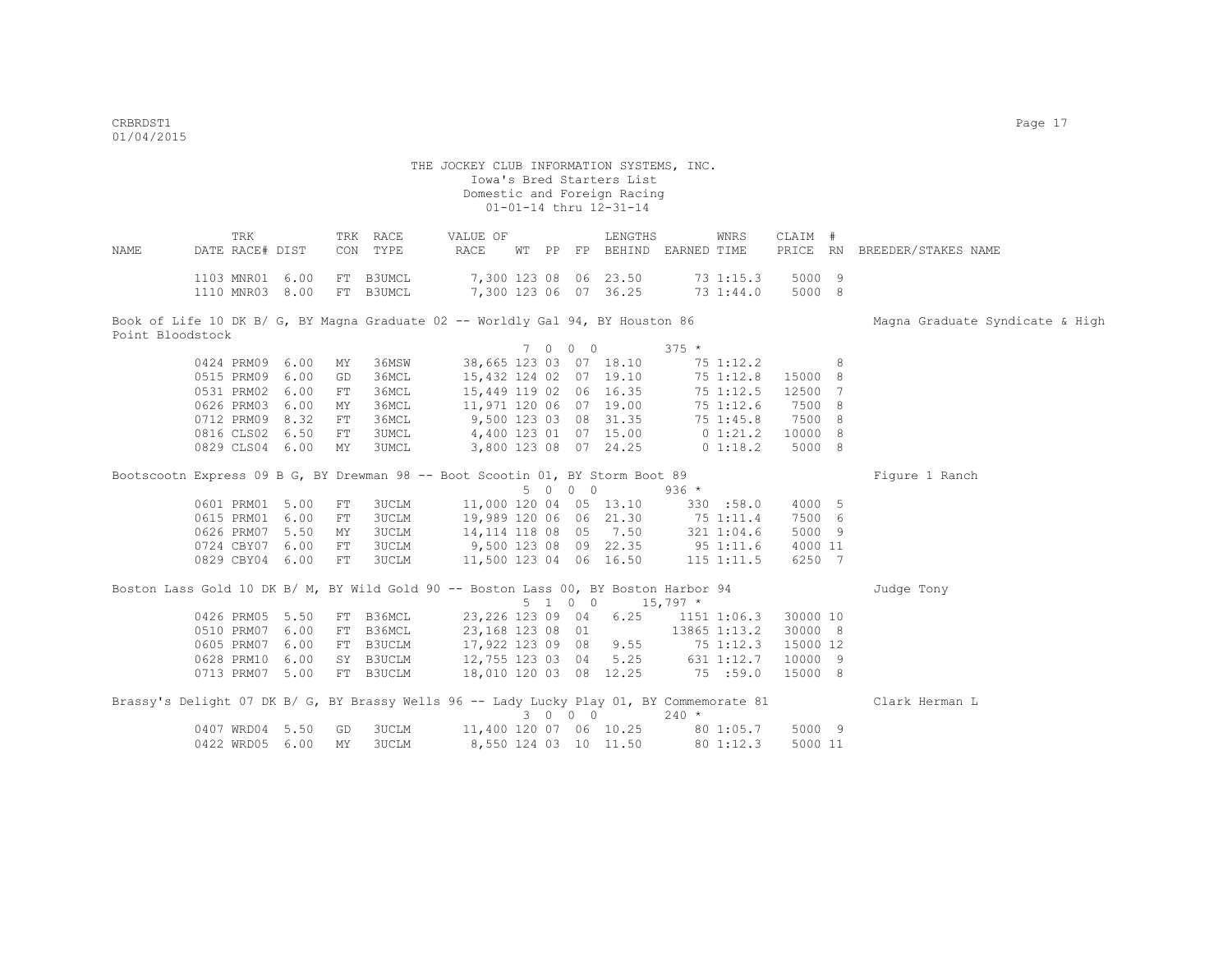| NAME             | DATE RACE# DIST                    | TRK |           | TRK RACE<br>CON TYPE                                                                     | VALUE OF<br>RACE                                                                                        |  |         | LENGTHS<br>WT PP FP BEHIND EARNED TIME |         | WNRS         | CLAIM #          | PRICE RN BREEDER/STAKES NAME    |
|------------------|------------------------------------|-----|-----------|------------------------------------------------------------------------------------------|---------------------------------------------------------------------------------------------------------|--|---------|----------------------------------------|---------|--------------|------------------|---------------------------------|
|                  | 1103 MNR01 6.00<br>1110 MNR03 8.00 |     |           | FT B3UMCL<br>FT B3UMCL                                                                   | 7,300 123 08 06 23.50<br>7,300 123 06 07 36.25 73 1:44.0                                                |  |         |                                        |         | 73 1:15.3    | 5000 9<br>5000 8 |                                 |
|                  |                                    |     |           | Book of Life 10 DK B/ G, BY Magna Graduate 02 -- Worldly Gal 94, BY Houston 86           |                                                                                                         |  |         |                                        |         |              |                  | Magna Graduate Syndicate & High |
| Point Bloodstock |                                    |     |           |                                                                                          |                                                                                                         |  |         | 7 0 0 0                                | $375 *$ |              |                  |                                 |
|                  |                                    |     |           |                                                                                          |                                                                                                         |  |         | 38,665 123 03 07 18.10                 |         |              |                  |                                 |
|                  | 0424 PRM09 6.00<br>0515 PRM09 6.00 |     | MY        | 36MSW<br>36MCL                                                                           |                                                                                                         |  |         |                                        |         | 75 1:12.2    | 8 <sup>1</sup>   |                                 |
|                  |                                    |     | GD        |                                                                                          | 15, 432 124 02 07 19.10<br>15, 449 119 02 06 16.35<br>11, 971 120 06 07 19.00<br>9, 500 123 03 08 31.35 |  |         |                                        |         | 75 1:12.8    | 15000 8          |                                 |
|                  | 0531 PRM02 6.00                    |     | FT        | 36MCL                                                                                    |                                                                                                         |  |         |                                        |         | 75 1:12.5    | 12500 7          |                                 |
|                  | 0626 PRM03 6.00                    |     | MY        | 36MCL                                                                                    |                                                                                                         |  |         |                                        |         | 75 1:12.6    | 7500 8           |                                 |
|                  | 0712 PRM09 8.32                    |     | FT        | 36MCL                                                                                    |                                                                                                         |  |         |                                        |         | 75 1:45.8    | 7500 8           |                                 |
|                  | 0816 CLS02 6.50                    |     | FT        | 3UMCL                                                                                    | 4,400 123 01 07 15.00 0 1:21.2                                                                          |  |         |                                        |         |              | 10000 8          |                                 |
|                  | 0829 CLS04 6.00                    |     | MY        | 3UMCL                                                                                    | 3,800 123 08 07 24.25                                                                                   |  |         |                                        |         | 0 1:18.2     | 5000 8           |                                 |
|                  |                                    |     |           |                                                                                          |                                                                                                         |  |         |                                        |         |              |                  |                                 |
|                  |                                    |     |           | Bootscootn Express 09 B G, BY Drewman 98 -- Boot Scootin 01, BY Storm Boot 89            |                                                                                                         |  | 5 0 0 0 |                                        | 936 *   |              |                  | Figure 1 Ranch                  |
|                  | 0601 PRM01 5.00                    |     | FT        | 3UCLM                                                                                    | 11,000 120 04 05 13.10                                                                                  |  |         |                                        |         | 330 : 58.0   | 4000 5           |                                 |
|                  | 0615 PRM01 6.00                    |     | FT        | 3UCLM                                                                                    |                                                                                                         |  |         |                                        |         |              | 7500 6           |                                 |
|                  | 0626 PRM07 5.50                    |     | MY        | 3UCLM                                                                                    | 19,989 120 06 06 21.30 75 1:11.4<br>14,114 118 08 05 7.50 321 1:04.6                                    |  |         |                                        |         |              | 5000 9           |                                 |
|                  | 0724 CBY07 6.00                    |     | FT        | 3UCLM                                                                                    |                                                                                                         |  |         |                                        |         |              | 4000 11          |                                 |
|                  | 0829 CBY04 6.00                    |     | FT        | 3UCLM                                                                                    | 9,500 123 08 09 22.35 95 1:11.6<br>11,500 123 04 06 16.50 115 1:11.5                                    |  |         |                                        |         |              | 6250 7           |                                 |
|                  |                                    |     |           |                                                                                          |                                                                                                         |  |         |                                        |         |              |                  |                                 |
|                  |                                    |     |           | Boston Lass Gold 10 DK B/ M, BY Wild Gold 90 -- Boston Lass 00, BY Boston Harbor 94      |                                                                                                         |  |         |                                        |         |              |                  | Judge Tony                      |
|                  |                                    |     |           |                                                                                          |                                                                                                         |  |         | $5 \t1 \t0 \t0 \t15,797 \t*$           |         |              |                  |                                 |
|                  | 0426 PRM05 5.50                    |     |           | FT B36MCL                                                                                | 23,226 123 09 04 6.25 1151 1:06.3                                                                       |  |         |                                        |         |              | 30000 10         |                                 |
|                  | 0510 PRM07 6.00                    |     |           | FT B36MCL                                                                                | 23,168 123 08 01                                                                                        |  |         |                                        |         | 13865 1:13.2 | 30000 8          |                                 |
|                  | 0605 PRM07 6.00                    |     |           | FT B3UCLM                                                                                | 17,922 123 09 08 9.55 75 1:12.3                                                                         |  |         |                                        |         |              | 15000 12         |                                 |
|                  | 0628 PRM10 6.00                    |     |           | SY B3UCLM                                                                                | 12,755 123 03 04 5.25 631 1:12.7                                                                        |  |         |                                        |         |              | 10000 9          |                                 |
|                  | 0713 PRM07 5.00                    |     |           |                                                                                          | 18,010 120 03 08 12.25 75 :59.0                                                                         |  |         |                                        |         |              | 15000 8          |                                 |
|                  |                                    |     |           | FT B3UCLM                                                                                |                                                                                                         |  |         |                                        |         |              |                  |                                 |
|                  |                                    |     |           | Brassy's Delight 07 DK B/ G, BY Brassy Wells 96 -- Lady Lucky Play 01, BY Commemorate 81 |                                                                                                         |  | 3 0 0 0 |                                        | $240 *$ |              |                  | Clark Herman L                  |
|                  | 0407 WRD04 5.50                    |     | GD        | 3UCLM                                                                                    | 11,400 120 07 06 10.25 80 1:05.7                                                                        |  |         |                                        |         |              | 5000 9           |                                 |
|                  | 0422 WRD05 6.00                    |     | <b>MY</b> | 3UCLM                                                                                    |                                                                                                         |  |         | 8,550 124 03 10 11.50                  |         | 80 1:12.3    | 5000 11          |                                 |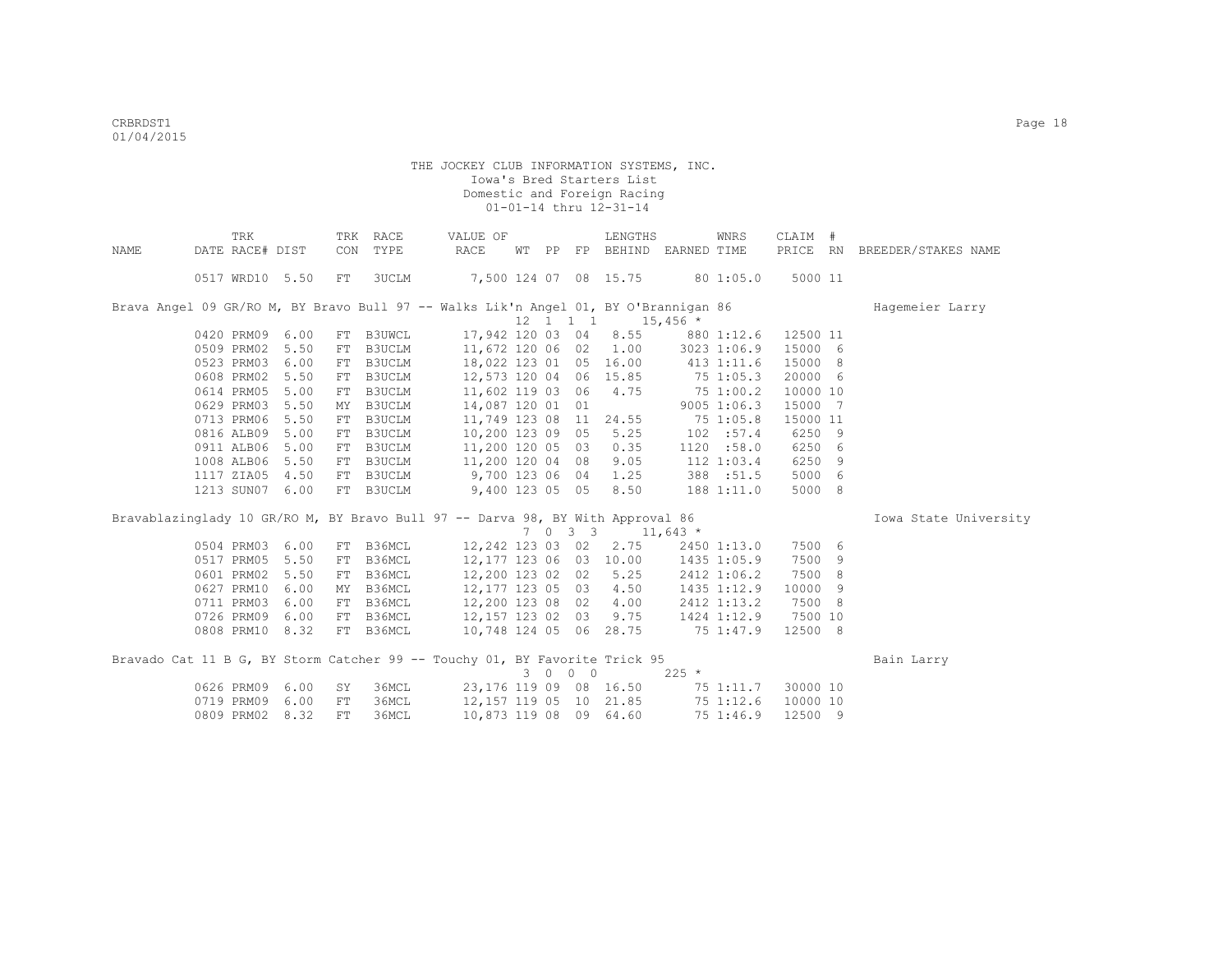|      | TRK                                                                                 |      |    | TRK RACE     | VALUE OF                        |  |         | LENGTHS                                         |             | WNRS               | CLAIM #  |     |                       |
|------|-------------------------------------------------------------------------------------|------|----|--------------|---------------------------------|--|---------|-------------------------------------------------|-------------|--------------------|----------|-----|-----------------------|
| NAME | DATE RACE# DIST                                                                     |      |    | CON TYPE     | RACE                            |  |         | WT PP FP BEHIND EARNED TIME                     |             |                    | PRICE RN |     | BREEDER/STAKES NAME   |
|      | 0517 WRD10 5.50                                                                     |      | FT | <b>3UCLM</b> | 7,500 124 07 08 15.75 80 1:05.0 |  |         |                                                 |             |                    | 5000 11  |     |                       |
|      | Brava Angel 09 GR/RO M, BY Bravo Bull 97 -- Walks Lik'n Angel 01, BY O'Brannigan 86 |      |    |              |                                 |  |         |                                                 |             |                    |          |     | Hagemeier Larry       |
|      |                                                                                     |      |    |              |                                 |  |         | $12 \quad 1 \quad 1 \quad 1 \quad 15,456 \star$ |             |                    |          |     |                       |
|      | 0420 PRM09                                                                          | 6.00 | FT | B3UWCL       | 17,942 120 03 04 8.55           |  |         |                                                 | 880 1:12.6  |                    | 12500 11 |     |                       |
|      | 0509 PRM02                                                                          | 5.50 | FT | B3UCLM       | 11,672 120 06 02 1.00           |  |         |                                                 | 3023 1:06.9 |                    | 15000 6  |     |                       |
|      | 0523 PRM03                                                                          | 6.00 | FT | B3UCLM       | 18,022 123 01 05 16.00          |  |         |                                                 | 413 1:11.6  |                    | 15000 8  |     |                       |
|      | 0608 PRM02                                                                          | 5.50 | FT | B3UCLM       | 12,573 120 04 06 15.85          |  |         |                                                 | 75 1:05.3   |                    | 20000 6  |     |                       |
|      | 0614 PRM05                                                                          | 5.00 | FT | B3UCLM       | 11,602 119 03 06 4.75           |  |         |                                                 | 75 1:00.2   |                    | 10000 10 |     |                       |
|      | 0629 PRM03 5.50                                                                     |      | MY | B3UCLM       | 14,087 120 01 01                |  |         |                                                 |             | $9005$ 1:06.3      | 15000 7  |     |                       |
|      | 0713 PRM06                                                                          | 5.50 |    | FT B3UCLM    | 11,749 123 08 11 24.55          |  |         |                                                 |             | 75 1:05.8          | 15000 11 |     |                       |
|      | 0816 ALB09 5.00                                                                     |      | FT | B3UCLM       | 10,200 123 09 05 5.25           |  |         |                                                 |             | 102 : 57.4         | 6250     | - 9 |                       |
|      | 0911 ALB06                                                                          | 5.00 | FT | B3UCLM       | 11,200 120 05 03 0.35           |  |         |                                                 |             | 1120 : 58.0        | 6250 6   |     |                       |
|      | 1008 ALB06                                                                          | 5.50 | FT | B3UCLM       | 11,200 120 04 08                |  |         | 9.05                                            |             | 112 1:03.4         | 6250 9   |     |                       |
|      | 1117 ZIA05                                                                          | 4.50 | FT | B3UCLM       | 9,700 123 06 04 1.25            |  |         |                                                 | 388 :51.5   |                    | 5000 6   |     |                       |
|      | 1213 SUN07 6.00                                                                     |      |    | FT B3UCLM    | 9,400 123 05 05 8.50            |  |         |                                                 | 188 1:11.0  |                    | 5000 8   |     |                       |
|      | Bravablazinglady 10 GR/RO M, BY Bravo Bull 97 -- Darva 98, BY With Approval 86      |      |    |              |                                 |  |         |                                                 |             |                    |          |     | Iowa State University |
|      |                                                                                     |      |    |              |                                 |  |         | 7 0 3 3 11,643 $*$                              |             |                    |          |     |                       |
|      | 0504 PRM03                                                                          | 6.00 |    | FT B36MCL    | 12,242 123 03 02 2.75           |  |         |                                                 |             | 2450 1:13.0        | 7500 6   |     |                       |
|      | 0517 PRM05                                                                          | 5.50 | FT | B36MCL       | 12,177 123 06 03 10.00          |  |         |                                                 | 1435 1:05.9 |                    | 7500 9   |     |                       |
|      | 0601 PRM02                                                                          | 5.50 | FT | B36MCL       | 12,200 123 02 02 5.25           |  |         |                                                 |             | 2412 1:06.2        | 7500     | -8  |                       |
|      | 0627 PRM10                                                                          | 6.00 | MY | B36MCL       | 12,177 123 05 03 4.50           |  |         |                                                 |             | 1435 1:12.9        | 10000    | 9   |                       |
|      | 0711 PRM03 6.00                                                                     |      | FT | B36MCL       | 12,200 123 08 02 4.00           |  |         |                                                 |             | 2412 1:13.2        | 7500 8   |     |                       |
|      | 0726 PRM09                                                                          | 6.00 | FT | B36MCL       | 12, 157 123 02 03 9.75          |  |         |                                                 |             | 1424 1:12.9        | 7500 10  |     |                       |
|      | 0808 PRM10 8.32                                                                     |      |    | FT B36MCL    | 10,748 124 05 06 28.75          |  |         |                                                 | 75 1:47.9   |                    | 12500 8  |     |                       |
|      | Bravado Cat 11 B G, BY Storm Catcher 99 -- Touchy 01, BY Favorite Trick 95          |      |    |              |                                 |  |         |                                                 |             |                    |          |     | Bain Larry            |
|      |                                                                                     |      |    |              |                                 |  | 3 0 0 0 |                                                 | $225 *$     |                    |          |     |                       |
|      | 0626 PRM09                                                                          | 6.00 | SY | 36MCL        | 23,176 119 09 08 16.50          |  |         |                                                 |             | 75 1:11.7          | 30000 10 |     |                       |
|      | 0719 PRM09                                                                          | 6.00 | FT | 36MCL        | 12,157 119 05 10 21.85          |  |         |                                                 |             | 75 1:12.6 10000 10 |          |     |                       |
|      | 0809 PRM02                                                                          | 8.32 | FT | 36MCL        | 10,873 119 08 09 64.60          |  |         |                                                 |             | 75 1:46.9          | 12500 9  |     |                       |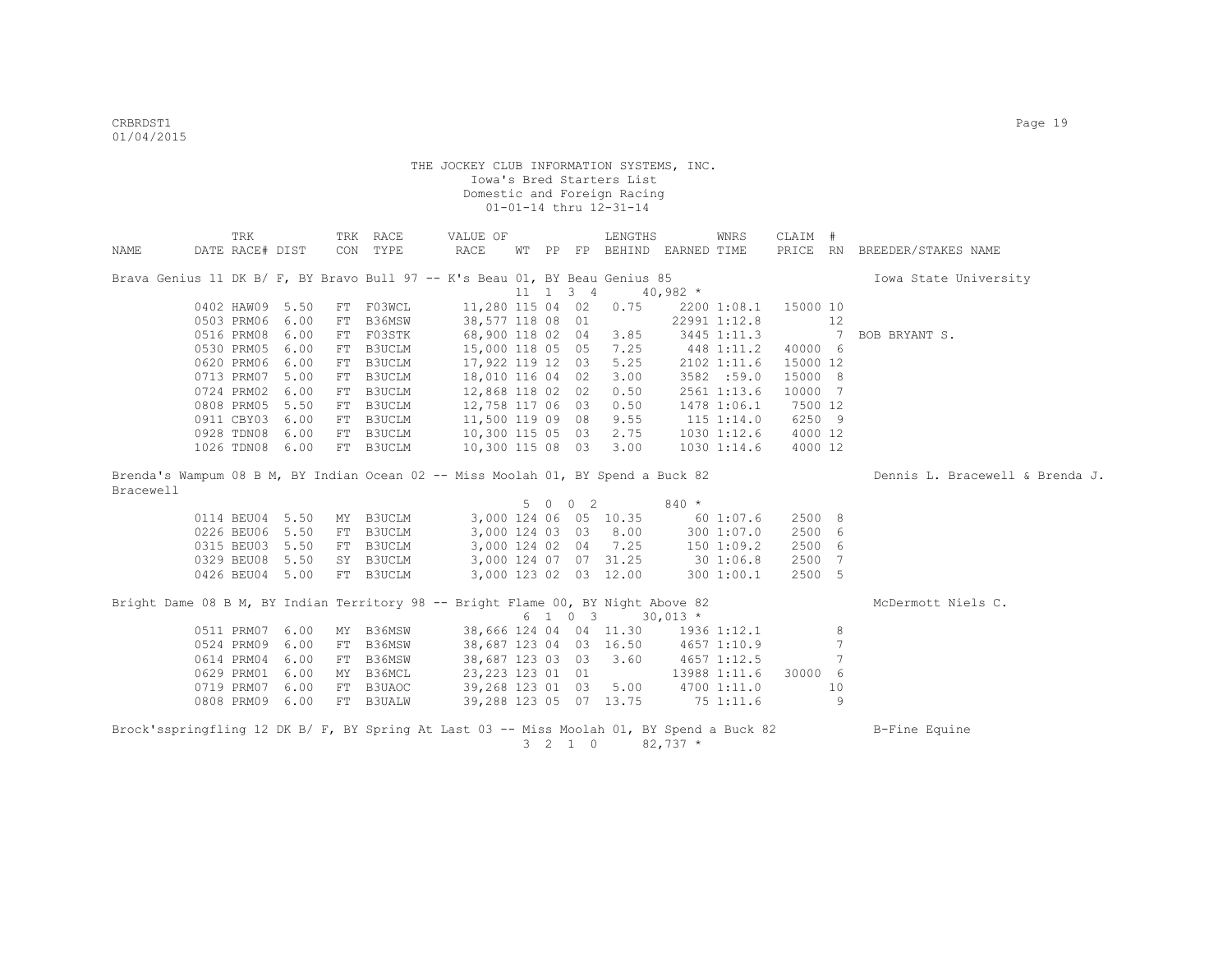|                                                                                           | <b>TRK</b>      |                 | TRK RACE  | VALUE OF                        |  |                 | LENGTHS                     |             | WNRS            | CLAIM #  |    |                                 |
|-------------------------------------------------------------------------------------------|-----------------|-----------------|-----------|---------------------------------|--|-----------------|-----------------------------|-------------|-----------------|----------|----|---------------------------------|
| NAME                                                                                      | DATE RACE# DIST |                 | CON TYPE  | RACE                            |  |                 | WT PP FP BEHIND EARNED TIME |             |                 | PRICE RN |    | BREEDER/STAKES NAME             |
|                                                                                           |                 |                 |           |                                 |  |                 |                             |             |                 |          |    |                                 |
| Brava Genius 11 DK B/ F, BY Bravo Bull 97 -- K's Beau 01, BY Beau Genius 85               |                 |                 |           |                                 |  |                 |                             |             |                 |          |    | Iowa State University           |
|                                                                                           |                 |                 |           |                                 |  | 11 1 3 4        |                             | $40,982$ *  |                 |          |    |                                 |
|                                                                                           | 0402 HAW09 5.50 |                 | FT FO3WCL | 11,280 115 04 02                |  |                 | 0.75                        |             | 2200 1:08.1     | 15000 10 |    |                                 |
|                                                                                           | 0503 PRM06      | 6.00            | FT B36MSW | 38,577 118 08 01                |  |                 |                             |             | 22991 1:12.8    |          | 12 |                                 |
|                                                                                           | 0516 PRM08      | 6.00            | FT F03STK | 68,900 118 02 04                |  |                 | 3.85                        |             | 3445 1:11.3     |          | 7  | BOB BRYANT S.                   |
|                                                                                           | 0530 PRM05      | 6.00            | FT B3UCLM | 15,000 118 05 05                |  |                 | 7.25                        |             | 448 1:11.2      | 40000 6  |    |                                 |
|                                                                                           | 0620 PRM06      | 6.00            | FT B3UCLM | 17,922 119 12 03                |  |                 | 5.25                        |             | 2102 1:11.6     | 15000 12 |    |                                 |
|                                                                                           | 0713 PRM07      | 5.00            | FT B3UCLM | 18,010 116 04 02                |  |                 | 3.00                        |             | 3582 :59.0      | 15000 8  |    |                                 |
|                                                                                           | 0724 PRM02      | 6.00            | FT B3UCLM | 12,868 118 02 02                |  |                 | 0.50                        |             | 2561 1:13.6     | 10000 7  |    |                                 |
|                                                                                           | 0808 PRM05      | 5.50            | FT B3UCLM | 12,758 117 06 03                |  |                 | 0.50                        |             | 1478 1:06.1     | 7500 12  |    |                                 |
|                                                                                           | 0911 CBY03      | 6.00            | FT B3UCLM | 11,500 119 09 08                |  |                 | 9.55                        |             | $115$ $1:14.0$  | 6250 9   |    |                                 |
|                                                                                           | 0928 TDN08      | 6.00            | FT B3UCLM | 10,300 115 05 03                |  |                 | 2.75                        |             | $1030$ $1:12.6$ | 4000 12  |    |                                 |
|                                                                                           |                 | 1026 TDN08 6.00 | FT B3UCLM | 10,300 115 08 03                |  |                 | 3.00                        |             | 1030 1:14.6     | 4000 12  |    |                                 |
|                                                                                           |                 |                 |           |                                 |  |                 |                             |             |                 |          |    |                                 |
| Brenda's Wampum 08 B M, BY Indian Ocean 02 -- Miss Moolah 01, BY Spend a Buck 82          |                 |                 |           |                                 |  |                 |                             |             |                 |          |    | Dennis L. Bracewell & Brenda J. |
| Bracewell                                                                                 |                 |                 |           |                                 |  |                 |                             |             |                 |          |    |                                 |
|                                                                                           |                 |                 |           |                                 |  | 5 0 0 2         |                             | $840 *$     |                 |          |    |                                 |
|                                                                                           |                 | 0114 BEU04 5.50 | MY B3UCLM |                                 |  |                 | 3,000 124 06 05 10.35       |             | 601:07.6        | 2500 8   |    |                                 |
|                                                                                           |                 | 0226 BEU06 5.50 | FT B3UCLM | 3,000 124 03 03 8.00            |  |                 |                             |             | 300 1:07.0      | 2500 6   |    |                                 |
|                                                                                           |                 | 0315 BEU03 5.50 | FT B3UCLM | 3,000 124 02 04                 |  |                 | 7.25                        | 150 1:09.2  |                 | 2500 6   |    |                                 |
|                                                                                           |                 | 0329 BEU08 5.50 | SY B3UCLM | 3,000 124 07 07 31.25 30 1:06.8 |  |                 |                             |             |                 | 2500 7   |    |                                 |
|                                                                                           |                 | 0426 BEU04 5.00 | FT B3UCLM |                                 |  |                 | 3,000 123 02 03 12.00       |             | 3001:00.1       | 2500 5   |    |                                 |
|                                                                                           |                 |                 |           |                                 |  |                 |                             |             |                 |          |    |                                 |
| Bright Dame 08 B M, BY Indian Territory 98 -- Bright Flame 00, BY Night Above 82          |                 |                 |           |                                 |  |                 |                             |             |                 |          |    | McDermott Niels C.              |
|                                                                                           |                 |                 |           |                                 |  | 6 1 0 3         |                             | $30,013$ *  |                 |          |    |                                 |
|                                                                                           | 0511 PRM07 6.00 |                 | MY B36MSW | 38,666 124 04 04 11.30          |  |                 |                             | 1936 1:12.1 |                 |          | 8  |                                 |
|                                                                                           |                 | 0524 PRM09 6.00 | FT B36MSW | 38,687 123 04 03 16.50          |  |                 |                             | 4657 1:10.9 |                 |          | 7  |                                 |
|                                                                                           |                 | 0614 PRM04 6.00 | FT B36MSW | 38,687 123 03 03                |  |                 | 3.60                        |             | 4657 1:12.5     |          | 7  |                                 |
|                                                                                           |                 | 0629 PRM01 6.00 | MY B36MCL | 23,223 123 01 01                |  |                 |                             |             | 13988 1:11.6    | 30000 6  |    |                                 |
|                                                                                           | 0719 PRM07      | 6.00            | FT B3UAOC | 39,268 123 01 03                |  |                 | 5.00                        | 4700 1:11.0 |                 |          | 10 |                                 |
|                                                                                           |                 | 0808 PRM09 6.00 | FT B3UALW | 39,288 123 05 07 13.75          |  |                 |                             |             | 751:11.6        |          | 9  |                                 |
|                                                                                           |                 |                 |           |                                 |  |                 |                             |             |                 |          |    |                                 |
| Brock'sspringfling 12 DK B/ F, BY Spring At Last 03 -- Miss Moolah 01, BY Spend a Buck 82 |                 |                 |           |                                 |  |                 |                             |             |                 |          |    | B-Fine Equine                   |
|                                                                                           |                 |                 |           |                                 |  | $3 \t2 \t1 \t0$ |                             | $82,737$ *  |                 |          |    |                                 |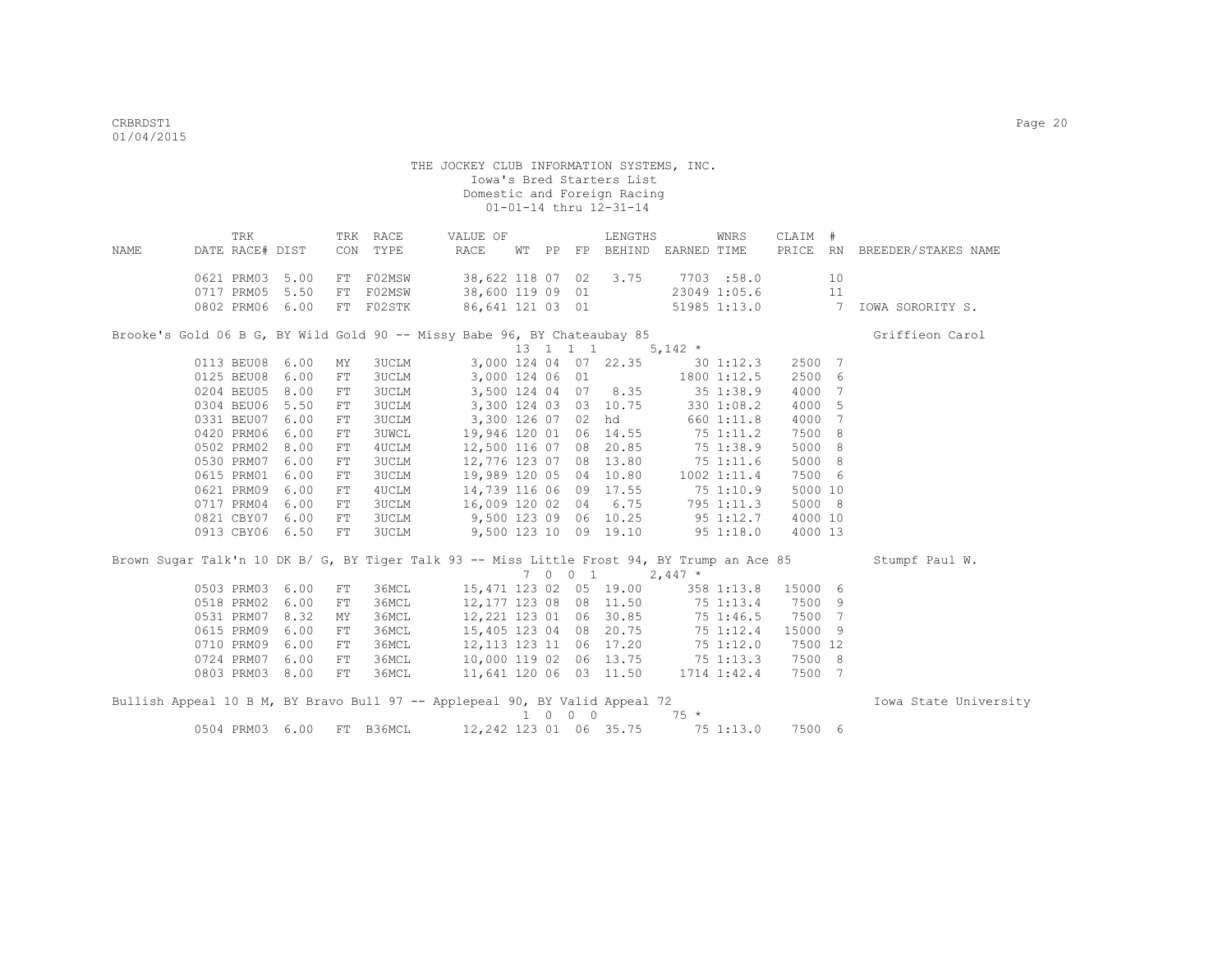| NAME | TRK<br>DATE RACE# DIST   |              |                  | TRK RACE<br>CON TYPE | VALUE OF<br>RACE                                                                            | WТ |          | LENGTHS<br>PP FP BEHIND EARNED TIME |              | WNRS                           | CLAIM # |                              | PRICE RN BREEDER/STAKES NAME |
|------|--------------------------|--------------|------------------|----------------------|---------------------------------------------------------------------------------------------|----|----------|-------------------------------------|--------------|--------------------------------|---------|------------------------------|------------------------------|
|      |                          |              |                  |                      |                                                                                             |    |          |                                     |              |                                |         |                              |                              |
|      | 0621 PRM03<br>0717 PRM05 | 5.00<br>5.50 | FT               | F02MSW<br>F02MSW     | 38,622 118 07 02<br>38,600 119 09 01                                                        |    |          | 3.75                                |              | 7703 :58.0                     |         | 10<br>11                     |                              |
|      | 0802 PRM06 6.00          |              | ${\rm FT}$<br>FT | F02STK               |                                                                                             |    |          | 86,641 121 03 01                    |              | 23049 1:05.6<br>51985 1:13.0 7 |         |                              | IOWA SORORITY S.             |
|      |                          |              |                  |                      |                                                                                             |    |          |                                     |              |                                |         |                              |                              |
|      |                          |              |                  |                      | Brooke's Gold 06 B G, BY Wild Gold 90 -- Missy Babe 96, BY Chateaubay 85                    |    |          |                                     |              |                                |         |                              | Griffieon Carol              |
|      |                          |              |                  |                      |                                                                                             |    | 13 1 1 1 |                                     | 5,142 $*$    |                                |         |                              |                              |
|      | 0113 BEU08 6.00          |              | MY               | <b>3UCLM</b>         |                                                                                             |    |          | 3,000 124 04 07 22.35               |              | $30 \; 1:12.3$                 | 2500    | $7\phantom{.0}\phantom{.0}7$ |                              |
|      | 0125 BEU08               | 6.00         | FT               | <b>3UCLM</b>         | 3,000 124 06 01                                                                             |    |          |                                     |              | 1800 1:12.5                    | 2500    | 6                            |                              |
|      | 0204 BEU05               | 8.00         | FT.              | <b>3UCLM</b>         | 3,500 124 04                                                                                |    |          | 07 8.35                             |              | 351:38.9                       | 4000    | 7                            |                              |
|      | 0304 BEU06               | 5.50         | ${\rm FT}$       | 3UCLM                | 3,300 124 03                                                                                |    |          | 03 10.75                            |              | 330 1:08.2                     | 4000    | 5                            |                              |
|      | 0331 BEU07               | 6.00         | FT               | <b>3UCLM</b>         | 3,300 126 07 02 hd                                                                          |    |          |                                     |              | 660 1:11.8                     | 4000    | $7\phantom{.0}$              |                              |
|      | 0420 PRM06               | 6.00         | FT               | <b>3UWCL</b>         |                                                                                             |    |          | 19,946 120 01 06 14.55              | 75 1:11.2    |                                | 7500    | 8                            |                              |
|      | 0502 PRM02               | 8.00         | FT               | 4UCLM                |                                                                                             |    |          | 12,500 116 07 08 20.85              |              | 75 1:38.9                      | 5000    | -8                           |                              |
|      | 0530 PRM07               | 6.00         | ${\rm FT}$       | <b>3UCLM</b>         |                                                                                             |    |          | 12,776 123 07 08 13.80 75 1:11.6    |              |                                | 5000 8  |                              |                              |
|      | 0615 PRM01               | 6.00         | ${\rm FT}$       | <b>3UCLM</b>         |                                                                                             |    |          | 19,989 120 05 04 10.80              |              | 1002 1:11.4                    | 7500 6  |                              |                              |
|      | 0621 PRM09 6.00          |              | ${\rm FT}$       | 4UCLM                | 14,739 116 06 09 17.55                                                                      |    |          |                                     |              | 75 1:10.9                      | 5000 10 |                              |                              |
|      | 0717 PRM04               | 6.00         | FT               | <b>3UCLM</b>         | 16,009 120 02                                                                               |    |          | 04 6.75                             |              | 795 1:11.3                     | 5000    | - 8                          |                              |
|      | 0821 CBY07               | 6.00         | FT               | <b>3UCLM</b>         | 9,500 123 09 06 10.25                                                                       |    |          |                                     | $95\ 1:12.7$ |                                | 4000 10 |                              |                              |
|      | 0913 CBY06 6.50          |              | FT               | 3UCLM                |                                                                                             |    |          | 9,500 123 10 09 19.10               |              | 95 1:18.0                      | 4000 13 |                              |                              |
|      |                          |              |                  |                      | Brown Sugar Talk'n 10 DK B/ G, BY Tiger Talk 93 -- Miss Little Frost 94, BY Trump an Ace 85 |    |          |                                     |              |                                |         |                              | Stumpf Paul W.               |
|      |                          |              |                  |                      |                                                                                             |    | 7 0 0 1  |                                     | $2,447$ *    |                                |         |                              |                              |
|      | 0503 PRM03 6.00          |              | FT               | 36MCL                |                                                                                             |    |          | 15,471 123 02 05 19.00              |              | 358 1:13.8                     | 15000 6 |                              |                              |
|      | 0518 PRM02               | 6.00         | FT               | 36MCL                | 12,177 123 08                                                                               |    |          | 08 11.50                            |              | 75 1:13.4                      | 7500    | 9                            |                              |
|      | 0531 PRM07               | 8.32         | MY               | 36MCL                | 12,221 123 01 06 30.85                                                                      |    |          |                                     |              | 75 1:46.5                      | 7500    | 7                            |                              |
|      | 0615 PRM09               | 6.00         | FT               | 36MCL                | 15,405 123 04 08 20.75                                                                      |    |          |                                     |              | 75 1:12.4                      | 15000   | 9                            |                              |
|      | 0710 PRM09               | 6.00         | FT               | 36MCL                | 12,113 123 11 06 17.20 75 1:12.0                                                            |    |          |                                     |              |                                | 7500 12 |                              |                              |
|      | 0724 PRM07               | 6.00         | FТ               | 36MCL                | 10,000 119 02 06 13.75 75 1:13.3                                                            |    |          |                                     |              |                                | 7500 8  |                              |                              |
|      | 0803 PRM03 8.00          |              | FT               | 36MCL                | 11,641 120 06 03 11.50                                                                      |    |          |                                     |              | 1714 1:42.4                    | 7500    | $7\phantom{.0}$              |                              |
|      |                          |              |                  |                      | Bullish Appeal 10 B M, BY Bravo Bull 97 -- Applepeal 90, BY Valid Appeal 72                 |    |          |                                     |              |                                |         |                              | Iowa State University        |
|      |                          |              |                  |                      |                                                                                             |    | 1 0 0 0  |                                     | $75 *$       |                                |         |                              |                              |

0504 PRM03 6.00 FT B36MCL 12,242 123 01 06 35.75 75 1:13.0 7500 6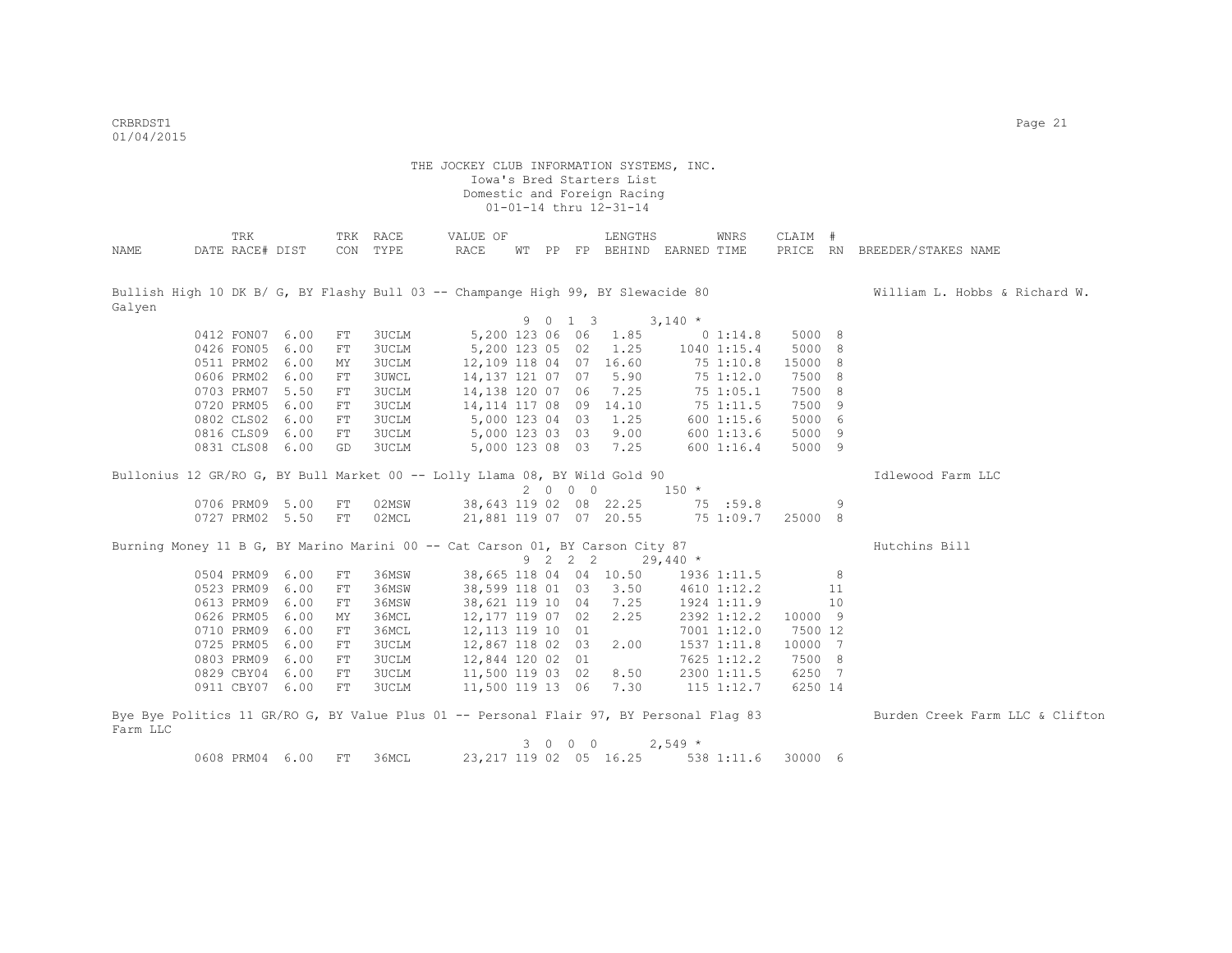CRBRDST1 Page 21 01/04/2015

|                                                                                         |            | TRK             |                 |            | TRK RACE     | VALUE OF          |  |         | LENGTHS                     |            | WNRS            | CLAIM # |                |                                                                                                                |
|-----------------------------------------------------------------------------------------|------------|-----------------|-----------------|------------|--------------|-------------------|--|---------|-----------------------------|------------|-----------------|---------|----------------|----------------------------------------------------------------------------------------------------------------|
| NAME                                                                                    |            | DATE RACE# DIST |                 |            | CON TYPE     | RACE              |  |         | WT PP FP BEHIND EARNED TIME |            |                 |         |                | PRICE RN BREEDER/STAKES NAME                                                                                   |
|                                                                                         |            |                 |                 |            |              |                   |  |         |                             |            |                 |         |                |                                                                                                                |
|                                                                                         |            |                 |                 |            |              |                   |  |         |                             |            |                 |         |                |                                                                                                                |
|                                                                                         |            |                 |                 |            |              |                   |  |         |                             |            |                 |         |                | Bullish High 10 DK B/ G, BY Flashy Bull 03 -- Champange High 99, BY Slewacide 80 William L. Hobbs & Richard W. |
| Galven                                                                                  |            |                 |                 |            |              |                   |  |         |                             |            |                 |         |                |                                                                                                                |
|                                                                                         |            |                 |                 |            |              |                   |  | 9 0 1 3 |                             | $3,140*$   |                 |         |                |                                                                                                                |
|                                                                                         |            |                 | 0412 FON07 6.00 | ${\rm FT}$ | 3UCLM        | 5,200 123 06 06   |  |         | 1.85                        |            | 0 1:14.8        | 5000 8  |                |                                                                                                                |
|                                                                                         |            | 0426 FON05      | 6.00            | FT         | <b>3UCLM</b> | 5,200 123 05 02   |  |         | 1.25                        |            | $1040$ $1:15.4$ | 5000 8  |                |                                                                                                                |
|                                                                                         |            | 0511 PRM02      | 6.00            | MY         | 3UCLM        |                   |  |         | 12,109 118 04 07 16.60      |            | 75 1:10.8       | 15000 8 |                |                                                                                                                |
|                                                                                         |            | 0606 PRM02      | 6.00            | FT         | 3UWCL        | 14,137 121 07 07  |  |         | 5.90                        |            | 75 1:12.0       | 7500 8  |                |                                                                                                                |
|                                                                                         | 0703 PRM07 |                 | 5.50            | FT         | 3UCLM        | 14,138 120 07 06  |  |         | 7.25                        |            | 75 1:05.1       | 7500 8  |                |                                                                                                                |
|                                                                                         |            | 0720 PRM05      | 6.00            | FT         | 3UCLM        | 14, 114 117 08 09 |  |         | 14.10                       |            | 75 1:11.5       | 7500    | $\overline{9}$ |                                                                                                                |
|                                                                                         |            | 0802 CLS02      | 6.00            | FT         | 3UCLM        | 5,000 123 04 03   |  |         | 1.25                        |            | 600 1:15.6      | 5000 6  |                |                                                                                                                |
|                                                                                         |            | 0816 CLS09      | 6.00            | FT         | 3UCLM        | 5,000 123 03 03   |  |         | 9.00                        |            | 600 1:13.6      | 5000 9  |                |                                                                                                                |
|                                                                                         |            | 0831 CLS08      | 6.00            | GD         | 3UCLM        |                   |  |         | 5,000 123 08 03 7.25        |            | 600 1:16.4      | 5000 9  |                |                                                                                                                |
| Bullonius 12 GR/RO G, BY Bull Market 00 -- Lolly Llama 08, BY Wild Gold 90              |            |                 |                 |            |              |                   |  |         |                             |            |                 |         |                | Idlewood Farm LLC                                                                                              |
|                                                                                         |            |                 |                 |            |              |                   |  | 2000    |                             | $150 *$    |                 |         |                |                                                                                                                |
|                                                                                         |            |                 |                 |            |              |                   |  |         |                             |            |                 |         |                |                                                                                                                |
|                                                                                         |            |                 | 0706 PRM09 5.00 | FT         | 02MSW        |                   |  |         | 38,643 119 02 08 22.25      |            | 75 :59.8        |         | 9              |                                                                                                                |
|                                                                                         |            |                 | 0727 PRM02 5.50 | ${\rm FT}$ | 02MCL        |                   |  |         | 21,881 119 07 07 20.55      |            | 75 1:09.7       | 25000 8 |                |                                                                                                                |
| Burning Money 11 B G, BY Marino Marini 00 -- Cat Carson 01, BY Carson City 87           |            |                 |                 |            |              |                   |  |         |                             |            |                 |         |                | Hutchins Bill                                                                                                  |
|                                                                                         |            |                 |                 |            |              |                   |  | 9 2 2 2 |                             | $29,440$ * |                 |         |                |                                                                                                                |
|                                                                                         |            | 0504 PRM09      | 6.00            | FT         | 36MSW        |                   |  |         | 38,665 118 04 04 10.50      |            | 1936 1:11.5     |         | 8              |                                                                                                                |
|                                                                                         |            | 0523 PRM09      | 6.00            | ${\rm FT}$ | 36MSW        | 38,599 118 01 03  |  |         | 3.50                        |            | 4610 1:12.2     |         | 11             |                                                                                                                |
|                                                                                         | 0613 PRM09 |                 | 6.00            | ${\rm FT}$ | 36MSW        | 38,621 119 10 04  |  |         | 7.25                        |            | 1924 1:11.9     |         | 10             |                                                                                                                |
|                                                                                         |            | 0626 PRM05      | 6.00            | MΥ         | 36MCL        | 12,177 119 07 02  |  |         | 2.25                        |            | 2392 1:12.2     | 10000 9 |                |                                                                                                                |
|                                                                                         |            | 0710 PRM09      | 6.00            | FT         | 36MCL        | 12, 113 119 10 01 |  |         |                             |            | 7001 1:12.0     | 7500 12 |                |                                                                                                                |
|                                                                                         |            | 0725 PRM05      | 6.00            | FT         | 3UCLM        | 12,867 118 02 03  |  |         | 2.00                        |            | 1537 1:11.8     | 10000 7 |                |                                                                                                                |
|                                                                                         |            | 0803 PRM09      | 6.00            | FT         | 3UCLM        | 12,844 120 02 01  |  |         |                             |            | 7625 1:12.2     | 7500 8  |                |                                                                                                                |
|                                                                                         | 0829 CBY04 |                 | 6.00            | FT         | 3UCLM        | 11,500 119 03 02  |  |         | 8.50                        |            | 2300 1:11.5     | 6250 7  |                |                                                                                                                |
|                                                                                         |            | 0911 CBY07      | 6.00            | ${\rm FT}$ | 3UCLM        | 11,500 119 13 06  |  |         | 7.30                        |            | $115$ $1:12.7$  | 6250 14 |                |                                                                                                                |
|                                                                                         |            |                 |                 |            |              |                   |  |         |                             |            |                 |         |                |                                                                                                                |
| Bye Bye Politics 11 GR/RO G, BY Value Plus 01 -- Personal Flair 97, BY Personal Flaq 83 |            |                 |                 |            |              |                   |  |         |                             |            |                 |         |                | Burden Creek Farm LLC & Clifton                                                                                |
| Farm LLC                                                                                |            |                 |                 |            |              |                   |  |         |                             |            |                 |         |                |                                                                                                                |
|                                                                                         |            |                 |                 |            |              |                   |  | 3 0 0 0 |                             | $2,549 *$  |                 |         |                |                                                                                                                |
|                                                                                         |            |                 | 0608 PRM04 6.00 | FT         | 36MCL        |                   |  |         | 23, 217 119 02 05 16.25     |            | 538 1:11.6      | 30000 6 |                |                                                                                                                |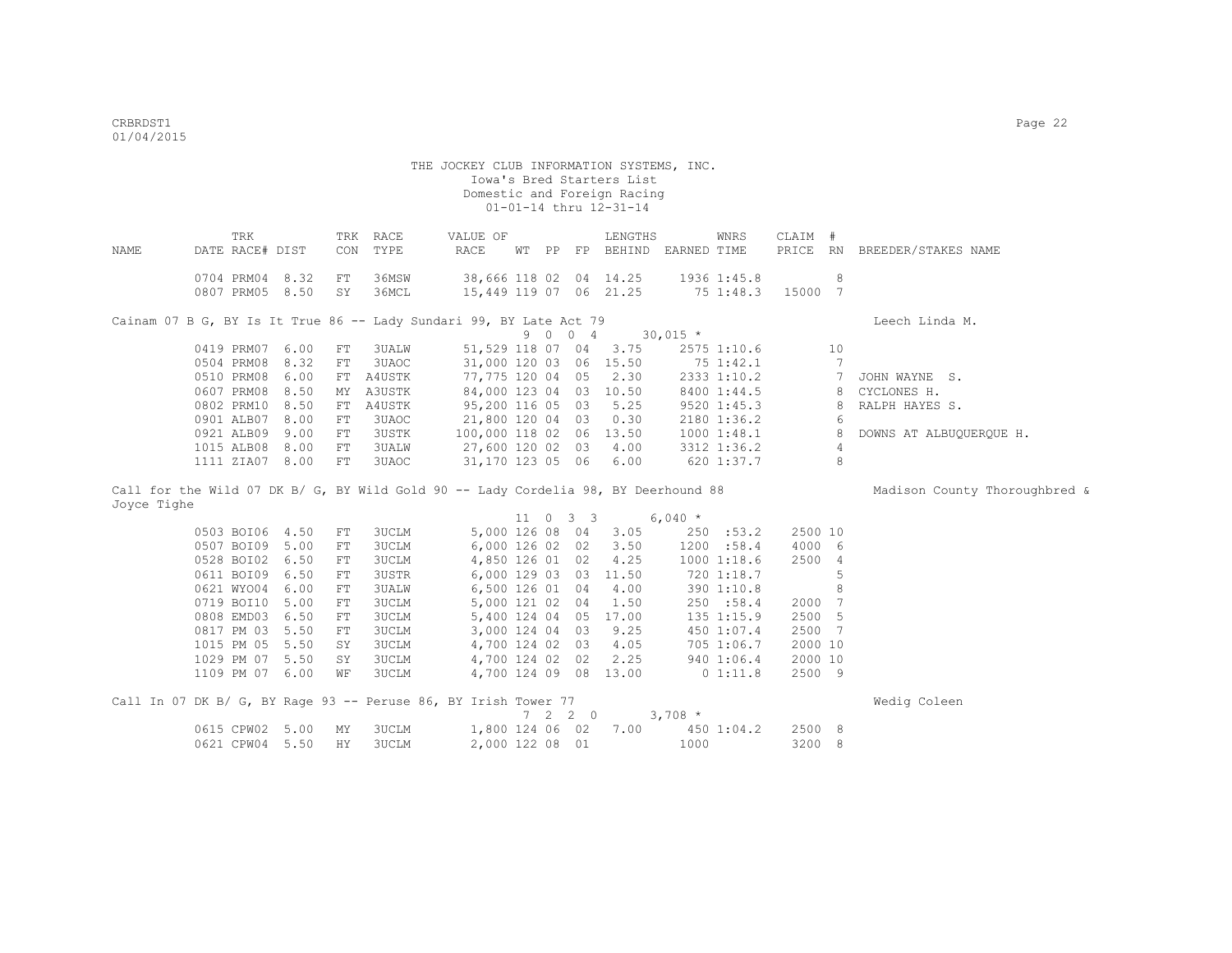| NAME        | TRK<br>DATE RACE# DIST                                                             | CON        | TRK RACE<br>TYPE | VALUE OF<br>RACE        |  |                          | LENGTHS<br>WT PP FP BEHIND EARNED TIME |           | WNRS            | CLAIM # |                 | PRICE RN BREEDER/STAKES NAME  |
|-------------|------------------------------------------------------------------------------------|------------|------------------|-------------------------|--|--------------------------|----------------------------------------|-----------|-----------------|---------|-----------------|-------------------------------|
|             |                                                                                    |            |                  |                         |  |                          |                                        |           |                 |         |                 |                               |
|             | 0704 PRM04 8.32                                                                    | FT         | 36MSW            |                         |  |                          | 38,666 118 02 04 14.25                 |           | 1936 1:45.8     |         | 8               |                               |
|             | 0807 PRM05 8.50                                                                    | SY         | 36MCL            | 15,449 119 07 06 21.25  |  |                          |                                        |           | 75 1:48.3       | 15000 7 |                 |                               |
|             | Cainam 07 B G, BY Is It True 86 -- Lady Sundari 99, BY Late Act 79                 |            |                  |                         |  |                          |                                        |           |                 |         |                 | Leech Linda M.                |
|             |                                                                                    |            |                  |                         |  |                          | $9 \t 0 \t 0 \t 4 \t 30,015 \t\times$  |           |                 |         |                 |                               |
|             | 0419 PRM07 6.00                                                                    | FT         | 3UALW            | 51,529 118 07 04        |  |                          | 3.75                                   |           | 2575 1:10.6     |         | 10              |                               |
|             | 0504 PRM08 8.32                                                                    | FT         | 3UAOC            | 31,000 120 03 06 15.50  |  |                          |                                        |           | 75 1:42.1       |         | 7               |                               |
|             | 0510 PRM08 6.00                                                                    | FT         | A4USTK           | 77,775 120 04 05        |  |                          | 2.30                                   |           | 2333 1:10.2     |         | $7\phantom{.0}$ | JOHN WAYNE S.                 |
|             | 0607 PRM08 8.50                                                                    | MY         | A3USTK           | 84,000 123 04 03 10.50  |  |                          |                                        |           | 8400 1:44.5     |         | 8               | CYCLONES H.                   |
|             | 0802 PRM10 8.50                                                                    | FT         | A4USTK           | 95,200 116 05 03        |  |                          | 5.25                                   |           | 9520 1:45.3     |         | 8               | RALPH HAYES S.                |
|             | 0901 ALB07 8.00                                                                    | FT         | 3UAOC            | 21,800 120 04 03        |  |                          | 0.30                                   |           | 2180 1:36.2     |         | 6               |                               |
|             | 0921 ALB09 9.00                                                                    | ${\rm FT}$ | 3USTK            | 100,000 118 02 06 13.50 |  |                          |                                        |           | $1000$ $1:48.1$ |         | 8               | DOWNS AT ALBUQUERQUE H.       |
|             | 1015 ALB08 8.00                                                                    | FT         | 3UALW            | 27,600 120 02 03        |  |                          | 4.00                                   |           | 3312 1:36.2     |         | $\overline{4}$  |                               |
|             | 1111 ZIA07 8.00                                                                    | FT         | 3UAOC            | 31,170 123 05 06        |  |                          | 6.00                                   |           | 620 1:37.7      |         | 8               |                               |
|             | Call for the Wild 07 DK B/ G, BY Wild Gold 90 -- Lady Cordelia 98, BY Deerhound 88 |            |                  |                         |  |                          |                                        |           |                 |         |                 | Madison County Thoroughbred & |
| Joyce Tighe |                                                                                    |            |                  |                         |  |                          |                                        |           |                 |         |                 |                               |
|             |                                                                                    |            |                  |                         |  | $11 \t 0 \t 3 \t 3$      |                                        | 6,040 $*$ |                 |         |                 |                               |
|             | 0503 BOI06 4.50                                                                    | FT         | 3UCLM            | 5,000 126 08 04         |  |                          | 3.05                                   |           | 250 : 53.2      | 2500 10 |                 |                               |
|             | 0507 BOI09 5.00                                                                    | FT         | 3UCLM            | 6,000 126 02 02         |  |                          | 3.50                                   |           | 1200 :58.4      | 4000 6  |                 |                               |
|             | 0528 BOI02 6.50                                                                    | FT         | 3UCLM            | 4,850 126 01 02         |  |                          | 4.25                                   |           | 1000 1:18.6     | 2500 4  |                 |                               |
|             | 0611 BOI09 6.50                                                                    | FT         | 3USTR            | 6,000 129 03 03         |  |                          | 11.50                                  |           | 720 1:18.7      |         | 5               |                               |
|             | 0621 WYO04 6.00                                                                    | FT         | <b>3UALW</b>     | 6,500 126 01 04         |  |                          | 4.00                                   |           | 390 1:10.8      |         | 8               |                               |
|             | 0719 BOI10 5.00                                                                    | FT         | 3UCLM            | 5,000 121 02 04         |  |                          | 1.50                                   |           | 250 :58.4       | 2000 7  |                 |                               |
|             | 0808 EMD03 6.50                                                                    | FT         | 3UCLM            |                         |  |                          | 5,400 124 04 05 17.00                  |           | 135 1:15.9      | 2500 5  |                 |                               |
|             | 0817 PM 03 5.50                                                                    | FT         | 3UCLM            | 3,000 124 04 03         |  |                          | 9.25                                   |           | 450 1:07.4      | 2500 7  |                 |                               |
|             | 1015 PM 05 5.50                                                                    | SY         | 3UCLM            | 4,700 124 02 03         |  |                          | 4.05                                   |           | 705 1:06.7      | 2000 10 |                 |                               |
|             | 1029 PM 07 5.50                                                                    | SY         | 3UCLM            | 4,700 124 02 02         |  |                          | 2.25                                   |           | 940 1:06.4      | 2000 10 |                 |                               |
|             | 1109 PM 07 6.00                                                                    | WF         | 3UCLM            |                         |  |                          | 4,700 124 09 08 13.00                  | 0 1:11.8  |                 | 2500 9  |                 |                               |
|             | Call In 07 DK B/ G, BY Rage 93 -- Peruse 86, BY Irish Tower 77                     |            |                  |                         |  |                          |                                        |           |                 |         |                 | Wedig Coleen                  |
|             |                                                                                    |            |                  |                         |  | $7\quad 2\quad 2\quad 0$ |                                        | $3,708$ * |                 |         |                 |                               |
|             |                                                                                    |            |                  |                         |  |                          |                                        |           |                 |         |                 |                               |
|             | 0615 CPW02 5.00                                                                    | MY         | 3UCLM            | 1,800 124 06 02         |  |                          | 7.00                                   |           | 450 1:04.2      | 2500 8  |                 |                               |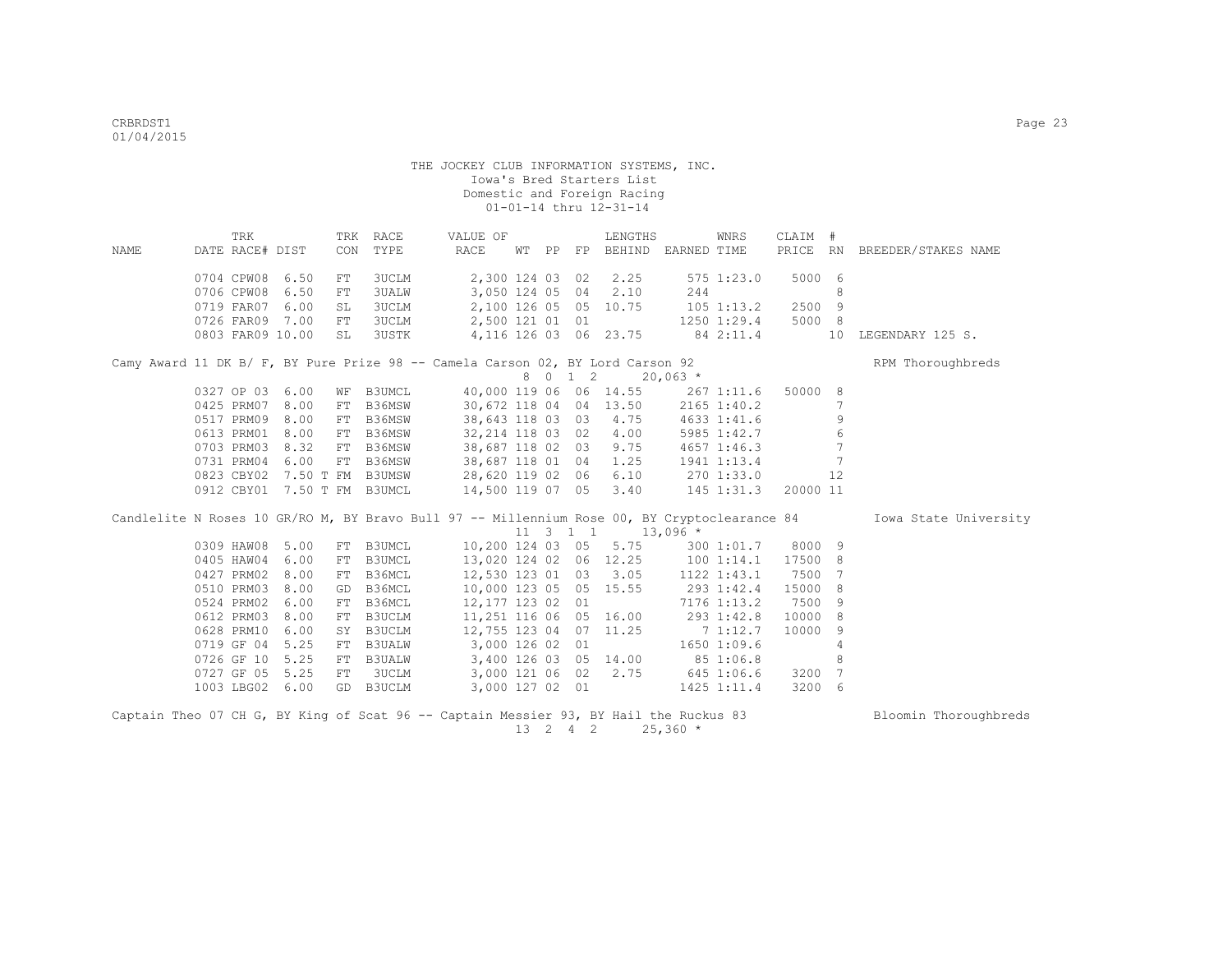|      | TRK              |      |     | TRK RACE                    | VALUE OF                                                                                     |  | LENGTHS                           |            | WNRS        | CLAIM # |                 |                              |
|------|------------------|------|-----|-----------------------------|----------------------------------------------------------------------------------------------|--|-----------------------------------|------------|-------------|---------|-----------------|------------------------------|
| NAME | DATE RACE# DIST  |      | CON | TYPE                        | RACE                                                                                         |  | WT PP FP BEHIND EARNED TIME       |            |             |         |                 | PRICE RN BREEDER/STAKES NAME |
|      | 0704 CPW08 6.50  |      | FT. | 3UCLM                       |                                                                                              |  | 2,300 124 03 02 2.25              |            | 575 1:23.0  | 5000 6  |                 |                              |
|      | 0706 CPW08       | 6.50 | FT  | <b>3UALW</b>                |                                                                                              |  | 3,050 124 05 04 2.10              | 244        |             |         | 8               |                              |
|      | 0719 FAR07       | 6.00 | SL  | <b>3UCLM</b>                |                                                                                              |  | 2,100 126 05 05 10.75             |            | 105 1:13.2  | 2500 9  |                 |                              |
|      | 0726 FAR09 7.00  |      | FT  | <b>3UCLM</b>                | 2,500 121 01 01                                                                              |  |                                   |            | 1250 1:29.4 | 5000 8  |                 |                              |
|      | 0803 FAR09 10.00 |      | SL  | 3USTK                       | 4, 116 126 03 06 23.75 84 2:11.4 10                                                          |  |                                   |            |             |         |                 | LEGENDARY 125 S.             |
|      |                  |      |     |                             | Camy Award 11 DK B/ F, BY Pure Prize 98 -- Camela Carson 02, BY Lord Carson 92               |  |                                   |            |             |         |                 | RPM Thoroughbreds            |
|      |                  |      |     |                             |                                                                                              |  | 8 0 1 2 20,063 *                  |            |             |         |                 |                              |
|      | 0327 OP 03 6.00  |      |     | WF B3UMCL                   | 40,000 119 06 06 14.55 267 1:11.6 50000 8                                                    |  |                                   |            |             |         |                 |                              |
|      | 0425 PRM07 8.00  |      | FT  | B36MSW                      | 30,672 118 04 04 13.50 2165 1:40.2                                                           |  |                                   |            |             |         | 7               |                              |
|      | 0517 PRM09       | 8.00 | FT  | B36MSW                      | 38,643 118 03 03 4.75                                                                        |  |                                   |            | 4633 1:41.6 |         | 9               |                              |
|      | 0613 PRM01       | 8.00 | FT  | B36MSW                      | 32,214 118 03 02 4.00                                                                        |  |                                   |            | 5985 1:42.7 |         | 6               |                              |
|      | 0703 PRM03       | 8.32 | FT  | B36MSW                      | 38,687 118 02 03 9.75                                                                        |  |                                   |            | 4657 1:46.3 |         | $\overline{7}$  |                              |
|      | 0731 PRM04       | 6.00 | FT  | B36MSW                      | 38,687 118 01 04 1.25                                                                        |  |                                   |            | 1941 1:13.4 |         | $7\phantom{.0}$ |                              |
|      |                  |      |     | 0823 CBY02 7.50 T FM B3UMSW |                                                                                              |  |                                   |            |             |         |                 |                              |
|      |                  |      |     | 0912 CBY01 7.50 T FM B3UMCL | 28,620 119 02 06 6.10 270 1:33.0 12<br>14,500 119 07 05 3.40 145 1:31.3 20000 11             |  |                                   |            |             |         |                 |                              |
|      |                  |      |     |                             | Candlelite N Roses 10 GR/RO M, BY Bravo Bull 97 -- Millennium Rose 00, BY Cryptoclearance 84 |  |                                   |            |             |         |                 | Iowa State University        |
|      |                  |      |     |                             |                                                                                              |  | 11 3 1 1 13,096 $*$               |            |             |         |                 |                              |
|      | 0309 HAW08 5.00  |      |     | FT B3UMCL                   | 10,200 124 03 05 5.75 300 1:01.7 8000 9                                                      |  |                                   |            |             |         |                 |                              |
|      | 0405 HAW04       | 6.00 | FT  | B3UMCL                      | 13,020 124 02 06 12.25 100 1:14.1 17500 8                                                    |  |                                   |            |             |         |                 |                              |
|      | 0427 PRM02       | 8.00 | FT  | B36MCL                      | 12,530 123 01 03 3.05                                                                        |  |                                   |            | 1122 1:43.1 | 7500    | 7               |                              |
|      | 0510 PRM03       | 8.00 | GD  | B36MCL                      | 10,000 123 05 05 15.55                                                                       |  |                                   | 293 1:42.4 |             | 15000   | 8               |                              |
|      | 0524 PRM02       | 6.00 | FT  | B36MCL                      | 12,177 123 02 01                                                                             |  |                                   |            | 7176 1:13.2 | 7500    | 9               |                              |
|      | 0612 PRM03       | 8.00 | FT  | B3UCLM                      |                                                                                              |  | 11,251 116 06 05 16.00 293 1:42.8 |            |             | 10000   | 8               |                              |
|      | 0628 PRM10       | 6.00 | SY  | B3UCLM                      | 12,755 123 04 07 11.25                                                                       |  |                                   |            | 71:12.7     | 10000   | 9               |                              |
|      | 0719 GF 04       | 5.25 | FT  | <b>B3UALW</b>               | 3,000 126 02 01                                                                              |  |                                   |            | 1650 1:09.6 |         | 4               |                              |
|      | 0726 GF 10       | 5.25 | FT  | <b>B3UALW</b>               | 3,400 126 03 05 14.00 85 1:06.8                                                              |  |                                   |            |             |         | 8               |                              |
|      | 0727 GF 05 5.25  |      | FT  | 3UCLM                       | 3,000 121 06 02 2.75 645 1:06.6                                                              |  |                                   |            |             | 3200 7  |                 |                              |
|      | 1003 LBG02 6.00  |      | GD  | B3UCLM                      |                                                                                              |  | 3,000 127 02 01                   |            | 1425 1:11.4 | 3200    | - 6             |                              |
|      |                  |      |     |                             |                                                                                              |  |                                   |            |             |         |                 |                              |

Captain Theo 07 CH G, BY King of Scat 96 -- Captain Messier 93, BY Hail the Ruckus 83 Bloomin Thoroughbreds  $13 \quad 2 \quad 4 \quad 2 \quad 25,360 \quad ^{\star}$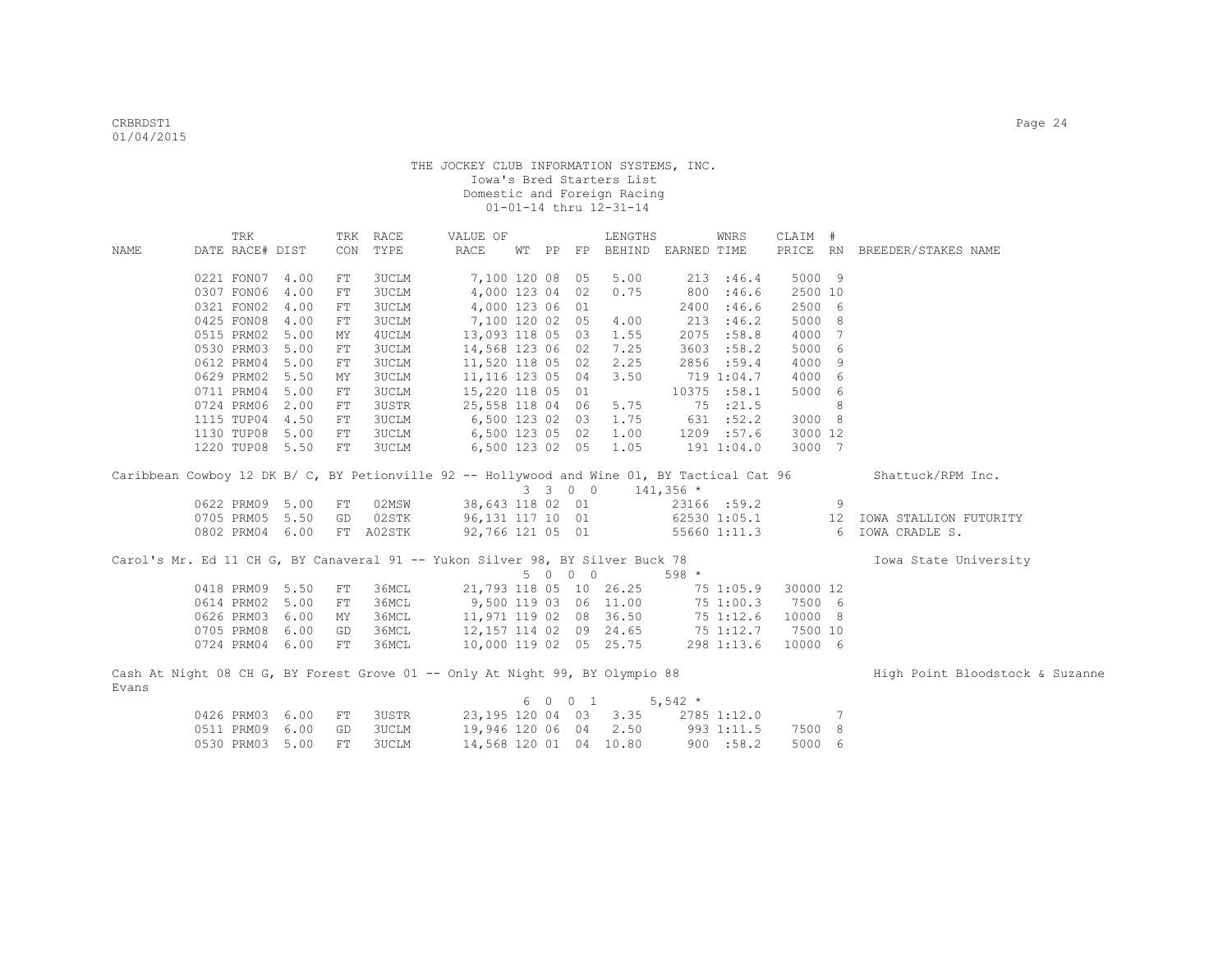|       | TRK                                                                                         |      | TRK        | RACE         | VALUE OF               |    |                                         | LENGTHS      |             | WNRS         | CLAIM #  |                 |                                 |
|-------|---------------------------------------------------------------------------------------------|------|------------|--------------|------------------------|----|-----------------------------------------|--------------|-------------|--------------|----------|-----------------|---------------------------------|
| NAME  | DATE RACE# DIST                                                                             |      | CON        | TYPE         | RACE                   | WТ |                                         | PP FP BEHIND | EARNED TIME |              | PRICE RN |                 | BREEDER/STAKES NAME             |
|       |                                                                                             |      |            |              |                        |    |                                         |              |             |              |          |                 |                                 |
|       | 0221 FON07                                                                                  | 4.00 | FT         | 3UCLM        | 7,100 120 08           |    | 05                                      | 5.00         |             | 213 : 46.4   | 5000 9   |                 |                                 |
|       | 0307 FON06                                                                                  | 4.00 | FT         | 3UCLM        | 4,000 123 04           |    | 02                                      | 0.75         | 800         | :46.6        | 2500 10  |                 |                                 |
|       | 0321 FON02                                                                                  | 4.00 | FT         | <b>3UCLM</b> | 4,000 123 06           |    | 01                                      |              | 2400        | :46.6        | 2500 6   |                 |                                 |
|       | 0425 FON08                                                                                  | 4.00 | FT         | <b>3UCLM</b> | 7,100 120 02 05        |    |                                         | 4.00         | 213         | :46.2        | 5000 8   |                 |                                 |
|       | 0515 PRM02                                                                                  | 5.00 | MΥ         | 4UCLM        | 13,093 118 05 03       |    |                                         | 1.55         | 2075        | :58.8        | 4000     | $\overline{7}$  |                                 |
|       | 0530 PRM03                                                                                  | 5.00 | FT         | 3UCLM        | 14,568 123 06 02       |    |                                         | 7.25         | 3603        | :58.2        | 5000     | - 6             |                                 |
|       | 0612 PRM04                                                                                  | 5.00 | FT         | 3UCLM        | 11,520 118 05 02       |    |                                         | 2.25         |             | 2856 :59.4   | 4000 9   |                 |                                 |
|       | 0629 PRM02                                                                                  | 5.50 | MΥ         | 3UCLM        | 11, 116 123 05 04      |    |                                         | 3.50         |             | 719 1:04.7   | 4000     | 6               |                                 |
|       | 0711 PRM04                                                                                  | 5.00 | FT         | 3UCLM        | 15,220 118 05 01       |    |                                         |              |             | 10375 :58.1  | 5000     | 6               |                                 |
|       | 0724 PRM06                                                                                  | 2.00 | FT         | 3USTR        | 25,558 118 04 06       |    |                                         | 5.75         |             | 75 :21.5     |          | 8               |                                 |
|       | 1115 TUP04                                                                                  | 4.50 | FT         | 3UCLM        | 6,500 123 02 03        |    |                                         | 1.75         |             | 631 :52.2    | 3000 8   |                 |                                 |
|       | 1130 TUP08                                                                                  | 5.00 | ${\rm FT}$ | 3UCLM        | 6,500 123 05 02        |    |                                         | 1.00         |             | 1209 :57.6   | 3000 12  |                 |                                 |
|       | 1220 TUP08                                                                                  | 5.50 | ${\rm FT}$ | 3UCLM        | 6,500 123 02 05        |    |                                         | 1.05         |             | 191 1:04.0   | 3000 7   |                 |                                 |
|       |                                                                                             |      |            |              |                        |    |                                         |              |             |              |          |                 |                                 |
|       | Caribbean Cowboy 12 DK B/ C, BY Petionville 92 -- Hollywood and Wine 01, BY Tactical Cat 96 |      |            |              |                        |    |                                         |              |             |              |          |                 | Shattuck/RPM Inc.               |
|       |                                                                                             |      |            |              |                        |    | 3 3 0 0                                 |              | $141,356$ * |              |          |                 |                                 |
|       | 0622 PRM09                                                                                  | 5.00 | FT         | 02MSW        | 38,643 118 02 01       |    |                                         |              |             | 23166 :59.2  |          | 9               |                                 |
|       | 0705 PRM05                                                                                  | 5.50 | GD         | 02STK        | 96,131 117 10 01       |    |                                         |              |             | 62530 1:05.1 |          | 12              | IOWA STALLION FUTURITY          |
|       | 0802 PRM04                                                                                  | 6.00 |            | FT A02STK    | 92,766 121 05 01       |    |                                         |              |             | 55660 1:11.3 |          | 6               | IOWA CRADLE S.                  |
|       |                                                                                             |      |            |              |                        |    |                                         |              |             |              |          |                 |                                 |
|       | Carol's Mr. Ed 11 CH G, BY Canaveral 91 -- Yukon Silver 98, BY Silver Buck 78               |      |            |              |                        |    |                                         |              |             |              |          |                 | Iowa State University           |
|       |                                                                                             |      |            |              |                        | 5  | $\begin{matrix} 0 & 0 & 0 \end{matrix}$ |              | $598 *$     |              |          |                 |                                 |
|       | 0418 PRM09                                                                                  | 5.50 | FT         | 36MCL        | 21,793 118 05 10 26.25 |    |                                         |              |             | 75 1:05.9    | 30000 12 |                 |                                 |
|       | 0614 PRM02                                                                                  | 5.00 | FT         | 36MCL        | 9,500 119 03 06 11.00  |    |                                         |              |             | 75 1:00.3    | 7500 6   |                 |                                 |
|       | 0626 PRM03                                                                                  | 6.00 | MY         | 36MCL        | 11,971 119 02 08 36.50 |    |                                         |              |             | 75 1:12.6    | 10000 8  |                 |                                 |
|       | 0705 PRM08                                                                                  | 6.00 | GD         | 36MCL        | 12,157 114 02 09 24.65 |    |                                         |              | 75 1:12.7   |              | 7500 10  |                 |                                 |
|       | 0724 PRM04                                                                                  | 6.00 | FT         | 36MCL        | 10,000 119 02 05 25.75 |    |                                         |              |             | 298 1:13.6   | 10000 6  |                 |                                 |
|       |                                                                                             |      |            |              |                        |    |                                         |              |             |              |          |                 |                                 |
|       | Cash At Night 08 CH G, BY Forest Grove 01 -- Only At Night 99, BY Olympio 88                |      |            |              |                        |    |                                         |              |             |              |          |                 | High Point Bloodstock & Suzanne |
| Evans |                                                                                             |      |            |              |                        |    |                                         |              |             |              |          |                 |                                 |
|       |                                                                                             |      |            |              |                        | 6  | $0 \quad 0 \quad 1$                     |              | $5,542$ *   |              |          |                 |                                 |
|       | 0426 PRM03                                                                                  | 6.00 | FT         | 3USTR        | 23,195 120 04 03       |    |                                         | 3.35         |             | 2785 1:12.0  |          | $7\phantom{.0}$ |                                 |
|       | 0511 PRM09                                                                                  | 6.00 | GD         | <b>3UCLM</b> | 19,946 120 06 04       |    |                                         | 2.50         |             | 993 1:11.5   | 7500 8   |                 |                                 |

0530 PRM03 5.00 FT 3UCLM 14,568 120 01 04 10.80 900 :58.2 5000 6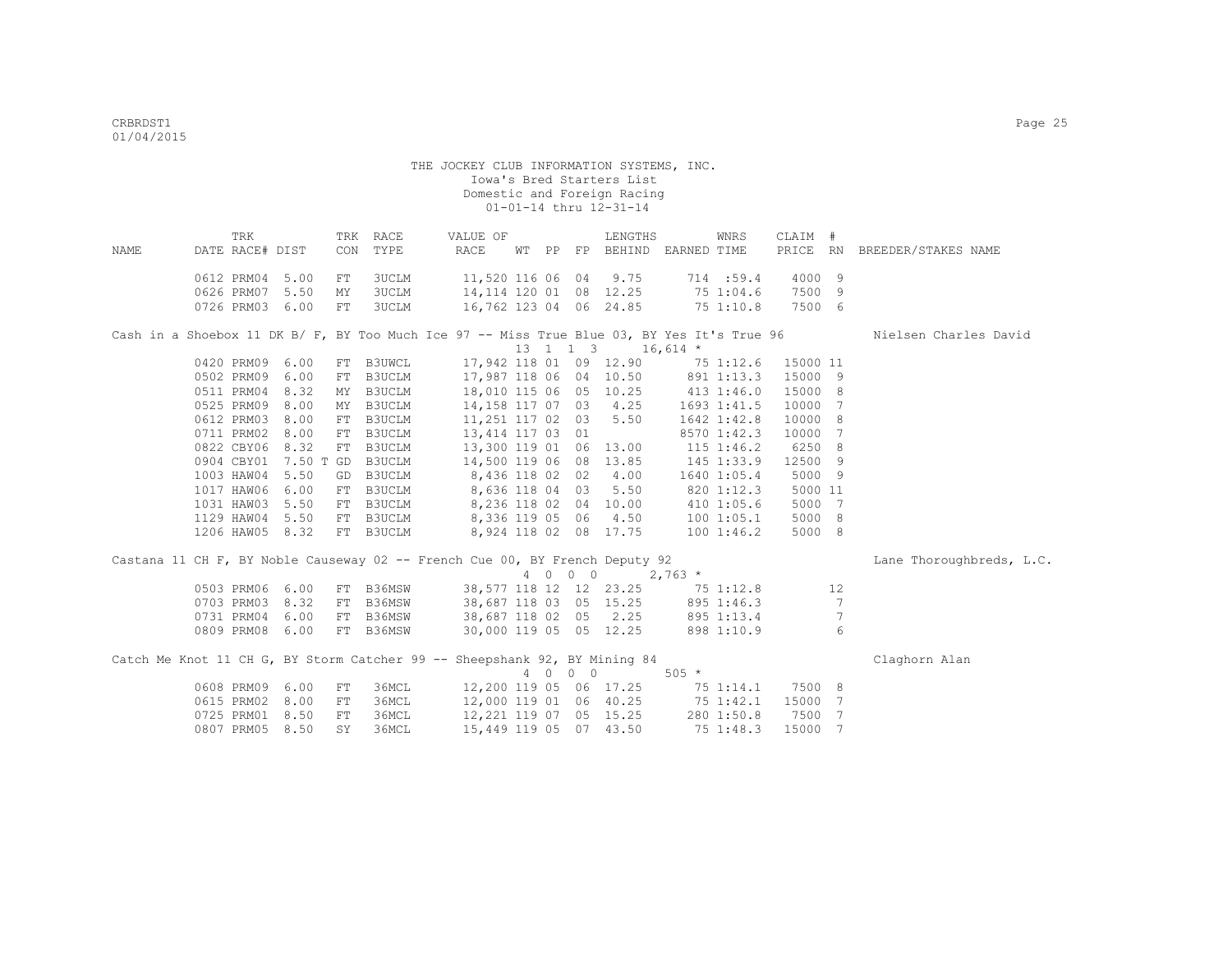| NAME | TRK<br>DATE RACE# DIST                                                                     |              | CON      | TRK RACE<br>TYPE | VALUE OF<br>RACE                                  |     |            | LENGTHS<br>WT PP FP BEHIND EARNED TIME         |             | WNRS                  | CLAIM #          |                 | PRICE RN BREEDER/STAKES NAME |
|------|--------------------------------------------------------------------------------------------|--------------|----------|------------------|---------------------------------------------------|-----|------------|------------------------------------------------|-------------|-----------------------|------------------|-----------------|------------------------------|
|      | 0612 PRM04 5.00                                                                            |              | FT       | 3UCLM            | 11,520 116 06 04 9.75                             |     |            |                                                |             | 714:59.4              | 4000 9           |                 |                              |
|      | 0626 PRM07<br>0726 PRM03                                                                   | 5.50<br>6.00 | МY<br>FT | 3UCLM<br>3UCLM   | 14, 114 120 01 08 12.25<br>16,762 123 04 06 24.85 |     |            |                                                |             | 75 1:04.6<br>751:10.8 | 7500 9<br>7500 6 |                 |                              |
|      | Cash in a Shoebox 11 DK B/ F, BY Too Much Ice 97 -- Miss True Blue 03, BY Yes It's True 96 |              |          |                  |                                                   |     |            |                                                |             |                       |                  |                 | Nielsen Charles David        |
|      |                                                                                            |              |          |                  |                                                   |     |            | $13 \quad 1 \quad 1 \quad 3 \quad 16,614 \; *$ |             |                       |                  |                 |                              |
|      | 0420 PRM09                                                                                 | 6.00         |          | FT B3UWCL        |                                                   |     |            | 17,942 118 01 09 12.90 75 1:12.6 15000 11      |             |                       |                  |                 |                              |
|      | 0502 PRM09                                                                                 | 6.00         |          | FT B3UCLM        |                                                   |     |            | 17,987 118 06 04 10.50 891 1:13.3              |             |                       | 15000 9          |                 |                              |
|      | 0511 PRM04                                                                                 | 8.32         |          | MY B3UCLM        |                                                   |     |            | 18,010 115 06 05 10.25                         | 413 1:46.0  |                       | 15000 8          |                 |                              |
|      | 0525 PRM09                                                                                 | 8.00         |          | MY B3UCLM        | 14,158 117 07 03 4.25                             |     |            |                                                | 1693 1:41.5 |                       | 10000 7          |                 |                              |
|      | 0612 PRM03                                                                                 | 8.00         |          | FT B3UCLM        | 11,251 117 02 03                                  |     |            | 5.50                                           |             | 1642 1:42.8           | 10000 8          |                 |                              |
|      | 0711 PRM02                                                                                 | 8.00         |          | FT B3UCLM        | 13,414 117 03 01                                  |     |            |                                                |             | 8570 1:42.3           | 10000 7          |                 |                              |
|      | 0822 CBY06                                                                                 | 8.32         |          | FT B3UCLM        | 13,300 119 01 06 13.00                            |     |            |                                                | 115 1:46.2  |                       | 6250 8           |                 |                              |
|      | 0904 CBY01                                                                                 |              |          | 7.50 T GD B3UCLM | 14,500 119 06 08 13.85                            |     |            |                                                | 145 1:33.9  |                       | 12500 9          |                 |                              |
|      | 1003 HAW04                                                                                 | 5.50         |          | GD B3UCLM        | 8,436 118 02 02 4.00                              |     |            |                                                |             | 1640 1:05.4           | 5000 9           |                 |                              |
|      | 1017 HAW06                                                                                 | 6.00         |          | FT B3UCLM        | 8,636 118 04 03 5.50                              |     |            |                                                |             | 820 1:12.3            | 5000 11          |                 |                              |
|      | 1031 HAW03                                                                                 | 5.50         |          | FT B3UCLM        | 8,236 118 02 04 10.00                             |     |            |                                                |             | 410 1:05.6            | 5000 7           |                 |                              |
|      | 1129 HAW04                                                                                 | 5.50         |          | FT B3UCLM        | 8,336 119 05 06 4.50                              |     |            |                                                |             | 100 1:05.1            | 5000 8           |                 |                              |
|      | 1206 HAW05 8.32                                                                            |              |          | FT B3UCLM        | 8,924 118 02 08 17.75                             |     |            |                                                | 1001:46.2   |                       | 5000 8           |                 |                              |
|      | Castana 11 CH F, BY Noble Causeway 02 -- French Cue 00, BY French Deputy 92                |              |          |                  |                                                   |     |            |                                                |             |                       |                  |                 | Lane Thoroughbreds, L.C.     |
|      |                                                                                            |              |          |                  |                                                   |     | 4 0 0 0    |                                                | $2,763$ *   |                       |                  |                 |                              |
|      | 0503 PRM06                                                                                 | 6.00         |          | FT B36MSW        |                                                   |     |            | 38,577 118 12 12 23.25 75 1:12.8               |             |                       |                  | 12              |                              |
|      | 0703 PRM03                                                                                 | 8.32         |          | FT B36MSW        |                                                   |     |            | 38,687 118 03 05 15.25                         |             | 895 1:46.3            |                  | 7               |                              |
|      | 0731 PRM04                                                                                 | 6.00         |          | FT B36MSW        |                                                   |     |            | 38,687 118 02 05 2.25                          |             | 895 1:13.4            |                  | $7\phantom{.0}$ |                              |
|      | 0809 PRM08 6.00                                                                            |              |          | FT B36MSW        |                                                   |     |            | 30,000 119 05 05 12.25                         |             | 898 1:10.9            |                  | 6               |                              |
|      | Catch Me Knot 11 CH G, BY Storm Catcher 99 -- Sheepshank 92, BY Mining 84                  |              |          |                  |                                                   |     |            |                                                |             |                       |                  |                 | Claghorn Alan                |
|      |                                                                                            |              |          |                  |                                                   | 4 0 | $0\quad 0$ |                                                | $505 *$     |                       |                  |                 |                              |
|      | 0608 PRM09                                                                                 | 6.00         | FT       | 36MCL            | 12,200 119 05 06 17.25                            |     |            |                                                |             | 751:14.1              | 7500 8           |                 |                              |
|      | 0615 PRM02                                                                                 | 8.00         | FT       | 36MCL            | 12,000 119 01 06 40.25                            |     |            |                                                | 75 1:42.1   |                       | 15000 7          |                 |                              |
|      | 0725 PRM01                                                                                 | 8.50         | FT       | 36MCL            | 12,221 119 07 05 15.25                            |     |            |                                                |             | 280 1:50.8            | 7500 7           |                 |                              |
|      | 0807 PRM05                                                                                 | 8.50         | SY       | 36MCL            | 15,449 119 05 07 43.50                            |     |            |                                                |             | 75 1:48.3             | 15000 7          |                 |                              |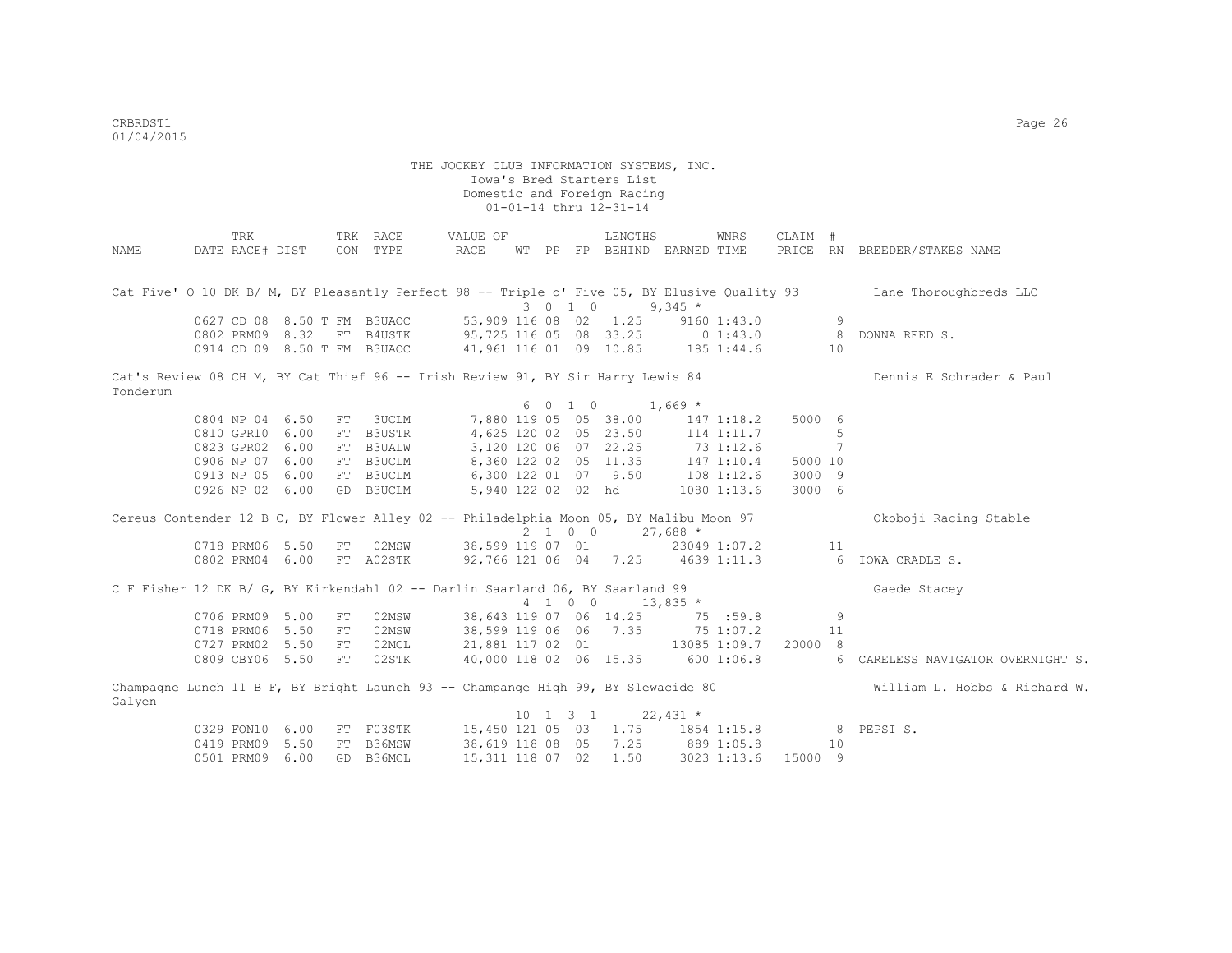|                                                                                        |                 | TRK |                 |            | TRK RACE                    |                       | VALUE OF          |  |                              | LENGTHS                           |                | WNRS        | CLAIM # |    |                                                                                                                     |
|----------------------------------------------------------------------------------------|-----------------|-----|-----------------|------------|-----------------------------|-----------------------|-------------------|--|------------------------------|-----------------------------------|----------------|-------------|---------|----|---------------------------------------------------------------------------------------------------------------------|
| NAME                                                                                   | DATE RACE# DIST |     |                 |            | CON TYPE                    | RACE                  |                   |  |                              | WT PP FP BEHIND EARNED TIME       |                |             |         |    | PRICE RN BREEDER/STAKES NAME                                                                                        |
|                                                                                        |                 |     |                 |            |                             |                       |                   |  |                              |                                   |                |             |         |    |                                                                                                                     |
|                                                                                        |                 |     |                 |            |                             |                       |                   |  |                              |                                   |                |             |         |    |                                                                                                                     |
|                                                                                        |                 |     |                 |            |                             |                       |                   |  |                              |                                   |                |             |         |    | Cat Five' 0 10 DK B/ M, BY Pleasantly Perfect 98 -- Triple o' Five 05, BY Elusive Quality 93 Lane Thoroughbreds LLC |
|                                                                                        |                 |     |                 |            |                             |                       |                   |  | 3 0 1 0                      |                                   | $9,345$ *      |             |         |    |                                                                                                                     |
|                                                                                        |                 |     |                 |            | 0627 CD 08 8.50 T FM B3UAOC | 53,909 116 08 02 1.25 |                   |  |                              |                                   |                | 9160 1:43.0 |         | 9  |                                                                                                                     |
|                                                                                        |                 |     | 0802 PRM09 8.32 |            | FT B4USTK                   |                       |                   |  |                              | 95,725 116 05 08 33.25            | $0 \t1:43.0$ 8 |             |         |    | DONNA REED S.                                                                                                       |
|                                                                                        |                 |     |                 |            | 0914 CD 09 8.50 T FM B3UAOC |                       |                   |  |                              | 41,961 116 01 09 10.85 185 1:44.6 |                |             |         | 10 |                                                                                                                     |
| Cat's Review 08 CH M, BY Cat Thief 96 -- Irish Review 91, BY Sir Harry Lewis 84        |                 |     |                 |            |                             |                       |                   |  |                              |                                   |                |             |         |    | Dennis E Schrader & Paul                                                                                            |
| Tonderum                                                                               |                 |     |                 |            |                             |                       |                   |  |                              |                                   |                |             |         |    |                                                                                                                     |
|                                                                                        |                 |     |                 |            |                             |                       |                   |  |                              | $6 \t0 \t1 \t0 \t1,669$ *         |                |             |         |    |                                                                                                                     |
|                                                                                        | 0804 NP 04 6.50 |     |                 | FT         | 3UCLM                       |                       |                   |  |                              | 7,880 119 05 05 38.00             |                | 1471:18.2   | 5000 6  |    |                                                                                                                     |
|                                                                                        | 0810 GPR10 6.00 |     |                 |            | FT B3USTR                   |                       |                   |  |                              | 4,625 120 02 05 23.50             |                | 114 1:11.7  |         | 5  |                                                                                                                     |
|                                                                                        | 0823 GPR02 6.00 |     |                 |            | FT B3UALW                   |                       |                   |  |                              | 3,120 120 06 07 22.25             | 73 1:12.6      |             |         | 7  |                                                                                                                     |
|                                                                                        | 0906 NP 07 6.00 |     |                 |            | FT B3UCLM                   |                       |                   |  |                              | 8,360 122 02 05 11.35             | 147 1:10.4     |             | 5000 10 |    |                                                                                                                     |
|                                                                                        | 0913 NP 05 6.00 |     |                 |            | FT B3UCLM                   | 6,300 122 01 07 9.50  |                   |  |                              |                                   | 108 1:12.6     |             | 3000 9  |    |                                                                                                                     |
|                                                                                        | 0926 NP 02 6.00 |     |                 |            | GD B3UCLM                   |                       |                   |  |                              | 5,940 122 02 02 hd                |                | 1080 1:13.6 | 3000 6  |    |                                                                                                                     |
|                                                                                        |                 |     |                 |            |                             |                       |                   |  |                              |                                   |                |             |         |    |                                                                                                                     |
| Cereus Contender 12 B C, BY Flower Alley 02 -- Philadelphia Moon 05, BY Malibu Moon 97 |                 |     |                 |            |                             |                       |                   |  |                              |                                   |                |             |         |    | Okoboji Racing Stable                                                                                               |
|                                                                                        |                 |     |                 |            |                             |                       |                   |  |                              | 2 1 0 0 27,688 *                  |                |             |         |    |                                                                                                                     |
|                                                                                        | 0718 PRM06 5.50 |     |                 | FT         | 02MSW                       |                       |                   |  |                              | 38,599 119 07 01 23049 1:07.2 11  |                |             |         |    |                                                                                                                     |
|                                                                                        | 0802 PRM04 6.00 |     |                 |            | FT A02STK                   |                       |                   |  |                              |                                   |                |             |         |    | 92,766 121 06 04 7.25 4639 1:11.3 6 IOWA CRADLE S.                                                                  |
| C F Fisher 12 DK B/ G, BY Kirkendahl 02 -- Darlin Saarland 06, BY Saarland 99          |                 |     |                 |            |                             |                       |                   |  |                              |                                   |                |             |         |    | Gaede Stacey                                                                                                        |
|                                                                                        |                 |     |                 |            |                             |                       |                   |  |                              | 4 1 0 0 13,835 *                  |                |             |         |    |                                                                                                                     |
|                                                                                        | 0706 PRM09 5.00 |     |                 | ${\rm FT}$ | 02MSW                       |                       |                   |  |                              | 38,643 119 07 06 14.25 75 :59.8   |                |             |         | 9  |                                                                                                                     |
|                                                                                        | 0718 PRM06 5.50 |     |                 | FT         | 02MSW                       |                       |                   |  |                              | 38,599 119 06 06 7.35 75 1:07.2   |                |             |         | 11 |                                                                                                                     |
|                                                                                        | 0727 PRM02 5.50 |     |                 | FT         | 02MCL                       |                       |                   |  |                              | 21,881 117 02 01 13085 1:09.7     |                |             | 20000 8 |    |                                                                                                                     |
|                                                                                        | 0809 CBY06 5.50 |     |                 | FT         | 02STK                       |                       |                   |  |                              | 40,000 118 02 06 15.35            |                | 6001:06.8   |         | 6  | CARELESS NAVIGATOR OVERNIGHT S.                                                                                     |
|                                                                                        |                 |     |                 |            |                             |                       |                   |  |                              |                                   |                |             |         |    |                                                                                                                     |
| Galyen                                                                                 |                 |     |                 |            |                             |                       |                   |  |                              |                                   |                |             |         |    | Champagne Lunch 11 B F, BY Bright Launch 93 -- Champange High 99, BY Slewacide 80 William L. Hobbs & Richard W.     |
|                                                                                        |                 |     |                 |            |                             |                       |                   |  | $10 \quad 1 \quad 3 \quad 1$ | $22,431$ *                        |                |             |         |    |                                                                                                                     |
|                                                                                        | 0329 FON10 6.00 |     |                 |            | FT F03STK                   | 15,450 121 05 03      |                   |  |                              |                                   |                |             |         |    | 1.75 1854 1:15.8 8 PEPSI S.                                                                                         |
|                                                                                        | 0419 PRM09 5.50 |     |                 |            | FT B36MSW                   |                       | 38,619 118 08 05  |  |                              | 7.25                              | 889 1:05.8     |             |         | 10 |                                                                                                                     |
|                                                                                        | 0501 PRM09 6.00 |     |                 | GD         | B36MCL                      |                       | 15, 311 118 07 02 |  |                              | 1.50                              |                | 3023 1:13.6 | 15000 9 |    |                                                                                                                     |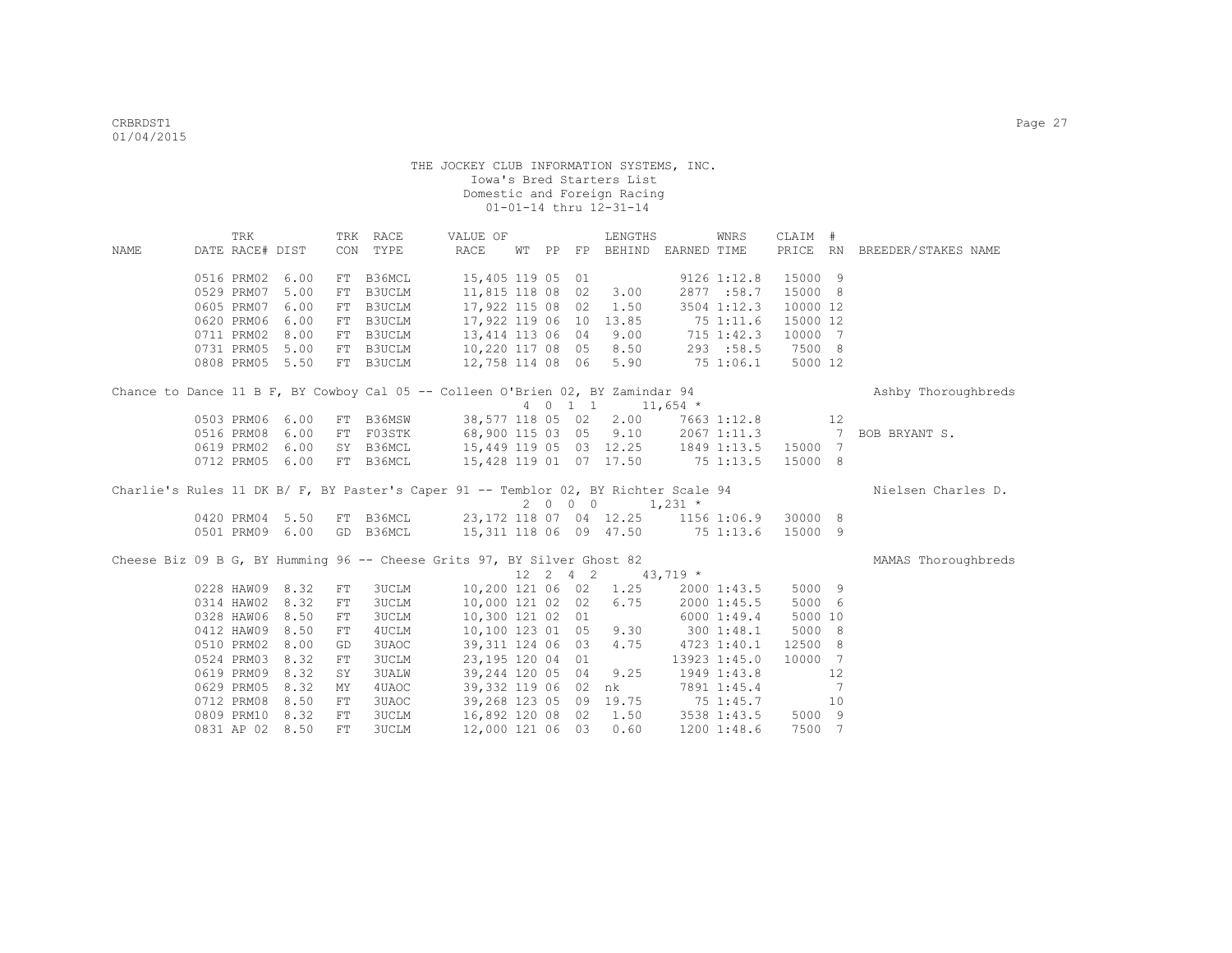|                                                                                     | TRK             |      |            | TRK RACE     | VALUE OF                                                                       |  | LENGTHS                                                  |           | WNRS            | CLAIM #  |                |                              |
|-------------------------------------------------------------------------------------|-----------------|------|------------|--------------|--------------------------------------------------------------------------------|--|----------------------------------------------------------|-----------|-----------------|----------|----------------|------------------------------|
| NAME                                                                                | DATE RACE# DIST |      |            | CON TYPE     | RACE                                                                           |  | WT PP FP BEHIND EARNED TIME                              |           |                 |          |                | PRICE RN BREEDER/STAKES NAME |
|                                                                                     |                 |      |            |              |                                                                                |  |                                                          |           |                 |          |                |                              |
|                                                                                     | 0516 PRM02      | 6.00 |            | FT B36MCL    | 15,405 119 05 01                                                               |  |                                                          |           | $9126$ $1:12.8$ | 15000 9  |                |                              |
|                                                                                     | 0529 PRM07      | 5.00 | FT         | B3UCLM       | 11,815 118 08 02 3.00                                                          |  |                                                          |           | 2877:58.7       | 15000 8  |                |                              |
|                                                                                     | 0605 PRM07      | 6.00 | FT         | B3UCLM       | 17,922 115 08 02 1.50                                                          |  |                                                          |           | 3504 1:12.3     | 10000 12 |                |                              |
|                                                                                     | 0620 PRM06      | 6.00 |            | FT B3UCLM    | 17,922 119 06 10 13.85                                                         |  |                                                          |           | 751:11.6        | 15000 12 |                |                              |
|                                                                                     | 0711 PRM02 8.00 |      |            | FT B3UCLM    | 13, 414 113 06 04 9.00 715 1:42.3                                              |  |                                                          |           |                 | 10000 7  |                |                              |
|                                                                                     | 0731 PRM05 5.00 |      |            | FT B3UCLM    | 10,220 117 08 05 8.50 293 :58.5 7500 8                                         |  |                                                          |           |                 |          |                |                              |
|                                                                                     | 0808 PRM05 5.50 |      |            | FT B3UCLM    | $12,758$ 114 08 06 5.90 75 1:06.1                                              |  |                                                          |           |                 | 5000 12  |                |                              |
|                                                                                     |                 |      |            |              | Chance to Dance 11 B F, BY Cowboy Cal 05 -- Colleen O'Brien 02, BY Zamindar 94 |  |                                                          |           |                 |          |                | Ashby Thoroughbreds          |
|                                                                                     |                 |      |            |              |                                                                                |  | 4 0 1 1 1 11,654 *                                       |           |                 |          |                |                              |
|                                                                                     | 0503 PRM06      | 6.00 |            | FT B36MSW    | 38,577 118 05 02 2.00                                                          |  |                                                          |           | 7663 1:12.8     |          | 12             |                              |
|                                                                                     | 0516 PRM08      | 6.00 |            | FT F03STK    | 68,900 115 03 05 9.10 2067 1:11.3 7                                            |  |                                                          |           |                 |          |                | BOB BRYANT S.                |
|                                                                                     | 0619 PRM02      | 6.00 |            | SY B36MCL    | 15,449 119 05 03 12.25 1849 1:13.5 15000 7                                     |  |                                                          |           |                 |          |                |                              |
|                                                                                     | 0712 PRM05 6.00 |      |            | FT B36MCL    | 15,428 119 01 07 17.50 75 1:13.5                                               |  |                                                          |           |                 | 15000 8  |                |                              |
|                                                                                     |                 |      |            |              |                                                                                |  |                                                          |           |                 |          |                |                              |
|                                                                                     |                 |      |            |              |                                                                                |  |                                                          |           |                 |          |                |                              |
| Charlie's Rules 11 DK B/ F, BY Paster's Caper 91 -- Temblor 02, BY Richter Scale 94 |                 |      |            |              |                                                                                |  |                                                          |           |                 |          |                | Nielsen Charles D.           |
|                                                                                     |                 |      |            |              |                                                                                |  | $2 \t 0 \t 0 \t 1,231 \t \star$                          |           |                 |          |                |                              |
|                                                                                     | 0420 PRM04 5.50 |      |            |              | FT B36MCL 23,172 118 07 04 12.25 1156 1:06.9 30000 8                           |  |                                                          |           |                 |          |                |                              |
|                                                                                     | 0501 PRM09 6.00 |      |            | GD B36MCL    | 15,311 118 06 09 47.50 75 1:13.6 15000 9                                       |  |                                                          |           |                 |          |                |                              |
|                                                                                     |                 |      |            |              | Cheese Biz 09 B G, BY Humming 96 -- Cheese Grits 97, BY Silver Ghost 82        |  |                                                          |           |                 |          |                | MAMAS Thoroughbreds          |
|                                                                                     |                 |      |            |              |                                                                                |  | $12 \quad 2 \quad 4 \quad 2 \quad 43,719 \quad ^{\star}$ |           |                 |          |                |                              |
|                                                                                     | 0228 HAW09 8.32 |      | FT         | <b>3UCLM</b> | 10,200 121 06 02 1.25                                                          |  |                                                          |           | 2000 1:43.5     | 5000 9   |                |                              |
|                                                                                     | 0314 HAW02      | 8.32 | FT         | <b>3UCLM</b> | 10,000 121 02 02                                                               |  | 6.75                                                     |           | 2000 1:45.5     | 5000 6   |                |                              |
|                                                                                     | 0328 HAW06      | 8.50 | FT         | 3UCLM        | 10,300 121 02 01                                                               |  |                                                          |           | 6000 1:49.4     | 5000 10  |                |                              |
|                                                                                     | 0412 HAW09      | 8.50 | ${\rm FT}$ | 4UCLM        | 10,100 123 01 05 9.30                                                          |  |                                                          | 3001:48.1 |                 | 5000 8   |                |                              |
|                                                                                     | 0510 PRM02      | 8.00 | GD         | 3UAOC        | 39,311 124 06 03 4.75                                                          |  |                                                          |           | 4723 1:40.1     | 12500 8  |                |                              |
|                                                                                     | 0524 PRM03      | 8.32 | FT         | <b>3UCLM</b> | 23,195 120 04 01                                                               |  |                                                          |           | 13923 1:45.0    | 10000 7  |                |                              |
|                                                                                     | 0619 PRM09 8.32 |      | SY         | <b>3UALW</b> | 39,244 120 05 04 9.25                                                          |  |                                                          |           | 1949 1:43.8     |          | 12             |                              |
|                                                                                     | 0629 PRM05      | 8.32 | MY         | 4UAOC        | 39,332 119 06 02 nk                                                            |  |                                                          |           | 7891 1:45.4     |          | $\overline{7}$ |                              |
|                                                                                     | 0712 PRM08      | 8.50 | FT         | 3UAOC        | 39,268 123 05 09 19.75 75 1:45.7                                               |  |                                                          |           |                 |          | 10             |                              |
|                                                                                     | 0809 PRM10      | 8.32 | FT         | <b>3UCLM</b> | 16,892 120 08 02 1.50 3538 1:43.5                                              |  |                                                          |           |                 | 5000 9   |                |                              |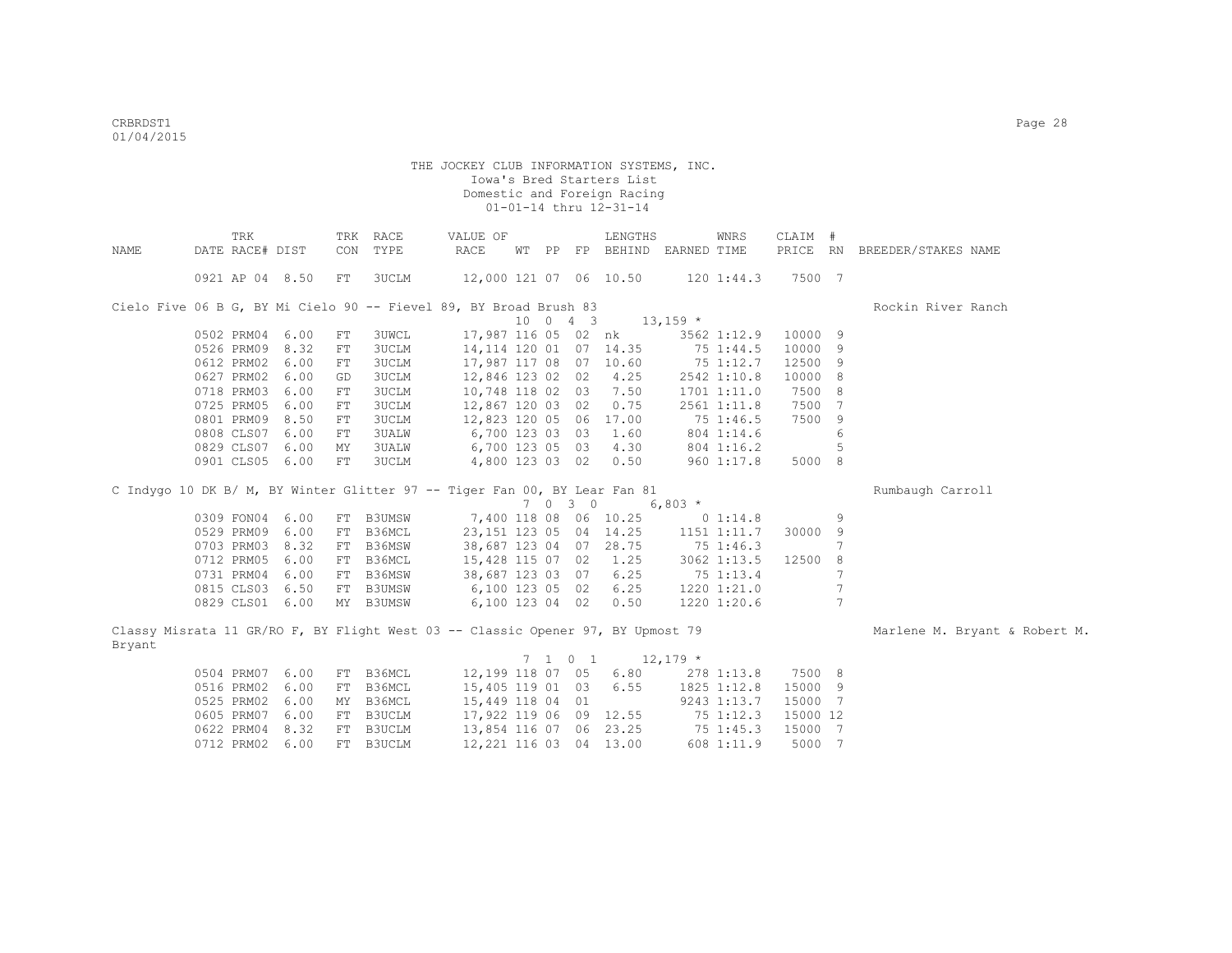| DATE RACE# DIST<br>CON<br>TYPE<br>RACE<br>PP FP BEHIND EARNED TIME<br>PRICE RN<br>BREEDER/STAKES NAME<br>NAME<br>WТ<br>12,000 121 07 06 10.50<br>7500 7<br>0921 AP 04 8.50<br>3UCLM<br>1201:44.3<br>FT<br>Cielo Five 06 B G, BY Mi Cielo 90 -- Fievel 89, BY Broad Brush 83<br>Rockin River Ranch<br>10 0 4 3<br>$13,159$ *<br>17,987 116 05 02 nk<br>9<br>0502 PRM04 6.00<br>3UWCL<br>3562 1:12.9<br>10000<br>FT<br>0526 PRM09 8.32<br>3UCLM<br>14, 114 120 01 07 14.35<br>10000<br>9<br>${\rm FT}$<br>75 1:44.5 |  |
|-------------------------------------------------------------------------------------------------------------------------------------------------------------------------------------------------------------------------------------------------------------------------------------------------------------------------------------------------------------------------------------------------------------------------------------------------------------------------------------------------------------------|--|
|                                                                                                                                                                                                                                                                                                                                                                                                                                                                                                                   |  |
|                                                                                                                                                                                                                                                                                                                                                                                                                                                                                                                   |  |
|                                                                                                                                                                                                                                                                                                                                                                                                                                                                                                                   |  |
|                                                                                                                                                                                                                                                                                                                                                                                                                                                                                                                   |  |
|                                                                                                                                                                                                                                                                                                                                                                                                                                                                                                                   |  |
|                                                                                                                                                                                                                                                                                                                                                                                                                                                                                                                   |  |
|                                                                                                                                                                                                                                                                                                                                                                                                                                                                                                                   |  |
| 0612 PRM02<br>6.00<br><b>3UCLM</b><br>17,987 117 08 07 10.60<br>12500<br>9<br>${\rm FT}$<br>75 1:12.7                                                                                                                                                                                                                                                                                                                                                                                                             |  |
| 0627 PRM02<br>6.00<br>3UCLM<br>12,846 123 02 02<br>4.25<br>2542 1:10.8<br>10000<br>8<br>GD                                                                                                                                                                                                                                                                                                                                                                                                                        |  |
| 0718 PRM03<br>6.00<br>3UCLM<br>10,748 118 02 03<br>7.50<br>7500<br>8<br>1701 1:11.0<br>FT                                                                                                                                                                                                                                                                                                                                                                                                                         |  |
| 0725 PRM05<br>6.00<br>3UCLM<br>0.75<br>7500<br>7<br>12,867 120 03 02<br>2561 1:11.8<br>FT                                                                                                                                                                                                                                                                                                                                                                                                                         |  |
| 0801 PRM09<br>8.50<br>3UCLM<br>17.00<br>7500<br>12,823 120 05 06<br>75 1:46.5<br>9<br>FT                                                                                                                                                                                                                                                                                                                                                                                                                          |  |
| 0808 CLS07<br>6.00<br>6,700 123 03 03<br><b>3UALW</b><br>1.60<br>804 1:14.6<br>6<br>FT                                                                                                                                                                                                                                                                                                                                                                                                                            |  |
| 0829 CLS07<br>6.00<br>4.30<br>5<br>3UALW<br>6,700 123 05 03<br>804 1:16.2<br>MΥ                                                                                                                                                                                                                                                                                                                                                                                                                                   |  |
| 0901 CLS05 6.00<br>FT<br>3UCLM<br>4,800 123 03 02<br>0.50<br>960 1:17.8<br>5000 8                                                                                                                                                                                                                                                                                                                                                                                                                                 |  |
|                                                                                                                                                                                                                                                                                                                                                                                                                                                                                                                   |  |
| C Indygo 10 DK B/ M, BY Winter Glitter 97 -- Tiger Fan 00, BY Lear Fan 81<br>Rumbaugh Carroll                                                                                                                                                                                                                                                                                                                                                                                                                     |  |
| 7030<br>$6,803$ *                                                                                                                                                                                                                                                                                                                                                                                                                                                                                                 |  |
| 7,400 118 08 06 10.25<br>0309 FON04 6.00<br>FT B3UMSW<br>9<br>0 1:14.8                                                                                                                                                                                                                                                                                                                                                                                                                                            |  |
| 0529 PRM09<br>6.00<br>B36MCL<br>23, 151 123 05 04 14.25<br>1151 1:11.7<br>30000 9<br>FT                                                                                                                                                                                                                                                                                                                                                                                                                           |  |
| 0703 PRM03<br>B36MSW<br>38,687 123 04 07 28.75<br>8.32<br>75 1:46.3<br>7<br>FT                                                                                                                                                                                                                                                                                                                                                                                                                                    |  |
| 0712 PRM05<br>6.00<br>FT B36MCL<br>15,428 115 07 02<br>1.25<br>3062 1:13.5<br>12500<br>8                                                                                                                                                                                                                                                                                                                                                                                                                          |  |
| 0731 PRM04<br>6.00<br>B36MSW<br>38,687 123 03 07<br>6.25<br>7<br>75 1:13.4<br>FT                                                                                                                                                                                                                                                                                                                                                                                                                                  |  |
| $\overline{7}$<br>0815 CLS03 6.50<br>6.25<br>FT B3UMSW<br>6,100 123 05 02<br>1220 1:21.0                                                                                                                                                                                                                                                                                                                                                                                                                          |  |
| $\overline{7}$<br>0.50<br>0829 CLS01 6.00<br>MY B3UMSW<br>6,100 123 04 02<br>1220 1:20.6                                                                                                                                                                                                                                                                                                                                                                                                                          |  |
|                                                                                                                                                                                                                                                                                                                                                                                                                                                                                                                   |  |
| Classy Misrata 11 GR/RO F, BY Flight West 03 -- Classic Opener 97, BY Upmost 79<br>Marlene M. Bryant & Robert M.                                                                                                                                                                                                                                                                                                                                                                                                  |  |
| Bryant                                                                                                                                                                                                                                                                                                                                                                                                                                                                                                            |  |
| 7 1 0 1<br>$12,179$ *                                                                                                                                                                                                                                                                                                                                                                                                                                                                                             |  |
| 12,199 118 07 05<br>0504 PRM07 6.00<br>FT B36MCL<br>6.80<br>7500 8<br>278 1:13.8                                                                                                                                                                                                                                                                                                                                                                                                                                  |  |
| 0516 PRM02 6.00<br>6.55<br>B36MCL<br>15,405 119 01 03<br>1825 1:12.8<br>15000 9<br>FT                                                                                                                                                                                                                                                                                                                                                                                                                             |  |
| 0525 PRM02 6.00<br>MY B36MCL<br>15,449 118 04 01<br>15000 7<br>9243 1:13.7                                                                                                                                                                                                                                                                                                                                                                                                                                        |  |
| 0605 PRM07<br>6.00<br>FT B3UCLM<br>17,922 119 06 09 12.55<br>15000 12<br>75 1:12.3                                                                                                                                                                                                                                                                                                                                                                                                                                |  |
| 0622 PRM04 8.32<br>FT B3UCLM<br>13,854 116 07 06 23.25<br>15000 7<br>75 1:45.3                                                                                                                                                                                                                                                                                                                                                                                                                                    |  |
| 0712 PRM02<br>6.00<br>FT B3UCLM<br>12,221 116 03 04 13.00<br>5000 7<br>608 1:11.9                                                                                                                                                                                                                                                                                                                                                                                                                                 |  |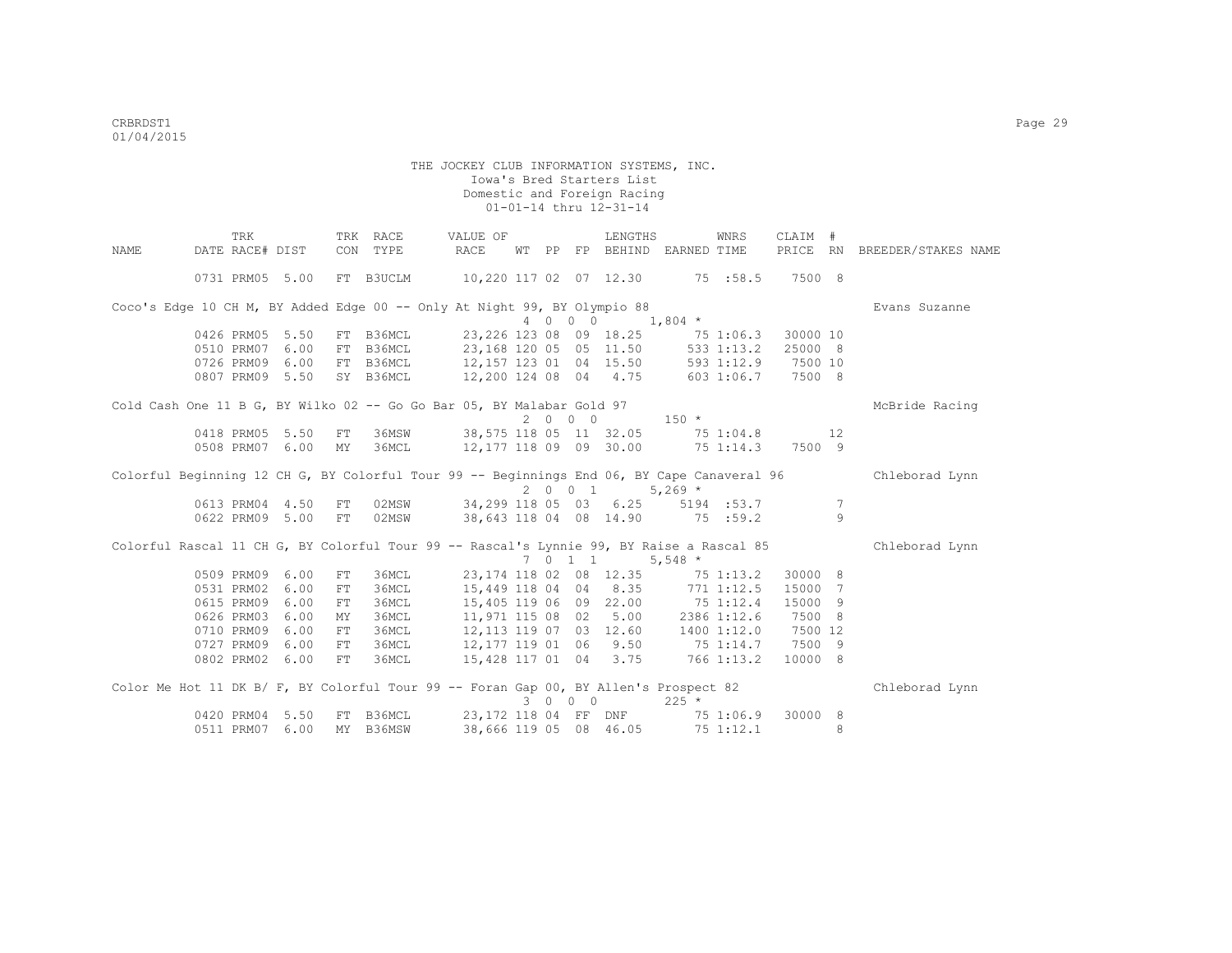|      | TRK             |                 |     | TRK RACE  | VALUE OF                                                                                   |    |    |         | LENGTHS                 |                                | WNRS       | CLAIM #  |         |                     |
|------|-----------------|-----------------|-----|-----------|--------------------------------------------------------------------------------------------|----|----|---------|-------------------------|--------------------------------|------------|----------|---------|---------------------|
| NAME | DATE RACE# DIST |                 | CON | TYPE      | RACE                                                                                       | WТ | PP | FP      |                         | BEHIND EARNED TIME             |            | PRICE RN |         | BREEDER/STAKES NAME |
|      |                 | 0731 PRM05 5.00 |     | FT B3UCLM | 10,220 117 02 07 12.30 75 :58.5                                                            |    |    |         |                         |                                |            | 7500 8   |         |                     |
|      |                 |                 |     |           | Coco's Edge 10 CH M, BY Added Edge 00 -- Only At Night 99, BY Olympio 88                   |    |    |         |                         |                                |            |          |         | Evans Suzanne       |
|      |                 |                 |     |           |                                                                                            |    |    | 4 0 0 0 |                         | $1,804$ *                      |            |          |         |                     |
|      |                 | 0426 PRM05 5.50 |     | FT B36MCL |                                                                                            |    |    |         | 23, 226 123 08 09 18.25 | 75 1:06.3                      |            | 30000 10 |         |                     |
|      | 0510 PRM07      | 6.00            |     |           | FT B36MCL 23,168 120 05 05 11.50 533 1:13.2                                                |    |    |         |                         |                                |            | 25000 8  |         |                     |
|      |                 | 0726 PRM09 6.00 |     |           | FT B36MCL 12,157 123 01 04 15.50 593 1:12.9 7500 10                                        |    |    |         |                         |                                |            |          |         |                     |
|      |                 | 0807 PRM09 5.50 |     |           | SY B36MCL 12,200 124 08 04 4.75                                                            |    |    |         |                         | 603 1:06.7                     |            | 7500 8   |         |                     |
|      |                 |                 |     |           | Cold Cash One 11 B G, BY Wilko 02 -- Go Go Bar 05, BY Malabar Gold 97                      |    |    |         |                         |                                |            |          |         | McBride Racing      |
|      |                 |                 |     |           |                                                                                            |    |    | 2000    |                         | $150 *$                        |            |          |         |                     |
|      |                 | 0418 PRM05 5.50 | FT  | 36MSW     | 38,575 118 05 11 32.05                                                                     |    |    |         |                         |                                | 75 1:04.8  |          | 12      |                     |
|      | 0508 PRM07      | 6.00            | MY  | 36MCL     | 12,177 118 09 09 30.00                                                                     |    |    |         |                         | $75 \t1:14.3$                  |            | 7500 9   |         |                     |
|      |                 |                 |     |           | Colorful Beginning 12 CH G, BY Colorful Tour 99 -- Beginnings End 06, BY Cape Canaveral 96 |    |    |         |                         |                                |            |          |         | Chleborad Lynn      |
|      |                 |                 |     |           |                                                                                            |    |    |         | 2 0 0 1                 | $5,269$ *                      |            |          |         |                     |
|      |                 | 0613 PRM04 4.50 | FT  |           | 02MSW 34,299 118 05 03 6.25                                                                |    |    |         |                         |                                | 5194 :53.7 |          | 7       |                     |
|      |                 | 0622 PRM09 5.00 | FT  | 02MSW     | 38,643 118 04 08 14.90 75 :59.2                                                            |    |    |         |                         |                                |            |          | $\circ$ |                     |
|      |                 |                 |     |           | Colorful Rascal 11 CH G, BY Colorful Tour 99 -- Rascal's Lynnie 99, BY Raise a Rascal 85   |    |    |         |                         |                                |            |          |         | Chleborad Lynn      |
|      |                 |                 |     |           |                                                                                            |    |    | 7 0 1 1 |                         | 5,548 $*$                      |            |          |         |                     |
|      |                 | 0509 PRM09 6.00 | FT  | 36MCL     |                                                                                            |    |    |         | 23, 174 118 02 08 12.35 | $75$ 1:13.2                    |            | 30000 8  |         |                     |
|      | 0531 PRM02      | 6.00            | FT  | 36MCL     |                                                                                            |    |    |         | 15,449 118 04 04 8.35   | 771 1:12.5                     |            | 15000 7  |         |                     |
|      | 0615 PRM09      | 6.00            | FT  | 36MCL     |                                                                                            |    |    |         | 15,405 119 06 09 22.00  | 75 1:12.4                      |            | 15000 9  |         |                     |
|      | 0626 PRM03      | 6.00            | MY  | 36MCL     | 11,971 115 08 02                                                                           |    |    |         |                         | $5.00$ 2386 1:12.6             |            | 7500 8   |         |                     |
|      | 0710 PRM09      | 6.00            | FT  | 36MCL     | 12,113 119 07 03 12.60 1400 1:12.0                                                         |    |    |         |                         |                                |            | 7500 12  |         |                     |
|      | 0727 PRM09      | 6.00            | FT  |           | 36MCL 12,177 119 01 06 9.50 75 1:14.7                                                      |    |    |         |                         |                                |            | 7500 9   |         |                     |
|      |                 | 0802 PRM02 6.00 | FT  | 36MCL     | 15,428 117 01 04 3.75 766 1:13.2                                                           |    |    |         |                         |                                |            | 10000 8  |         |                     |
|      |                 |                 |     |           | Color Me Hot 11 DK B/ F, BY Colorful Tour 99 -- Foran Gap 00, BY Allen's Prospect 82       |    |    | 3000    |                         | $225 *$                        |            |          |         | Chleborad Lynn      |
|      |                 | 0420 PRM04 5.50 |     | FT B36MCL |                                                                                            |    |    |         |                         |                                |            | 30000 8  |         |                     |
|      |                 | 0511 PRM07 6.00 |     | MY B36MSW |                                                                                            |    |    |         | 38,666 119 05 08 46.05  | 23,172 118 04 FF DNF 75 1:06.9 | 751:12.1   |          | 8       |                     |
|      |                 |                 |     |           |                                                                                            |    |    |         |                         |                                |            |          |         |                     |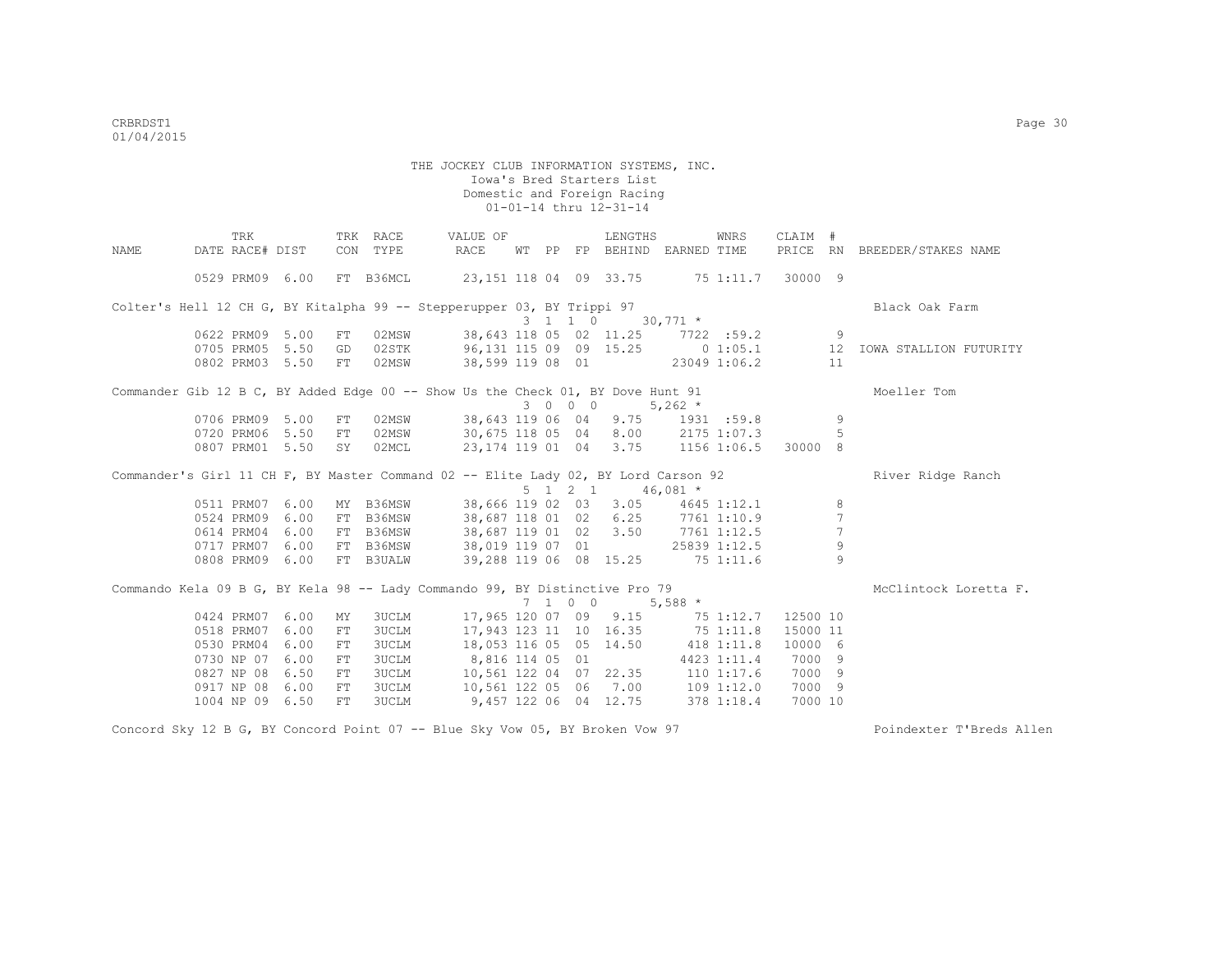|             |                          | TRK             |                 |          | TRK RACE       | VALUE OF                                                                           |  |         | LENGTHS                                          |                | WNRS        | CLAIM #           |                 |                              |
|-------------|--------------------------|-----------------|-----------------|----------|----------------|------------------------------------------------------------------------------------|--|---------|--------------------------------------------------|----------------|-------------|-------------------|-----------------|------------------------------|
| <b>NAME</b> | DATE RACE# DIST          |                 |                 |          | CON TYPE       | RACE                                                                               |  |         | WT PP FP BEHIND EARNED TIME                      |                |             |                   |                 | PRICE RN BREEDER/STAKES NAME |
|             |                          |                 |                 |          |                |                                                                                    |  |         |                                                  |                |             |                   |                 |                              |
|             |                          |                 | 0529 PRM09 6.00 |          | FT B36MCL      | 23,151 118 04 09 33.75 75 1:11.7 30000 9                                           |  |         |                                                  |                |             |                   |                 |                              |
|             |                          |                 |                 |          |                | Colter's Hell 12 CH G, BY Kitalpha 99 -- Stepperupper 03, BY Trippi 97             |  |         |                                                  |                |             |                   |                 | Black Oak Farm               |
|             |                          |                 |                 |          |                |                                                                                    |  |         | $3 \quad 1 \quad 1 \quad 0 \quad 30,771 \quad *$ |                |             |                   |                 |                              |
|             | 0622 PRM09               |                 | 5.00            | FT       | 02MSW          | 38,643 118 05 02 11.25 7722 :59.2                                                  |  |         |                                                  |                |             |                   | -9              |                              |
|             |                          | 0705 PRM05 5.50 |                 | GD       | 02STK          | 96,131 115 09 09 15.25                                                             |  |         |                                                  |                | 0 1:05.1    |                   | 12              | IOWA STALLION FUTURITY       |
|             |                          |                 | 0802 PRM03 5.50 | FT       | 02MSW          | 38,599 119 08 01 23049 1:06.2                                                      |  |         |                                                  |                |             |                   | 11              |                              |
|             |                          |                 |                 |          |                |                                                                                    |  |         |                                                  |                |             |                   |                 |                              |
|             |                          |                 |                 |          |                | Commander Gib 12 B C, BY Added Edge 00 -- Show Us the Check 01, BY Dove Hunt 91    |  |         |                                                  |                |             |                   |                 | Moeller Tom                  |
|             |                          |                 |                 |          |                |                                                                                    |  | 3 0 0 0 |                                                  | $5,262$ *      |             |                   |                 |                              |
|             |                          | 0706 PRM09 5.00 |                 | FT       | 02MSW          | 38,643 119 06 04 9.75                                                              |  |         |                                                  |                | 1931 : 59.8 |                   | -9              |                              |
|             | 0720 PRM06               |                 | 5.50            | FT       | 02MSW          | 30,675 118 05 04 8.00                                                              |  |         |                                                  |                | 2175 1:07.3 |                   | .5              |                              |
|             |                          |                 | 0807 PRM01 5.50 | SY       | 02MCL          | 23, 174 119 01 04 3.75 1156 1:06.5 30000 8                                         |  |         |                                                  |                |             |                   |                 |                              |
|             |                          |                 |                 |          |                |                                                                                    |  |         |                                                  |                |             |                   |                 |                              |
|             |                          |                 |                 |          |                |                                                                                    |  |         |                                                  |                |             |                   |                 |                              |
|             |                          |                 |                 |          |                | Commander's Girl 11 CH F, BY Master Command 02 -- Elite Lady 02, BY Lord Carson 92 |  |         | $5 \t1 \t2 \t1 \t46.081$ *                       |                |             |                   |                 | River Ridge Ranch            |
|             | 0511 PRM07               |                 | 6.00            | MY       | B36MSW         | 38,666 119 02 03 3.05                                                              |  |         |                                                  |                | 4645 1:12.1 |                   | 8               |                              |
|             | 0524 PRM09               |                 | 6.00            |          | FT B36MSW      | 38,687 118 01 02 6.25                                                              |  |         |                                                  |                | 7761 1:10.9 |                   | $7\phantom{.0}$ |                              |
|             | 0614 PRM04               |                 | 6.00            |          | FT B36MSW      |                                                                                    |  |         |                                                  |                |             |                   | $7\phantom{.0}$ |                              |
|             | 0717 PRM07               |                 | 6.00            |          | FT B36MSW      | 38,687 119 01 02 3.50 7761 1:12.5<br>38,019 119 07 01 25839 1:12.5                 |  |         |                                                  |                |             |                   | 9               |                              |
|             |                          | 0808 PRM09 6.00 |                 |          | FT B3UALW      | 39,288 119 06 08 15.25 75 1:11.6                                                   |  |         |                                                  |                |             |                   | $\mathsf{Q}$    |                              |
|             |                          |                 |                 |          |                |                                                                                    |  |         |                                                  |                |             |                   |                 |                              |
|             |                          |                 |                 |          |                | Commando Kela 09 B G, BY Kela 98 -- Lady Commando 99, BY Distinctive Pro 79        |  |         |                                                  |                |             |                   |                 | McClintock Loretta F.        |
|             |                          |                 |                 |          |                |                                                                                    |  |         | 7 1 0 0                                          | $5,588$ *      |             |                   |                 |                              |
|             | 0424 PRM07               |                 | 6.00            | MY       | <b>3UCLM</b>   | 17,965 120 07 09 9.15                                                              |  |         |                                                  |                | 75 1:12.7   | 12500 10          |                 |                              |
|             | 0518 PRM07               |                 | 6.00            | FT       | 3UCLM          | 17,943 123 11 10 16.35 75 1:11.8                                                   |  |         |                                                  |                |             | 15000 11          |                 |                              |
|             | 0530 PRM04               |                 | 6.00            | FT       | <b>3UCLM</b>   | 18,053 116 05 05 14.50 418 1:11.8                                                  |  |         |                                                  |                |             | 10000 6           |                 |                              |
|             | 0730 NP 07               |                 | 6.00            | FT       | 3UCLM          | 8,816 114 05 01                                                                    |  |         |                                                  |                | 4423 1:11.4 | 7000 9            |                 |                              |
|             | 0827 NP 08               |                 | 6.50            | FT       | 3UCLM          | 10,561 122 04 07 22.35                                                             |  |         |                                                  | $110$ $1:17.6$ |             | 7000 9            |                 |                              |
|             | 0917 NP 08<br>1004 NP 09 |                 | 6.00<br>6.50    | FT<br>FT | 3UCLM<br>3UCLM | 10,561 122 05 06 7.00 109 1:12.0<br>9,457 122 06 04 12.75                          |  |         |                                                  |                | 378 1:18.4  | 7000 9<br>7000 10 |                 |                              |

Concord Sky 12 B G, BY Concord Point 07 -- Blue Sky Vow 05, BY Broken Vow 97 Poindexter T'Breds Allen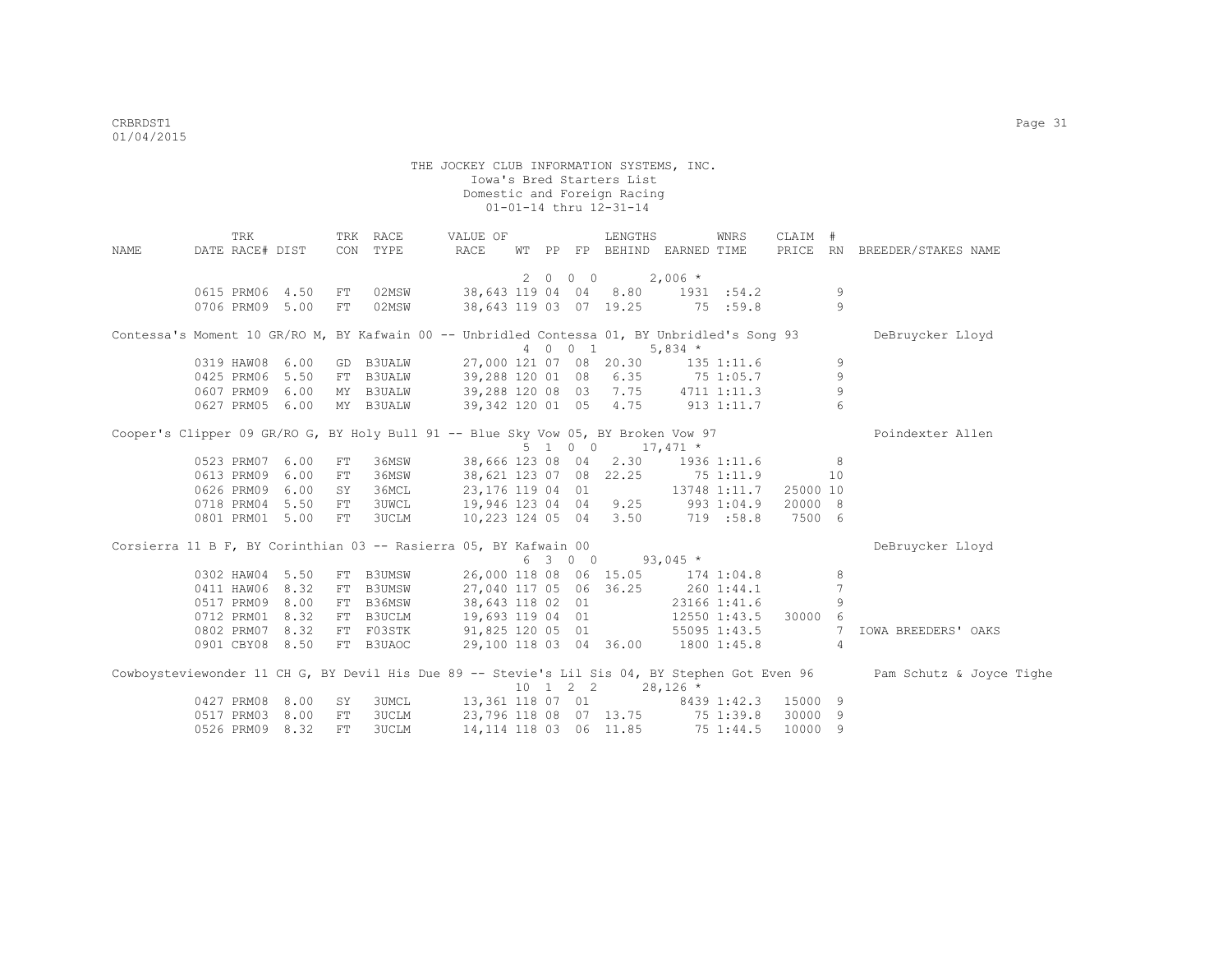| NAME | TRK<br>DATE RACE# DIST                                                                       |      |    | TRK RACE<br>CON TYPE   | VALUE OF<br>RACE                        |  |         | LENGTHS<br>WT PP FP BEHIND EARNED TIME                                |              | WNRS         | CLAIM #            |                      | PRICE RN BREEDER/STAKES NAME                                                                                            |
|------|----------------------------------------------------------------------------------------------|------|----|------------------------|-----------------------------------------|--|---------|-----------------------------------------------------------------------|--------------|--------------|--------------------|----------------------|-------------------------------------------------------------------------------------------------------------------------|
|      |                                                                                              |      |    |                        |                                         |  | 2 0 0 0 | $2,006$ *                                                             |              |              |                    |                      |                                                                                                                         |
|      | 0615 PRM06 4.50<br>0706 PRM09 5.00                                                           |      | FT | FT 02MSW<br>02MSW      |                                         |  |         | 38,643 119 04 04 8.80 1931 :54.2<br>38,643 119 03 07 19.25 75 :59.8   |              |              |                    | 9<br>9               |                                                                                                                         |
|      | Contessa's Moment 10 GR/RO M, BY Kafwain 00 -- Unbridled Contessa 01, BY Unbridled's Song 93 |      |    |                        |                                         |  |         |                                                                       |              |              |                    |                      | DeBruycker Lloyd                                                                                                        |
|      |                                                                                              |      |    |                        |                                         |  | 4 0 0 1 |                                                                       | 5,834 $*$    |              |                    |                      |                                                                                                                         |
|      | 0319 HAW08                                                                                   | 6.00 |    | GD B3UALW              |                                         |  |         | 27,000 121 07 08 20.30 135 1:11.6                                     |              |              |                    | 9                    |                                                                                                                         |
|      | 0425 PRM06                                                                                   | 5.50 |    | FT B3UALW              | 39,288 120 01 08 6.35                   |  |         |                                                                       | 75 1:05.7    |              |                    | 9                    |                                                                                                                         |
|      | 0607 PRM09<br>0627 PRM05 6.00                                                                | 6.00 |    | MY B3UALW<br>MY B3UALW |                                         |  |         | 39,288 120 08 03 7.75 4711 1:11.3<br>39,342 120 01 05 4.75 913 1:11.7 |              |              |                    | 9<br>$6\overline{6}$ |                                                                                                                         |
|      | Cooper's Clipper 09 GR/RO G, BY Holy Bull 91 -- Blue Sky Vow 05, BY Broken Vow 97            |      |    |                        |                                         |  |         |                                                                       |              |              |                    |                      | Poindexter Allen                                                                                                        |
|      |                                                                                              |      |    |                        |                                         |  |         | $5 \t1 \t0 \t0 \t17,471 \t*$                                          |              |              |                    |                      |                                                                                                                         |
|      | 0523 PRM07 6.00                                                                              |      | FT | 36MSW                  |                                         |  |         | 38,666 123 08 04 2.30 1936 1:11.6                                     |              |              |                    | 8                    |                                                                                                                         |
|      | 0613 PRM09                                                                                   | 6.00 | FT | 36MSW                  |                                         |  |         | 38,621 123 07 08 22.25 75 1:11.9                                      |              |              |                    | 10                   |                                                                                                                         |
|      | 0626 PRM09                                                                                   | 6.00 | SY | 36MCL                  |                                         |  |         | 23,176 119 04 01                                                      |              | 13748 1:11.7 | 25000 10           |                      |                                                                                                                         |
|      | 0718 PRM04 5.50                                                                              |      | FT | 3UWCL                  |                                         |  |         | 19,946 123 04 04 9.25 993 1:04.9                                      |              |              | 20000 8            |                      |                                                                                                                         |
|      | 0801 PRM01 5.00                                                                              |      |    | FT 3UCLM               |                                         |  |         | $10,223$ 124 05 04 3.50 719 :58.8                                     |              |              | 7500 6             |                      |                                                                                                                         |
|      | Corsierra 11 B F, BY Corinthian 03 -- Rasierra 05, BY Kafwain 00                             |      |    |                        |                                         |  |         |                                                                       |              |              |                    |                      | DeBruycker Lloyd                                                                                                        |
|      |                                                                                              |      |    |                        |                                         |  | 6 3 0 0 |                                                                       | $93,045$ *   |              |                    |                      |                                                                                                                         |
|      | 0302 HAW04                                                                                   | 5.50 |    | FT B3UMSW              |                                         |  |         | 26,000 118 08 06 15.05 174 1:04.8                                     |              |              |                    | 8                    |                                                                                                                         |
|      | 0411 HAW06                                                                                   | 8.32 |    | FT B3UMSW              |                                         |  |         | 27,040 117 05 06 36.25                                                | 260 1:44.1   |              |                    | $\overline{7}$       |                                                                                                                         |
|      | 0517 PRM09                                                                                   | 8.00 |    | FT B36MSW              | 38,643 118 02 01                        |  |         |                                                                       | 23166 1:41.6 |              |                    | $\overline{9}$       |                                                                                                                         |
|      | 0712 PRM01                                                                                   | 8.32 |    | FT B3UCLM              |                                         |  |         | 19,693 119 04 01 12550 1:43.5 30000                                   |              |              |                    | 6                    |                                                                                                                         |
|      | 0802 PRM07 8.32                                                                              |      |    |                        | FT F03STK 91,825 120 05 01 55095 1:43.5 |  |         |                                                                       |              |              |                    | 7                    | IOWA BREEDERS' OAKS                                                                                                     |
|      | 0901 CBY08 8.50                                                                              |      |    | FT B3UAOC              |                                         |  |         | 29,100 118 03 04 36.00 1800 1:45.8                                    |              |              |                    | $\overline{4}$       |                                                                                                                         |
|      |                                                                                              |      |    |                        |                                         |  |         |                                                                       |              |              |                    |                      | Cowboysteviewonder 11 CH G, BY Devil His Due 89 -- Stevie's Lil Sis 04, BY Stephen Got Even 96 Pam Schutz & Joyce Tighe |
|      |                                                                                              |      |    |                        |                                         |  |         | $10 \quad 1 \quad 2 \quad 2 \quad 28,126 \star$                       |              |              |                    |                      |                                                                                                                         |
|      | 0427 PRM08                                                                                   | 8.00 | SY | 3UMCL                  |                                         |  |         | 13,361 118 07 01 8439 1:42.3<br>23,796 118 08 07 13.75 75 1:39.8      |              |              | 15000 9<br>30000 9 |                      |                                                                                                                         |
|      | 0517 PRM03                                                                                   | 8.00 | FT | 3UCLM                  |                                         |  |         |                                                                       |              |              |                    |                      |                                                                                                                         |
|      | 0526 PRM09 8.32                                                                              |      | FT | <b>3UCLM</b>           |                                         |  |         | 14, 114 118 03 06 11.85                                               |              | 75 1:44.5    | 10000 9            |                      |                                                                                                                         |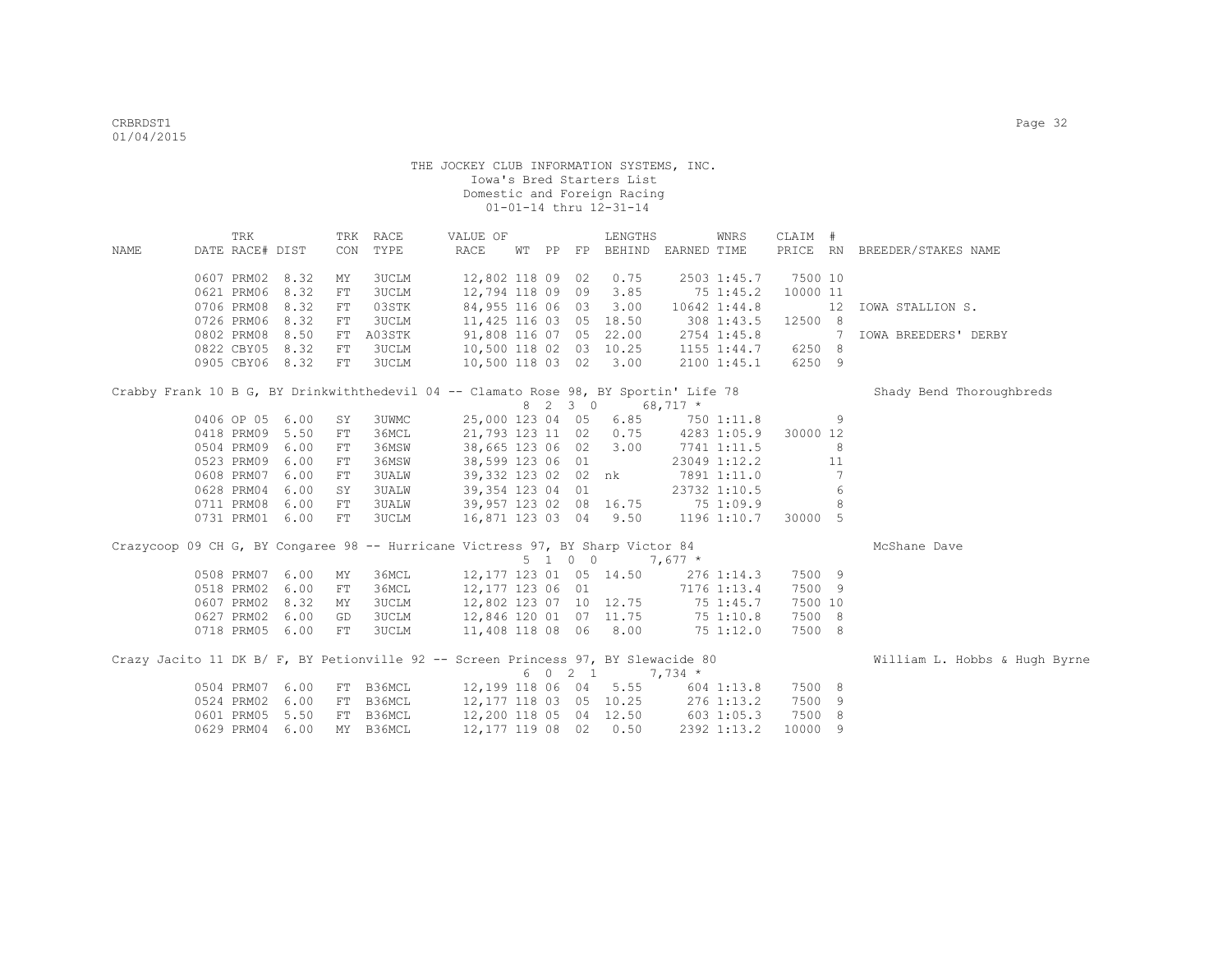|                                                                                      | TRK             |      |            | TRK RACE     | VALUE OF               |  | LENGTHS                                    |         | WNRS                | CLAIM #        |    |                               |
|--------------------------------------------------------------------------------------|-----------------|------|------------|--------------|------------------------|--|--------------------------------------------|---------|---------------------|----------------|----|-------------------------------|
| NAME                                                                                 | DATE RACE# DIST |      | CON        | TYPE         | RACE                   |  | WT PP FP BEHIND EARNED TIME                |         |                     |                |    | PRICE RN BREEDER/STAKES NAME  |
|                                                                                      | 0607 PRM02 8.32 |      | MΥ         | <b>3UCLM</b> | 12,802 118 09 02       |  | 0.75                                       |         | 2503 1:45.7         | 7500 10        |    |                               |
|                                                                                      | 0621 PRM06 8.32 |      | FT         | 3UCLM        | 12,794 118 09 09 3.85  |  |                                            |         | 75 1:45.2           | 10000 11       |    |                               |
|                                                                                      | 0706 PRM08 8.32 |      | FT         | 03STK        | 84,955 116 06 03 3.00  |  |                                            |         | 10642 1:44.8        |                |    | 12 IOWA STALLION S.           |
|                                                                                      | 0726 PRM06 8.32 |      | FT         | 3UCLM        | 11,425 116 03 05 18.50 |  |                                            |         | 308 1:43.5          | 12500 8        |    |                               |
|                                                                                      | 0802 PRM08 8.50 |      | FT         | A03STK       | 91,808 116 07 05 22.00 |  |                                            |         | 2754 1:45.8         | $\overline{7}$ |    | IOWA BREEDERS' DERBY          |
|                                                                                      | 0822 CBY05 8.32 |      | FT         | 3UCLM        |                        |  | 10,500 118 02 03 10.25 1155 1:44.7         |         |                     | 6250 8         |    |                               |
|                                                                                      | 0905 CBY06 8.32 |      | FT         | 3UCLM        | 10,500 118 03 02 3.00  |  |                                            |         | 2100 1:45.1         | 6250 9         |    |                               |
| Crabby Frank 10 B G, BY Drinkwiththedevil 04 -- Clamato Rose 98, BY Sportin' Life 78 |                 |      |            |              |                        |  |                                            |         |                     |                |    | Shady Bend Thoroughbreds      |
|                                                                                      |                 |      |            |              |                        |  | 8 2 3 0 68,717 *                           |         |                     |                |    |                               |
|                                                                                      | 0406 OP 05 6.00 |      | SY         | 3UWMC        |                        |  | 25,000 123 04 05 6.85 750 1:11.8           |         |                     |                | 9  |                               |
|                                                                                      | 0418 PRM09 5.50 |      | ${\rm FT}$ | 36MCL        |                        |  | 21,793 123 11 02 0.75 4283 1:05.9 30000 12 |         |                     |                |    |                               |
|                                                                                      | 0504 PRM09      | 6.00 | FT         | 36MSW        | 38,665 123 06 02 3.00  |  |                                            |         | 7741 1:11.5         |                | 8  |                               |
|                                                                                      | 0523 PRM09      | 6.00 | FT         | 36MSW        | 38,599 123 06 01       |  |                                            |         | 23049 1:12.2        |                | 11 |                               |
|                                                                                      | 0608 PRM07      | 6.00 | FT         | <b>3UALW</b> |                        |  | 39,332 123 02 02 nk 7891 1:11.0            |         |                     |                | 7  |                               |
|                                                                                      | 0628 PRM04      | 6.00 | SY         | <b>3UALW</b> | 39,354 123 04 01       |  |                                            |         | 23732 1:10.5        |                | 6  |                               |
|                                                                                      | 0711 PRM08 6.00 |      | FT         | 3UALW        |                        |  | 39,957 123 02 08 16.75 75 1:09.9           |         |                     |                | 8  |                               |
|                                                                                      | 0731 PRM01 6.00 |      | FT         | 3UCLM        | 16,871 123 03 04 9.50  |  |                                            |         | 1196 1:10.7 30000 5 |                |    |                               |
| Crazycoop 09 CH G, BY Congaree 98 -- Hurricane Victress 97, BY Sharp Victor 84       |                 |      |            |              |                        |  |                                            |         |                     |                |    | McShane Dave                  |
|                                                                                      |                 |      |            |              |                        |  | $5 \t1 \t0 \t0 \t7.677 \t\t*$              |         |                     |                |    |                               |
|                                                                                      | 0508 PRM07      | 6.00 | МY         | 36MCL        |                        |  | 12,177 123 01 05 14.50                     |         | 276 1:14.3          | 7500 9         |    |                               |
|                                                                                      | 0518 PRM02      | 6.00 | ${\rm FT}$ | 36MCL        | 12,177 123 06 01       |  | 7176 1:13.4                                |         |                     | 7500 9         |    |                               |
|                                                                                      | 0607 PRM02      | 8.32 | МY         | <b>3UCLM</b> |                        |  | 12,802 123 07 10 12.75 75 1:45.7           |         |                     | 7500 10        |    |                               |
|                                                                                      | 0627 PRM02      | 6.00 | GD         | 3UCLM        |                        |  | 12,846 120 01 07 11.75 75 1:10.8           |         |                     | 7500 8         |    |                               |
|                                                                                      | 0718 PRM05 6.00 |      | FT         | 3UCLM        |                        |  | 11,408 118 08 06 8.00 75 1:12.0            |         |                     | 7500 8         |    |                               |
| Crazy Jacito 11 DK B/ F, BY Petionville 92 -- Screen Princess 97, BY Slewacide 80    |                 |      |            |              |                        |  |                                            |         |                     |                |    | William L. Hobbs & Hugh Byrne |
|                                                                                      |                 |      |            |              |                        |  | 6 0 2 1                                    | 7,734 * |                     |                |    |                               |
|                                                                                      | 0504 PRM07 6.00 |      |            | FT B36MCL    |                        |  | 12,199 118 06 04 5.55                      |         | $604$ 1:13.8        | 7500 8         |    |                               |
|                                                                                      | 0524 PRM02 6.00 |      |            | FT B36MCL    |                        |  | 12,177 118 03 05 10.25                     |         | 276 1:13.2          | 7500 9         |    |                               |
|                                                                                      | 0601 PRM05 5.50 |      |            | FT B36MCL    | 12,200 118 05 04 12.50 |  |                                            |         | 603 1:05.3          | 7500 8         |    |                               |
|                                                                                      | 0629 PRM04 6.00 |      |            | MY B36MCL    | 12,177 119 08 02 0.50  |  |                                            |         | 2392 1:13.2         | 10000 9        |    |                               |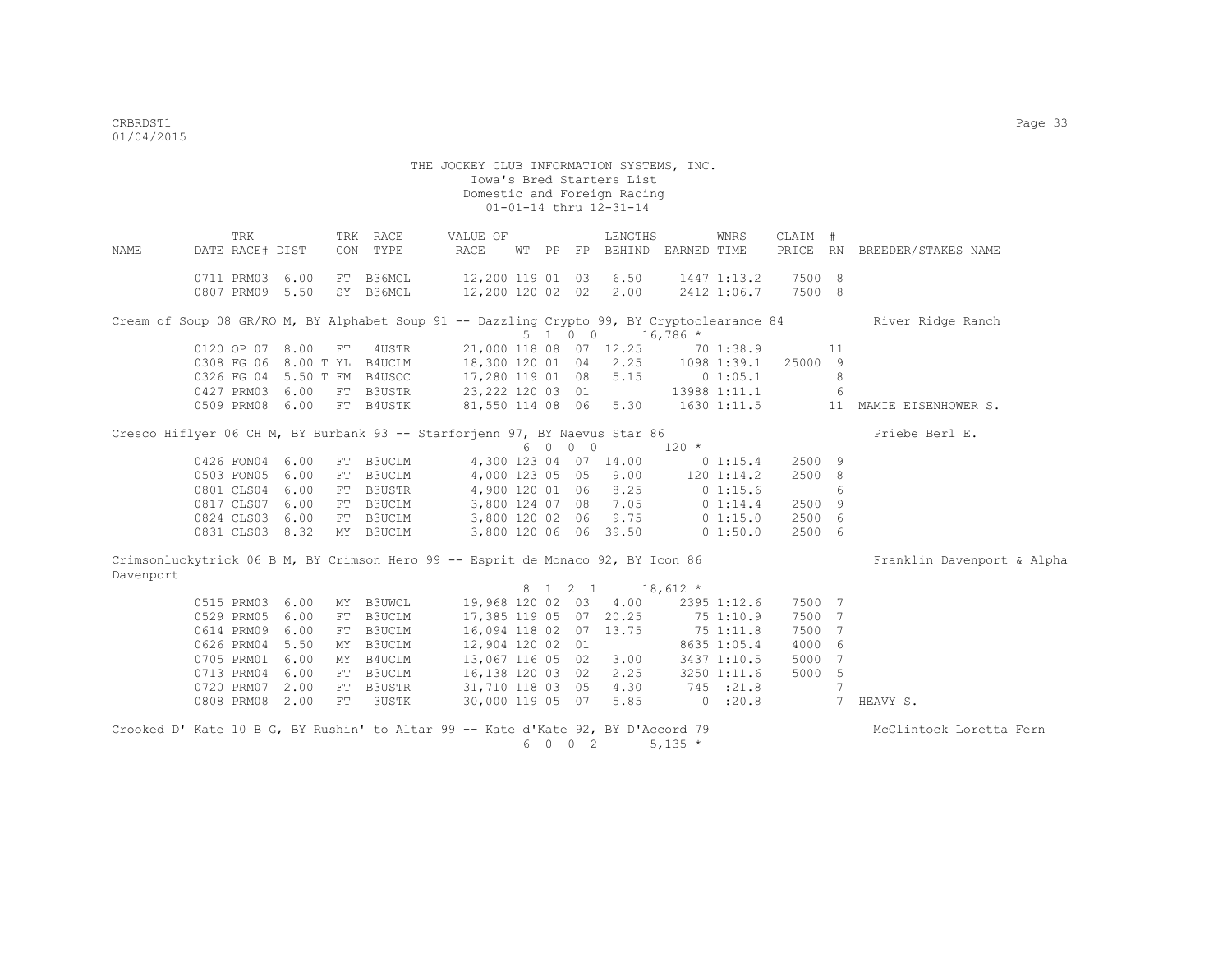|           | TRK                         |      |    | TRK RACE  | VALUE OF                                                                                   |  |         | LENGTHS                     |            | WNRS         | CLAIM # |                 |                              |
|-----------|-----------------------------|------|----|-----------|--------------------------------------------------------------------------------------------|--|---------|-----------------------------|------------|--------------|---------|-----------------|------------------------------|
| NAME      | DATE RACE# DIST             |      |    | CON TYPE  | RACE                                                                                       |  |         | WT PP FP BEHIND EARNED TIME |            |              |         |                 | PRICE RN BREEDER/STAKES NAME |
|           |                             |      |    |           |                                                                                            |  |         |                             |            |              |         |                 |                              |
|           | 0711 PRM03 6.00             |      |    | FT B36MCL | 12,200 119 01 03 6.50                                                                      |  |         |                             |            | 1447 1:13.2  | 7500 8  |                 |                              |
|           | 0807 PRM09 5.50             |      |    | SY B36MCL | 12,200 120 02 02 2.00                                                                      |  |         |                             |            | 2412 1:06.7  | 7500 8  |                 |                              |
|           |                             |      |    |           | Cream of Soup 08 GR/RO M, BY Alphabet Soup 91 -- Dazzling Crypto 99, BY Cryptoclearance 84 |  |         |                             |            |              |         |                 | River Ridge Ranch            |
|           |                             |      |    |           |                                                                                            |  | 5 1 0 0 |                             | $16,786$ * |              |         |                 |                              |
|           | 0120 OP 07 8.00             |      | FT | 4USTR     |                                                                                            |  |         | 21,000 118 08 07 12.25      |            | 70 1:38.9    |         | 11              |                              |
|           | 0308 FG 06 8.00 T YL B4UCLM |      |    |           | 18,300 120 01 04 2.25                                                                      |  |         |                             |            | 1098 1:39.1  | 25000 9 |                 |                              |
|           | 0326 FG 04 5.50 T FM B4USOC |      |    |           | 17,280 119 01 08 5.15                                                                      |  |         |                             |            | 0 1:05.1     |         | 8               |                              |
|           | 0427 PRM03 6.00             |      |    | FT B3USTR | 23, 222 120 03 01                                                                          |  |         |                             |            | 13988 1:11.1 |         | 6               |                              |
|           | 0509 PRM08 6.00             |      |    | FT B4USTK | 81,550 114 08 06 5.30                                                                      |  |         |                             |            | 1630 1:11.5  |         | 11              | MAMIE EISENHOWER S.          |
|           |                             |      |    |           | Cresco Hiflyer 06 CH M, BY Burbank 93 -- Starforjenn 97, BY Naevus Star 86                 |  |         |                             |            |              |         |                 | Priebe Berl E.               |
|           |                             |      |    |           |                                                                                            |  | 6 0 0 0 |                             | $120 *$    |              |         |                 |                              |
|           | 0426 FON04                  | 6.00 |    | FT B3UCLM |                                                                                            |  |         | 4,300 123 04 07 14.00       |            | 0 1:15.4     | 2500 9  |                 |                              |
|           | 0503 FON05                  | 6.00 |    | FT B3UCLM |                                                                                            |  |         | 4,000 123 05 05 9.00        |            | 120 1:14.2   | 2500 8  |                 |                              |
|           | 0801 CLS04                  | 6.00 |    | FT B3USTR |                                                                                            |  |         | 4,900 120 01 06 8.25        |            | 01:15.6      |         | 6               |                              |
|           | 0817 CLS07 6.00             |      |    | FT B3UCLM |                                                                                            |  |         | 3,800 124 07 08 7.05        |            | 0 1:14.4     | 2500 9  |                 |                              |
|           | 0824 CLS03 6.00             |      |    | FT B3UCLM |                                                                                            |  |         | 3,800 120 02 06 9.75        |            | 0 1:15.0     | 2500 6  |                 |                              |
|           | 0831 CLS03 8.32             |      |    | MY B3UCLM |                                                                                            |  |         | 3,800 120 06 06 39.50       |            | 01:50.0      | 2500 6  |                 |                              |
|           |                             |      |    |           | Crimsonluckytrick 06 B M, BY Crimson Hero 99 -- Esprit de Monaco 92, BY Icon 86            |  |         |                             |            |              |         |                 | Franklin Davenport & Alpha   |
| Davenport |                             |      |    |           |                                                                                            |  |         |                             |            |              |         |                 |                              |
|           |                             |      |    |           |                                                                                            |  | 8 1 2 1 |                             | $18,612$ * |              |         |                 |                              |
|           | 0515 PRM03 6.00             |      |    | MY B3UWCL |                                                                                            |  |         | 19,968 120 02 03 4.00       |            | 2395 1:12.6  | 7500 7  |                 |                              |
|           | 0529 PRM05                  | 6.00 |    | FT B3UCLM | 17,385 119 05 07 20.25                                                                     |  |         |                             |            | 75 1:10.9    | 7500 7  |                 |                              |
|           | 0614 PRM09                  | 6.00 |    | FT B3UCLM | 16,094 118 02 07 13.75                                                                     |  |         |                             |            | 751:11.8     | 7500 7  |                 |                              |
|           | 0626 PRM04                  | 5.50 |    | MY B3UCLM | 12,904 120 02 01                                                                           |  |         |                             |            | 8635 1:05.4  | 4000 6  |                 |                              |
|           | 0705 PRM01 6.00             |      |    | MY B4UCLM | 13,067 116 05 02 3.00                                                                      |  |         |                             |            | 3437 1:10.5  | 5000 7  |                 |                              |
|           | 0713 PRM04 6.00             |      |    | FT B3UCLM | 16,138 120 03 02 2.25                                                                      |  |         |                             |            | 3250 1:11.6  | 5000 5  |                 |                              |
|           | 0720 PRM07 2.00             |      |    | FT B3USTR | 31,710 118 03 05 4.30                                                                      |  |         |                             |            | 745 :21.8    |         | 7               |                              |
|           | 0808 PRM08 2.00             |      | FT | 3USTK     |                                                                                            |  |         | 30,000 119 05 07 5.85       |            | $0$ : 20.8   |         | $7\phantom{.0}$ | HEAVY S.                     |
|           |                             |      |    |           | Crooked D' Kate 10 B G, BY Rushin' to Altar 99 -- Kate d'Kate 92, BY D'Accord 79           |  |         |                             |            |              |         |                 | McClintock Loretta Fern      |
|           |                             |      |    |           |                                                                                            |  | 6 0 0 2 |                             | $5,135$ *  |              |         |                 |                              |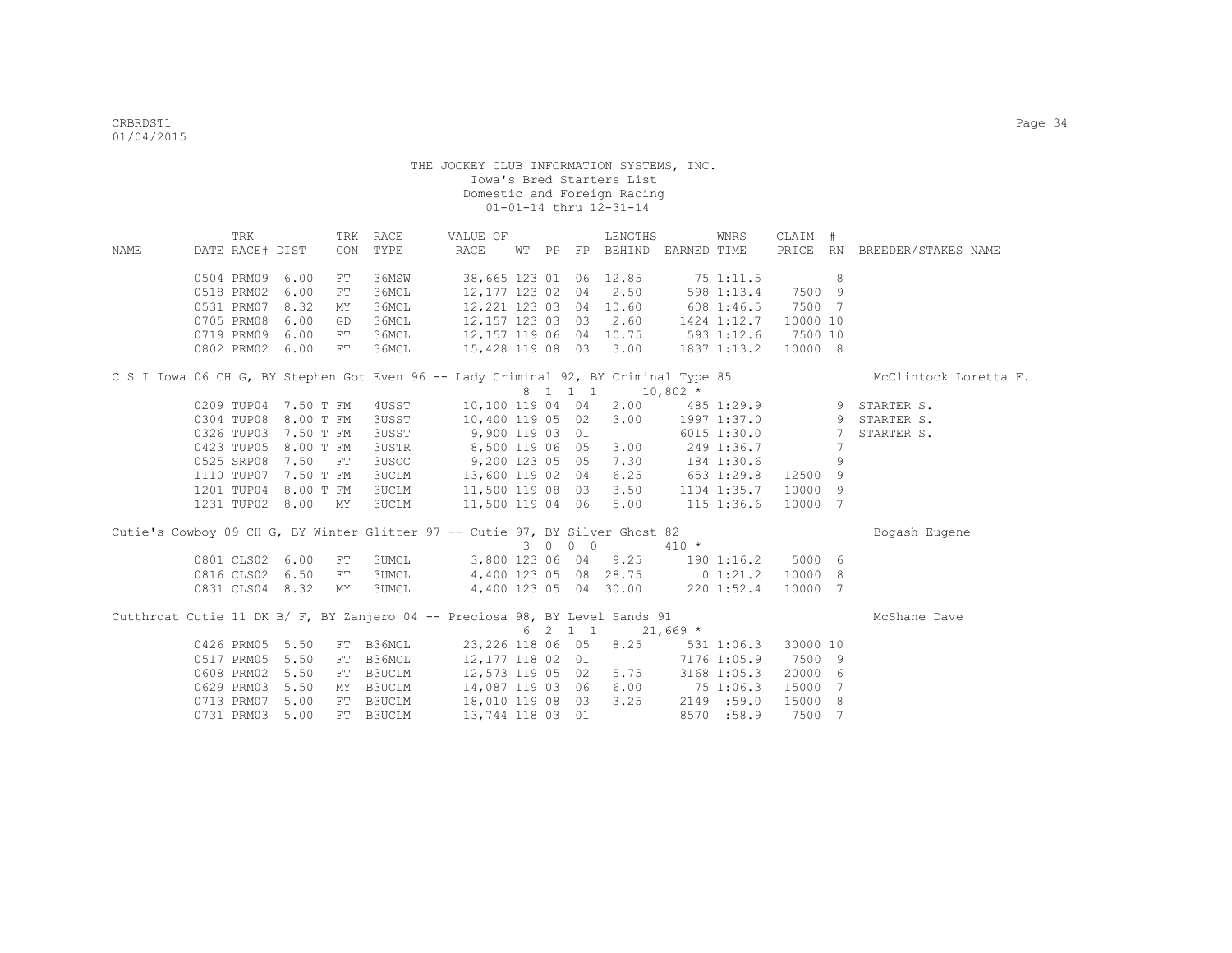| NAME                                                                                | TRK             |                      | CON | TRK RACE<br>TYPE | VALUE OF<br>RACE |  |         | LENGTHS<br>WT PP FP BEHIND EARNED TIME                  |         | WNRS              | CLAIM #  |                 |                               |
|-------------------------------------------------------------------------------------|-----------------|----------------------|-----|------------------|------------------|--|---------|---------------------------------------------------------|---------|-------------------|----------|-----------------|-------------------------------|
|                                                                                     | DATE RACE# DIST |                      |     |                  |                  |  |         |                                                         |         |                   |          |                 | PRICE RN BREEDER/STAKES NAME  |
|                                                                                     | 0504 PRM09 6.00 |                      | FT  | 36MSW            |                  |  |         | 38,665 123 01 06 12.85 75 1:11.5                        |         |                   |          | 8               |                               |
|                                                                                     | 0518 PRM02      | 6.00                 | FT  | 36MCL            |                  |  |         | 12,177 123 02 04 2.50                                   |         | 598 1:13.4 7500 9 |          |                 |                               |
|                                                                                     | 0531 PRM07      | 8.32                 | MY  | 36MCL            |                  |  |         | 12,221 123 03 04 10.60                                  |         | 608 1:46.5 7500 7 |          |                 |                               |
|                                                                                     | 0705 PRM08      | 6.00                 | GD  | 36MCL            |                  |  |         | 12,157 123 03 03 2.60                                   |         | 1424 1:12.7       | 10000 10 |                 |                               |
|                                                                                     | 0719 PRM09      | 6.00                 | FT  | 36MCL            |                  |  |         | 12,157 119 06 04 10.75 593 1:12.6 7500 10               |         |                   |          |                 |                               |
|                                                                                     | 0802 PRM02 6.00 |                      | FT  | 36MCL            |                  |  |         | 15,428 119 08 03 3.00                                   |         | 1837 1:13.2       | 10000 8  |                 |                               |
| C S I Iowa 06 CH G, BY Stephen Got Even 96 -- Lady Criminal 92, BY Criminal Type 85 |                 |                      |     |                  |                  |  |         |                                                         |         |                   |          |                 | McClintock Loretta F.         |
|                                                                                     |                 |                      |     |                  |                  |  |         | 8 1 1 1 1 10,802 *                                      |         |                   |          |                 |                               |
|                                                                                     |                 | 0209 TUP04 7.50 T FM |     | 4USST            |                  |  |         | 10,100 119 04 04 2.00                                   |         |                   |          |                 | $485$ 1:29.9 9 STARTER S.     |
|                                                                                     |                 | 0304 TUP08 8.00 T FM |     | 3USST            | 10,400 119 05 02 |  |         |                                                         |         |                   |          |                 | 3.00 1997 1:37.0 9 STARTER S. |
|                                                                                     |                 | 0326 TUP03 7.50 T FM |     | 3USST            | 9,900 119 03 01  |  |         |                                                         |         | $6015$ 1:30.0     |          | $7\overline{ }$ | STARTER S.                    |
|                                                                                     |                 | 0423 TUP05 8.00 T FM |     | 3USTR            |                  |  |         | 8,500 119 06 05 3.00                                    |         | 249 1:36.7        |          | 7               |                               |
|                                                                                     | 0525 SRP08 7.50 |                      | FT  | 3USOC            |                  |  |         | 9,200 123 05 05 7.30 184 1:30.6                         |         |                   |          | 9               |                               |
|                                                                                     |                 | 1110 TUP07 7.50 T FM |     | 3UCLM            |                  |  |         | 13,600 119 02 04 6.25 653 1:29.8 12500 9                |         |                   |          |                 |                               |
|                                                                                     |                 | 1201 TUP04 8.00 T FM |     | 3UCLM            |                  |  |         | 11,500 119 08 03 3.50 1104 1:35.7 10000 9               |         |                   |          |                 |                               |
|                                                                                     |                 | 1231 TUP02 8.00 MY   |     | <b>3UCLM</b>     |                  |  |         | 11,500 119 04 06 5.00                                   |         | $115$ $1:36.6$    | 10000 7  |                 |                               |
| Cutie's Cowboy 09 CH G, BY Winter Glitter 97 -- Cutie 97, BY Silver Ghost 82        |                 |                      |     |                  |                  |  |         |                                                         |         |                   |          |                 | Bogash Eugene                 |
|                                                                                     |                 |                      |     |                  |                  |  | 3 0 0 0 |                                                         | $410 *$ |                   |          |                 |                               |
|                                                                                     | 0801 CLS02 6.00 |                      | FT  | <b>3UMCL</b>     |                  |  |         | 3,800 123 06 04 9.25 190 1:16.2 5000 6                  |         |                   |          |                 |                               |
|                                                                                     | 0816 CLS02 6.50 |                      | FT  | 3UMCL            |                  |  |         | 4,400 123 05 08 28.75 0 1:21.2                          |         |                   | 10000 8  |                 |                               |
|                                                                                     | 0831 CLS04 8.32 |                      | MY  | 3UMCL            |                  |  |         | 4,400 123 05 04 30.00 220 1:52.4                        |         |                   | 10000 7  |                 |                               |
| Cutthroat Cutie 11 DK B/ F, BY Zanjero 04 -- Preciosa 98, BY Level Sands 91         |                 |                      |     |                  |                  |  |         |                                                         |         |                   |          |                 | McShane Dave                  |
|                                                                                     |                 |                      |     |                  |                  |  |         | $6 \quad 2 \quad 1 \quad 1 \quad 21,669 \quad ^{\star}$ |         |                   |          |                 |                               |
|                                                                                     | 0426 PRM05 5.50 |                      |     | FT B36MCL        |                  |  |         | 23,226 118 06 05 8.25                                   |         | 531 1:06.3        | 30000 10 |                 |                               |
|                                                                                     | 0517 PRM05      | 5.50                 | FT  | B36MCL           |                  |  |         | 12,177 118 02 01                                        |         | 7176 1:05.9       | 7500 9   |                 |                               |
|                                                                                     | 0608 PRM02      | 5.50                 | FT  | B3UCLM           |                  |  |         | 12,573 119 05 02 5.75                                   |         | 3168 1:05.3       | 20000 6  |                 |                               |
|                                                                                     | 0629 PRM03 5.50 |                      |     | MY B3UCLM        |                  |  |         | 14,087 119 03 06 6.00 75 1:06.3                         |         |                   | 15000    | 7               |                               |
|                                                                                     | 0713 PRM07      | 5.00                 | FT  | B3UCLM           |                  |  |         | 18,010 119 08 03 3.25 2149 :59.0                        |         |                   | 15000    | 8               |                               |
|                                                                                     | 0731 PRM03      | 5.00                 |     | FT B3UCLM        | 13,744 118 03 01 |  |         |                                                         |         | 8570 :58.9        | 7500     | $7\overline{ }$ |                               |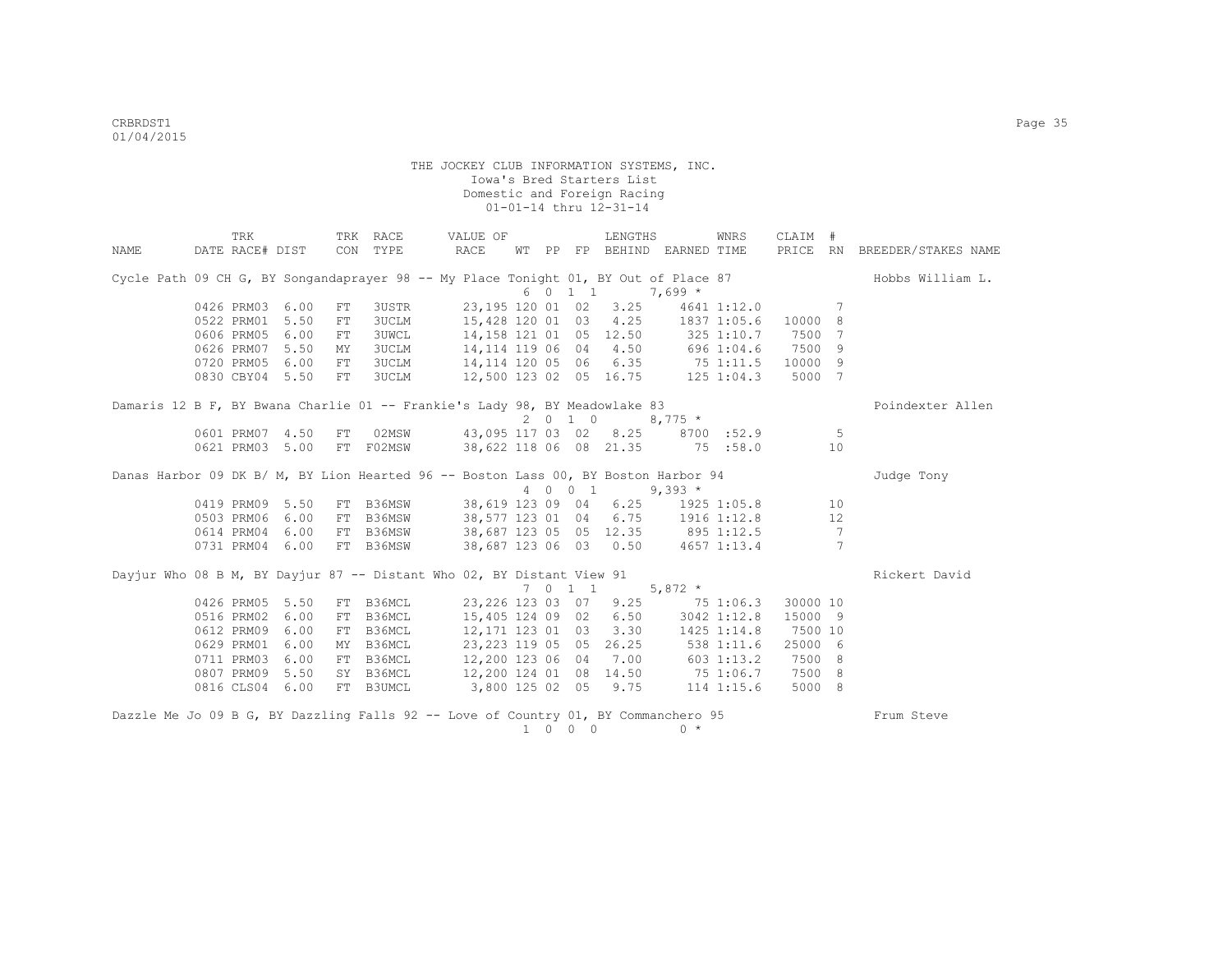|      | TRK                           |      |          | TRK RACE  | VALUE OF                                                                                          |  |         | LENGTHS |                                    | WNRS        | CLAIM #  |                 |                              |
|------|-------------------------------|------|----------|-----------|---------------------------------------------------------------------------------------------------|--|---------|---------|------------------------------------|-------------|----------|-----------------|------------------------------|
| NAME | DATE RACE# DIST               |      |          | CON TYPE  | RACE                                                                                              |  |         |         | WT PP FP BEHIND EARNED TIME        |             |          |                 | PRICE RN BREEDER/STAKES NAME |
|      |                               |      |          |           | Cycle Path 09 CH G, BY Songandaprayer 98 -- My Place Tonight 01, BY Out of Place 87               |  |         |         |                                    |             |          |                 | Hobbs William L.             |
|      |                               |      |          |           |                                                                                                   |  | 6 0 1 1 |         | $7,699*$                           |             |          |                 |                              |
|      | 0426 PRM03 6.00<br>0522 PRM01 | 5.50 | FT<br>FT | 3USTR     | 23,195 120 01 02<br>3UCLM 15,428 120 01 03 4.25 1837 1:05.6                                       |  |         | 3.25    |                                    | 4641 1:12.0 | 10000 8  | 7               |                              |
|      | 0606 PRM05                    | 6.00 |          |           | 3UWCL                                                                                             |  |         |         | 14, 158 121 01 05 12.50 325 1:10.7 |             | 7500     | 7               |                              |
|      | 0626 PRM07                    | 5.50 | FT<br>MY |           | 3UCLM 14, 114 119 06 04 4.50 696 1:04.6 7500 9                                                    |  |         |         |                                    |             |          |                 |                              |
|      | 0720 PRM05 6.00               |      | FT       |           |                                                                                                   |  |         |         |                                    |             |          |                 |                              |
|      | 0830 CBY04 5.50               |      | FT       |           | 3UCLM 14, 114 120 05 06 6.35 75 1:11.5 10000 9<br>3UCLM 12, 500 123 02 05 16.75 125 1:04.3 5000 7 |  |         |         |                                    |             |          |                 |                              |
|      |                               |      |          |           |                                                                                                   |  |         |         |                                    |             |          |                 |                              |
|      |                               |      |          |           | Damaris 12 B F, BY Bwana Charlie 01 -- Frankie's Lady 98, BY Meadowlake 83                        |  |         |         |                                    |             |          |                 | Poindexter Allen             |
|      |                               |      |          |           |                                                                                                   |  |         | 2 0 1 0 | $8,775$ *                          |             |          |                 |                              |
|      | 0601 PRM07                    | 4.50 | FT       |           | 02MSW 43,095 117 03 02 8.25                                                                       |  |         |         |                                    | 8700 :52.9  |          | -5              |                              |
|      | 0621 PRM03 5.00               |      |          | FT F02MSW | 38,622 118 06 08 21.35 75 :58.0                                                                   |  |         |         |                                    |             |          | 10              |                              |
|      |                               |      |          |           | Danas Harbor 09 DK B/ M, BY Lion Hearted 96 -- Boston Lass 00, BY Boston Harbor 94                |  |         |         |                                    |             |          |                 | Judge Tony                   |
|      |                               |      |          |           |                                                                                                   |  |         | 4 0 0 1 | $9,393*$                           |             |          |                 |                              |
|      | 0419 PRM09 5.50               |      |          | FT B36MSW |                                                                                                   |  |         |         | 38,619 123 09 04 6.25 1925 1:05.8  |             |          | 10              |                              |
|      | 0503 PRM06 6.00               |      |          |           | FT B36MSW 38,577 123 01 04 6.75 1916 1:12.8                                                       |  |         |         |                                    |             |          | 12              |                              |
|      | 0614 PRM04 6.00               |      |          |           |                                                                                                   |  |         |         |                                    |             |          | $7\overline{}$  |                              |
|      | 0731 PRM04 6.00               |      |          |           | FT B36MSW 38,687 123 05 05 12.35 895 1:12.5<br>FT B36MSW 38,687 123 05 05 12.35 895 1:12.5        |  |         |         |                                    |             |          | $7\phantom{.0}$ |                              |
|      |                               |      |          |           | Dayjur Who 08 B M, BY Dayjur 87 -- Distant Who 02, BY Distant View 91                             |  |         |         |                                    |             |          |                 | Rickert David                |
|      |                               |      |          |           |                                                                                                   |  | 7011    |         | $5,872$ *                          |             |          |                 |                              |
|      | 0426 PRM05 5.50               |      |          | FT B36MCL | 23, 226 123 03 07 9.25                                                                            |  |         |         | 75 1:06.3                          |             | 30000 10 |                 |                              |
|      | 0516 PRM02                    | 6.00 |          | FT B36MCL | 15,405 124 09 02 6.50                                                                             |  |         |         |                                    | 3042 1:12.8 | 15000 9  |                 |                              |
|      | 0612 PRM09                    | 6.00 | FT       | B36MCL    | 12,171 123 01 03                                                                                  |  |         | 3.30    | $1425$ $1:14.8$                    |             | 7500 10  |                 |                              |
|      | 0629 PRM01                    | 6.00 | MY       | B36MCL    | 23, 223 119 05 05                                                                                 |  |         |         | 26.25 538 1:11.6                   |             | 25000 6  |                 |                              |
|      | 0711 PRM03                    | 6.00 |          |           | FT B36MCL 12,200 123 06 04 7.00 603 1:13.2                                                        |  |         |         |                                    |             | 7500 8   |                 |                              |
|      | 0807 PRM09 5.50               |      |          |           | SY B36MCL 12,200 124 01 08 14.50 75 1:06.7                                                        |  |         |         |                                    |             | 7500 8   |                 |                              |
|      | 0816 CLS04 6.00               |      |          | FT B3UMCL | 3,800 125 02 05 9.75 114 1:15.6                                                                   |  |         |         |                                    |             | 5000 8   |                 |                              |
|      |                               |      |          |           |                                                                                                   |  |         |         |                                    |             |          |                 |                              |
|      |                               |      |          |           | Dazzle Me Jo 09 B G, BY Dazzling Falls 92 -- Love of Country 01, BY Commanchero 95                |  | 1 0 0 0 |         | $0 *$                              |             |          |                 | Frum Steve                   |
|      |                               |      |          |           |                                                                                                   |  |         |         |                                    |             |          |                 |                              |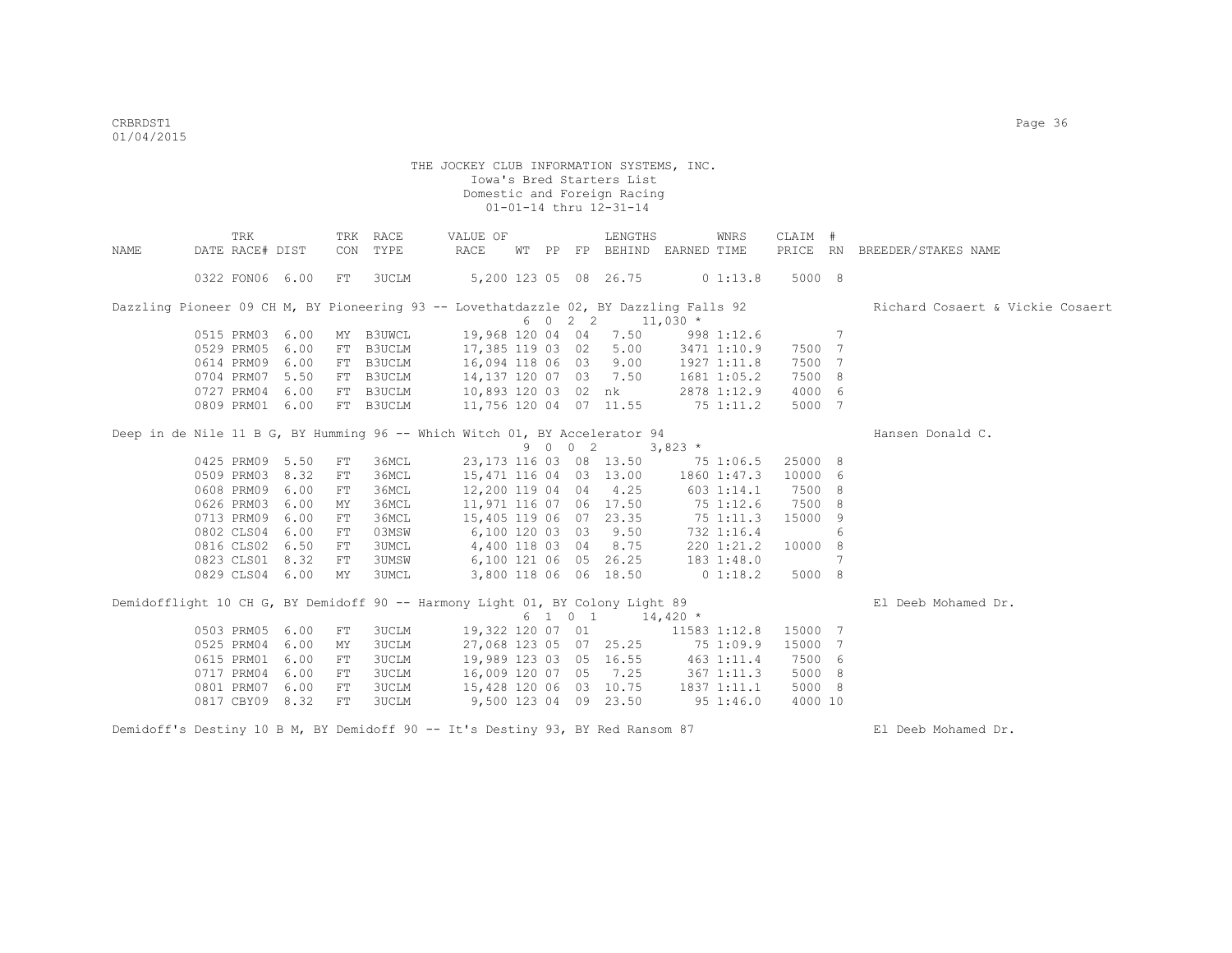|      | TRK                                                                                   |      |            | TRK RACE     | VALUE OF                         |  |         | LENGTHS                            |              | WNRS         | CLAIM # |                 |                                  |
|------|---------------------------------------------------------------------------------------|------|------------|--------------|----------------------------------|--|---------|------------------------------------|--------------|--------------|---------|-----------------|----------------------------------|
| NAME | DATE RACE# DIST                                                                       |      |            | CON TYPE     | RACE                             |  |         | WT PP FP BEHIND EARNED TIME        |              |              |         |                 | PRICE RN BREEDER/STAKES NAME     |
|      | 0322 FON06 6.00                                                                       |      | FT         | 3UCLM        | 5,200 123 05 08 26.75            |  |         |                                    |              | 01:13.8      | 5000 8  |                 |                                  |
|      | Dazzling Pioneer 09 CH M, BY Pioneering 93 -- Lovethatdazzle 02, BY Dazzling Falls 92 |      |            |              |                                  |  |         |                                    |              |              |         |                 | Richard Cosaert & Vickie Cosaert |
|      |                                                                                       |      |            |              |                                  |  | 6 0 2 2 |                                    | $11,030$ *   |              |         |                 |                                  |
|      | 0515 PRM03 6.00                                                                       |      |            | MY B3UWCL    |                                  |  |         | 19,968 120 04 04 7.50              |              | 998 1:12.6   |         | $7\phantom{.0}$ |                                  |
|      | 0529 PRM05                                                                            | 6.00 | FT         | B3UCLM       | 17,385 119 03 02                 |  |         | 5.00                               |              | 3471 1:10.9  | 7500 7  |                 |                                  |
|      | 0614 PRM09                                                                            | 6.00 |            | FT B3UCLM    | 16,094 118 06 03 9.00            |  |         |                                    |              | 1927 1:11.8  | 7500 7  |                 |                                  |
|      | 0704 PRM07                                                                            | 5.50 |            | FT B3UCLM    | 14,137 120 07 03 7.50            |  |         |                                    |              | 1681 1:05.2  | 7500 8  |                 |                                  |
|      | 0727 PRM04 6.00                                                                       |      |            | FT B3UCLM    | 10,893 120 03 02 nk              |  |         |                                    |              | 2878 1:12.9  | 4000 6  |                 |                                  |
|      | 0809 PRM01 6.00                                                                       |      |            | FT B3UCLM    | 11,756 120 04 07 11.55           |  |         |                                    | 751:11.2     |              | 5000 7  |                 |                                  |
|      | Deep in de Nile 11 B G, BY Humming 96 -- Which Witch 01, BY Accelerator 94            |      |            |              |                                  |  |         |                                    |              |              |         |                 | Hansen Donald C.                 |
|      |                                                                                       |      |            |              |                                  |  | 9 0 0 2 |                                    | $3,823$ *    |              |         |                 |                                  |
|      | 0425 PRM09 5.50                                                                       |      | FT         | 36MCL        |                                  |  |         | 23, 173 116 03 08 13.50            | 75 1:06.5    |              | 25000 8 |                 |                                  |
|      | 0509 PRM03 8.32                                                                       |      | FT         | 36MCL        |                                  |  |         | 15,471 116 04 03 13.00             | 1860 1:47.3  |              | 10000 6 |                 |                                  |
|      | 0608 PRM09                                                                            | 6.00 | FT         | 36MCL        |                                  |  |         | 12,200 119 04 04 4.25              |              | 603 1:14.1   | 7500 8  |                 |                                  |
|      | 0626 PRM03                                                                            | 6.00 | MΥ         | 36MCL        |                                  |  |         | 11,971 116 07 06 17.50             | 75 1:12.6    |              | 7500 8  |                 |                                  |
|      | 0713 PRM09                                                                            | 6.00 | ${\rm FT}$ | 36MCL        | 15,405 119 06 07 23.35           |  |         |                                    | 751:11.3     |              | 15000 9 |                 |                                  |
|      | 0802 CLS04 6.00                                                                       |      | FT         | 03MSW        | 6,100 120 03 03 9.50             |  |         |                                    |              | 732 1:16.4   |         | 6               |                                  |
|      | 0816 CLS02 6.50                                                                       |      | FT         | 3UMCL        | 4,400 118 03 04 8.75             |  |         |                                    |              | 220 1:21.2   | 10000 8 |                 |                                  |
|      | 0823 CLS01 8.32                                                                       |      | FT         | <b>3UMSW</b> | 6,100 121 06 05 26.25 183 1:48.0 |  |         |                                    |              |              |         | -7              |                                  |
|      | 0829 CLS04 6.00                                                                       |      | MY         | <b>3UMCL</b> | 3,800 118 06 06 18.50            |  |         |                                    | $0\;1:18.2$  |              | 5000 8  |                 |                                  |
|      | Demidofflight 10 CH G, BY Demidoff 90 -- Harmony Light 01, BY Colony Light 89         |      |            |              |                                  |  |         |                                    |              |              |         |                 | El Deeb Mohamed Dr.              |
|      |                                                                                       |      |            |              |                                  |  | 6 1 0 1 | $14,420$ *                         |              |              |         |                 |                                  |
|      | 0503 PRM05                                                                            | 6.00 | FT         | 3UCLM        | 19,322 120 07 01                 |  |         |                                    |              | 11583 1:12.8 | 15000 7 |                 |                                  |
|      | 0525 PRM04                                                                            | 6.00 | MΥ         | <b>3UCLM</b> |                                  |  |         | 27,068 123 05 07 25.25             |              | 75 1:09.9    | 15000 7 |                 |                                  |
|      | 0615 PRM01                                                                            | 6.00 | FT         | <b>3UCLM</b> |                                  |  |         | 19,989 123 03 05 16.55 463 1:11.4  |              |              | 7500 6  |                 |                                  |
|      | 0717 PRM04                                                                            | 6.00 | FT         | <b>3UCLM</b> |                                  |  |         | 16,009 120 07 05 7.25 367 1:11.3   |              |              | 5000 8  |                 |                                  |
|      | 0801 PRM07                                                                            | 6.00 | FT         | 3UCLM        |                                  |  |         | 15,428 120 06 03 10.75 1837 1:11.1 |              |              | 5000 8  |                 |                                  |
|      | 0817 CBY09 8.32                                                                       |      | FT         | <b>3UCLM</b> | 9,500 123 04 09 23.50            |  |         |                                    | $95\ 1:46.0$ |              | 4000 10 |                 |                                  |
|      | Demidoff's Destiny 10 B M, BY Demidoff 90 -- It's Destiny 93, BY Red Ransom 87        |      |            |              |                                  |  |         |                                    |              |              |         |                 | El Deeb Mohamed Dr.              |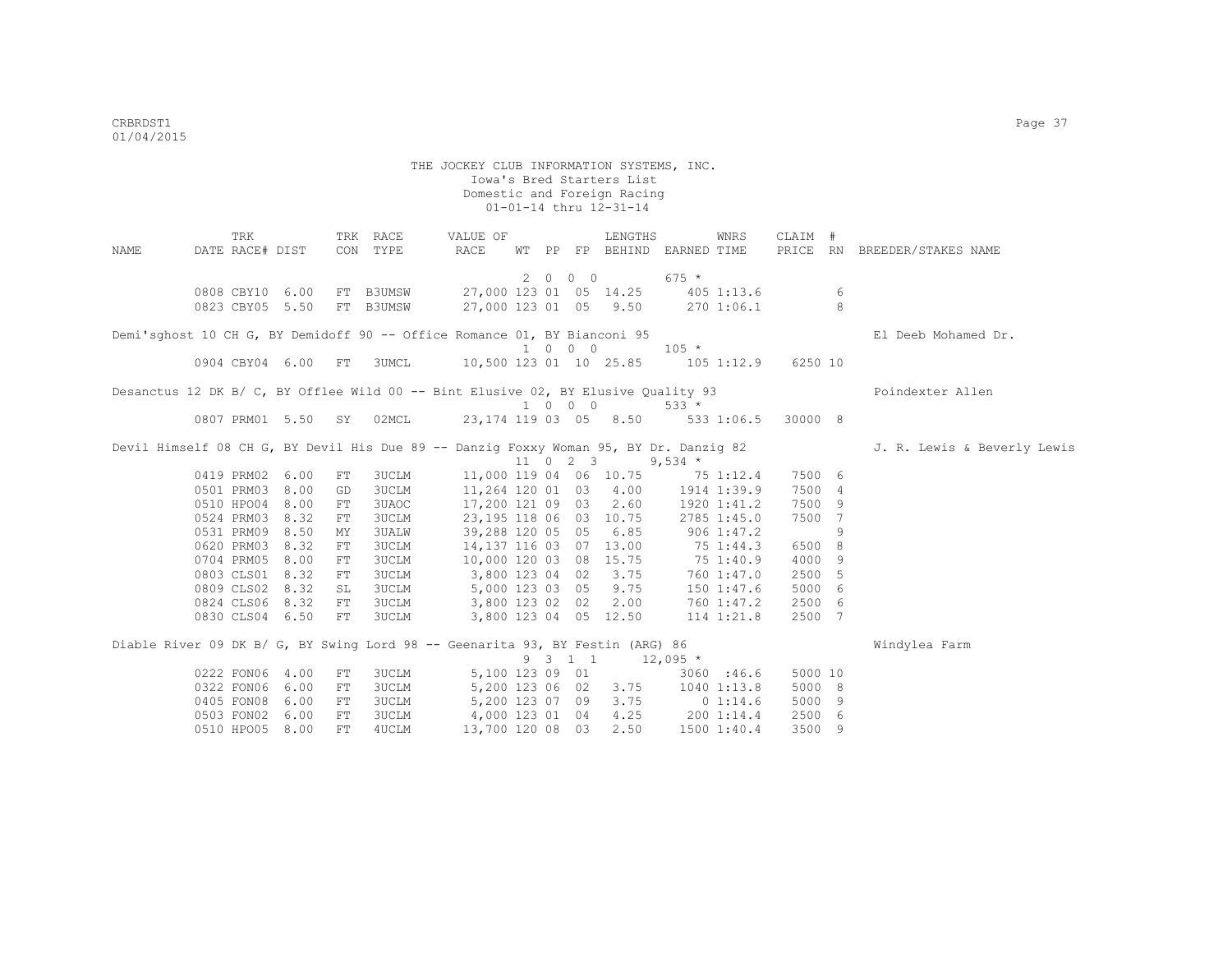THE JOCKEY CLUB INFORMATION SYSTEMS, INC. Iowa's Bred Starters List Domestic and Foreign Racing 01-01-14 thru 12-31-14 TRK TRK RACE VALUE OF LENGTHS WNRS CLAIM # NAME DATE RACE# DIST CON TYPE RACE WT PP FP BEHIND EARNED TIME PRICE RN BREEDER/STAKES NAME 2 0 0 0 675 \* 0808 CBY10 6.00 FT B3UMSW 27,000 123 01 05 14.25 405 1:13.6 6 0823 CBY05 5.50 FT B3UMSW 27,000 123 01 05 9.50 270 1:06.1 8 Demi'sghost 10 CH G, BY Demidoff 90 -- Office Romance 01, BY Bianconi 95 El Deeb Mohamed Dr.  $1 \t0 \t0 \t0 \t105 \t\t \star$ <br>10.500 123 01 10 25.85 105 0904 CBY04 6.00 FT 3UMCL 10,500 123 01 10 25.85 105 1:12.9 6250 10 Desanctus 12 DK B/ C, BY Offlee Wild 00 -- Bint Elusive 02, BY Elusive Quality 93 Poindexter Allen 1 0 0 0 533 \* 0807 PRM01 5.50 SY 02MCL 23,174 119 03 05 8.50 533 1:06.5 30000 8 Devil Himself 08 CH G, BY Devil His Due 89 -- Danzig Foxxy Woman 95, BY Dr. Danzig 82 J. R. Lewis & Beverly Lewis  $11$  0 2 3 9,534 \*<br>11,000 119 04 06 10.75 75 1 0419 PRM02 6.00 FT 3UCLM 11,000 119 04 06 10.75 75 1:12.4 7500 6<br>0501 PRM03 8.00 GD 3UCLM 11,264 120 01 03 4.00 1914 1:39.9 7500 4 0501 PRM03 8.00 GD 3UCLM 11,264 120 01 03 4.00 1914 1:39.9 7500 4 0510 HPO04 8.00 FT 3UAOC 17,200 121 09 03 2.60 1920 1:41.2 7500 9<br>0524 PRM03 8.32 FT 3UCLM 23,195 118 06 03 10.75 2785 1:45.0 7500 7 0524 PRM03 8.32 FT 3UCLM 23,195 118 06 03 10.75 2785 1:45.0 7500 7 0531 PRM09 8.50 MY 3UALW 39,288 120 05 05 6.85 906 1:47.2 9 0620 PRM03 8.32 FT 3UCLM 14,137 116 03 07 13.00 75 1:44.3 6500 8 0704 PRM05 8.00 FT 3UCLM 10,000 120 03 08 15.75 75 1:40.9 4000 9 0803 CLS01 8.32 FT 3UCLM 3,800 123 04 02 3.75 760 1:47.0 2500 5 0809 CLS02 8.32 SL 3UCLM 5,000 123 03 05 9.75 150 1:47.6 5000 6<br>0824 CLS06 8.32 FT 3UCLM 3,800 123 02 02 2.00 760 1:47.2 2500 6 0824 CLS06 8.32 FT 3UCLM 3,800 123 02 02 2.00 760 1:47.2 2500 6 0830 CLS04 6.50 FT 3UCLM 3,800 123 04 05 12.50 114 1:21.8 2500 7 Diable River 09 DK B/ G, BY Swing Lord 98 -- Geenarita 93, BY Festin (ARG) 86 Whindylea Farm  $9 \quad 3 \quad 1 \quad 1 \quad 12,095 \atop 3060 \quad 146.6$ <br>5,100 123 09 01 3060 146.6 0222 FON06 4.00 FT 3UCLM 5,100 123 09 01 3060 :46.6 5000 10<br>0322 FON06 6.00 FT 3UCLM 5,200 123 06 02 3.75 1040 1:13.8 5000 8 0322 FON06 6.00 FT 3UCLM 5,200 123 06 02 3.75 1040 1:13.8<br>0405 FON08 6.00 FT 3UCLM 5,200 123 07 09 3.75 0 1:14.6 0405 FON08 6.00 FT 3UCLM 5,200 123 07 09 3.75 0 1:14.6 5000 9 0503 FON02 6.00 FT 3UCLM 4,000 123 01 04 4.25 200 1:14.4 2500 6 0510 HPO05 8.00 FT 4UCLM 13,700 120 08 03 2.50 1500 1:40.4 3500 9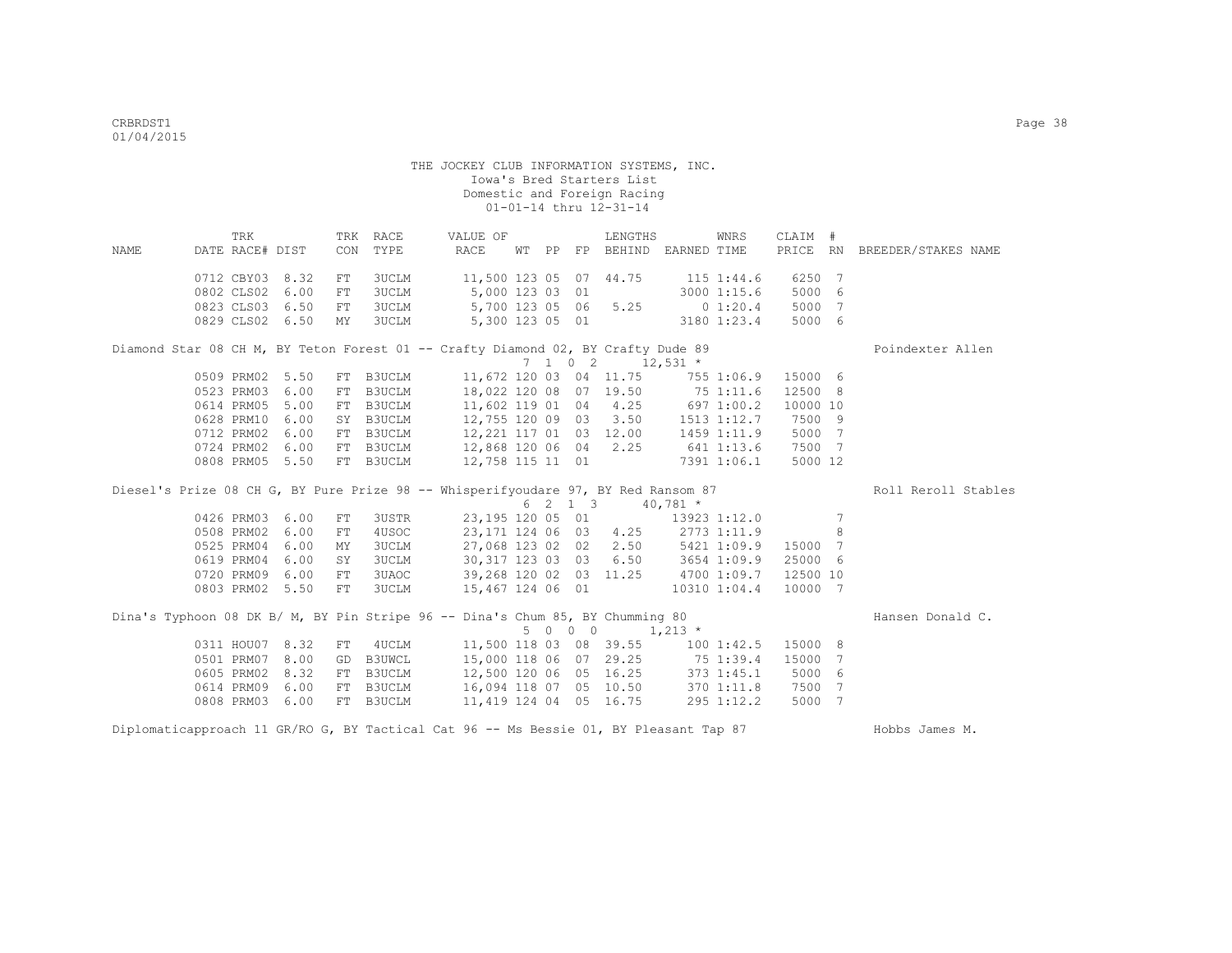|                                                                                   | TRK             |      |     | TRK RACE      | VALUE OF                                                   |  |                 | LENGTHS                                    |                | WNRS         | CLAIM #  |   |                     |
|-----------------------------------------------------------------------------------|-----------------|------|-----|---------------|------------------------------------------------------------|--|-----------------|--------------------------------------------|----------------|--------------|----------|---|---------------------|
| NAME                                                                              | DATE RACE# DIST |      | CON | TYPE          | RACE                                                       |  |                 | WT PP FP BEHIND EARNED TIME                |                |              | PRICE RN |   | BREEDER/STAKES NAME |
|                                                                                   | 0712 CBY03 8.32 |      | FT  | 3UCLM         | 11,500 123 05 07 44.75                                     |  |                 |                                            | $115$ $1:44.6$ |              | 6250 7   |   |                     |
|                                                                                   | 0802 CLS02      | 6.00 | FT  | 3UCLM         |                                                            |  | 5,000 123 03 01 |                                            | 3000 1:15.6    |              | 5000 6   |   |                     |
|                                                                                   | 0823 CLS03 6.50 |      | FT  | 3UCLM         |                                                            |  |                 | 5,700 123 05 06 5.25 0 1:20.4              |                |              | 5000 7   |   |                     |
|                                                                                   | 0829 CLS02 6.50 |      | MY  | 3UCLM         |                                                            |  |                 | 5,300 123 05 01 3180 1:23.4                |                |              | 5000 6   |   |                     |
| Diamond Star 08 CH M, BY Teton Forest 01 -- Crafty Diamond 02, BY Crafty Dude 89  |                 |      |     |               |                                                            |  |                 |                                            |                |              |          |   | Poindexter Allen    |
|                                                                                   |                 |      |     |               |                                                            |  |                 | $7 \t1 \t0 \t2 \t12,531 \t*$               |                |              |          |   |                     |
|                                                                                   | 0509 PRM02 5.50 |      | FT  | B3UCLM        |                                                            |  |                 | 11,672 120 03 04 11.75                     |                | 755 1:06.9   | 15000 6  |   |                     |
|                                                                                   | 0523 PRM03      | 6.00 |     | FT B3UCLM     |                                                            |  |                 | 18,022 120 08 07 19.50 75 1:11.6           |                |              | 12500 8  |   |                     |
|                                                                                   | 0614 PRM05      | 5.00 |     | FT B3UCLM     | 11,602 119 01 04 4.25                                      |  |                 |                                            | 697 1:00.2     |              | 10000 10 |   |                     |
|                                                                                   | 0628 PRM10      | 6.00 |     | SY B3UCLM     | 12,755 120 09 03 3.50                                      |  |                 |                                            | 1513 1:12.7    |              | 7500 9   |   |                     |
|                                                                                   | 0712 PRM02      | 6.00 |     | FT B3UCLM     | 12,221 117 01 03 12.00 1459 1:11.9                         |  |                 |                                            |                |              | 5000 7   |   |                     |
|                                                                                   | 0724 PRM02 6.00 |      |     | FT B3UCLM     | 12,868 120 06 04 2.25 641 1:13.6                           |  |                 |                                            |                |              | 7500 7   |   |                     |
|                                                                                   | 0808 PRM05 5.50 |      |     | FT B3UCLM     | 12,758 115 11 01 7391 1:06.1                               |  |                 |                                            |                |              | 5000 12  |   |                     |
|                                                                                   |                 |      |     |               |                                                            |  |                 |                                            |                |              |          |   |                     |
| Diesel's Prize 08 CH G, BY Pure Prize 98 -- Whisperifyoudare 97, BY Red Ransom 87 |                 |      |     |               |                                                            |  |                 |                                            |                |              |          |   | Roll Reroll Stables |
|                                                                                   |                 |      |     |               |                                                            |  |                 | $6 \quad 2 \quad 1 \quad 3 \quad 40.781$ * |                |              |          |   |                     |
|                                                                                   | 0426 PRM03      | 6.00 | FT  | 3USTR         | 23,195 120 05 01                                           |  |                 |                                            |                | 13923 1:12.0 |          | 7 |                     |
|                                                                                   | 0508 PRM02      | 6.00 | FT  | 4USOC         | 23,171 124 06 03 4.25 2773 1:11.9                          |  |                 |                                            |                |              |          | 8 |                     |
|                                                                                   | 0525 PRM04      | 6.00 | MY  | 3UCLM         | 27,068 123 02 02 2.50 5421 1:09.9                          |  |                 |                                            |                |              | 15000 7  |   |                     |
|                                                                                   | 0619 PRM04      | 6.00 | SY  | 3UCLM         | 30,317 123 03 03 6.50 3654 1:09.9                          |  |                 |                                            |                |              | 25000 6  |   |                     |
|                                                                                   | 0720 PRM09      | 6.00 | FT  | 3UAOC         | 39,268 120 02 03 11.25                                     |  |                 |                                            |                | 4700 1:09.7  | 12500 10 |   |                     |
|                                                                                   | 0803 PRM02 5.50 |      | FT  | 3UCLM         | 15,467 124 06 01                                           |  |                 |                                            |                | 10310 1:04.4 | 10000 7  |   |                     |
| Dina's Typhoon 08 DK B/ M, BY Pin Stripe 96 -- Dina's Chum 85, BY Chumming 80     |                 |      |     |               |                                                            |  |                 |                                            |                |              |          |   | Hansen Donald C.    |
|                                                                                   |                 |      |     |               |                                                            |  | 5 0 0 0         | $1,213$ *                                  |                |              |          |   |                     |
|                                                                                   | 0311 HOU07 8.32 |      | FT  | 4UCLM         | 11,500 118 03 08 39.55 100 1:42.5                          |  |                 |                                            |                |              | 15000 8  |   |                     |
|                                                                                   | 0501 PRM07      | 8.00 | GD  | B3UWCL        |                                                            |  |                 |                                            |                |              | 15000    | 7 |                     |
|                                                                                   | 0605 PRM02      | 8.32 | FT  | <b>B3UCLM</b> | 15,000 118 06 07 29.25 75 1:39.4<br>12,500 120 06 05 16.25 |  |                 |                                            |                | 373 1:45.1   | 5000     | 6 |                     |
|                                                                                   | 0614 PRM09      | 6.00 | FT  | B3UCLM        | 16,094 118 07 05 10.50                                     |  |                 |                                            |                | 370 1:11.8   | 7500 7   |   |                     |
|                                                                                   | 0808 PRM03      | 6.00 |     | FT B3UCLM     | 11,419 124 04 05 16.75                                     |  |                 |                                            |                | 295 1:12.2   | 5000 7   |   |                     |

Diplomaticapproach 11 GR/RO G, BY Tactical Cat 96 -- Ms Bessie 01, BY Pleasant Tap 87 Hobbs James M.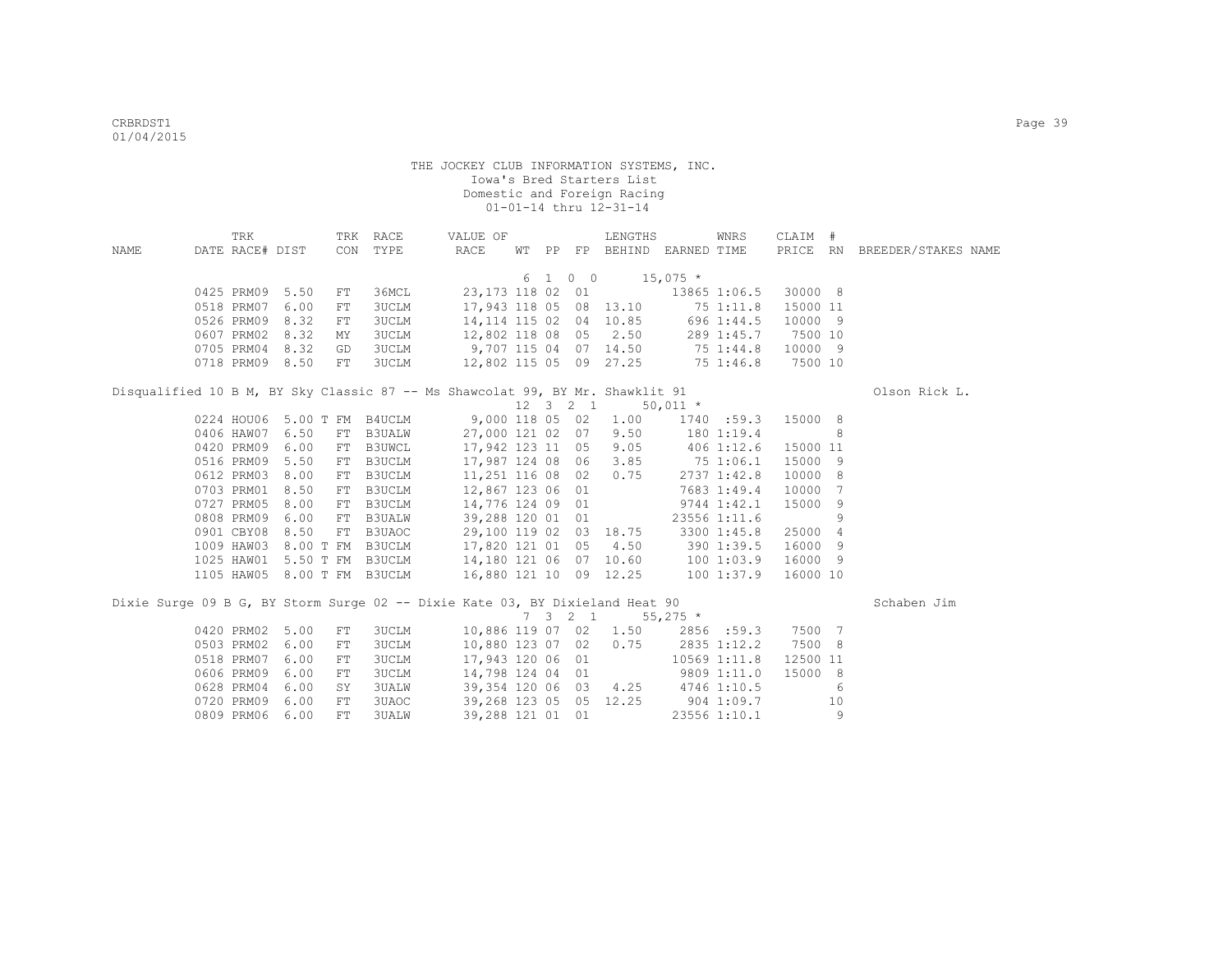|      | TRK             |      |      | TRK RACE                    | VALUE OF                                                                                                                                      |  |                   | LENGTHS                                       |            | WNRS                 | CLAIM #  |    |                              |
|------|-----------------|------|------|-----------------------------|-----------------------------------------------------------------------------------------------------------------------------------------------|--|-------------------|-----------------------------------------------|------------|----------------------|----------|----|------------------------------|
| NAME | DATE RACE# DIST |      |      | CON TYPE                    | RACE                                                                                                                                          |  |                   | WT PP FP BEHIND EARNED TIME                   |            |                      |          |    | PRICE RN BREEDER/STAKES NAME |
|      |                 |      |      |                             |                                                                                                                                               |  |                   | $6 \quad 1 \quad 0 \quad 0 \quad 15,075 \neq$ |            |                      |          |    |                              |
|      | 0425 PRM09 5.50 |      | FT   | 36MCL                       |                                                                                                                                               |  |                   | 23,173 118 02 01                              |            | 13865 1:06.5 30000 8 |          |    |                              |
|      | 0518 PRM07 6.00 |      | FT   | 3UCLM                       |                                                                                                                                               |  |                   | 17,943 118 05 08 13.10                        |            | 75 1:11.8 15000 11   |          |    |                              |
|      | 0526 PRM09 8.32 |      | FT   | 3UCLM                       |                                                                                                                                               |  |                   | 14, 114 115 02 04 10.85 696 1:44.5            |            |                      | 10000 9  |    |                              |
|      | 0607 PRM02      | 8.32 | MΥ   | 3UCLM                       | 12,802 118 08 05                                                                                                                              |  |                   | 2.50                                          |            | 289 1:45.7           | 7500 10  |    |                              |
|      | 0705 PRM04      | 8.32 | GD   | 3UCLM                       | 9,707 115 04 07 14.50 75 1:44.8                                                                                                               |  |                   |                                               |            |                      | 10000 9  |    |                              |
|      | 0718 PRM09 8.50 |      | FT   | 3UCLM                       |                                                                                                                                               |  |                   | 12,802 115 05 09 27.25 75 1:46.8              |            |                      | 7500 10  |    |                              |
|      |                 |      |      |                             | Disqualified 10 B M, BY Sky Classic 87 -- Ms Shawcolat 99, BY Mr. Shawklit 91                                                                 |  |                   |                                               |            |                      |          |    | Olson Rick L.                |
|      |                 |      |      |                             |                                                                                                                                               |  | 12    3    2    1 |                                               | $50,011$ * |                      |          |    |                              |
|      |                 |      |      | 0224 HOU06 5.00 T FM B4UCLM | 9,000 118 05 02                                                                                                                               |  |                   | 1.00                                          |            | 1740 :59.3 15000 8   |          |    |                              |
|      | 0406 HAW07 6.50 |      |      | FT B3UALW                   | 27,000 121 02 07                                                                                                                              |  |                   | 9.50                                          |            | 180 1:19.4           |          | 8  |                              |
|      | 0420 PRM09      | 6.00 |      | FT B3UWCL                   | 17,942 123 11 05                                                                                                                              |  |                   | 9.05                                          |            | 406 1:12.6           | 15000 11 |    |                              |
|      | 0516 PRM09      | 5.50 | FT   | B3UCLM                      | 17,987 124 08 06                                                                                                                              |  |                   | 3.85                                          |            | 75 1:06.1            | 15000    | 9  |                              |
|      | 0612 PRM03      | 8.00 | FT   | B3UCLM                      | 11,251 116 08 02                                                                                                                              |  |                   | 0.75                                          |            | 2737 1:42.8          | 10000    | 8  |                              |
|      | 0703 PRM01      | 8.50 | FT   | B3UCLM                      | 12,867 123 06 01                                                                                                                              |  |                   |                                               |            | 7683 1:49.4          | 10000    | 7  |                              |
|      | 0727 PRM05      | 8.00 | FT   | B3UCLM                      | 14,776 124 09 01                                                                                                                              |  |                   |                                               |            | 9744 1:42.1          | 15000    | 9  |                              |
|      | 0808 PRM09 6.00 |      | FT   | <b>B3UALW</b>               | 39,288 120 01 01                                                                                                                              |  |                   |                                               |            | 23556 1:11.6         |          | 9  |                              |
|      | 0901 CBY08      | 8.50 |      | FT B3UAOC                   | 29,100 119 02 03 18.75                                                                                                                        |  |                   |                                               |            | 3300 1:45.8          | 25000 4  |    |                              |
|      |                 |      |      |                             | 1009 HAW03 8.00 T FM B3UCLM 17,820 121 01 05 4.50 390 1:39.5 16000 9<br>1025 HAW01 5.50 T FM B3UCLM 14,180 121 06 07 10.60 100 1:03.9 16000 9 |  |                   |                                               |            |                      |          |    |                              |
|      |                 |      |      |                             |                                                                                                                                               |  |                   |                                               |            |                      |          |    |                              |
|      |                 |      |      |                             | 1105 HAW05 8.00 T FM B3UCLM 16,880 121 10 09 12.25 100 1:37.9                                                                                 |  |                   |                                               |            |                      | 16000 10 |    |                              |
|      |                 |      |      |                             | Dixie Surge 09 B G, BY Storm Surge 02 -- Dixie Kate 03, BY Dixieland Heat 90                                                                  |  |                   |                                               |            |                      |          |    | Schaben Jim                  |
|      |                 |      |      |                             |                                                                                                                                               |  |                   | 7 3 2 1                                       | $55,275$ * |                      |          |    |                              |
|      | 0420 PRM02 5.00 |      | FT   | 3UCLM                       |                                                                                                                                               |  |                   | 10,886 119 07 02 1.50                         |            | 2856 :59.3 7500 7    |          |    |                              |
|      | 0503 PRM02      | 6.00 | FT   | 3UCLM                       | 10,880 123 07 02                                                                                                                              |  |                   | 0.75                                          |            | 2835 1:12.2          | 7500 8   |    |                              |
|      | 0518 PRM07      | 6.00 | FT   | 3UCLM                       | 17,943 120 06 01                                                                                                                              |  |                   |                                               |            | 10569 1:11.8         | 12500 11 |    |                              |
|      | 0606 PRM09      | 6.00 | $FT$ | 3UCLM                       | 14,798 124 04 01                                                                                                                              |  |                   |                                               |            | 9809 1:11.0          | 15000 8  |    |                              |
|      | 0628 PRM04      | 6.00 | SY   | <b>3UALW</b>                | 39,354 120 06 03                                                                                                                              |  |                   | $4.25$ $4746$ $1:10.5$                        |            |                      |          | 6  |                              |
|      | 0720 PRM09      | 6.00 | FT   | 3UAOC                       | 39,268 123 05 05 12.25                                                                                                                        |  |                   |                                               |            | $904$ 1:09.7         |          | 10 |                              |
|      | 0809 PRM06 6.00 |      | FT   | 3UALW                       | 39,288 121 01 01                                                                                                                              |  |                   |                                               |            | 23556 1:10.1         |          | 9  |                              |
|      |                 |      |      |                             |                                                                                                                                               |  |                   |                                               |            |                      |          |    |                              |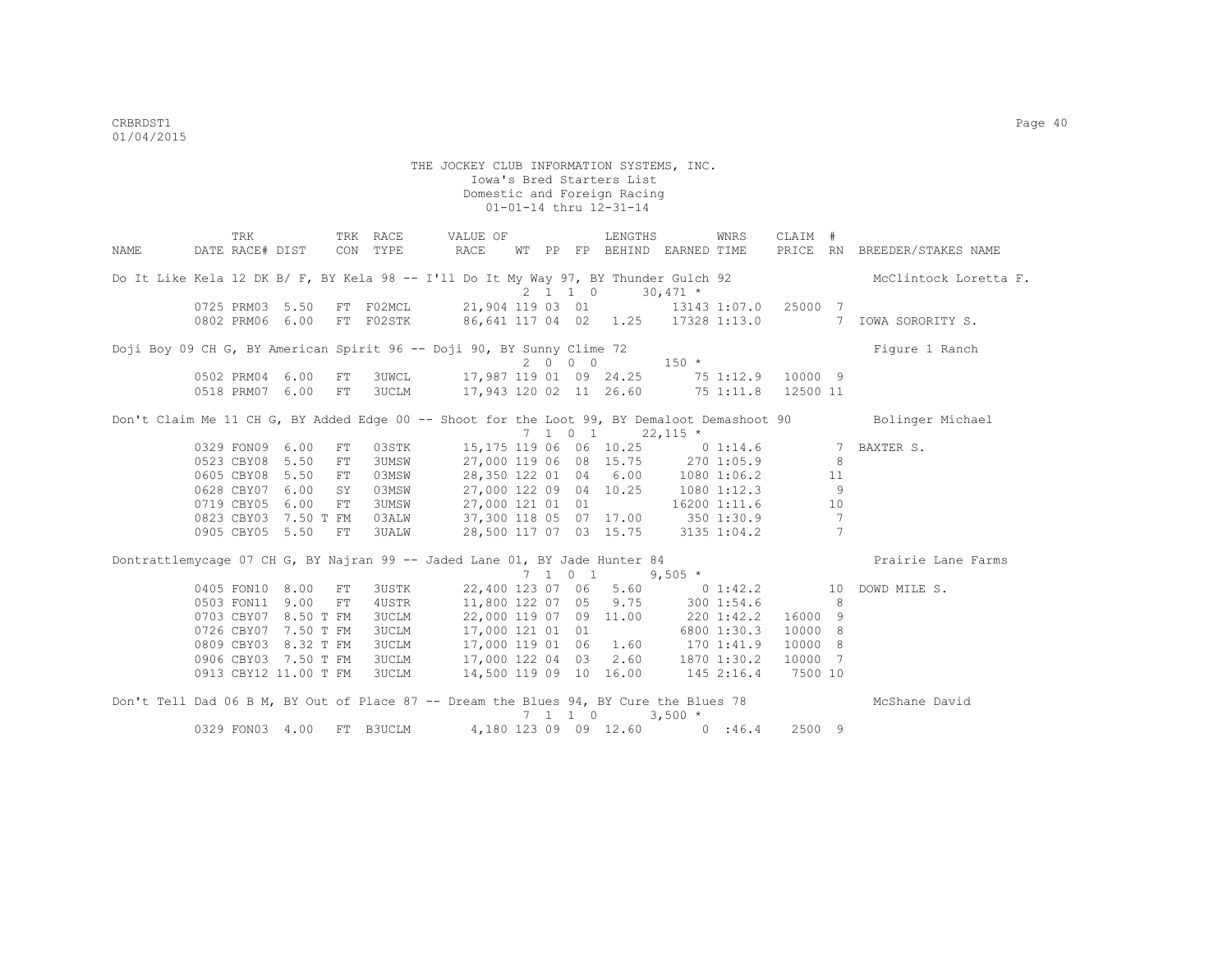|      | TRK                      |    | TRK RACE           | VALUE OF                                                                              |  | LENGTHS                      |                                               | WNRS | CLAIM # |                |                                                                                                              |
|------|--------------------------|----|--------------------|---------------------------------------------------------------------------------------|--|------------------------------|-----------------------------------------------|------|---------|----------------|--------------------------------------------------------------------------------------------------------------|
| NAME | DATE RACE# DIST CON TYPE |    |                    | RACE                                                                                  |  |                              | WT PP FP BEHIND EARNED TIME                   |      |         |                | PRICE RN BREEDER/STAKES NAME                                                                                 |
|      |                          |    |                    | Do It Like Kela 12 DK B/ F, BY Kela 98 -- I'll Do It My Way 97, BY Thunder Gulch 92   |  | $2 \t1 \t1 \t0 \t30,471 \t*$ |                                               |      |         |                | McClintock Loretta F.                                                                                        |
|      |                          |    |                    | 0725 PRM03 5.50 FT F02MCL 21,904 119 03 01 13143 1:07.0 25000 7                       |  |                              |                                               |      |         |                |                                                                                                              |
|      |                          |    |                    |                                                                                       |  |                              |                                               |      |         |                | 0802 PRM06 6.00 FT F02STK 86,641 117 04 02 1.25 17328 1:13.0 7 IOWA SORORITY S.                              |
|      |                          |    |                    | Doji Boy 09 CH G, BY American Spirit 96 -- Doji 90, BY Sunny Clime 72                 |  |                              |                                               |      |         |                | Figure 1 Ranch                                                                                               |
|      |                          |    |                    |                                                                                       |  |                              | $2\ 0\ 0\ 0\ 150\star$                        |      |         |                |                                                                                                              |
|      | 0502 PRM04 6.00          | FT |                    | 3UWCL 17,987 119 01 09 24.25 75 1:12.9 10000 9                                        |  |                              |                                               |      |         |                |                                                                                                              |
|      | 0518 PRM07 6.00          | FT |                    | 3UCLM 17,943 120 02 11 26.60 75 1:11.8 12500 11                                       |  |                              |                                               |      |         |                |                                                                                                              |
|      |                          |    |                    |                                                                                       |  | $7 \t1 \t0 \t1 \t22,115 \t*$ |                                               |      |         |                | Don't Claim Me 11 CH G, BY Added Edge 00 -- Shoot for the Loot 99, BY Demaloot Demashoot 90 Bolinger Michael |
|      | 0329 FON09 6.00          |    | FT                 | 03STK 15,175 119 06 06 10.25 0 1:14.6 7 BAXTER S.                                     |  |                              |                                               |      |         |                |                                                                                                              |
|      | 0523 CBY08 5.50          |    | 3UMSW<br>FT        | 27,000 119 06 08 15.75 270 1:05.9                                                     |  |                              |                                               |      |         | 8              |                                                                                                              |
|      | 0605 CBY08 5.50          |    | 03MSW<br>FT        | 28,350 122 01 04 6.00 1080 1:06.2                                                     |  |                              |                                               |      |         | 11             |                                                                                                              |
|      | 0628 CBY07 6.00          | SY | 03MSW              | 27,000 122 09 04 10.25 1080 1:12.3                                                    |  |                              |                                               |      |         | 9              |                                                                                                              |
|      | 0719 CBY05 6.00          |    | <b>3UMSW</b><br>FT | 27,000 121 01 01 16200 1:11.6                                                         |  |                              |                                               |      |         | 10             |                                                                                                              |
|      | 0823 CBY03 7.50 T FM     |    | 03ALW              | 37,300 118 05 07 17.00 350 1:30.9                                                     |  |                              |                                               |      |         | $\overline{7}$ |                                                                                                              |
|      | 0905 CBY05 5.50          | FT | 3UALW              | 28,500 117 07 03 15.75 3135 1:04.2                                                    |  |                              |                                               |      |         | $\overline{7}$ |                                                                                                              |
|      |                          |    |                    | Dontrattlemycage 07 CH G, BY Najran 99 -- Jaded Lane 01, BY Jade Hunter 84            |  |                              |                                               |      |         |                | Prairie Lane Farms                                                                                           |
|      |                          |    |                    |                                                                                       |  |                              | $7 \quad 1 \quad 0 \quad 1 \quad 9,505 \star$ |      |         |                |                                                                                                              |
|      | 0405 FON10 8.00          | FT | <b>3USTK</b>       |                                                                                       |  |                              |                                               |      |         |                | 22,400 123 07 06 5.60 0 1:42.2 10 DOWD MILE S.                                                               |
|      | 0503 FON11 9.00          |    | 4USTR<br>FT        | 11,800 122 07 05 9.75 300 1:54.6                                                      |  |                              |                                               |      |         | - 8            |                                                                                                              |
|      | 0703 CBY07 8.50 T FM     |    | <b>3UCLM</b>       | 22,000 119 07 09 11.00 220 1:42.2 16000 9                                             |  |                              |                                               |      |         |                |                                                                                                              |
|      | 0726 CBY07 7.50 T FM     |    | <b>3UCLM</b>       | 17,000 121 01 01 6800 1:30.3                                                          |  |                              |                                               |      | 10000 8 |                |                                                                                                              |
|      | 0809 CBY03 8.32 T FM     |    | <b>3UCLM</b>       | 17,000 119 01 06 1.60 170 1:41.9                                                      |  |                              |                                               |      | 10000 8 |                |                                                                                                              |
|      | 0906 CBY03 7.50 T FM     |    | 3UCLM              | 17,000 122 04 03 2.60 1870 1:30.2 10000 7                                             |  |                              |                                               |      |         |                |                                                                                                              |
|      | 0913 CBY12 11.00 T FM    |    | <b>3UCLM</b>       | 14,500 119 09 10 16.00 145 2:16.4 7500 10                                             |  |                              |                                               |      |         |                |                                                                                                              |
|      |                          |    |                    | Don't Tell Dad 06 B M, BY Out of Place 87 -- Dream the Blues 94, BY Cure the Blues 78 |  | 7 1 1 0                      | $3,500 *$                                     |      |         |                | McShane David                                                                                                |
|      | 0329 FON03 4.00          |    | FT B3UCLM          |                                                                                       |  |                              | 4,180 123 09 09 12.60 0 :46.4                 |      | 2500 9  |                |                                                                                                              |
|      |                          |    |                    |                                                                                       |  |                              |                                               |      |         |                |                                                                                                              |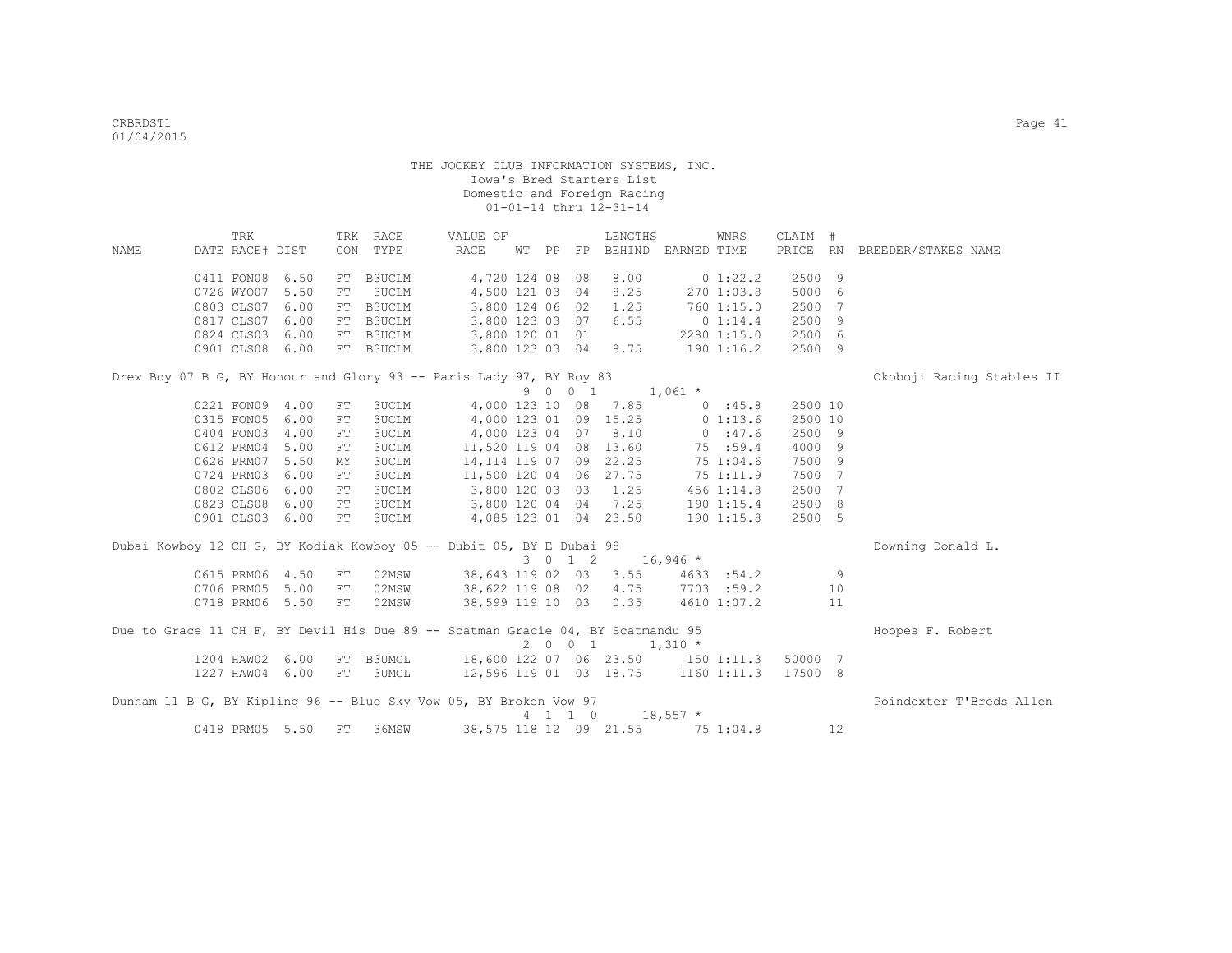|      | TRK             |      |            | TRK RACE     | VALUE OF                                                                        |  |                    | LENGTHS                |                             | WNRS        | CLAIM #  |     |                           |
|------|-----------------|------|------------|--------------|---------------------------------------------------------------------------------|--|--------------------|------------------------|-----------------------------|-------------|----------|-----|---------------------------|
| NAME | DATE RACE# DIST |      |            | CON TYPE     | RACE                                                                            |  |                    |                        | WT PP FP BEHIND EARNED TIME |             | PRICE RN |     | BREEDER/STAKES NAME       |
|      |                 |      |            |              |                                                                                 |  |                    |                        |                             |             |          |     |                           |
|      | 0411 FON08      | 6.50 |            | FT B3UCLM    | 4,720 124 08 08                                                                 |  |                    | 8.00                   |                             | $0\;1:22.2$ | 2500 9   |     |                           |
|      | 0726 WYO07      | 5.50 | FT         | 3UCLM        | 4,500 121 03 04                                                                 |  |                    | 8.25                   |                             | 270 1:03.8  | 5000     | 6   |                           |
|      | 0803 CLS07      | 6.00 |            | FT B3UCLM    | 3,800 124 06 02                                                                 |  |                    | 1.25                   |                             | 760 1:15.0  | 2500     | 7   |                           |
|      | 0817 CLS07      | 6.00 |            | FT B3UCLM    | 3,800 123 03 07                                                                 |  |                    | 6.55                   |                             | $0\;1:14.4$ | 2500     | -9  |                           |
|      | 0824 CLS03      | 6.00 |            | FT B3UCLM    | 3,800 120 01 01                                                                 |  |                    |                        |                             | 2280 1:15.0 | 2500 6   |     |                           |
|      | 0901 CLS08 6.00 |      |            | FT B3UCLM    |                                                                                 |  |                    | 3,800 123 03 04 8.75   |                             | 1901:16.2   | 2500 9   |     |                           |
|      |                 |      |            |              | Drew Boy 07 B G, BY Honour and Glory 93 -- Paris Lady 97, BY Roy 83             |  |                    |                        |                             |             |          |     | Okoboji Racing Stables II |
|      |                 |      |            |              |                                                                                 |  | 9 0 0 1            |                        | $1,061$ *                   |             |          |     |                           |
|      | 0221 FON09      | 4.00 | FT         | 3UCLM        |                                                                                 |  |                    | 4,000 123 10 08 7.85   |                             | 0.145.8     | 2500 10  |     |                           |
|      | 0315 FON05      | 6.00 | ${\rm FT}$ | <b>3UCLM</b> | 4,000 123 01 09 15.25                                                           |  |                    |                        |                             | $0\;1:13.6$ | 2500 10  |     |                           |
|      | 0404 FON03      | 4.00 | FT         | <b>3UCLM</b> | 4,000 123 04 07                                                                 |  |                    | 8.10                   |                             | 0:47.6      | 2500 9   |     |                           |
|      | 0612 PRM04      | 5.00 | FT         | 3UCLM        | 11,520 119 04 08                                                                |  |                    | 13.60                  |                             | 75 :59.4    | 4000 9   |     |                           |
|      | 0626 PRM07      | 5.50 | MY         | 3UCLM        | 14, 114 119 07 09                                                               |  |                    | 22.25                  |                             | 751:04.6    | 7500     | 9   |                           |
|      | 0724 PRM03      | 6.00 | FT         | <b>3UCLM</b> | 11,500 120 04 06                                                                |  |                    | 27.75                  |                             | 75 1:11.9   | 7500 7   |     |                           |
|      | 0802 CLS06      | 6.00 | FT         | 3UCLM        | 3,800 120 03 03                                                                 |  |                    | 1.25                   |                             | 456 1:14.8  | 2500     | 7   |                           |
|      | 0823 CLS08      | 6.00 | FT         | <b>3UCLM</b> |                                                                                 |  |                    | 3,800 120 04 04 7.25   |                             | 1901:15.4   | 2500 8   |     |                           |
|      | 0901 CLS03 6.00 |      | FT         | 3UCLM        |                                                                                 |  |                    | 4,085 123 01 04 23.50  |                             | 190 1:15.8  | 2500 5   |     |                           |
|      |                 |      |            |              |                                                                                 |  |                    |                        |                             |             |          |     |                           |
|      |                 |      |            |              | Dubai Kowboy 12 CH G, BY Kodiak Kowboy 05 -- Dubit 05, BY E Dubai 98            |  |                    |                        |                             |             |          |     | Downing Donald L.         |
|      |                 |      |            |              |                                                                                 |  | $3 \t 0 \t 1 \t 2$ |                        | $16,946$ *                  |             |          |     |                           |
|      | 0615 PRM06      | 4.50 | FT         | 02MSW        | 38,643 119 02 03                                                                |  |                    | 3.55                   |                             | 4633 :54.2  |          | - 9 |                           |
|      | 0706 PRM05      | 5.00 | FT         | 02MSW        | 38,622 119 08 02                                                                |  |                    | 4.75                   |                             | 7703 :59.2  |          | 10  |                           |
|      | 0718 PRM06 5.50 |      | ${\rm FT}$ | 02MSW        | 38,599 119 10 03                                                                |  |                    | 0.35                   |                             | 4610 1:07.2 |          | 11  |                           |
|      |                 |      |            |              | Due to Grace 11 CH F, BY Devil His Due 89 -- Scatman Gracie 04, BY Scatmandu 95 |  |                    |                        |                             |             |          |     | Hoopes F. Robert          |
|      |                 |      |            |              |                                                                                 |  | 2 0 0 1            |                        | $1,310$ *                   |             |          |     |                           |
|      | 1204 HAW02 6.00 |      |            |              | FT B3UMCL 18,600 122 07 06 23.50 150 1:11.3                                     |  |                    |                        |                             |             | 50000 7  |     |                           |
|      | 1227 HAW04 6.00 |      |            | FT 3UMCL     | $12,596$ 119 01 03 18.75 1160 1:11.3                                            |  |                    |                        |                             |             | 17500 8  |     |                           |
|      |                 |      |            |              |                                                                                 |  |                    |                        |                             |             |          |     |                           |
|      |                 |      |            |              | Dunnam 11 B G, BY Kipling 96 -- Blue Sky Vow 05, BY Broken Vow 97               |  |                    |                        |                             |             |          |     | Poindexter T'Breds Allen  |
|      |                 |      |            |              |                                                                                 |  | 4 1 1 0            |                        | $18,557$ *                  |             |          |     |                           |
|      | 0418 PRM05 5.50 |      | ${\rm FT}$ | 36MSW        |                                                                                 |  |                    | 38,575 118 12 09 21.55 |                             | 751:04.8    |          | 12  |                           |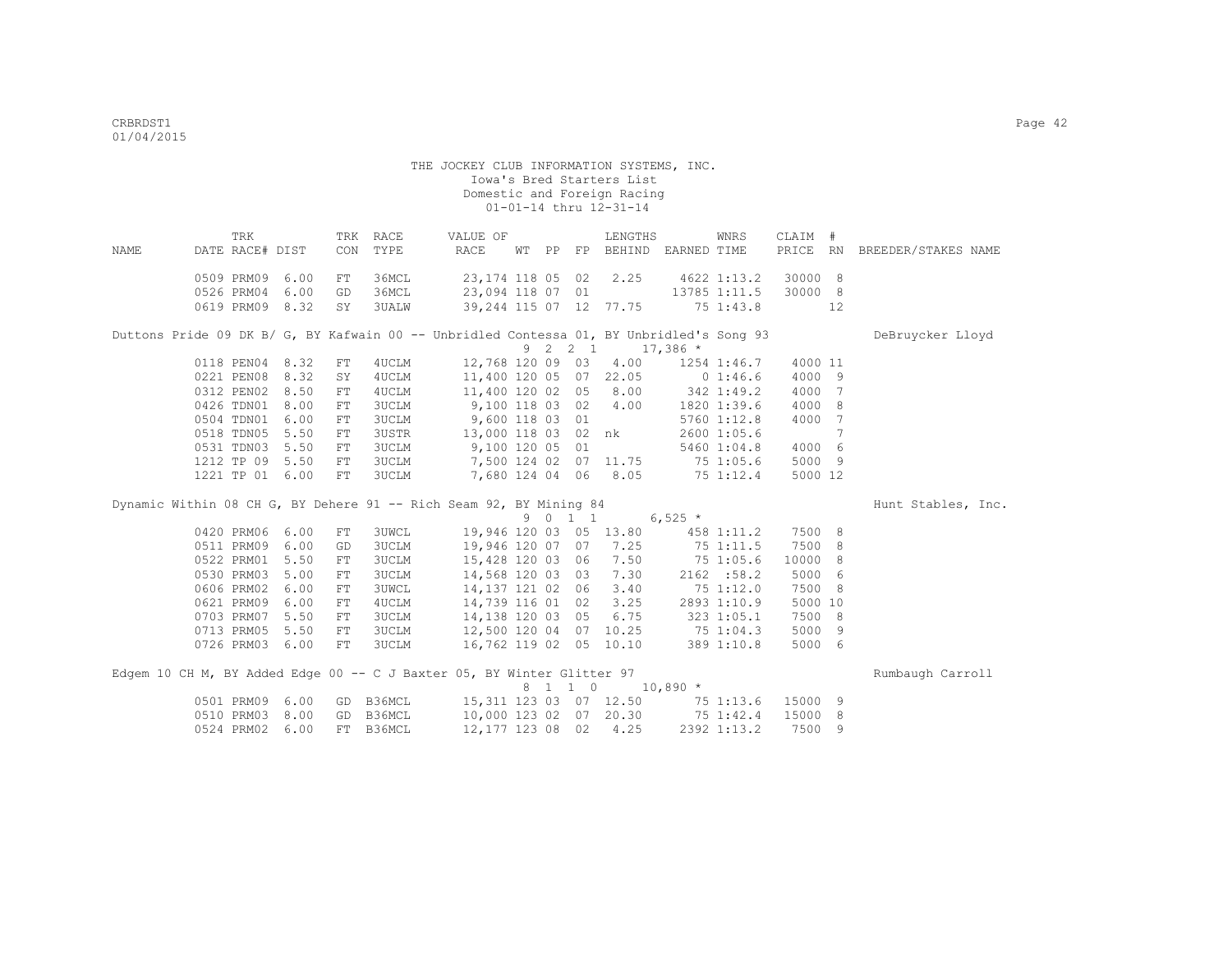| <b>NAME</b> | TRK<br>DATE RACE# DIST                                                                   |      | CON        | TRK RACE<br>TYPE | VALUE OF<br>RACE       | WT PP |         | LENGTHS<br>FP BEHIND EARNED TIME |               | WNRS            | CLAIM # |     | PRICE RN BREEDER/STAKES NAME |
|-------------|------------------------------------------------------------------------------------------|------|------------|------------------|------------------------|-------|---------|----------------------------------|---------------|-----------------|---------|-----|------------------------------|
|             | 0509 PRM09                                                                               | 6.00 | FT         | 36MCL            | 23, 174 118 05 02      |       |         | 2.25                             |               | 4622 1:13.2     | 30000 8 |     |                              |
|             | 0526 PRM04                                                                               | 6.00 | GD         | 36MCL            | 23,094 118 07 01       |       |         |                                  |               | 13785 1:11.5    | 30000 8 |     |                              |
|             | 0619 PRM09                                                                               | 8.32 | SY         | 3UALW            |                        |       |         | 39, 244 115 07 12 77.75          |               | 75 1:43.8       |         | 12  |                              |
|             | Duttons Pride 09 DK B/ G, BY Kafwain 00 -- Unbridled Contessa 01, BY Unbridled's Song 93 |      |            |                  |                        |       | 9 2 2 1 |                                  | $17,386$ *    |                 |         |     | DeBruycker Lloyd             |
|             | 0118 PEN04                                                                               | 8.32 | ${\rm FT}$ | 4UCLM            | 12,768 120 09 03       |       |         | 4.00                             |               | 1254 1:46.7     | 4000 11 |     |                              |
|             | 0221 PEN08                                                                               | 8.32 | SY         | 4UCLM            |                        |       |         | 11,400 120 05 07 22.05           |               | 01:46.6         | 4000 9  |     |                              |
|             | 0312 PEN02                                                                               | 8.50 | ${\rm FT}$ | 4UCLM            | 11,400 120 02 05       |       |         | 8.00                             | 342 1:49.2    |                 | 4000 7  |     |                              |
|             | 0426 TDN01                                                                               | 8.00 | FT         | <b>3UCLM</b>     | 9,100 118 03 02        |       |         | 4.00                             |               | 1820 1:39.6     | 4000 8  |     |                              |
|             | 0504 TDN01                                                                               | 6.00 | FT         | 3UCLM            | 9,600 118 03 01        |       |         |                                  |               | $5760$ $1:12.8$ | 4000 7  |     |                              |
|             | 0518 TDN05                                                                               | 5.50 | ${\rm FT}$ | 3USTR            | 13,000 118 03 02 nk    |       |         |                                  |               | 2600 1:05.6     |         | 7   |                              |
|             | 0531 TDN03                                                                               | 5.50 | ${\rm FT}$ | 3UCLM            | 9,100 120 05 01        |       |         |                                  |               | 5460 1:04.8     | 4000 6  |     |                              |
|             | 1212 TP 09                                                                               | 5.50 | FT         | 3UCLM            |                        |       |         | 7,500 124 02 07 11.75            | 75 1:05.6     |                 | 5000 9  |     |                              |
|             | 1221 TP 01 6.00                                                                          |      | FT         | <b>3UCLM</b>     | 7,680 124 04 06        |       |         | 8.05                             | $75 \t1:12.4$ |                 | 5000 12 |     |                              |
|             | Dynamic Within 08 CH G, BY Dehere 91 -- Rich Seam 92, BY Mining 84                       |      |            |                  |                        |       |         |                                  |               |                 |         |     | Hunt Stables, Inc.           |
|             |                                                                                          |      |            |                  |                        |       | 9 0 1 1 |                                  | $6,525$ *     |                 |         |     |                              |
|             | 0420 PRM06                                                                               | 6.00 | FT         | <b>3UWCL</b>     |                        |       |         | 19,946 120 03 05 13.80           |               | 458 1:11.2      | 7500 8  |     |                              |
|             | 0511 PRM09                                                                               | 6.00 | GD         | 3UCLM            | 19,946 120 07          |       | 07      | 7.25                             |               | $75$ 1:11.5     | 7500 8  |     |                              |
|             | 0522 PRM01                                                                               | 5.50 | ${\rm FT}$ | 3UCLM            | 15,428 120 03 06       |       |         | 7.50                             |               | 75 1:05.6       | 10000 8 |     |                              |
|             | 0530 PRM03                                                                               | 5.00 | FT         | <b>3UCLM</b>     | 14,568 120 03 03       |       |         | 7.30                             |               | 2162 : 58.2     | 5000 6  |     |                              |
|             | 0606 PRM02                                                                               | 6.00 | FT         | <b>3UWCL</b>     | 14,137 121 02 06       |       |         | 3.40                             |               | 751:12.0        | 7500    | - 8 |                              |
|             | 0621 PRM09                                                                               | 6.00 | FT         | 4UCLM            | 14,739 116 01 02       |       |         | 3.25                             |               | 2893 1:10.9     | 5000 10 |     |                              |
|             | 0703 PRM07                                                                               | 5.50 | ${\rm FT}$ | <b>3UCLM</b>     | 14,138 120 03 05       |       |         | 6.75                             |               | 3231:05.1       | 7500 8  |     |                              |
|             | 0713 PRM05                                                                               | 5.50 | FT         | <b>3UCLM</b>     | 12,500 120 04 07 10.25 |       |         |                                  |               | 75 1:04.3       | 5000 9  |     |                              |
|             | 0726 PRM03                                                                               | 6.00 | ${\rm FT}$ | <b>3UCLM</b>     |                        |       |         | 16,762 119 02 05 10.10           |               | 389 1:10.8      | 5000 6  |     |                              |
|             | Edgem 10 CH M, BY Added Edge 00 -- C J Baxter 05, BY Winter Glitter 97                   |      |            |                  |                        |       |         |                                  |               |                 |         |     | Rumbaugh Carroll             |
|             |                                                                                          |      |            |                  |                        |       | 8 1 1 0 |                                  | $10,890$ *    |                 |         |     |                              |
|             | 0501 PRM09                                                                               | 6.00 | GD         | B36MCL           |                        |       |         | 15, 311 123 03 07 12.50          |               | 75 1:13.6       | 15000 9 |     |                              |
|             | 0510 PRM03                                                                               | 8.00 | GD         | B36MCL           | 10,000 123 02 07 20.30 |       |         |                                  |               | 75 1:42.4       | 15000 8 |     |                              |
|             | 0524 PRM02                                                                               | 6.00 | FT         | B36MCL           | 12, 177 123 08 02      |       |         | 4.25                             |               | 2392 1:13.2     | 7500 9  |     |                              |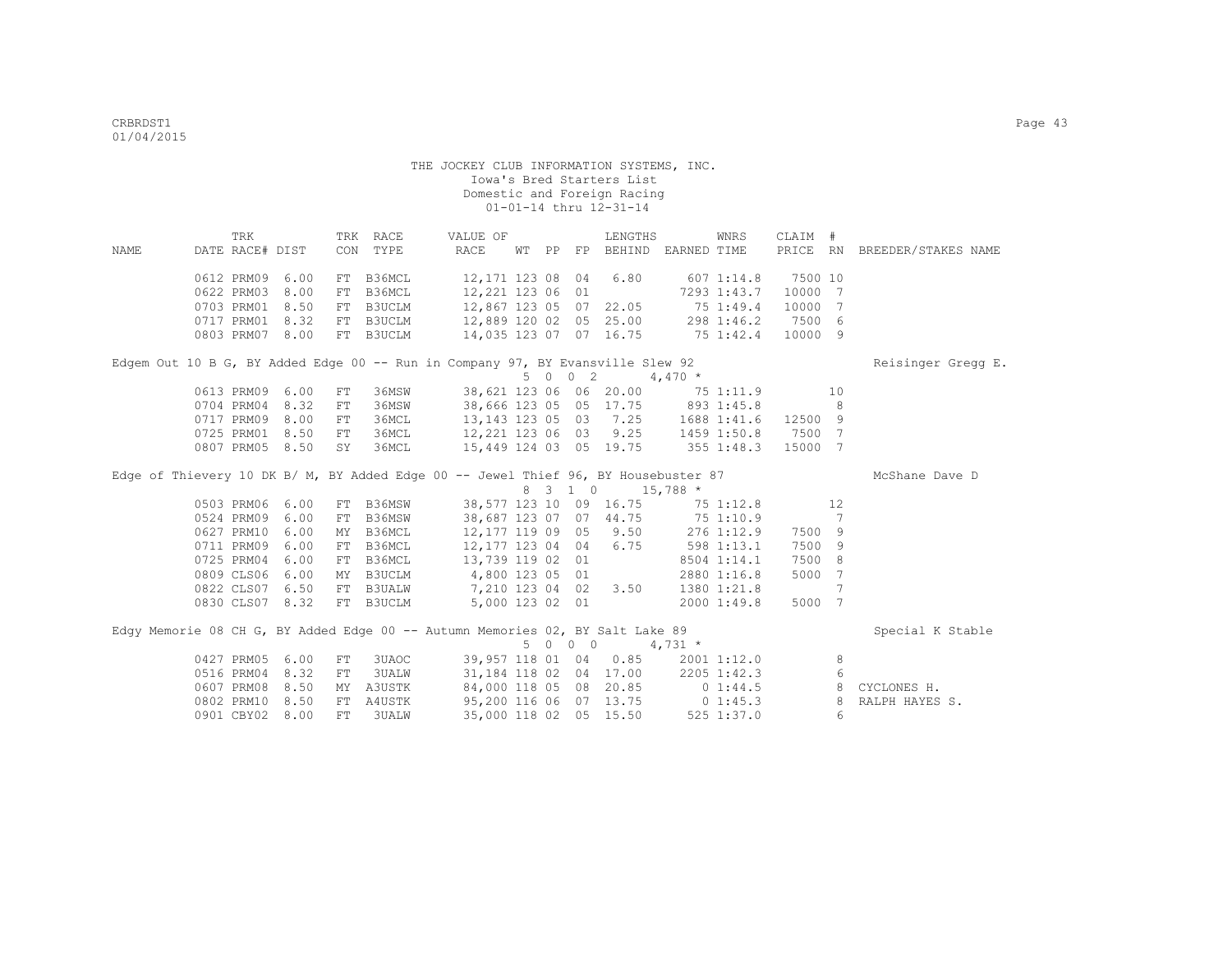|             | TRK             |      |            | TRK RACE      | VALUE OF                                                                           |       |                                         | LENGTHS                          |              | WNRS        | CLAIM #  |                |                     |
|-------------|-----------------|------|------------|---------------|------------------------------------------------------------------------------------|-------|-----------------------------------------|----------------------------------|--------------|-------------|----------|----------------|---------------------|
| <b>NAME</b> | DATE RACE# DIST |      | CON        | TYPE          | RACE                                                                               | WT PP |                                         | FP BEHIND EARNED TIME            |              |             | PRICE RN |                | BREEDER/STAKES NAME |
|             | 0612 PRM09      | 6.00 |            | FT B36MCL     | 12,171 123 08                                                                      |       | 04                                      | 6.80                             |              | 6071:14.8   | 7500 10  |                |                     |
|             | 0622 PRM03      | 8.00 | FT         | B36MCL        | 12,221 123 06 01                                                                   |       |                                         |                                  |              | 7293 1:43.7 | 10000 7  |                |                     |
|             | 0703 PRM01      | 8.50 |            | FT B3UCLM     | 12,867 123 05 07                                                                   |       |                                         | 22.05                            |              | 75 1:49.4   | 10000    | $\overline{7}$ |                     |
|             | 0717 PRM01      | 8.32 |            | FT B3UCLM     | 12,889 120 02                                                                      |       |                                         | 05 25.00                         |              | 298 1:46.2  | 7500 6   |                |                     |
|             | 0803 PRM07      | 8.00 |            | FT B3UCLM     | 14,035 123 07 07 16.75                                                             |       |                                         |                                  | 75 1:42.4    |             | 10000 9  |                |                     |
|             |                 |      |            |               | Edgem Out 10 B G, BY Added Edge 00 -- Run in Company 97, BY Evansville Slew 92     |       |                                         |                                  |              |             |          |                | Reisinger Gregg E.  |
|             |                 |      |            |               |                                                                                    |       | 5 0 0 2                                 |                                  | $4,470*$     |             |          |                |                     |
|             | 0613 PRM09      | 6.00 | FT         | 36MSW         |                                                                                    |       |                                         | 38,621 123 06 06 20.00           |              | 75 1:11.9   |          | 10             |                     |
|             | 0704 PRM04      | 8.32 | FT         | 36MSW         |                                                                                    |       |                                         | 38,666 123 05 05 17.75           |              | 893 1:45.8  |          | 8              |                     |
|             | 0717 PRM09      | 8.00 | FT         | 36MCL         | 13, 143 123 05 03                                                                  |       |                                         | 7.25                             | 1688 1:41.6  |             | 12500 9  |                |                     |
|             | 0725 PRM01      | 8.50 | ${\rm FT}$ | 36MCL         | 12,221 123 06 03                                                                   |       |                                         | 9.25                             |              | 1459 1:50.8 | 7500 7   |                |                     |
|             | 0807 PRM05      | 8.50 | SY         | 36MCL         | 15,449 124 03 05 19.75                                                             |       |                                         |                                  | $355$ 1:48.3 |             | 15000 7  |                |                     |
|             |                 |      |            |               | Edge of Thievery 10 DK B/ M, BY Added Edge 00 -- Jewel Thief 96, BY Housebuster 87 |       |                                         |                                  |              |             |          |                | McShane Dave D      |
|             |                 |      |            |               |                                                                                    |       | 8 3 1 0                                 |                                  | $15,788$ *   |             |          |                |                     |
|             | 0503 PRM06      | 6.00 |            | FT B36MSW     |                                                                                    |       |                                         | 38,577 123 10 09 16.75 75 1:12.8 |              |             |          | 12             |                     |
|             | 0524 PRM09      | 6.00 |            | FT B36MSW     | 38,687 123 07 07 44.75                                                             |       |                                         |                                  |              | 75 1:10.9   |          | -7             |                     |
|             | 0627 PRM10      | 6.00 |            | MY B36MCL     | 12, 177 119 09 05                                                                  |       |                                         | 9.50                             |              | 276 1:12.9  | 7500 9   |                |                     |
|             | 0711 PRM09      | 6.00 |            | FT B36MCL     | 12,177 123 04 04                                                                   |       |                                         | 6.75                             |              | 598 1:13.1  | 7500     | - 9            |                     |
|             | 0725 PRM04      | 6.00 |            | FT B36MCL     | 13,739 119 02                                                                      |       | 01                                      |                                  |              | 8504 1:14.1 | 7500     | - 8            |                     |
|             | 0809 CLS06      | 6.00 | MY         | B3UCLM        | 4,800 123 05                                                                       |       | 01                                      |                                  |              | 2880 1:16.8 | 5000     | $\overline{7}$ |                     |
|             | 0822 CLS07      | 6.50 | FT         | <b>B3UALW</b> | 7,210 123 04 02                                                                    |       |                                         | 3.50                             |              | 1380 1:21.8 |          | 7              |                     |
|             | 0830 CLS07      | 8.32 |            | FT B3UCLM     | 5,000 123 02 01                                                                    |       |                                         |                                  |              | 2000 1:49.8 | 5000 7   |                |                     |
|             |                 |      |            |               | Edgy Memorie 08 CH G, BY Added Edge 00 -- Autumn Memories 02, BY Salt Lake 89      |       |                                         |                                  |              |             |          |                | Special K Stable    |
|             |                 |      |            |               |                                                                                    | 5     | $\begin{matrix} 0 & 0 & 0 \end{matrix}$ |                                  | $4,731$ *    |             |          |                |                     |
|             | 0427 PRM05      | 6.00 | FT         | 3UAOC         | 39,957 118 01 04                                                                   |       |                                         | 0.85                             |              | 2001 1:12.0 |          | 8              |                     |
|             | 0516 PRM04      | 8.32 | ${\rm FT}$ | <b>3UALW</b>  |                                                                                    |       |                                         | 31,184 118 02 04 17.00           |              | 2205 1:42.3 |          | 6              |                     |
|             | 0607 PRM08      | 8.50 | MY         | A3USTK        | 84,000 118 05 08                                                                   |       |                                         | 20.85                            | $0\;1:44.5$  |             |          | - 8            | CYCLONES H.         |
|             | 0802 PRM10      | 8.50 | FT         | A4USTK        | 95,200 116 06 07 13.75                                                             |       |                                         |                                  | $0\;1:45.3$  |             |          | 8              | RALPH HAYES S.      |
|             | 0901 CBY02 8.00 |      | FT         | 3UALW         |                                                                                    |       |                                         | 35,000 118 02 05 15.50           |              | 525 1:37.0  |          | 6              |                     |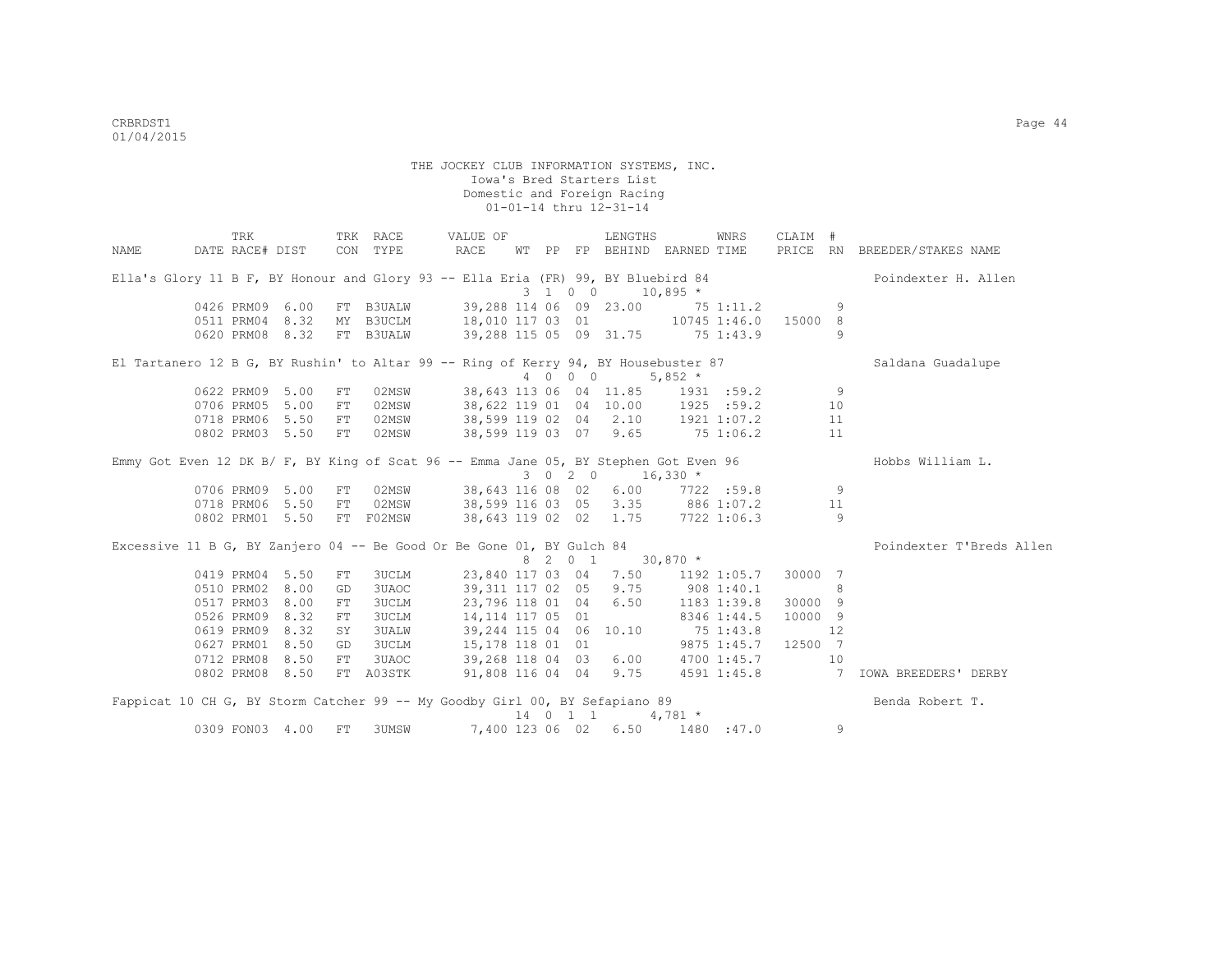|                                                                                      | TRK             |      |      | TRK RACE              |      | VALUE OF          |  |         | LENGTHS                      |                                       | WNRS        | CLAIM # |    |                              |
|--------------------------------------------------------------------------------------|-----------------|------|------|-----------------------|------|-------------------|--|---------|------------------------------|---------------------------------------|-------------|---------|----|------------------------------|
| NAME                                                                                 | DATE RACE# DIST |      |      | CON TYPE              | RACE |                   |  |         |                              | WT PP FP BEHIND EARNED TIME           |             |         |    | PRICE RN BREEDER/STAKES NAME |
| Ella's Glory 11 B F, BY Honour and Glory 93 -- Ella Eria (FR) 99, BY Bluebird 84     |                 |      |      |                       |      |                   |  |         |                              |                                       |             |         |    | Poindexter H. Allen          |
|                                                                                      |                 |      |      |                       |      |                   |  | 3 1 0 0 |                              | $10,895$ *                            |             |         |    |                              |
|                                                                                      | 0426 PRM09      | 6.00 |      | FT B3UALW             |      |                   |  |         |                              | 39,288 114 06 09 23.00 75 1:11.2      |             |         | 9  |                              |
|                                                                                      | 0511 PRM04 8.32 |      |      | MY B3UCLM             |      |                   |  |         |                              | 18,010 117 03 01 10745 1:46.0 15000 8 |             |         |    |                              |
|                                                                                      | 0620 PRM08 8.32 |      |      | FT B3UALW             |      |                   |  |         |                              | 39,288 115 05 09 31.75 75 1:43.9      |             |         | 9  |                              |
| El Tartanero 12 B G, BY Rushin' to Altar 99 -- Ring of Kerry 94, BY Housebuster 87   |                 |      |      |                       |      |                   |  |         |                              |                                       |             |         |    | Saldana Guadalupe            |
|                                                                                      |                 |      |      |                       |      |                   |  | 4 0 0 0 |                              | $5,852$ *                             |             |         |    |                              |
|                                                                                      | 0622 PRM09 5.00 |      | FT   | 02MSW                 |      |                   |  |         |                              | 38,643 113 06 04 11.85 1931 :59.2     |             |         | 9  |                              |
|                                                                                      | 0706 PRM05      | 5.00 | FT   | 02MSW                 |      |                   |  |         |                              | 38,622 119 01 04 10.00 1925 :59.2     |             |         | 10 |                              |
|                                                                                      | 0718 PRM06      | 5.50 | FT   | 02MSW                 |      |                   |  |         |                              | 38,599 119 02 04 2.10 1921 1:07.2     |             |         | 11 |                              |
|                                                                                      | 0802 PRM03 5.50 |      | FT   | 02MSW                 |      |                   |  |         |                              | 38,599 119 03 07 9.65 75 1:06.2       |             |         | 11 |                              |
| Emmy Got Even 12 DK B/ F, BY King of Scat 96 -- Emma Jane 05, BY Stephen Got Even 96 |                 |      |      |                       |      |                   |  |         |                              |                                       |             |         |    | Hobbs William L.             |
|                                                                                      |                 |      |      |                       |      |                   |  |         | $3 \t0 \t2 \t0 \t16,330 \t*$ |                                       |             |         |    |                              |
|                                                                                      | 0706 PRM09 5.00 |      |      | FT 02MSW              |      | 38,643 116 08 02  |  |         |                              | $6.00$ $7722$ :59.8                   |             |         | 9  |                              |
|                                                                                      | 0718 PRM06 5.50 |      |      | FT 02MSW              |      |                   |  |         |                              | 38,599 116 03 05 3.35 886 1:07.2      |             |         | 11 |                              |
|                                                                                      | 0802 PRM01 5.50 |      |      | FT F02MSW             |      |                   |  |         |                              | 38,643 119 02 02 1.75 7722 1:06.3     |             |         | 9  |                              |
| Excessive 11 B G, BY Zanjero 04 -- Be Good Or Be Gone 01, BY Gulch 84                |                 |      |      |                       |      |                   |  |         |                              |                                       |             |         |    | Poindexter T'Breds Allen     |
|                                                                                      |                 |      |      |                       |      |                   |  |         | 8 2 0 1 30,870 *             |                                       |             |         |    |                              |
|                                                                                      | 0419 PRM04 5.50 |      | FT   | 3UCLM                 |      |                   |  |         |                              | 23,840 117 03 04 7.50 1192 1:05.7     |             | 30000 7 |    |                              |
|                                                                                      | 0510 PRM02      | 8.00 | GD   | 3UAOC                 |      | 39,311 117 02 05  |  |         | 9.75                         |                                       | 908 1:40.1  |         | 8  |                              |
|                                                                                      | 0517 PRM03      | 8.00 | FT   | <b>3UCLM</b>          |      | 23,796 118 01 04  |  |         | 6.50                         |                                       | 1183 1:39.8 | 30000 9 |    |                              |
|                                                                                      | 0526 PRM09      | 8.32 | FT   | 3UCLM                 |      | 14, 114 117 05 01 |  |         |                              | 8346 1:44.5                           |             | 10000 9 |    |                              |
|                                                                                      | 0619 PRM09      | 8.32 | SY   | 3UALW                 |      |                   |  |         |                              | 39,244 115 04 06 10.10 75 1:43.8      |             |         | 12 |                              |
|                                                                                      | 0627 PRM01      | 8.50 | GD   | 3UCLM                 |      | 15,178 118 01 01  |  |         |                              | 9875 1:45.7 12500 7                   |             |         |    |                              |
|                                                                                      | 0712 PRM08      | 8.50 | FT 1 | 3UAOC <b>Security</b> |      | 39,268 118 04 03  |  |         |                              | $6.00$ $4700$ $1:45.7$                |             |         | 10 |                              |
|                                                                                      | 0802 PRM08 8.50 |      |      | FT A03STK             |      |                   |  |         |                              |                                       |             |         |    |                              |
| Fappicat 10 CH G, BY Storm Catcher 99 -- My Goodby Girl 00, BY Sefapiano 89          |                 |      |      |                       |      |                   |  |         |                              |                                       |             |         |    | Benda Robert T.              |
|                                                                                      |                 |      |      |                       |      |                   |  |         | 14 0 1 1                     | $4,781$ *                             |             |         |    |                              |
|                                                                                      | 0309 FON03 4.00 |      | FT   | 3UMSW                 |      |                   |  |         |                              | 7,400 123 06 02 6.50 1480 :47.0       |             |         | 9  |                              |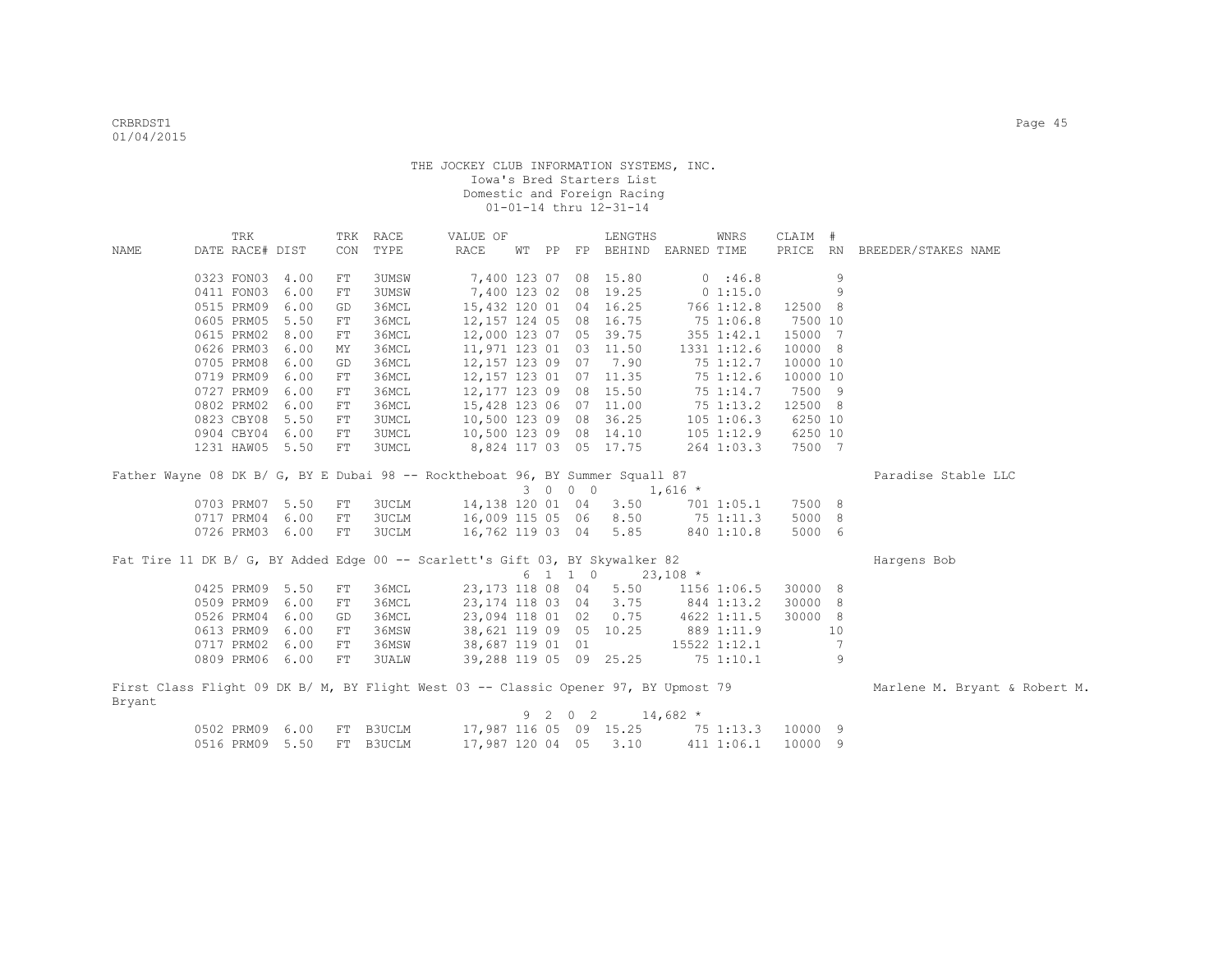|        | TRK                      |              | TRK        | RACE           | VALUE OF                                                                            |   |         | LENGTHS                     |             | WNRS         | CLAIM #            |                |                               |
|--------|--------------------------|--------------|------------|----------------|-------------------------------------------------------------------------------------|---|---------|-----------------------------|-------------|--------------|--------------------|----------------|-------------------------------|
| NAME   | DATE RACE# DIST          |              | CON        | TYPE           | RACE                                                                                |   |         | WT PP FP BEHIND EARNED TIME |             |              | PRICE RN           |                | BREEDER/STAKES NAME           |
|        |                          |              |            |                |                                                                                     |   |         |                             |             |              |                    |                |                               |
|        | 0323 FON03               | 4.00         | FT         | 3UMSW          |                                                                                     |   |         | 7,400 123 07 08 15.80       |             | 0:46.8       |                    | 9              |                               |
|        | 0411 FON03               | 6.00         | ${\rm FT}$ | 3UMSW          |                                                                                     |   |         | 7,400 123 02 08 19.25       |             | 0 1:15.0     |                    | 9              |                               |
|        | 0515 PRM09<br>0605 PRM05 | 6.00<br>5.50 | GD         | 36MCL<br>36MCL | 15,432 120 01 04 16.25                                                              |   |         |                             |             | 766 1:12.8   | 12500 8<br>7500 10 |                |                               |
|        |                          | 8.00         | FT         | 36MCL          | 12, 157 124 05 08 16.75                                                             |   |         | 39.75                       |             | 75 1:06.8    |                    | $\overline{7}$ |                               |
|        | 0615 PRM02               |              | FT         |                | 12,000 123 07 05                                                                    |   |         |                             |             | 355 1:42.1   | 15000<br>10000 8   |                |                               |
|        | 0626 PRM03               | 6.00         | MΥ         | 36MCL          | 11,971 123 01 03 11.50                                                              |   |         |                             |             | 1331 1:12.6  |                    |                |                               |
|        | 0705 PRM08               | 6.00<br>6.00 | GD         | 36MCL          | 12,157 123 09 07                                                                    |   |         | 7.90                        |             | 75 1:12.7    | 10000 10           |                |                               |
|        | 0719 PRM09               |              | FT         | 36MCL          | 12, 157 123 01 07 11.35<br>12, 177 123 09 08 15.50                                  |   |         |                             |             | 75 1:12.6    | 10000 10           |                |                               |
|        | 0727 PRM09<br>0802 PRM02 | 6.00<br>6.00 | FT         | 36MCL<br>36MCL |                                                                                     |   |         |                             |             | 75 1:14.7    | 7500 9<br>12500 8  |                |                               |
|        |                          | 5.50         | FT         |                | 15,428 123 06 07 11.00                                                              |   |         |                             |             | 75 1:13.2    |                    |                |                               |
|        | 0823 CBY08               |              | FT         | 3UMCL          | 10,500 123 09 08 36.25                                                              |   |         |                             |             | 105 1:06.3   | 6250 10            |                |                               |
|        | 0904 CBY04 6.00          |              | FT         | 3UMCL          | 10,500 123 09 08 14.10                                                              |   |         |                             |             | 105 1:12.9   | 6250 10            |                |                               |
|        | 1231 HAW05 5.50          |              | FT         | 3UMCL          | 8,824 117 03 05 17.75                                                               |   |         |                             |             | 264 1:03.3   | 7500 7             |                |                               |
|        |                          |              |            |                | Father Wayne 08 DK B/ G, BY E Dubai 98 -- Rocktheboat 96, BY Summer Squall 87       |   |         |                             |             |              |                    |                | Paradise Stable LLC           |
|        |                          |              |            |                |                                                                                     |   | 3 0 0 0 |                             | $1,616$ *   |              |                    |                |                               |
|        | 0703 PRM07 5.50          |              | FT         | 3UCLM          | 14,138 120 01 04                                                                    |   |         | 3.50                        |             | 701 1:05.1   | 7500 8             |                |                               |
|        | 0717 PRM04 6.00          |              | FT         | <b>3UCLM</b>   | 16,009 115 05 06                                                                    |   |         | 8.50                        |             | 75 1:11.3    | 5000 8             |                |                               |
|        | 0726 PRM03 6.00          |              | FT         | 3UCLM          | 16,762 119 03 04                                                                    |   |         | 5.85                        |             | 840 1:10.8   | 5000 6             |                |                               |
|        |                          |              |            |                |                                                                                     |   |         |                             |             |              |                    |                |                               |
|        |                          |              |            |                | Fat Tire 11 DK B/ G, BY Added Edge 00 -- Scarlett's Gift 03, BY Skywalker 82        |   |         |                             |             |              |                    |                | Hargens Bob                   |
|        |                          |              |            |                |                                                                                     |   | 6 1 1 0 | $23,108$ *                  |             |              |                    |                |                               |
|        | 0425 PRM09 5.50          |              | FT         | 36MCL          | 23,173 118 08 04                                                                    |   |         | 5.50                        |             | 1156 1:06.5  | 30000 8            |                |                               |
|        | 0509 PRM09 6.00          |              | ${\rm FT}$ | 36MCL          | 23,174 118 03 04                                                                    |   |         | 3.75                        | 844 1:13.2  |              | 30000 8            |                |                               |
|        | 0526 PRM04 6.00          |              | GD         | 36MCL          | 23,094 118 01 02                                                                    |   |         | 0.75                        | 4622 1:11.5 |              | 30000 8            |                |                               |
|        | 0613 PRM09 6.00          |              | FT         | 36MSW          | 38,621 119 09 05 10.25                                                              |   |         |                             | 889 1:11.9  |              |                    | 10             |                               |
|        | 0717 PRM02 6.00          |              | FT         | 36MSW          | 38,687 119 01 01                                                                    |   |         |                             |             | 15522 1:12.1 |                    | 7              |                               |
|        | 0809 PRM06 6.00          |              | FT         | <b>3UALW</b>   | 39,288 119 05 09 25.25                                                              |   |         |                             |             | 75 1:10.1    |                    | 9              |                               |
|        |                          |              |            |                |                                                                                     |   |         |                             |             |              |                    |                |                               |
|        |                          |              |            |                | First Class Flight 09 DK B/ M, BY Flight West 03 -- Classic Opener 97, BY Upmost 79 |   |         |                             |             |              |                    |                | Marlene M. Bryant & Robert M. |
| Bryant |                          |              |            |                |                                                                                     |   |         |                             |             |              |                    |                |                               |
|        |                          |              |            |                |                                                                                     | 9 | 2 0 2   |                             | $14,682$ *  |              |                    |                |                               |
|        | 0502 PRM09 6.00          |              | FT         | B3UCLM         | 17,987 116 05 09 15.25                                                              |   |         |                             |             | 75 1:13.3    | 10000 9            |                |                               |
|        | 0516 PRM09               | 5.50         | FT.        | B3UCLM         | 17,987 120 04 05                                                                    |   |         | 3.10                        |             | 411 1:06.1   | 10000 9            |                |                               |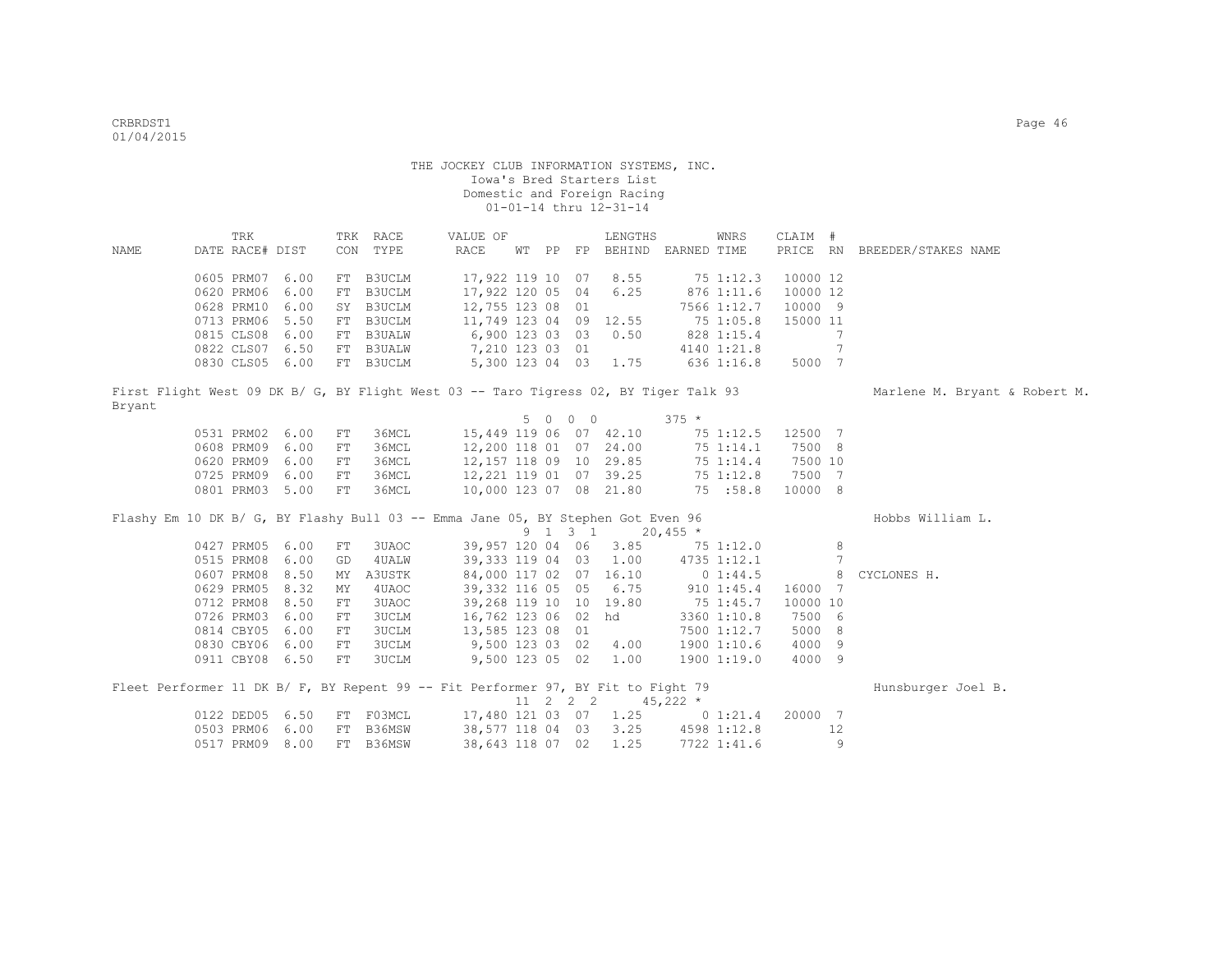|        | TRK             |  |    | TRK RACE     | VALUE OF                                                                                      |  | LENGTHS                                                                                                                                |            | WNRS        | CLAIM #          |                              |                               |
|--------|-----------------|--|----|--------------|-----------------------------------------------------------------------------------------------|--|----------------------------------------------------------------------------------------------------------------------------------------|------------|-------------|------------------|------------------------------|-------------------------------|
| NAME   | DATE RACE# DIST |  |    | CON TYPE     | RACE                                                                                          |  | WT PP FP BEHIND EARNED TIME                                                                                                            |            |             |                  |                              | PRICE RN BREEDER/STAKES NAME  |
|        | 0605 PRM07 6.00 |  |    | FT B3UCLM    | 17,922 119 10 07                                                                              |  | 8.55                                                                                                                                   |            | 75 1:12.3   | 10000 12         |                              |                               |
|        | 0620 PRM06 6.00 |  |    | FT B3UCLM    | 17,922 120 05 04                                                                              |  | 6.25                                                                                                                                   |            | 876 1:11.6  | 10000 12         |                              |                               |
|        | 0628 PRM10 6.00 |  |    | SY B3UCLM    | 12,755 123 08 01                                                                              |  |                                                                                                                                        |            | 7566 1:12.7 | 10000 9          |                              |                               |
|        | 0713 PRM06 5.50 |  |    | FT B3UCLM    | 11,749 123 04 09 12.55                                                                        |  |                                                                                                                                        |            | 75 1:05.8   | 15000 11         |                              |                               |
|        | 0815 CLS08 6.00 |  |    |              |                                                                                               |  |                                                                                                                                        | 828 1:15.4 |             |                  | $7\phantom{.0}$              |                               |
|        | 0822 CLS07 6.50 |  |    |              |                                                                                               |  |                                                                                                                                        |            | 4140 1:21.8 |                  | $\overline{7}$               |                               |
|        | 0830 CLS05 6.00 |  |    | FT B3UCLM    | FT B3UALW 6,900 123 03 03 0.50<br>FT B3UALW 7,210 123 03 01<br>FT B3UCLM 5,300 123 04 03 1.75 |  |                                                                                                                                        |            | 636 1:16.8  | 5000 7           |                              |                               |
|        |                 |  |    |              | First Flight West 09 DK B/ G, BY Flight West 03 -- Taro Tigress 02, BY Tiger Talk 93          |  |                                                                                                                                        |            |             |                  |                              | Marlene M. Bryant & Robert M. |
| Bryant |                 |  |    |              |                                                                                               |  |                                                                                                                                        |            |             |                  |                              |                               |
|        |                 |  |    |              |                                                                                               |  | 5 0 0 0                                                                                                                                | $375 *$    |             |                  |                              |                               |
|        | 0531 PRM02 6.00 |  | FT | 36MCL        | 15,449 119 06 07 42.10 75 1:12.5 12500 7                                                      |  |                                                                                                                                        |            |             |                  |                              |                               |
|        | 0608 PRM09 6.00 |  | FT | 36MCL        |                                                                                               |  |                                                                                                                                        |            | 75 1:14.1   | 7500 8           |                              |                               |
|        | 0620 PRM09 6.00 |  | FT | 36MCL        |                                                                                               |  |                                                                                                                                        |            | 75 1:14.4   | 7500 10          |                              |                               |
|        | 0725 PRM09 6.00 |  | FT | 36MCL        |                                                                                               |  |                                                                                                                                        |            | 75 1:12.8   | 7500 7           |                              |                               |
|        | 0801 PRM03 5.00 |  | FT | 36MCL        |                                                                                               |  |                                                                                                                                        |            |             | 10000 8          |                              |                               |
|        |                 |  |    |              | Flashy Em 10 DK B/ G, BY Flashy Bull 03 -- Emma Jane 05, BY Stephen Got Even 96               |  |                                                                                                                                        |            |             |                  |                              | Hobbs William L.              |
|        |                 |  |    |              |                                                                                               |  | $9 \quad 1 \quad 3 \quad 1 \quad 20,455 \star$                                                                                         |            |             |                  |                              |                               |
|        | 0427 PRM05 6.00 |  | FT | 3UAOC        |                                                                                               |  | 39, 957 120 04 06 3.00<br>39, 333 119 04 03 1.00 4735 1:12.1<br>84, 000 117 02 07 16.10 0 1:44.5<br>1.000 116 05 6.75 910 1:45.4 16000 |            |             |                  | 8                            |                               |
|        | 0515 PRM08 6.00 |  | GD | 4 UALW       |                                                                                               |  |                                                                                                                                        |            |             |                  | $7\phantom{.0}\phantom{.0}7$ |                               |
|        | 0607 PRM08 8.50 |  | MY | A3USTK       |                                                                                               |  |                                                                                                                                        |            |             |                  | 8                            | CYCLONES H.                   |
|        | 0629 PRM05 8.32 |  | MY | 4UAOC        |                                                                                               |  |                                                                                                                                        |            |             | 16000 7          |                              |                               |
|        | 0712 PRM08 8.50 |  | FT | 3UAOC        |                                                                                               |  |                                                                                                                                        |            |             | 10000 10         |                              |                               |
|        | 0726 PRM03 6.00 |  | FT | 3UCLM        |                                                                                               |  | 16,762 123 06 02 hd                                                                                                                    |            | 3360 1:10.8 | 7500 6           |                              |                               |
|        | 0814 CBY05 6.00 |  | FT | <b>3UCLM</b> | 13,585 123 08 01                                                                              |  |                                                                                                                                        |            | 7500 1:12.7 | 5000 8           |                              |                               |
|        | 0830 CBY06 6.00 |  | FT | 3UCLM        | 9,500 123 03 02 4.00                                                                          |  |                                                                                                                                        |            | 1900 1:10.6 | 4000 9           |                              |                               |
|        | 0911 CBY08 6.50 |  | FT | <b>3UCLM</b> | 9,500 123 05 02 1.00                                                                          |  |                                                                                                                                        |            | 19001:19.0  | 4000 9           |                              |                               |
|        |                 |  |    |              | Fleet Performer 11 DK B/ F, BY Repent 99 -- Fit Performer 97, BY Fit to Fight 79              |  |                                                                                                                                        |            |             |                  |                              | Hunsburger Joel B.            |
|        |                 |  |    |              |                                                                                               |  | 11 2 2 2 45,222 $\star$                                                                                                                |            |             |                  |                              |                               |
|        | 0122 DED05 6.50 |  |    |              | FT F03MCL 17,480 121 03 07 1.25                                                               |  |                                                                                                                                        |            |             | 0 1:21.4 20000 7 |                              |                               |
|        | 0503 PRM06 6.00 |  |    | FT B36MSW    | 38,577 118 04 03 3.25 4598 1:12.8                                                             |  |                                                                                                                                        |            |             |                  | 12                           |                               |
|        | 0517 PRM09 8.00 |  |    | FT B36MSW    | 38,643 118 07 02                                                                              |  | 1.25                                                                                                                                   |            | 7722 1:41.6 |                  | 9                            |                               |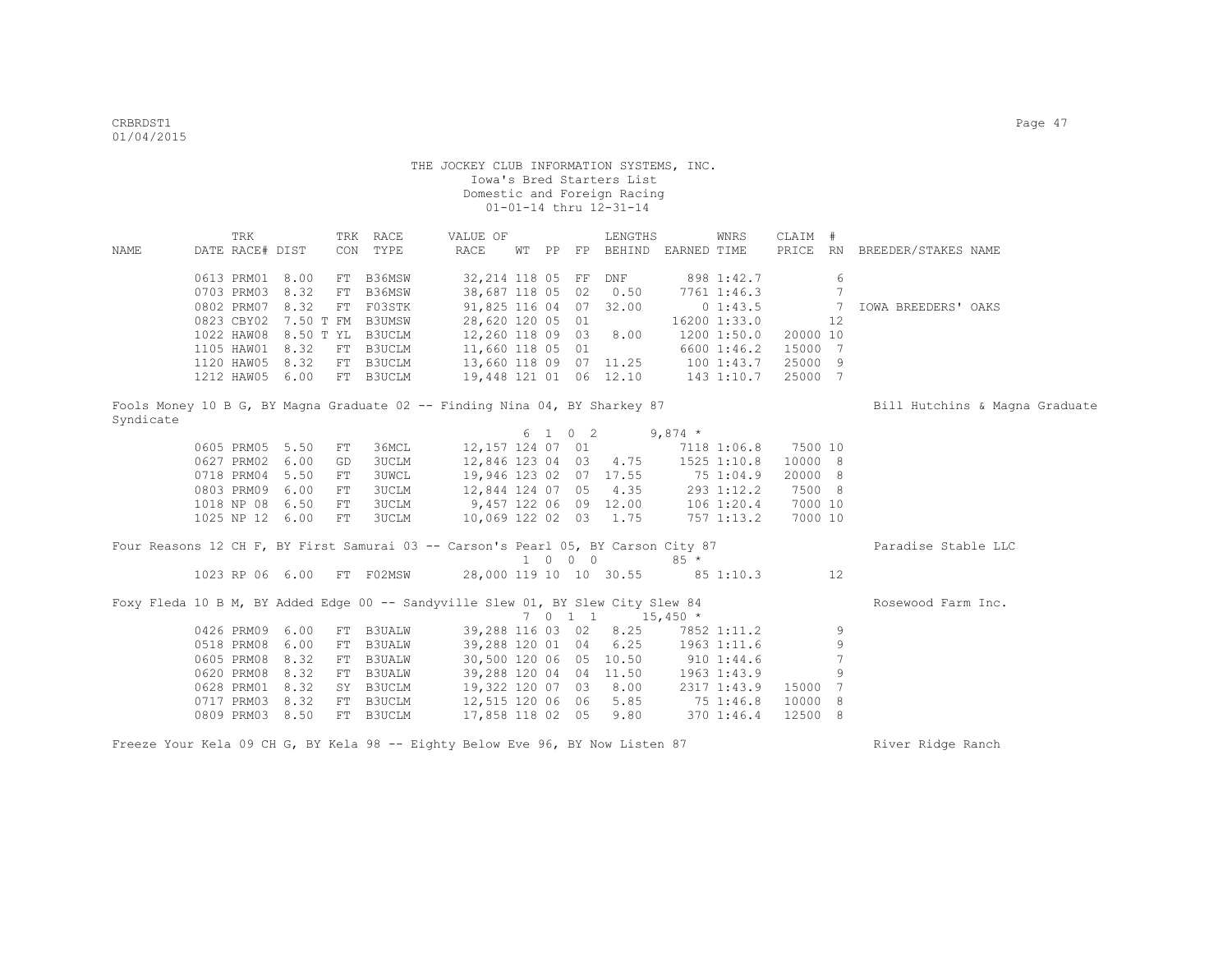| NAME      | DATE RACE# DIST                                           | TRK |                                              |    | TRK RACE<br>CON TYPE                                                              | VALUE OF<br>RACE                                                                              |  |                             | LENGTHS<br>WT PP FP BEHIND EARNED TIME |                | WNRS                                       | CLAIM #                        |                                       | PRICE RN BREEDER/STAKES NAME   |
|-----------|-----------------------------------------------------------|-----|----------------------------------------------|----|-----------------------------------------------------------------------------------|-----------------------------------------------------------------------------------------------|--|-----------------------------|----------------------------------------|----------------|--------------------------------------------|--------------------------------|---------------------------------------|--------------------------------|
|           | 0613 PRM01<br>0703 PRM03<br>0802 PRM07                    |     | 8.00<br>8.32<br>8.32                         | FT | FT B36MSW<br>B36MSW<br>FT F03STK                                                  | 32,214 118 05 FF<br>38,687 118 05 02<br>91,825 116 04 07 32.00                                |  |                             | DNF<br>0.50                            |                | 898 1:42.7<br>7761 1:46.3<br>01:43.5       |                                | 6<br>$\overline{7}$<br>$\overline{7}$ | IOWA BREEDERS' OAKS            |
|           | 0823 CBY02<br>1022 HAW08<br>1105 HAW01 8.32<br>1120 HAW05 |     | 7.50 T FM B3UMSW<br>8.50 T YL B3UCLM<br>8.32 |    | FT B3UCLM<br>FT B3UCLM                                                            | 28,620 120 05 01<br>12,260 118 09 03<br>11,660 118 05 01<br>13,660 118 09 07 11.25 100 1:43.7 |  |                             | 8.00                                   |                | 16200 1:33.0<br>1200 1:50.0<br>6600 1:46.2 | 20000 10<br>15000 7<br>25000 9 | 12                                    |                                |
|           | 1212 HAW05 6.00                                           |     |                                              |    | FT B3UCLM                                                                         |                                                                                               |  |                             | 19,448 121 01 06 12.10 143 1:10.7      |                |                                            | 25000 7                        |                                       |                                |
| Syndicate |                                                           |     |                                              |    | Fools Money 10 B G, BY Magna Graduate 02 -- Finding Nina 04, BY Sharkey 87        |                                                                                               |  |                             |                                        |                |                                            |                                |                                       | Bill Hutchins & Magna Graduate |
|           |                                                           |     |                                              |    |                                                                                   |                                                                                               |  |                             | 6 1 0 2                                | $9,874$ *      |                                            |                                |                                       |                                |
|           | 0605 PRM05 5.50                                           |     |                                              | FT | 36MCL                                                                             | 12,157 124 07 01                                                                              |  |                             |                                        |                | 7118 1:06.8                                | 7500 10                        |                                       |                                |
|           | 0627 PRM02 6.00                                           |     |                                              | GD | <b>3UCLM</b>                                                                      |                                                                                               |  |                             | 12,846 123 04 03 4.75                  |                | 1525 1:10.8                                | 10000 8                        |                                       |                                |
|           | 0718 PRM04 5.50                                           |     |                                              | FT | 3UWCL                                                                             | 19,946 123 02 07 17.55                                                                        |  |                             |                                        | 75 1:04.9      |                                            | 20000 8                        |                                       |                                |
|           | 0803 PRM09 6.00                                           |     |                                              | FT | <b>3UCLM</b>                                                                      | 12,844 124 07 05 4.35                                                                         |  |                             |                                        |                | 293 1:12.2                                 | 7500 8                         |                                       |                                |
|           | 1018 NP 08                                                |     | 6.50                                         | FT | 3UCLM                                                                             | 9,457 122 06 09 12.00                                                                         |  |                             |                                        |                | $106$ $1:20.4$                             | 7000 10                        |                                       |                                |
|           | 1025 NP 12 6.00                                           |     |                                              | FT | 3UCLM                                                                             | 10,069 122 02 03 1.75                                                                         |  |                             |                                        |                | 757 1:13.2                                 | 7000 10                        |                                       |                                |
|           |                                                           |     |                                              |    | Four Reasons 12 CH F, BY First Samurai 03 -- Carson's Pearl 05, BY Carson City 87 |                                                                                               |  | $1 \quad 0 \quad 0 \quad 0$ |                                        | $85 *$         |                                            |                                |                                       | Paradise Stable LLC            |
|           |                                                           |     | 1023 RP 06 6.00                              |    | FT F02MSW                                                                         | 28,000 119 10 10 30.55                                                                        |  |                             |                                        | 85 1:10.3      |                                            |                                | 12                                    |                                |
|           |                                                           |     |                                              |    | Foxy Fleda 10 B M, BY Added Edge 00 -- Sandyville Slew 01, BY Slew City Slew 84   |                                                                                               |  | 7 0 1 1                     |                                        | $15,450$ *     |                                            |                                |                                       | Rosewood Farm Inc.             |
|           | 0426 PRM09 6.00                                           |     |                                              | FT | <b>B3UALW</b>                                                                     | 39,288 116 03 02                                                                              |  |                             | 8.25                                   |                | 7852 1:11.2                                |                                | 9                                     |                                |
|           | 0518 PRM08                                                |     | 6.00                                         | FT | <b>B3UALW</b>                                                                     | 39,288 120 01 04                                                                              |  |                             | 6.25                                   | 1963 1:11.6    |                                            |                                | 9                                     |                                |
|           | 0605 PRM08                                                |     | 8.32                                         |    | FT B3UALW                                                                         | 30,500 120 06 05 10.50                                                                        |  |                             |                                        | $910$ $1:44.6$ |                                            |                                | 7                                     |                                |
|           | 0620 PRM08                                                |     | 8.32                                         |    | FT B3UALW                                                                         | 39,288 120 04 04 11.50                                                                        |  |                             |                                        |                | 1963 1:43.9                                |                                | 9                                     |                                |
|           | 0628 PRM01 8.32                                           |     |                                              |    | SY B3UCLM                                                                         | 19,322 120 07 03 8.00                                                                         |  |                             |                                        |                | 2317 1:43.9                                | 15000 7                        |                                       |                                |
|           | 0717 PRM03 8.32                                           |     |                                              |    | FT B3UCLM                                                                         | 12,515 120 06 06 5.85                                                                         |  |                             |                                        | 75 1:46.8      |                                            | 10000 8                        |                                       |                                |
|           | 0809 PRM03                                                |     | 8.50                                         |    | FT B3UCLM                                                                         | 17,858 118 02 05                                                                              |  |                             | 9.80                                   |                | 370 1:46.4                                 | 12500 8                        |                                       |                                |

Freeze Your Kela 09 CH G, BY Kela 98 -- Eighty Below Eve 96, BY Now Listen 87 River Ridge Ranch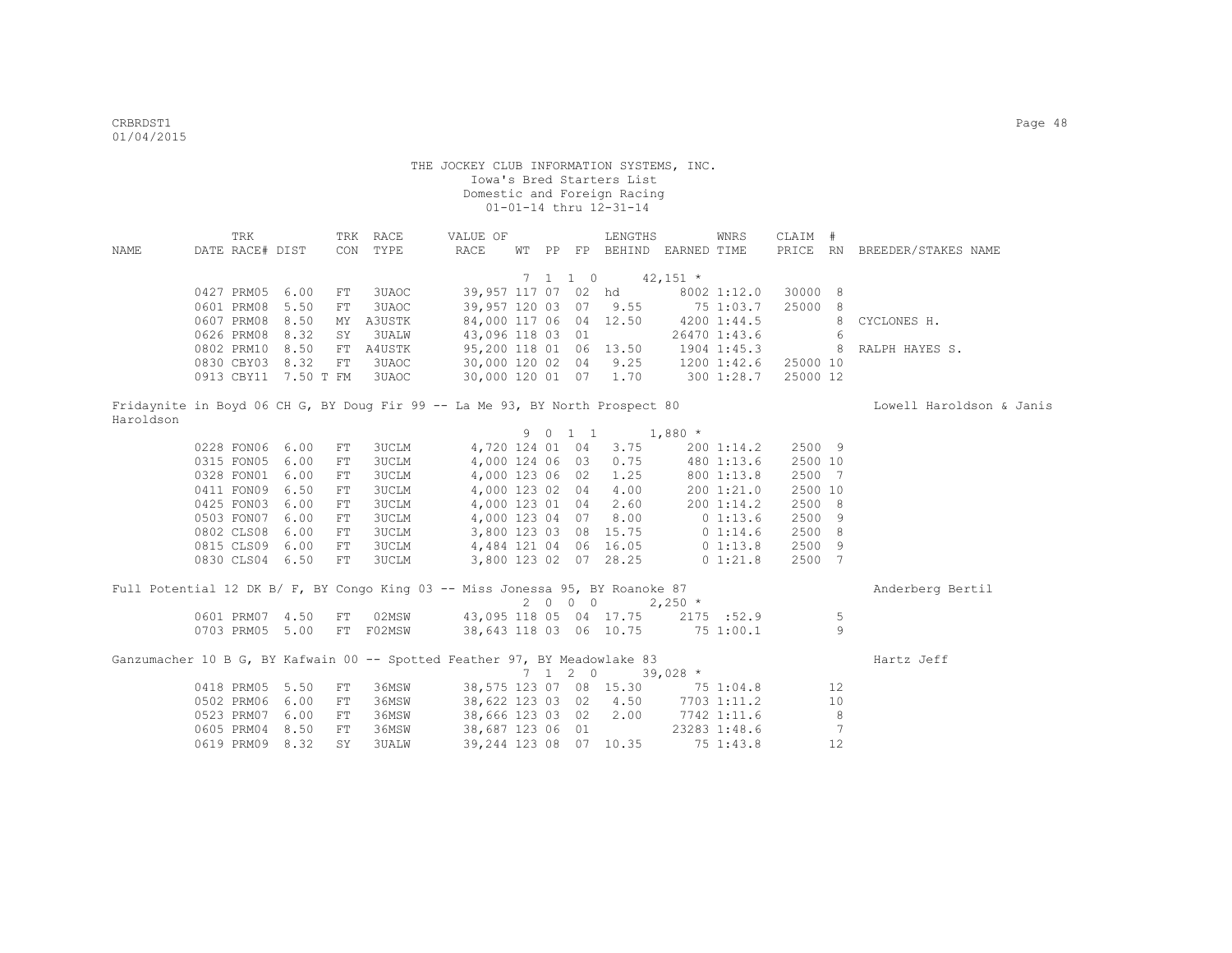| NAME      | TRK<br>DATE RACE# DIST |                            |            | TRK RACE<br>CON TYPE                                                          | VALUE OF<br>RACE       | WT PP |                             | LENGTHS<br>FP BEHIND EARNED TIME           |            | WNRS         | CLAIM #  |                 | PRICE RN BREEDER/STAKES NAME |
|-----------|------------------------|----------------------------|------------|-------------------------------------------------------------------------------|------------------------|-------|-----------------------------|--------------------------------------------|------------|--------------|----------|-----------------|------------------------------|
|           |                        |                            |            |                                                                               |                        |       | $7 \quad 1 \quad 1 \quad 0$ |                                            | $42,151$ * |              |          |                 |                              |
|           | 0427 PRM05             | 6.00                       | FT         | 3UAOC                                                                         |                        |       |                             | 39,957 117 07 02 hd                        |            | 8002 1:12.0  | 30000 8  |                 |                              |
|           | 0601 PRM08             | 5.50                       | FT         | 3UAOC                                                                         | 39,957 120 03 07 9.55  |       |                             |                                            | 75 1:03.7  |              | 25000 8  |                 |                              |
|           | 0607 PRM08             | 8.50                       |            | MY A3USTK                                                                     | 84,000 117 06 04 12.50 |       |                             |                                            |            | 4200 1:44.5  |          | 8               | CYCLONES H.                  |
|           | 0626 PRM08             | 8.32                       | SY         | <b>3UALW</b>                                                                  | 43,096 118 03 01       |       |                             |                                            |            | 26470 1:43.6 |          | 6               |                              |
|           | 0802 PRM10             | 8.50                       |            | FT A4USTK                                                                     | 95,200 118 01 06 13.50 |       |                             |                                            |            | 1904 1:45.3  |          |                 | RALPH HAYES S.               |
|           | 0830 CBY03 8.32        |                            | FT         | 3UAOC                                                                         |                        |       |                             | 30,000 120 02 04 9.25 1200 1:42.6 25000 10 |            |              |          |                 |                              |
|           |                        | 0913 CBY11 7.50 T FM 3UAOC |            |                                                                               |                        |       |                             | 30,000 120 01 07 1.70 300 1:28.7           |            |              | 25000 12 |                 |                              |
|           |                        |                            |            |                                                                               |                        |       |                             |                                            |            |              |          |                 |                              |
| Haroldson |                        |                            |            | Fridaynite in Boyd 06 CH G, BY Doug Fir 99 -- La Me 93, BY North Prospect 80  |                        |       |                             |                                            |            |              |          |                 | Lowell Haroldson & Janis     |
|           |                        |                            |            |                                                                               |                        |       | 9 0 1 1                     | $1,880$ *                                  |            |              |          |                 |                              |
|           | 0228 FON06 6.00        |                            | FT         | 3UCLM                                                                         |                        |       |                             | 4,720 124 01 04 3.75                       |            | 200 1:14.2   | 2500 9   |                 |                              |
|           | 0315 FON05             | 6.00                       | ${\rm FT}$ | 3UCLM                                                                         | 4,000 124 06 03        |       |                             | 0.75                                       |            | 480 1:13.6   | 2500 10  |                 |                              |
|           | 0328 FON01             | 6.00                       | FT.        | 3UCLM                                                                         | 4,000 123 06 02        |       |                             | 1.25                                       |            | 800 1:13.8   | 2500 7   |                 |                              |
|           | 0411 FON09             | 6.50                       | FT         | <b>3UCLM</b>                                                                  | 4,000 123 02 04        |       |                             | 4.00                                       |            | 200 1:21.0   | 2500 10  |                 |                              |
|           | 0425 FON03             | 6.00                       | FT         | <b>3UCLM</b>                                                                  | 4,000 123 01 04        |       |                             | 2.60                                       |            | 200 1:14.2   | 2500 8   |                 |                              |
|           | 0503 FON07             | 6.00                       | ${\rm FT}$ | 3UCLM                                                                         |                        |       |                             | 4,000 123 04 07 8.00 0 1:13.6              |            |              | 2500 9   |                 |                              |
|           | 0802 CLS08             | 6.00                       | FT         | 3UCLM                                                                         |                        |       |                             | 3,800 123 03 08 15.75 0 1:14.6             |            |              | 2500 8   |                 |                              |
|           | 0815 CLS09 6.00        |                            | FT         | 3UCLM                                                                         |                        |       |                             | 4,484 121 04 06 16.05 0 1:13.8             |            |              | 2500 9   |                 |                              |
|           | 0830 CLS04 6.50        |                            | FT         | 3UCLM                                                                         |                        |       |                             | 3,800 123 02 07 28.25 0 1:21.8             |            |              | 2500 7   |                 |                              |
|           |                        |                            |            | Full Potential 12 DK B/ F, BY Congo King 03 -- Miss Jonessa 95, BY Roanoke 87 |                        |       |                             |                                            |            |              |          |                 | Anderberg Bertil             |
|           |                        |                            |            |                                                                               |                        |       |                             | 2 0 0 0 2,250 $*$                          |            |              |          |                 |                              |
|           |                        | 0601 PRM07 4.50            |            | FT 02MSW                                                                      |                        |       |                             | 43,095 118 05 04 17.75 2175 :52.9          |            |              |          | 5               |                              |
|           |                        | 0703 PRM05 5.00            |            | FT F02MSW 38,643 118 03 06 10.75 75 1:00.1                                    |                        |       |                             |                                            |            |              |          | $\overline{9}$  |                              |
|           |                        |                            |            | Ganzumacher 10 B G, BY Kafwain 00 -- Spotted Feather 97, BY Meadowlake 83     |                        |       |                             |                                            |            |              |          |                 | Hartz Jeff                   |
|           |                        |                            |            |                                                                               |                        |       | $7 \quad 1 \quad 2 \quad 0$ |                                            | $39,028$ * |              |          |                 |                              |
|           | 0418 PRM05 5.50        |                            | FT         | 36MSW                                                                         |                        |       |                             | 38,575 123 07 08 15.30 75 1:04.8 12        |            |              |          |                 |                              |
|           | 0502 PRM06             | 6.00                       | FT         | 36MSW                                                                         |                        |       |                             | 38,622 123 03 02 4.50 7703 1:11.2          |            |              |          | 10              |                              |
|           | 0523 PRM07             | 6.00                       | FT         | 36MSW                                                                         | 38,666 123 03 02 2.00  |       |                             |                                            |            | 7742 1:11.6  |          | 8               |                              |
|           | 0605 PRM04             | 8.50                       | FT         | 36MSW                                                                         | 38,687 123 06 01       |       |                             |                                            |            | 23283 1:48.6 |          | $7\phantom{.0}$ |                              |
|           | 0619 PRM09 8.32        |                            | SY         | 3UALW                                                                         |                        |       |                             | 39,244 123 08 07 10.35                     |            | 75 1:43.8    |          | 12              |                              |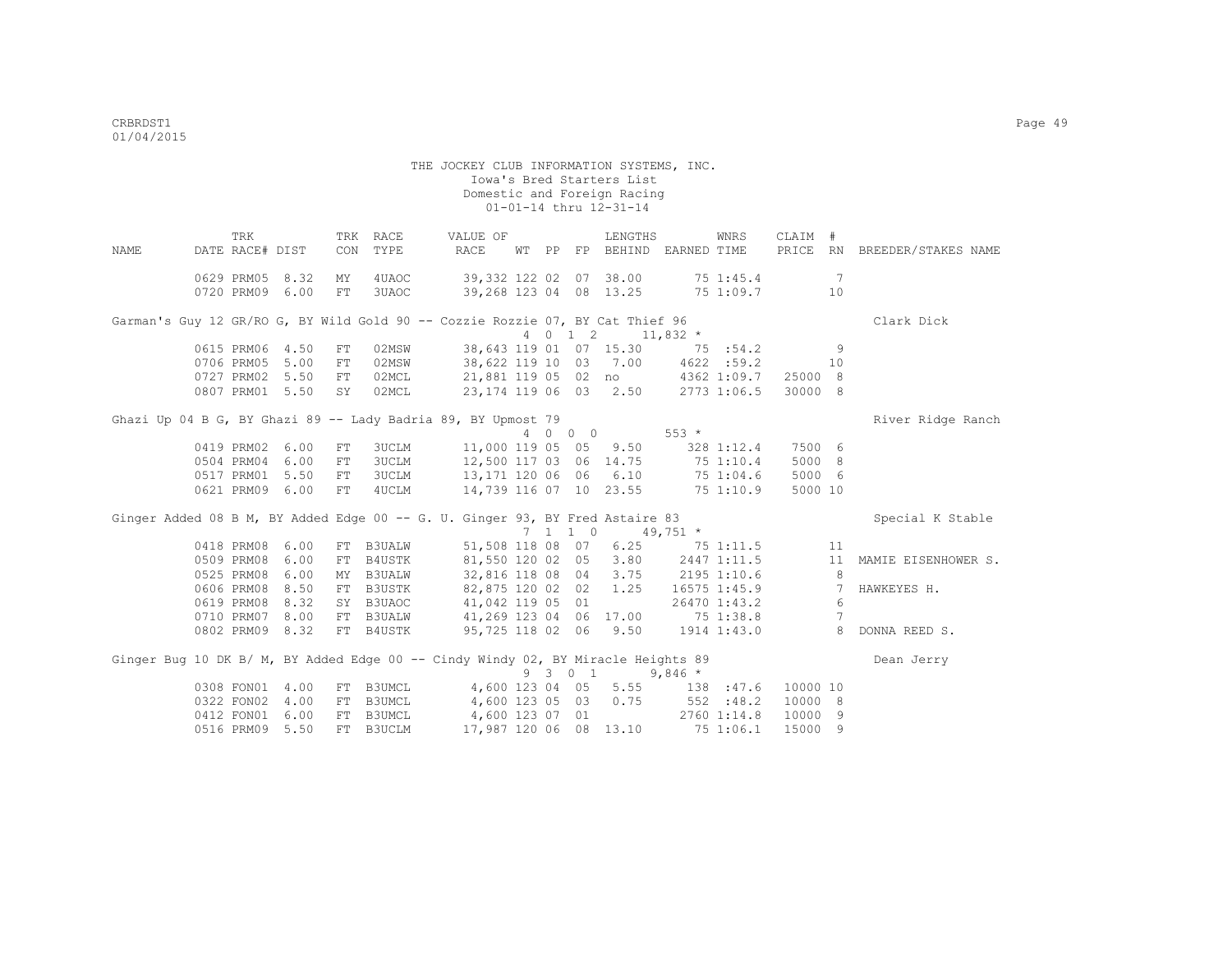THE JOCKEY CLUB INFORMATION SYSTEMS, INC. Iowa's Bred Starters List Domestic and Foreign Racing 01-01-14 thru 12-31-14 TRK TRK RACE VALUE OF LENGTHS WNRS CLAIM # NAME DATE RACE# DIST CON TYPE RACE WT PP FP BEHIND EARNED TIME PRICE RN BREEDER/STAKES NAME 0629 PRM05 8.32 MY 4UAOC 39,332 122 02 07 38.00 75 1:45.4 7 0720 PRM09 6.00 FT 3UAOC 39,268 123 04 08 13.25 75 1:09.7 10 Garman's Guy 12 GR/RO G, BY Wild Gold 90 -- Cozzie Rozzie 07, BY Cat Thief 96 Clark Dick  $4$  0 1 2 11,832  $*$ <br>38,643 119 01 07 15.30 75 :54.2 0615 PRM06 4.50 FT 02MSW 38,643 119 01 07 15.30 75 :54.2 9<br>0706 PRM05 5.00 FT 02MSW 38,622 119 10 03 7.00 4622 :59.2 10 0706 PRM05 5.00 FT 02MSW 38,622 119 10 03 7.00 4622 :59.2 10<br>0727 PRM02 5.50 FT 02MCL 21,881 119 05 02 no 4362 1:09.7 25000 8 0727 PRM02 5.50 FT 02MCL 0807 PRM01 5.50 SY 02MCL 23,174 119 06 03 2.50 2773 1:06.5 30000 8 Ghazi Up 04 B G, BY Ghazi 89 -- Lady Badria 89, BY Upmost 79 River Ridge Ranch 4 0 0 0 553 \* 0419 PRM02 6.00 FT 3UCLM 11,000 119 05 05 9.50 328 1:12.4 7500 6 0504 PRM04 6.00 FT 3UCLM 12,500 117 03 06 14.75 75 1:10.4 5000 8 0517 PRM01 5.50 FT 3UCLM 13,171 120 06 06 6.10 75 1:04.6 5000 6<br>0621 PRM09 6.00 FT 4UCLM 14,739 116 07 10 23.55 75 1:10.9 5000 10 0621 PRM09 6.00 FT 4UCLM Ginger Added 08 B M, BY Added Edge 00 -- G. U. Ginger 93, BY Fred Astaire 83 Special K Stable 7 1 1 0 49,751 \* 0418 PRM08 6.00 FT B3UALW 51,508 118 08 07 6.25 75 1:11.5 11 0509 PRM08 6.00 FT B4USTK 81,550 120 02 05 3.80 2447 1:11.5 11 MAMIE EISENHOWER S. 0525 PRM08 6.00 MY B3UALW 32,816 118 08 04 3.75 2195 1:10.6 8<br>0606 PRM08 8.50 FT B3USTK 82,875 120 02 02 1.25 16575 1:45.9 7 HAWKEYES H. 0606 PRM08 8.50 FT B3USTK 82,875 120 02 02 1.25 16575 1:45.9 7<br>0619 PRM08 8.32 SY B3UAOC 41.042 119 05 01 26470 1:43.2 6 0619 PRM08 8.32 SY B3UAOC 41,042 119 05 01 26470 1:43.2 0710 PRM07 8.00 FT B3UALW 41,269 123 04 06 17.00 75 1:38.8 7 0802 PRM09 8.32 FT B4USTK 95,725 118 02 06 9.50 1914 1:43.0 8 DONNA REED S. Ginger Bug 10 DK B/ M, BY Added Edge 00 -- Cindy Windy 02, BY Miracle Heights 89 Dean Jerry  $\begin{array}{cccc} 9 & 3 & 0 & 1 & 9,846 \star \\ 4,600 & 123 & 04 & 05 & 5.55 & 138 \end{array}$ 0308 FON01 4.00 FT B3UMCL 4,600 123 04 05 5.55 138 :47.6 10000 10<br>0322 FON02 4.00 FT B3UMCL 4,600 123 05 03 0.75 552 :48.2 10000 8 0322 FON02 4.00 FT B3UMCL 0412 FON01 6.00 FT B3UMCL 4,600 123 07 01 2760 1:14.8 10000 9

0516 PRM09 5.50 FT B3UCLM 17,987 120 06 08 13.10 75 1:06.1 15000 9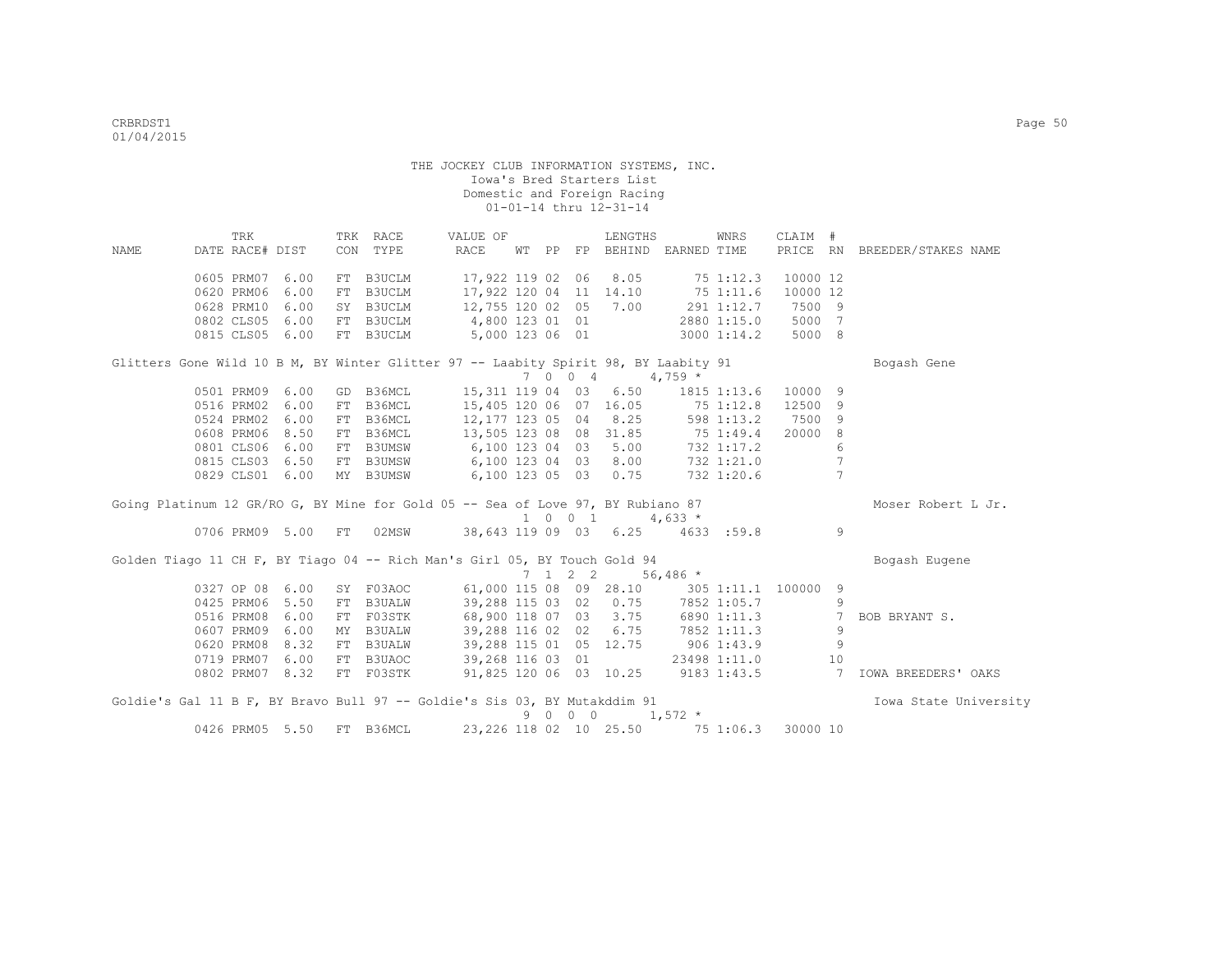| NAME                                                                                | TRK<br>DATE RACE# DIST |      | TRK RACE<br>CON TYPE | VALUE OF<br>RACE                               |  |                 | LENGTHS                      | WT PP FP BEHIND EARNED TIME        | WNRS               | CLAIM #        |                 | PRICE RN BREEDER/STAKES NAME |
|-------------------------------------------------------------------------------------|------------------------|------|----------------------|------------------------------------------------|--|-----------------|------------------------------|------------------------------------|--------------------|----------------|-----------------|------------------------------|
|                                                                                     |                        |      |                      |                                                |  |                 |                              |                                    |                    |                |                 |                              |
|                                                                                     | 0605 PRM07             | 6.00 | FT B3UCLM            |                                                |  |                 | 17,922 119 02 06 8.05        |                                    | 75 1:12.3          | 10000 12       |                 |                              |
|                                                                                     | 0620 PRM06             | 6.00 | FT B3UCLM            |                                                |  |                 |                              | 17,922 120 04 11 14.10 75 1:11.6   |                    | 10000 12       |                 |                              |
|                                                                                     | 0628 PRM10             | 6.00 | SY B3UCLM            |                                                |  |                 |                              | 12,755 120 02 05 7.00 291 1:12.7   |                    | 7500 9         |                 |                              |
|                                                                                     | 0802 CLS05             | 6.00 | FT B3UCLM            | 4,800 123 01 01                                |  |                 |                              |                                    | 2880 1:15.0 5000 7 |                |                 |                              |
|                                                                                     | 0815 CLS05 6.00        |      | FT B3UCLM            | 5,000 123 06 01                                |  |                 |                              |                                    | 3000 1:14.2        | 5000 8         |                 |                              |
| Glitters Gone Wild 10 B M, BY Winter Glitter 97 -- Laabity Spirit 98, BY Laabity 91 |                        |      |                      |                                                |  |                 |                              |                                    |                    |                |                 | Bogash Gene                  |
|                                                                                     |                        |      |                      |                                                |  |                 | 7 0 0 4                      | $4,759*$                           |                    |                |                 |                              |
|                                                                                     | 0501 PRM09             | 6.00 | GD B36MCL            | 15,311 119 04 03 6.50                          |  |                 |                              |                                    | 1815 1:13.6        | 10000 9        |                 |                              |
|                                                                                     | 0516 PRM02             | 6.00 | FT B36MCL            | 15,405 120 06 07 16.05 75 1:12.8               |  |                 |                              |                                    |                    | 12500 9        |                 |                              |
|                                                                                     | 0524 PRM02             | 6.00 | FT B36MCL            | 12,177 123 05 04 8.25 598 1:13.2               |  |                 |                              |                                    |                    | 7500 9         |                 |                              |
|                                                                                     | 0608 PRM06             | 8.50 | FT B36MCL            | 13,505 123 08 08 31.85 75 1:49.4               |  |                 |                              |                                    |                    | 20000 8        |                 |                              |
|                                                                                     | 0801 CLS06             | 6.00 | FT B3UMSW            |                                                |  |                 |                              | 6,100 123 04 03 5.00 732 1:17.2    |                    |                | 6               |                              |
|                                                                                     | 0815 CLS03 6.50        |      | FT B3UMSW            | 6,100 123 04 03 8.00 732 1:21.0                |  |                 |                              |                                    |                    |                | $7\phantom{.0}$ |                              |
|                                                                                     | 0829 CLS01 6.00        |      | MY B3UMSW            | 6,100 123 05 03 0.75 732 1:20.6                |  |                 |                              |                                    |                    |                | $\overline{7}$  |                              |
| Going Platinum 12 GR/RO G, BY Mine for Gold 05 -- Sea of Love 97, BY Rubiano 87     |                        |      |                      |                                                |  |                 |                              |                                    |                    |                |                 | Moser Robert L Jr.           |
|                                                                                     |                        |      |                      |                                                |  |                 | $1 \t 0 \t 1 \t 4,633 \star$ |                                    |                    |                |                 |                              |
|                                                                                     |                        |      |                      | 0706 PRM09 5.00 FT 02MSW 38,643 119 09 03 6.25 |  |                 |                              |                                    | 4633:59.8          |                | 9               |                              |
| Golden Tiago 11 CH F, BY Tiago 04 -- Rich Man's Girl 05, BY Touch Gold 94           |                        |      |                      |                                                |  |                 |                              |                                    |                    |                |                 | Bogash Eugene                |
|                                                                                     |                        |      |                      |                                                |  | $7 \t1 \t2 \t2$ |                              | $56,486$ *                         |                    |                |                 |                              |
|                                                                                     | 0327 OP 08 6.00        |      | SY F03AOC            | 61,000 115 08 09 28.10 305 1:11.1 100000 9     |  |                 |                              |                                    |                    |                |                 |                              |
|                                                                                     | 0425 PRM06             | 5.50 | FT B3UALW            | 39,288 115 03 02 0.75                          |  |                 |                              |                                    | 7852 1:05.7        |                | 9               |                              |
|                                                                                     | 0516 PRM08             | 6.00 | FT F03STK            | 68,900 118 07 03 3.75                          |  |                 |                              |                                    | 6890 1:11.3        |                | $7^{\circ}$     | BOB BRYANT S.                |
|                                                                                     | 0607 PRM09             | 6.00 | MY B3UALW            | 39,288 116 02 02 6.75                          |  |                 |                              |                                    | 7852 1:11.3        |                | 9               |                              |
|                                                                                     | 0620 PRM08             | 8.32 | FT B3UALW            | 39,288 115 01 05 12.75 906 1:43.9              |  |                 |                              |                                    |                    |                | 9               |                              |
|                                                                                     | 0719 PRM07             | 6.00 | FT B3UAOC            | 39,268 116 03 01                               |  |                 |                              |                                    | 23498 1:11.0       |                | 10              |                              |
|                                                                                     | 0802 PRM07 8.32        |      | FT F03STK            |                                                |  |                 |                              | 91,825 120 06 03 10.25 9183 1:43.5 |                    | $\overline{7}$ |                 | IOWA BREEDERS' OAKS          |
| Goldie's Gal 11 B F, BY Bravo Bull 97 -- Goldie's Sis 03, BY Mutakddim 91           |                        |      |                      |                                                |  |                 |                              |                                    |                    |                |                 | Iowa State University        |
|                                                                                     |                        |      |                      |                                                |  |                 | 9 0 0 0                      | $1,572$ *                          |                    |                |                 |                              |
|                                                                                     | 0426 PRM05 5.50        |      | FT B36MCL            |                                                |  |                 | 23, 226 118 02 10 25.50      |                                    | 75 1:06.3          | 30000 10       |                 |                              |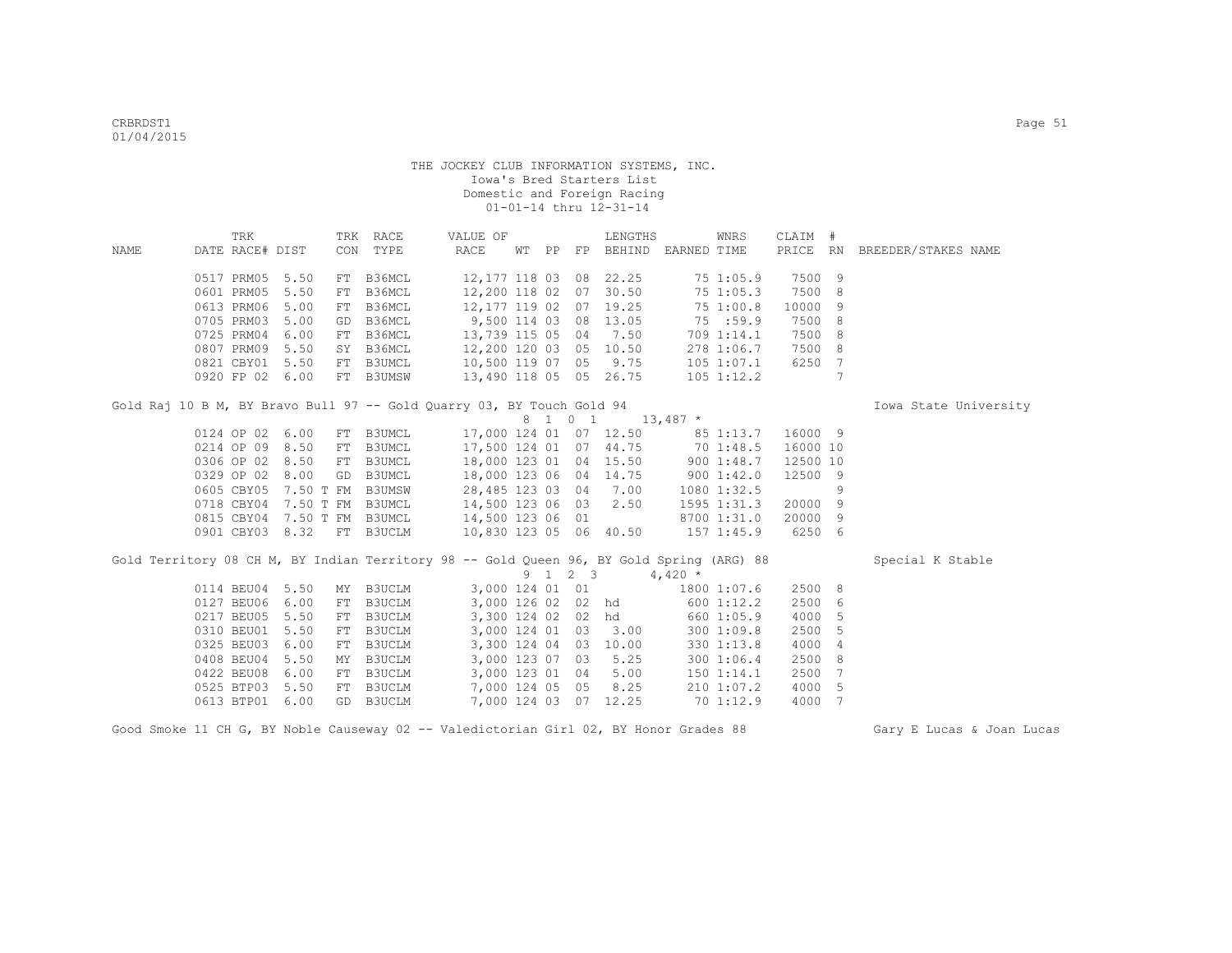|                                                                                          | TRK             |      |    | TRK RACE                  | VALUE OF               |              |                 | LENGTHS                |                                  | WNRS           | CLAIM #  |                 |                              |  |
|------------------------------------------------------------------------------------------|-----------------|------|----|---------------------------|------------------------|--------------|-----------------|------------------------|----------------------------------|----------------|----------|-----------------|------------------------------|--|
| NAME                                                                                     | DATE RACE# DIST |      |    | CON TYPE                  | RACE                   | WT PP        |                 |                        | FP BEHIND EARNED TIME            |                |          |                 | PRICE RN BREEDER/STAKES NAME |  |
|                                                                                          |                 |      |    |                           |                        |              |                 |                        |                                  |                |          |                 |                              |  |
|                                                                                          | 0517 PRM05      | 5.50 |    | FT B36MCL                 |                        |              |                 | 12,177 118 03 08 22.25 |                                  | 751:05.9       | 7500 9   |                 |                              |  |
|                                                                                          | 0601 PRM05      | 5.50 | FT | B36MCL                    | 12,200 118 02          |              |                 | 07 30.50               |                                  | 75 1:05.3      | 7500     | 8               |                              |  |
|                                                                                          | 0613 PRM06      | 5.00 | FT | B36MCL                    | 12,177 119 02          |              |                 | 07 19.25               |                                  | 751:00.8       | 10000    | 9               |                              |  |
|                                                                                          | 0705 PRM03      | 5.00 | GD | B36MCL                    | $9,500$ 114 03         |              |                 | 08 13.05               |                                  | 75 : 59.9      | 7500     | 8               |                              |  |
|                                                                                          | 0725 PRM04      | 6.00 |    | FT B36MCL                 |                        |              |                 | 13,739 115 05 04 7.50  |                                  | 709 1:14.1     | 7500     | 8               |                              |  |
|                                                                                          | 0807 PRM09      | 5.50 |    | SY B36MCL                 |                        |              |                 | 12,200 120 03 05 10.50 |                                  | 278 1:06.7     | 7500     | 8               |                              |  |
|                                                                                          | 0821 CBY01      | 5.50 |    | FT B3UMCL                 | 10,500 119 07 05 9.75  |              |                 |                        |                                  | 105 1:07.1     | 6250     | 7               |                              |  |
|                                                                                          | 0920 FP 02 6.00 |      |    | FT B3UMSW                 | 13,490 118 05 05 26.75 |              |                 |                        |                                  | $105$ 1:12.2   |          | $7\phantom{.0}$ |                              |  |
| Gold Raj 10 B M, BY Bravo Bull 97 -- Gold Quarry 03, BY Touch Gold 94                    |                 |      |    |                           |                        |              |                 |                        |                                  |                |          |                 | Iowa State University        |  |
|                                                                                          |                 |      |    |                           |                        |              |                 |                        | 8 1 0 1 13,487 *                 |                |          |                 |                              |  |
|                                                                                          | 0124 OP 02      | 6.00 | FT | B3UMCL                    |                        |              |                 |                        | 17,000 124 01 07 12.50 85 1:13.7 |                | 16000 9  |                 |                              |  |
|                                                                                          | 0214 OP 09      | 8.50 | FT | B3UMCL                    |                        |              |                 |                        | 17,500 124 01 07 44.75 70 1:48.5 |                | 16000 10 |                 |                              |  |
|                                                                                          | 0306 OP 02      | 8.50 | FT | B3UMCL                    | 18,000 123 01 04 15.50 |              |                 |                        |                                  | 9001:48.7      | 12500 10 |                 |                              |  |
|                                                                                          | 0329 OP 02      | 8.00 | GD | B3UMCL                    |                        |              |                 | 18,000 123 06 04 14.75 |                                  | 9001:42.0      | 12500 9  |                 |                              |  |
|                                                                                          | 0605 CBY05      |      |    | 7.50 T FM B3UMSW          | 28,485 123 03 04 7.00  |              |                 |                        |                                  | 1080 1:32.5    |          | 9               |                              |  |
|                                                                                          | 0718 CBY04      |      |    | 7.50 T FM B3UMCL          | 14,500 123 06 03 2.50  |              |                 |                        |                                  | 1595 1:31.3    | 20000 9  |                 |                              |  |
|                                                                                          | 0815 CBY04      |      |    | 7.50 T FM B3UMCL          | 14,500 123 06 01       |              |                 |                        |                                  | 8700 1:31.0    | 20000 9  |                 |                              |  |
|                                                                                          |                 |      |    | 0901 CBY03 8.32 FT B3UCLM | 10,830 123 05 06 40.50 |              |                 |                        |                                  | $157$ $1:45.9$ | 6250 6   |                 |                              |  |
|                                                                                          |                 |      |    |                           |                        |              |                 |                        |                                  |                |          |                 |                              |  |
| Gold Territory 08 CH M, BY Indian Territory 98 -- Gold Queen 96, BY Gold Spring (ARG) 88 |                 |      |    |                           |                        |              |                 |                        |                                  |                |          |                 | Special K Stable             |  |
|                                                                                          |                 |      |    |                           |                        |              | 9 1 2 3         |                        | $4.420*$                         |                |          |                 |                              |  |
|                                                                                          | 0114 BEU04      | 5.50 | MY | B3UCLM                    |                        |              | 3,000 124 01 01 |                        |                                  | 1800 1:07.6    | 2500 8   |                 |                              |  |
|                                                                                          | 0127 BEU06      | 6.00 | FT | B3UCLM                    |                        |              |                 | 3,000 126 02 02 hd     |                                  | 6001:12.2      | 2500     | 6               |                              |  |
|                                                                                          | 0217 BEU05      | 5.50 | FT | B3UCLM                    |                        | 3,300 124 02 |                 | 02 hd                  |                                  | 660 1:05.9     | 4000     | 5               |                              |  |
|                                                                                          | 0310 BEU01      | 5.50 | FT | B3UCLM                    |                        |              |                 | 3,000 124 01 03 3.00   |                                  | 300 1:09.8     | 2500     | 5               |                              |  |
|                                                                                          | 0325 BEU03      | 6.00 |    | FT B3UCLM                 |                        |              |                 | 3,300 124 04 03 10.00  |                                  | 330 1:13.8     | 4000     | $\overline{4}$  |                              |  |
|                                                                                          | 0408 BEU04      | 5.50 | MY | B3UCLM                    | 3,000 123 07           |              | 03              | 5.25                   |                                  | 300 1:06.4     | 2500     | 8               |                              |  |
|                                                                                          | 0422 BEU08      | 6.00 | FT | B3UCLM                    | 3,000 123 01           |              |                 | 04 5.00                |                                  | 1501:14.1      | 2500     | 7               |                              |  |
|                                                                                          | 0525 BTP03      | 5.50 |    | FT B3UCLM                 |                        |              |                 | 7,000 124 05 05 8.25   |                                  | 210 1:07.2     | 4000     | 5               |                              |  |
|                                                                                          | 0613 BTP01      | 6.00 |    | GD B3UCLM                 |                        |              |                 | 7,000 124 03 07 12.25  |                                  | 701:12.9       | 4000     | $\overline{7}$  |                              |  |

Good Smoke 11 CH G, BY Noble Causeway 02 -- Valedictorian Girl 02, BY Honor Grades 88 Gary E Lucas & Joan Lucas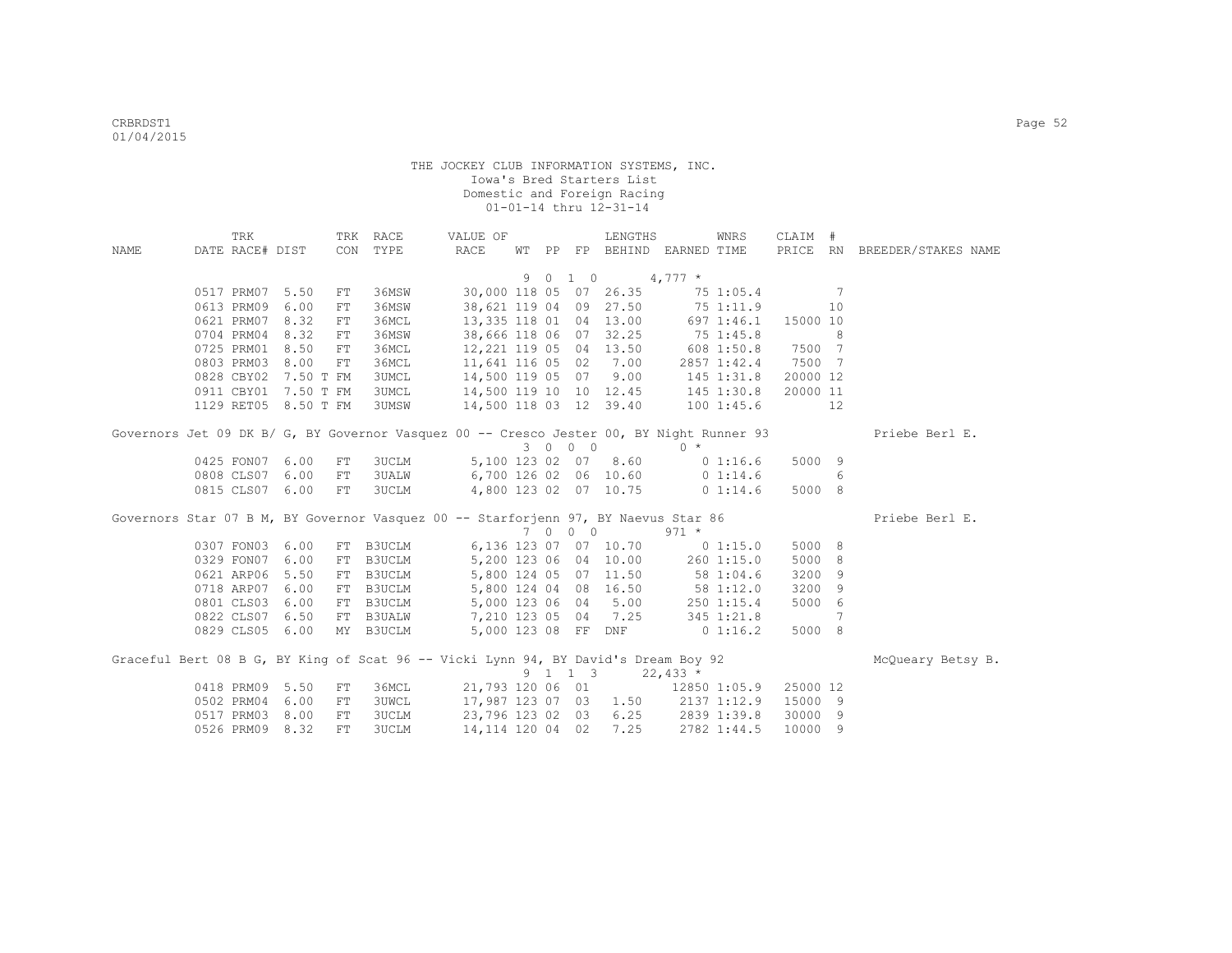|      | TRK             |                      |    | TRK RACE                 | VALUE OF                                                                                 |   |                     | LENGTHS                                                               |                    | WNRS               | CLAIM #        |                |                              |
|------|-----------------|----------------------|----|--------------------------|------------------------------------------------------------------------------------------|---|---------------------|-----------------------------------------------------------------------|--------------------|--------------------|----------------|----------------|------------------------------|
| NAME |                 |                      |    | DATE RACE# DIST CON TYPE | RACE                                                                                     |   |                     | WT PP FP BEHIND EARNED TIME                                           |                    |                    |                |                | PRICE RN BREEDER/STAKES NAME |
|      |                 |                      |    |                          |                                                                                          |   |                     |                                                                       |                    |                    |                |                |                              |
|      |                 |                      |    |                          |                                                                                          | 9 | $0 \quad 1 \quad 0$ | $4,777$ *                                                             |                    |                    |                |                |                              |
|      | 0517 PRM07 5.50 |                      | FT | 36MSW                    |                                                                                          |   |                     | 30,000 118 05 07 26.35 75 1:05.4                                      |                    |                    | $\sim$ 7       |                |                              |
|      | 0613 PRM09 6.00 |                      | FT | 36MSW                    |                                                                                          |   |                     | 38,621 119 04 09 27.50                                                | 75 1:11.9          |                    |                | 10             |                              |
|      | 0621 PRM07 8.32 |                      | FT | 36MCL                    |                                                                                          |   |                     | 13,335 118 01 04 13.00                                                | 697 1:46.1         |                    | 15000 10       |                |                              |
|      | 0704 PRM04 8.32 |                      | FT | 36MSW                    | 38,666 118 06 07 32.25 75 1:45.8                                                         |   |                     |                                                                       |                    |                    | $\sim$ 8       |                |                              |
|      | 0725 PRM01 8.50 |                      | FT | 36MCL                    | 12, 221 119 05 04 13.50 608 1:50.8 7500 7                                                |   |                     |                                                                       |                    |                    |                |                |                              |
|      | 0803 PRM03 8.00 |                      | FT | 36MCL                    | 11,641 116 05 02 7.00                                                                    |   |                     |                                                                       |                    | 2857 1:42.4 7500 7 |                |                |                              |
|      |                 | 0828 CBY02 7.50 T FM |    | <b>3UMCL</b>             | 14,500 119 05 07 9.00 145 1:31.8<br>14,500 119 10 10 12.45 145 1:31.8                    |   |                     |                                                                       |                    |                    | 20000 12       |                |                              |
|      |                 | 0911 CBY01 7.50 T FM |    | 3UMCL                    |                                                                                          |   |                     |                                                                       |                    |                    | 20000 11       |                |                              |
|      |                 | 1129 RET05 8.50 T FM |    | 3UMSW                    | 14,500 118 03 12 39.40 100 1:45.6                                                        |   |                     |                                                                       |                    |                    | 12             |                |                              |
|      |                 |                      |    |                          | Governors Jet 09 DK B/ G, BY Governor Vasquez 00 -- Cresco Jester 00, BY Night Runner 93 |   |                     |                                                                       |                    |                    |                |                | Priebe Berl E.               |
|      |                 |                      |    |                          |                                                                                          |   | 3 0 0 0             | $\sim$ 0 $*$                                                          |                    |                    |                |                |                              |
|      | 0425 FON07 6.00 |                      | FT | 3UCLM                    |                                                                                          |   |                     | 5,100 123 02 07 8.60 0 1:16.6                                         |                    |                    | 5000 9         |                |                              |
|      | 0808 CLS07 6.00 |                      | FT | 3UALW                    |                                                                                          |   |                     | 6,700 126 02 06 10.60 0 1:14.6                                        |                    |                    | 6 <sup>6</sup> |                |                              |
|      | 0815 CLS07 6.00 |                      | FT | 3UCLM                    |                                                                                          |   |                     | 4,800 123 02 07 10.75 0 1:14.6                                        |                    |                    | 5000 8         |                |                              |
|      |                 |                      |    |                          |                                                                                          |   |                     |                                                                       |                    |                    |                |                |                              |
|      |                 |                      |    |                          | Governors Star 07 B M, BY Governor Vasquez 00 -- Starforjenn 97, BY Naevus Star 86       |   |                     |                                                                       |                    |                    |                |                | Priebe Berl E.               |
|      |                 |                      |    |                          |                                                                                          |   | 7 0 0 0             |                                                                       | $971 *$            |                    |                |                |                              |
|      | 0307 FON03 6.00 |                      |    | FT B3UCLM                |                                                                                          |   |                     | 6,136 123 07 07 10.70                                                 | 0 1:15.0           |                    | 5000 8         |                |                              |
|      | 0329 FON07 6.00 |                      |    | FT B3UCLM                |                                                                                          |   |                     | 5, 200 123 06 04 10.00 260 1:15.0<br>5, 800 124 05 07 11.50 58 1:04.6 |                    |                    | 5000 8         |                |                              |
|      | 0621 ARP06 5.50 |                      |    | FT B3UCLM                |                                                                                          |   |                     |                                                                       |                    |                    | 3200 9         |                |                              |
|      | 0718 ARP07 6.00 |                      |    | FT B3UCLM                |                                                                                          |   |                     | 5,800 124 04 08 16.50                                                 | 58 1:12.0          |                    | 3200 9         |                |                              |
|      | 0801 CLS03 6.00 |                      |    | FT B3UCLM                | 5,000 123 06 04                                                                          |   |                     | 5.00                                                                  |                    | $250$ $1:15.4$     | 5000 6         |                |                              |
|      | 0822 CLS07 6.50 |                      |    |                          | FT B3UALW 7,210 123 05 04 7.25                                                           |   |                     |                                                                       |                    | 345 1:21.8         |                | $\overline{7}$ |                              |
|      | 0829 CLS05 6.00 |                      |    | MY B3UCLM                |                                                                                          |   |                     | 5,000 123 08 FF DNF 0 1:16.2                                          |                    |                    | 5000 8         |                |                              |
|      |                 |                      |    |                          | Graceful Bert 08 B G, BY King of Scat 96 -- Vicki Lynn 94, BY David's Dream Boy 92       |   |                     |                                                                       |                    |                    |                |                | McOueary Betsy B.            |
|      |                 |                      |    |                          |                                                                                          |   |                     | $9 \quad 1 \quad 1 \quad 3 \quad 22,433 \star$                        |                    |                    |                |                |                              |
|      | 0418 PRM09 5.50 |                      | FT | 36MCL                    |                                                                                          |   |                     | 21,793 120 06 01 12850 1:05.9                                         |                    |                    | 25000 12       |                |                              |
|      | 0502 PRM04 6.00 |                      | FT |                          | 3UWCL 17,987 123 07 03 1.50 2137 1:12.9                                                  |   |                     |                                                                       |                    |                    | 15000 9        |                |                              |
|      | 0517 PRM03 8.00 |                      | FT | <b>3UCLM</b>             | 23,796 123 02 03                                                                         |   |                     |                                                                       | $6.25$ 2839 1:39.8 |                    | 30000 9        |                |                              |
|      | 0526 PRM09 8.32 |                      | FT | 3UCLM                    | 14, 114 120 04 02                                                                        |   |                     | 7.25 2782 1:44.5                                                      |                    |                    | 10000 9        |                |                              |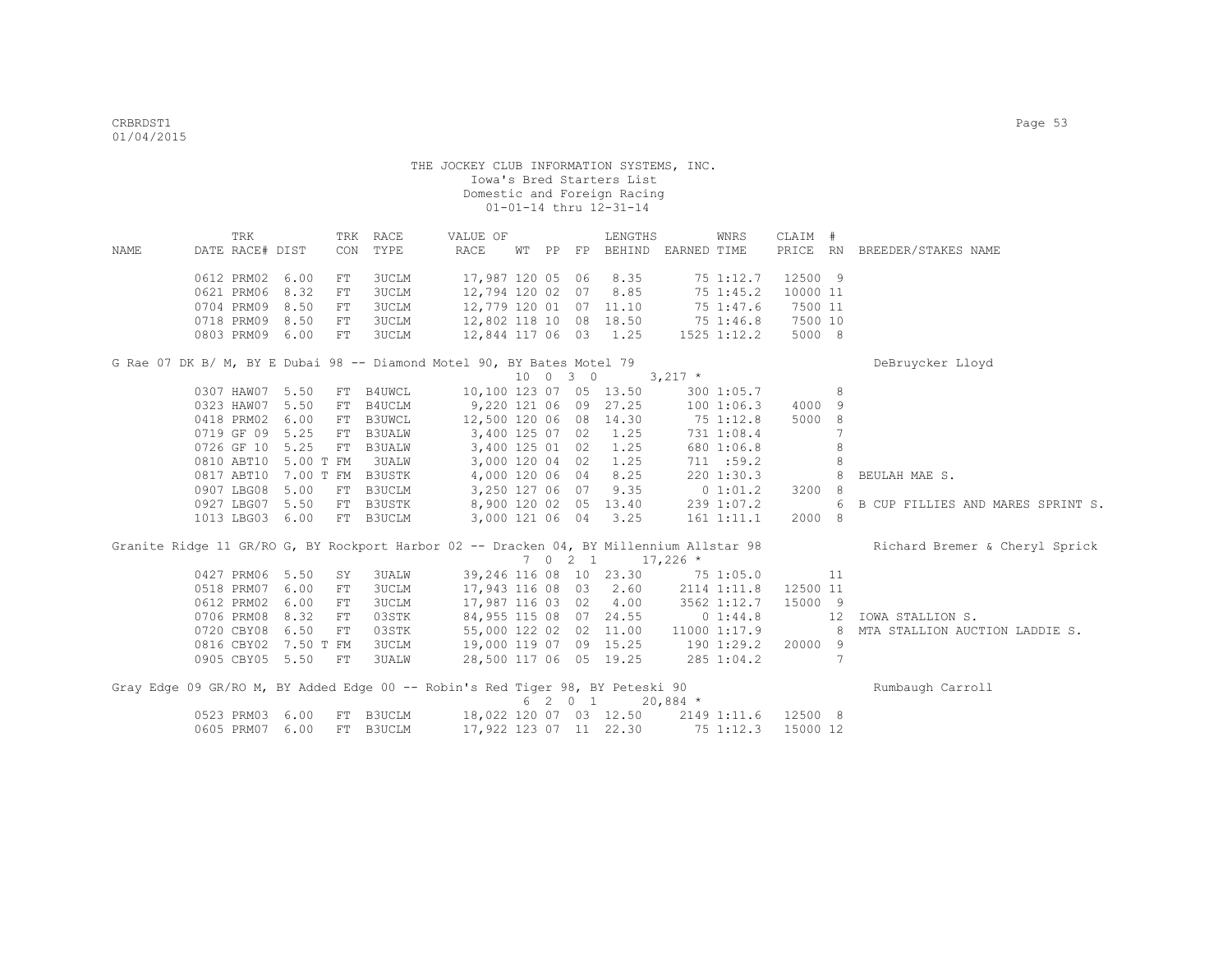| NAME | TRK<br>DATE RACE# DIST      |           | CON        | TRK RACE<br>TYPE | VALUE OF<br>RACE                                                                        | WT PP |          |    | LENGTHS                | FP BEHIND EARNED TIME                      | WNRS            | CLAIM #        |                | PRICE RN BREEDER/STAKES NAME      |
|------|-----------------------------|-----------|------------|------------------|-----------------------------------------------------------------------------------------|-------|----------|----|------------------------|--------------------------------------------|-----------------|----------------|----------------|-----------------------------------|
|      | 0612 PRM02                  | 6.00      | ${\rm FT}$ | 3UCLM            | 17,987 120 05                                                                           |       |          | 06 | 8.35                   |                                            | 75 1:12.7       | 12500 9        |                |                                   |
|      | 0621 PRM06                  | 8.32      | ${\rm FT}$ | 3UCLM            | 12,794 120 02 07                                                                        |       |          |    | 8.85                   |                                            | 75 1:45.2       | 10000 11       |                |                                   |
|      | 0704 PRM09                  | 8.50      | ${\rm FT}$ | 3UCLM            | 12,779 120 01 07 11.10                                                                  |       |          |    |                        |                                            | 75 1:47.6       | 7500 11        |                |                                   |
|      | 0718 PRM09                  | 8.50      | ${\rm FT}$ | 3UCLM            | 12,802 118 10 08 18.50                                                                  |       |          |    |                        |                                            | 75 1:46.8       | 7500 10        |                |                                   |
|      | 0803 PRM09                  | 6.00      | FT         | <b>3UCLM</b>     | 12,844 117 06 03 1.25                                                                   |       |          |    |                        |                                            | $1525$ $1:12.2$ | 5000 8         |                |                                   |
|      |                             |           |            |                  | G Rae 07 DK B/ M, BY E Dubai 98 -- Diamond Motel 90, BY Bates Motel 79                  |       |          |    |                        |                                            |                 |                |                | DeBruycker Lloyd                  |
|      |                             |           |            |                  |                                                                                         |       | 10 0 3 0 |    |                        | $3,217$ *                                  |                 |                |                |                                   |
|      | 0307 HAW07 5.50             |           | ${\rm FT}$ | <b>B4UWCL</b>    | 10,100 123 07 05 13.50                                                                  |       |          |    |                        |                                            | 300 1:05.7      |                | 8              |                                   |
|      | 0323 HAW07 5.50             |           | FT         | B4UCLM           | 9,220 121 06 09 27.25                                                                   |       |          |    |                        |                                            | 1001:06.3       | 4000 9         |                |                                   |
|      | 0418 PRM02 6.00             |           | FT         | <b>B3UWCL</b>    | 12,500 120 06 08 14.30                                                                  |       |          |    |                        | 75 1:12.8                                  |                 | 5000 8         |                |                                   |
|      | 0719 GF 09 5.25             |           | ${\rm FT}$ | <b>B3UALW</b>    | 3,400 125 07 02                                                                         |       |          |    | 1.25                   |                                            | 731 1:08.4      |                | $\overline{7}$ |                                   |
|      | 0726 GF 10 5.25             |           |            | FT B3UALW        | 3,400 125 01 02                                                                         |       |          |    | 1.25                   |                                            | 680 1:06.8      |                | 8              |                                   |
|      | 0810 ABT10 5.00 T FM        |           |            | 3UALW            | 3,000 120 04 02                                                                         |       |          |    | 1.25                   |                                            | 711 : 59.2      |                | 8              |                                   |
|      | 0817 ABT10 7.00 T FM B3USTK |           |            |                  | 4,000 120 06 04                                                                         |       |          |    | 8.25                   |                                            | 220 1:30.3      |                | 8              | BEULAH MAE S.                     |
|      | 0907 LBG08                  | 5.00      |            | FT B3UCLM        | 3,250 127 06 07                                                                         |       |          |    | 9.35                   |                                            | 0 1:01.2        | 3200 8         |                |                                   |
|      | 0927 LBG07                  | 5.50      |            | FT B3USTK        |                                                                                         |       |          |    | 8,900 120 02 05 13.40  |                                            | 239 1:07.2      |                | 6              | B CUP FILLIES AND MARES SPRINT S. |
|      | 1013 LBG03 6.00             |           |            | FT B3UCLM        |                                                                                         |       |          |    | 3,000 121 06 04 3.25   |                                            | 161 1:11.1      | 2000 8         |                |                                   |
|      |                             |           |            |                  | Granite Ridge 11 GR/RO G, BY Rockport Harbor 02 -- Dracken 04, BY Millennium Allstar 98 |       | 7 0 2 1  |    |                        | $17,226$ *                                 |                 |                |                | Richard Bremer & Cheryl Sprick    |
|      | 0427 PRM06 5.50             |           | SY         | 3UALW            | 39,246 116 08 10 23.30                                                                  |       |          |    |                        |                                            | 751:05.0        |                | 11             |                                   |
|      | 0518 PRM07                  | 6.00      | ${\rm FT}$ | <b>3UCLM</b>     | 17,943 116 08 03 2.60                                                                   |       |          |    |                        |                                            | 2114 1:11.8     | 12500 11       |                |                                   |
|      | 0612 PRM02                  | 6.00      | ${\rm FT}$ | <b>3UCLM</b>     | 17,987 116 03 02                                                                        |       |          |    | 4.00                   |                                            | 3562 1:12.7     | 15000 9        |                |                                   |
|      | 0706 PRM08                  | 8.32      | FT         | 03STK            |                                                                                         |       |          |    | 84,955 115 08 07 24.55 |                                            | 0 1:44.8        |                | 12             | IOWA STALLION S.                  |
|      | 0720 CBY08                  | 6.50      | FT         | 03STK            |                                                                                         |       |          |    | 55,000 122 02 02 11.00 |                                            |                 | 11000 1:17.9 8 |                | MTA STALLION AUCTION LADDIE S.    |
|      | 0816 CBY02                  | 7.50 T FM |            | <b>3UCLM</b>     | 19,000 119 07 09 15.25                                                                  |       |          |    |                        | 190 1:29.2                                 |                 | 20000 9        |                |                                   |
|      | 0905 CBY05 5.50             |           | FT         | <b>3UALW</b>     |                                                                                         |       |          |    |                        | 28,500 117 06 05 19.25 285 1:04.2          |                 |                | 7              |                                   |
|      |                             |           |            |                  | Gray Edge 09 GR/RO M, BY Added Edge 00 -- Robin's Red Tiger 98, BY Peteski 90           |       |          |    |                        |                                            |                 |                |                | Rumbaugh Carroll                  |
|      |                             |           |            |                  |                                                                                         |       |          |    | 6 2 0 1 20,884 *       |                                            |                 |                |                |                                   |
|      | 0523 PRM03                  | 6.00      |            | FT B3UCLM        |                                                                                         |       |          |    |                        | 18,022 120 07 03 12.50 2149 1:11.6 12500 8 |                 |                |                |                                   |
|      | 0605 PRM07                  | 6.00      |            | FT B3UCLM        | 17,922 123 07 11 22.30                                                                  |       |          |    |                        | $75$ 1:12.3                                |                 | 15000 12       |                |                                   |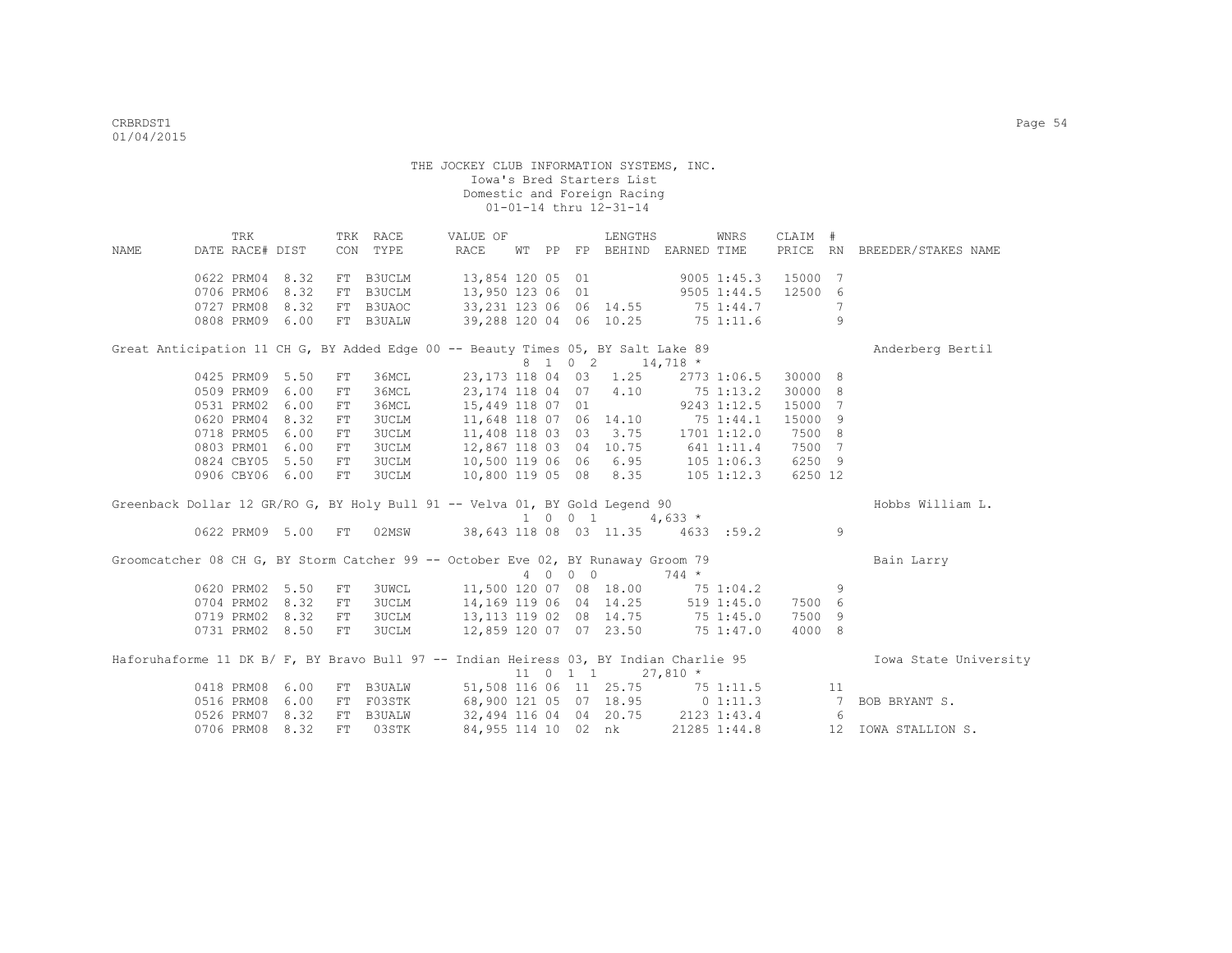|      |                                                                                       | TRK |      |            | TRK RACE      | VALUE OF                                                              |    |         | LENGTHS                  |            | WNRS          | CLAIM # |                 |                              |
|------|---------------------------------------------------------------------------------------|-----|------|------------|---------------|-----------------------------------------------------------------------|----|---------|--------------------------|------------|---------------|---------|-----------------|------------------------------|
| NAME | DATE RACE# DIST                                                                       |     |      |            | CON TYPE      | RACE                                                                  | WТ |         | PP FP BEHIND EARNED TIME |            |               |         |                 | PRICE RN BREEDER/STAKES NAME |
|      | 0622 PRM04                                                                            |     | 8.32 |            | FT B3UCLM     | 13,854 120 05 01                                                      |    |         |                          |            | $9005$ 1:45.3 | 15000   | 7               |                              |
|      | 0706 PRM06                                                                            |     | 8.32 | FT         | <b>B3UCLM</b> | 13,950 123 06 01                                                      |    |         | $9505$ 1:44.5            |            |               | 12500 6 |                 |                              |
|      | 0727 PRM08 8.32                                                                       |     |      |            | FT B3UAOC     | 33, 231 123 06 06 14.55 75 1:44.7                                     |    |         |                          |            |               |         | 7               |                              |
|      | 0808 PRM09 6.00                                                                       |     |      |            | FT B3UALW     | 39,288 120 04 06 10.25 75 1:11.6                                      |    |         |                          |            |               |         | 9               |                              |
|      | Great Anticipation 11 CH G, BY Added Edge 00 -- Beauty Times 05, BY Salt Lake 89      |     |      |            |               |                                                                       |    |         |                          |            |               |         |                 | Anderberg Bertil             |
|      |                                                                                       |     |      |            |               |                                                                       |    |         | 8 1 0 2 14,718 *         |            |               |         |                 |                              |
|      | 0425 PRM09 5.50                                                                       |     |      | FT         | 36MCL         | 23,173 118 04 03 1.25                                                 |    |         |                          |            | 2773 1:06.5   | 30000 8 |                 |                              |
|      | 0509 PRM09 6.00                                                                       |     |      | FT         | 36MCL         | 23,174 118 04 07 4.10                                                 |    |         |                          |            | 75 1:13.2     | 30000 8 |                 |                              |
|      | 0531 PRM02                                                                            |     | 6.00 | FT         | 36MCL         | 15,449 118 07 01                                                      |    |         |                          |            | 9243 1:12.5   | 15000 7 |                 |                              |
|      | 0620 PRM04                                                                            |     | 8.32 | FT         | <b>3UCLM</b>  | 11,648 118 07 06 14.10                                                |    |         |                          |            | 75 1:44.1     | 15000 9 |                 |                              |
|      | 0718 PRM05                                                                            |     | 6.00 | ${\rm FT}$ | 3UCLM         | 11,408 118 03 03 3.75 1701 1:12.0                                     |    |         |                          |            |               | 7500 8  |                 |                              |
|      | 0803 PRM01                                                                            |     | 6.00 | ${\rm FT}$ | 3UCLM         | 12,867 118 03 04 10.75                                                |    |         |                          | 641 1:11.4 |               | 7500 7  |                 |                              |
|      | 0824 CBY05                                                                            |     | 5.50 | FT         | 3UCLM         | 10,500 119 06 06 6.95 105 1:06.3                                      |    |         |                          |            |               | 6250 9  |                 |                              |
|      | 0906 CBY06 6.00                                                                       |     |      | FT         | 3UCLM         | $10,800$ 119 05 08 8.35 105 1:12.3                                    |    |         |                          |            |               | 6250 12 |                 |                              |
|      | Greenback Dollar 12 GR/RO G, BY Holy Bull 91 -- Velva 01, BY Gold Legend 90           |     |      |            |               |                                                                       |    |         |                          |            |               |         |                 | Hobbs William L.             |
|      |                                                                                       |     |      |            |               |                                                                       |    |         | 1 0 0 1                  | 4,633 $*$  |               |         |                 |                              |
|      | 0622 PRM09 5.00 FT                                                                    |     |      |            |               | 02MSW 38,643 118 08 03 11.35 4633 :59.2 9                             |    |         |                          |            |               |         |                 |                              |
|      | Groomcatcher 08 CH G, BY Storm Catcher 99 -- October Eve 02, BY Runaway Groom 79      |     |      |            |               |                                                                       |    |         |                          |            |               |         |                 | Bain Larry                   |
|      |                                                                                       |     |      |            |               |                                                                       |    | 4 0 0 0 |                          | $744 *$    |               |         |                 |                              |
|      | 0620 PRM02                                                                            |     | 5.50 | FT         | 3UWCL         | 11,500 120 07 08 18.00 75 1:04.2                                      |    |         |                          |            |               |         | 9               |                              |
|      | 0704 PRM02                                                                            |     | 8.32 | FT         | 3UCLM         | 14,169 119 06 04 14.25 519 1:45.0                                     |    |         |                          |            |               | 7500 6  |                 |                              |
|      | 0719 PRM02 8.32                                                                       |     |      | FT         | 3UCLM         | 13,113 119 02 08 14.75 75 1:45.0                                      |    |         |                          |            |               | 7500 9  |                 |                              |
|      | 0731 PRM02 8.50                                                                       |     |      | FT         | 3UCLM         | 12,859 120 07 07 23.50 75 1:47.0                                      |    |         |                          |            |               | 4000 8  |                 |                              |
|      | Haforuhaforme 11 DK B/ F, BY Bravo Bull 97 -- Indian Heiress 03, BY Indian Charlie 95 |     |      |            |               |                                                                       |    |         |                          |            |               |         |                 | Iowa State University        |
|      |                                                                                       |     |      |            |               |                                                                       |    |         | 11 0 1 1                 | $27,810 *$ |               |         |                 |                              |
|      | 0418 PRM08                                                                            |     | 6.00 |            | FT B3UALW     | 51,508 116 06 11 25.75 75 1:11.5                                      |    |         |                          |            |               |         | 11              |                              |
|      | 0516 PRM08                                                                            |     | 6.00 |            | FT F03STK     | 68,900 121 05 07 18.95 0 1:11.3<br>32,494 116 04 04 20.75 2123 1:43.4 |    |         |                          |            |               |         | $7\phantom{0}$  | BOB BRYANT S.                |
|      | 0526 PRM07                                                                            |     | 8.32 | FT         | B3UALW        |                                                                       |    |         |                          |            |               |         | $6\overline{6}$ |                              |
|      | 0706 PRM08                                                                            |     | 8.32 | FT         | 03STK         | 84,955 114 10 02 nk                                                   |    |         |                          |            | 21285 1:44.8  |         |                 | 12 IOWA STALLION S.          |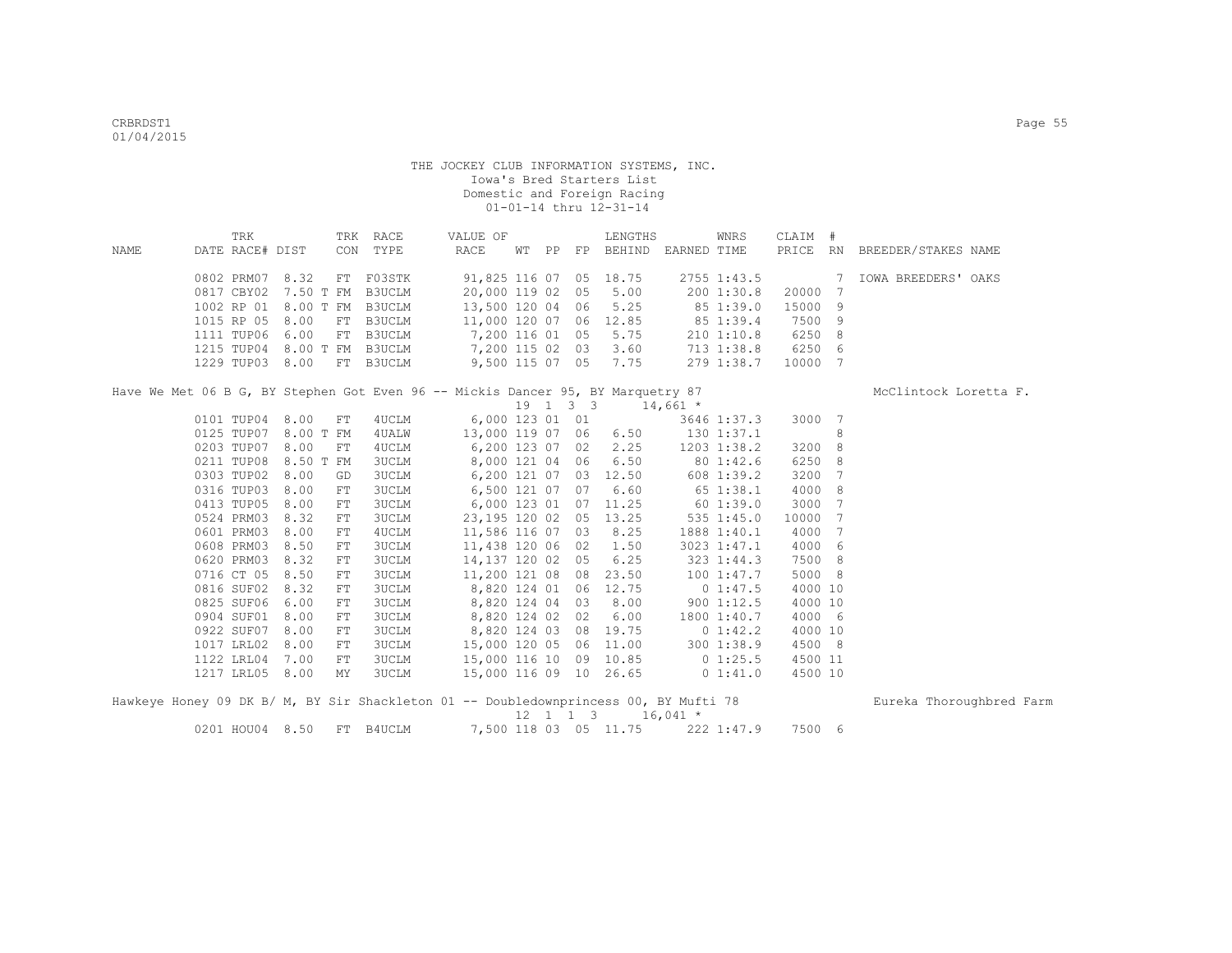|      | TRK                  |      |            | TRK RACE     | VALUE OF                                                                        |  |    | LENGTHS                                        |              | WNRS           | CLAIM #         |                 |                              |  |
|------|----------------------|------|------------|--------------|---------------------------------------------------------------------------------|--|----|------------------------------------------------|--------------|----------------|-----------------|-----------------|------------------------------|--|
| NAME | DATE RACE# DIST      |      |            | CON TYPE     | RACE                                                                            |  |    | WT PP FP BEHIND EARNED TIME                    |              |                |                 |                 | PRICE RN BREEDER/STAKES NAME |  |
|      | 0802 PRM07 8.32      |      | FT         | F03STK       | 91,825 116 07 05 18.75                                                          |  |    |                                                |              |                | 2755 1:43.5     |                 | 7 IOWA BREEDERS' OAKS        |  |
|      | 0817 CBY02           |      | 7.50 T FM  | B3UCLM       | 20,000 119 02 05 5.00                                                           |  |    |                                                |              | 200 1:30.8     | 20000           | 7               |                              |  |
|      | 1002 RP 01 8.00 T FM |      |            | B3UCLM       | 13,500 120 04 06 5.25                                                           |  |    |                                                | 85 1:39.0    |                | 15000           | 9               |                              |  |
|      | 1015 RP 05           | 8.00 | FT         | B3UCLM       | 11,000 120 07 06 12.85 85 1:39.4                                                |  |    |                                                |              |                | 7500            | 9               |                              |  |
|      | 1111 TUP06           | 6.00 | FT         | B3UCLM       | 7,200 116 01 05                                                                 |  |    | 5.75                                           |              | 210 1:10.8     | 6250            | 8               |                              |  |
|      | 1215 TUP04           |      | 8.00 T FM  | B3UCLM       | 7,200 115 02 03 3.60                                                            |  |    |                                                |              |                | 713 1:38.8 6250 | 6               |                              |  |
|      | 1229 TUP03 8.00      |      |            | FT B3UCLM    | 9,500 115 07 05 7.75 279 1:38.7                                                 |  |    |                                                |              |                | 10000           | 7               |                              |  |
|      |                      |      |            |              | Have We Met 06 B G, BY Stephen Got Even 96 -- Mickis Dancer 95, BY Marquetry 87 |  |    |                                                |              |                |                 |                 | McClintock Loretta F.        |  |
|      |                      |      |            |              |                                                                                 |  |    | $19 \quad 1 \quad 3 \quad 3 \quad 14,661 \neq$ |              |                |                 |                 |                              |  |
|      | 0101 TUP04 8.00      |      | FT         | 4UCLM        | 6,000 123 01 01 3646 1:37.3                                                     |  |    |                                                |              |                | 3000            | $\overline{7}$  |                              |  |
|      | 0125 TUP07           |      | 8.00 T FM  | 4 UALW       | 13,000 119 07 06 6.50 130 1:37.1                                                |  |    |                                                |              |                |                 | 8               |                              |  |
|      | 0203 TUP07           | 8.00 | FT         | 4UCLM        | 6,200 123 07 02 2.25                                                            |  |    |                                                |              | 1203 1:38.2    | 3200            | 8               |                              |  |
|      | 0211 TUP08           |      | 8.50 T FM  | 3UCLM        | 8,000 121 04 06 6.50                                                            |  |    |                                                | 80 1:42.6    |                | 6250            | 8               |                              |  |
|      | 0303 TUP02           | 8.00 | GD         | 3UCLM        | 6,200 121 07 03 12.50                                                           |  |    |                                                | $608$ 1:39.2 |                | 3200            | 7               |                              |  |
|      | 0316 TUP03           | 8.00 | FT         | 3UCLM        | $6,500$ 121 07 07 6.60 65 1:38.1                                                |  |    |                                                |              |                | 4000            | 8               |                              |  |
|      | 0413 TUP05           | 8.00 | FT         | <b>3UCLM</b> | 6,000 123 01 07 11.25 60 1:39.0                                                 |  |    |                                                |              |                | 3000            | 7               |                              |  |
|      | 0524 PRM03           | 8.32 | FT         | <b>3UCLM</b> |                                                                                 |  |    | 23, 195 120 02 05 13.25                        |              | $535$ $1:45.0$ | 10000           | 7               |                              |  |
|      | 0601 PRM03           | 8.00 | FT         | 4UCLM        | 11,586 116 07 03 8.25                                                           |  |    |                                                |              | 1888 1:40.1    | 4000            | $7\phantom{.0}$ |                              |  |
|      | 0608 PRM03           | 8.50 | FT         | 3UCLM        | 11,438 120 06 02 1.50                                                           |  |    |                                                |              | 3023 1:47.1    | 4000            | 6               |                              |  |
|      | 0620 PRM03           | 8.32 | ${\rm FT}$ | 3UCLM        | 14,137 120 02 05                                                                |  |    | 6.25                                           |              | 323 1:44.3     | 7500            | -8              |                              |  |
|      | 0716 CT 05           | 8.50 | FT         | <b>3UCLM</b> | 11,200 121 08 08 23.50                                                          |  |    |                                                | 1001:37.7    |                | 5000            | - 8             |                              |  |
|      | 0816 SUF02 8.32      |      | FT         | <b>3UCLM</b> | 8,820 124 01 06 12.75                                                           |  |    |                                                |              | $0\;1:47.5$    | 4000 10         |                 |                              |  |
|      | 0825 SUF06           | 6.00 | FT         | <b>3UCLM</b> | 8,820 124 04 03 8.00                                                            |  |    |                                                |              | 9001:12.5      | 4000 10         |                 |                              |  |
|      | 0904 SUF01           | 8.00 | FT.        | <b>3UCLM</b> | 8,820 124 02                                                                    |  | 02 | 6.00                                           |              | 1800 1:40.7    | 4000 6          |                 |                              |  |
|      | 0922 SUF07           | 8.00 | FT.        | <b>3UCLM</b> | 8,820 124 03 08 19.75                                                           |  |    |                                                |              | $0\;1:42.2$    | 4000 10         |                 |                              |  |
|      | 1017 LRL02           | 8.00 | ${\rm FT}$ | <b>3UCLM</b> | 15,000 120 05                                                                   |  |    | 06 11.00 300 1:38.9                            |              |                | 4500 8          |                 |                              |  |
|      | 1122 LRL04           | 7.00 | FT         | <b>3UCLM</b> | 15,000 116 10 09 10.85 0 1:25.5                                                 |  |    |                                                |              |                | 4500 11         |                 |                              |  |
|      | 1217 LRL05           | 8.00 | <b>MY</b>  | <b>3UCLM</b> |                                                                                 |  |    | 15,000 116 09 10 26.65                         |              | 0 1:41.0       | 4500 10         |                 |                              |  |

|  |  |  | Hawkeye Honey 09 DK B/ M, BY Sir Shackleton 01 -- Doubledownprincess 00, BY Mufti 78 |  |  |                                             |  |                                         |  | Eureka Thoroughbred Farm |  |
|--|--|--|--------------------------------------------------------------------------------------|--|--|---------------------------------------------|--|-----------------------------------------|--|--------------------------|--|
|  |  |  |                                                                                      |  |  | $12 \quad 1 \quad 1 \quad 3 \quad 16.041$ * |  |                                         |  |                          |  |
|  |  |  | 0201 HOU04 8.50 FT B4UCLM                                                            |  |  |                                             |  | 7,500 118 03 05 11.75 222 1:47.9 7500 6 |  |                          |  |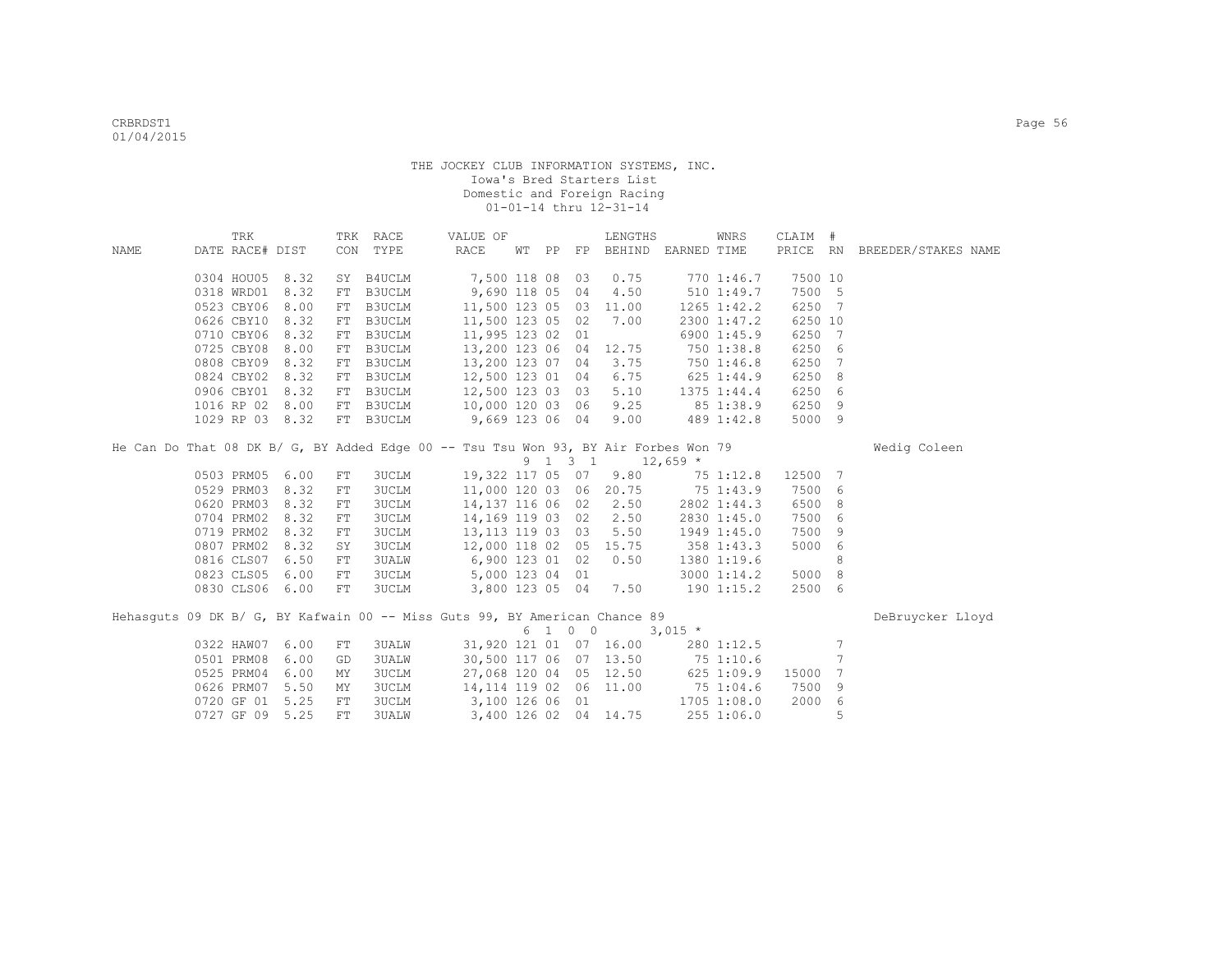|      | TRK             |                 |            | TRK RACE      | VALUE OF                                                                            |  |         | LENGTHS               |                                  | WNRS            | CLAIM # |                 |                              |  |
|------|-----------------|-----------------|------------|---------------|-------------------------------------------------------------------------------------|--|---------|-----------------------|----------------------------------|-----------------|---------|-----------------|------------------------------|--|
| NAME | DATE RACE# DIST |                 |            | CON TYPE      | RACE                                                                                |  |         |                       | WT PP FP BEHIND EARNED TIME      |                 |         |                 | PRICE RN BREEDER/STAKES NAME |  |
|      |                 |                 |            |               |                                                                                     |  |         |                       |                                  |                 |         |                 |                              |  |
|      |                 | 0304 HOU05 8.32 |            | SY B4UCLM     | 7,500 118 08                                                                        |  | 03      | 0.75                  |                                  | 770 1:46.7      | 7500 10 |                 |                              |  |
|      | 0318 WRD01      | 8.32            | FT         | B3UCLM        | 9,690 118 05 04                                                                     |  |         | 4.50                  |                                  | $510$ 1:49.7    | 7500 5  |                 |                              |  |
|      | 0523 CBY06      | 8.00            | FT         | B3UCLM        | 11,500 123 05 03 11.00                                                              |  |         |                       |                                  | $1265$ $1:42.2$ | 6250 7  |                 |                              |  |
|      | 0626 CBY10      | 8.32            | FT         | B3UCLM        | 11,500 123 05 02                                                                    |  |         | 7.00                  |                                  | 2300 1:47.2     | 6250 10 |                 |                              |  |
|      | 0710 CBY06      | 8.32            | FT         | B3UCLM        | 11,995 123 02 01                                                                    |  |         |                       |                                  | 6900 1:45.9     | 6250    | 7               |                              |  |
|      | 0725 CBY08      | 8.00            | ${\rm FT}$ | B3UCLM        | 13,200 123 06 04                                                                    |  |         | 12.75                 |                                  | 750 1:38.8      | 6250 6  |                 |                              |  |
|      | 0808 CBY09      | 8.32            | FT         | <b>B3UCLM</b> | 13,200 123 07 04                                                                    |  |         | 3.75                  |                                  | 750 1:46.8      | 6250    | -7              |                              |  |
|      |                 | 0824 CBY02 8.32 | FT         | B3UCLM        | 12,500 123 01 04                                                                    |  |         | 6.75                  |                                  | 6251:44.9       | 6250    | - 8             |                              |  |
|      | 0906 CBY01      | 8.32            | FT         | <b>B3UCLM</b> | 12,500 123 03 03                                                                    |  |         | 5.10                  |                                  | 1375 1:44.4     | 6250 6  |                 |                              |  |
|      |                 | 1016 RP 02 8.00 | FT         |               | B3UCLM 10,000 120 03 06                                                             |  |         | 9.25                  |                                  | 85 1:38.9       | 6250 9  |                 |                              |  |
|      |                 | 1029 RP 03 8.32 |            | FT B3UCLM     | 9,669 123 06 04                                                                     |  |         | 9.00                  |                                  | 489 1:42.8      | 5000 9  |                 |                              |  |
|      |                 |                 |            |               | He Can Do That 08 DK B/ G, BY Added Edge 00 -- Tsu Tsu Won 93, BY Air Forbes Won 79 |  |         |                       |                                  |                 |         |                 |                              |  |
|      |                 |                 |            |               |                                                                                     |  |         |                       |                                  |                 |         |                 | Wedig Coleen                 |  |
|      |                 |                 |            |               |                                                                                     |  | 9 1 3 1 |                       | $12,659$ *                       |                 |         |                 |                              |  |
|      |                 | 0503 PRM05 6.00 | ${\rm FT}$ | 3UCLM         | 19,322 117 05 07                                                                    |  |         | 9.80                  |                                  | 75 1:12.8       | 12500 7 |                 |                              |  |
|      | 0529 PRM03      | 8.32            | ${\rm FT}$ | 3UCLM         |                                                                                     |  |         |                       | 11,000 120 03 06 20.75 75 1:43.9 |                 | 7500 6  |                 |                              |  |
|      | 0620 PRM03      | 8.32            | ${\rm FT}$ | 3UCLM         | 14,137 116 06 02                                                                    |  |         | 2.50                  |                                  | 2802 1:44.3     | 6500    | - 8             |                              |  |
|      | 0704 PRM02      | 8.32            | ${\rm FT}$ | 3UCLM         | 14,169 119 03 02                                                                    |  |         | 2.50                  |                                  | 2830 1:45.0     | 7500    | 6               |                              |  |
|      | 0719 PRM02      | 8.32            | ${\rm FT}$ | <b>3UCLM</b>  | 13, 113 119 03 03                                                                   |  |         | 5.50                  |                                  | 1949 1:45.0     | 7500    | 9               |                              |  |
|      | 0807 PRM02      | 8.32            | SY         | <b>3UCLM</b>  | 12,000 118 02 05 15.75                                                              |  |         |                       |                                  | 358 1:43.3      | 5000    | 6               |                              |  |
|      | 0816 CLS07      | 6.50            | ${\rm FT}$ | <b>3UALW</b>  | 6,900 123 01 02                                                                     |  |         | 0.50                  |                                  | 1380 1:19.6     |         | 8               |                              |  |
|      | 0823 CLS05      | 6.00            | ${\rm FT}$ | <b>3UCLM</b>  | 5,000 123 04 01                                                                     |  |         |                       |                                  | 3000 1:14.2     | 5000 8  |                 |                              |  |
|      | 0830 CLS06      | 6.00            | FT         | <b>3UCLM</b>  | 3,800 123 05 04                                                                     |  |         | 7.50                  |                                  | 190 1:15.2      | 2500 6  |                 |                              |  |
|      |                 |                 |            |               | Hehasquts 09 DK B/ G, BY Kafwain 00 -- Miss Guts 99, BY American Chance 89          |  |         |                       |                                  |                 |         |                 | DeBruycker Lloyd             |  |
|      |                 |                 |            |               |                                                                                     |  | 6 1 0 0 |                       | $3,015$ *                        |                 |         |                 |                              |  |
|      | 0322 HAW07      | 6.00            | FT         | <b>3UALW</b>  | 31,920 121 01 07 16.00                                                              |  |         |                       |                                  | 280 1:12.5      |         | $7\phantom{.0}$ |                              |  |
|      | 0501 PRM08      | 6.00            | GD         | <b>3UALW</b>  | 30,500 117 06 07 13.50                                                              |  |         |                       | 75 1:10.6                        |                 |         | 7               |                              |  |
|      | 0525 PRM04      | 6.00            | MΥ         | <b>3UCLM</b>  | 27,068 120 04 05 12.50                                                              |  |         |                       | 6251:09.9                        |                 | 15000   | 7               |                              |  |
|      | 0626 PRM07      | 5.50            | ΜY         | <b>3UCLM</b>  | 14, 114 119 02 06 11.00                                                             |  |         |                       | 75 1:04.6                        |                 | 7500    | 9               |                              |  |
|      | 0720 GF 01      | 5.25            | ${\rm FT}$ | <b>3UCLM</b>  | 3,100 126 06 01                                                                     |  |         |                       |                                  | 1705 1:08.0     | 2000    | $6\overline{6}$ |                              |  |
|      |                 |                 |            |               |                                                                                     |  |         |                       |                                  |                 |         |                 |                              |  |
|      | 0727 GF 09      | 5.25            | ${\rm FT}$ | <b>3UALW</b>  |                                                                                     |  |         | 3,400 126 02 04 14.75 |                                  | 255 1:06.0      |         | 5               |                              |  |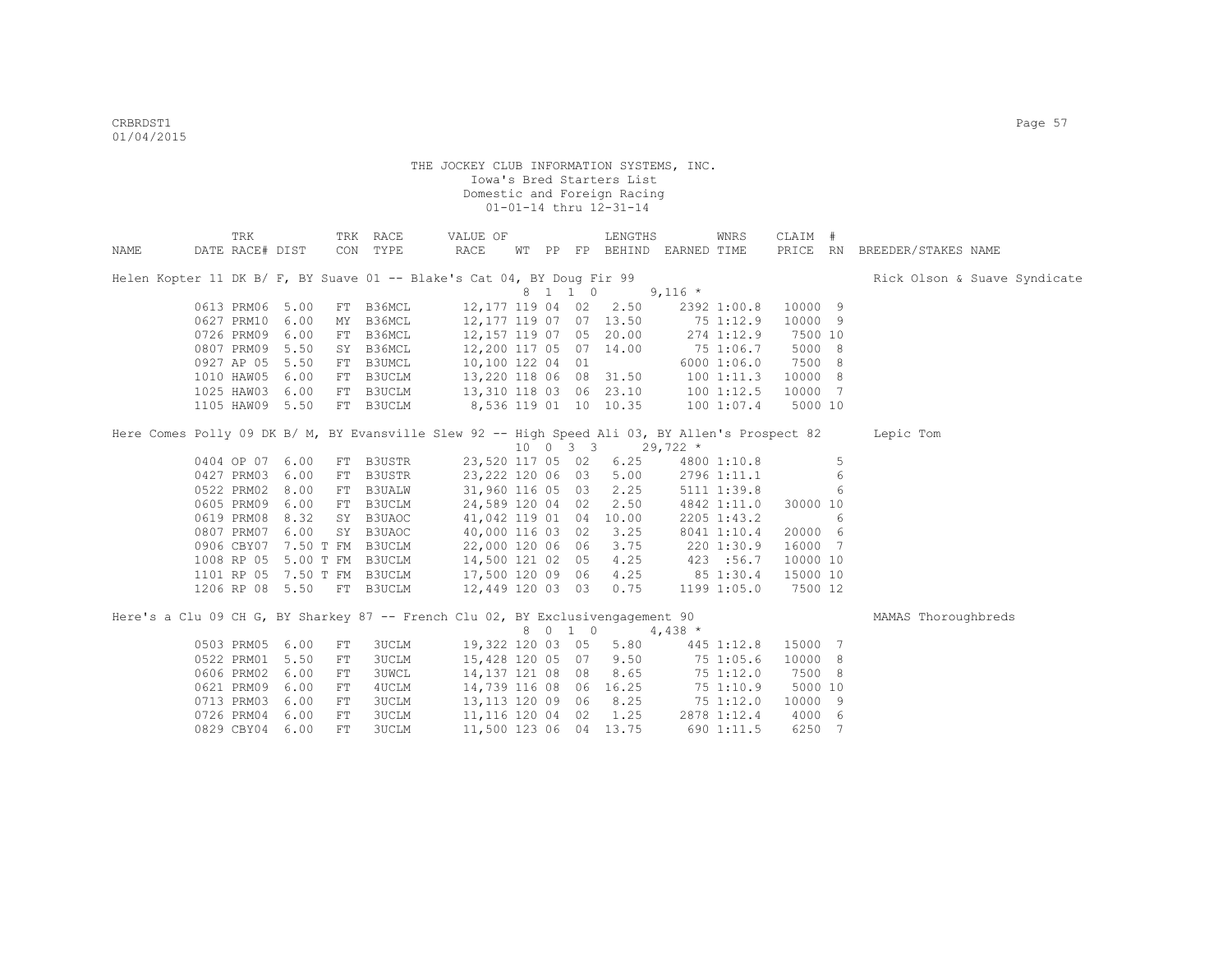|      | TRK                                                                                             |      |            | TRK RACE      | VALUE OF               |  |         | LENGTHS                          |            | <b>WNRS</b> | CLAIM #  |   |                              |
|------|-------------------------------------------------------------------------------------------------|------|------------|---------------|------------------------|--|---------|----------------------------------|------------|-------------|----------|---|------------------------------|
| NAME | DATE RACE# DIST                                                                                 |      |            | CON TYPE      | RACE                   |  |         | WT PP FP BEHIND EARNED TIME      |            |             | PRICE RN |   | BREEDER/STAKES NAME          |
|      | Helen Kopter 11 DK B/ F, BY Suave 01 -- Blake's Cat 04, BY Doug Fir 99                          |      |            |               |                        |  |         |                                  |            |             |          |   | Rick Olson & Suave Syndicate |
|      |                                                                                                 |      |            |               |                        |  | 8 1 1 0 |                                  | $9,116$ *  |             |          |   |                              |
|      | 0613 PRM06 5.00                                                                                 |      |            | FT B36MCL     |                        |  |         | 12,177 119 04 02 2.50            |            | 2392 1:00.8 | 10000 9  |   |                              |
|      | 0627 PRM10                                                                                      | 6.00 | MY         | B36MCL        | 12,177 119 07 07 13.50 |  |         |                                  |            | 75 1:12.9   | 10000 9  |   |                              |
|      | 0726 PRM09                                                                                      | 6.00 | FT         | B36MCL        | 12,157 119 07 05 20.00 |  |         |                                  | 274 1:12.9 |             | 7500 10  |   |                              |
|      | 0807 PRM09 5.50                                                                                 |      |            | SY B36MCL     | 12,200 117 05 07 14.00 |  |         |                                  |            | 75 1:06.7   | 5000 8   |   |                              |
|      | 0927 AP 05 5.50                                                                                 |      | FT         | B3UMCL        | 10,100 122 04 01       |  |         |                                  |            | 6000 1:06.0 | 7500 8   |   |                              |
|      | 1010 HAW05 6.00                                                                                 |      |            | FT B3UCLM     | 13,220 118 06 08 31.50 |  |         |                                  |            | 1001:11.3   | 10000 8  |   |                              |
|      | 1025 HAW03 6.00                                                                                 |      |            | FT B3UCLM     | 13,310 118 03 06 23.10 |  |         |                                  |            | 1001:12.5   | 10000 7  |   |                              |
|      | 1105 HAW09 5.50                                                                                 |      |            | FT B3UCLM     |                        |  |         | 8,536 119 01 10 10.35            |            | 100 1:07.4  | 5000 10  |   |                              |
|      | Here Comes Polly 09 DK B/ M, BY Evansville Slew 92 -- High Speed Ali 03, BY Allen's Prospect 82 |      |            |               |                        |  |         |                                  |            |             |          |   | Lepic Tom                    |
|      |                                                                                                 |      |            |               |                        |  |         | 10 0 3 3                         | $29,722$ * |             |          |   |                              |
|      | 0404 OP 07 6.00                                                                                 |      |            | FT B3USTR     |                        |  |         | 23,520 117 05 02 6.25            |            | 4800 1:10.8 |          | 5 |                              |
|      | 0427 PRM03                                                                                      | 6.00 | FT         | B3USTR        |                        |  |         | 23,222 120 06 03 5.00            |            | 2796 1:11.1 |          | 6 |                              |
|      | 0522 PRM02                                                                                      | 8.00 | FT         | <b>B3UALW</b> |                        |  |         | 31,960 116 05 03 2.25            |            | 5111 1:39.8 |          | 6 |                              |
|      | 0605 PRM09                                                                                      | 6.00 | FT         | B3UCLM        | 24,589 120 04 02 2.50  |  |         |                                  |            | 4842 1:11.0 | 30000 10 |   |                              |
|      | 0619 PRM08 8.32                                                                                 |      | SY         | B3UAOC        | 41,042 119 01 04 10.00 |  |         |                                  |            | 2205 1:43.2 |          | 6 |                              |
|      | 0807 PRM07 6.00                                                                                 |      |            | SY B3UAOC     | 40,000 116 03 02 3.25  |  |         |                                  |            | 8041 1:10.4 | 20000 6  |   |                              |
|      | 0906 CBY07 7.50 T FM B3UCLM                                                                     |      |            |               | 22,000 120 06 06 3.75  |  |         |                                  |            | 220 1:30.9  | 16000 7  |   |                              |
|      | 1008 RP 05 5.00 T FM B3UCLM                                                                     |      |            |               | 14,500 121 02 05 4.25  |  |         |                                  |            | 423 :56.7   | 10000 10 |   |                              |
|      | 1101 RP 05 7.50 T FM B3UCLM                                                                     |      |            |               | 17,500 120 09 06       |  |         | 4.25                             |            | 85 1:30.4   | 15000 10 |   |                              |
|      | 1206 RP 08 5.50                                                                                 |      |            | FT B3UCLM     | 12,449 120 03 03       |  |         | 0.75                             |            | 1199 1:05.0 | 7500 12  |   |                              |
|      | Here's a Clu 09 CH G, BY Sharkey 87 -- French Clu 02, BY Exclusivengagement 90                  |      |            |               |                        |  |         |                                  |            |             |          |   | MAMAS Thoroughbreds          |
|      |                                                                                                 |      |            |               |                        |  | 8 0 1 0 |                                  | $4,438$ *  |             |          |   |                              |
|      | 0503 PRM05 6.00                                                                                 |      | FT         | <b>3UCLM</b>  |                        |  |         | 19,322 120 03 05 5.80 445 1:12.8 |            |             | 15000 7  |   |                              |
|      | 0522 PRM01                                                                                      | 5.50 | FT         | 3UCLM         | 15,428 120 05 07 9.50  |  |         |                                  |            | 75 1:05.6   | 10000 8  |   |                              |
|      | 0606 PRM02                                                                                      | 6.00 | FT         | 3UWCL         | 14, 137 121 08 08 8.65 |  |         |                                  |            | 75 1:12.0   | 7500 8   |   |                              |
|      | 0621 PRM09 6.00                                                                                 |      | FT         | 4UCLM         | 14,739 116 08 06 16.25 |  |         |                                  |            | 75 1:10.9   | 5000 10  |   |                              |
|      | 0713 PRM03                                                                                      | 6.00 | FT         | 3UCLM         | 13, 113 120 09 06 8.25 |  |         |                                  |            | 75 1:12.0   | 10000 9  |   |                              |
|      | 0726 PRM04 6.00                                                                                 |      | ${\rm FT}$ | 3UCLM         | 11, 116 120 04 02 1.25 |  |         |                                  |            | 2878 1:12.4 | 4000 6   |   |                              |
|      | 0829 CBY04 6.00                                                                                 |      | FT         | <b>3UCLM</b>  | 11,500 123 06 04 13.75 |  |         |                                  |            | 690 1:11.5  | 6250     | 7 |                              |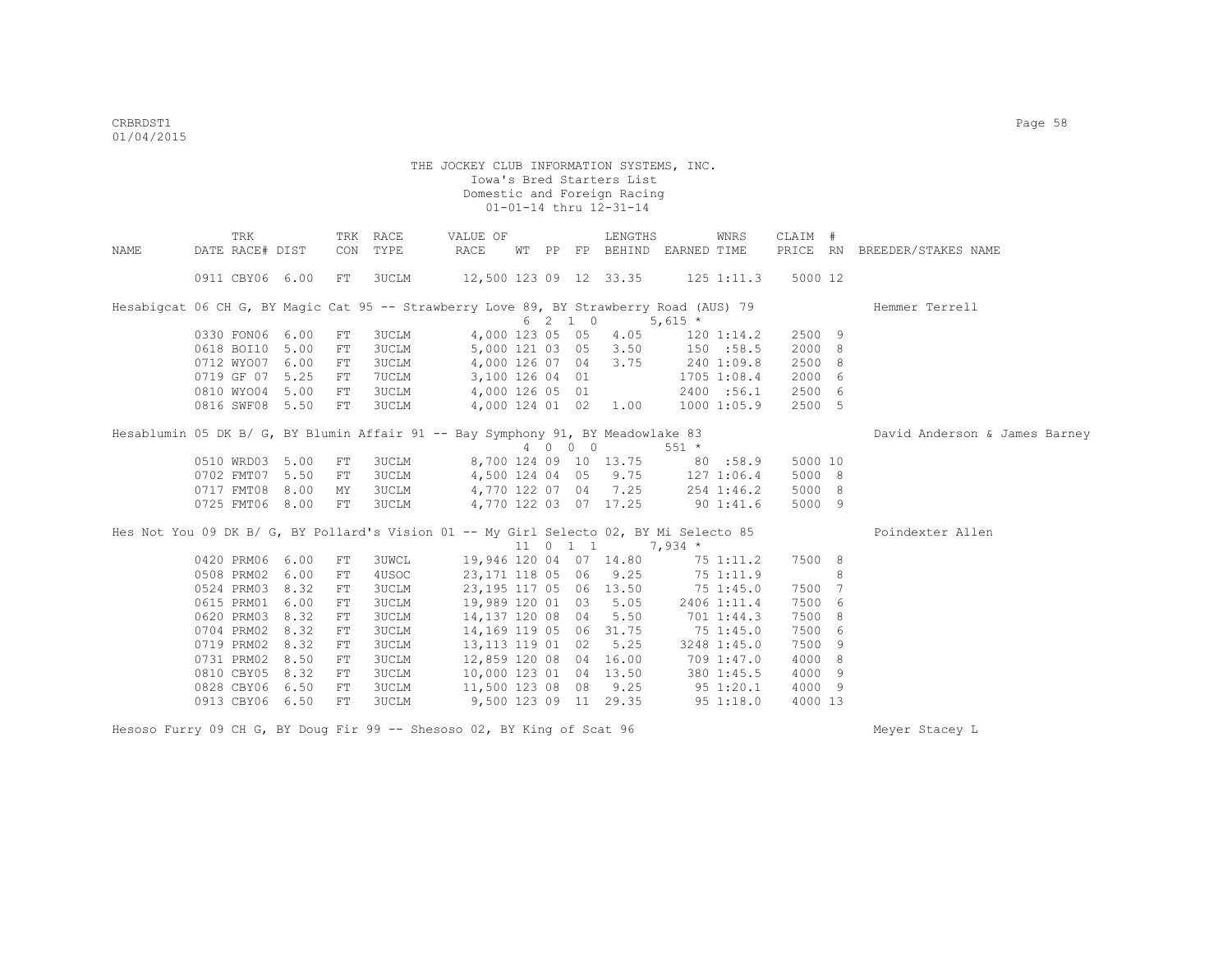|                                                                                        | TRK             |      | TRK | RACE         | VALUE OF                         |  |          | LENGTHS                     |              | WNRS           | CLAIM # |   |                               |
|----------------------------------------------------------------------------------------|-----------------|------|-----|--------------|----------------------------------|--|----------|-----------------------------|--------------|----------------|---------|---|-------------------------------|
| NAME                                                                                   | DATE RACE# DIST |      | CON | TYPE         | RACE                             |  |          | WT PP FP BEHIND EARNED TIME |              |                |         |   | PRICE RN BREEDER/STAKES NAME  |
|                                                                                        | 0911 CBY06 6.00 |      | FT  | 3UCLM        | 12,500 123 09 12 33.35           |  |          |                             |              | $125$ $1:11.3$ | 5000 12 |   |                               |
| Hesabigcat 06 CH G, BY Magic Cat 95 -- Strawberry Love 89, BY Strawberry Road (AUS) 79 |                 |      |     |              |                                  |  |          |                             |              |                |         |   | Hemmer Terrell                |
|                                                                                        |                 |      |     |              |                                  |  | 6 2 1 0  |                             | $5,615*$     |                |         |   |                               |
|                                                                                        | 0330 FON06 6.00 |      | FT  | <b>3UCLM</b> |                                  |  |          | 4,000 123 05 05 4.05        |              | $120$ $1:14.2$ | 2500 9  |   |                               |
|                                                                                        | 0618 BOI10 5.00 |      | FT  | 3UCLM        |                                  |  |          | 5,000 121 03 05 3.50        |              | 150 :58.5      | 2000 8  |   |                               |
|                                                                                        | 0712 WYO07 6.00 |      | FT  | 3UCLM        |                                  |  |          | 4,000 126 07 04 3.75        |              | 240 1:09.8     | 2500 8  |   |                               |
|                                                                                        | 0719 GF 07 5.25 |      | FT. | 7UCLM        | 3,100 126 04 01                  |  |          |                             |              | 1705 1:08.4    | 2000 6  |   |                               |
|                                                                                        | 0810 WYO04 5.00 |      | FT  | 3UCLM        | 4,000 126 05 01                  |  |          |                             |              | 2400 :56.1     | 2500 6  |   |                               |
|                                                                                        | 0816 SWF08 5.50 |      | FT  | 3UCLM        | 4,000 124 01 02 1.00             |  |          |                             |              | 10001:05.9     | 2500 5  |   |                               |
| Hesablumin 05 DK B/ G, BY Blumin Affair 91 -- Bay Symphony 91, BY Meadowlake 83        |                 |      |     |              |                                  |  |          |                             |              |                |         |   | David Anderson & James Barney |
|                                                                                        |                 |      |     |              |                                  |  | 4 0 0 0  |                             | $551 *$      |                |         |   |                               |
|                                                                                        | 0510 WRD03 5.00 |      | FT  | 3UCLM        |                                  |  |          | 8,700 124 09 10 13.75       | 80:58.9      |                | 5000 10 |   |                               |
|                                                                                        | 0702 FMT07 5.50 |      | FT  | 3UCLM        |                                  |  |          | 4,500 124 04 05 9.75        |              | 127 1:06.4     | 5000 8  |   |                               |
|                                                                                        | 0717 FMT08 8.00 |      | MY  | <b>3UCLM</b> | 4,770 122 07 04 7.25             |  |          |                             |              | 254 1:46.2     | 5000 8  |   |                               |
|                                                                                        | 0725 FMT06 8.00 |      | FT  | 3UCLM        | 4,770 122 03 07 17.25            |  |          |                             | 901:41.6     |                | 5000 9  |   |                               |
| Hes Not You 09 DK B/ G, BY Pollard's Vision 01 -- My Girl Selecto 02, BY Mi Selecto 85 |                 |      |     |              |                                  |  |          |                             |              |                |         |   | Poindexter Allen              |
|                                                                                        |                 |      |     |              |                                  |  | 11 0 1 1 |                             | $7,934$ *    |                |         |   |                               |
|                                                                                        | 0420 PRM06 6.00 |      | FT  | <b>3UWCL</b> | 19,946 120 04 07 14.80 75 1:11.2 |  |          |                             |              |                | 7500 8  |   |                               |
|                                                                                        | 0508 PRM02 6.00 |      | FT  | 4USOC        | 23,171 118 05 06 9.25            |  |          |                             | 75 1:11.9    |                |         | 8 |                               |
|                                                                                        | 0524 PRM03 8.32 |      | FT  | 3UCLM        | 23,195 117 05 06 13.50           |  |          |                             | 751:45.0     |                | 7500 7  |   |                               |
|                                                                                        | 0615 PRM01 6.00 |      | FT  | 3UCLM        | 19,989 120 01 03 5.05            |  |          |                             |              | 2406 1:11.4    | 7500 6  |   |                               |
|                                                                                        | 0620 PRM03 8.32 |      | FT  | <b>3UCLM</b> | 14,137 120 08 04 5.50            |  |          |                             |              | 701 1:44.3     | 7500 8  |   |                               |
|                                                                                        | 0704 PRM02      | 8.32 | FT  | <b>3UCLM</b> | 14, 169 119 05 06 31.75          |  |          |                             | 751:45.0     |                | 7500 6  |   |                               |
|                                                                                        | 0719 PRM02      | 8.32 | FT  | <b>3UCLM</b> | 13,113 119 01 02                 |  |          | 5.25                        |              | 3248 1:45.0    | 7500 9  |   |                               |
|                                                                                        | 0731 PRM02 8.50 |      | FT  | 3UCLM        | 12,859 120 08 04 16.00           |  |          |                             |              | 709 1:47.0     | 4000 8  |   |                               |
|                                                                                        | 0810 CBY05 8.32 |      | FT  | 3UCLM        | 10,000 123 01 04 13.50           |  |          |                             |              | 380 1:45.5     | 4000 9  |   |                               |
|                                                                                        | 0828 CBY06 6.50 |      | FT  | <b>3UCLM</b> | 11,500 123 08 08                 |  |          | 9.25                        | $95\ 1:20.1$ |                | 4000 9  |   |                               |
|                                                                                        | 0913 CBY06 6.50 |      | FT  | <b>3UCLM</b> |                                  |  |          | 9,500 123 09 11 29.35       | 951:18.0     |                | 4000 13 |   |                               |

Hesoso Furry 09 CH G, BY Doug Fir 99 -- Shesoso 02, BY King of Scat 96 Meyer Stacey L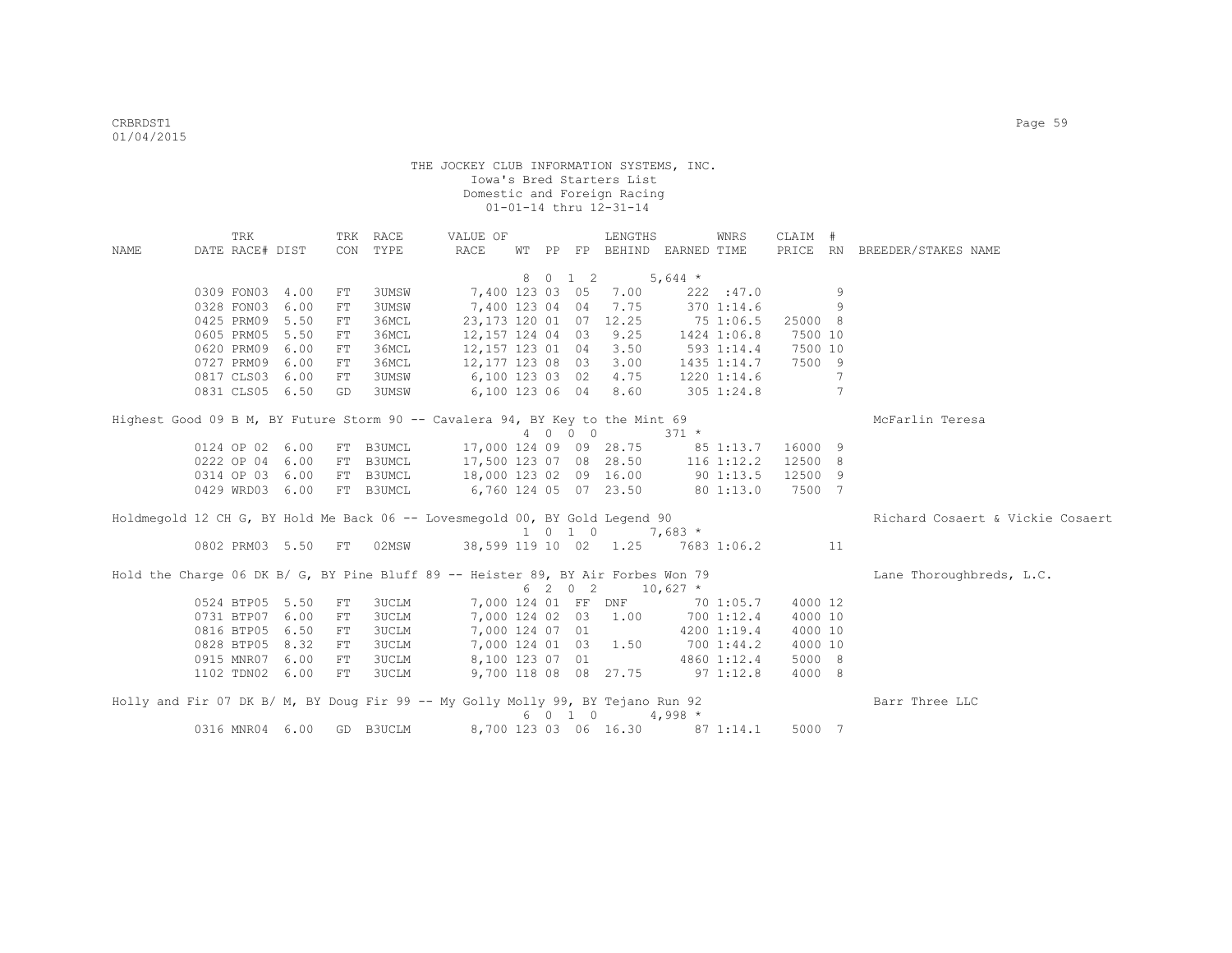|             | TRK             |                 |            | TRK RACE     | VALUE OF                                                                         |  |                             | LENGTHS                         |               | WNRS           | CLAIM # |                 |                                  |
|-------------|-----------------|-----------------|------------|--------------|----------------------------------------------------------------------------------|--|-----------------------------|---------------------------------|---------------|----------------|---------|-----------------|----------------------------------|
| <b>NAME</b> | DATE RACE# DIST |                 | CON        | TYPE         | RACE                                                                             |  |                             | WT PP FP BEHIND EARNED TIME     |               |                |         |                 | PRICE RN BREEDER/STAKES NAME     |
|             |                 |                 |            |              |                                                                                  |  | 8 0 1 2                     |                                 | 5,644 $*$     |                |         |                 |                                  |
|             | 0309 FON03      | 4.00            | FT         | <b>3UMSW</b> | 7,400 123 03 05                                                                  |  |                             | 7.00                            |               | 222 : 47.0     |         | 9               |                                  |
|             | 0328 FON03      | 6.00            | ${\rm FT}$ | 3UMSW        | 7,400 123 04 04                                                                  |  |                             | 7.75                            |               | 370 1:14.6     |         | 9               |                                  |
|             | 0425 PRM09      | 5.50            | FT         | 36MCL        | 23, 173 120 01 07 12.25                                                          |  |                             |                                 | 75 1:06.5     |                | 25000 8 |                 |                                  |
|             | 0605 PRM05      | 5.50            | FT         | 36MCL        | 12,157 124 04 03                                                                 |  |                             | 9.25                            |               | 1424 1:06.8    | 7500 10 |                 |                                  |
|             | 0620 PRM09      | 6.00            | FT         | 36MCL        | 12, 157 123 01 04                                                                |  |                             | 3.50                            |               | 593 1:14.4     | 7500 10 |                 |                                  |
|             | 0727 PRM09      | 6.00            | FT         | 36MCL        | 12,177 123 08 03                                                                 |  |                             | 3.00                            |               | 1435 1:14.7    | 7500 9  |                 |                                  |
|             | 0817 CLS03      | 6.00            | ${\rm FT}$ | 3UMSW        | 6,100 123 03 02                                                                  |  |                             | 4.75                            |               | 1220 1:14.6    |         | $7\phantom{.0}$ |                                  |
|             | 0831 CLS05 6.50 |                 | GD         | 3UMSW        | 6,100 123 06 04                                                                  |  |                             | 8.60                            |               | $305$ 1:24.8   |         | 7               |                                  |
|             |                 |                 |            |              |                                                                                  |  |                             |                                 |               |                |         |                 |                                  |
|             |                 |                 |            |              | Highest Good 09 B M, BY Future Storm 90 -- Cavalera 94, BY Key to the Mint 69    |  |                             |                                 |               |                |         |                 | McFarlin Teresa                  |
|             |                 |                 |            |              |                                                                                  |  | 4 0 0 0                     |                                 | $371 *$       |                |         |                 |                                  |
|             | 0124 OP 02 6.00 |                 |            | FT B3UMCL    | 17,000 124 09 09 28.75                                                           |  |                             |                                 |               | 85 1:13.7      | 16000 9 |                 |                                  |
|             | 0222 OP 04 6.00 |                 | FT         | B3UMCL       |                                                                                  |  |                             | 17,500 123 07 08 28.50          |               | $116$ $1:12.2$ | 12500 8 |                 |                                  |
|             | 0314 OP 03 6.00 |                 |            | FT B3UMCL    |                                                                                  |  |                             | 18,000 123 02 09 16.00          |               | $90 \t1:13.5$  | 12500 9 |                 |                                  |
|             | 0429 WRD03 6.00 |                 |            | FT B3UMCL    | 6,760 124 05 07 23.50                                                            |  |                             |                                 |               | 801:13.0       | 7500 7  |                 |                                  |
|             |                 |                 |            |              |                                                                                  |  |                             |                                 |               |                |         |                 |                                  |
|             |                 |                 |            |              | Holdmegold 12 CH G, BY Hold Me Back 06 -- Lovesmegold 00, BY Gold Legend 90      |  |                             |                                 |               |                |         |                 | Richard Cosaert & Vickie Cosaert |
|             |                 |                 |            |              |                                                                                  |  | $1 \quad 0 \quad 1 \quad 0$ |                                 | $7,683*$      |                |         |                 |                                  |
|             |                 | 0802 PRM03 5.50 | FT         | 02MSW        |                                                                                  |  |                             | 38,599 119 10 02 1.25           |               | 7683 1:06.2    |         | 11              |                                  |
|             |                 |                 |            |              | Hold the Charge 06 DK B/ G, BY Pine Bluff 89 -- Heister 89, BY Air Forbes Won 79 |  |                             |                                 |               |                |         |                 | Lane Thoroughbreds, L.C.         |
|             |                 |                 |            |              |                                                                                  |  | 6 2 0 2                     |                                 | $10,627$ *    |                |         |                 |                                  |
|             | 0524 BTP05      | 5.50            | FT         | <b>3UCLM</b> | 7,000 124 01 FF DNF                                                              |  |                             |                                 |               | 70 1:05.7      | 4000 12 |                 |                                  |
|             | 0731 BTP07      | 6.00            | ${\rm FT}$ | 3UCLM        | 7,000 124 02 03                                                                  |  |                             | 1.00                            |               | 700 1:12.4     | 4000 10 |                 |                                  |
|             | 0816 BTP05      | 6.50            | FT         | 3UCLM        | 7,000 124 07 01                                                                  |  |                             |                                 |               | 4200 1:19.4    | 4000 10 |                 |                                  |
|             | 0828 BTP05      | 8.32            | FT         | 3UCLM        | 7,000 124 01 03                                                                  |  |                             | 1.50                            |               | 7001:44.2      | 4000 10 |                 |                                  |
|             | 0915 MNR07      | 6.00            | FT         | 3UCLM        | 8,100 123 07 01                                                                  |  |                             |                                 |               | 4860 1:12.4    | 5000 8  |                 |                                  |
|             | 1102 TDN02 6.00 |                 | FT         | 3UCLM        |                                                                                  |  |                             | 9,700 118 08 08 27.75           | $97 \t1:12.8$ |                | 4000 8  |                 |                                  |
|             |                 |                 |            |              |                                                                                  |  |                             |                                 |               |                |         |                 |                                  |
|             |                 |                 |            |              | Holly and Fir 07 DK B/ M, BY Doug Fir 99 -- My Golly Molly 99, BY Tejano Run 92  |  | 6 0 1 0                     |                                 | $4,998$ *     |                |         |                 | Barr Three LLC                   |
|             | 0316 MNR04 6.00 |                 |            | GD B3UCLM    |                                                                                  |  |                             | 8,700 123 03 06 16.30 87 1:14.1 |               |                | 5000 7  |                 |                                  |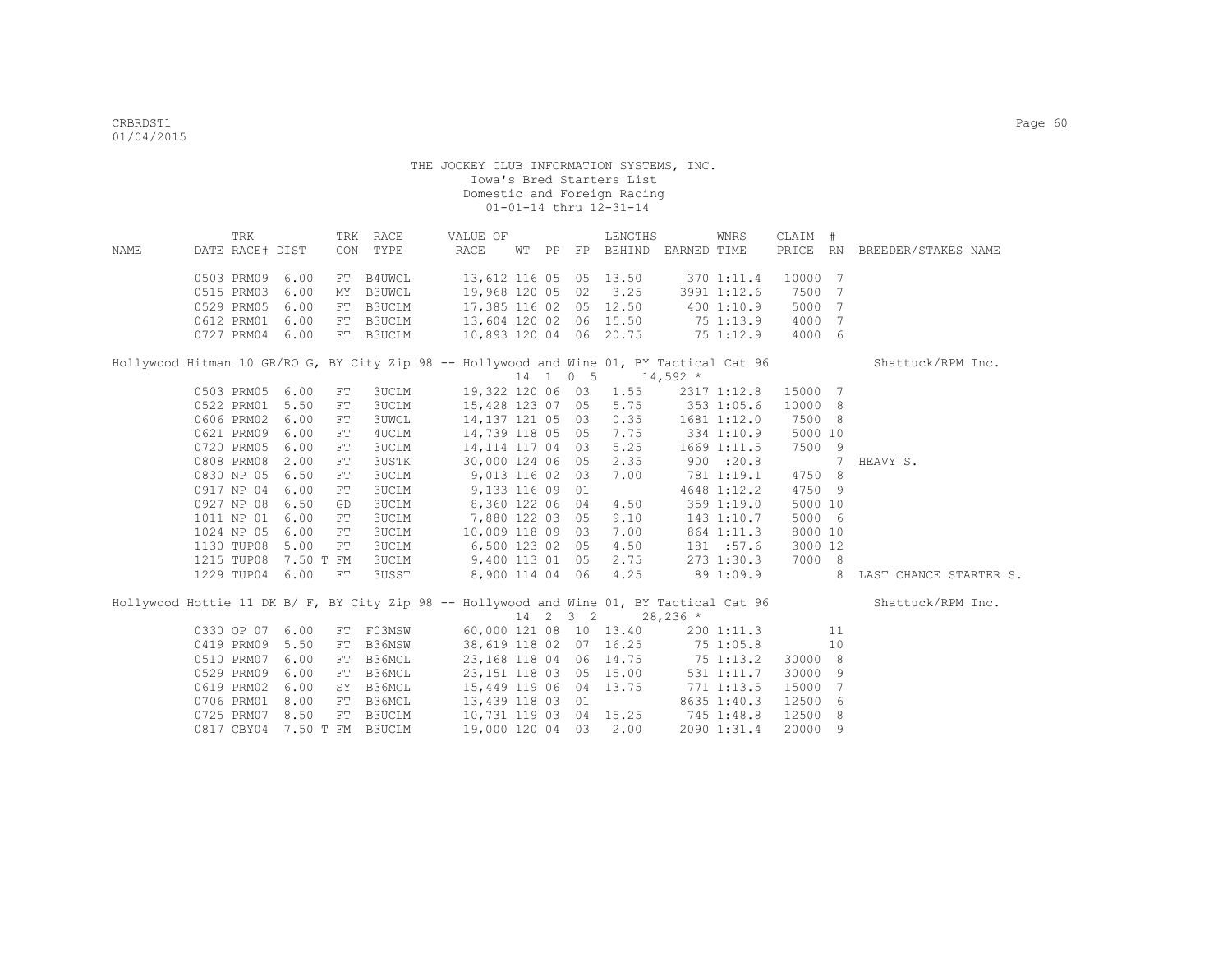|      | TRK                         |      |            | TRK RACE     | VALUE OF                                                                                 |  | LENGTHS                     |                | WNRS        | CLAIM # |                |                              |
|------|-----------------------------|------|------------|--------------|------------------------------------------------------------------------------------------|--|-----------------------------|----------------|-------------|---------|----------------|------------------------------|
| NAME | DATE RACE# DIST             |      |            | CON TYPE     | RACE                                                                                     |  | WT PP FP BEHIND EARNED TIME |                |             |         |                | PRICE RN BREEDER/STAKES NAME |
|      | 0503 PRM09 6.00             |      |            | FT B4UWCL    | 13,612 116 05 05 13.50                                                                   |  |                             |                | 370 1:11.4  | 10000 7 |                |                              |
|      | 0515 PRM03                  | 6.00 | MY         | B3UWCL       | 19,968 120 05 02 3.25                                                                    |  |                             | 3991 1:12.6    |             | 7500    | 7              |                              |
|      | 0529 PRM05                  | 6.00 | FT         | B3UCLM       | 17,385 116 02 05 12.50                                                                   |  |                             |                | 400 1:10.9  | 5000    | 7              |                              |
|      | 0612 PRM01 6.00             |      | FT         | B3UCLM       | 13,604 120 02 06 15.50                                                                   |  |                             | 75 1:13.9      |             | 4000    | $\overline{7}$ |                              |
|      | 0727 PRM04 6.00             |      | FT         | B3UCLM       | 10,893 120 04 06 20.75                                                                   |  |                             | 751:12.9       |             | 4000    | 6              |                              |
|      |                             |      |            |              | Hollywood Hitman 10 GR/RO G, BY City Zip 98 -- Hollywood and Wine 01, BY Tactical Cat 96 |  |                             |                |             |         |                | Shattuck/RPM Inc.            |
|      |                             |      |            |              |                                                                                          |  | $14$ 1 0 5 14,592 *         |                |             |         |                |                              |
|      | 0503 PRM05 6.00             |      | FT         | <b>3UCLM</b> | 19,322 120 06 03 1.55                                                                    |  |                             |                | 2317 1:12.8 | 15000 7 |                |                              |
|      | 0522 PRM01 5.50             |      | FT         | <b>3UCLM</b> | 15,428 123 07 05                                                                         |  | 5.75                        |                | 353 1:05.6  | 10000 8 |                |                              |
|      | 0606 PRM02                  | 6.00 | FT         | <b>3UWCL</b> | 14,137 121 05 03                                                                         |  | 0.35                        |                | 1681 1:12.0 | 7500 8  |                |                              |
|      | 0621 PRM09                  | 6.00 | FT         | 4UCLM        | 14,739 118 05 05                                                                         |  | 7.75                        | $334$ 1:10.9   |             | 5000 10 |                |                              |
|      | 0720 PRM05                  | 6.00 | FT         | <b>3UCLM</b> | 14,114 117 04 03                                                                         |  | 5.25                        |                | 1669 1:11.5 | 7500    | - 9            |                              |
|      | 0808 PRM08                  | 2.00 | FT         | <b>3USTK</b> | 30,000 124 06 05                                                                         |  | 2.35                        |                | 900 : 20.8  |         | 7              | HEAVY S.                     |
|      | 0830 NP 05 6.50             |      | FT         | 3UCLM        | 9,013 116 02 03                                                                          |  | 7.00                        |                | 781 1:19.1  | 4750 8  |                |                              |
|      | 0917 NP 04 6.00             |      | FT         | <b>3UCLM</b> | 9,133 116 09 01                                                                          |  |                             |                | 4648 1:12.2 | 4750 9  |                |                              |
|      | 0927 NP 08                  | 6.50 | GD         | <b>3UCLM</b> | 8,360 122 06 04                                                                          |  | 4.50                        |                | 359 1:19.0  | 5000 10 |                |                              |
|      | 1011 NP 01 6.00             |      | FT         | <b>3UCLM</b> | 7,880 122 03 05                                                                          |  | 9.10                        |                | 143 1:10.7  | 5000 6  |                |                              |
|      | 1024 NP 05                  | 6.00 | FT         | <b>3UCLM</b> | 10,009 118 09 03                                                                         |  | 7.00                        |                | 864 1:11.3  | 8000 10 |                |                              |
|      | 1130 TUP08                  | 5.00 | FT         | 3UCLM        | 6,500 123 02 05                                                                          |  | 4.50                        |                | 181 :57.6   | 3000 12 |                |                              |
|      | 1215 TUP08                  |      | 7.50 T FM  | 3UCLM        | 9,400 113 01 05                                                                          |  | 2.75                        |                | 273 1:30.3  | 7000 8  |                |                              |
|      | 1229 TUP04 6.00             |      | ${\rm FT}$ | 3USST        | 8,900 114 04 06                                                                          |  | 4.25                        | 89 1:09.9      |             |         | 8              | LAST CHANCE STARTER S.       |
|      |                             |      |            |              | Hollywood Hottie 11 DK B/ F, BY City Zip 98 -- Hollywood and Wine 01, BY Tactical Cat 96 |  |                             |                |             |         |                | Shattuck/RPM Inc.            |
|      |                             |      |            |              |                                                                                          |  | 14 2 3 2                    | $28,236$ *     |             |         |                |                              |
|      | 0330 OP 07 6.00             |      |            |              | FT F03MSW 60,000 121 08 10 13.40                                                         |  |                             |                | 200 1:11.3  |         | 11             |                              |
|      | 0419 PRM09 5.50             |      | FT         | B36MSW       | 38,619 118 02 07 16.25 75 1:05.8                                                         |  |                             |                |             |         | 10             |                              |
|      | 0510 PRM07 6.00             |      | FT         | B36MCL       | 23, 168 118 04 06 14.75 75 1:13.2                                                        |  |                             |                |             | 30000 8 |                |                              |
|      | 0529 PRM09                  | 6.00 | FT         | B36MCL       | 23, 151 118 03 05 15.00                                                                  |  |                             |                | 531 1:11.7  | 30000 9 |                |                              |
|      | 0619 PRM02 6.00             |      | SY         | B36MCL       | 15,449 119 06 04 13.75                                                                   |  |                             | $771$ $1:13.5$ |             | 15000   | $\overline{7}$ |                              |
|      | 0706 PRM01 8.00             |      | FT         | B36MCL       | 13,439 118 03 01                                                                         |  |                             |                | 8635 1:40.3 | 12500   | - 6            |                              |
|      | 0725 PRM07 8.50             |      | FT         | B3UCLM       | 10,731 119 03 04 15.25                                                                   |  |                             | 745 1:48.8     |             | 12500   | 8              |                              |
|      | 0817 CBY04 7.50 T FM B3UCLM |      |            |              | 19,000 120 04 03 2.00                                                                    |  |                             |                | 2090 1:31.4 | 20000   | 9              |                              |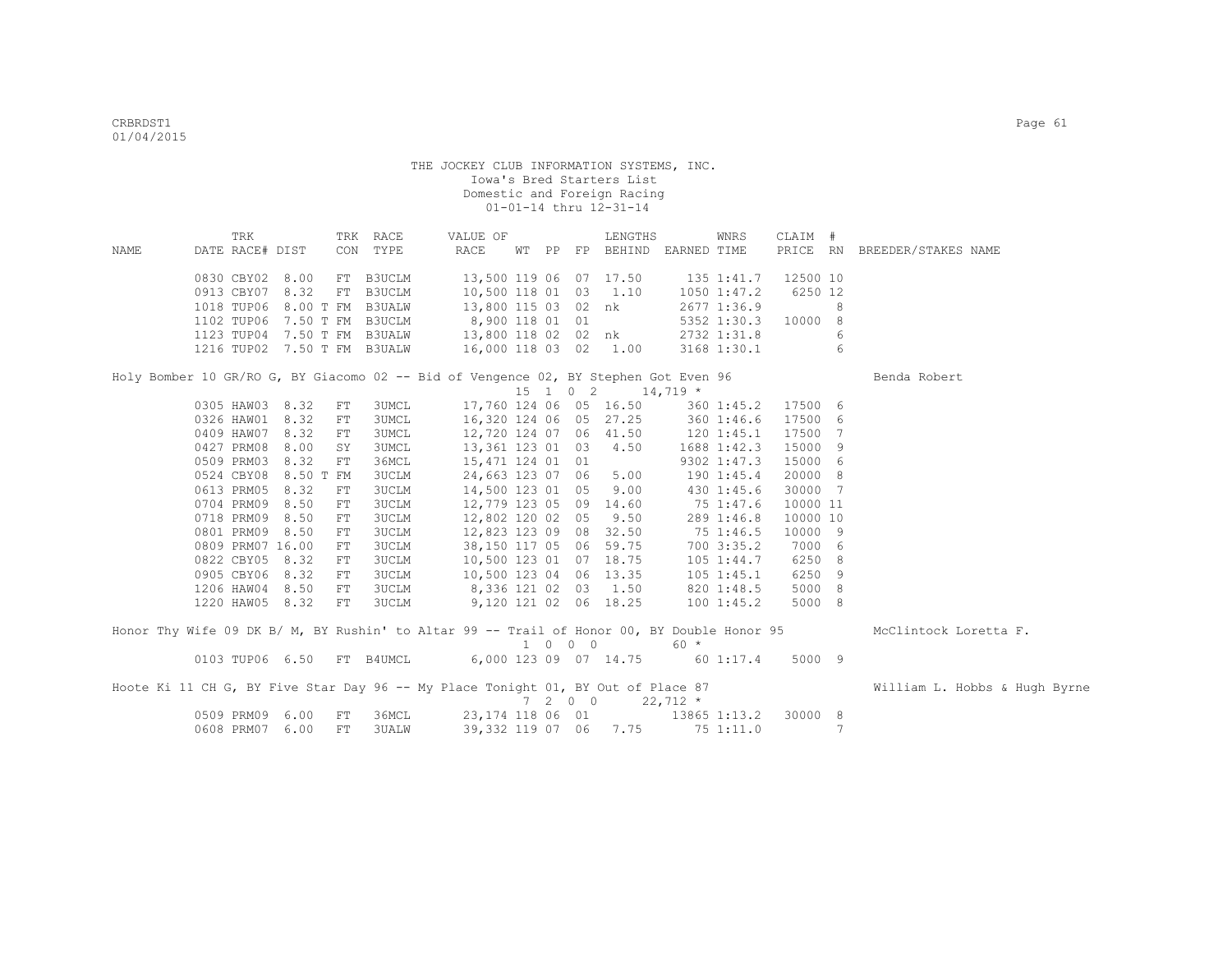|      | TRK                         |      |            | TRK RACE      | VALUE OF                                                                                   |  |         | LENGTHS                           |           | WNRS                | CLAIM #  |   |                               |
|------|-----------------------------|------|------------|---------------|--------------------------------------------------------------------------------------------|--|---------|-----------------------------------|-----------|---------------------|----------|---|-------------------------------|
| NAME | DATE RACE# DIST             |      |            | CON TYPE      | RACE                                                                                       |  |         | WT PP FP BEHIND EARNED TIME       |           |                     |          |   | PRICE RN BREEDER/STAKES NAME  |
|      | 0830 CBY02 8.00             |      |            | FT B3UCLM     |                                                                                            |  |         | 13,500 119 06 07 17.50 135 1:41.7 |           |                     | 12500 10 |   |                               |
|      | 0913 CBY07 8.32             |      | FT         | <b>B3UCLM</b> | 10,500 118 01 03 1.10                                                                      |  |         |                                   |           | $1050$ $1:47.2$     | 6250 12  |   |                               |
|      | 1018 TUP06 8.00 T FM B3UALW |      |            |               | 13,800 115 03 02 nk                                                                        |  |         |                                   |           | 2677 1:36.9         |          | 8 |                               |
|      | 1102 TUP06 7.50 T FM B3UCLM |      |            |               | 8,900 118 01 01                                                                            |  |         |                                   |           | 5352 1:30.3 10000 8 |          |   |                               |
|      |                             |      |            |               | 1123 TUP04 7.50 T FM B3UALW 13,800 118 02 02 nk                                            |  |         |                                   |           | 2732 1:31.8         |          | 6 |                               |
|      | 1216 TUP02 7.50 T FM B3UALW |      |            |               | 16,000 118 03 02 1.00                                                                      |  |         |                                   |           | 3168 1:30.1         |          | 6 |                               |
|      |                             |      |            |               |                                                                                            |  |         |                                   |           |                     |          |   |                               |
|      |                             |      |            |               | Holy Bomber 10 GR/RO G, BY Giacomo 02 -- Bid of Vengence 02, BY Stephen Got Even 96        |  |         |                                   |           |                     |          |   | Benda Robert                  |
|      |                             |      |            |               |                                                                                            |  |         | $15$ 1 0 2 14,719 *               |           |                     |          |   |                               |
|      | 0305 HAW03 8.32             |      | FT         | 3UMCL         |                                                                                            |  |         | 17,760 124 06 05 16.50            |           | 360 1:45.2 17500 6  |          |   |                               |
|      | 0326 HAW01 8.32             |      | ${\rm FT}$ | 3UMCL         |                                                                                            |  |         | 16,320 124 06 05 27.25            |           | 3601:46.6           | 17500 6  |   |                               |
|      | 0409 HAW07 8.32             |      | ${\rm FT}$ | 3UMCL         | 12,720 124 07 06 41.50                                                                     |  |         |                                   | 1201:45.1 |                     | 17500 7  |   |                               |
|      | 0427 PRM08                  | 8.00 | SY         | 3UMCL         | 13,361 123 01 03 4.50                                                                      |  |         |                                   |           | 1688 1:42.3         | 15000 9  |   |                               |
|      | 0509 PRM03 8.32             |      | FT         | 36MCL         | 15,471 124 01 01                                                                           |  |         |                                   |           | 9302 1:47.3         | 15000 6  |   |                               |
|      | 0524 CBY08 8.50 T FM        |      |            | 3UCLM         | 24,663 123 07 06 5.00                                                                      |  |         |                                   |           | 1901:45.4           | 20000 8  |   |                               |
|      | 0613 PRM05 8.32             |      | FT         | 3UCLM         | 14,500 123 01 05 9.00                                                                      |  |         |                                   |           | 430 1:45.6          | 30000 7  |   |                               |
|      | 0704 PRM09 8.50             |      | ${\rm FT}$ | 3UCLM         | 12,779 123 05 09 14.60                                                                     |  |         |                                   | 75 1:47.6 |                     | 10000 11 |   |                               |
|      | 0718 PRM09 8.50             |      | ${\rm FT}$ | 3UCLM         | 12,802 120 02 05 9.50                                                                      |  |         |                                   |           | 289 1:46.8          | 10000 10 |   |                               |
|      | 0801 PRM09 8.50             |      | FT         | 3UCLM         | 12,823 123 09 08 32.50                                                                     |  |         |                                   | 75 1:46.5 |                     | 10000 9  |   |                               |
|      | 0809 PRM07 16.00            |      | FT         | 3UCLM         | 38,150 117 05 06 59.75                                                                     |  |         |                                   |           | 700 3:35.2          | 7000 6   |   |                               |
|      | 0822 CBY05 8.32             |      | FT         | 3UCLM         | 10,500 123 01 07 18.75                                                                     |  |         |                                   |           | $105$ $1:44.7$      | 6250 8   |   |                               |
|      | 0905 CBY06 8.32             |      | FT         | 3UCLM         | 10,500 123 04 06 13.35                                                                     |  |         |                                   |           | $105$ $1:45.1$      | 6250 9   |   |                               |
|      | 1206 HAW04 8.50             |      | FT         | 3UCLM         | 8,336 121 02 03 1.50                                                                       |  |         |                                   |           | 820 1:48.5          | 5000 8   |   |                               |
|      | 1220 HAW05 8.32             |      | FT         | 3UCLM         | 9,120 121 02 06 18.25                                                                      |  |         |                                   |           | 1001:45.2           | 5000 8   |   |                               |
|      |                             |      |            |               | Honor Thy Wife 09 DK B/ M, BY Rushin' to Altar 99 -- Trail of Honor 00, BY Double Honor 95 |  |         |                                   |           |                     |          |   | McClintock Loretta F.         |
|      |                             |      |            |               |                                                                                            |  | 1 0 0 0 |                                   | $60 *$    |                     |          |   |                               |
|      |                             |      |            |               | 0103 TUP06 6.50 FT B4UMCL 6,000 123 09 07 14.75 60 1:17.4 5000 9                           |  |         |                                   |           |                     |          |   |                               |
|      |                             |      |            |               |                                                                                            |  |         |                                   |           |                     |          |   |                               |
|      |                             |      |            |               | Hoote Ki 11 CH G, BY Five Star Day 96 -- My Place Tonight 01, BY Out of Place 87           |  |         | $7 \t2 \t0 \t0 \t22,712 \t*$      |           |                     |          |   | William L. Hobbs & Hugh Byrne |
|      | 0509 PRM09 6.00 FT          |      |            | 36MCL         | 23, 174 118 06 01 13865 1:13.2                                                             |  |         |                                   |           |                     | 30000 8  |   |                               |
|      | 0608 PRM07 6.00 FT          |      |            | 3UALW         | 39,332 119 07 06 7.75 75 1:11.0                                                            |  |         |                                   |           |                     |          | 7 |                               |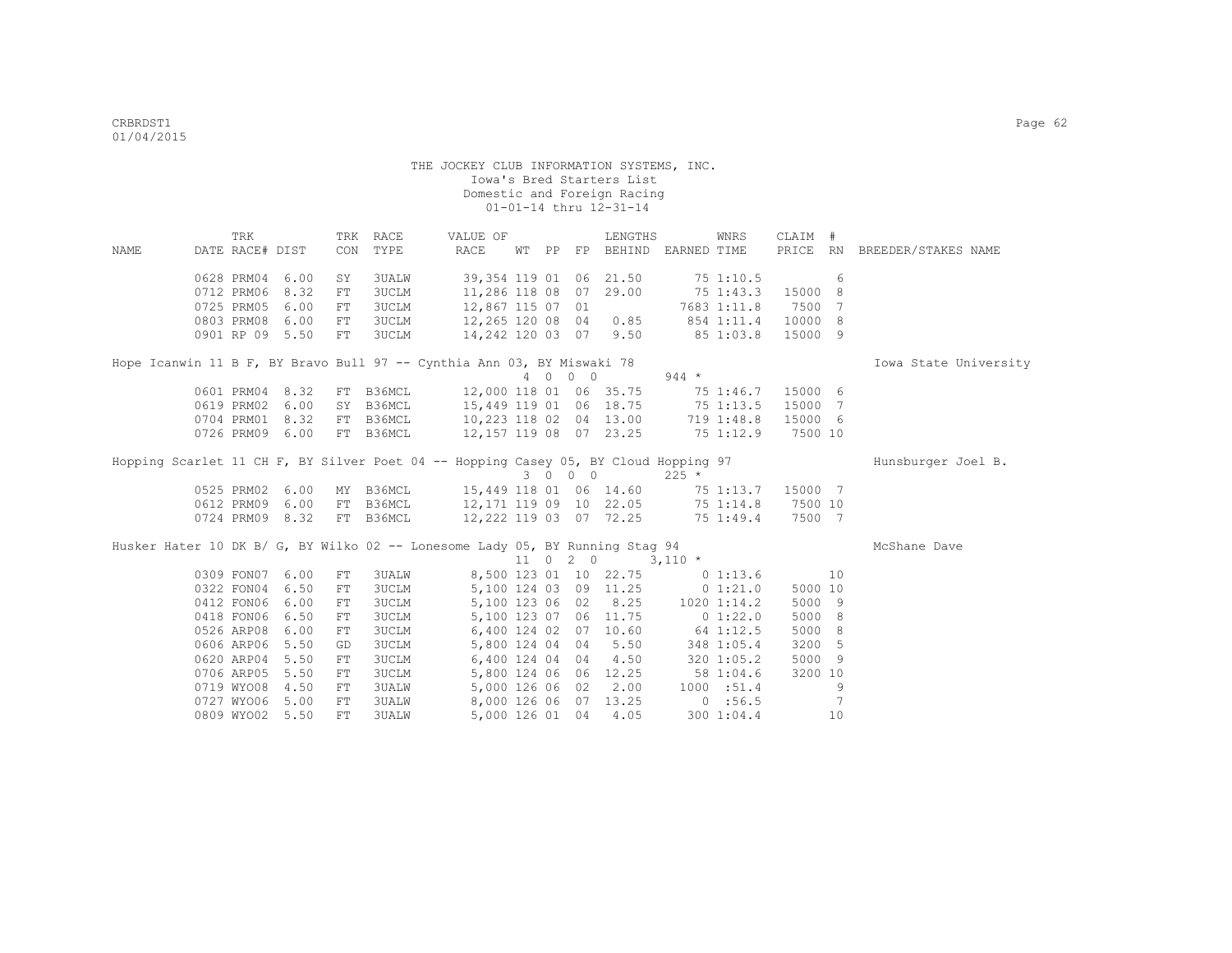|      | TRK             |      |     | TRK RACE     | VALUE OF                                                                            |    |    |         | LENGTHS                            |                    | WNRS        | CLAIM #          |     |                              |
|------|-----------------|------|-----|--------------|-------------------------------------------------------------------------------------|----|----|---------|------------------------------------|--------------------|-------------|------------------|-----|------------------------------|
| NAME | DATE RACE# DIST |      |     | CON TYPE     | RACE                                                                                | WΤ | PP |         | FP BEHIND EARNED TIME              |                    |             |                  |     | PRICE RN BREEDER/STAKES NAME |
|      | 0628 PRM04      | 6.00 | SY  | 3UALW        | 39,354 119 01 06 21.50                                                              |    |    |         |                                    | 75 1:10.5          |             |                  | 6   |                              |
|      | 0712 PRM06      | 8.32 | FT. | <b>3UCLM</b> | 11,286 118 08 07 29.00                                                              |    |    |         |                                    | 75 1:43.3          |             | 15000            | -8  |                              |
|      | 0725 PRM05      | 6.00 | FT. | <b>3UCLM</b> | 12,867 115 07 01                                                                    |    |    |         |                                    |                    |             | 7683 1:11.8 7500 | - 7 |                              |
|      | 0803 PRM08      | 6.00 | FT  | <b>3UCLM</b> | 12,265 120 08 04 0.85                                                               |    |    |         |                                    | 854 1:11.4 10000 8 |             |                  |     |                              |
|      | 0901 RP 09 5.50 |      | FT  | 3UCLM        | 14,242 120 03 07 9.50                                                               |    |    |         |                                    | 85 1:03.8          |             | 15000 9          |     |                              |
|      |                 |      |     |              | Hope Icanwin 11 B F, BY Bravo Bull 97 -- Cynthia Ann 03, BY Miswaki 78              |    |    |         |                                    |                    |             |                  |     | Iowa State University        |
|      |                 |      |     |              |                                                                                     |    |    | 4 0 0 0 |                                    | $944 *$            |             |                  |     |                              |
|      | 0601 PRM04 8.32 |      |     | FT B36MCL    | 12,000 118 01 06 35.75 75 1:46.7                                                    |    |    |         |                                    |                    |             | 15000 6          |     |                              |
|      | 0619 PRM02 6.00 |      | SY  | B36MCL       | 15,449 119 01 06 18.75 75 1:13.5                                                    |    |    |         |                                    |                    |             | 15000 7          |     |                              |
|      | 0704 PRM01 8.32 |      |     | FT B36MCL    | 10,223 118 02 04 13.00                                                              |    |    |         |                                    |                    | 719 1:48.8  | 15000 6          |     |                              |
|      | 0726 PRM09 6.00 |      |     | FT B36MCL    | 12,157 119 08 07 23.25 75 1:12.9 7500 10                                            |    |    |         |                                    |                    |             |                  |     |                              |
|      |                 |      |     |              | Hopping Scarlet 11 CH F, BY Silver Poet 04 -- Hopping Casey 05, BY Cloud Hopping 97 |    |    | 3 0 0 0 |                                    | $225 *$            |             |                  |     | Hunsburger Joel B.           |
|      | 0525 PRM02 6.00 |      |     | MY B36MCL    | 15,449 118 01 06 14.60 75 1:13.7                                                    |    |    |         |                                    |                    |             | 15000 7          |     |                              |
|      | 0612 PRM09 6.00 |      |     | FT B36MCL    | 12,171 119 09 10 22.05 75 1:14.8                                                    |    |    |         |                                    |                    |             | 7500 10          |     |                              |
|      | 0724 PRM09 8.32 |      |     | FT B36MCL    | 12,222 119 03 07 72.25 75 1:49.4                                                    |    |    |         |                                    |                    |             | 7500 7           |     |                              |
|      |                 |      |     |              | Husker Hater 10 DK B/ G, BY Wilko 02 -- Lonesome Lady 05, BY Running Stag 94        |    |    |         | $11 \t 0 \t 2 \t 0 \t 3,110 \t\t*$ |                    |             |                  |     | McShane Dave                 |
|      | 0309 FON07 6.00 |      | FT  | <b>3UALW</b> |                                                                                     |    |    |         | 8,500 123 01 10 22.75              |                    | 0 1:13.6    |                  | 10  |                              |
|      | 0322 FON04      | 6.50 | FT  | <b>3UCLM</b> |                                                                                     |    |    |         | 5,100 124 03 09 11.25              |                    | 0 1:21.0    | 5000 10          |     |                              |
|      | 0412 FON06      | 6.00 | FT  | <b>3UCLM</b> |                                                                                     |    |    |         | 5,100 123 06 02 8.25 1020 1:14.2   |                    |             | 5000 9           |     |                              |
|      | 0418 FON06      | 6.50 | FT  | <b>3UCLM</b> |                                                                                     |    |    |         | 5,100 123 07 06 11.75              |                    | 0 1:22.0    | 5000 8           |     |                              |
|      | 0526 ARP08      | 6.00 | FT  | 3UCLM        |                                                                                     |    |    |         | 6,400 124 02 07 10.60              |                    | 64 1:12.5   | 5000 8           |     |                              |
|      | 0606 ARP06 5.50 |      | GD  | <b>3UCLM</b> |                                                                                     |    |    |         | 5,800 124 04 04 5.50               |                    | 348 1:05.4  | 3200 5           |     |                              |
|      | 0620 ARP04 5.50 |      | FT  | <b>3UCLM</b> |                                                                                     |    |    |         | 6,400 124 04 04 4.50               |                    | 320 1:05.2  | 5000 9           |     |                              |
|      | 0706 ARP05      | 5.50 | FT  | <b>3UCLM</b> |                                                                                     |    |    |         | 5,800 124 06 06 12.25              |                    | 58 1:04.6   | 3200 10          |     |                              |
|      | 0719 WYO08      | 4.50 | FT  | <b>3UALW</b> |                                                                                     |    |    |         | 5,000 126 06 02 2.00               |                    | 1000 : 51.4 |                  | 9   |                              |
|      | 0727 WYO06 5.00 |      | FT  | <b>3UALW</b> |                                                                                     |    |    |         | 8,000 126 06 07 13.25              | 0:56.5             |             |                  | 7   |                              |
|      | 0809 WYO02 5.50 |      | FT. | <b>3UALW</b> |                                                                                     |    |    |         | 5,000 126 01 04 4.05               |                    | 300 1:04.4  |                  | 10  |                              |
|      |                 |      |     |              |                                                                                     |    |    |         |                                    |                    |             |                  |     |                              |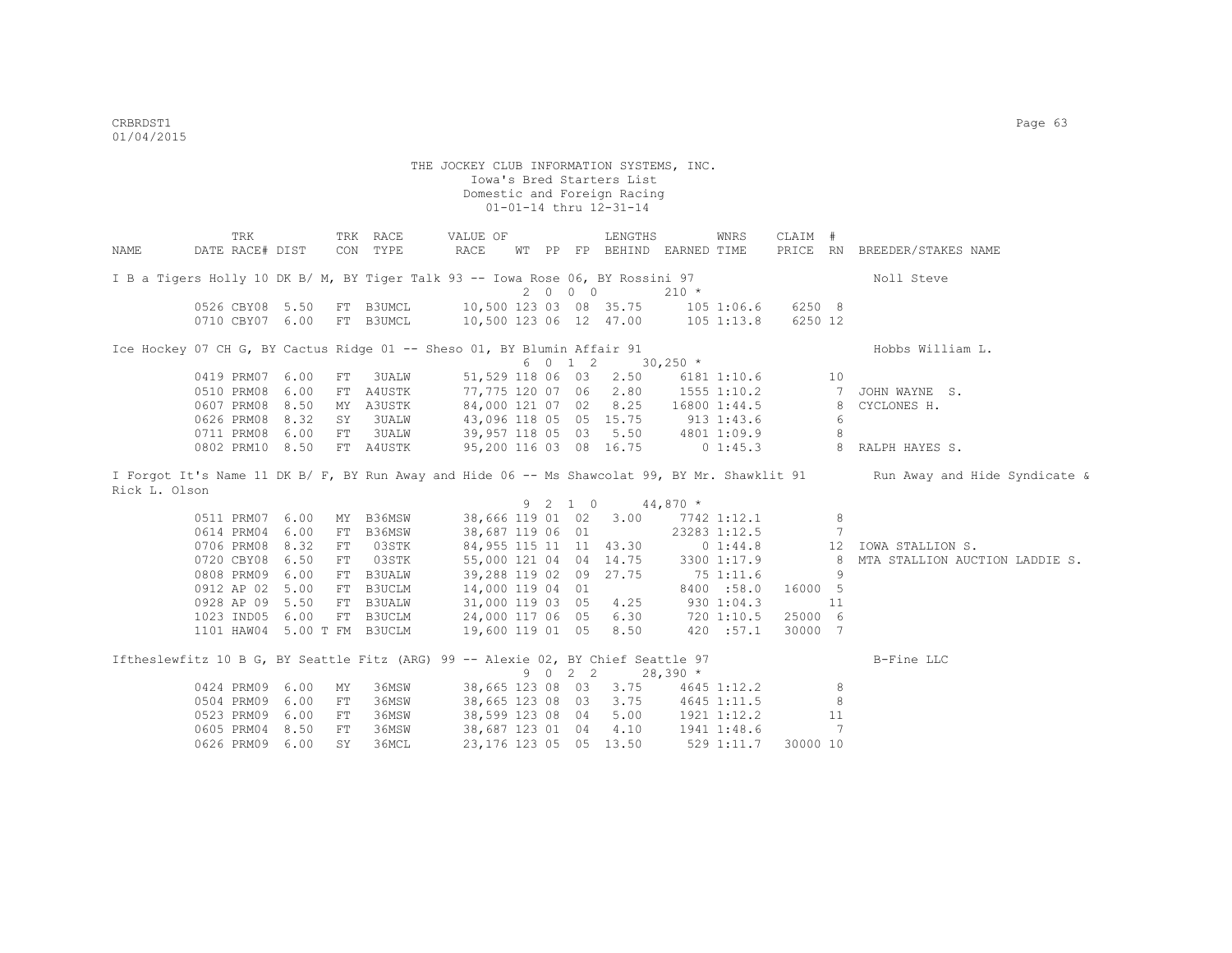|               | TRK                                                                              |      |            | TRK RACE      | VALUE OF               |  |         | LENGTHS                     |              | WNRS         | CLAIM #  |                |                                                                                                                             |
|---------------|----------------------------------------------------------------------------------|------|------------|---------------|------------------------|--|---------|-----------------------------|--------------|--------------|----------|----------------|-----------------------------------------------------------------------------------------------------------------------------|
| NAME          | DATE RACE# DIST                                                                  |      |            | CON TYPE      | RACE                   |  |         | WT PP FP BEHIND EARNED TIME |              |              |          |                | PRICE RN BREEDER/STAKES NAME                                                                                                |
|               |                                                                                  |      |            |               |                        |  |         |                             |              |              |          |                |                                                                                                                             |
|               | I B a Tigers Holly 10 DK B/ M, BY Tiger Talk 93 -- Iowa Rose 06, BY Rossini 97   |      |            |               |                        |  |         |                             |              |              |          |                | Noll Steve                                                                                                                  |
|               |                                                                                  |      |            |               |                        |  | 2000    |                             | $210 *$      |              |          |                |                                                                                                                             |
|               | 0526 CBY08 5.50                                                                  |      |            | FT B3UMCL     | 10,500 123 03 08 35.75 |  |         |                             | $105$ 1:06.6 |              | 6250 8   |                |                                                                                                                             |
|               | 0710 CBY07 6.00                                                                  |      |            | FT B3UMCL     | 10,500 123 06 12 47.00 |  |         |                             | $105$ 1:13.8 |              | 6250 12  |                |                                                                                                                             |
|               | Ice Hockey 07 CH G, BY Cactus Ridge 01 -- Sheso 01, BY Blumin Affair 91          |      |            |               |                        |  |         |                             |              |              |          |                | Hobbs William L.                                                                                                            |
|               |                                                                                  |      |            |               |                        |  | 6 0 1 2 |                             | $30,250$ *   |              |          |                |                                                                                                                             |
|               | 0419 PRM07 6.00                                                                  |      | FT         | 3UALW         | 51,529 118 06 03       |  |         | 2.50                        |              | 6181 1:10.6  |          | 10             |                                                                                                                             |
|               | 0510 PRM08                                                                       | 6.00 |            | FT A4USTK     | 77,775 120 07 06       |  |         | 2.80                        |              | 1555 1:10.2  |          | $7\phantom{0}$ | JOHN WAYNE S.                                                                                                               |
|               | 0607 PRM08 8.50                                                                  |      |            | MY A3USTK     | 84,000 121 07 02       |  |         | 8.25                        |              | 16800 1:44.5 |          | 8              | CYCLONES H.                                                                                                                 |
|               | 0626 PRM08                                                                       | 8.32 | SY         | 3UALW         | 43,096 118 05 05 15.75 |  |         |                             |              | $913$ 1:43.6 |          | 6              |                                                                                                                             |
|               | 0711 PRM08 6.00                                                                  |      | FT         | 3UALW         | 39,957 118 05 03 5.50  |  |         |                             |              | 4801 1:09.9  |          | 8              |                                                                                                                             |
|               | 0802 PRM10 8.50                                                                  |      |            | FT A4USTK     | 95,200 116 03 08 16.75 |  |         |                             |              | $0\;1:45.3$  |          | 8              | RALPH HAYES S.                                                                                                              |
|               |                                                                                  |      |            |               |                        |  |         |                             |              |              |          |                | I Forgot It's Name 11 DK B/ F, BY Run Away and Hide 06 -- Ms Shawcolat 99, BY Mr. Shawklit 91 Run Away and Hide Syndicate & |
| Rick L. Olson |                                                                                  |      |            |               |                        |  |         |                             |              |              |          |                |                                                                                                                             |
|               |                                                                                  |      |            |               |                        |  | 9 2 1 0 |                             | $44,870*$    |              |          |                |                                                                                                                             |
|               | 0511 PRM07 6.00                                                                  |      | MY         | B36MSW        | 38,666 119 01 02       |  |         | $3.00$ $7742$ $1:12.1$      |              |              |          | 8              |                                                                                                                             |
|               | 0614 PRM04                                                                       | 6.00 | FT         | B36MSW        | 38,687 119 06 01       |  |         |                             |              | 23283 1:12.5 |          | 7              |                                                                                                                             |
|               | 0706 PRM08 8.32                                                                  |      | FT         | 03STK         | 84,955 115 11 11 43.30 |  |         |                             |              | 0 1:44.8     |          | 12             | IOWA STALLION S.                                                                                                            |
|               | 0720 CBY08                                                                       | 6.50 | FT         | 03STK         |                        |  |         | 55,000 121 04 04 14.75      |              | 3300 1:17.9  |          | 8              | MTA STALLION AUCTION LADDIE S.                                                                                              |
|               | 0808 PRM09 6.00                                                                  |      | FT         | <b>B3UALW</b> | 39,288 119 02 09 27.75 |  |         |                             |              | 751:11.6     |          | 9              |                                                                                                                             |
|               | 0912 AP 02 5.00                                                                  |      | FT         | B3UCLM        | 14,000 119 04 01       |  |         |                             |              | 8400 :58.0   | 16000 5  |                |                                                                                                                             |
|               | 0928 AP 09 5.50                                                                  |      | FT         | <b>B3UALW</b> | 31,000 119 03 05       |  |         | 4.25                        | 9301:04.3    |              |          | 11             |                                                                                                                             |
|               | 1023 IND05 6.00                                                                  |      |            | FT B3UCLM     | 24,000 117 06 05       |  |         | 6.30                        |              | 720 1:10.5   | 25000 6  |                |                                                                                                                             |
|               | 1101 HAW04 5.00 T FM B3UCLM                                                      |      |            |               | 19,600 119 01 05       |  |         | 8.50                        |              | 420 :57.1    | 30000 7  |                |                                                                                                                             |
|               | Iftheslewfitz 10 B G, BY Seattle Fitz (ARG) 99 -- Alexie 02, BY Chief Seattle 97 |      |            |               |                        |  |         |                             |              |              |          |                | B-Fine LLC                                                                                                                  |
|               |                                                                                  |      |            |               |                        |  | 9 0 2 2 |                             | $28,390*$    |              |          |                |                                                                                                                             |
|               | 0424 PRM09 6.00                                                                  |      | MY         | 36MSW         | 38,665 123 08 03       |  |         | 3.75                        |              | 4645 1:12.2  |          | 8              |                                                                                                                             |
|               | 0504 PRM09 6.00                                                                  |      | FT         | 36MSW         | 38,665 123 08 03       |  |         | 3.75                        | 4645 1:11.5  |              |          | 8              |                                                                                                                             |
|               | 0523 PRM09 6.00                                                                  |      | FT         | 36MSW         | 38,599 123 08 04       |  |         | 5.00                        | 1921 1:12.2  |              |          | 11             |                                                                                                                             |
|               | 0605 PRM04                                                                       | 8.50 | ${\rm FT}$ | 36MSW         | 38,687 123 01 04       |  |         | 4.10                        |              | 1941 1:48.6  |          | 7              |                                                                                                                             |
|               | 0626 PRM09                                                                       | 6.00 | SY         | 36MCL         |                        |  |         | 23, 176 123 05 05 13.50     |              | 529 1:11.7   | 30000 10 |                |                                                                                                                             |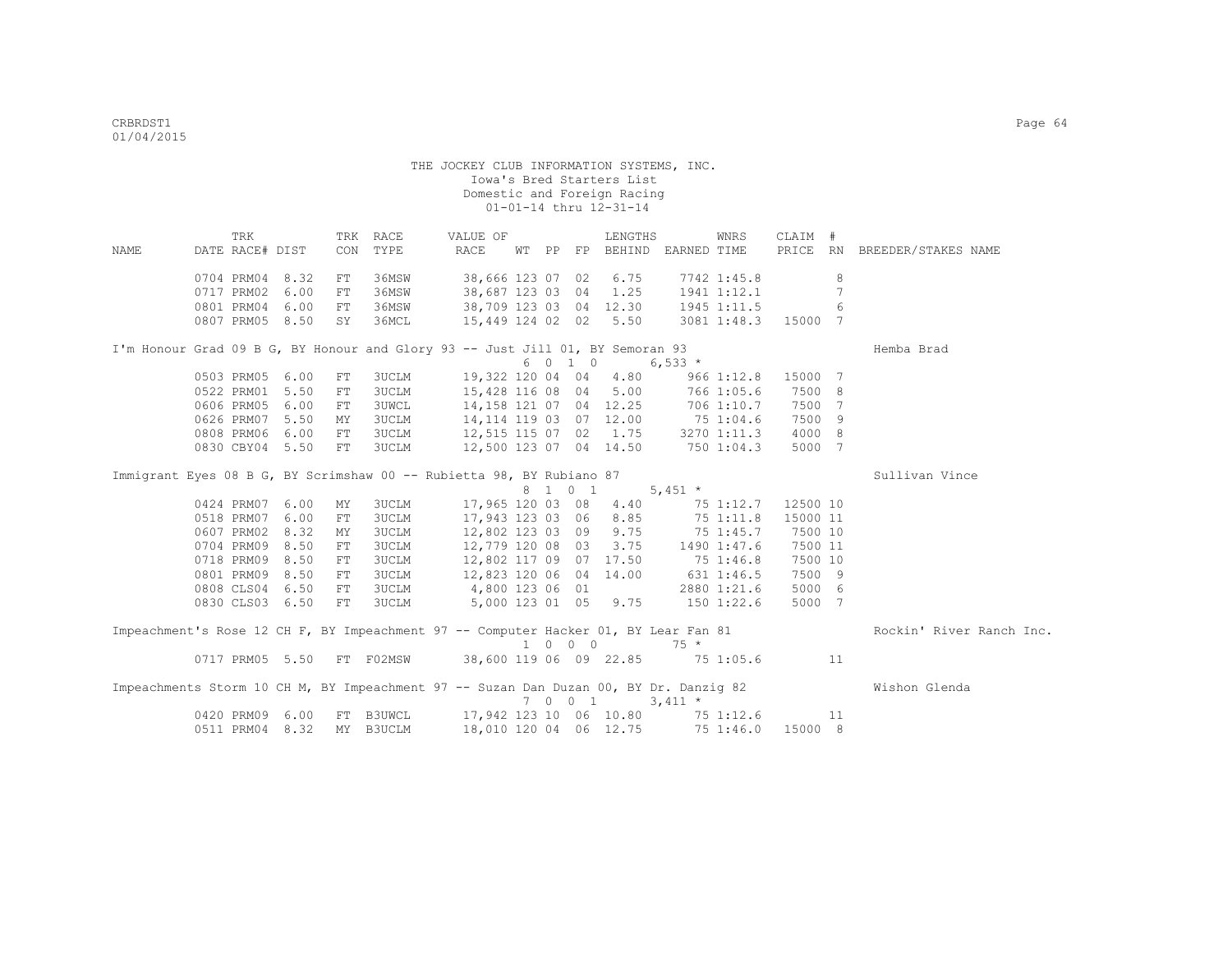|                                                                                       | TRK             |      | TRK        | RACE         |                 | VALUE OF         |  |         | LENGTHS                |                                           | WNRS           | CLAIM #  |    |                              |
|---------------------------------------------------------------------------------------|-----------------|------|------------|--------------|-----------------|------------------|--|---------|------------------------|-------------------------------------------|----------------|----------|----|------------------------------|
| NAME                                                                                  | DATE RACE# DIST |      | CON        | TYPE         | <b>RACE</b>     |                  |  |         |                        | WT PP FP BEHIND EARNED TIME               |                |          |    | PRICE RN BREEDER/STAKES NAME |
|                                                                                       |                 |      |            |              |                 |                  |  |         |                        |                                           |                |          |    |                              |
|                                                                                       | 0704 PRM04      | 8.32 | FT         | 36MSW        |                 | 38,666 123 07 02 |  |         | 6.75                   |                                           | 7742 1:45.8    |          | 8  |                              |
|                                                                                       | 0717 PRM02      | 6.00 | FT         | 36MSW        |                 |                  |  |         | 38,687 123 03 04 1.25  |                                           | 1941 1:12.1    |          | 7  |                              |
|                                                                                       | 0801 PRM04      | 6.00 | FT         | 36MSW        |                 |                  |  |         |                        | 38,709 123 03 04 12.30 1945 1:11.5        |                |          | 6  |                              |
|                                                                                       | 0807 PRM05 8.50 |      | SY         | 36MCL        |                 |                  |  |         |                        | 15,449 124 02 02 5.50 3081 1:48.3 15000 7 |                |          |    |                              |
|                                                                                       |                 |      |            |              |                 |                  |  |         |                        |                                           |                |          |    |                              |
| I'm Honour Grad 09 B G, BY Honour and Glory 93 -- Just Jill 01, BY Semoran 93         |                 |      |            |              |                 |                  |  |         |                        |                                           |                |          |    | Hemba Brad                   |
|                                                                                       |                 |      |            |              |                 |                  |  | 6 0 1 0 |                        | 6,533 $*$                                 |                |          |    |                              |
|                                                                                       | 0503 PRM05      | 6.00 | FT         | <b>3UCLM</b> |                 | 19,322 120 04 04 |  |         | 4.80                   |                                           | 9661:12.8      | 15000 7  |    |                              |
|                                                                                       | 0522 PRM01      | 5.50 | FT         | <b>3UCLM</b> |                 |                  |  |         | 15,428 116 08 04 5.00  |                                           | 766 1:05.6     | 7500 8   |    |                              |
|                                                                                       | 0606 PRM05      | 6.00 | ${\rm FT}$ | <b>3UWCL</b> |                 |                  |  |         |                        | 14,158 121 07 04 12.25 706 1:10.7         |                | 7500 7   |    |                              |
|                                                                                       | 0626 PRM07      | 5.50 | MY         | 3UCLM        |                 |                  |  |         |                        | 14, 114 119 03 07 12.00 75 1:04.6         |                | 7500 9   |    |                              |
|                                                                                       | 0808 PRM06      | 6.00 | FT         | 3UCLM        |                 |                  |  |         |                        | 12,515 115 07 02 1.75 3270 1:11.3         |                | 4000 8   |    |                              |
|                                                                                       | 0830 CBY04 5.50 |      | FT         | 3UCLM        |                 |                  |  |         |                        | 12,500 123 07 04 14.50 750 1:04.3         |                | 5000 7   |    |                              |
|                                                                                       |                 |      |            |              |                 |                  |  |         |                        |                                           |                |          |    |                              |
| Immigrant Eyes 08 B G, BY Scrimshaw 00 -- Rubietta 98, BY Rubiano 87                  |                 |      |            |              |                 |                  |  |         |                        |                                           |                |          |    | Sullivan Vince               |
|                                                                                       |                 |      |            |              |                 |                  |  | 8 1 0 1 |                        | 5,451 $*$                                 |                |          |    |                              |
|                                                                                       | 0424 PRM07      | 6.00 | MY         | <b>3UCLM</b> |                 |                  |  |         | 17,965 120 03 08 4.40  |                                           | 75 1:12.7      | 12500 10 |    |                              |
|                                                                                       | 0518 PRM07      | 6.00 | FT         | <b>3UCLM</b> |                 |                  |  |         | 17,943 123 03 06 8.85  |                                           | 75 1:11.8      | 15000 11 |    |                              |
|                                                                                       | 0607 PRM02      | 8.32 | MY         | <b>3UCLM</b> |                 |                  |  |         | 12,802 123 03 09 9.75  |                                           | 75 1:45.7      | 7500 10  |    |                              |
|                                                                                       | 0704 PRM09 8.50 |      | FT         | <b>3UCLM</b> |                 |                  |  |         | 12,779 120 08 03 3.75  |                                           | 1490 1:47.6    | 7500 11  |    |                              |
|                                                                                       | 0718 PRM09 8.50 |      | FT         | <b>3UCLM</b> |                 |                  |  |         | 12,802 117 09 07 17.50 |                                           | 75 1:46.8      | 7500 10  |    |                              |
|                                                                                       | 0801 PRM09      | 8.50 | FT         | <b>3UCLM</b> |                 |                  |  |         | 12,823 120 06 04 14.00 |                                           | $631$ $1:46.5$ | 7500 9   |    |                              |
|                                                                                       | 0808 CLS04 6.50 |      | FT         | 3UCLM        | 4,800 123 06 01 |                  |  |         |                        |                                           | 2880 1:21.6    | 5000 6   |    |                              |
|                                                                                       | 0830 CLS03 6.50 |      | FT         | 3UCLM        |                 |                  |  |         | 5,000 123 01 05 9.75   | $150$ $1:22.6$                            |                | 5000 7   |    |                              |
| Impeachment's Rose 12 CH F, BY Impeachment 97 -- Computer Hacker 01, BY Lear Fan 81   |                 |      |            |              |                 |                  |  |         |                        |                                           |                |          |    | Rockin' River Ranch Inc.     |
|                                                                                       |                 |      |            |              |                 |                  |  | 1 0 0 0 |                        | $75 *$                                    |                |          |    |                              |
|                                                                                       | 0717 PRM05 5.50 |      |            | FT F02MSW    |                 |                  |  |         |                        | 38,600 119 06 09 22.85 75 1:05.6          |                |          | 11 |                              |
|                                                                                       |                 |      |            |              |                 |                  |  |         |                        |                                           |                |          |    |                              |
| Impeachments Storm 10 CH M, BY Impeachment 97 -- Suzan Dan Duzan 00, BY Dr. Danzig 82 |                 |      |            |              |                 |                  |  | 7 0 0 1 |                        | $3,411$ *                                 |                |          |    | Wishon Glenda                |
|                                                                                       | 0420 PRM09      | 6.00 |            | FT B3UWCL    |                 |                  |  |         |                        | 17,942 123 10 06 10.80 75 1:12.6          |                |          | 11 |                              |
|                                                                                       | 0511 PRM04      | 8.32 |            | MY B3UCLM    |                 |                  |  |         | 18,010 120 04 06 12.75 |                                           | 75 1:46.0      | 15000 8  |    |                              |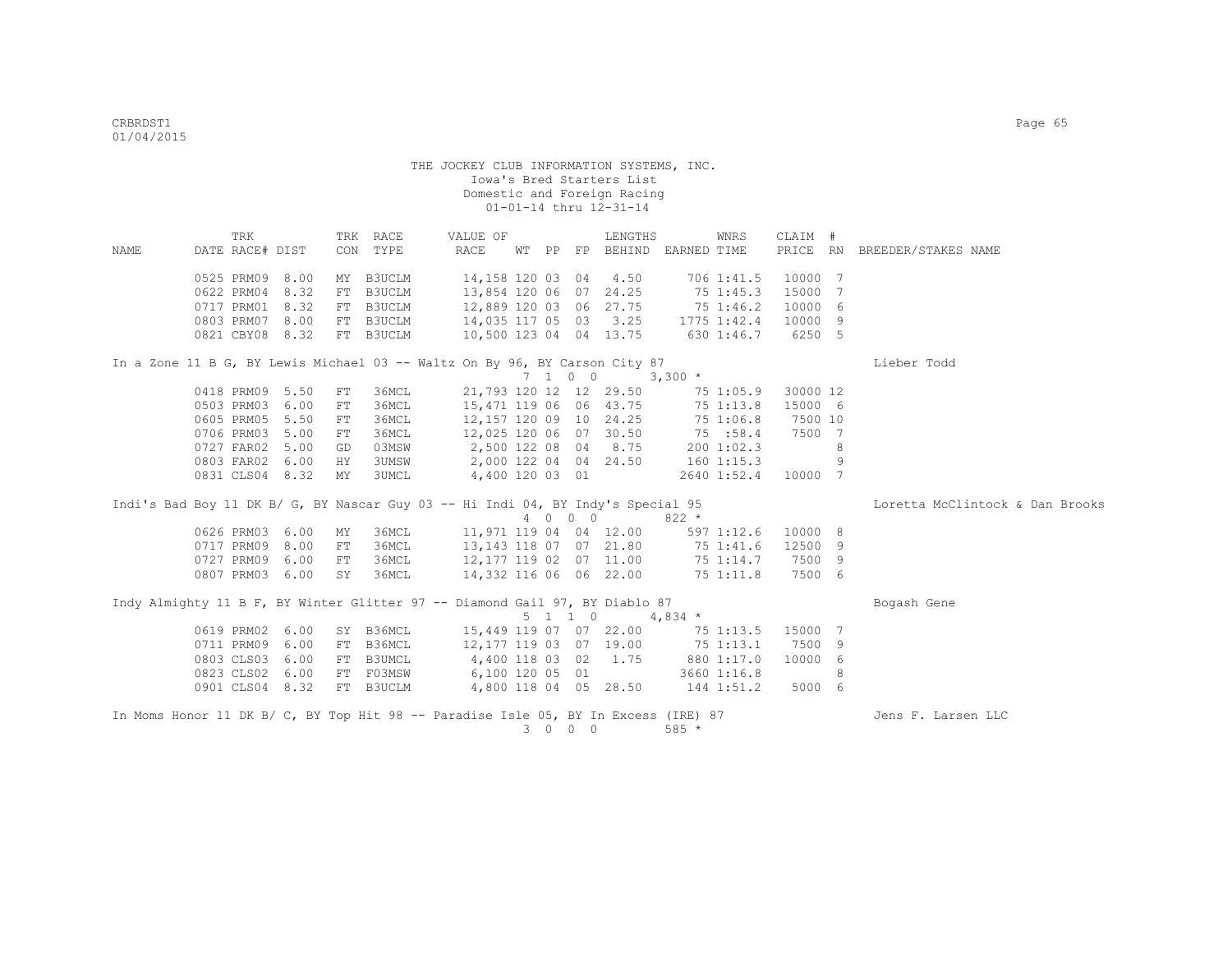|                                                                                    | TRK             |      |            | TRK RACE  | VALUE OF                |  |                 | LENGTHS               | WNRS                        | CLAIM #  |   |                                 |
|------------------------------------------------------------------------------------|-----------------|------|------------|-----------|-------------------------|--|-----------------|-----------------------|-----------------------------|----------|---|---------------------------------|
| NAME                                                                               | DATE RACE# DIST |      |            | CON TYPE  | RACE                    |  |                 |                       | WT PP FP BEHIND EARNED TIME |          |   | PRICE RN BREEDER/STAKES NAME    |
|                                                                                    |                 |      |            |           |                         |  |                 |                       |                             |          |   |                                 |
|                                                                                    | 0525 PRM09 8.00 |      |            | MY B3UCLM | 14,158 120 03 04        |  |                 | 4.50                  | 706 1:41.5                  | 10000 7  |   |                                 |
|                                                                                    | 0622 PRM04      | 8.32 |            | FT B3UCLM | 13,854 120 06           |  |                 | 07 24.25              | 75 1:45.3                   | 15000 7  |   |                                 |
|                                                                                    | 0717 PRM01      | 8.32 |            | FT B3UCLM | 12,889 120 03 06 27.75  |  |                 |                       | 75 1:46.2                   | 10000 6  |   |                                 |
|                                                                                    | 0803 PRM07      | 8.00 |            | FT B3UCLM |                         |  |                 | 14,035 117 05 03 3.25 | 1775 1:42.4                 | 10000 9  |   |                                 |
|                                                                                    | 0821 CBY08      | 8.32 |            | FT B3UCLM | 10,500 123 04 04 13.75  |  |                 |                       | 630 1:46.7                  | 6250 5   |   |                                 |
| In a Zone 11 B G, BY Lewis Michael 03 -- Waltz On By 96, BY Carson City 87         |                 |      |            |           |                         |  |                 |                       |                             |          |   | Lieber Todd                     |
|                                                                                    |                 |      |            |           |                         |  | 7 1 0 0         |                       | $3,300*$                    |          |   |                                 |
|                                                                                    | 0418 PRM09 5.50 |      | FT         | 36MCL     | 21,793 120 12 12 29.50  |  |                 |                       | 75 1:05.9                   | 30000 12 |   |                                 |
|                                                                                    | 0503 PRM03      | 6.00 | ${\rm FT}$ | 36MCL     | 15,471 119 06 06 43.75  |  |                 |                       | 75 1:13.8                   | 15000 6  |   |                                 |
|                                                                                    | 0605 PRM05      | 5.50 | FT         | 36MCL     | 12, 157 120 09 10 24.25 |  |                 |                       | 75 1:06.8                   | 7500 10  |   |                                 |
|                                                                                    | 0706 PRM03      | 5.00 | FT         | 36MCL     | 12,025 120 06 07 30.50  |  |                 |                       | 75 :58.4                    | 7500 7   |   |                                 |
|                                                                                    | 0727 FAR02      | 5.00 | GD         | 03MSW     | 2,500 122 08 04 8.75    |  |                 |                       | 200 1:02.3                  |          | 8 |                                 |
|                                                                                    | 0803 FAR02      | 6.00 | HY         | 3UMSW     | 2,000 122 04 04 24.50   |  |                 |                       | 1601:15.3                   |          | 9 |                                 |
|                                                                                    | 0831 CLS04 8.32 |      | MY         | 3UMCL     | 4,400 120 03 01         |  |                 |                       | 2640 1:52.4                 | 10000 7  |   |                                 |
| Indi's Bad Boy 11 DK B/ G, BY Nascar Guy 03 -- Hi Indi 04, BY Indy's Special 95    |                 |      |            |           |                         |  |                 |                       |                             |          |   | Loretta McClintock & Dan Brooks |
|                                                                                    |                 |      |            |           |                         |  | 4 0 0 0         |                       | $822 *$                     |          |   |                                 |
|                                                                                    | 0626 PRM03 6.00 |      | MY         | 36MCL     | 11,971 119 04 04 12.00  |  |                 |                       | 5971:12.6                   | 10000 8  |   |                                 |
|                                                                                    | 0717 PRM09      | 8.00 | FT         | 36MCL     | 13,143 118 07 07 21.80  |  |                 |                       | 75 1:41.6                   | 12500 9  |   |                                 |
|                                                                                    | 0727 PRM09      | 6.00 | FT         | 36MCL     | 12,177 119 02 07 11.00  |  |                 |                       | 75 1:14.7                   | 7500 9   |   |                                 |
|                                                                                    | 0807 PRM03 6.00 |      | SY         | 36MCL     | 14,332 116 06 06 22.00  |  |                 |                       | 75 1:11.8                   | 7500 6   |   |                                 |
| Indy Almighty 11 B F, BY Winter Glitter 97 -- Diamond Gail 97, BY Diablo 87        |                 |      |            |           |                         |  |                 |                       |                             |          |   | Bogash Gene                     |
|                                                                                    |                 |      |            |           |                         |  | $5 \t1 \t1 \t0$ |                       | $4,834$ *                   |          |   |                                 |
|                                                                                    | 0619 PRM02 6.00 |      |            | SY B36MCL | 15,449 119 07 07 22.00  |  |                 |                       | 75 1:13.5                   | 15000 7  |   |                                 |
|                                                                                    | 0711 PRM09      | 6.00 |            | FT B36MCL | 12,177 119 03 07 19.00  |  |                 |                       | 75 1:13.1                   | 7500 9   |   |                                 |
|                                                                                    | 0803 CLS03      | 6.00 |            | FT B3UMCL | 4,400 118 03 02 1.75    |  |                 |                       | 880 1:17.0                  | 10000 6  |   |                                 |
|                                                                                    | 0823 CLS02 6.00 |      |            | FT F03MSW | 6,100 120 05 01         |  |                 |                       | 3660 1:16.8                 |          | 8 |                                 |
|                                                                                    | 0901 CLS04 8.32 |      |            | FT B3UCLM | 4,800 118 04 05 28.50   |  |                 |                       | 144 1:51.2                  | 5000 6   |   |                                 |
| In Moms Honor 11 DK B/ C, BY Top Hit 98 -- Paradise Isle 05, BY In Excess (IRE) 87 |                 |      |            |           |                         |  | 3 0 0 0         |                       | 585 *                       |          |   | Jens F. Larsen LLC              |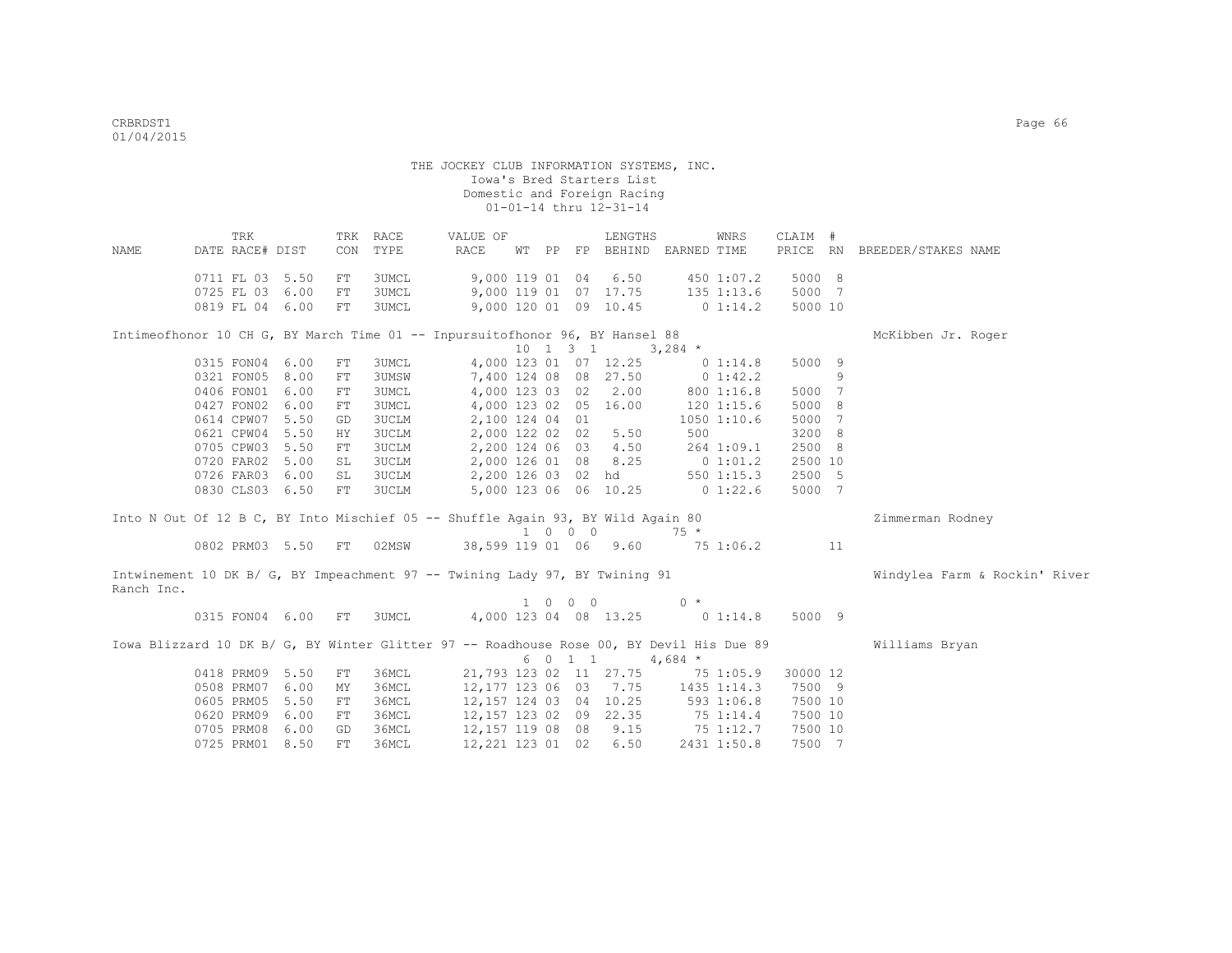|            | TRK             |                    |            | TRK RACE                                                                                 | VALUE OF               |  |                             | LENGTHS                                       |              | WNRS                         | CLAIM #   |   |                               |
|------------|-----------------|--------------------|------------|------------------------------------------------------------------------------------------|------------------------|--|-----------------------------|-----------------------------------------------|--------------|------------------------------|-----------|---|-------------------------------|
| NAME       | DATE RACE# DIST |                    | CON        | TYPE                                                                                     | RACE                   |  |                             | WT PP FP BEHIND EARNED TIME                   |              |                              | PRICE RN  |   | BREEDER/STAKES NAME           |
|            | 0711 FL 03 5.50 |                    |            | 3UMCL                                                                                    |                        |  |                             |                                               |              |                              | 5000 8    |   |                               |
|            | 0725 FL 03 6.00 |                    | FT<br>FT   | 3UMCL                                                                                    |                        |  |                             | 9,000 119 01 04 6.50<br>9,000 119 01 07 17.75 |              | 450 1:07.2<br>$135$ $1:13.6$ | 5000 7    |   |                               |
|            | 0819 FL 04 6.00 |                    | FT         | 3UMCL                                                                                    |                        |  |                             | 9,000 120 01 09 10.45                         |              | $0\;1:14.2$                  | 5000 10   |   |                               |
|            |                 |                    |            |                                                                                          |                        |  |                             |                                               |              |                              |           |   |                               |
|            |                 |                    |            | Intimeofhonor 10 CH G, BY March Time 01 -- Inpursuitofhonor 96, BY Hansel 88             |                        |  |                             |                                               |              |                              |           |   | McKibben Jr. Roger            |
|            |                 |                    |            |                                                                                          |                        |  |                             | 10 1 3 1                                      | $3,284$ *    |                              |           |   |                               |
|            | 0315 FON04 6.00 |                    | ${\rm FT}$ | 3UMCL                                                                                    |                        |  |                             | 4,000 123 01 07 12.25                         |              | 0 1:14.8                     | 5000 9    |   |                               |
|            | 0321 FON05 8.00 |                    | FT         | <b>3UMSW</b>                                                                             |                        |  |                             | 7,400 124 08 08 27.50                         |              | $0\;1:42.2$                  |           | 9 |                               |
|            | 0406 FON01 6.00 |                    | FT         | <b>3UMCL</b>                                                                             | 4,000 123 03 02        |  |                             | 2.00                                          |              | 800 1:16.8                   | 5000      | 7 |                               |
|            | 0427 FON02 6.00 |                    | FT         | <b>3UMCL</b>                                                                             | 4,000 123 02 05        |  |                             | 16.00                                         |              | 120 1:15.6                   | 5000 8    |   |                               |
|            | 0614 CPW07 5.50 |                    | GD         | <b>3UCLM</b>                                                                             | 2,100 124 04 01        |  |                             |                                               |              | $1050$ $1:10.6$              | 5000      | 7 |                               |
|            | 0621 CPW04 5.50 |                    | HY         | <b>3UCLM</b>                                                                             | 2,000 122 02 02        |  |                             | 5.50                                          | 500          |                              | 3200 8    |   |                               |
|            | 0705 CPW03 5.50 |                    | ${\rm FT}$ | <b>3UCLM</b>                                                                             | 2,200 124 06 03        |  |                             | 4.50                                          |              | 264 1:09.1                   | 2500 8    |   |                               |
|            | 0720 FAR02 5.00 |                    | SL         | <b>3UCLM</b>                                                                             | 2,000 126 01 08        |  |                             | 8.25                                          |              | 0 1:01.2                     | 2500 10   |   |                               |
|            | 0726 FAR03 6.00 |                    | SL         | 3UCLM                                                                                    |                        |  |                             | 2,200 126 03 02 hd                            |              | $550$ $1:15.3$               | 2500 5    |   |                               |
|            | 0830 CLS03 6.50 |                    | FT         | <b>3UCLM</b>                                                                             |                        |  |                             | 5,000 123 06 06 10.25                         | $0\;1:22.6$  |                              | 5000 7    |   |                               |
|            |                 |                    |            |                                                                                          |                        |  |                             |                                               |              |                              |           |   |                               |
|            |                 |                    |            | Into N Out Of 12 B C, BY Into Mischief 05 -- Shuffle Again 93, BY Wild Again 80          |                        |  |                             |                                               |              |                              |           |   | Zimmerman Rodney              |
|            |                 |                    |            |                                                                                          |                        |  | $1 \quad 0 \quad 0 \quad 0$ |                                               | $75 *$       |                              |           |   |                               |
|            |                 | 0802 PRM03 5.50 FT |            | 02MSW                                                                                    | 38,599 119 01 06 9.60  |  |                             |                                               | $75\,1:06.2$ |                              | $\sim$ 11 |   |                               |
|            |                 |                    |            | Intwinement 10 DK B/ G, BY Impeachment 97 -- Twining Lady 97, BY Twining 91              |                        |  |                             |                                               |              |                              |           |   | Windylea Farm & Rockin' River |
| Ranch Inc. |                 |                    |            |                                                                                          |                        |  |                             |                                               |              |                              |           |   |                               |
|            |                 |                    |            |                                                                                          |                        |  | $1 \quad 0 \quad 0 \quad 0$ |                                               | $0 *$        |                              |           |   |                               |
|            |                 | 0315 FON04 6.00 FT |            | 3UMCL                                                                                    |                        |  |                             | 4,000 123 04 08 13.25                         | $0\;1:14.8$  |                              | 5000 9    |   |                               |
|            |                 |                    |            | Iowa Blizzard 10 DK B/ G, BY Winter Glitter 97 -- Roadhouse Rose 00, BY Devil His Due 89 |                        |  |                             |                                               |              |                              |           |   | Williams Bryan                |
|            |                 |                    |            |                                                                                          |                        |  | 6 0 1 1                     |                                               | 4,684 $*$    |                              |           |   |                               |
|            | 0418 PRM09 5.50 |                    | FT         | 36MCL                                                                                    |                        |  |                             | 21,793 123 02 11 27.75 75 1:05.9              |              |                              | 30000 12  |   |                               |
|            | 0508 PRM07 6.00 |                    | MΥ         | 36MCL                                                                                    | 12,177 123 06 03 7.75  |  |                             |                                               | 1435 1:14.3  |                              | 7500 9    |   |                               |
|            | 0605 PRM05      | 5.50               | FT         | 36MCL                                                                                    | 12,157 124 03 04 10.25 |  |                             |                                               | 593 1:06.8   |                              | 7500 10   |   |                               |
|            | 0620 PRM09      | 6.00               | FT         | 36MCL                                                                                    | 12,157 123 02 09 22.35 |  |                             |                                               |              | 75 1:14.4                    | 7500 10   |   |                               |
|            | 0705 PRM08      | 6.00               | GD         | 36MCL                                                                                    | 12, 157 119 08 08 9.15 |  |                             |                                               |              | 75 1:12.7                    | 7500 10   |   |                               |
|            |                 |                    |            |                                                                                          |                        |  |                             |                                               |              |                              |           |   |                               |

0725 PRM01 8.50 FT 36MCL 12,221 123 01 02 6.50 2431 1:50.8 7500 7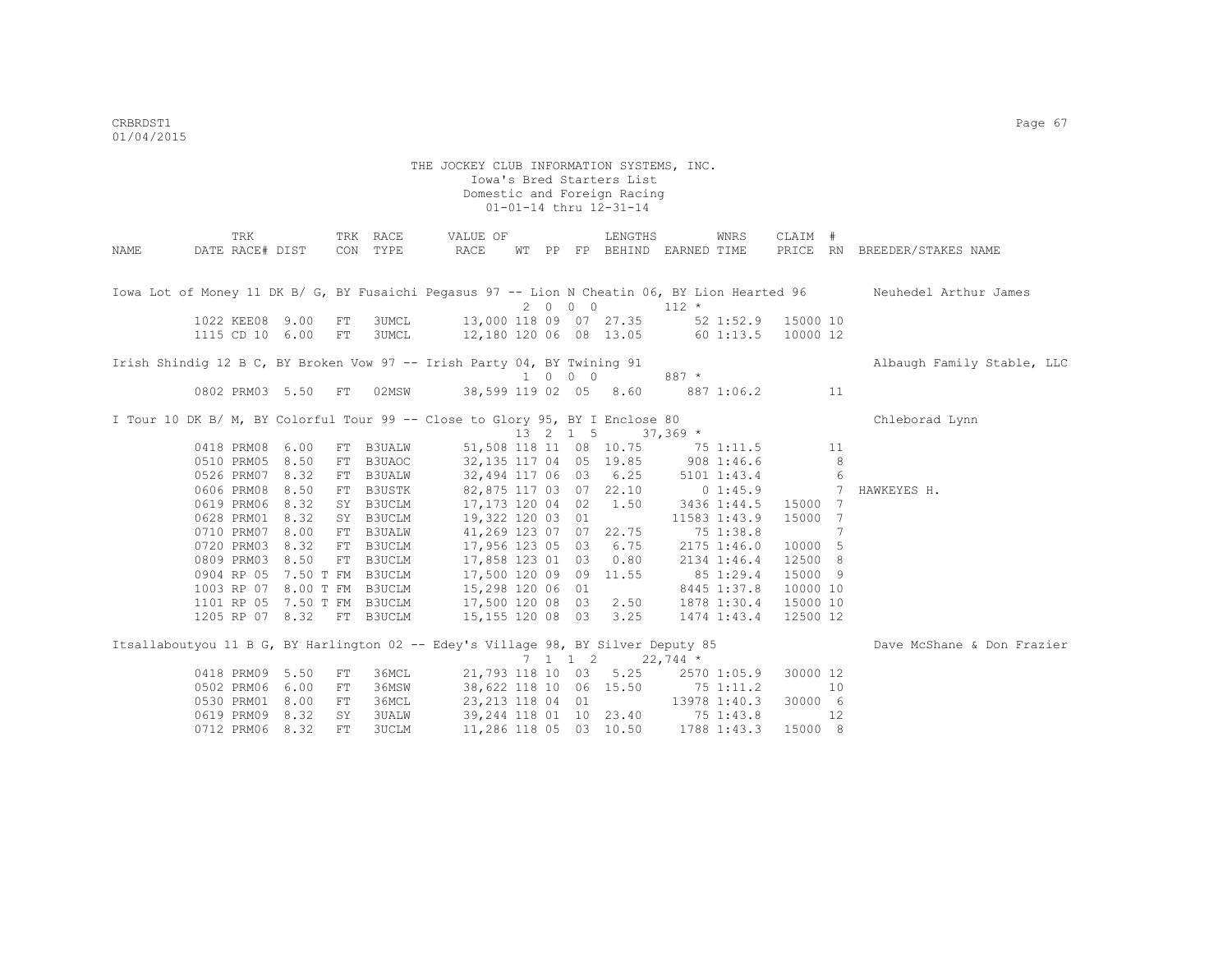| NAME | TRK<br>DATE RACE# DIST      |           |            | TRK RACE<br>CON TYPE | VALUE OF<br>RACE                                                                  |  |                             | LENGTHS<br>WT PP FP BEHIND EARNED TIME |                        | WNRS         | CLAIM #            |                | PRICE RN BREEDER/STAKES NAME                                                                                        |
|------|-----------------------------|-----------|------------|----------------------|-----------------------------------------------------------------------------------|--|-----------------------------|----------------------------------------|------------------------|--------------|--------------------|----------------|---------------------------------------------------------------------------------------------------------------------|
|      | 1022 KEE08 9.00             |           | FT         | 3UMCL                | 13,000 118 09 07 27.35                                                            |  | 2 0 0 0                     |                                        | $112 *$                |              | 52 1:52.9 15000 10 |                | Iowa Lot of Money 11 DK B/ G, BY Fusaichi Peqasus 97 -- Lion N Cheatin 06, BY Lion Hearted 96 Neuhedel Arthur James |
|      | 1115 CD 10 6.00             |           | FT         | 3UMCL                | 12,180 120 06 08 13.05                                                            |  |                             |                                        | 60 1:13.5              |              | 10000 12           |                |                                                                                                                     |
|      |                             |           |            |                      | Irish Shindig 12 B C, BY Broken Vow 97 -- Irish Party 04, BY Twining 91           |  | 1 0 0 0                     |                                        | $887 *$                |              |                    |                | Albaugh Family Stable, LLC                                                                                          |
|      | 0802 PRM03 5.50             |           | FT         | 02MSW                | 38,599 119 02 05 8.60                                                             |  |                             |                                        |                        | 887 1:06.2   |                    | 11             |                                                                                                                     |
|      |                             |           |            |                      | I Tour 10 DK B/ M, BY Colorful Tour 99 -- Close to Glory 95, BY I Enclose 80      |  |                             | 13 2 1 5                               | $37,369$ *             |              |                    |                | Chleborad Lynn                                                                                                      |
|      | 0418 PRM08                  | 6.00      | ${\rm FT}$ | <b>B3UALW</b>        |                                                                                   |  |                             | 51,508 118 11 08 10.75 75 1:11.5       |                        |              |                    | 11             |                                                                                                                     |
|      | 0510 PRM05                  | 8.50      | FT         | B3UAOC               |                                                                                   |  |                             | 32, 135 117 04 05 19.85 908 1:46.6     |                        |              |                    | 8              |                                                                                                                     |
|      | 0526 PRM07                  | 8.32      | FT         | <b>B3UALW</b>        |                                                                                   |  |                             | 32,494 117 06 03 6.25                  |                        | 5101 1:43.4  |                    | 6              |                                                                                                                     |
|      | 0606 PRM08                  | 8.50      | FT         | B3USTK               | 82,875 117 03 07 22.10                                                            |  |                             |                                        | $0\;1:45.9$            |              |                    | $\overline{7}$ | HAWKEYES H.                                                                                                         |
|      | 0619 PRM06                  | 8.32      |            | SY B3UCLM            | 17,173 120 04 02 1.50                                                             |  |                             |                                        |                        | 3436 1:44.5  | 15000 7            |                |                                                                                                                     |
|      | 0628 PRM01                  | 8.32      |            | SY B3UCLM            | 19,322 120 03 01                                                                  |  |                             |                                        |                        | 11583 1:43.9 | 15000 7            |                |                                                                                                                     |
|      | 0710 PRM07                  | 8.00      |            | FT B3UALW            | 41,269 123 07 07 22.75                                                            |  |                             |                                        |                        | 75 1:38.8    |                    | 7              |                                                                                                                     |
|      | 0720 PRM03                  | 8.32      |            | FT B3UCLM            | 17,956 123 05 03 6.75                                                             |  |                             |                                        |                        | 2175 1:46.0  | 10000 5            |                |                                                                                                                     |
|      | 0809 PRM03                  | 8.50      | FT         | B3UCLM               | 17,858 123 01 03                                                                  |  |                             | 0.80                                   |                        | 2134 1:46.4  | 12500 8            |                |                                                                                                                     |
|      | 0904 RP 05                  | 7.50 T FM |            | B3UCLM               | 17,500 120 09 09 11.55                                                            |  |                             |                                        |                        | 85 1:29.4    | 15000 9            |                |                                                                                                                     |
|      | 1003 RP 07                  |           |            | 8.00 T FM B3UCLM     | 15,298 120 06 01                                                                  |  |                             |                                        |                        | 8445 1:37.8  | 10000 10           |                |                                                                                                                     |
|      | 1101 RP 05 7.50 T FM B3UCLM |           |            |                      | 17,500 120 08 03                                                                  |  |                             | 2.50                                   |                        | 1878 1:30.4  | 15000 10           |                |                                                                                                                     |
|      | 1205 RP 07 8.32 FT B3UCLM   |           |            |                      | 15,155 120 08 03                                                                  |  |                             | 3.25                                   |                        | 1474 1:43.4  | 12500 12           |                |                                                                                                                     |
|      |                             |           |            |                      | Itsallaboutyou 11 B G, BY Harlington 02 -- Edey's Village 98, BY Silver Deputy 85 |  | $7 \quad 1 \quad 1 \quad 2$ |                                        | $22,744$ *             |              |                    |                | Dave McShane & Don Frazier                                                                                          |
|      | 0418 PRM09                  | 5.50      | FT         | 36MCL                | 21,793 118 10 03                                                                  |  |                             |                                        | $5.25$ $2570$ $1:05.9$ |              | 30000 12           |                |                                                                                                                     |
|      | 0502 PRM06                  | 6.00      | ${\rm FT}$ | 36MSW                |                                                                                   |  |                             | 38,622 118 10 06 15.50                 | 75 1:11.2              |              |                    | 10             |                                                                                                                     |
|      | 0530 PRM01                  | 8.00      | FT         | 36MCL                | 23, 213 118 04 01                                                                 |  |                             |                                        |                        | 13978 1:40.3 | 30000 6            |                |                                                                                                                     |
|      | 0619 PRM09                  | 8.32      | SY         | <b>3UALW</b>         |                                                                                   |  |                             | 39,244 118 01 10 23.40                 | $75 \t1:43.8$          |              |                    | 12             |                                                                                                                     |
|      | 0712 PRM06                  | 8.32      | FT         | 3UCLM                | 11,286 118 05 03 10.50                                                            |  |                             |                                        |                        | 1788 1:43.3  | 15000 8            |                |                                                                                                                     |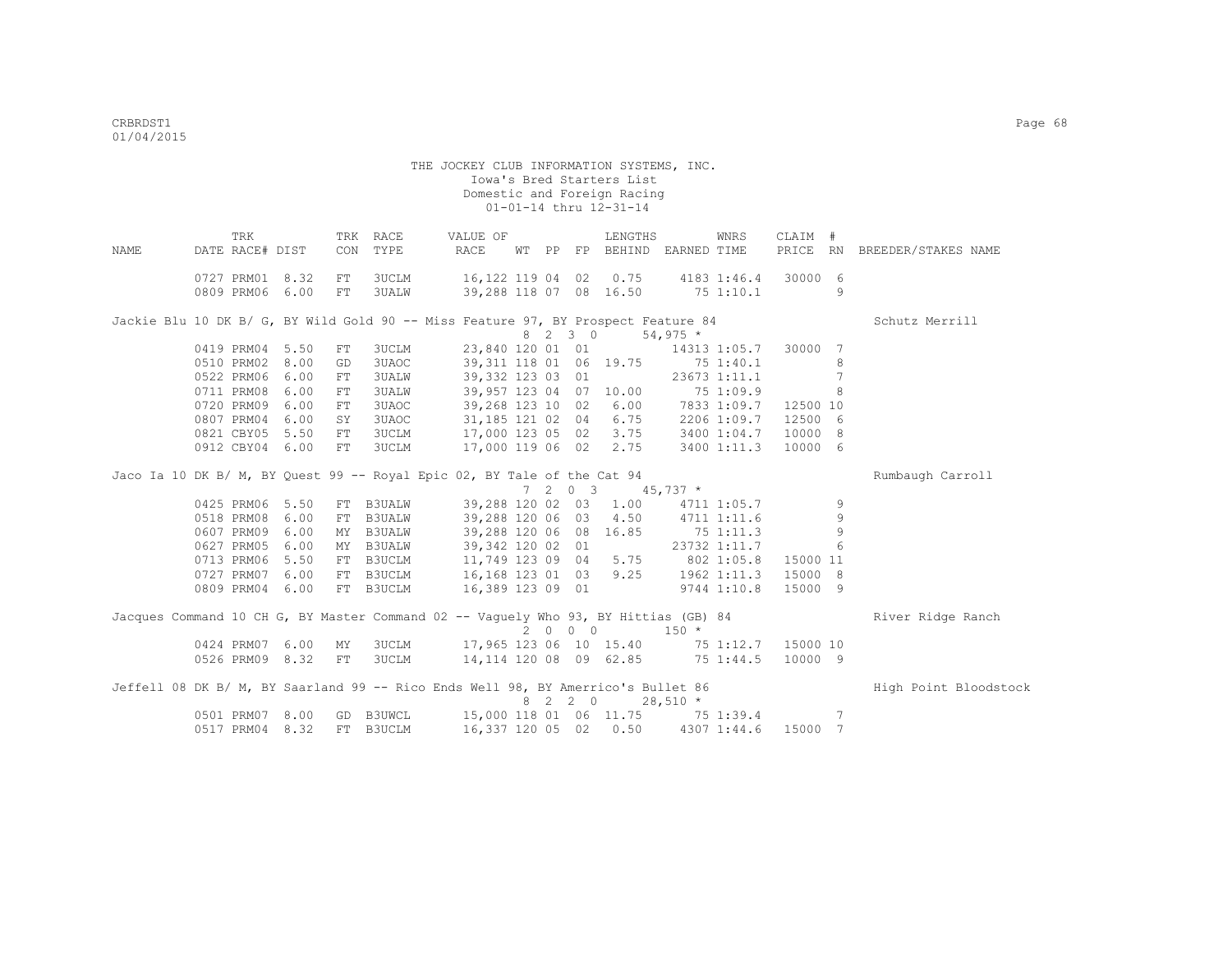|      | TRK             |      |     | TRK RACE      | VALUE OF                                                                            |  |         | LENGTHS                       |            | WNRS         | CLAIM #  |                 |                              |
|------|-----------------|------|-----|---------------|-------------------------------------------------------------------------------------|--|---------|-------------------------------|------------|--------------|----------|-----------------|------------------------------|
| NAME | DATE RACE# DIST |      | CON | TYPE          | RACE                                                                                |  |         | WT PP FP BEHIND EARNED TIME   |            |              |          |                 | PRICE RN BREEDER/STAKES NAME |
|      | 0727 PRM01 8.32 |      | FT  | 3UCLM         | 16,122 119 04 02 0.75 4183 1:46.4 30000 6                                           |  |         |                               |            |              |          |                 |                              |
|      | 0809 PRM06      | 6.00 | FT  | 3UALW         | 39,288 118 07 08 16.50                                                              |  |         |                               |            | 751:10.1     |          | 9               |                              |
|      |                 |      |     |               | Jackie Blu 10 DK B/ G, BY Wild Gold 90 -- Miss Feature 97, BY Prospect Feature 84   |  |         |                               |            |              |          |                 | Schutz Merrill               |
|      |                 |      |     |               |                                                                                     |  | 8 2 3 0 |                               | $54,975$ * |              |          |                 |                              |
|      | 0419 PRM04      | 5.50 | FT  | <b>3UCLM</b>  |                                                                                     |  |         | 23,840 120 01 01 14313 1:05.7 |            |              | 30000    | 7               |                              |
|      | 0510 PRM02      | 8.00 | GD  | 3UAOC         | 39, 311 118 01 06 19.75 75 1:40.1                                                   |  |         |                               |            |              |          | 8               |                              |
|      | 0522 PRM06      | 6.00 | FT  | 3UALW         | 39,332 123 03 01                                                                    |  |         |                               |            | 23673 1:11.1 |          | 7               |                              |
|      | 0711 PRM08      | 6.00 | FT  | 3UALW         | 39,957 123 04 07 10.00 75 1:09.9                                                    |  |         |                               |            |              |          | 8               |                              |
|      | 0720 PRM09      | 6.00 | FT  | 3UAOC         | 39,268 123 10 02 6.00 7833 1:09.7                                                   |  |         |                               |            |              | 12500 10 |                 |                              |
|      | 0807 PRM04      | 6.00 | SY. | 3UAOC         | 31,185 121 02 04 6.75                                                               |  |         |                               |            | 2206 1:09.7  | 12500 6  |                 |                              |
|      | 0821 CBY05      | 5.50 | FT  | 3UCLM         | 17,000 123 05 02 3.75 3400 1:04.7                                                   |  |         |                               |            |              | 10000 8  |                 |                              |
|      | 0912 CBY04 6.00 |      | FT  | 3UCLM         | 17,000 119 06 02 2.75 3400 1:11.3                                                   |  |         |                               |            |              | 10000 6  |                 |                              |
|      |                 |      |     |               | Jaco Ia 10 DK B/ M, BY Quest 99 -- Royal Epic 02, BY Tale of the Cat 94             |  |         |                               |            |              |          |                 | Rumbaugh Carroll             |
|      |                 |      |     |               |                                                                                     |  |         | 7 2 0 3 45,737 $*$            |            |              |          |                 |                              |
|      | 0425 PRM06      | 5.50 | FT  | <b>B3UALW</b> | 39,288 120 02 03 1.00                                                               |  |         |                               |            | 4711 1:05.7  |          | 9               |                              |
|      | 0518 PRM08      | 6.00 | FT  | <b>B3UALW</b> | 39,288 120 06 03 4.50                                                               |  |         |                               |            | 4711 1:11.6  |          | 9               |                              |
|      | 0607 PRM09      | 6.00 |     | MY B3UALW     | 39,288 120 06 08 16.85                                                              |  |         |                               | 75 1:11.3  |              |          | 9               |                              |
|      | 0627 PRM05      | 6.00 |     | MY B3UALW     | 39,342 120 02 01                                                                    |  |         |                               |            | 23732 1:11.7 |          | 6               |                              |
|      | 0713 PRM06      | 5.50 |     | FT B3UCLM     | 11,749 123 09 04 5.75 802 1:05.8                                                    |  |         |                               |            |              | 15000 11 |                 |                              |
|      | 0727 PRM07      | 6.00 |     | FT B3UCLM     | 16,168 123 01 03 9.25 1962 1:11.3                                                   |  |         |                               |            |              | 15000 8  |                 |                              |
|      | 0809 PRM04 6.00 |      |     | FT B3UCLM     | 16,389 123 09 01                                                                    |  |         |                               |            | 9744 1:10.8  | 15000 9  |                 |                              |
|      |                 |      |     |               | Jacques Command 10 CH G, BY Master Command 02 -- Vaquely Who 93, BY Hittias (GB) 84 |  |         |                               |            |              |          |                 | River Ridge Ranch            |
|      |                 |      |     |               |                                                                                     |  | 2 0 0 0 |                               | $150 *$    |              |          |                 |                              |
|      | 0424 PRM07 6.00 |      | MY  | 3UCLM         | 17,965 123 06 10 15.40 75 1:12.7 15000 10                                           |  |         |                               |            |              |          |                 |                              |
|      | 0526 PRM09 8.32 |      | FT  | 3UCLM         | 14, 114 120 08 09 62.85 75 1:44.5                                                   |  |         |                               |            |              | 10000 9  |                 |                              |
|      |                 |      |     |               | Jeffell 08 DK B/ M, BY Saarland 99 -- Rico Ends Well 98, BY Amerrico's Bullet 86    |  |         |                               |            |              |          |                 | High Point Bloodstock        |
|      |                 |      |     |               |                                                                                     |  | 8 2 2 0 |                               | $28,510 *$ |              |          |                 |                              |
|      | 0501 PRM07      | 8.00 | GD  | <b>B3UWCL</b> | 15,000 118 01 06 11.75 75 1:39.4                                                    |  |         |                               |            |              |          | $7\phantom{.0}$ |                              |
|      | 0517 PRM04      | 8.32 |     | FT B3UCLM     | 16,337 120 05 02 0.50                                                               |  |         |                               |            | 4307 1:44.6  | 15000 7  |                 |                              |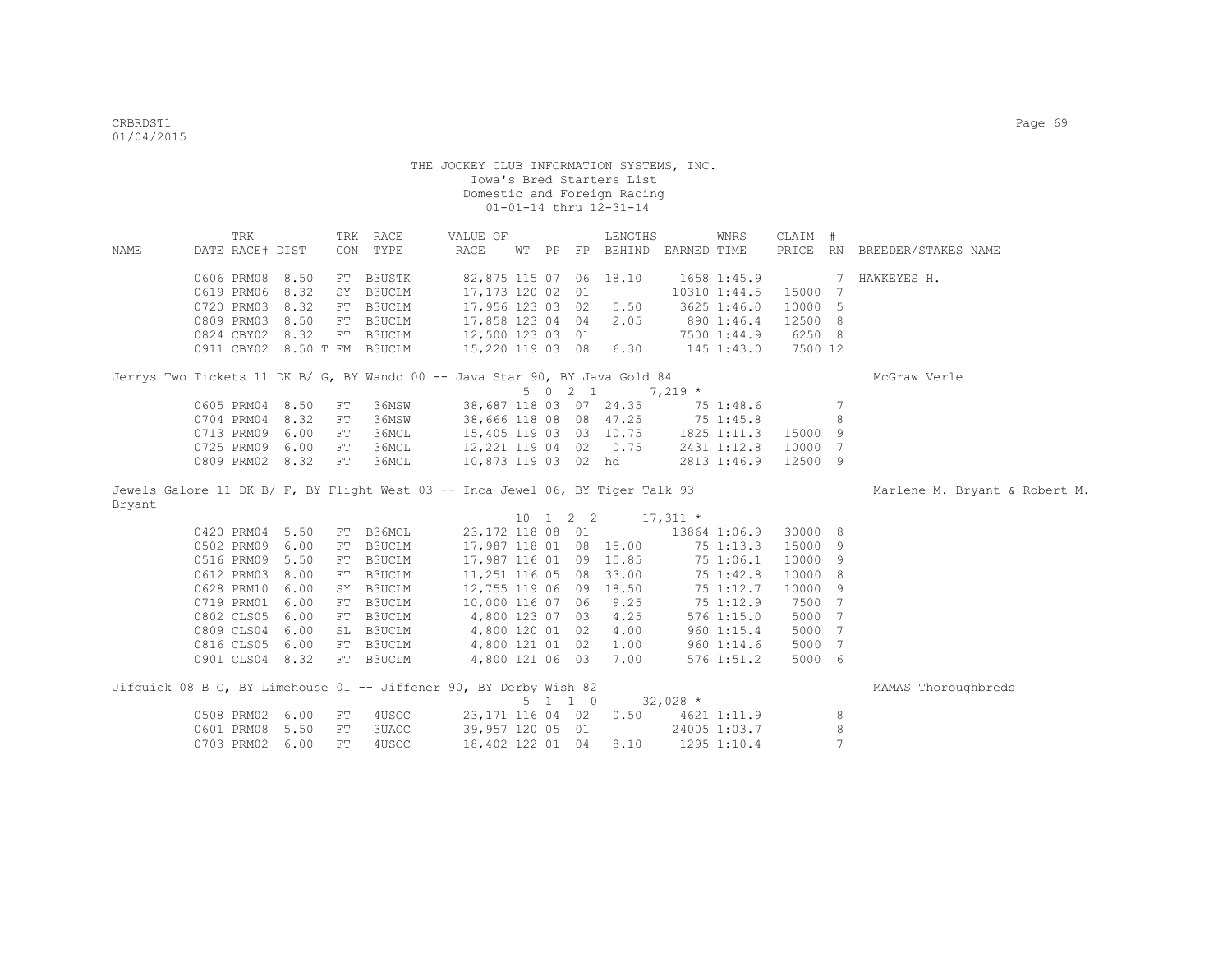|             | TRK                                                                            |      |      | TRK RACE      | VALUE OF               |  |                    | LENGTHS            |              | WNRS            | CLAIM # |                |                               |
|-------------|--------------------------------------------------------------------------------|------|------|---------------|------------------------|--|--------------------|--------------------|--------------|-----------------|---------|----------------|-------------------------------|
| <b>NAME</b> | DATE RACE# DIST                                                                |      |      | CON TYPE      | RACE                   |  | WT PP FP           | BEHIND EARNED TIME |              |                 |         |                | PRICE RN BREEDER/STAKES NAME  |
|             |                                                                                |      |      |               |                        |  |                    |                    |              |                 |         |                |                               |
|             | 0606 PRM08                                                                     | 8.50 |      | FT B3USTK     | 82,875 115 07 06 18.10 |  |                    |                    |              | 1658 1:45.9     |         | 7              | HAWKEYES H.                   |
|             | 0619 PRM06                                                                     | 8.32 | SY   | <b>B3UCLM</b> | 17,173 120 02 01       |  |                    |                    |              | 10310 1:44.5    | 15000   | 7              |                               |
|             | 0720 PRM03 8.32                                                                |      | FT   | B3UCLM        | 17,956 123 03 02       |  |                    | 5.50               |              | 3625 1:46.0     | 10000 5 |                |                               |
|             | 0809 PRM03 8.50                                                                |      | FT   | B3UCLM        | 17,858 123 04 04       |  |                    | 2.05               |              | 890 1:46.4      | 12500 8 |                |                               |
|             | 0824 CBY02 8.32                                                                |      |      | FT B3UCLM     | 12,500 123 03 01       |  |                    |                    |              | 7500 1:44.9     | 6250 8  |                |                               |
|             | 0911 CBY02 8.50 T FM B3UCLM                                                    |      |      |               | 15,220 119 03 08 6.30  |  |                    |                    |              | 145 1:43.0      | 7500 12 |                |                               |
|             | Jerrys Two Tickets 11 DK B/ G, BY Wando 00 -- Java Star 90, BY Java Gold 84    |      |      |               |                        |  |                    |                    |              |                 |         |                | McGraw Verle                  |
|             |                                                                                |      |      |               |                        |  | $5 \t 0 \t 2 \t 1$ |                    | $7,219*$     |                 |         |                |                               |
|             | 0605 PRM04 8.50                                                                |      | FT   | 36MSW         | 38,687 118 03 07 24.35 |  |                    |                    |              | 75 1:48.6       |         | 7              |                               |
|             | 0704 PRM04 8.32                                                                |      | FT   | 36MSW         | 38,666 118 08 08 47.25 |  |                    |                    |              | 75 1:45.8       |         | 8              |                               |
|             | 0713 PRM09 6.00                                                                |      | FT   | 36MCL         | 15,405 119 03 03 10.75 |  |                    |                    |              | $1825$ $1:11.3$ | 15000 9 |                |                               |
|             | 0725 PRM09 6.00                                                                |      | FT   | 36MCL         | 12,221 119 04 02 0.75  |  |                    |                    |              | 2431 1:12.8     | 10000 7 |                |                               |
|             | 0809 PRM02 8.32                                                                |      | FT   | 36MCL         | 10,873 119 03 02 hd    |  |                    |                    |              | 2813 1:46.9     | 12500 9 |                |                               |
|             |                                                                                |      |      |               |                        |  |                    |                    |              |                 |         |                |                               |
|             | Jewels Galore 11 DK B/ F, BY Flight West 03 -- Inca Jewel 06, BY Tiger Talk 93 |      |      |               |                        |  |                    |                    |              |                 |         |                | Marlene M. Bryant & Robert M. |
| Bryant      |                                                                                |      |      |               |                        |  |                    |                    |              |                 |         |                |                               |
|             |                                                                                |      |      |               |                        |  | 10 1 2 2           | $17,311$ *         |              |                 |         |                |                               |
|             | 0420 PRM04 5.50                                                                |      | FT   | B36MCL        | 23, 172 118 08 01      |  |                    |                    | 13864 1:06.9 |                 | 30000 8 |                |                               |
|             | 0502 PRM09 6.00                                                                |      | FT   | B3UCLM        | 17,987 118 01 08 15.00 |  |                    |                    |              | 75 1:13.3       | 15000 9 |                |                               |
|             | 0516 PRM09 5.50                                                                |      | FT   | B3UCLM        | 17,987 116 01 09 15.85 |  |                    |                    |              | 75 1:06.1       | 10000 9 |                |                               |
|             | 0612 PRM03 8.00                                                                |      | FT   | <b>B3UCLM</b> | 11,251 116 05 08 33.00 |  |                    |                    |              | 75 1:42.8       | 10000 8 |                |                               |
|             | 0628 PRM10 6.00                                                                |      |      | SY B3UCLM     | 12,755 119 06 09 18.50 |  |                    |                    |              | 75 1:12.7       | 10000 9 |                |                               |
|             | 0719 PRM01 6.00                                                                |      |      | FT B3UCLM     | 10,000 116 07 06       |  |                    | 9.25               |              | 75 1:12.9       | 7500    | 7              |                               |
|             | 0802 CLS05 6.00                                                                |      |      | FT B3UCLM     | 4,800 123 07 03        |  |                    | 4.25               |              | 576 1:15.0      | 5000    | 7              |                               |
|             | 0809 CLS04 6.00                                                                |      |      | SL B3UCLM     | 4,800 120 01 02        |  |                    | 4.00               |              | 960 1:15.4      | 5000    | 7              |                               |
|             | 0816 CLS05 6.00                                                                |      |      | FT B3UCLM     | 4,800 121 01 02        |  |                    | 1.00               |              | 960 1:14.6      | 5000    | $\overline{7}$ |                               |
|             | 0901 CLS04 8.32                                                                |      |      | FT B3UCLM     | 4,800 121 06 03        |  |                    | 7.00               |              | $576$ 1:51.2    | 5000 6  |                |                               |
|             |                                                                                |      |      |               |                        |  |                    |                    |              |                 |         |                |                               |
|             | Jifquick 08 B G, BY Limehouse 01 -- Jiffener 90, BY Derby Wish 82              |      |      |               |                        |  |                    |                    |              |                 |         |                | MAMAS Thoroughbreds           |
|             |                                                                                |      |      |               |                        |  | $5 \t1 \t1 \t0$    |                    | $32,028$ *   |                 |         |                |                               |
|             | 0508 PRM02 6.00                                                                |      | FT   | 4USOC         | 23, 171 116 04 02      |  |                    | 0.50               |              | 4621 1:11.9     |         | 8              |                               |
|             | 0601 PRM08 5.50                                                                |      | FT   | 3UAOC         | 39,957 120 05 01       |  |                    |                    |              | 24005 1:03.7    |         | $\,8\,$        |                               |
|             | 0703 PRM02 6.00                                                                |      | $FT$ | 4USOC         | 18,402 122 01 04       |  |                    | 8.10               |              | 1295 1:10.4     |         | $\overline{7}$ |                               |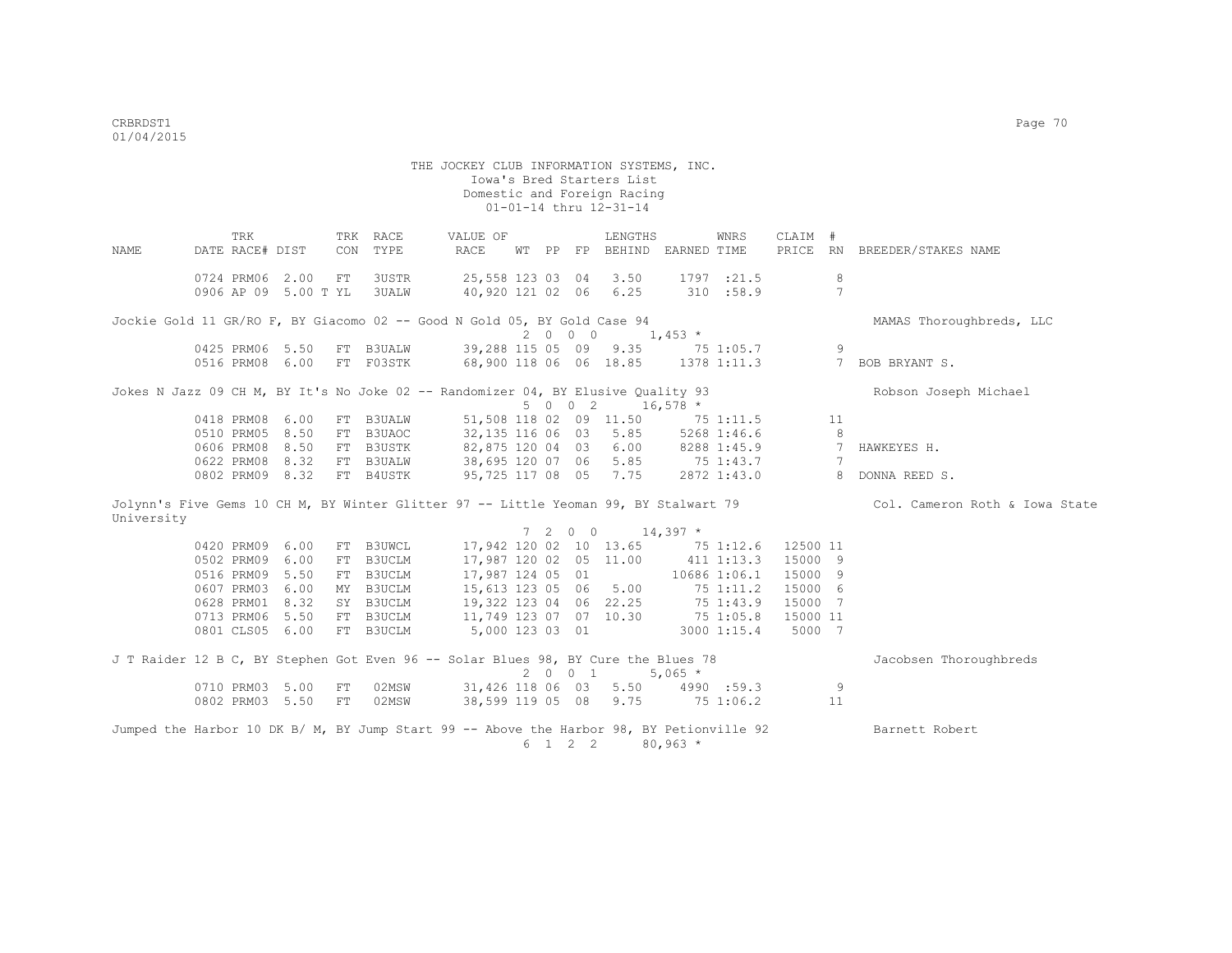THE JOCKEY CLUB INFORMATION SYSTEMS, INC. Iowa's Bred Starters List Domestic and Foreign Racing 01-01-14 thru 12-31-14 TRK TRK RACE VALUE OF LENGTHS WNRS CLAIM # NAME DATE RACE# DIST CON TYPE RACE WT PP FP BEHIND EARNED TIME PRICE RN BREEDER/STAKES NAME 0724 PRM06 2.00 FT 3USTR 25,558 123 03 04 3.50 1797 :21.5 8 0906 AP 09 5.00 T YL 3UALW 40,920 121 02 06 6.25 310 :58.9 7 Jockie Gold 11 GR/RO F, BY Giacomo 02 -- Good N Gold 05, BY Gold Case 94 MAMAS Thoroughbreds, LLC 0425 PRM06 5.50 FT B3UALW 39,288 115 05 09 9.35 75 39,288 115 05 09 9.35 75 1:05.7 9 0516 PRM08 6.00 FT F03STK 68,900 118 06 06 18.85 1378 1:11.3 7 BOB BRYANT S. Jokes N Jazz 09 CH M, BY It's No Joke 02 -- Randomizer 04, BY Elusive Quality 93 Robson Joseph Michael  $5002$   $16,578 *$ <br>51,508 118 02 09 11.50 75 0418 PRM08 6.00 FT B3UALW 51,508 118 02 09 11.50 75 1:11.5 11<br>0510 PRM05 8.50 FT B3UAOC 32,135 116 06 03 5.85 5268 1:46.6 8 0510 PRM05 8.50 FT B3UAOC 32,135 116 06 03 5.85 5268 1:46.6 8<br>0606 PRM08 8.50 FT B3USTK 82,875 120 04 03 6.00 8288 1:45.9 7 HAWKEYES H. 0606 PRM08 8.50 FT B3USTK 82,875 120 04 03 6.00 8288 1:45.9 7<br>0622 PRM08 8.32 FT B3UAIM 38.695 120 07 06 5.85 75 1:43.7 7 0622 PRM08 8.32 FT B3UALW 38,695 120 07 06 5.85 75 1:43.7 7 0802 PRM09 8.32 FT B4USTK 95,725 117 08 05 7.75 2872 1:43.0 8 DONNA REED S. Jolynn's Five Gems 10 CH M, BY Winter Glitter 97 -- Little Yeoman 99, BY Stalwart 79 Col. Cameron Roth & Iowa State University  $7 \quad 2 \quad 0 \quad 0 \quad 14,397$  \* 0420 PRM09 6.00 FT B3UWCL 17,942 120 02 10 13.65 75 1:12.6 12500 11 0502 PRM09 6.00 FT B3UCLM 17,987 120 02 05 11.00 411 1:13.3 15000 9 0516 PRM09 5.50 FT B3UCLM 17,987 124 05 01 10686 1:06.1 15000 9 0607 PRM03 6.00 MY B3UCLM 15,613 123 05 06 5.00 75 1:11.2 15000 6<br>0628 PRM01 8.32 SY B3UCLM 19,322 123 04 06 22.25 75 1:43.9 15000 7 0628 PRM01 8.32 SY B3UCLM 19,322 123 04 06 22.25 75 1:43.9 15000 7 0713 PRM06 5.50 FT B3UCLM 11,749 123 07 07 10.30 75 1:05.8 15000 11 0801 CLS05 6.00 FT B3UCLM 5,000 123 03 01 3000 1:15.4 5000 7 J T Raider 12 B C, BY Stephen Got Even 96 -- Solar Blues 98, BY Cure the Blues 78 Jacobsen Thoroughbreds  $2 \t 0 \t 1 \t 5.065 \star$ 0710 PRM03 5.00 FT 02MSW 31,426 118 06 03 5.50 4990 :59.3 9<br>0802 PRM03 5.50 FT 02MSW 38,599 119 05 08 9.75 75 1:06.2 11 0802 PRM03 5.50 FT 02MSW 38,599 119 05 08 9.75 75 1:06.2 Jumped the Harbor 10 DK B/ M, BY Jump Start 99 -- Above the Harbor 98, BY Petionville 92 Barnett Robert 6 1 2 2 80,963 \*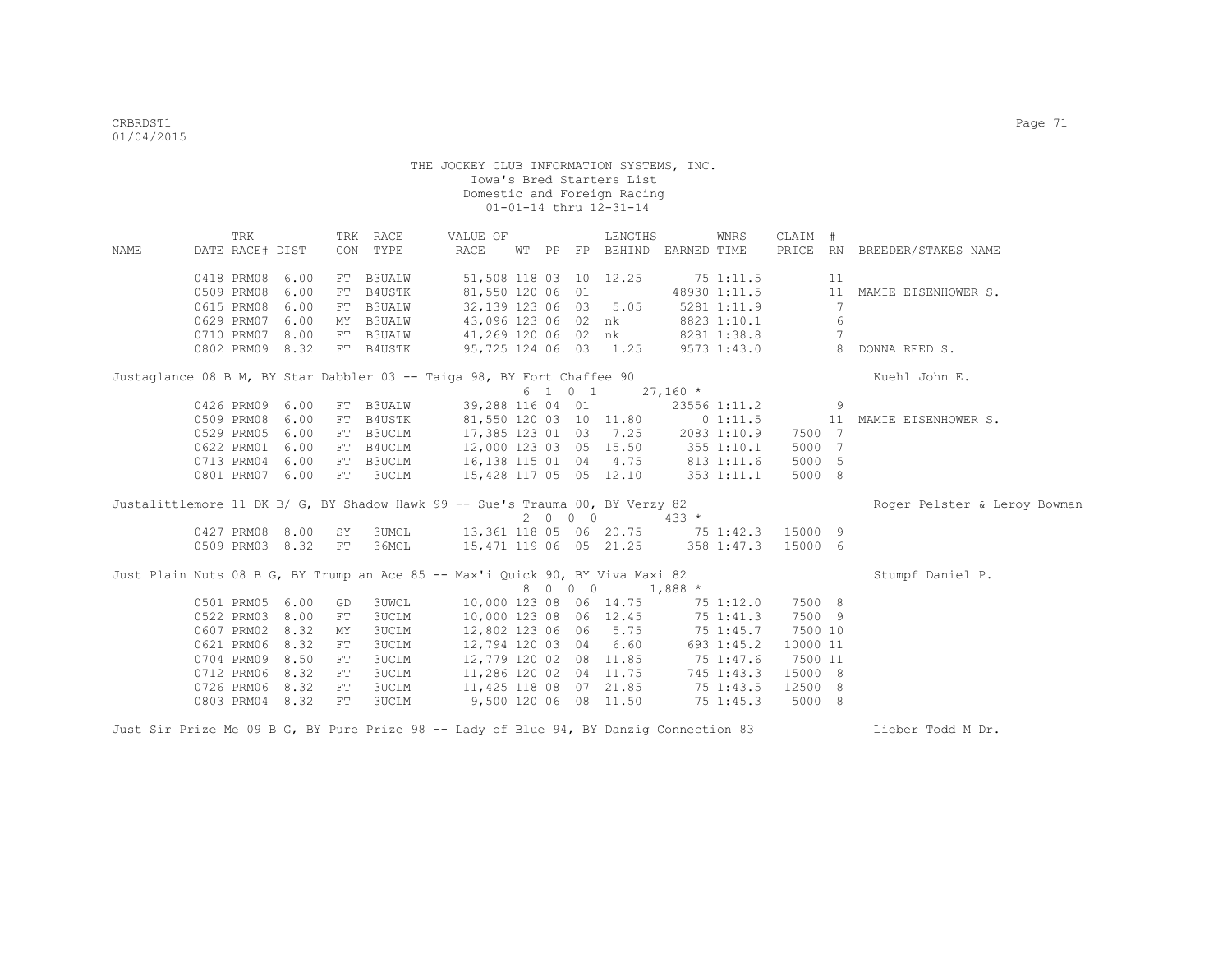|      | TRK             |                    |    | TRK RACE      | VALUE OF                                                                               |  |         | LENGTHS                                                |              | WNRS         | CLAIM #  |                 |                              |
|------|-----------------|--------------------|----|---------------|----------------------------------------------------------------------------------------|--|---------|--------------------------------------------------------|--------------|--------------|----------|-----------------|------------------------------|
| NAME | DATE RACE# DIST |                    |    | CON TYPE      | RACE                                                                                   |  |         | WT PP FP BEHIND EARNED TIME                            |              |              |          |                 | PRICE RN BREEDER/STAKES NAME |
|      | 0418 PRM08 6.00 |                    | FT | <b>B3UALW</b> |                                                                                        |  |         | 51,508 118 03 10 12.25                                 | $75$ 1:11.5  |              |          | 11              |                              |
|      | 0509 PRM08 6.00 |                    | FT | B4USTK        | 81,550 120 06 01                                                                       |  |         |                                                        |              | 48930 1:11.5 |          |                 | 11 MAMIE EISENHOWER S.       |
|      | 0615 PRM08 6.00 |                    | FT | <b>B3UALW</b> | 32,139 123 06 03 5.05                                                                  |  |         |                                                        |              | 5281 1:11.9  |          | 7               |                              |
|      | 0629 PRM07 6.00 |                    | MY | <b>B3UALW</b> |                                                                                        |  |         | 43,096 123 06 02 nk                                    |              | 8823 1:10.1  |          | 6               |                              |
|      | 0710 PRM07 8.00 |                    |    | FT B3UALW     | 41,269 120 06 02 nk                                                                    |  |         |                                                        |              | 8281 1:38.8  |          | $7\phantom{.0}$ |                              |
|      |                 | 0802 PRM09 8.32    |    | FT B4USTK     | 95,725 124 06 03 1.25                                                                  |  |         |                                                        |              | 9573 1:43.0  |          |                 | 8 DONNA REED S.              |
|      |                 |                    |    |               | Justaglance 08 B M, BY Star Dabbler 03 -- Taiga 98, BY Fort Chaffee 90                 |  |         |                                                        |              |              |          |                 | Kuehl John E.                |
|      |                 |                    |    |               |                                                                                        |  |         | $6 \quad 1 \quad 0 \quad 1 \quad 27,160 \quad ^{\ast}$ |              |              |          |                 |                              |
|      | 0426 PRM09 6.00 |                    |    | FT B3UALW     |                                                                                        |  |         | 39,288 116 04 01                                       |              | 23556 1:11.2 |          | $\overline{9}$  |                              |
|      | 0509 PRM08 6.00 |                    | FT | B4USTK        |                                                                                        |  |         | 81,550 120 03 10 11.80                                 |              | 01:11.5      |          | 11              | MAMIE EISENHOWER S.          |
|      | 0529 PRM05 6.00 |                    | FT | B3UCLM        |                                                                                        |  |         | 17,385 123 01 03 7.25 2083 1:10.9                      |              |              | 7500 7   |                 |                              |
|      | 0622 PRM01 6.00 |                    | FT | B4UCLM        |                                                                                        |  |         | 12,000 123 03 05 15.50 355 1:10.1                      |              |              | 5000 7   |                 |                              |
|      | 0713 PRM04 6.00 |                    | FT | B3UCLM        | 16,138 115 01 04 4.75 813 1:11.6                                                       |  |         |                                                        |              |              | 5000 5   |                 |                              |
|      | 0801 PRM07 6.00 |                    | FT | 3UCLM         | 15,428 117 05 05 12.10 353 1:11.1                                                      |  |         |                                                        |              |              | 5000 8   |                 |                              |
|      |                 |                    |    |               | Justalittlemore 11 DK B/ G, BY Shadow Hawk 99 -- Sue's Trauma 00, BY Verzy 82          |  |         |                                                        |              |              |          |                 | Roger Pelster & Leroy Bowman |
|      |                 |                    |    |               |                                                                                        |  | 2000    |                                                        | $433 *$      |              |          |                 |                              |
|      |                 | 0427 PRM08 8.00 SY |    |               | 3UMCL 13,361 118 05 06 20.75 75 1:42.3                                                 |  |         |                                                        |              |              | 15000 9  |                 |                              |
|      |                 | 0509 PRM03 8.32 FT |    |               | 36MCL 15,471 119 06 05 21.25 358 1:47.3                                                |  |         |                                                        |              |              | 15000 6  |                 |                              |
|      |                 |                    |    |               | Just Plain Nuts 08 B G, BY Trump an Ace 85 -- Max'i Quick 90, BY Viva Maxi 82          |  |         |                                                        |              |              |          |                 | Stumpf Daniel P.             |
|      |                 |                    |    |               |                                                                                        |  | 8 0 0 0 |                                                        | $1,888$ *    |              |          |                 |                              |
|      | 0501 PRM05 6.00 |                    | GD | 3UWCL         |                                                                                        |  |         | 10,000 123 08 06 14.75 75 1:12.0                       |              |              | 7500 8   |                 |                              |
|      | 0522 PRM03 8.00 |                    | FT | 3UCLM         |                                                                                        |  |         | 10,000 123 08 06 12.45                                 | $75\;1:41.3$ |              | 7500 9   |                 |                              |
|      | 0607 PRM02 8.32 |                    | MY | <b>3UCLM</b>  | 12,802 123 06 06 5.75                                                                  |  |         |                                                        | $75$ 1:45.7  |              | 7500 10  |                 |                              |
|      | 0621 PRM06 8.32 |                    | FT | <b>3UCLM</b>  | 12,794 120 03 04 6.60                                                                  |  |         |                                                        |              | 693 1:45.2   | 10000 11 |                 |                              |
|      | 0704 PRM09 8.50 |                    | FT | <b>3UCLM</b>  |                                                                                        |  |         | 12,779 120 02 08 11.85 75 1:47.6                       |              |              | 7500 11  |                 |                              |
|      | 0712 PRM06 8.32 |                    | FT | 3UCLM         |                                                                                        |  |         | 11,286 120 02 04 11.75 745 1:43.3                      |              |              | 15000 8  |                 |                              |
|      | 0726 PRM06 8.32 |                    | FT | 3UCLM         |                                                                                        |  |         | 11,425 118 08 07 21.85 75 1:43.5                       |              |              | 12500 8  |                 |                              |
|      | 0803 PRM04 8.32 |                    | FT | 3UCLM         | 9,500 120 06 08 11.50                                                                  |  |         |                                                        |              | 75 1:45.3    | 5000 8   |                 |                              |
|      |                 |                    |    |               | Just Sir Prize Me 09 B G, BY Pure Prize 98 -- Lady of Blue 94, BY Danziq Connection 83 |  |         |                                                        |              |              |          |                 | Lieber Todd M Dr.            |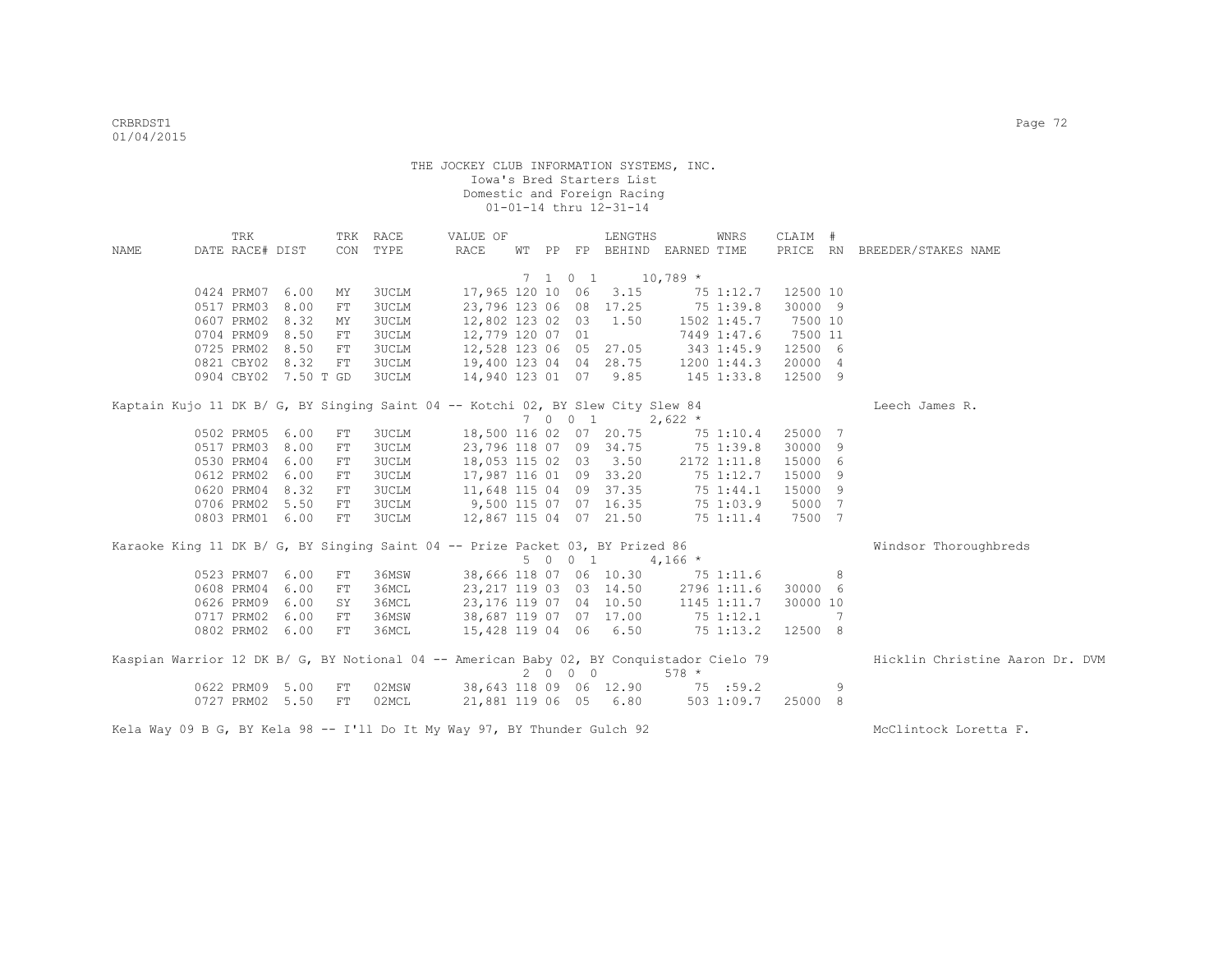| NAME | TRK<br>DATE RACE# DIST |                      |            | TRK RACE<br>CON TYPE | VALUE OF<br>RACE                                                                         |  |         | LENGTHS<br>WT PP FP BEHIND EARNED TIME |            | WNRS        | CLAIM #  |     | PRICE RN BREEDER/STAKES NAME    |
|------|------------------------|----------------------|------------|----------------------|------------------------------------------------------------------------------------------|--|---------|----------------------------------------|------------|-------------|----------|-----|---------------------------------|
|      |                        |                      |            |                      |                                                                                          |  |         |                                        |            |             |          |     |                                 |
|      |                        |                      |            |                      |                                                                                          |  |         | 7 1 0 1 10,789 *                       |            |             |          |     |                                 |
|      | 0424 PRM07 6.00        |                      | MY         | 3UCLM                |                                                                                          |  |         | 17,965 120 10 06 3.15                  |            | 75 1:12.7   | 12500 10 |     |                                 |
|      | 0517 PRM03             | 8.00                 | ${\rm FT}$ | 3UCLM                | 23,796 123 06 08 17.25                                                                   |  |         |                                        |            | 75 1:39.8   | 30000 9  |     |                                 |
|      | 0607 PRM02             | 8.32                 | ΜY         | 3UCLM                | 12,802 123 02 03                                                                         |  |         | 1.50                                   |            | 1502 1:45.7 | 7500 10  |     |                                 |
|      | 0704 PRM09             | 8.50                 | ${\rm FT}$ | <b>3UCLM</b>         | 12,779 120 07 01                                                                         |  |         |                                        |            | 7449 1:47.6 | 7500 11  |     |                                 |
|      | 0725 PRM02             | 8.50                 | ${\rm FT}$ | <b>3UCLM</b>         | 12,528 123 06 05 27.05                                                                   |  |         |                                        | 343 1:45.9 |             | 12500 6  |     |                                 |
|      | 0821 CBY02 8.32        |                      | FT         | <b>3UCLM</b>         |                                                                                          |  |         | 19,400 123 04 04 28.75                 |            | 1200 1:44.3 | 20000 4  |     |                                 |
|      |                        | 0904 CBY02 7.50 T GD |            | <b>3UCLM</b>         | 14,940 123 01 07 9.85                                                                    |  |         |                                        | 145 1:33.8 |             | 12500 9  |     |                                 |
|      |                        |                      |            |                      | Kaptain Kujo 11 DK B/ G, BY Singing Saint 04 -- Kotchi 02, BY Slew City Slew 84          |  |         |                                        |            |             |          |     | Leech James R.                  |
|      |                        |                      |            |                      |                                                                                          |  |         | 7 0 0 1                                | $2,622$ *  |             |          |     |                                 |
|      | 0502 PRM05 6.00        |                      | FT         | 3UCLM                | 18,500 116 02 07 20.75                                                                   |  |         |                                        |            | 75 1:10.4   | 25000 7  |     |                                 |
|      | 0517 PRM03 8.00        |                      | ${\rm FT}$ | <b>3UCLM</b>         |                                                                                          |  |         | 23,796 118 07 09 34.75                 |            | 75 1:39.8   | 30000 9  |     |                                 |
|      | 0530 PRM04 6.00        |                      | FT         | <b>3UCLM</b>         |                                                                                          |  |         | 18,053 115 02 03 3.50                  |            | 2172 1:11.8 | 15000 6  |     |                                 |
|      | 0612 PRM02 6.00        |                      | ${\rm FT}$ | 3UCLM                |                                                                                          |  |         | 17,987 116 01 09 33.20                 |            | 75 1:12.7   | 15000 9  |     |                                 |
|      | 0620 PRM04 8.32        |                      | ${\rm FT}$ | <b>3UCLM</b>         | 11,648 115 04 09 37.35                                                                   |  |         |                                        |            | 75 1:44.1   | 15000 9  |     |                                 |
|      | 0706 PRM02 5.50        |                      | FT         | <b>3UCLM</b>         | 9,500 115 07 07 16.35                                                                    |  |         |                                        |            | 75 1:03.9   | 5000 7   |     |                                 |
|      | 0803 PRM01 6.00        |                      | FT         | <b>3UCLM</b>         | 12,867 115 04 07 21.50                                                                   |  |         |                                        |            | 75 1:11.4   | 7500 7   |     |                                 |
|      |                        |                      |            |                      | Karaoke King 11 DK B/ G, BY Singing Saint 04 -- Prize Packet 03, BY Prized 86            |  |         |                                        |            |             |          |     | Windsor Thoroughbreds           |
|      |                        |                      |            |                      |                                                                                          |  | 5 0 0 1 |                                        | $4,166$ *  |             |          |     |                                 |
|      | 0523 PRM07 6.00        |                      | FT         | 36MSW                | 38,666 118 07 06 10.30                                                                   |  |         |                                        |            | 75 1:11.6   |          | 8   |                                 |
|      | 0608 PRM04 6.00        |                      | FT         | 36MCL                | 23,217 119 03 03 14.50                                                                   |  |         |                                        |            | 2796 1:11.6 | 30000 6  |     |                                 |
|      | 0626 PRM09             | 6.00                 | SY         | 36MCL                | 23,176 119 07 04 10.50 1145 1:11.7                                                       |  |         |                                        |            |             | 30000 10 |     |                                 |
|      | 0717 PRM02 6.00        |                      | FT         | 36MSW                | 38,687 119 07 07 17.00 75 1:12.1                                                         |  |         |                                        |            |             |          | - 7 |                                 |
|      | 0802 PRM02 6.00        |                      | FT         | 36MCL                | 15,428 119 04 06 6.50 75 1:13.2                                                          |  |         |                                        |            |             | 12500 8  |     |                                 |
|      |                        |                      |            |                      |                                                                                          |  |         |                                        |            |             |          |     |                                 |
|      |                        |                      |            |                      | Kaspian Warrior 12 DK B/ G, BY Notional 04 -- American Baby 02, BY Conquistador Cielo 79 |  | 2 0 0 0 |                                        | $578 *$    |             |          |     | Hicklin Christine Aaron Dr. DVM |
|      | 0622 PRM09 5.00        |                      | FT         | 02MSW                |                                                                                          |  |         | 38,643 118 09 06 12.90 75 :59.2        |            |             |          | 9   |                                 |
|      | 0727 PRM02 5.50        |                      | FT         | 02MCL                |                                                                                          |  |         | 21,881 119 06 05 6.80                  |            | 5031:09.7   | 25000 8  |     |                                 |
|      |                        |                      |            |                      | Kela Way 09 B G, BY Kela 98 -- I'll Do It My Way 97, BY Thunder Gulch 92                 |  |         |                                        |            |             |          |     | McClintock Loretta F.           |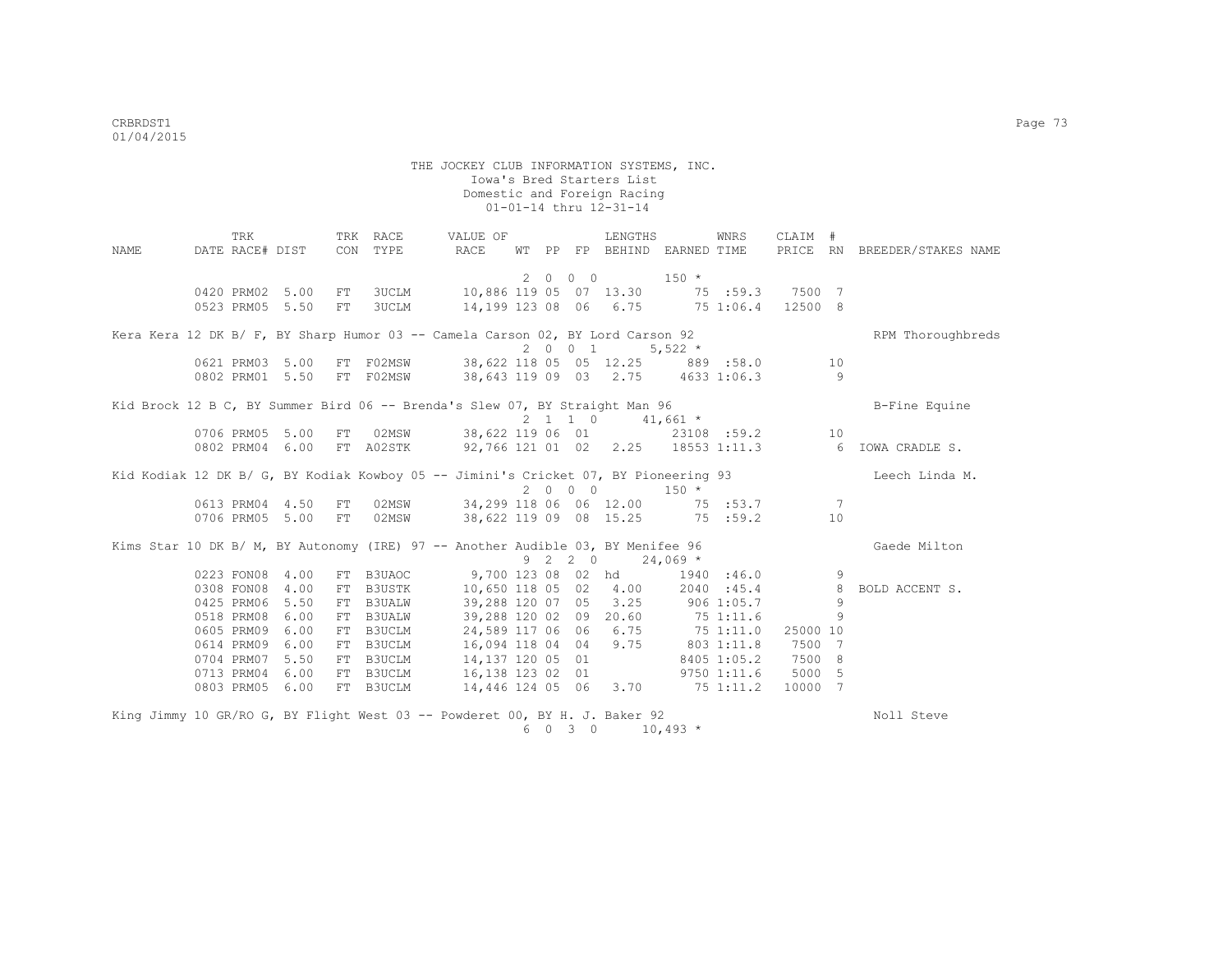|      | TRK                                                                                 |      |    | TRK RACE      | VALUE OF               |    |             |                             | LENGTHS                           |              | WNRS            | CLAIM #  |    |                               |
|------|-------------------------------------------------------------------------------------|------|----|---------------|------------------------|----|-------------|-----------------------------|-----------------------------------|--------------|-----------------|----------|----|-------------------------------|
| NAME | DATE RACE# DIST                                                                     |      |    | CON TYPE      | RACE                   | WТ | PP          | FP                          | BEHIND EARNED TIME                |              |                 |          |    | PRICE RN BREEDER/STAKES NAME  |
|      |                                                                                     |      |    |               |                        |    | $2 \quad 0$ | $0\quad 0$                  |                                   | $150 *$      |                 |          |    |                               |
|      | 0420 PRM02 5.00                                                                     |      | FT | <b>3UCLM</b>  | 10,886 119 05 07 13.30 |    |             |                             |                                   |              | 75 :59.3 7500 7 |          |    |                               |
|      | 0523 PRM05 5.50                                                                     |      | FT | <b>3UCLM</b>  | 14,199 123 08 06 6.75  |    |             |                             |                                   | 75 1:06.4    |                 | 12500 8  |    |                               |
|      | Kera Kera 12 DK B/ F, BY Sharp Humor 03 -- Camela Carson 02, BY Lord Carson 92      |      |    |               |                        |    |             |                             |                                   |              |                 |          |    | RPM Thoroughbreds             |
|      |                                                                                     |      |    |               |                        |    |             | 2001                        |                                   | $5,522$ *    |                 |          |    |                               |
|      | 0621 PRM03 5.00                                                                     |      | FT | F02MSW        |                        |    |             |                             | 38,622 118 05 05 12.25            |              | 889 :58.0       |          | 10 |                               |
|      | 0802 PRM01 5.50                                                                     |      |    | FT F02MSW     |                        |    |             |                             | 38,643 119 09 03 2.75 4633 1:06.3 |              |                 |          | 9  |                               |
|      | Kid Brock 12 B C, BY Summer Bird 06 -- Brenda's Slew 07, BY Straight Man 96         |      |    |               |                        |    |             |                             |                                   |              |                 |          |    | B-Fine Equine                 |
|      |                                                                                     |      |    |               |                        |    |             |                             | $2 \t1 \t1 \t0 \t41,661 \t\t*$    |              |                 |          |    |                               |
|      | 0706 PRM05 5.00                                                                     |      | FT | 02MSW         |                        |    |             |                             | 38,622 119 06 01 23108 :59.2      |              |                 |          | 10 |                               |
|      | 0802 PRM04                                                                          | 6.00 |    | FT A02STK     | 92,766 121 01 02 2.25  |    |             |                             |                                   |              |                 |          |    | 18553 1:11.3 6 IOWA CRADLE S. |
|      | Kid Kodiak 12 DK B/ G, BY Kodiak Kowboy 05 -- Jimini's Cricket 07, BY Pioneering 93 |      |    |               |                        |    |             |                             |                                   |              |                 |          |    | Leech Linda M.                |
|      |                                                                                     |      |    |               |                        |    |             | 2000                        |                                   | $150 *$      |                 |          |    |                               |
|      | 0613 PRM04 4.50                                                                     |      | FT | 02MSW         | 34,299 118 06 06 12.00 |    |             |                             |                                   |              | 75 :53.7        |          | 7  |                               |
|      | 0706 PRM05 5.00                                                                     |      | FT | 02MSW         | 38,622 119 09 08 15.25 |    |             |                             |                                   |              | 75 :59.2        |          | 10 |                               |
|      | Kims Star 10 DK B/ M, BY Autonomy (IRE) 97 -- Another Audible 03, BY Menifee 96     |      |    |               |                        |    |             |                             |                                   |              |                 |          |    | Gaede Milton                  |
|      |                                                                                     |      |    |               |                        |    |             | $9 \quad 2 \quad 2 \quad 0$ |                                   | $24,069$ *   |                 |          |    |                               |
|      | 0223 FON08                                                                          | 4.00 |    | FT B3UAOC     | 9,700 123 08 02 hd     |    |             |                             |                                   |              | 1940 :46.0      |          | 9  |                               |
|      | 0308 FON08                                                                          | 4.00 |    | FT B3USTK     | 10,650 118 05 02       |    |             |                             | 4.00                              |              | 2040 :45.4      |          | 8  | BOLD ACCENT S.                |
|      | 0425 PRM06                                                                          | 5.50 | FT | B3UALW        | 39,288 120 07 05       |    |             |                             | 3.25                              | $906$ 1:05.7 |                 |          | 9  |                               |
|      | 0518 PRM08                                                                          | 6.00 | FT | <b>B3UALW</b> | 39,288 120 02 09       |    |             |                             | 20.60                             | 75 1:11.6    |                 |          | 9  |                               |
|      | 0605 PRM09                                                                          | 6.00 | FT | B3UCLM        | 24,589 117 06 06       |    |             |                             | 6.75                              | 751:11.0     |                 | 25000 10 |    |                               |
|      | 0614 PRM09                                                                          | 6.00 | FT | B3UCLM        | 16,094 118 04 04       |    |             |                             | 9.75                              | 803 1:11.8   |                 | 7500     | 7  |                               |
|      | 0704 PRM07                                                                          | 5.50 | FT | B3UCLM        | 14,137 120 05 01       |    |             |                             |                                   |              | 8405 1:05.2     | 7500 8   |    |                               |
|      | 0713 PRM04                                                                          | 6.00 |    | FT B3UCLM     | 16,138 123 02 01       |    |             |                             |                                   |              | 9750 1:11.6     | 5000 5   |    |                               |
|      | 0803 PRM05                                                                          | 6.00 |    | FT B3UCLM     | 14,446 124 05 06 3.70  |    |             |                             |                                   | 75 1:11.2    |                 | 10000 7  |    |                               |
|      | King Jimmy 10 GR/RO G, BY Flight West 03 -- Powderet 00, BY H. J. Baker 92          |      |    |               |                        |    |             |                             |                                   |              |                 |          |    | Noll Steve                    |
|      |                                                                                     |      |    |               |                        | 6  | $\bigcirc$  | $\overline{3}$ 0            |                                   | $10,493$ *   |                 |          |    |                               |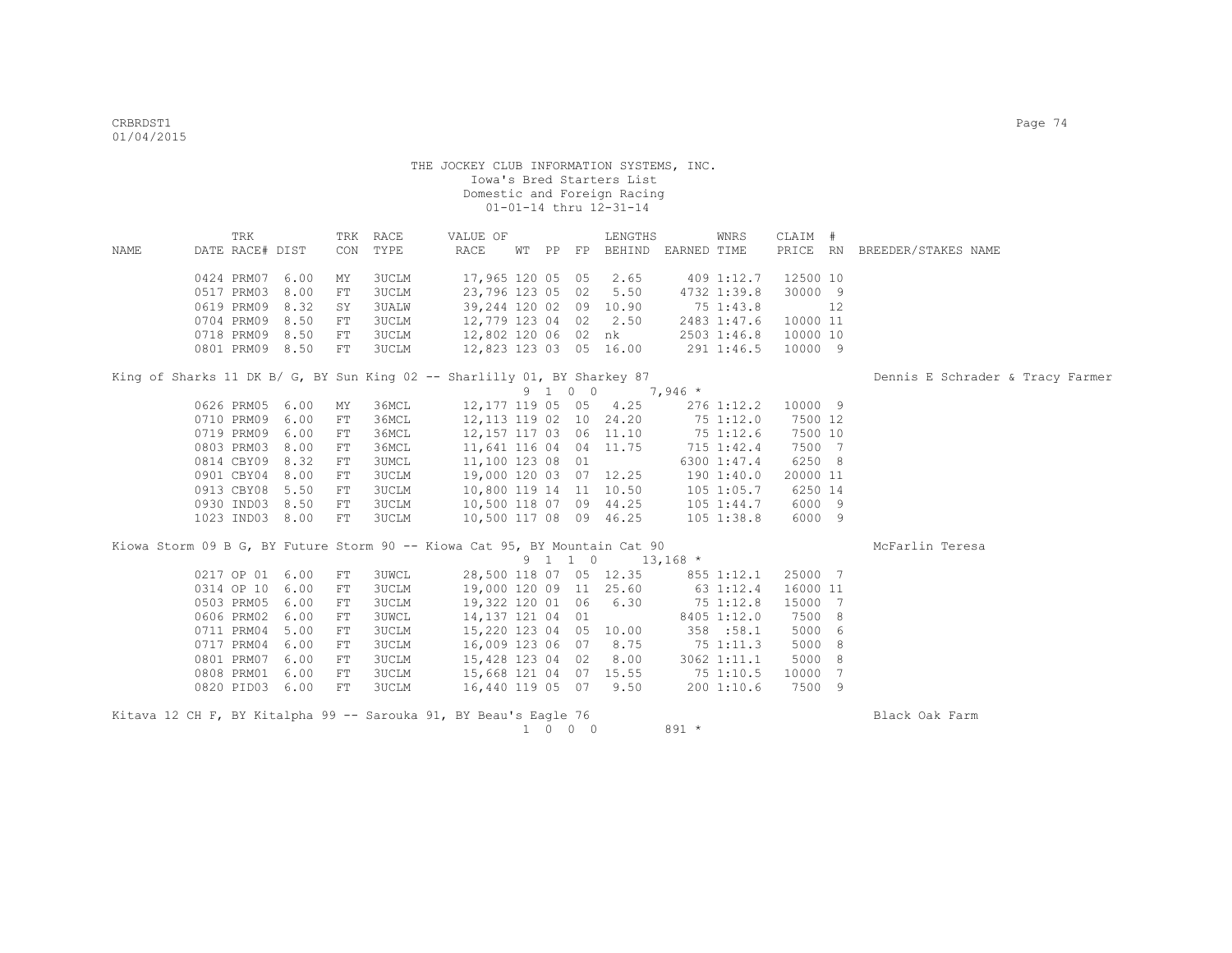|      | TRK             |      |     | TRK RACE     | VALUE OF                                                                   |  |         | LENGTHS                                                 |           | WNRS           | CLAIM #  |     |                                  |
|------|-----------------|------|-----|--------------|----------------------------------------------------------------------------|--|---------|---------------------------------------------------------|-----------|----------------|----------|-----|----------------------------------|
| NAME | DATE RACE# DIST |      | CON | TYPE         | RACE                                                                       |  |         | WT PP FP BEHIND EARNED TIME                             |           |                | PRICE RN |     | BREEDER/STAKES NAME              |
|      | 0424 PRM07      | 6.00 | MΥ  | 3UCLM        | 17,965 120 05 05                                                           |  |         | 2.65                                                    |           | 409 1:12.7     | 12500 10 |     |                                  |
|      | 0517 PRM03      | 8.00 | FT  | 3UCLM        | 23,796 123 05 02                                                           |  |         | 5.50                                                    |           | 4732 1:39.8    | 30000 9  |     |                                  |
|      | 0619 PRM09      | 8.32 | SY  | 3UALW        | 39,244 120 02 09 10.90                                                     |  |         |                                                         |           | 75 1:43.8      |          | 12  |                                  |
|      | 0704 PRM09      | 8.50 | FT  | 3UCLM        | 12,779 123 04 02                                                           |  |         | 2.50                                                    |           | 2483 1:47.6    | 10000 11 |     |                                  |
|      | 0718 PRM09      | 8.50 | FT  | <b>3UCLM</b> | 12,802 120 06 02                                                           |  |         | nk                                                      |           | 2503 1:46.8    | 10000 10 |     |                                  |
|      | 0801 PRM09 8.50 |      | FT  | 3UCLM        | 12,823 123 03 05 16.00                                                     |  |         |                                                         |           | 291 1:46.5     | 10000 9  |     |                                  |
|      |                 |      |     |              | King of Sharks 11 DK B/ G, BY Sun King 02 -- Sharlilly 01, BY Sharkey 87   |  |         |                                                         |           |                |          |     | Dennis E Schrader & Tracy Farmer |
|      |                 |      |     |              |                                                                            |  | 9 1 0 0 |                                                         | $7,946$ * |                |          |     |                                  |
|      | 0626 PRM05 6.00 |      | MΥ  | 36MCL        | 12,177 119 05 05                                                           |  |         | 4.25                                                    |           | $276$ 1:12.2   | 10000 9  |     |                                  |
|      | 0710 PRM09      | 6.00 | FT  | 36MCL        | 12, 113 119 02 10 24.20                                                    |  |         |                                                         |           | 751:12.0       | 7500 12  |     |                                  |
|      | 0719 PRM09      | 6.00 | FT  | 36MCL        | 12, 157 117 03 06 11.10                                                    |  |         |                                                         |           | 75 1:12.6      | 7500 10  |     |                                  |
|      | 0803 PRM03      | 8.00 | FT  | 36MCL        | 11,641 116 04 04 11.75                                                     |  |         |                                                         |           | 715 1:42.4     | 7500 7   |     |                                  |
|      | 0814 CBY09      | 8.32 | FT  | 3UMCL        | 11,100 123 08 01                                                           |  |         |                                                         |           | 6300 1:47.4    | 6250 8   |     |                                  |
|      | 0901 CBY04      | 8.00 | FT  | 3UCLM        | 19,000 120 03 07 12.25                                                     |  |         |                                                         |           | 190 1:40.0     | 20000 11 |     |                                  |
|      | 0913 CBY08      | 5.50 | FT  | 3UCLM        | 10,800 119 14 11 10.50                                                     |  |         |                                                         |           | 105 1:05.7     | 6250 14  |     |                                  |
|      | 0930 IND03      | 8.50 | FT  | 3UCLM        | 10,500 118 07 09 44.25                                                     |  |         |                                                         |           | $105$ $1:44.7$ | 6000 9   |     |                                  |
|      | 1023 IND03      | 8.00 | FT  | 3UCLM        | 10,500 117 08 09 46.25                                                     |  |         |                                                         |           | $105$ $1:38.8$ | 6000 9   |     |                                  |
|      |                 |      |     |              | Kiowa Storm 09 B G, BY Future Storm 90 -- Kiowa Cat 95, BY Mountain Cat 90 |  |         |                                                         |           |                |          |     | McFarlin Teresa                  |
|      |                 |      |     |              |                                                                            |  |         | $9 \quad 1 \quad 1 \quad 0 \quad 13,168 \quad ^{\star}$ |           |                |          |     |                                  |
|      | 0217 OP 01 6.00 |      | FT  | 3UWCL        |                                                                            |  |         | 28,500 118 07 05 12.35                                  |           | 855 1:12.1     | 25000 7  |     |                                  |
|      | 0314 OP 10 6.00 |      | FT  | 3UCLM        | 19,000 120 09 11 25.60                                                     |  |         |                                                         |           | 63 1:12.4      | 16000 11 |     |                                  |
|      | 0503 PRM05      | 6.00 | FT  | 3UCLM        | 19,322 120 01 06 6.30                                                      |  |         |                                                         |           | $75 \t1:12.8$  | 15000 7  |     |                                  |
|      | 0606 PRM02      | 6.00 | FT  | 3UWCL        | 14,137 121 04 01                                                           |  |         |                                                         |           | 8405 1:12.0    | 7500 8   |     |                                  |
|      | 0711 PRM04      | 5.00 | FT  | 3UCLM        | 15,220 123 04 05                                                           |  |         | 10.00                                                   |           | 358 :58.1      | 5000     | - 6 |                                  |
|      | 0717 PRM04      | 6.00 | FT  | 3UCLM        | 16,009 123 06 07                                                           |  |         | 8.75                                                    |           | 75 1:11.3      | 5000 8   |     |                                  |
|      | 0801 PRM07      | 6.00 | FT  | 3UCLM        | 15,428 123 04 02                                                           |  |         | 8.00                                                    |           | 3062 1:11.1    | 5000 8   |     |                                  |
|      | 0808 PRM01      | 6.00 | FT  | 3UCLM        | 15,668 121 04 07 15.55                                                     |  |         |                                                         |           | 75 1:10.5      | 10000 7  |     |                                  |
|      | 0820 PID03      | 6.00 | FT  | 3UCLM        | 16,440 119 05 07                                                           |  |         | 9.50                                                    |           | 200 1:10.6     | 7500 9   |     |                                  |

Kitava 12 CH F, BY Kitalpha 99 -- Sarouka 91, BY Beau's Eagle 76  $1 \t 0 \t 0 \t 0$  891 \* Black Oak Farm  $1\quad 0\quad 0\quad 0$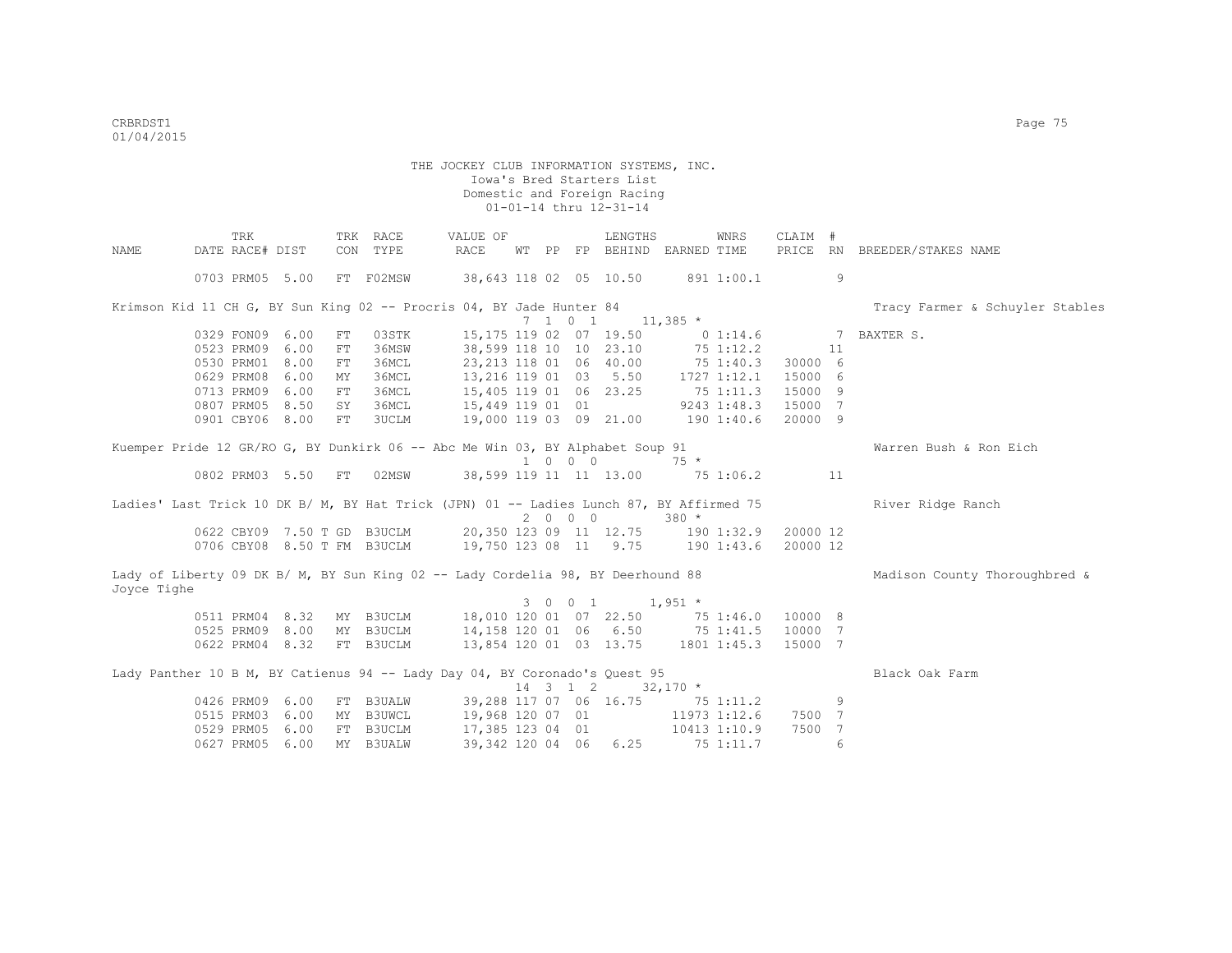|             | TRK                         |      |            | TRK RACE  | VALUE OF                                                                                |    |             |                             | LENGTHS                                        |             | WNRS         | CLAIM #  |    |                                 |
|-------------|-----------------------------|------|------------|-----------|-----------------------------------------------------------------------------------------|----|-------------|-----------------------------|------------------------------------------------|-------------|--------------|----------|----|---------------------------------|
| NAME        | DATE RACE# DIST             |      |            | CON TYPE  | <b>RACE</b>                                                                             | WТ | PP          |                             | FP BEHIND EARNED TIME                          |             |              |          |    | PRICE RN BREEDER/STAKES NAME    |
|             | 0703 PRM05 5.00             |      |            | FT F02MSW | 38,643 118 02 05 10.50                                                                  |    |             |                             |                                                |             | 891 1:00.1   |          | 9  |                                 |
|             |                             |      |            |           | Krimson Kid 11 CH G, BY Sun King 02 -- Procris 04, BY Jade Hunter 84                    |    |             |                             |                                                |             |              |          |    | Tracy Farmer & Schuyler Stables |
|             |                             |      |            |           |                                                                                         |    |             |                             | $7 \quad 1 \quad 0 \quad 1 \quad 11,385 \atop$ |             |              |          |    |                                 |
|             | 0329 FON09 6.00             |      | FT         | 03STK     | 15, 175 119 02 07 19.50                                                                 |    |             |                             |                                                |             | 0 1:14.6     | $\sim$ 7 |    | BAXTER S.                       |
|             | 0523 PRM09                  | 6.00 | ${\rm FT}$ | 36MSW     | 38,599 118 10 10 23.10                                                                  |    |             |                             |                                                |             | 75 1:12.2    |          | 11 |                                 |
|             | 0530 PRM01                  | 8.00 | ${\rm FT}$ | 36MCL     | 23,213 118 01 06 40.00                                                                  |    |             |                             |                                                |             | 75 1:40.3    | 30000 6  |    |                                 |
|             | 0629 PRM08                  | 6.00 | МY         | 36MCL     | 13, 216 119 01 03 5.50 1727 1:12.1                                                      |    |             |                             |                                                |             |              | 15000 6  |    |                                 |
|             | 0713 PRM09                  | 6.00 | FT         | 36MCL     | 15,405 119 01 06 23.25 75 1:11.3                                                        |    |             |                             |                                                |             |              | 15000 9  |    |                                 |
|             | 0807 PRM05                  | 8.50 | SY         | 36MCL     | 15,449 119 01 01                                                                        |    |             |                             |                                                | 9243 1:48.3 |              | 15000 7  |    |                                 |
|             | 0901 CBY06 8.00             |      | FT         | 3UCLM     | 19,000 119 03 09 21.00 190 1:40.6                                                       |    |             |                             |                                                |             |              | 20000 9  |    |                                 |
|             |                             |      |            |           | Kuemper Pride 12 GR/RO G, BY Dunkirk 06 -- Abc Me Win 03, BY Alphabet Soup 91           |    |             |                             |                                                |             |              |          |    | Warren Bush & Ron Eich          |
|             |                             |      |            |           |                                                                                         |    |             | $1 \quad 0 \quad 0 \quad 0$ |                                                | $75 *$      |              |          |    |                                 |
|             | 0802 PRM03 5.50             |      | FT         | 02MSW     | 38,599 119 11 11 13.00 75 1:06.2                                                        |    |             |                             |                                                |             |              |          | 11 |                                 |
|             |                             |      |            |           | Ladies' Last Trick 10 DK B/ M, BY Hat Trick (JPN) 01 -- Ladies Lunch 87, BY Affirmed 75 |    |             |                             |                                                |             |              |          |    | River Ridge Ranch               |
|             |                             |      |            |           |                                                                                         |    |             | 2000                        |                                                | $380 *$     |              |          |    |                                 |
|             |                             |      |            |           | 0622 CBY09 7.50 T GD B3UCLM 20,350 123 09 11 12.75 190 1:32.9                           |    |             |                             |                                                |             |              | 20000 12 |    |                                 |
|             | 0706 CBY08 8.50 T FM B3UCLM |      |            |           | 19,750 123 08 11 9.75 190 1:43.6                                                        |    |             |                             |                                                |             |              | 20000 12 |    |                                 |
|             |                             |      |            |           | Lady of Liberty 09 DK B/ M, BY Sun King 02 -- Lady Cordelia 98, BY Deerhound 88         |    |             |                             |                                                |             |              |          |    | Madison County Thoroughbred &   |
| Joyce Tighe |                             |      |            |           |                                                                                         |    |             |                             |                                                |             |              |          |    |                                 |
|             |                             |      |            |           |                                                                                         |    | $3 \quad 0$ | $0\quad 1$                  | $1,951$ *                                      |             |              |          |    |                                 |
|             | 0511 PRM04 8.32             |      |            | MY B3UCLM | 18,010 120 01 07 22.50 75 1:46.0                                                        |    |             |                             |                                                |             |              | 10000 8  |    |                                 |
|             | 0525 PRM09 8.00             |      |            | MY B3UCLM | 14,158 120 01 06 6.50 75 1:41.5 10000 7                                                 |    |             |                             |                                                |             |              |          |    |                                 |
|             | 0622 PRM04 8.32             |      |            | FT B3UCLM |                                                                                         |    |             |                             | 13,854 120 01 03 13.75 1801 1:45.3             |             |              | 15000 7  |    |                                 |
|             |                             |      |            |           | Lady Panther 10 B M, BY Catienus 94 -- Lady Day 04, BY Coronado's Quest 95              |    |             |                             |                                                |             |              |          |    | Black Oak Farm                  |
|             |                             |      |            |           |                                                                                         |    |             |                             |                                                | $32,170$ *  |              |          |    |                                 |
|             | 0426 PRM09 6.00             |      |            | FT B3UALW | 39,288 117 07 06 16.75                                                                  |    |             |                             |                                                | 75 1:11.2   |              |          | 9  |                                 |
|             | 0515 PRM03                  | 6.00 |            | MY B3UWCL | 19,968 120 07 01                                                                        |    |             |                             |                                                |             | 11973 1:12.6 | 7500 7   |    |                                 |
|             | 0529 PRM05                  | 6.00 |            | FT B3UCLM | 17,385 123 04 01                                                                        |    |             |                             |                                                |             | 10413 1:10.9 | 7500 7   |    |                                 |
|             | 0627 PRM05                  | 6.00 |            | MY B3UALW | 39,342 120 04 06                                                                        |    |             |                             | 6.25                                           |             | 75 1:11.7    |          | 6  |                                 |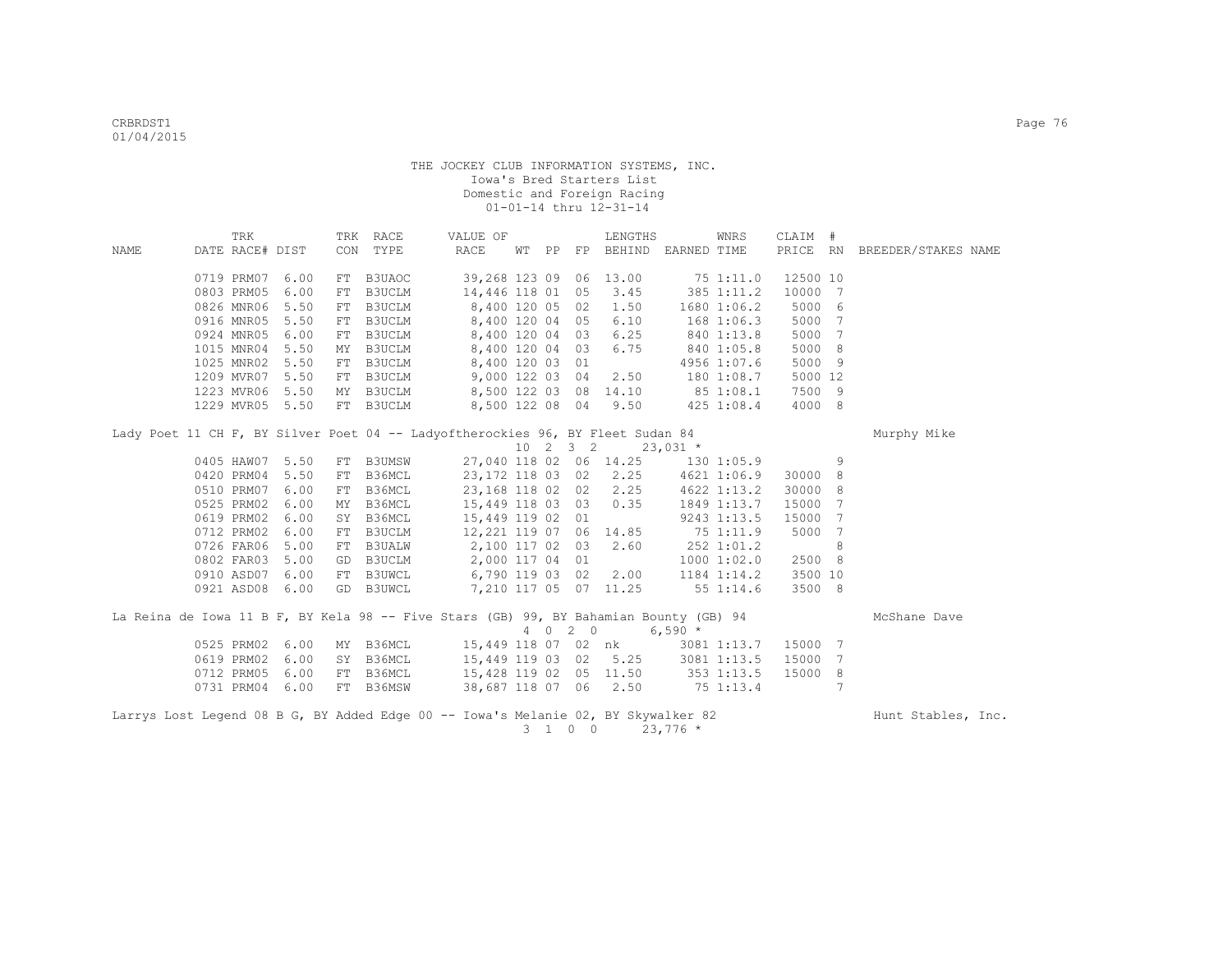|      | TRK             |                 |    | TRK RACE  | VALUE OF                                                                                 |  |         | LENGTHS                                        |            | WNRS           | CLAIM #  |    |                              |  |
|------|-----------------|-----------------|----|-----------|------------------------------------------------------------------------------------------|--|---------|------------------------------------------------|------------|----------------|----------|----|------------------------------|--|
| NAME | DATE RACE# DIST |                 |    | CON TYPE  | RACE                                                                                     |  |         | WT PP FP BEHIND EARNED TIME                    |            |                |          |    | PRICE RN BREEDER/STAKES NAME |  |
|      |                 |                 |    |           |                                                                                          |  |         |                                                |            |                |          |    |                              |  |
|      | 0719 PRM07      | 6.00            |    | FT B3UAOC | 39,268 123 09 06 13.00                                                                   |  |         |                                                | 751:11.0   |                | 12500 10 |    |                              |  |
|      | 0803 PRM05      | 6.00            | FT | B3UCLM    | 14,446 118 01 05                                                                         |  |         | 3.45                                           |            | 385 1:11.2     | 10000 7  |    |                              |  |
|      | 0826 MNR06      | 5.50            | FT | B3UCLM    | 8,400 120 05 02                                                                          |  |         | 1.50                                           |            | 1680 1:06.2    | 5000 6   |    |                              |  |
|      | 0916 MNR05      | 5.50            |    | FT B3UCLM | 8,400 120 04 05                                                                          |  |         | 6.10                                           |            | $168$ $1:06.3$ | 5000 7   |    |                              |  |
|      | 0924 MNR05      | 6.00            |    | FT B3UCLM | 8,400 120 04 03                                                                          |  |         | 6.25                                           |            | 840 1:13.8     | 5000 7   |    |                              |  |
|      | 1015 MNR04 5.50 |                 |    | MY B3UCLM | 8,400 120 04 03                                                                          |  |         | 6.75                                           |            | 840 1:05.8     | 5000 8   |    |                              |  |
|      | 1025 MNR02 5.50 |                 |    | FT B3UCLM | 8,400 120 03 01                                                                          |  |         |                                                |            | 4956 1:07.6    | 5000 9   |    |                              |  |
|      | 1209 MVR07 5.50 |                 |    | FT B3UCLM | 9,000 122 03 04                                                                          |  |         | 2.50                                           |            | 180 1:08.7     | 5000 12  |    |                              |  |
|      | 1223 MVR06 5.50 |                 |    |           | MY B3UCLM 8,500 122 03 08 14.10                                                          |  |         |                                                |            | 851:08.1       | 7500 9   |    |                              |  |
|      | 1229 MVR05      | 5.50            |    | FT B3UCLM |                                                                                          |  |         | 8,500 122 08 04 9.50                           |            | $425$ 1:08.4   | 4000 8   |    |                              |  |
|      |                 |                 |    |           | Lady Poet 11 CH F, BY Silver Poet 04 -- Ladyoftherockies 96, BY Fleet Sudan 84           |  |         |                                                |            |                |          |    | Murphy Mike                  |  |
|      |                 |                 |    |           |                                                                                          |  |         | $10 \quad 2 \quad 3 \quad 2 \quad 23,031 \neq$ |            |                |          |    |                              |  |
|      | 0405 HAW07      | 5.50            |    |           | FT B3UMSW 27,040 118 02 06 14.25 130 1:05.9                                              |  |         |                                                |            |                |          | -9 |                              |  |
|      | 0420 PRM04      | 5.50            | FT |           | B36MCL 23,172 118 03 02 2.25                                                             |  |         |                                                |            | 4621 1:06.9    | 30000 8  |    |                              |  |
|      | 0510 PRM07      | 6.00            | FT |           | B36MCL 23,168 118 02 02                                                                  |  |         | 2.25                                           |            | 4622 1:13.2    | 30000 8  |    |                              |  |
|      | 0525 PRM02      | 6.00            |    | MY B36MCL | 15,449 118 03 03                                                                         |  |         | 0.35                                           |            | 1849 1:13.7    | 15000 7  |    |                              |  |
|      | 0619 PRM02      | 6.00            |    | SY B36MCL | 15,449 119 02 01                                                                         |  |         |                                                |            | 9243 1:13.5    | 15000 7  |    |                              |  |
|      | 0712 PRM02      | 6.00            |    |           | FT B3UCLM 12, 221 119 07 06 14.85<br>FT B3UALW 2, 100 117 02 03 2.60<br>2, 100 117 02 03 |  |         |                                                | 75 1:11.9  |                | 5000 7   |    |                              |  |
|      | 0726 FAR06      | 5.00            |    |           |                                                                                          |  |         |                                                | 252 1:01.2 |                |          | 8  |                              |  |
|      | 0802 FAR03      | 5.00            |    |           | GD B3UCLM 2,000 117 04 01                                                                |  |         |                                                |            | 10001:02.0     | 2500 8   |    |                              |  |
|      | 0910 ASD07      | 6.00            |    |           | FT B3UWCL 6,790 119 03 02                                                                |  |         | 2.00                                           |            | 1184 1:14.2    | 3500 10  |    |                              |  |
|      | 0921 ASD08      | 6.00            |    | GD B3UWCL | 7,210 117 05 07 11.25                                                                    |  |         |                                                | 551:14.6   |                | 3500 8   |    |                              |  |
|      |                 |                 |    |           |                                                                                          |  |         |                                                |            |                |          |    |                              |  |
|      |                 |                 |    |           | La Reina de Iowa 11 B F, BY Kela 98 -- Five Stars (GB) 99, BY Bahamian Bounty (GB) 94    |  |         |                                                |            |                |          |    | McShane Dave                 |  |
|      |                 |                 |    |           |                                                                                          |  | 4 0 2 0 | $6,590*$                                       |            |                |          |    |                              |  |
|      | 0525 PRM02      | 6.00            |    |           | MY B36MCL 15,449 118 07 02 nk                                                            |  |         |                                                |            | 3081 1:13.7    | 15000 7  |    |                              |  |
|      | 0619 PRM02      | 6.00            |    |           | SY B36MCL 15,449 119 03 02 5.25                                                          |  |         |                                                |            | 3081 1:13.5    | 15000 7  |    |                              |  |
|      | 0712 PRM05      | 6.00            |    |           | FT B36MCL 15,428 119 02 05 11.50                                                         |  |         |                                                |            | 353 1:13.5     | 15000 8  |    |                              |  |
|      |                 | 0731 PRM04 6.00 |    |           | FT B36MSW 38,687 118 07 06 2.50 75 1:13.4                                                |  |         |                                                |            |                |          | 7  |                              |  |
|      |                 |                 |    |           | Larrys Lost Legend 08 B G, BY Added Edge 00 -- Iowa's Melanie 02, BY Skywalker 82        |  |         |                                                |            |                |          |    | Hunt Stables, Inc.           |  |
|      |                 |                 |    |           |                                                                                          |  | 3 1 0 0 |                                                | $23,776$ * |                |          |    |                              |  |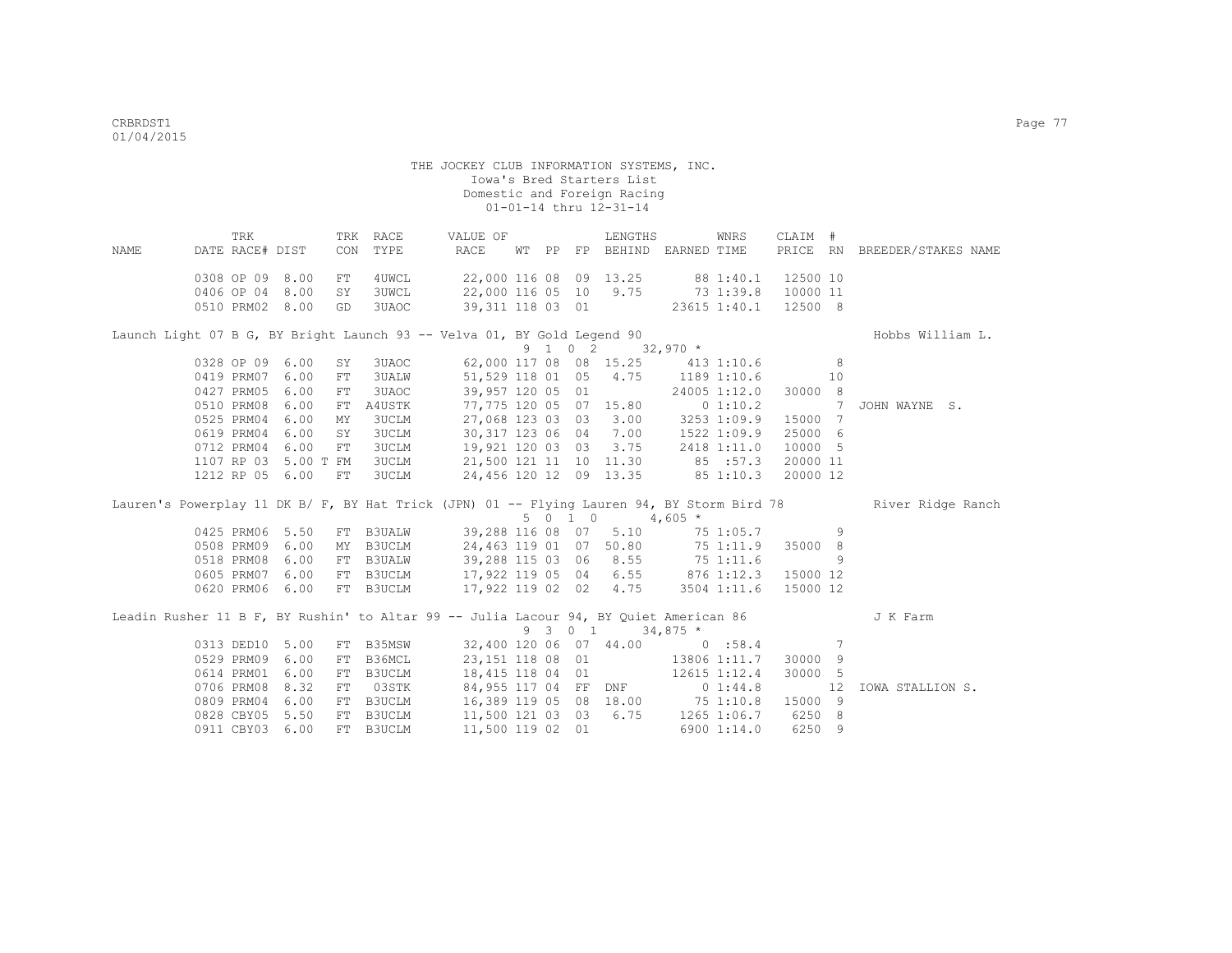| <b>NAME</b> | DATE RACE# DIST | TRK |           | CON        | TRK RACE<br>TYPE                    | VALUE OF<br>RACE                                                                      |  |         | LENGTHS<br>WT PP FP BEHIND EARNED TIME |             | WNRS                | CLAIM #        |    | PRICE RN BREEDER/STAKES NAME                                                                                 |
|-------------|-----------------|-----|-----------|------------|-------------------------------------|---------------------------------------------------------------------------------------|--|---------|----------------------------------------|-------------|---------------------|----------------|----|--------------------------------------------------------------------------------------------------------------|
|             |                 |     |           |            |                                     |                                                                                       |  |         |                                        |             |                     |                |    |                                                                                                              |
|             | 0308 OP 09 8.00 |     |           | ${\rm FT}$ | 4UWCL                               |                                                                                       |  |         | 22,000 116 08 09 13.25                 | 88 1:40.1   |                     | 12500 10       |    |                                                                                                              |
|             | 0406 OP 04 8.00 |     |           | SY         | <b>3UWCL</b>                        | 22,000 116 05 10 9.75                                                                 |  |         |                                        |             | $73 \t1:39.8$       | 10000 11       |    |                                                                                                              |
|             | 0510 PRM02 8.00 |     |           | GD         | 3UAOC                               |                                                                                       |  |         | 39,311 118 03 01                       |             | 23615 1:40.1        | 12500 8        |    |                                                                                                              |
|             |                 |     |           |            |                                     | Launch Light 07 B G, BY Bright Launch 93 -- Velva 01, BY Gold Legend 90               |  |         |                                        |             |                     |                |    | Hobbs William L.                                                                                             |
|             |                 |     |           |            |                                     |                                                                                       |  | 9 1 0 2 |                                        |             | $32,970 *$          |                |    |                                                                                                              |
|             | 0328 OP 09      |     | 6.00      | SY         | 3UAOC                               |                                                                                       |  |         | 62,000 117 08 08 15.25 413 1:10.6      |             |                     | 8 <sup>1</sup> |    |                                                                                                              |
|             | 0419 PRM07      |     | 6.00      | FT         | <b>3UALW</b>                        |                                                                                       |  |         | 51,529 118 01 05 4.75 1189 1:10.6      |             |                     |                | 10 |                                                                                                              |
|             | 0427 PRM05      |     | 6.00      | FT         | 3UAOC                               | 39,957 120 05 01                                                                      |  |         |                                        |             | 24005 1:12.0        | 30000 8        |    |                                                                                                              |
|             | 0510 PRM08      |     | 6.00      | FT         | A4USTK                              |                                                                                       |  |         | 77,775 120 05 07 15.80                 |             | 0 1:10.2            | $\sim$ 7       |    | JOHN WAYNE S.                                                                                                |
|             | 0525 PRM04      |     | 6.00      | MΥ         | <b>3UCLM</b>                        | 27,068 123 03 03                                                                      |  |         | 3.00                                   |             | 3253 1:09.9         | 15000 7        |    |                                                                                                              |
|             | 0619 PRM04      |     | 6.00      | SY         | <b>3UCLM</b>                        | 30,317 123 06 04                                                                      |  |         | 7.00                                   | 1522 1:09.9 |                     | 25000 6        |    |                                                                                                              |
|             | 0712 PRM04      |     | 6.00      | FT         | <b>3UCLM</b>                        | 19,921 120 03 03                                                                      |  |         | 3.75                                   |             | 2418 1:11.0         | 10000 5        |    |                                                                                                              |
|             | 1107 RP 03      |     | 5.00 T FM |            | <b>3UCLM</b>                        |                                                                                       |  |         | 21,500 121 11 10 11.30                 |             | 85 :57.3            | 20000 11       |    |                                                                                                              |
|             | 1212 RP 05 6.00 |     |           | FT         | <b>3UCLM</b>                        |                                                                                       |  |         | 24, 456 120 12 09 13.35 85 1:10.3      |             |                     | 20000 12       |    |                                                                                                              |
|             |                 |     |           |            |                                     |                                                                                       |  |         |                                        |             |                     |                |    | Lauren's Powerplay 11 DK B/ F, BY Hat Trick (JPN) 01 -- Flying Lauren 94, BY Storm Bird 78 River Ridge Ranch |
|             |                 |     |           |            |                                     |                                                                                       |  | 5 0 1 0 | $4,605$ *                              |             |                     |                |    |                                                                                                              |
|             | 0425 PRM06 5.50 |     |           |            | FT B3UALW                           | 39,288 116 08 07                                                                      |  |         | 5.10                                   |             | 75 1:05.7           |                | 9  |                                                                                                              |
|             | 0508 PRM09      |     | 6.00      |            | MY B3UCLM                           | 24,463 119 01 07 50.80                                                                |  |         |                                        |             | 75 1:11.9           | 35000 8        |    |                                                                                                              |
|             | 0518 PRM08      |     | 6.00      |            | FT B3UALW                           | 39,288 115 03 06                                                                      |  |         | 8.55                                   | 751:11.6    |                     |                | 9  |                                                                                                              |
|             | 0605 PRM07      |     | 6.00      |            |                                     | FT B3UCLM 17,922 119 05 04                                                            |  |         |                                        |             | $6.55$ $876$ 1:12.3 | 15000 12       |    |                                                                                                              |
|             | 0620 PRM06      |     | 6.00      |            | FT B3UCLM                           | 17,922 119 02 02                                                                      |  |         | 4.75                                   |             | 3504 1:11.6         | 15000 12       |    |                                                                                                              |
|             |                 |     |           |            |                                     | Leadin Rusher 11 B F, BY Rushin' to Altar 99 -- Julia Lacour 94, BY Quiet American 86 |  |         |                                        |             |                     |                |    | J K Farm                                                                                                     |
|             |                 |     |           |            |                                     |                                                                                       |  | 9 3 0 1 |                                        | $34,875$ *  |                     |                |    |                                                                                                              |
|             | 0313 DED10 5.00 |     |           |            | FT B35MSW                           |                                                                                       |  |         | 32,400 120 06 07 44.00 0 :58.4         |             |                     |                | 7  |                                                                                                              |
|             | 0529 PRM09      |     | 6.00      | FT         | B36MCL                              |                                                                                       |  |         | 23, 151 118 08 01 13806 1:11.7         |             |                     | 30000 9        |    |                                                                                                              |
|             | 0614 PRM01      |     | 6.00      |            | FT B3UCLM                           |                                                                                       |  |         | 18,415 118 04 01 12615 1:12.4          |             |                     | 30000 5        |    |                                                                                                              |
|             | 0706 PRM08      |     | 8.32      |            | FT 03STK                            |                                                                                       |  |         | 84,955 117 04 FF DNF 0 1:44.8          |             |                     |                | 12 | IOWA STALLION S.                                                                                             |
|             | 0809 PRM04      |     | 6.00      |            | FT B3UCLM<br>FT B3UCLM<br>FT B3UCLM |                                                                                       |  |         | 16,389 119 05 08 18.00 75 1:10.8       |             |                     | 15000 9        |    |                                                                                                              |
|             | 0828 CBY05      |     | 5.50      |            |                                     | 11,500 121 03 03 6.75                                                                 |  |         |                                        |             | 1265 1:06.7         | 6250 8         |    |                                                                                                              |
|             | 0911 CBY03      |     | 6.00      |            | FT B3UCLM                           | 11,500 119 02 01                                                                      |  |         |                                        |             | 6900 1:14.0         | 6250 9         |    |                                                                                                              |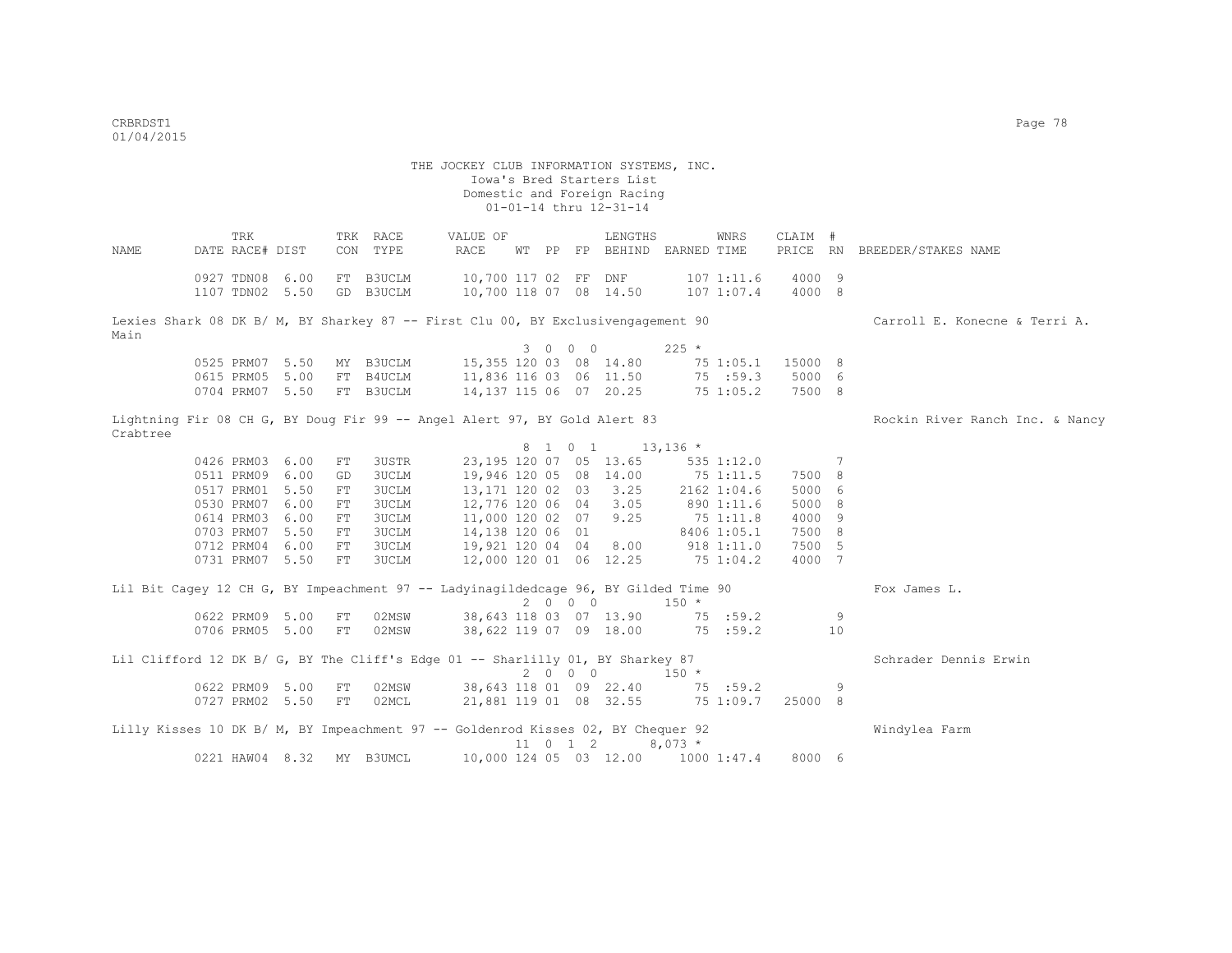THE JOCKEY CLUB INFORMATION SYSTEMS, INC. Iowa's Bred Starters List Domestic and Foreign Racing 01-01-14 thru 12-31-14 TRK TRK RACE VALUE OF LENGTHS WNRS CLAIM # NAME DATE RACE# DIST CON TYPE RACE WT PP FP BEHIND EARNED TIME PRICE RN BREEDER/STAKES NAME 0927 TDN08 6.00 FT B3UCLM 10,700 117 02 FF DNF 107 1:11.6 4000 9 1107 TDN02 5.50 GD B3UCLM 10,700 118 07 08 14.50 107 1:07.4 4000 8 Lexies Shark 08 DK B/ M, BY Sharkey 87 -- First Clu 00, BY Exclusivengagement 90 Carroll E. Konecne & Terri A. Main  $3 \t 0 \t 0 \t 225 \t \star$ <br>15,355 120 03 08 14,80 75 0525 PRM07 5.50 MY B3UCLM 15,355 120 03 08 14.80 75 1:05.1 15000 8 0615 PRM05 5.00 FT B4UCLM 11,836 116 03 06 11.50 75 :59.3 5000 6 0704 PRM07 5.50 FT B3UCLM 14,137 115 06 07 20.25 75 1:05.2 7500 8 Lightning Fir 08 CH G, BY Doug Fir 99 -- Angel Alert 97, BY Gold Alert 83 Rockin River Ranch Inc. & Nancy Crabtree 8 1 0 1 13,136 \* 0426 PRM03 6.00 FT 3USTR 23,195 120 07 05 13.65 535 1:12.0 7 0511 PRM09 6.00 GD 3UCLM 19,946 120 05 08 14.00 75 1:11.5 7500 8 0517 PRM01 5.50 FT 3UCLM 13,171 120 02 03 3.25 2162 1:04.6 5000 6 0530 PRM07 6.00 FT 3UCLM 12,776 120 06 04 3.05 890 1:11.6 5000 8 0614 PRM03 6.00 FT 3UCLM 11,000 120 02 07 9.25 75 1:11.8 4000 9<br>0703 PRM07 5.50 FT 3UCLM 14,138 120 06 01 8406 1:05.1 7500 8 0703 PRM07 5.50 FT 3UCLM 14,138 120 06 01 8406 1:05.1 7500 8 0712 PRM04 6.00 FT 3UCLM 19,921 120 04 04 8.00 918 1:11.0 7500 5 0731 PRM07 5.50 FT 3UCLM 12,000 120 01 06 12.25 75 1:04.2 4000 7 Lil Bit Cagey 12 CH G, BY Impeachment 97 -- Ladyinagildedcage 96, BY Gilded Time 90 Fox James L.  $2 \t0 \t0 \t150 \t\t \times$ <br>38,643 118 03 07 13.90 75 :59.2 0622 PRM09 5.00 FT 02MSW 38,643 118 03 07 13.90 75 :59.2 9 0706 PRM05 5.00 FT 02MSW 38,622 119 07 09 18.00 75 :59.2 10 Lil Clifford 12 DK B/ G, BY The Cliff's Edge 01 -- Sharlilly 01, BY Sharkey 87 Schrader Dennis Erwin  $2 0 0 0 150 *$  0622 PRM09 5.00 FT 02MSW 38,643 118 01 09 22.40 75 :59.2 9 21,881 119 01 08 32.55 75 1:09.7 25000 8 Lilly Kisses 10 DK B/ M, BY Impeachment 97 -- Goldenrod Kisses 02, BY Chequer 92 Windylea Farm  $11 \t0 \t1 \t2 \t8.073$  \* 0221 HAW04 8.32 MY B3UMCL 10,000 124 05 03 12.00 1000 1:47.4 8000 6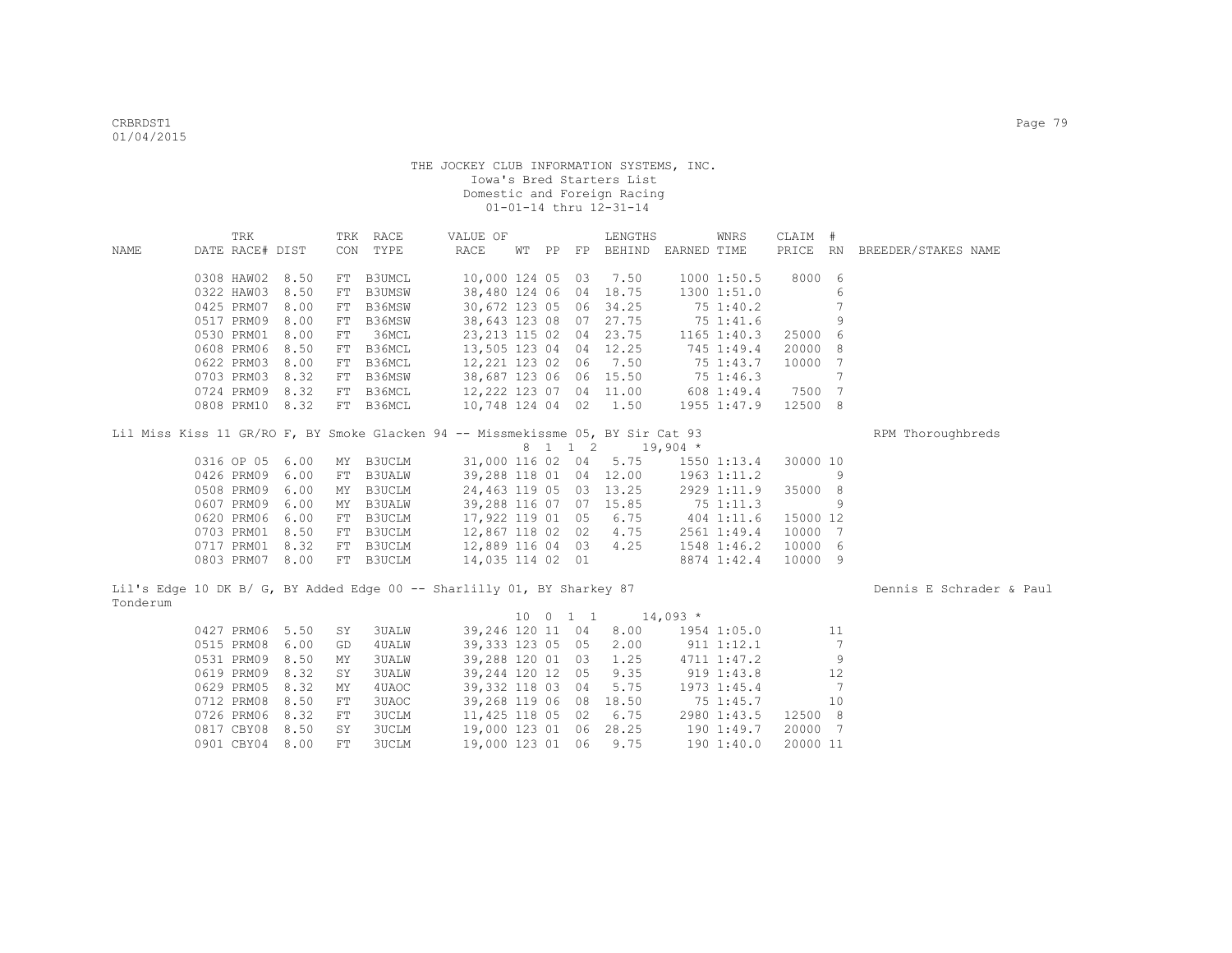|                                                                                    | TRK             |                 |    | TRK RACE     | VALUE OF                                    |  |          | LENGTHS                            |             | WNRS                   | CLAIM #  |    |                              |
|------------------------------------------------------------------------------------|-----------------|-----------------|----|--------------|---------------------------------------------|--|----------|------------------------------------|-------------|------------------------|----------|----|------------------------------|
| NAME                                                                               | DATE RACE# DIST |                 |    | CON TYPE     | RACE                                        |  |          | WT PP FP BEHIND EARNED TIME        |             |                        |          |    | PRICE RN BREEDER/STAKES NAME |
|                                                                                    |                 |                 |    |              |                                             |  |          |                                    |             |                        |          |    |                              |
|                                                                                    | 0308 HAW02      | 8.50            |    | FT B3UMCL    | 10,000 124 05 03                            |  |          | 7.50                               |             | 1000 1:50.5            | 8000 6   |    |                              |
|                                                                                    | 0322 HAW03      | 8.50            |    | FT B3UMSW    | 38,480 124 06                               |  | 04       | 18.75                              |             | 1300 1:51.0            |          | 6  |                              |
|                                                                                    | 0425 PRM07      | 8.00            |    | FT B36MSW    | 30,672 123 05 06                            |  |          | 34.25                              |             | 751:40.2               |          | 7  |                              |
|                                                                                    | 0517 PRM09      | 8.00            |    | FT B36MSW    |                                             |  |          | 38,643 123 08 07 27.75             |             | 75 1:41.6              |          | 9  |                              |
|                                                                                    | 0530 PRM01      | 8.00            | FT | 36MCL        | 23, 213 115 02 04                           |  |          | 23.75                              |             | 1165 1:40.3            | 25000 6  |    |                              |
|                                                                                    | 0608 PRM06      | 8.50            |    | FT B36MCL    | 13,505 123 04 04                            |  |          | 12.25                              | 745 1:49.4  |                        | 20000 8  |    |                              |
|                                                                                    | 0622 PRM03      | 8.00            |    | FT B36MCL    | 12,221 123 02 06                            |  |          | 7.50                               | 75 1:43.7   |                        | 10000 7  |    |                              |
|                                                                                    | 0703 PRM03      | 8.32            |    | FT B36MSW    |                                             |  |          | 38,687 123 06 06 15.50             | 75 1:46.3   |                        |          | 7  |                              |
|                                                                                    | 0724 PRM09      | 8.32            |    |              | FT B36MCL 12,222 123 07 04 11.00 608 1:49.4 |  |          |                                    |             |                        | 7500 7   |    |                              |
|                                                                                    |                 | 0808 PRM10 8.32 |    |              | FT B36MCL 10,748 124 04 02 1.50 1955 1:47.9 |  |          |                                    |             |                        | 12500 8  |    |                              |
| Lil Miss Kiss 11 GR/RO F, BY Smoke Glacken 94 -- Missmekissme 05, BY Sir Cat 93    |                 |                 |    |              |                                             |  |          |                                    |             |                        |          |    | RPM Thoroughbreds            |
|                                                                                    |                 |                 |    |              |                                             |  |          | 8 1 1 2 19,904 *                   |             |                        |          |    |                              |
|                                                                                    | 0316 OP 05 6.00 |                 |    | MY B3UCLM    | 31,000 116 02 04                            |  |          |                                    |             | $5.75$ $1550$ $1:13.4$ | 30000 10 |    |                              |
|                                                                                    | 0426 PRM09      | 6.00            |    | FT B3UALW    |                                             |  |          | 39,288 118 01 04 12.00 1963 1:11.2 |             |                        |          | 9  |                              |
|                                                                                    | 0508 PRM09      | 6.00            |    | MY B3UCLM    |                                             |  |          | 24,463 119 05 03 13.25 2929 1:11.9 |             |                        | 35000 8  |    |                              |
|                                                                                    | 0607 PRM09      | 6.00            |    | MY B3UALW    |                                             |  |          | 39,288 116 07 07 15.85             | 751:11.3    |                        |          | 9  |                              |
|                                                                                    | 0620 PRM06      | 6.00            |    | FT B3UCLM    | 17,922 119 01 05                            |  |          | 6.75                               |             | 404 1:11.6             | 15000 12 |    |                              |
|                                                                                    | 0703 PRM01      | 8.50            |    | FT B3UCLM    | 12,867 118 02 02                            |  |          | 4.75                               |             | 2561 1:49.4            | 10000 7  |    |                              |
|                                                                                    | 0717 PRM01 8.32 |                 |    |              | FT B3UCLM 12,889 116 04 03 4.25             |  |          |                                    | 1548 1:46.2 |                        | 10000 6  |    |                              |
|                                                                                    | 0803 PRM07 8.00 |                 |    | FT B3UCLM    | 14,035 114 02 01                            |  |          |                                    | 8874 1:42.4 |                        | 10000 9  |    |                              |
| Lil's Edge 10 DK B/ G, BY Added Edge 00 -- Sharlilly 01, BY Sharkey 87<br>Tonderum |                 |                 |    |              |                                             |  |          |                                    |             |                        |          |    | Dennis E Schrader & Paul     |
|                                                                                    |                 |                 |    |              |                                             |  | 10 0 1 1 | $14,093$ *                         |             |                        |          |    |                              |
|                                                                                    |                 | 0427 PRM06 5.50 | SY | 3UALW        | 39,246 120 11 04                            |  |          |                                    |             | 8.00 1954 1:05.0 11    |          |    |                              |
|                                                                                    | 0515 PRM08      | 6.00            | GD | 4UALW        | 39,333 123 05 05                            |  |          | 2.00                               |             | $911$ $1:12.1$         |          | 7  |                              |
|                                                                                    | 0531 PRM09      | 8.50            | MY | <b>3UALW</b> | 39,288 120 01 03                            |  |          | 1.25                               |             | 4711 1:47.2            |          | 9  |                              |
|                                                                                    | 0619 PRM09      | 8.32            | SY | <b>3UALW</b> | 39,244 120 12 05                            |  |          | 9.35                               |             | 9191:43.8              |          | 12 |                              |
|                                                                                    | 0629 PRM05      | 8.32            | MY | 4UAOC        | 39,332 118 03 04                            |  |          | 5.75                               |             | 1973 1:45.4            |          | 7  |                              |
|                                                                                    | 0712 PRM08      | 8.50            | FT | 3UAOC        | 39,268 119 06 08                            |  |          | 18.50                              |             | 75 1:45.7              |          | 10 |                              |
|                                                                                    | 0726 PRM06      | 8.32            | FT | <b>3UCLM</b> | 11,425 118 05 02                            |  |          | 6.75                               |             | 2980 1:43.5            | 12500 8  |    |                              |
|                                                                                    | 0817 CBY08      | 8.50            | SY | <b>3UCLM</b> | 19,000 123 01 06                            |  |          | 28.25                              | 190 1:49.7  |                        | 20000 7  |    |                              |
|                                                                                    | 0901 CBY04 8.00 |                 | FT | <b>3UCLM</b> | 19,000 123 01 06                            |  |          | 9.75                               |             | 190 1:40.0             | 20000 11 |    |                              |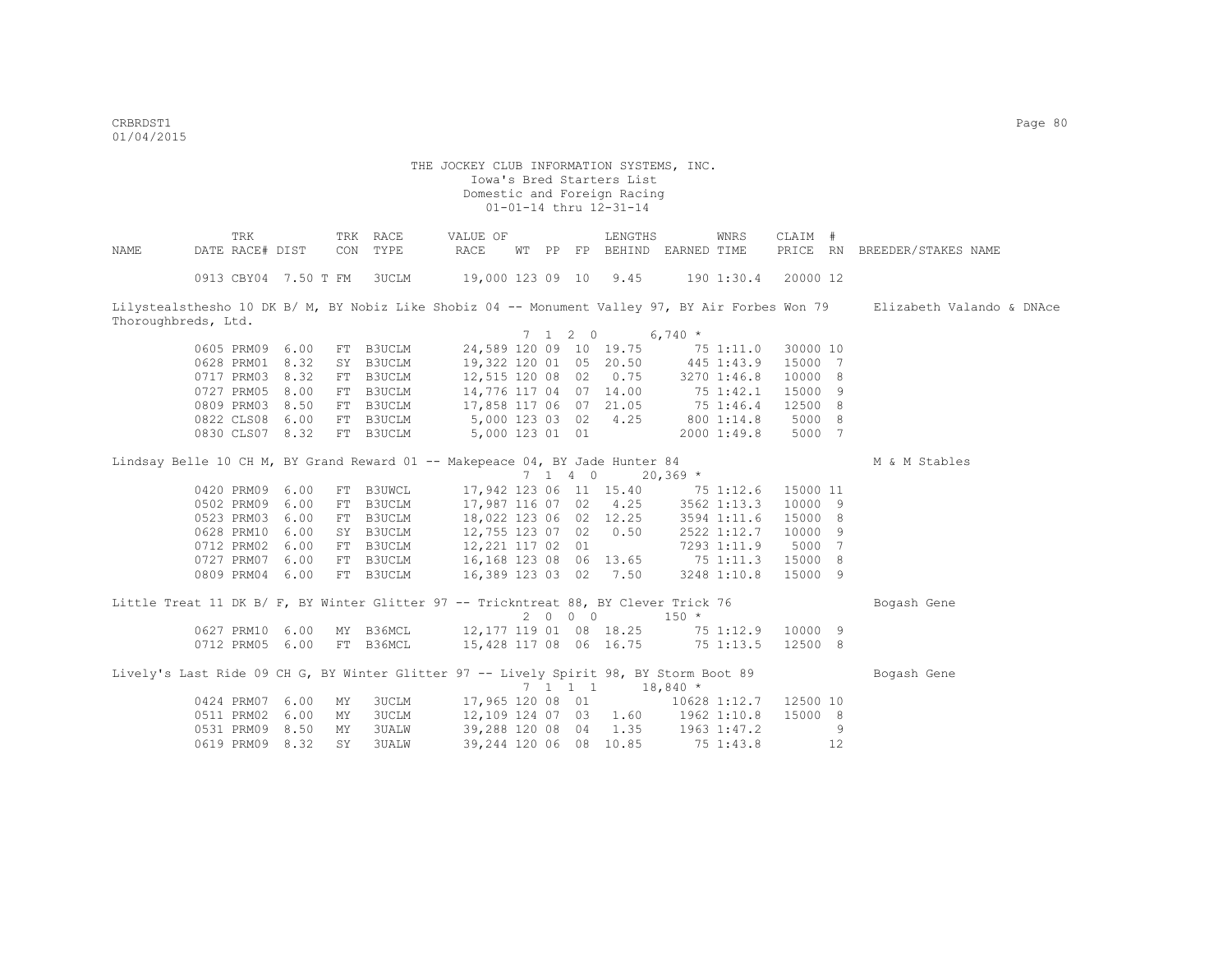critering the contract of the contract of the contract of the contract of the contract of the contract of the contract of the contract of the contract of the contract of the contract of the contract of the contract of the 01/04/2015

|                     | TRK                                                                                    |      |     | TRK RACE     | VALUE OF                                   |    |    |                             | LENGTHS                |                                           | WNRS                  | CLAIM #  |    |                                                                                                                            |
|---------------------|----------------------------------------------------------------------------------------|------|-----|--------------|--------------------------------------------|----|----|-----------------------------|------------------------|-------------------------------------------|-----------------------|----------|----|----------------------------------------------------------------------------------------------------------------------------|
| NAME                | DATE RACE# DIST                                                                        |      |     | CON TYPE     | RACE                                       | WТ | PP |                             | FP BEHIND              | EARNED TIME                               |                       | PRICE RN |    | BREEDER/STAKES NAME                                                                                                        |
|                     |                                                                                        |      |     |              |                                            |    |    |                             |                        |                                           |                       |          |    |                                                                                                                            |
|                     | 0913 CBY04 7.50 T FM 3UCLM                                                             |      |     |              | 19,000 123 09 10 9.45                      |    |    |                             |                        |                                           | 190 1:30.4            | 20000 12 |    |                                                                                                                            |
|                     |                                                                                        |      |     |              |                                            |    |    |                             |                        |                                           |                       |          |    |                                                                                                                            |
|                     |                                                                                        |      |     |              |                                            |    |    |                             |                        |                                           |                       |          |    | Lilystealsthesho 10 DK B/ M, BY Nobiz Like Shobiz 04 -- Monument Valley 97, BY Air Forbes Won 79 Elizabeth Valando & DNAce |
| Thoroughbreds, Ltd. |                                                                                        |      |     |              |                                            |    |    |                             |                        |                                           |                       |          |    |                                                                                                                            |
|                     |                                                                                        |      |     |              |                                            |    |    | $7 \t1 \t2 \t0$             |                        | $6,740*$                                  |                       |          |    |                                                                                                                            |
|                     | 0605 PRM09                                                                             | 6.00 |     | FT B3UCLM    |                                            |    |    |                             | 24,589 120 09 10 19.75 |                                           | 751:11.0              | 30000 10 |    |                                                                                                                            |
|                     | 0628 PRM01                                                                             | 8.32 |     | SY B3UCLM    |                                            |    |    |                             | 19,322 120 01 05 20.50 |                                           | 445 1:43.9            | 15000 7  |    |                                                                                                                            |
|                     | 0717 PRM03                                                                             | 8.32 |     | FT B3UCLM    | 12,515 120 08 02                           |    |    |                             | 0.75                   |                                           | 3270 1:46.8           | 10000 8  |    |                                                                                                                            |
|                     | 0727 PRM05                                                                             | 8.00 |     | FT B3UCLM    | 14,776 117 04 07                           |    |    |                             | 14.00                  | 75 1:42.1                                 |                       | 15000 9  |    |                                                                                                                            |
|                     | 0809 PRM03                                                                             | 8.50 |     | FT B3UCLM    |                                            |    |    |                             | 17,858 117 06 07 21.05 | 75 1:46.4                                 |                       | 12500 8  |    |                                                                                                                            |
|                     | 0822 CLS08                                                                             | 6.00 |     | FT B3UCLM    | 5,000 123 03 02                            |    |    |                             | 4.25                   | 800 1:14.8                                |                       | 5000 8   |    |                                                                                                                            |
|                     | 0830 CLS07 8.32                                                                        |      |     | FT B3UCLM    | 5,000 123 01 01                            |    |    |                             |                        |                                           | 2000 1:49.8           | 5000 7   |    |                                                                                                                            |
|                     |                                                                                        |      |     |              |                                            |    |    |                             |                        |                                           |                       |          |    |                                                                                                                            |
|                     | Lindsay Belle 10 CH M, BY Grand Reward 01 -- Makepeace 04, BY Jade Hunter 84           |      |     |              |                                            |    |    |                             |                        |                                           |                       |          |    | M & M Stables                                                                                                              |
|                     |                                                                                        |      |     |              |                                            |    |    | $7 \t1 \t4 \t0$             |                        | $20,369$ *                                |                       |          |    |                                                                                                                            |
|                     | 0420 PRM09                                                                             | 6.00 |     | FT B3UWCL    |                                            |    |    |                             | 17,942 123 06 11 15.40 |                                           | 75 1:12.6             | 15000 11 |    |                                                                                                                            |
|                     | 0502 PRM09                                                                             | 6.00 |     | FT B3UCLM    |                                            |    |    |                             | 17,987 116 07 02 4.25  |                                           | 3562 1:13.3           | 10000 9  |    |                                                                                                                            |
|                     | 0523 PRM03                                                                             | 6.00 |     | FT B3UCLM    |                                            |    |    |                             | 18,022 123 06 02 12.25 |                                           | 3594 1:11.6           | 15000 8  |    |                                                                                                                            |
|                     | 0628 PRM10                                                                             | 6.00 |     |              | SY B3UCLM 12,755 123 07 02 0.50            |    |    |                             |                        |                                           | 2522 1:12.7           | 10000 9  |    |                                                                                                                            |
|                     | 0712 PRM02                                                                             | 6.00 |     |              | FT B3UCLM 12, 221 117 02 01                |    |    |                             |                        |                                           | 7293 1:11.9           | 5000 7   |    |                                                                                                                            |
|                     | 0727 PRM07 6.00                                                                        |      |     |              | FT B3UCLM 16,168 123 08 06 13.65 75 1:11.3 |    |    |                             |                        |                                           |                       | 15000 8  |    |                                                                                                                            |
|                     | 0809 PRM04 6.00                                                                        |      |     | FT B3UCLM    |                                            |    |    |                             | 16,389 123 03 02 7.50  |                                           | 3248 1:10.8           | 15000 9  |    |                                                                                                                            |
|                     |                                                                                        |      |     |              |                                            |    |    |                             |                        |                                           |                       |          |    |                                                                                                                            |
|                     | Little Treat 11 DK B/ F, BY Winter Glitter 97 -- Trickntreat 88, BY Clever Trick 76    |      |     |              |                                            |    |    |                             |                        |                                           |                       |          |    | Bogash Gene                                                                                                                |
|                     |                                                                                        |      |     |              |                                            |    |    | $2\qquad 0\qquad 0\qquad 0$ |                        | $150 *$                                   |                       |          |    |                                                                                                                            |
|                     | 0627 PRM10 6.00                                                                        |      |     | MY B36MCL    |                                            |    |    |                             |                        | 12, 177 119 01 08 18.25 75 1:12.9 10000 9 |                       |          |    |                                                                                                                            |
|                     | 0712 PRM05 6.00                                                                        |      |     | FT B36MCL    |                                            |    |    |                             | 15,428 117 08 06 16.75 |                                           | 75 1:13.5             | 12500 8  |    |                                                                                                                            |
|                     |                                                                                        |      |     |              |                                            |    |    |                             |                        |                                           |                       |          |    |                                                                                                                            |
|                     | Lively's Last Ride 09 CH G, BY Winter Glitter 97 -- Lively Spirit 98, BY Storm Boot 89 |      |     |              |                                            |    |    |                             |                        |                                           |                       |          |    | Bogash Gene                                                                                                                |
|                     |                                                                                        |      |     |              |                                            |    |    |                             | 7 1 1 1                | $18,840*$                                 |                       |          |    |                                                                                                                            |
|                     | 0424 PRM07                                                                             | 6.00 | MY  | 3UCLM        |                                            |    |    |                             | 17,965 120 08 01       |                                           | 10628 1:12.7 12500 10 |          |    |                                                                                                                            |
|                     | 0511 PRM02                                                                             | 6.00 | МY  | 3UCLM        |                                            |    |    |                             |                        | 12,109 124 07 03 1.60 1962 1:10.8         |                       | 15000 8  |    |                                                                                                                            |
|                     | 0531 PRM09                                                                             | 8.50 | MY  | 3UALW        | 39,288 120 08 04                           |    |    |                             |                        | $1.35$ $1963$ $1:47.2$                    |                       |          | 9  |                                                                                                                            |
|                     | 0619 PRM09                                                                             | 8.32 | SY. | <b>3UALW</b> |                                            |    |    |                             | 39,244 120 06 08 10.85 |                                           | 75 1:43.8             |          | 12 |                                                                                                                            |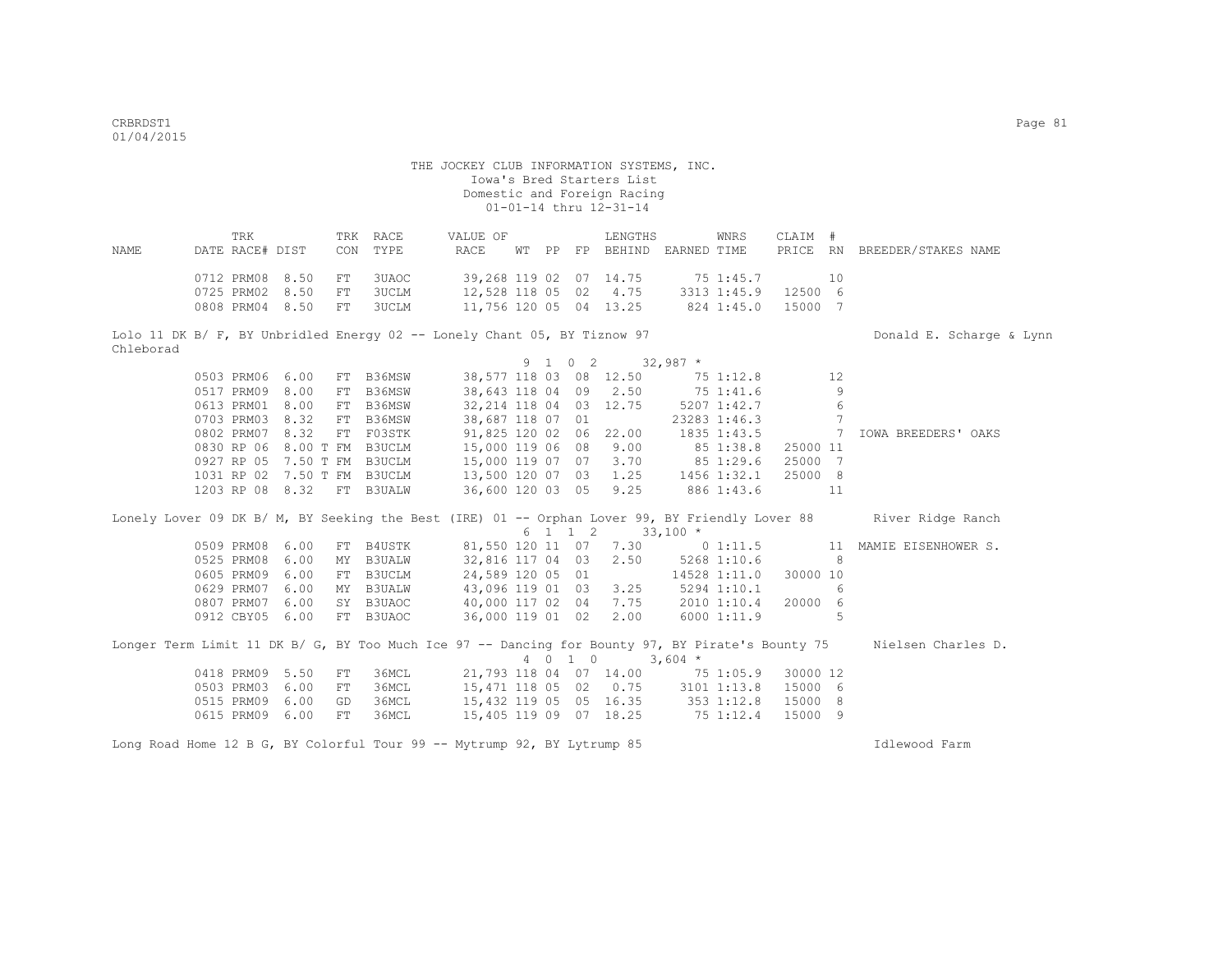|      | TRK                      |  | TRK RACE | VALUE OF |  | LENGTHS                     | WNRS        | CLAIM # |     |                              |  |
|------|--------------------------|--|----------|----------|--|-----------------------------|-------------|---------|-----|------------------------------|--|
| NAME | DATE RACE# DIST          |  | CON TYPE | RACE     |  | WT PP FP BEHIND EARNED TIME |             |         |     | PRICE RN BREEDER/STAKES NAME |  |
|      |                          |  |          |          |  |                             |             |         |     |                              |  |
|      | 0712 PRM08 8.50 FT 3UAOC |  |          |          |  | 39,268 119 02 07 14.75      | 75 1:45.7   |         | 10. |                              |  |
|      | 0725 PRM02 8.50 FT 3UCLM |  |          |          |  | 12,528 118 05 02 4.75       | 3313 1:45.9 | 12500 6 |     |                              |  |
|      | 0808 PRM04 8.50 FT 3UCLM |  |          |          |  | 11,756 120 05 04 13.25      | 824 1:45.0  | 15000 7 |     |                              |  |

Lolo 11 DK B/ F, BY Unbridled Energy 02 -- Lonely Chant 05, BY Tiznow 97 Donald E. Scharge & Lynn Chleborad

|  |            |                 |     |           |                         |  | 9 1 0 2 |       | $32,987$ *  |              |          |    |                                                                                                                  |
|--|------------|-----------------|-----|-----------|-------------------------|--|---------|-------|-------------|--------------|----------|----|------------------------------------------------------------------------------------------------------------------|
|  |            | 0503 PRM06 6.00 |     | FT B36MSW | 38,577 118 03 08 12.50  |  |         |       | $75$ 1:12.8 |              |          | 12 |                                                                                                                  |
|  | 0517 PRM09 | 8.00            | FT  | B36MSW    | 38,643 118 04 09        |  |         | 2.50  | 75 1:41.6   |              |          | 9  |                                                                                                                  |
|  | 0613 PRM01 | 8.00            | FT  | B36MSW    | 32, 214 118 04 03 12.75 |  |         |       | 5207 1:42.7 |              |          | 6  |                                                                                                                  |
|  | 0703 PRM03 | 8.32            | FT  | B36MSW    | 38,687 118 07 01        |  |         |       |             | 23283 1:46.3 |          |    |                                                                                                                  |
|  | 0802 PRM07 | 8.32            | FT. | F03STK    | 91,825 120 02 06        |  |         | 22.00 |             | 1835 1:43.5  |          |    | IOWA BREEDERS' OAKS                                                                                              |
|  | 0830 RP 06 | 8.00 T FM       |     | B3UCLM    | 15,000 119 06 08        |  |         | 9.00  |             | 85 1:38.8    | 25000 11 |    |                                                                                                                  |
|  | 0927 RP 05 | 7.50 T FM       |     | B3UCLM    | 15,000 119 07 07        |  |         | 3.70  | 851:29.6    |              | 25000 7  |    |                                                                                                                  |
|  | 1031 RP 02 | 7.50 T FM       |     | B3UCLM    | 13,500 120 07 03 1.25   |  |         |       |             | 1456 1:32.1  | 25000 8  |    |                                                                                                                  |
|  | 1203 RP 08 | 8.32            | FT  | B3UALW    | 36,600 120 03 05        |  |         | 9.25  |             | 886 1:43.6   |          | 11 |                                                                                                                  |
|  |            |                 |     |           |                         |  | 6 1 1 2 |       | $33,100 *$  |              |          |    | Lonely Lover 09 DK B/ M, BY Seeking the Best (IRE) 01 -- Orphan Lover 99, BY Friendly Lover 88 River Ridge Ranch |
|  | 0509 PRM08 | 6.00            | FT  | B4USTK    | 81,550 120 11 07        |  |         | 7.30  | $0\;1:11.5$ |              |          | 11 | MAMIE EISENHOWER S.                                                                                              |
|  | 0525 PRM08 | 6.00            | MY  | B3UALW    | 32,816 117 04 03        |  |         | 2.50  | 5268 1:10.6 |              |          | 8  |                                                                                                                  |
|  | 0605 PRM09 | 6.00            |     | FT B3UCLM | 24,589 120 05 01        |  |         |       |             | 14528 1:11.0 | 30000 10 |    |                                                                                                                  |
|  | 0629 PRM07 | 6.00            |     | MY B3UALW | 43,096 119 01 03        |  |         | 3.25  |             | 5294 1:10.1  |          | 6  |                                                                                                                  |
|  | 0807 PRM07 | 6.00            |     | SY B3UAOC | 40,000 117 02 04        |  |         | 7.75  |             | 2010 1:10.4  | 20000 6  |    |                                                                                                                  |
|  | 0912 CBY05 | 6.00            |     | FT B3UAOC | 36,000 119 01 02        |  |         | 2.00  |             | 6000 1:11.9  |          |    |                                                                                                                  |
|  |            |                 |     |           |                         |  |         |       |             |              |          |    |                                                                                                                  |

|                 |                          |          |        |                        |  | 4 0 1 0 | $3.604*$ |                     |  |
|-----------------|--------------------------|----------|--------|------------------------|--|---------|----------|---------------------|--|
|                 | 0418 PRM09 5.50 FT 36MCL |          |        | 21,793 118 04 07 14.00 |  |         |          | 75 1:05.9 30000 12  |  |
|                 | 0503 PRM03 6.00 FT 36MCL |          |        | 15,471 118 05 02 0.75  |  |         |          | 3101 1:13.8 15000 6 |  |
| 0515 PRM09 6.00 |                          | GD       | З 6МСІ | 15,432 119 05 05 16.35 |  |         |          | 353 1:12.8 15000 8  |  |
| 0615 PRM09 6.00 |                          | FT 36MCL |        | 15,405 119 09 07 18.25 |  |         |          | 75 1:12.4 15000 9   |  |

Long Road Home 12 B G, BY Colorful Tour 99 -- Mytrump 92, BY Lytrump 85 Idlewood Farm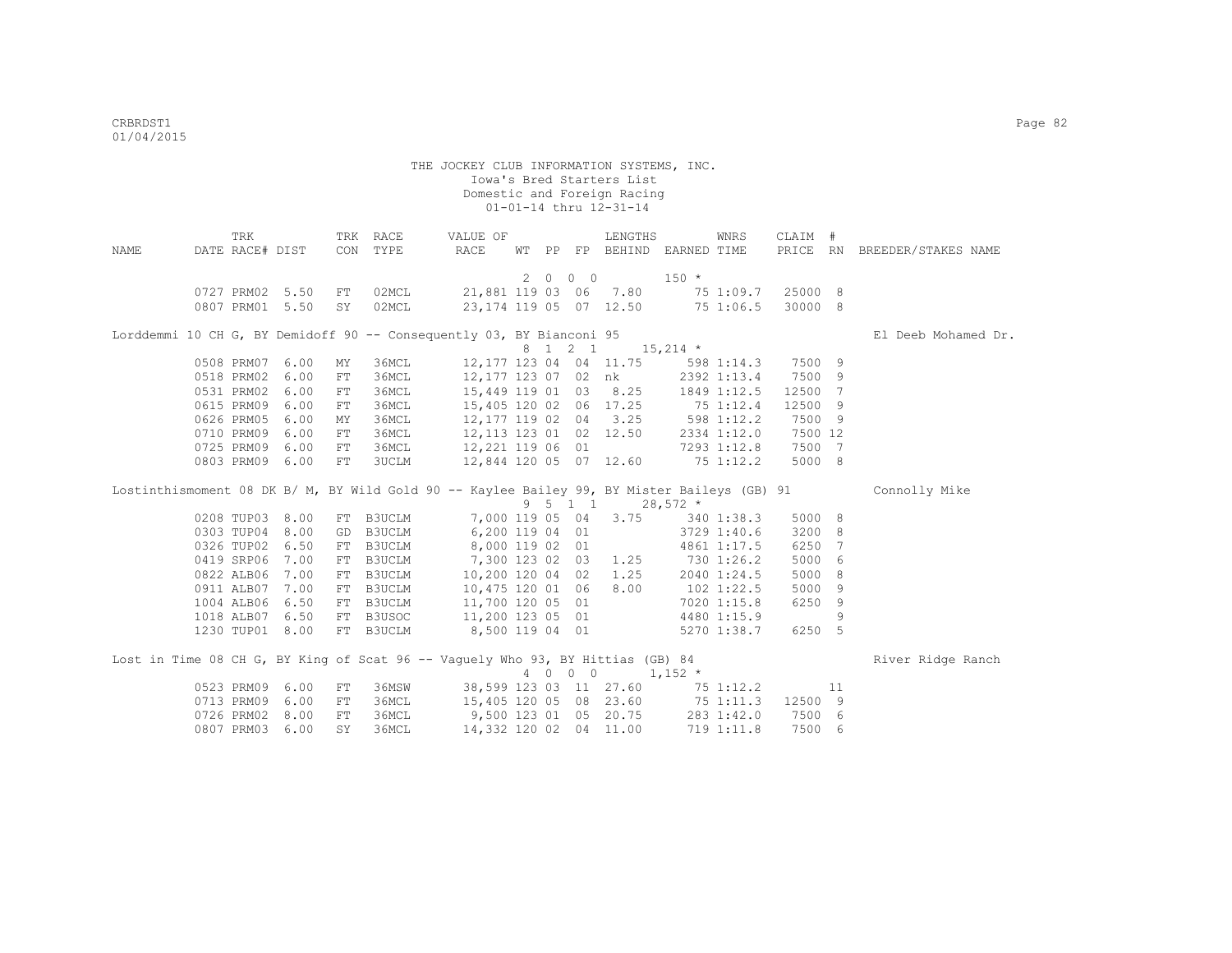| NAME | TRK<br>DATE RACE# DIST |      |            | TRK RACE<br>CON TYPE                                                                        | VALUE OF<br>RACE                  | WT PP |         | LENGTHS<br>FP BEHIND EARNED TIME |             | WNRS         | CLAIM # |     | PRICE RN BREEDER/STAKES NAME |
|------|------------------------|------|------------|---------------------------------------------------------------------------------------------|-----------------------------------|-------|---------|----------------------------------|-------------|--------------|---------|-----|------------------------------|
|      |                        |      |            |                                                                                             |                                   |       | 2000    |                                  | $150 *$     |              |         |     |                              |
|      | 0727 PRM02 5.50        |      | FT         | 02MCL                                                                                       | 21,881 119 03 06 7.80             |       |         |                                  |             | 75 1:09.7    | 25000 8 |     |                              |
|      | 0807 PRM01 5.50        |      | SY         | 02MCL                                                                                       | 23,174 119 05 07 12.50            |       |         |                                  |             | 75 1:06.5    | 30000 8 |     |                              |
|      |                        |      |            | Lorddemmi 10 CH G, BY Demidoff 90 -- Consequently 03, BY Bianconi 95                        |                                   |       |         |                                  |             |              |         |     | El Deeb Mohamed Dr.          |
|      |                        |      |            |                                                                                             |                                   |       | 8 1 2 1 |                                  | $15,214$ *  |              |         |     |                              |
|      | 0508 PRM07             | 6.00 | MΥ         | 36MCL                                                                                       | 12,177 123 04 04 11.75            |       |         |                                  |             | $598$ 1:14.3 | 7500 9  |     |                              |
|      | 0518 PRM02             | 6.00 | FT         | 36MCL                                                                                       | 12,177 123 07 02 nk               |       |         |                                  | 2392 1:13.4 |              | 7500 9  |     |                              |
|      | 0531 PRM02             | 6.00 | FT         | 36MCL                                                                                       | 15,449 119 01 03 8.25 1849 1:12.5 |       |         |                                  |             |              | 12500 7 |     |                              |
|      | 0615 PRM09             | 6.00 | ${\rm FT}$ | 36MCL                                                                                       | 15,405 120 02 06 17.25 75 1:12.4  |       |         |                                  |             |              | 12500 9 |     |                              |
|      | 0626 PRM05             | 6.00 | MY         | 36MCL                                                                                       | 12, 177 119 02 04 3.25 598 1:12.2 |       |         |                                  |             |              | 7500 9  |     |                              |
|      | 0710 PRM09             | 6.00 | FT         | 36MCL                                                                                       | 12, 113 123 01 02 12.50           |       |         |                                  |             | 2334 1:12.0  | 7500 12 |     |                              |
|      | 0725 PRM09             | 6.00 | FT         | 36MCL                                                                                       | 12,221 119 06 01                  |       |         |                                  |             | 7293 1:12.8  | 7500 7  |     |                              |
|      | 0803 PRM09 6.00        |      | FT         | 3UCLM                                                                                       | 12,844 120 05 07 12.60            |       |         |                                  |             | 75 1:12.2    | 5000 8  |     |                              |
|      |                        |      |            | Lostinthismoment 08 DK B/ M, BY Wild Gold 90 -- Kaylee Bailey 99, BY Mister Baileys (GB) 91 |                                   |       |         |                                  |             |              |         |     | Connolly Mike                |
|      |                        |      |            |                                                                                             |                                   | 9 5   |         | $1 \quad 1$                      | $28,572$ *  |              |         |     |                              |
|      | 0208 TUP03 8.00        |      | FT         | B3UCLM                                                                                      | 7,000 119 05 04                   |       |         | 3.75                             | 340 1:38.3  |              | 5000 8  |     |                              |
|      | 0303 TUP04 8.00        |      | GD         | B3UCLM                                                                                      | 6,200 119 04 01                   |       |         |                                  |             | 3729 1:40.6  | 3200 8  |     |                              |
|      | 0326 TUP02             | 6.50 | FT         | <b>B3UCLM</b>                                                                               | 8,000 119 02 01                   |       |         |                                  |             | 4861 1:17.5  | 6250 7  |     |                              |
|      | 0419 SRP06             | 7.00 | FT         | <b>B3UCLM</b>                                                                               | 7,300 123 02 03 1.25              |       |         |                                  | 730 1:26.2  |              | 5000 6  |     |                              |
|      | 0822 ALB06             | 7.00 | FT         | <b>B3UCLM</b>                                                                               | 10,200 120 04 02 1.25             |       |         |                                  |             | 2040 1:24.5  | 5000    | - 8 |                              |
|      | 0911 ALB07             | 7.00 | FT         | <b>B3UCLM</b>                                                                               | 10,475 120 01 06                  |       |         | 8.00                             | 102 1:22.5  |              | 5000    | 9   |                              |
|      | 1004 ALB06             | 6.50 | FT         | B3UCLM                                                                                      | 11,700 120 05 01                  |       |         |                                  | 7020 1:15.8 |              | 6250 9  |     |                              |
|      | 1018 ALB07             | 6.50 |            | FT B3USOC                                                                                   | 11,200 123 05 01 4480 1:15.9      |       |         |                                  |             |              |         | 9   |                              |
|      | 1230 TUP01 8.00        |      |            | FT B3UCLM                                                                                   | 8,500 119 04 01 5270 1:38.7       |       |         |                                  |             |              | 6250 5  |     |                              |
|      |                        |      |            | Lost in Time 08 CH G, BY King of Scat 96 -- Vaquely Who 93, BY Hittias (GB) 84              |                                   |       |         |                                  |             |              |         |     | River Ridge Ranch            |
|      |                        |      |            |                                                                                             |                                   |       | 4 0 0 0 |                                  | $1,152$ *   |              |         |     |                              |
|      | 0523 PRM09             | 6.00 | FT         | 36MSW                                                                                       |                                   |       |         | 38,599 123 03 11 27.60           |             | 75 1:12.2    |         | 11  |                              |
|      | 0713 PRM09             | 6.00 | FT         | 36MCL                                                                                       | 15,405 120 05 08 23.60            |       |         |                                  |             | 75 1:11.3    | 12500 9 |     |                              |
|      | 0726 PRM02             | 8.00 | FT         | 36MCL                                                                                       | 9,500 123 01 05 20.75             |       |         |                                  |             | 283 1:42.0   | 7500 6  |     |                              |
|      | 0807 PRM03             | 6.00 | SY         | 36MCL                                                                                       | 14,332 120 02 04 11.00            |       |         |                                  |             | 719 1:11.8   | 7500 6  |     |                              |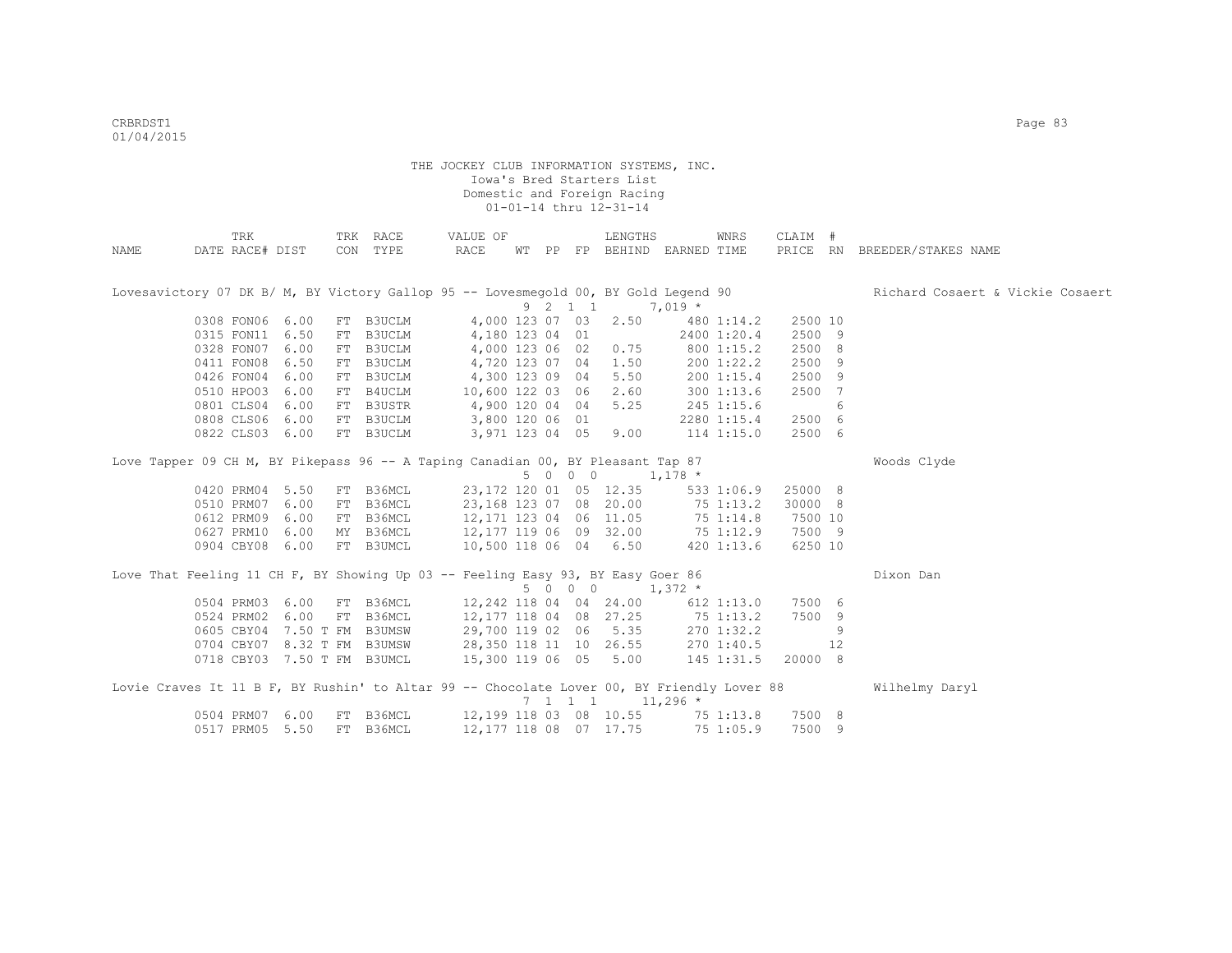|      | TRK                                                                                        |                  |    | TRK RACE  | VALUE OF                                                                                                                        |  |         | LENGTHS                                       |             | WNRS        | CLAIM # |    |                                  |
|------|--------------------------------------------------------------------------------------------|------------------|----|-----------|---------------------------------------------------------------------------------------------------------------------------------|--|---------|-----------------------------------------------|-------------|-------------|---------|----|----------------------------------|
| NAME | DATE RACE# DIST                                                                            |                  |    | CON TYPE  | RACE                                                                                                                            |  |         | WT PP FP BEHIND EARNED TIME                   |             |             |         |    | PRICE RN BREEDER/STAKES NAME     |
|      |                                                                                            |                  |    |           |                                                                                                                                 |  |         |                                               |             |             |         |    |                                  |
|      | Lovesavictory 07 DK B/ M, BY Victory Gallop 95 -- Lovesmegold 00, BY Gold Legend 90        |                  |    |           |                                                                                                                                 |  |         |                                               |             |             |         |    | Richard Cosaert & Vickie Cosaert |
|      |                                                                                            |                  |    |           |                                                                                                                                 |  | 9 2 1 1 |                                               | $7,019*$    |             |         |    |                                  |
|      | 0308 FON06 6.00                                                                            |                  |    | FT B3UCLM | 4,000 123 07 03                                                                                                                 |  |         | 2.50                                          |             | 480 1:14.2  | 2500 10 |    |                                  |
|      | 0315 FON11 6.50                                                                            |                  |    | FT B3UCLM | 4,180 123 04 01                                                                                                                 |  |         |                                               |             | 2400 1:20.4 | 2500 9  |    |                                  |
|      | 0328 FON07 6.00                                                                            |                  |    | FT B3UCLM | 4,000 123 06 02 0.75                                                                                                            |  |         |                                               | 800 1:15.2  |             | 2500 8  |    |                                  |
|      | 0411 FON08 6.50                                                                            |                  |    | FT B3UCLM | 4,720 123 07 04 1.50                                                                                                            |  |         |                                               |             | 200 1:22.2  | 2500 9  |    |                                  |
|      | 0426 FON04 6.00                                                                            |                  |    | FT B3UCLM | 4,300 123 09 04                                                                                                                 |  |         | 5.50                                          |             | 200 1:15.4  | 2500 9  |    |                                  |
|      | 0510 HPO03 6.00                                                                            |                  |    | FT B4UCLM | 10,600 122 03 06 2.60                                                                                                           |  |         |                                               |             | 300 1:13.6  | 2500 7  |    |                                  |
|      | 0801 CLS04                                                                                 | 6.00             |    | FT B3USTR | 4,900 120 04 04                                                                                                                 |  |         | 5.25                                          | 245 1:15.6  |             |         | 6  |                                  |
|      | 0808 CLS06                                                                                 | 6.00             |    | FT B3UCLM | 3,800 120 06 01                                                                                                                 |  |         |                                               |             | 2280 1:15.4 | 2500 6  |    |                                  |
|      | 0822 CLS03 6.00                                                                            |                  |    | FT B3UCLM | 3,971 123 04 05 9.00                                                                                                            |  |         |                                               |             | 114 1:15.0  | 2500 6  |    |                                  |
|      | Love Tapper 09 CH M, BY Pikepass 96 -- A Taping Canadian 00, BY Pleasant Tap 87            |                  |    |           |                                                                                                                                 |  |         |                                               |             |             |         |    | Woods Clyde                      |
|      |                                                                                            |                  |    |           |                                                                                                                                 |  |         | $5 \t0 \t0 \t0 \t1, 178 \t\t*$                |             |             |         |    |                                  |
|      | 0420 PRM04 5.50                                                                            |                  |    | FT B36MCL | 23,172 120 01 05 12.35                                                                                                          |  |         |                                               |             | 533 1:06.9  | 25000 8 |    |                                  |
|      | 0510 PRM07 6.00                                                                            |                  | FT | B36MCL    | 23,168 123 07 08 20.00 75 1:13.2                                                                                                |  |         |                                               |             |             | 30000 8 |    |                                  |
|      | 0612 PRM09 6.00                                                                            |                  |    | FT B36MCL |                                                                                                                                 |  |         |                                               |             |             |         |    |                                  |
|      | 0627 PRM10 6.00                                                                            |                  |    | MY B36MCL |                                                                                                                                 |  |         |                                               |             |             |         |    |                                  |
|      | 0904 CBY08 6.00                                                                            |                  |    | FT B3UMCL | 12,171 123 04 06 11.05 75 1:14.8 7500 10<br>12,177 119 06 09 32.00 75 1:12.9 7500 9<br>10,500 118 06 04 6.50 420 1:13.6 6250 10 |  |         |                                               |             |             |         |    |                                  |
|      | Love That Feeling 11 CH F, BY Showing Up 03 -- Feeling Easy 93, BY Easy Goer 86            |                  |    |           |                                                                                                                                 |  |         |                                               |             |             |         |    | Dixon Dan                        |
|      |                                                                                            |                  |    |           |                                                                                                                                 |  | 5 0 0 0 | $1,372$ *                                     |             |             |         |    |                                  |
|      | 0504 PRM03 6.00 FT B36MCL                                                                  |                  |    |           | 12,242 118 04 04 24.00                                                                                                          |  |         |                                               |             | 612 1:13.0  | 7500 6  |    |                                  |
|      | 0524 PRM02                                                                                 | 6.00             |    | FT B36MCL | 12,177 118 04 08 27.25                                                                                                          |  |         |                                               | $75$ 1:13.2 |             | 7500 9  |    |                                  |
|      | 0605 CBY04                                                                                 | 7.50 T FM B3UMSW |    |           | 29,700 119 02 06                                                                                                                |  |         | 5.35                                          |             | 270 1:32.2  |         | 9  |                                  |
|      | 0704 CBY07 8.32 T FM B3UMSW                                                                |                  |    |           | 28,350 118 11 10 26.55 270 1:40.5                                                                                               |  |         |                                               |             |             |         | 12 |                                  |
|      | 0718 CBY03 7.50 T FM B3UMCL                                                                |                  |    |           | 15,300 119 06 05 5.00 145 1:31.5                                                                                                |  |         |                                               |             |             | 20000 8 |    |                                  |
|      | Lovie Craves It 11 B F, BY Rushin' to Altar 99 -- Chocolate Lover 00, BY Friendly Lover 88 |                  |    |           |                                                                                                                                 |  |         |                                               |             |             |         |    | Wilhelmy Daryl                   |
|      |                                                                                            |                  |    |           |                                                                                                                                 |  |         | $7 \quad 1 \quad 1 \quad 1 \quad 11,296 \; *$ |             |             |         |    |                                  |
|      | 0504 PRM07 6.00                                                                            |                  |    | FT B36MCL |                                                                                                                                 |  |         | 12,199 118 03 08 10.55 75 1:13.8              |             |             | 7500 8  |    |                                  |
|      | 0517 PRM05 5.50                                                                            |                  |    | FT B36MCL |                                                                                                                                 |  |         | 12, 177 118 08 07 17.75                       |             | 751:05.9    | 7500 9  |    |                                  |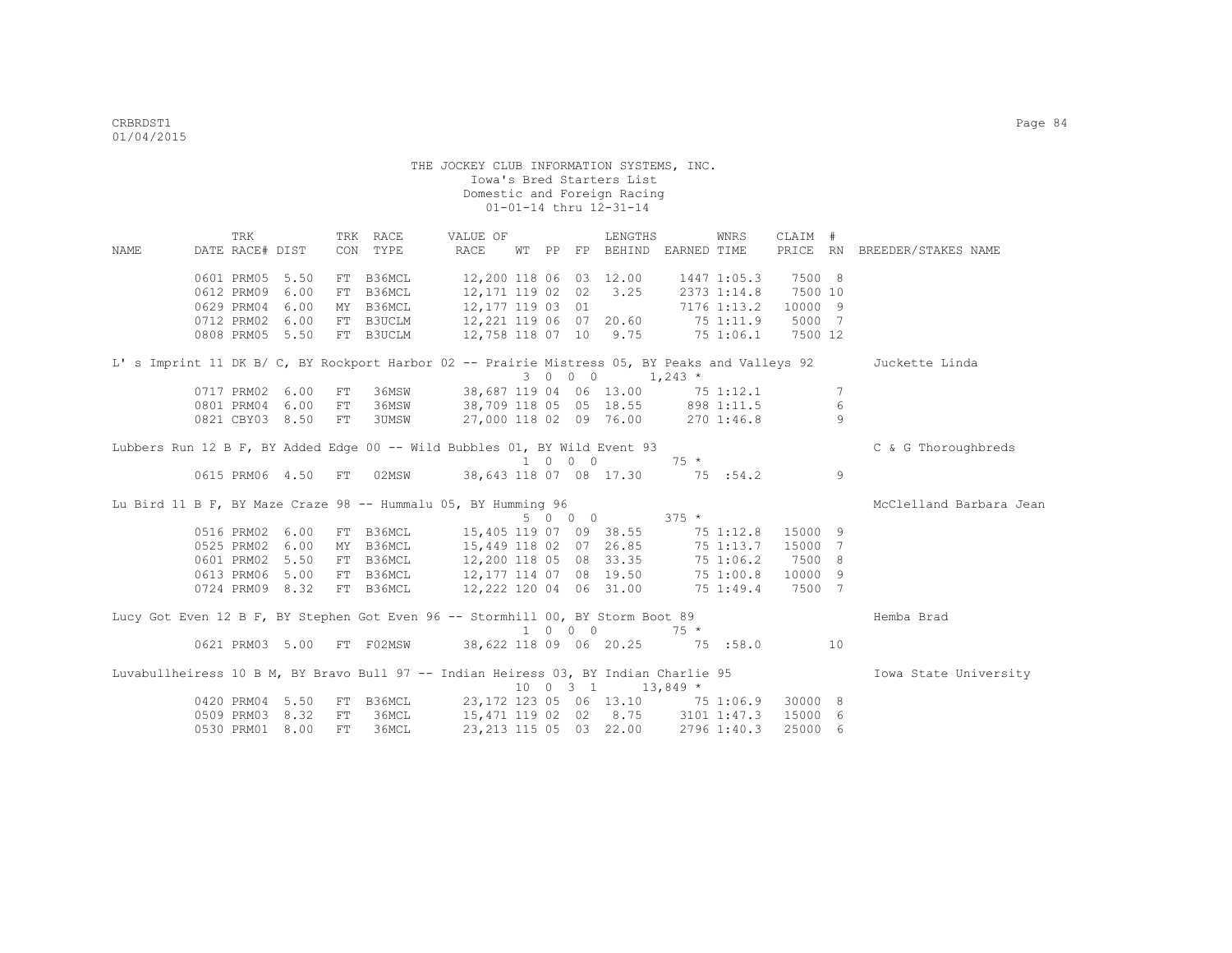|                                                                                                | TRK             |                    |    | TRK RACE                                                     | VALUE OF         |  |                             | LENGTHS                                 |             | WNRS        | CLAIM # |                 |                              |
|------------------------------------------------------------------------------------------------|-----------------|--------------------|----|--------------------------------------------------------------|------------------|--|-----------------------------|-----------------------------------------|-------------|-------------|---------|-----------------|------------------------------|
| NAME                                                                                           | DATE RACE# DIST |                    |    | CON TYPE                                                     | RACE             |  |                             | WT PP FP BEHIND EARNED TIME             |             |             |         |                 | PRICE RN BREEDER/STAKES NAME |
|                                                                                                |                 |                    |    |                                                              |                  |  |                             |                                         |             |             |         |                 |                              |
|                                                                                                | 0601 PRM05 5.50 |                    |    | FT B36MCL                                                    |                  |  |                             | 12,200 118 06 03 12.00                  |             | 1447 1:05.3 | 7500 8  |                 |                              |
|                                                                                                | 0612 PRM09      | 6.00               |    | FT B36MCL                                                    | 12,171 119 02 02 |  |                             | 3.25                                    |             | 2373 1:14.8 | 7500 10 |                 |                              |
|                                                                                                | 0629 PRM04      | 6.00               |    | MY B36MCL                                                    | 12,177 119 03 01 |  |                             |                                         |             | 7176 1:13.2 | 10000 9 |                 |                              |
|                                                                                                |                 | 0712 PRM02 6.00    |    | FT B3UCLM                                                    |                  |  |                             | 12, 221 119 06 07 20.60 75 1:11.9       |             |             | 5000 7  |                 |                              |
|                                                                                                |                 | 0808 PRM05 5.50    |    | FT B3UCLM                                                    |                  |  |                             | 12,758 118 07 10 9.75 75 1:06.1 7500 12 |             |             |         |                 |                              |
| L' s Imprint 11 DK B/ C, BY Rockport Harbor 02 -- Prairie Mistress 05, BY Peaks and Valleys 92 |                 |                    |    |                                                              |                  |  |                             |                                         |             |             |         |                 | Juckette Linda               |
|                                                                                                |                 |                    |    |                                                              |                  |  |                             | $3 \t 0 \t 0 \t 1,243 \t \star$         |             |             |         |                 |                              |
|                                                                                                | 0717 PRM02      | 6.00               | FT | 36MSW                                                        |                  |  |                             | 38,687 119 04 06 13.00 75 1:12.1        |             |             |         | $7\phantom{.0}$ |                              |
|                                                                                                | 0801 PRM04      | 6.00               | FT | 36MSW                                                        |                  |  |                             | 38,709 118 05 05 18.55 898 1:11.5       |             |             |         | 6               |                              |
|                                                                                                |                 | 0821 CBY03 8.50    | FT | 3UMSW                                                        |                  |  |                             | 27,000 118 02 09 76.00 270 1:46.8       |             |             |         | $\circ$         |                              |
| Lubbers Run 12 B F, BY Added Edge 00 -- Wild Bubbles 01, BY Wild Event 93                      |                 |                    |    |                                                              |                  |  |                             |                                         |             |             |         |                 | C & G Thoroughbreds          |
|                                                                                                |                 |                    |    |                                                              |                  |  | $1 \quad 0 \quad 0 \quad 0$ |                                         | $75 *$      |             |         |                 |                              |
|                                                                                                |                 | 0615 PRM06 4.50 FT |    |                                                              |                  |  |                             | 02MSW 38,643 118 07 08 17.30 75 :54.2   |             |             |         | 9               |                              |
| Lu Bird 11 B F, BY Maze Craze 98 -- Hummalu 05, BY Humming 96                                  |                 |                    |    |                                                              |                  |  |                             |                                         |             |             |         |                 | McClelland Barbara Jean      |
|                                                                                                |                 |                    |    |                                                              |                  |  | 5 0 0 0                     | $375$ *                                 |             |             |         |                 |                              |
|                                                                                                |                 | 0516 PRM02 6.00    |    | FT B36MCL                                                    |                  |  |                             | 15,405 119 07 09 38.55 75 1:12.8        |             |             | 15000 9 |                 |                              |
|                                                                                                |                 | 0525 PRM02 6.00    |    | MY B36MCL                                                    |                  |  |                             | 15,449 118 02 07 26.85                  |             | $75$ 1:13.7 | 15000 7 |                 |                              |
|                                                                                                |                 | 0601 PRM02 5.50    |    | FT B36MCL                                                    |                  |  |                             | 12,200 118 05 08 33.35                  |             | 75 1:06.2   | 7500 8  |                 |                              |
|                                                                                                |                 | 0613 PRM06 5.00    |    | FT B36MCL                                                    |                  |  |                             | 12,177 114 07 08 19.50                  |             | 75 1:00.8   | 10000 9 |                 |                              |
|                                                                                                |                 | 0724 PRM09 8.32    |    | FT B36MCL                                                    |                  |  |                             | 12,222 120 04 06 31.00                  |             | 75 1:49.4   | 7500 7  |                 |                              |
| Lucy Got Even 12 B F, BY Stephen Got Even 96 -- Stormhill 00, BY Storm Boot 89                 |                 |                    |    |                                                              |                  |  |                             |                                         |             |             |         |                 | Hemba Brad                   |
|                                                                                                |                 |                    |    |                                                              |                  |  | $1 \quad 0 \quad 0 \quad 0$ |                                         | $75 *$      |             |         |                 |                              |
|                                                                                                |                 |                    |    | 0621 PRM03 5.00 FT F02MSW 38,622 118 09 06 20.25 75 :58.0 10 |                  |  |                             |                                         |             |             |         |                 |                              |
| Luvabullheiress 10 B M, BY Bravo Bull 97 -- Indian Heiress 03, BY Indian Charlie 95            |                 |                    |    |                                                              |                  |  |                             |                                         |             |             |         |                 | Iowa State University        |
|                                                                                                |                 |                    |    |                                                              |                  |  | $10 \t 0 \t 3 \t 1$         |                                         | $13,849$ *  |             |         |                 |                              |
|                                                                                                |                 | 0420 PRM04 5.50    |    | FT B36MCL                                                    |                  |  |                             | 23,172 123 05 06 13.10 75 1:06.9        |             |             | 30000 8 |                 |                              |
|                                                                                                | 0509 PRM03      | 8.32               |    | FT 36MCL                                                     |                  |  |                             | 15,471 119 02 02 8.75 3101 1:47.3       |             |             | 15000 6 |                 |                              |
|                                                                                                |                 | 0530 PRM01 8.00    |    | FT 36MCL                                                     |                  |  |                             | 23, 213 115 05 03 22.00                 | 2796 1:40.3 |             | 25000 6 |                 |                              |
|                                                                                                |                 |                    |    |                                                              |                  |  |                             |                                         |             |             |         |                 |                              |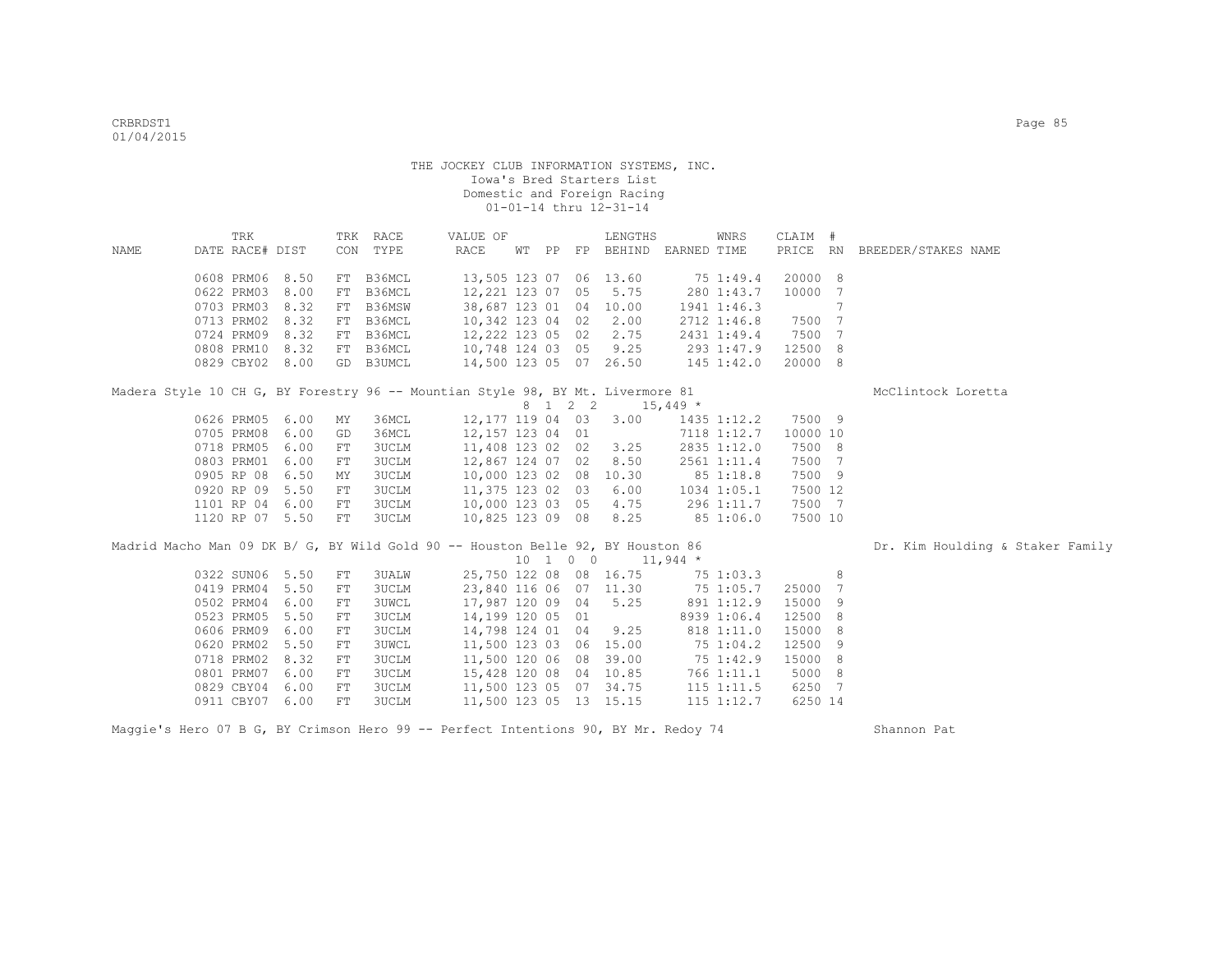|      | TRK             |                 |            | TRK RACE                                                                        | VALUE OF               |  |    | LENGTHS                                         |             | WNRS           | CLAIM #  |                |                                  |
|------|-----------------|-----------------|------------|---------------------------------------------------------------------------------|------------------------|--|----|-------------------------------------------------|-------------|----------------|----------|----------------|----------------------------------|
| NAME | DATE RACE# DIST |                 | CON        | TYPE                                                                            | RACE                   |  |    | WT PP FP BEHIND                                 | EARNED TIME |                | PRICE RN |                | BREEDER/STAKES NAME              |
|      | 0608 PRM06      | 8.50            | FT         | B36MCL                                                                          | 13,505 123 07 06 13.60 |  |    |                                                 |             | 75 1:49.4      | 20000 8  |                |                                  |
|      | 0622 PRM03      | 8.00            | FT         | B36MCL                                                                          | 12,221 123 07          |  | 05 | 5.75                                            |             | 280 1:43.7     | 10000    | $\overline{7}$ |                                  |
|      | 0703 PRM03      | 8.32            | ${\rm FT}$ | B36MSW                                                                          | 38,687 123 01 04       |  |    | 10.00                                           |             | 1941 1:46.3    |          | 7              |                                  |
|      | 0713 PRM02      | 8.32            | FT         | B36MCL                                                                          | 10,342 123 04 02       |  |    | 2.00                                            |             | 2712 1:46.8    | 7500 7   |                |                                  |
|      | 0724 PRM09      | 8.32            | FT         | B36MCL                                                                          | 12,222 123 05 02       |  |    | 2.75                                            |             | 2431 1:49.4    | 7500 7   |                |                                  |
|      |                 | 0808 PRM10 8.32 | FT         | B36MCL                                                                          | 10,748 124 03 05       |  |    | 9.25                                            |             | 293 1:47.9     | 12500 8  |                |                                  |
|      | 0829 CBY02 8.00 |                 |            | GD B3UMCL                                                                       | 14,500 123 05 07 26.50 |  |    |                                                 |             | 145 1:42.0     | 20000 8  |                |                                  |
|      |                 |                 |            | Madera Style 10 CH G, BY Forestry 96 -- Mountian Style 98, BY Mt. Livermore 81  |                        |  |    |                                                 |             |                |          |                | McClintock Loretta               |
|      |                 |                 |            |                                                                                 |                        |  |    | 8 1 2 2 15,449 *                                |             |                |          |                |                                  |
|      | 0626 PRM05 6.00 |                 | MY         | 36MCL                                                                           | 12,177 119 04 03 3.00  |  |    |                                                 |             | 1435 1:12.2    | 7500 9   |                |                                  |
|      | 0705 PRM08      | 6.00            | GD         | 36MCL                                                                           | 12,157 123 04 01       |  |    |                                                 |             | 7118 1:12.7    | 10000 10 |                |                                  |
|      | 0718 PRM05      | 6.00            | FT         | <b>3UCLM</b>                                                                    | 11,408 123 02 02       |  |    | 3.25                                            |             | 2835 1:12.0    | 7500 8   |                |                                  |
|      | 0803 PRM01      | 6.00            | ${\rm FT}$ | <b>3UCLM</b>                                                                    | 12,867 124 07 02       |  |    | 8.50                                            |             | 2561 1:11.4    | 7500 7   |                |                                  |
|      | 0905 RP 08      | 6.50            | MΥ         | <b>3UCLM</b>                                                                    | 10,000 123 02 08       |  |    | 10.30                                           |             | 85 1:18.8      | 7500 9   |                |                                  |
|      | 0920 RP 09      | 5.50            | FT         | <b>3UCLM</b>                                                                    | 11,375 123 02 03       |  |    | 6.00                                            |             | 1034 1:05.1    | 7500 12  |                |                                  |
|      | 1101 RP 04      | 6.00            | ${\rm FT}$ | <b>3UCLM</b>                                                                    | 10,000 123 03 05       |  |    | 4.75                                            |             | 296 1:11.7     | 7500 7   |                |                                  |
|      | 1120 RP 07 5.50 |                 | FT         | <b>3UCLM</b>                                                                    | 10,825 123 09 08       |  |    | 8.25                                            |             | 851:06.0       | 7500 10  |                |                                  |
|      |                 |                 |            | Madrid Macho Man 09 DK B/ G, BY Wild Gold 90 -- Houston Belle 92, BY Houston 86 |                        |  |    |                                                 |             |                |          |                | Dr. Kim Houlding & Staker Family |
|      |                 |                 |            |                                                                                 |                        |  |    | $10 \quad 1 \quad 0 \quad 0 \quad 11,944 \star$ |             |                |          |                |                                  |
|      | 0322 SUN06 5.50 |                 | FT         | 3UALW                                                                           | 25,750 122 08 08 16.75 |  |    |                                                 |             | 75 1:03.3      |          | 8              |                                  |
|      | 0419 PRM04      | 5.50            | ${\rm FT}$ | <b>3UCLM</b>                                                                    |                        |  |    | 23,840 116 06 07 11.30 75 1:05.7                |             |                | 25000 7  |                |                                  |
|      | 0502 PRM04      | 6.00            | ${\rm FT}$ | <b>3UWCL</b>                                                                    | 17,987 120 09 04       |  |    | 5.25                                            |             | 891 1:12.9     | 15000 9  |                |                                  |
|      | 0523 PRM05      | 5.50            | ${\rm FT}$ | 3UCLM                                                                           | 14,199 120 05 01       |  |    |                                                 |             | 8939 1:06.4    | 12500 8  |                |                                  |
|      | 0606 PRM09      | 6.00            | ${\rm FT}$ | 3UCLM                                                                           | 14,798 124 01 04       |  |    | 9.25                                            |             | 818 1:11.0     | 15000 8  |                |                                  |
|      | 0620 PRM02      | 5.50            | ${\rm FT}$ | 3UWCL                                                                           | 11,500 123 03 06       |  |    | 15.00                                           |             | 75 1:04.2      | 12500 9  |                |                                  |
|      | 0718 PRM02      | 8.32            | ${\rm FT}$ | <b>3UCLM</b>                                                                    | 11,500 120 06 08       |  |    | 39.00                                           |             | 75 1:42.9      | 15000 8  |                |                                  |
|      | 0801 PRM07      | 6.00            | ${\rm FT}$ | <b>3UCLM</b>                                                                    | 15,428 120 08 04       |  |    | 10.85                                           |             | 766 1:11.1     | 5000 8   |                |                                  |
|      | 0829 CBY04      | 6.00            | FT         | 3UCLM                                                                           | 11,500 123 05 07 34.75 |  |    |                                                 |             | $115$ $1:11.5$ | 6250     | $\overline{7}$ |                                  |
|      | 0911 CBY07      | 6.00            | FТ         | <b>3UCLM</b>                                                                    | 11,500 123 05 13       |  |    | 15.15                                           |             | $115$ $1:12.7$ | 6250 14  |                |                                  |

Maggie's Hero 07 B G, BY Crimson Hero 99 -- Perfect Intentions 90, BY Mr. Redoy 74 Shannon Pat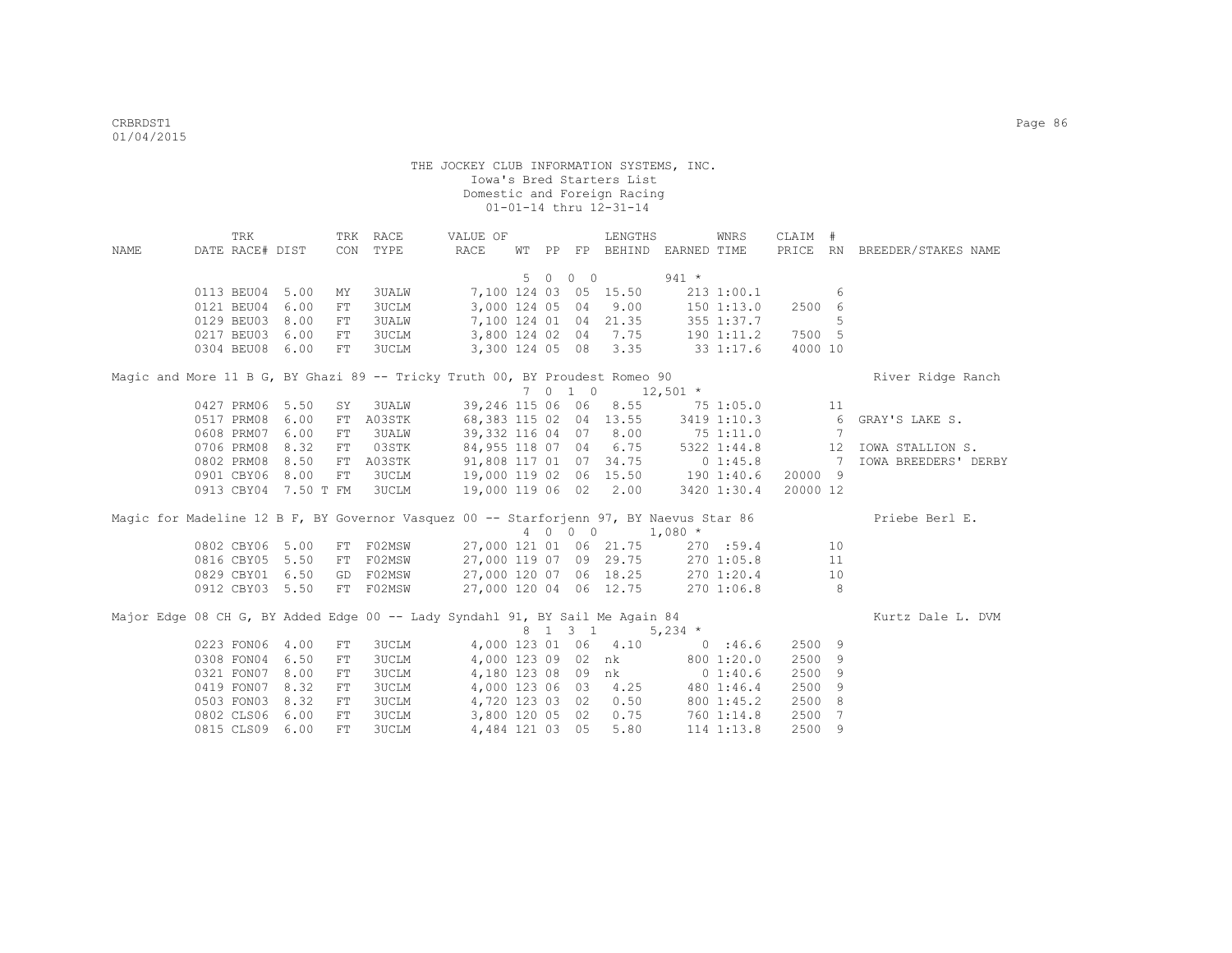|                                                                                        | TRK             |                      |            | TRK RACE     | VALUE OF                          |    |            | LENGTHS                         |           | WNRS           | CLAIM #  |    |                              |
|----------------------------------------------------------------------------------------|-----------------|----------------------|------------|--------------|-----------------------------------|----|------------|---------------------------------|-----------|----------------|----------|----|------------------------------|
| NAME                                                                                   | DATE RACE# DIST |                      |            | CON TYPE     | <b>RACE</b>                       |    |            | WT PP FP BEHIND EARNED TIME     |           |                |          |    | PRICE RN BREEDER/STAKES NAME |
|                                                                                        |                 |                      |            |              |                                   |    |            |                                 |           |                |          |    |                              |
|                                                                                        |                 |                      |            |              |                                   | 50 | $0\quad 0$ |                                 | $941 *$   |                |          |    |                              |
|                                                                                        | 0113 BEU04 5.00 |                      | МY         | <b>3UALW</b> |                                   |    |            | 7,100 124 03 05 15.50           |           | 2131:00.1      |          | 6  |                              |
|                                                                                        | 0121 BEU04      | 6.00                 | FT         | 3UCLM        | 3,000 124 05 04                   |    |            | 9.00                            |           | $150$ $1:13.0$ | 2500 6   |    |                              |
|                                                                                        | 0129 BEU03 8.00 |                      | ${\rm FT}$ | <b>3UALW</b> |                                   |    |            | 7,100 124 01 04 21.35           |           | 355 1:37.7     |          | 5  |                              |
|                                                                                        | 0217 BEU03      | 6.00                 | FT         | <b>3UCLM</b> |                                   |    |            | 3,800 124 02 04 7.75 190 1:11.2 |           |                | 7500 5   |    |                              |
|                                                                                        | 0304 BEU08 6.00 |                      | FT         | 3UCLM        |                                   |    |            | 3,300 124 05 08 3.35            |           | 33 1:17.6      | 4000 10  |    |                              |
| Magic and More 11 B G, BY Ghazi 89 -- Tricky Truth 00, BY Proudest Romeo 90            |                 |                      |            |              |                                   |    |            |                                 |           |                |          |    | River Ridge Ranch            |
|                                                                                        |                 |                      |            |              |                                   |    |            | 7 0 1 0 12,501 *                |           |                |          |    |                              |
|                                                                                        | 0427 PRM06 5.50 |                      | SY         | 3UALW        |                                   |    |            | 39,246 115 06 06 8.55 75 1:05.0 |           |                |          | 11 |                              |
|                                                                                        | 0517 PRM08      | 6.00                 | ${\rm FT}$ | A03STK       |                                   |    |            | 68,383 115 02 04 13.55          |           | 3419 1:10.3    |          | 6  | GRAY'S LAKE S.               |
|                                                                                        | 0608 PRM07      | 6.00                 | ${\rm FT}$ | 3UALW        |                                   |    |            | 39,332 116 04 07 8.00 75 1:11.0 |           |                |          | 7  |                              |
|                                                                                        | 0706 PRM08      | 8.32                 | ${\rm FT}$ | 03STK        | 84,955 118 07 04 6.75             |    |            |                                 |           | 5322 1:44.8    |          | 12 | IOWA STALLION S.             |
|                                                                                        | 0802 PRM08 8.50 |                      | FT         | A03STK       | 91,808 117 01 07 34.75 0 1:45.8 7 |    |            |                                 |           |                |          |    | <b>IOWA BREEDERS' DERBY</b>  |
|                                                                                        | 0901 CBY06 8.00 |                      | $FT$       | <b>3UCLM</b> | 19,000 119 02 06 15.50 190 1:40.6 |    |            |                                 |           |                | 20000 9  |    |                              |
|                                                                                        |                 | 0913 CBY04 7.50 T FM |            | <b>3UCLM</b> |                                   |    |            | 19,000 119 06 02 2.00           |           | 3420 1:30.4    | 20000 12 |    |                              |
| Magic for Madeline 12 B F, BY Governor Vasquez 00 -- Starforjenn 97, BY Naevus Star 86 |                 |                      |            |              |                                   |    |            |                                 |           |                |          |    | Priebe Berl E.               |
|                                                                                        |                 |                      |            |              |                                   |    | 4 0 0 0    | $1,080$ *                       |           |                |          |    |                              |
|                                                                                        | 0802 CBY06 5.00 |                      | FT         | F02MSW       |                                   |    |            | 27,000 121 01 06 21.75          |           | 270 :59.4      |          | 10 |                              |
|                                                                                        | 0816 CBY05 5.50 |                      | FT         | F02MSW       |                                   |    |            | 27,000 119 07 09 29.75          |           | 270 1:05.8     |          | 11 |                              |
|                                                                                        | 0829 CBY01 6.50 |                      | GD         | F02MSW       |                                   |    |            | 27,000 120 07 06 18.25          |           | 270 1:20.4     |          | 10 |                              |
|                                                                                        | 0912 CBY03 5.50 |                      |            | FT F02MSW    | 27,000 120 04 06 12.75            |    |            |                                 |           | 2701:06.8      |          | 8  |                              |
| Major Edge 08 CH G, BY Added Edge 00 -- Lady Syndahl 91, BY Sail Me Again 84           |                 |                      |            |              |                                   |    |            |                                 |           |                |          |    | Kurtz Dale L. DVM            |
|                                                                                        |                 |                      |            |              |                                   |    | 8 1 3 1    |                                 | 5,234 $*$ |                |          |    |                              |
|                                                                                        | 0223 FON06 4.00 |                      | FT         | <b>3UCLM</b> |                                   |    |            | 4,000 123 01 06 4.10            | 0.3666    |                | 2500 9   |    |                              |
|                                                                                        | 0308 FON04 6.50 |                      | FT         | <b>3UCLM</b> |                                   |    |            | 4,000 123 09 02 nk              |           | 800 1:20.0     | 2500 9   |    |                              |
|                                                                                        | 0321 FON07 8.00 |                      | FT         | 3UCLM        |                                   |    |            | 4,180 123 08 09 nk              |           | $0\;1:40.6$    | 2500     | 9  |                              |
|                                                                                        | 0419 FON07 8.32 |                      | ${\rm FT}$ | 3UCLM        |                                   |    |            | 4,000 123 06 03 4.25            |           | 480 1:46.4     | 2500     | 9  |                              |
|                                                                                        | 0503 FON03 8.32 |                      | FT         | 3UCLM        |                                   |    |            | 4,720 123 03 02 0.50            |           | 800 1:45.2     | 2500 8   |    |                              |
|                                                                                        | 0802 CLS06 6.00 |                      | FT         | 3UCLM        | 3,800 120 05 02                   |    |            | 0.75                            |           | 760 1:14.8     | 2500     | 7  |                              |
|                                                                                        | 0815 CLS09      | 6.00                 | FT         | <b>3UCLM</b> | 4,484 121 03 05                   |    |            | 5.80                            |           | 114 1:13.8     | 2500 9   |    |                              |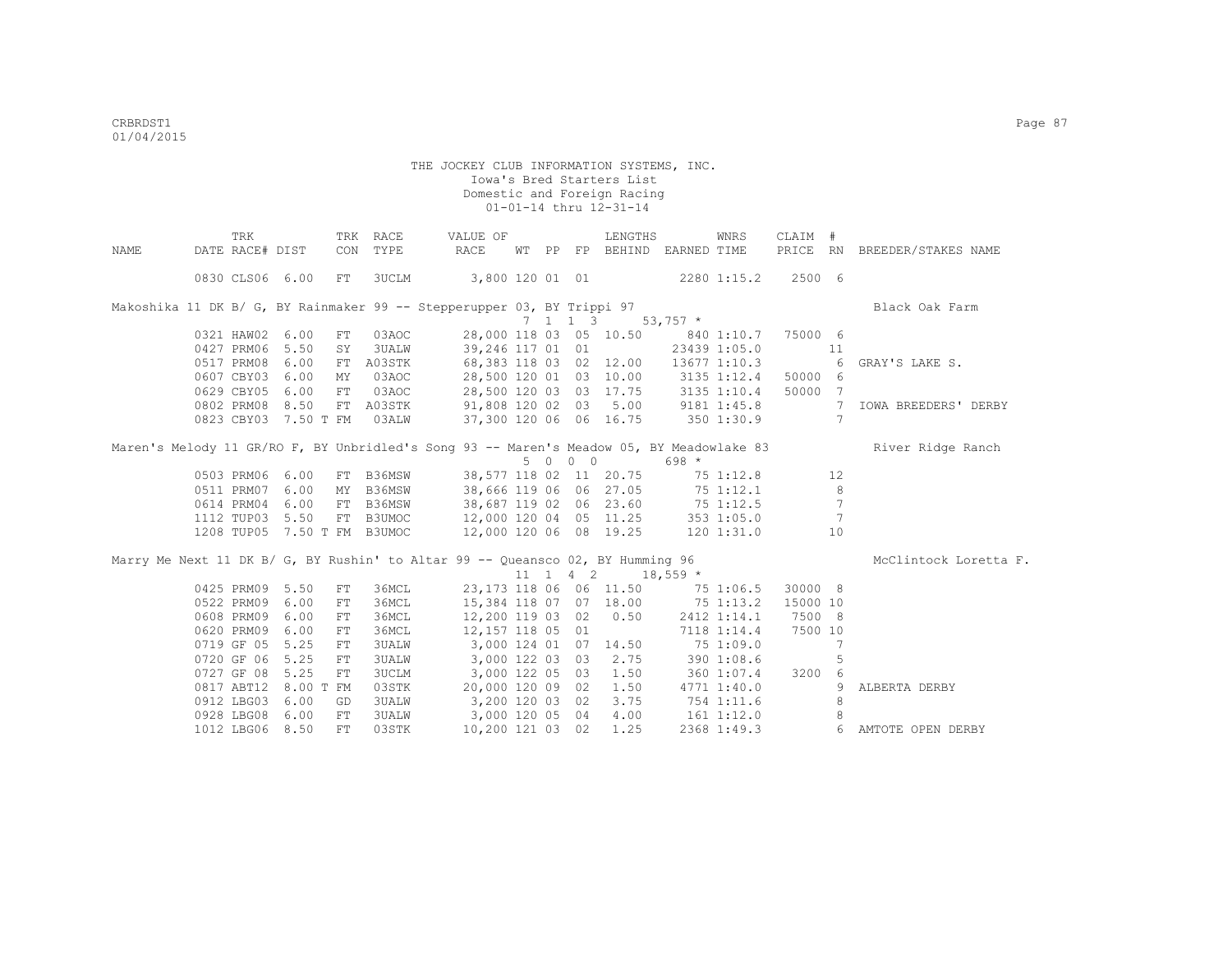|       | TRK                         |      |            | TRK RACE     | VALUE OF                                                                                 |  |         | LENGTHS                                          |            | WNRS        | CLAIM #   |                 |                              |
|-------|-----------------------------|------|------------|--------------|------------------------------------------------------------------------------------------|--|---------|--------------------------------------------------|------------|-------------|-----------|-----------------|------------------------------|
| NAMF. | DATE RACE# DIST             |      |            | CON TYPE     | RACE                                                                                     |  |         | WT PP FP BEHIND EARNED TIME                      |            |             |           |                 | PRICE RN BREEDER/STAKES NAME |
|       | 0830 CLS06 6.00             |      | FT         | 3UCLM        | 3,800 120 01 01 2280 1:15.2 2500 6                                                       |  |         |                                                  |            |             |           |                 |                              |
|       |                             |      |            |              | Makoshika 11 DK B/ G, BY Rainmaker 99 -- Stepperupper 03, BY Trippi 97                   |  |         |                                                  |            |             |           |                 | Black Oak Farm               |
|       |                             |      |            |              |                                                                                          |  |         | $7 \quad 1 \quad 1 \quad 3 \quad 53,757 \quad *$ |            |             |           |                 |                              |
|       | 0321 HAW02 6.00             |      | FT         | 03AOC        | 28,000 118 03 05 10.50 840 1:10.7                                                        |  |         |                                                  |            |             | 75000 6   |                 |                              |
|       | 0427 PRM06 5.50             |      | SY         | 3UALW        | 39,246 117 01 01 23439 1:05.0                                                            |  |         |                                                  |            |             | $\sim$ 11 |                 |                              |
|       | 0517 PRM08 6.00             |      | FT         | A03STK       | 68,383 118 03 02 12.00 13677 1:10.3 6                                                    |  |         |                                                  |            |             |           |                 | GRAY'S LAKE S.               |
|       | 0607 CBY03 6.00             |      | MY         | 03AOC        | 28,500 120 01 03 10.00 3135 1:12.4                                                       |  |         |                                                  |            |             | 50000 6   |                 |                              |
|       | 0629 CBY05 6.00             |      | FT         | 03AOC        | 28,500 120 03 03 17.75 3135 1:10.4                                                       |  |         |                                                  |            |             | 50000 7   |                 |                              |
|       | 0802 PRM08 8.50             |      |            | FT A03STK    | $91,808$ 120 02 03 5.00 9181 1:45.8                                                      |  |         |                                                  |            |             |           |                 | 7 IOWA BREEDERS' DERBY       |
|       | 0823 CBY03 7.50 T FM        |      |            | 03ALW        | 37,300 120 06 06 16.75 350 1:30.9                                                        |  |         |                                                  |            |             |           | $7\phantom{.0}$ |                              |
|       |                             |      |            |              | Maren's Melody 11 GR/RO F, BY Unbridled's Song 93 -- Maren's Meadow 05, BY Meadowlake 83 |  |         |                                                  |            |             |           |                 | River Ridge Ranch            |
|       |                             |      |            |              |                                                                                          |  | 5 0 0 0 |                                                  | $698 *$    |             |           |                 |                              |
|       | 0503 PRM06 6.00             |      |            |              | FT B36MSW 38,577 118 02 11 20.75 75 1:12.8                                               |  |         |                                                  |            |             |           | 12              |                              |
|       | 0511 PRM07 6.00             |      | MY         | B36MSW       | 38,666 119 06 06 27.05 75 1:12.1                                                         |  |         |                                                  |            |             |           | 8               |                              |
|       | 0614 PRM04 6.00             |      | FT         | B36MSW       | 38,687 119 02 06 23.60 75 1:12.5                                                         |  |         |                                                  |            |             |           | $\overline{7}$  |                              |
|       | 1112 TUP03 5.50             |      |            | FT B3UMOC    | 12,000 120 04 05 11.25 353 1:05.0                                                        |  |         |                                                  |            |             |           | 7               |                              |
|       | 1208 TUP05 7.50 T FM B3UMOC |      |            |              | 12,000 120 06 08 19.25 120 1:31.0                                                        |  |         |                                                  |            |             |           | 10              |                              |
|       |                             |      |            |              | Marry Me Next 11 DK B/ G, BY Rushin' to Altar 99 -- Queansco 02, BY Humming 96           |  |         |                                                  |            |             |           |                 | McClintock Loretta F.        |
|       |                             |      |            |              |                                                                                          |  |         | $11 \quad 1 \quad 4 \quad 2 \quad 18,559 \star$  |            |             |           |                 |                              |
|       | 0425 PRM09 5.50             |      | FT.        | 36MCL        | 23,173 118 06 06 11.50 75 1:06.5                                                         |  |         |                                                  |            |             | 30000 8   |                 |                              |
|       | 0522 PRM09 6.00             |      | FT         | 36MCL        | 15,384 118 07 07 18.00 75 1:13.2                                                         |  |         |                                                  |            |             | 15000 10  |                 |                              |
|       | 0608 PRM09                  | 6.00 | FT         | 36MCL        | 12,200 119 03 02 0.50 2412 1:14.1                                                        |  |         |                                                  |            |             | 7500 8    |                 |                              |
|       | 0620 PRM09                  | 6.00 | ${\rm FT}$ | 36MCL        | 12,157 118 05 01                                                                         |  |         |                                                  |            | 7118 1:14.4 | 7500 10   |                 |                              |
|       | 0719 GF 05                  | 5.25 | FT         | <b>3UALW</b> | 3,000 124 01 07 14.50 75 1:09.0                                                          |  |         |                                                  |            |             |           | 7               |                              |
|       | 0720 GF 06 5.25             |      | FT         | <b>3UALW</b> | 3,000 122 03 03 2.75 390 1:08.6                                                          |  |         |                                                  |            |             |           | 5               |                              |
|       | 0727 GF 08 5.25             |      | ${\rm FT}$ | <b>3UCLM</b> | 3,000 122 05 03 1.50 360 1:07.4 3200 6                                                   |  |         |                                                  |            |             |           |                 |                              |
|       | 0817 ABT12 8.00 T FM        |      |            | 03STK        | 20,000 120 09 02 1.50                                                                    |  |         |                                                  |            | 4771 1:40.0 |           | 9               | ALBERTA DERBY                |
|       | 0912 LBG03 6.00             |      | GD         | <b>3UALW</b> | 3,200 120 03 02 3.75                                                                     |  |         |                                                  | 754 1:11.6 |             |           | 8               |                              |
|       | 0928 LBG08 6.00             |      | FT         | <b>3UALW</b> | 3,000 120 05 04 4.00 161 1:12.0                                                          |  |         |                                                  |            |             |           | 8               |                              |
|       | 1012 LBG06 8.50             |      | FT.        | 03STK        |                                                                                          |  |         | 10,200 121 03 02 1.25                            |            | 2368 1:49.3 |           |                 | 6 AMTOTE OPEN DERBY          |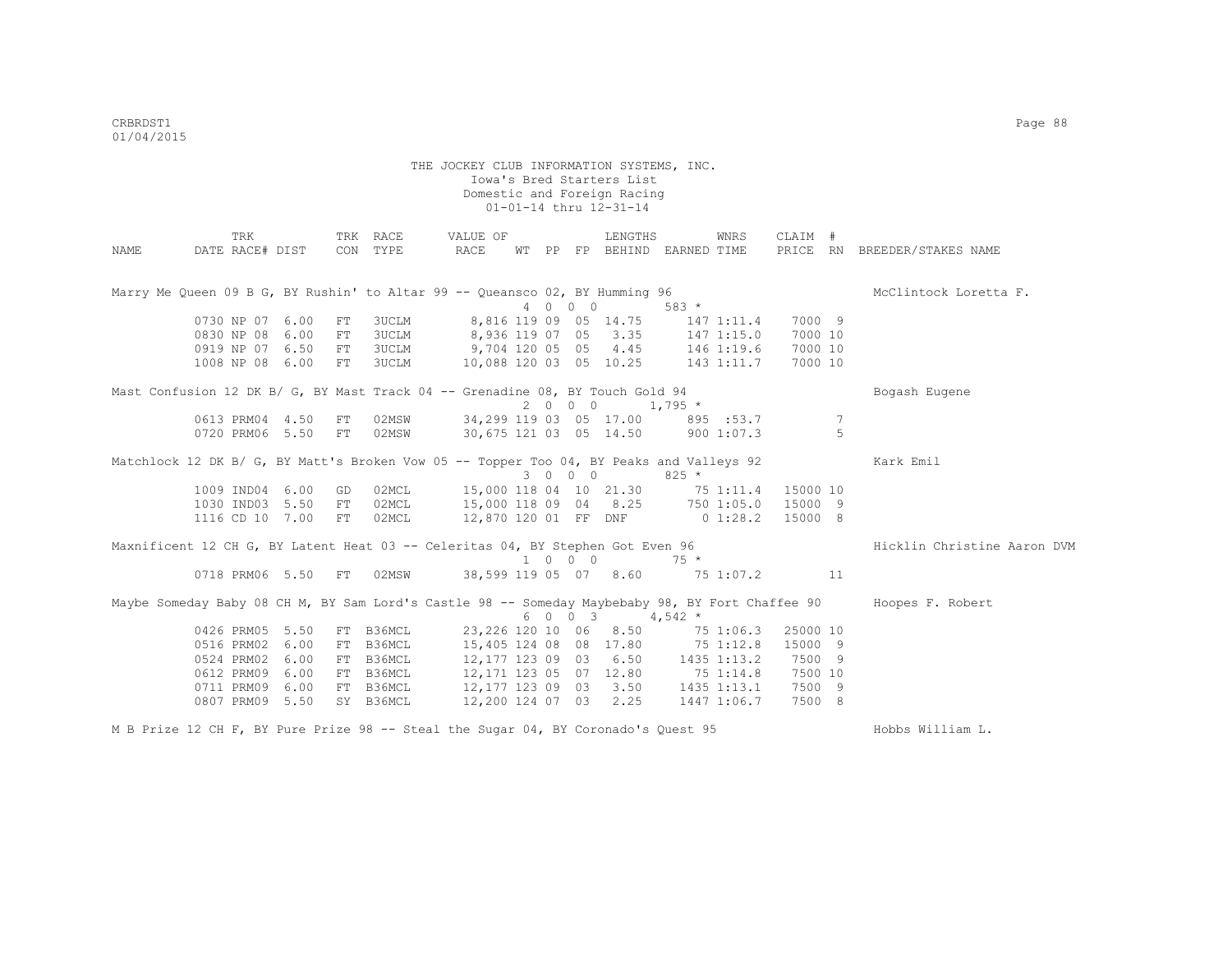|      | TRK                                                                                             |      |     | TRK RACE  | VALUE OF                           |  |                             | LENGTHS                          |                | WNRS        | CLAIM #  |    |                              |
|------|-------------------------------------------------------------------------------------------------|------|-----|-----------|------------------------------------|--|-----------------------------|----------------------------------|----------------|-------------|----------|----|------------------------------|
| NAME | DATE RACE# DIST                                                                                 |      |     | CON TYPE  | RACE                               |  |                             | WT PP FP BEHIND EARNED TIME      |                |             |          |    | PRICE RN BREEDER/STAKES NAME |
|      | Marry Me Oueen 09 B G, BY Rushin' to Altar 99 -- Oueansco 02, BY Humming 96                     |      |     |           |                                    |  |                             |                                  |                |             |          |    | McClintock Loretta F.        |
|      |                                                                                                 |      |     |           |                                    |  | 4 0 0 0                     |                                  | $583 *$        |             |          |    |                              |
|      | 0730 NP 07 6.00                                                                                 |      | FT. | 3UCLM     |                                    |  |                             | 8,816 119 09 05 14.75            | 147 1:11.4     |             | 7000 9   |    |                              |
|      | 0830 NP 08 6.00                                                                                 |      | FT  | 3UCLM     |                                    |  |                             | 8,936 119 07 05 3.35             | $147$ $1:15.0$ |             | 7000 10  |    |                              |
|      | 0919 NP 07 6.50                                                                                 |      | FT  | 3UCLM     | 9,704 120 05 05 4.45 146 1:19.6    |  |                             |                                  |                |             | 7000 10  |    |                              |
|      | 1008 NP 08 6.00                                                                                 |      | FT  | 3UCLM     | 10,088 120 03 05 10.25 143 1:11.7  |  |                             |                                  |                |             | 7000 10  |    |                              |
|      | Mast Confusion 12 DK B/ G, BY Mast Track 04 -- Grenadine 08, BY Touch Gold 94                   |      |     |           |                                    |  |                             |                                  |                |             |          |    | Bogash Eugene                |
|      |                                                                                                 |      |     |           |                                    |  | 2 0 0 0                     |                                  | $1,795$ *      |             |          |    |                              |
|      | 0613 PRM04 4.50                                                                                 |      | FТ  |           | 02MSW 34,299 119 03 05 17.00       |  |                             |                                  |                | 895 : 53.7  |          | 7  |                              |
|      | 0720 PRM06 5.50                                                                                 |      | FT  | 02MSW     | 30,675 121 03 05 14.50 900 1:07.3  |  |                             |                                  |                |             |          | 5  |                              |
|      | Matchlock 12 DK B/ G, BY Matt's Broken Vow 05 -- Topper Too 04, BY Peaks and Valleys 92         |      |     |           |                                    |  |                             |                                  |                |             |          |    | Kark Emil                    |
|      |                                                                                                 |      |     |           |                                    |  | 3 0 0 0                     |                                  | $825 *$        |             |          |    |                              |
|      | 1009 IND04 6.00                                                                                 |      | GD  | 02MCL     | 15,000 118 04 10 21.30 75 1:11.4   |  |                             |                                  |                |             | 15000 10 |    |                              |
|      | 1030 IND03 5.50                                                                                 |      | FT  | 02MCL     | 15,000 118 09 04 8.25 750 1:05.0   |  |                             |                                  |                |             | 15000 9  |    |                              |
|      | 1116 CD 10 7.00                                                                                 |      | FT  | 02MCL     | 12,870 120 01 FF DNF 0 1:28.2      |  |                             |                                  |                |             | 15000 8  |    |                              |
|      | Maxnificent 12 CH G, BY Latent Heat 03 -- Celeritas 04, BY Stephen Got Even 96                  |      |     |           |                                    |  |                             |                                  |                |             |          |    | Hicklin Christine Aaron DVM  |
|      |                                                                                                 |      |     |           |                                    |  | $1 \quad 0 \quad 0 \quad 0$ |                                  | $75 *$         |             |          |    |                              |
|      | 0718 PRM06 5.50                                                                                 |      | FT  | 02MSW     |                                    |  |                             | 38,599 119 05 07 8.60 75 1:07.2  |                |             |          | 11 |                              |
|      | Maybe Someday Baby 08 CH M, BY Sam Lord's Castle 98 -- Someday Maybebaby 98, BY Fort Chaffee 90 |      |     |           |                                    |  | 6 0 0 3                     |                                  | $4,542$ *      |             |          |    | Hoopes F. Robert             |
|      | 0426 PRM05 5.50                                                                                 |      | FT  | B36MCL    | 23,226 120 10 06 8.50              |  |                             |                                  |                | 75 1:06.3   | 25000 10 |    |                              |
|      | 0516 PRM02                                                                                      | 6.00 | FT  | B36MCL    |                                    |  |                             | 15,405 124 08 08 17.80 75 1:12.8 |                |             | 15000 9  |    |                              |
|      | 0524 PRM02                                                                                      | 6.00 | FT  | B36MCL    | 12, 177 123 09 03 6.50 1435 1:13.2 |  |                             |                                  |                |             | 7500 9   |    |                              |
|      | 0612 PRM09                                                                                      | 6.00 | FT  | B36MCL    | 12, 171 123 05 07 12.80 75 1:14.8  |  |                             |                                  |                |             | 7500 10  |    |                              |
|      | 0711 PRM09 6.00                                                                                 |      | FT  | B36MCL    | 12,177 123 09 03 3.50              |  |                             |                                  |                | 1435 1:13.1 | 7500 9   |    |                              |
|      | 0807 PRM09                                                                                      | 5.50 |     | SY B36MCL | 12,200 124 07 03 2.25              |  |                             |                                  |                | 1447 1:06.7 | 7500 8   |    |                              |
|      |                                                                                                 |      |     |           |                                    |  |                             |                                  |                |             |          |    |                              |

M B Prize 12 CH F, BY Pure Prize 98 -- Steal the Sugar 04, BY Coronado's Quest 95 Hobbs William L.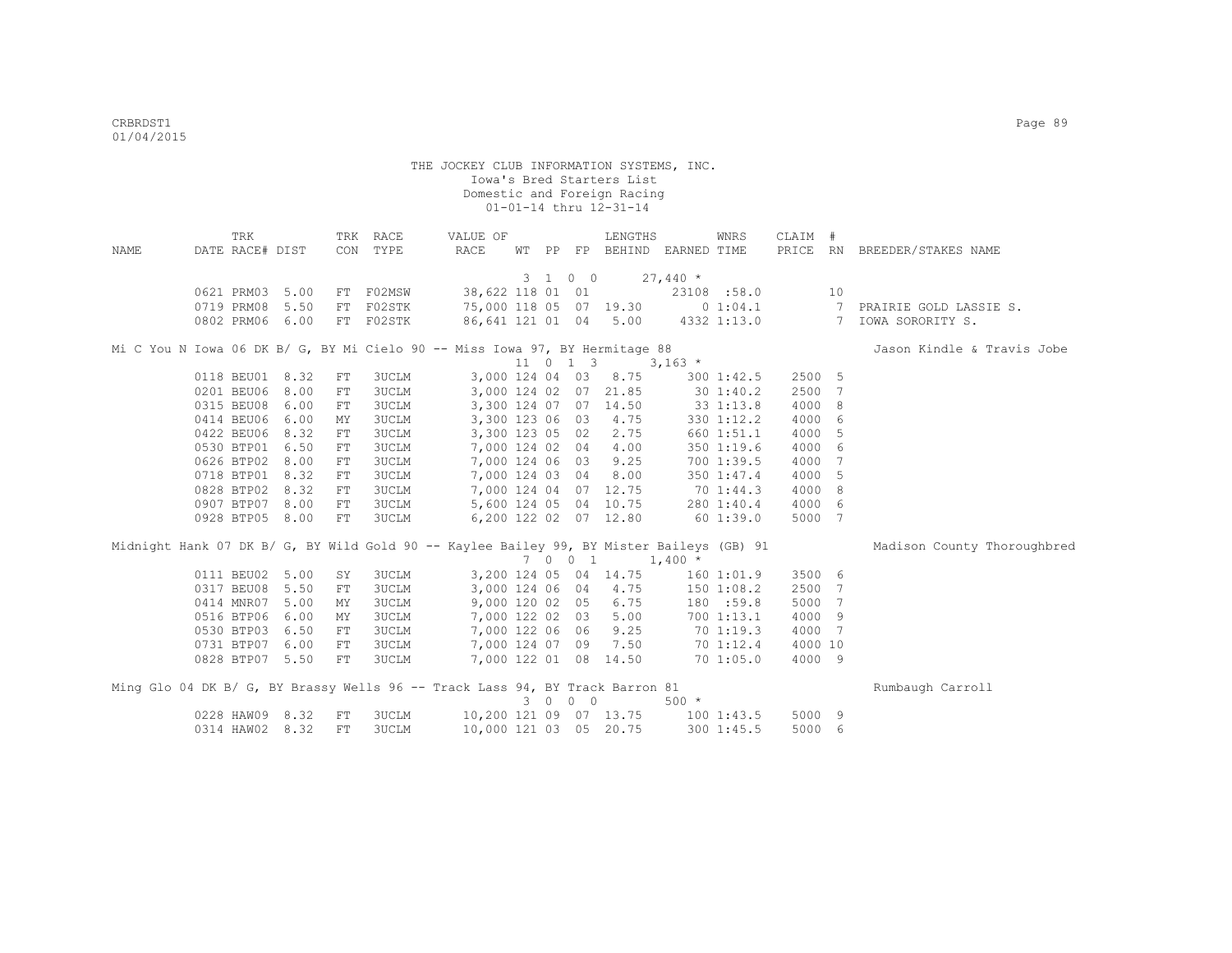|      | TRK             |      |            | TRK RACE     | VALUE OF                                                                                 |  |         | LENGTHS                           |           | WNRS        | CLAIM # |    |                              |
|------|-----------------|------|------------|--------------|------------------------------------------------------------------------------------------|--|---------|-----------------------------------|-----------|-------------|---------|----|------------------------------|
| NAME | DATE RACE# DIST |      |            | CON TYPE     | RACE                                                                                     |  |         | WT PP FP BEHIND EARNED TIME       |           |             |         |    | PRICE RN BREEDER/STAKES NAME |
|      |                 |      |            |              |                                                                                          |  |         |                                   |           |             |         |    |                              |
|      |                 |      |            |              |                                                                                          |  | 3 1 0 0 |                                   | $27,440*$ |             |         |    |                              |
|      | 0621 PRM03      | 5.00 |            | FT F02MSW    |                                                                                          |  |         | 38,622 118 01 01                  |           | 23108 :58.0 |         | 10 |                              |
|      | 0719 PRM08      | 5.50 | FT         | F02STK       |                                                                                          |  |         | 75,000 118 05 07 19.30 0 1:04.1   |           |             |         |    | 7 PRAIRIE GOLD LASSIE S.     |
|      | 0802 PRM06 6.00 |      |            | FT F02STK    |                                                                                          |  |         | 86,641 121 01 04 5.00 4332 1:13.0 |           |             |         |    | 7 IOWA SORORITY S.           |
|      |                 |      |            |              | Mi C You N Iowa 06 DK B/ G, BY Mi Cielo 90 -- Miss Iowa 97, BY Hermitage 88              |  |         |                                   |           |             |         |    | Jason Kindle & Travis Jobe   |
|      |                 |      |            |              |                                                                                          |  |         | 11 0 1 3                          | $3,163$ * |             |         |    |                              |
|      | 0118 BEU01      | 8.32 | FT         | 3UCLM        |                                                                                          |  |         | 3,000 124 04 03 8.75              |           | 3001:42.5   | 2500 5  |    |                              |
|      | 0201 BEU06      | 8.00 | FT         | 3UCLM        |                                                                                          |  |         | 3,000 124 02 07 21.85             |           | 30 1:40.2   | 2500 7  |    |                              |
|      | 0315 BEU08      | 6.00 | ${\rm FT}$ | 3UCLM        |                                                                                          |  |         | 3,300 124 07 07 14.50             |           | 33 1:13.8   | 4000 8  |    |                              |
|      | 0414 BEU06      | 6.00 | MΥ         | <b>3UCLM</b> | 3,300 123 06 03                                                                          |  |         | 4.75                              |           | 330 1:12.2  | 4000 6  |    |                              |
|      | 0422 BEU06      | 8.32 | ${\rm FT}$ | <b>3UCLM</b> | 3,300 123 05 02                                                                          |  |         | 2.75                              |           | 660 1:51.1  | 4000 5  |    |                              |
|      | 0530 BTP01      | 6.50 | ${\rm FT}$ | 3UCLM        | 7,000 124 02 04                                                                          |  |         | 4.00                              |           | 350 1:19.6  | 4000 6  |    |                              |
|      | 0626 BTP02      | 8.00 | FT         | 3UCLM        | 7,000 124 06 03                                                                          |  |         | 9.25                              |           | 700 1:39.5  | 4000 7  |    |                              |
|      | 0718 BTP01      | 8.32 | FT         | 3UCLM        | 7,000 124 03 04                                                                          |  |         | 8.00                              |           | 350 1:47.4  | 4000 5  |    |                              |
|      | 0828 BTP02      | 8.32 | FT         | 3UCLM        |                                                                                          |  |         | 7,000 124 04 07 12.75             |           | 70 1:44.3   | 4000 8  |    |                              |
|      | 0907 BTP07      | 8.00 | FT         | 3UCLM        |                                                                                          |  |         | 5,600 124 05 04 10.75             |           | 280 1:40.4  | 4000 6  |    |                              |
|      | 0928 BTP05 8.00 |      | FT         | 3UCLM        |                                                                                          |  |         | 6,200 122 02 07 12.80             |           | 60 1:39.0   | 5000 7  |    |                              |
|      |                 |      |            |              | Midnight Hank 07 DK B/ G, BY Wild Gold 90 -- Kaylee Bailey 99, BY Mister Baileys (GB) 91 |  |         |                                   |           |             |         |    | Madison County Thoroughbred  |
|      |                 |      |            |              |                                                                                          |  | 7 0 0 1 |                                   | $1,400*$  |             |         |    |                              |
|      | 0111 BEU02      | 5.00 | SY         | 3UCLM        |                                                                                          |  |         | 3,200 124 05 04 14.75             |           | 1601:01.9   | 3500 6  |    |                              |
|      | 0317 BEU08      | 5.50 | FT         | 3UCLM        | 3,000 124 06 04                                                                          |  |         | 4.75                              |           | 1501:08.2   | 2500 7  |    |                              |
|      | 0414 MNR07      | 5.00 | MY         | <b>3UCLM</b> | 9,000 120 02 05                                                                          |  |         | 6.75                              |           | 180 :59.8   | 5000 7  |    |                              |
|      | 0516 BTP06      | 6.00 | ΜY         | <b>3UCLM</b> | 7,000 122 02 03                                                                          |  |         | 5.00                              |           | 7001:13.1   | 4000 9  |    |                              |
|      | 0530 BTP03      | 6.50 | FT         | 3UCLM        | 7,000 122 06 06                                                                          |  |         | 9.25                              |           | 701:19.3    | 4000 7  |    |                              |
|      | 0731 BTP07      | 6.00 | FT         | <b>3UCLM</b> |                                                                                          |  |         | 7,000 124 07 09 7.50              |           | 70 1:12.4   | 4000 10 |    |                              |
|      | 0828 BTP07 5.50 |      | FT         | 3UCLM        |                                                                                          |  |         | 7,000 122 01 08 14.50             |           | 701:05.0    | 4000 9  |    |                              |
|      |                 |      |            |              | Ming Glo 04 DK B/ G, BY Brassy Wells 96 -- Track Lass 94, BY Track Barron 81             |  |         |                                   |           |             |         |    | Rumbaugh Carroll             |
|      |                 |      |            |              |                                                                                          |  | 3 0 0 0 |                                   | $500 *$   |             |         |    |                              |
|      | 0228 HAW09 8.32 |      | ${\rm FT}$ | 3UCLM        |                                                                                          |  |         | 10,200 121 09 07 13.75            | 1001:43.5 |             | 5000 9  |    |                              |
|      | 0314 HAW02 8.32 |      | FT         | 3UCLM        | 10,000 121 03 05 20.75                                                                   |  |         |                                   |           | 300 1:45.5  | 5000 6  |    |                              |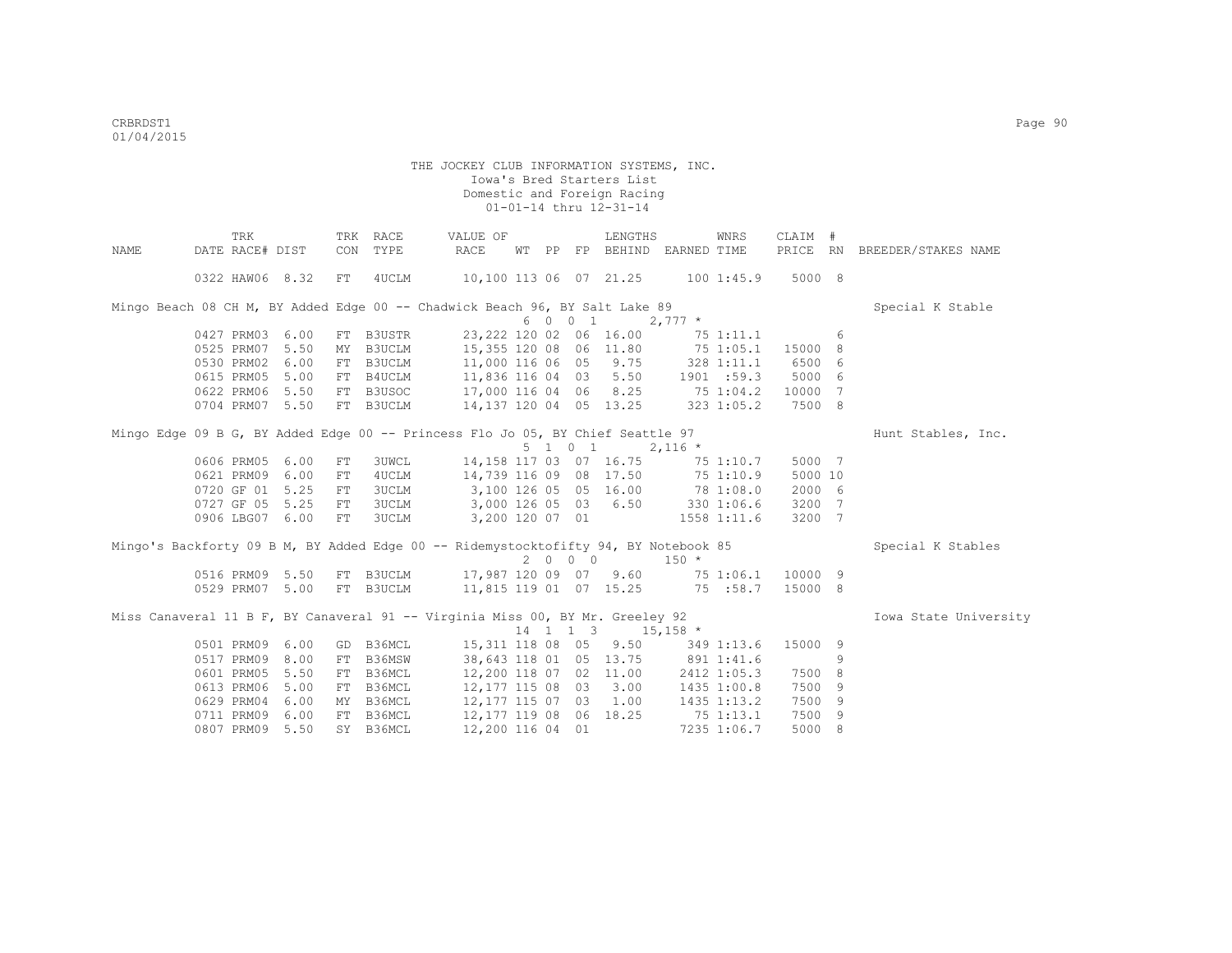|                                                                                     | TRK             |      |     | TRK RACE     | VALUE OF               |                  |          | LENGTHS                |                                       | WNRS        | CLAIM #  |    |                       |
|-------------------------------------------------------------------------------------|-----------------|------|-----|--------------|------------------------|------------------|----------|------------------------|---------------------------------------|-------------|----------|----|-----------------------|
| NAME                                                                                | DATE RACE# DIST |      | CON | TYPE         | RACE                   | WТ               |          |                        | PP FP BEHIND EARNED TIME              |             | PRICE RN |    | BREEDER/STAKES NAME   |
|                                                                                     | 0322 HAW06 8.32 |      | FT  | 4UCLM        | 10,100 113 06 07 21.25 |                  |          |                        | 1001:45.9                             |             | 5000 8   |    |                       |
| Mingo Beach 08 CH M, BY Added Edge 00 -- Chadwick Beach 96, BY Salt Lake 89         |                 |      |     |              |                        |                  |          |                        |                                       |             |          |    | Special K Stable      |
|                                                                                     |                 |      |     |              |                        |                  | 6 0 0 1  |                        | $2,777$ *                             |             |          |    |                       |
|                                                                                     | 0427 PRM03      | 6.00 |     | FT B3USTR    |                        |                  |          | 23,222 120 02 06 16.00 |                                       | 75 1:11.1   |          | 6  |                       |
|                                                                                     | 0525 PRM07      | 5.50 | MY  | B3UCLM       |                        |                  |          |                        | 15,355 120 08 06 11.80 75 1:05.1      |             | 15000 8  |    |                       |
|                                                                                     | 0530 PRM02      | 6.00 |     | FT B3UCLM    |                        |                  |          |                        | 11,000 116 06 05 9.75 328 1:11.1      |             | 6500 6   |    |                       |
|                                                                                     | 0615 PRM05      | 5.00 |     | FT B4UCLM    |                        |                  |          |                        | 11,836 116 04 03 5.50 1901 :59.3      |             | 5000 6   |    |                       |
|                                                                                     | 0622 PRM06      | 5.50 |     | FT B3USOC    |                        |                  |          |                        | 17,000 116 04 06 8.25 75 1:04.2 10000 |             |          | 7  |                       |
|                                                                                     | 0704 PRM07      | 5.50 |     | FT B3UCLM    |                        |                  |          |                        | $14,137$ 120 04 05 13.25 323 1:05.2   |             | 7500 8   |    |                       |
| Mingo Edge 09 B G, BY Added Edge 00 -- Princess Flo Jo 05, BY Chief Seattle 97      |                 |      |     |              |                        |                  |          |                        |                                       |             |          |    | Hunt Stables, Inc.    |
|                                                                                     |                 |      |     |              |                        |                  | 5 1 0 1  |                        | $2,116$ *                             |             |          |    |                       |
|                                                                                     | 0606 PRM05      | 6.00 | FT  | <b>3UWCL</b> | 14,158 117 03 07 16.75 |                  |          |                        | $75$ 1:10.7                           |             | 5000 7   |    |                       |
|                                                                                     | 0621 PRM09      | 6.00 | FT  | 4UCLM        |                        |                  |          |                        | 14,739 116 09 08 17.50 75 1:10.9      |             | 5000 10  |    |                       |
|                                                                                     | 0720 GF 01      | 5.25 | FT  | <b>3UCLM</b> |                        |                  |          |                        | 3,100 126 05 05 16.00 78 1:08.0       |             | 2000 6   |    |                       |
|                                                                                     | 0727 GF 05      | 5.25 | FT  | <b>3UCLM</b> |                        |                  |          |                        | 3,000 126 05 03 6.50 330 1:06.6       |             | 3200 7   |    |                       |
|                                                                                     | 0906 LBG07 6.00 |      | FT  | 3UCLM        |                        |                  |          | 3,200 120 07 01        |                                       | 1558 1:11.6 | 3200 7   |    |                       |
| Mingo's Backforty 09 B M, BY Added Edge 00 -- Ridemystocktofifty 94, BY Notebook 85 |                 |      |     |              |                        |                  |          |                        |                                       |             |          |    | Special K Stables     |
|                                                                                     |                 |      |     |              |                        |                  | 2000     |                        | $150 *$                               |             |          |    |                       |
|                                                                                     | 0516 PRM09 5.50 |      |     | FT B3UCLM    | 17,987 120 09 07 9.60  |                  |          |                        |                                       | 75 1:06.1   | 10000 9  |    |                       |
|                                                                                     | 0529 PRM07      | 5.00 |     | FT B3UCLM    |                        |                  |          |                        | 11,815 119 01 07 15.25 75 :58.7       |             | 15000 8  |    |                       |
| Miss Canaveral 11 B F, BY Canaveral 91 -- Virginia Miss 00, BY Mr. Greeley 92       |                 |      |     |              |                        |                  |          |                        |                                       |             |          |    | Iowa State University |
|                                                                                     |                 |      |     |              |                        |                  | 14 1 1 3 |                        | $15,158$ *                            |             |          |    |                       |
|                                                                                     | 0501 PRM09      | 6.00 |     | GD B36MCL    | 15,311 118 08 05       |                  |          | 9.50                   |                                       | 349 1:13.6  | 15000 9  |    |                       |
|                                                                                     | 0517 PRM09      | 8.00 | FT  | B36MSW       |                        |                  |          |                        | 38,643 118 01 05 13.75 891 1:41.6     |             |          | 9  |                       |
|                                                                                     | 0601 PRM05      | 5.50 | FT  | B36MCL       |                        |                  |          |                        | 12,200 118 07 02 11.00 2412 1:05.3    |             | 7500 8   |    |                       |
|                                                                                     | 0613 PRM06      | 5.00 | FT  | B36MCL       | 12,177 115 08 03 3.00  |                  |          |                        |                                       | 1435 1:00.8 | 7500     | -9 |                       |
|                                                                                     | 0629 PRM04      | 6.00 |     | MY B36MCL    | 12,177 115 07 03 1.00  |                  |          |                        |                                       | 1435 1:13.2 | 7500     | -9 |                       |
|                                                                                     | 0711 PRM09      | 6.00 |     | FT B36MCL    |                        |                  |          | 12,177 119 08 06 18.25 |                                       | 751:13.1    | 7500     | -9 |                       |
|                                                                                     | 0807 PRM09      | 5.50 |     | SY B36MCL    |                        | 12,200 116 04 01 |          |                        |                                       | 7235 1:06.7 | 5000 8   |    |                       |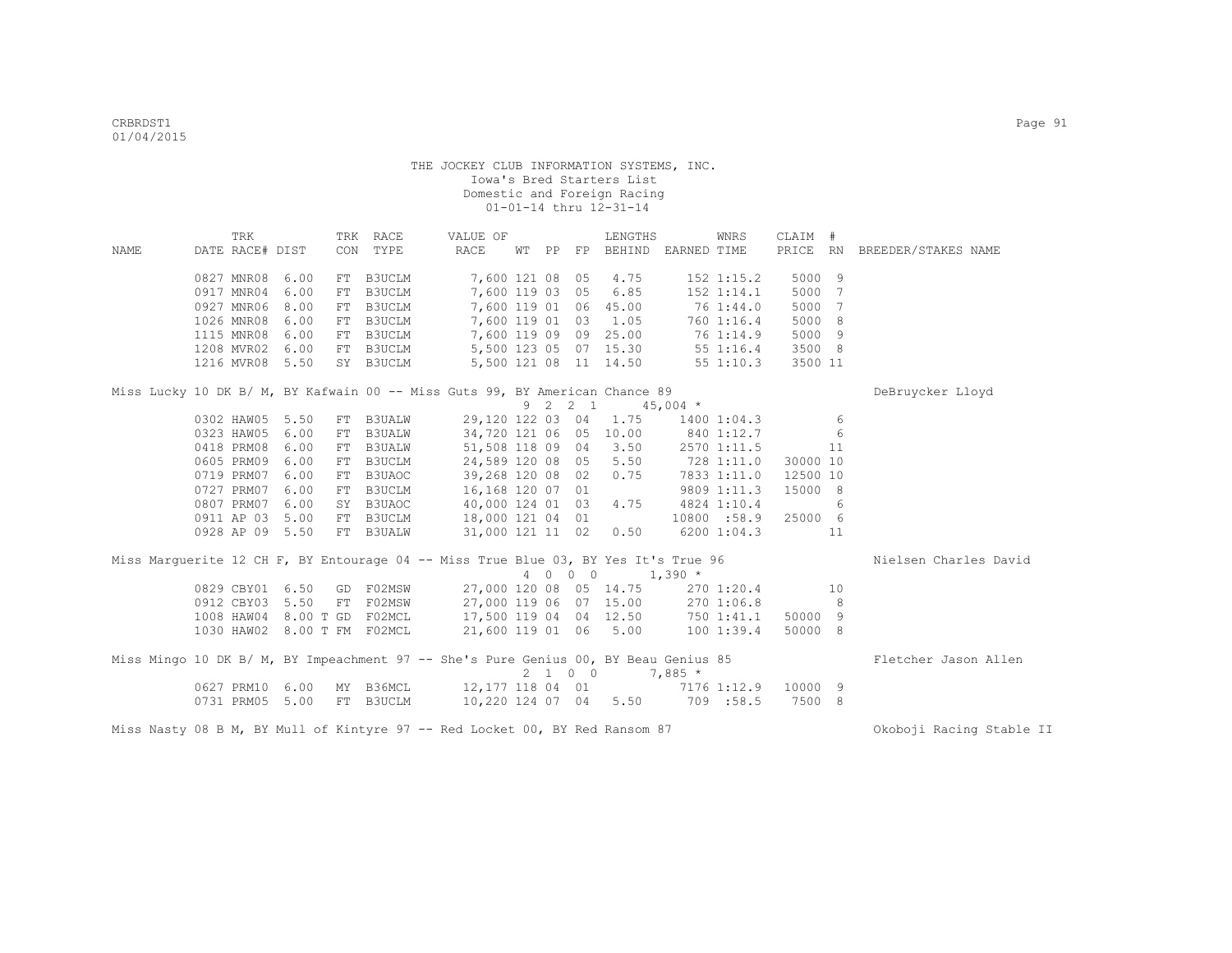|      | TRK                                                                                 |      | TRK RACE                                       | VALUE OF              |  |         | LENGTHS                           | WNRS               | CLAIM #  |            |                              |
|------|-------------------------------------------------------------------------------------|------|------------------------------------------------|-----------------------|--|---------|-----------------------------------|--------------------|----------|------------|------------------------------|
| NAME | DATE RACE# DIST                                                                     |      | CON TYPE                                       | RACE                  |  |         | WT PP FP BEHIND EARNED TIME       |                    |          |            | PRICE RN BREEDER/STAKES NAME |
|      |                                                                                     |      |                                                |                       |  |         |                                   |                    |          |            |                              |
|      | 0827 MNR08                                                                          | 6.00 | FT B3UCLM                                      | 7,600 121 08 05 4.75  |  |         |                                   | $152$ $1:15.2$     | 5000 9   |            |                              |
|      | 0917 MNR04                                                                          | 6.00 | FT B3UCLM                                      | 7,600 119 03 05       |  |         | 6.85                              | 152 1:14.1         | 5000 7   |            |                              |
|      | 0927 MNR06                                                                          | 8.00 | FT B3UCLM                                      | 7,600 119 01 06 45.00 |  |         |                                   | 76 1:44.0          | 5000 7   |            |                              |
|      | 1026 MNR08                                                                          | 6.00 | FT B3UCLM                                      |                       |  |         | 7,600 119 01 03 1.05              | 760 1:16.4         | 5000 8   |            |                              |
|      | 1115 MNR08                                                                          | 6.00 | FT B3UCLM                                      |                       |  |         | 7,600 119 09 09 25.00             | 76 1:14.9          | 5000 9   |            |                              |
|      | 1208 MVR02 6.00                                                                     |      | FT B3UCLM 5,500 123 05 07 15.30                |                       |  |         |                                   | 55 1:16.4          | 3500 8   |            |                              |
|      | 1216 MVR08 5.50                                                                     |      | SY B3UCLM 5,500 121 08 11 14.50                |                       |  |         |                                   | 551:10.3           | 3500 11  |            |                              |
|      | Miss Lucky 10 DK B/ M, BY Kafwain 00 -- Miss Guts 99, BY American Chance 89         |      |                                                |                       |  |         |                                   |                    |          |            | DeBruycker Lloyd             |
|      |                                                                                     |      |                                                |                       |  |         | 9 2 2 1 45,004 *                  |                    |          |            |                              |
|      | 0302 HAW05 5.50                                                                     |      | FT B3UALW                                      |                       |  |         | 29,120 122 03 04 1.75             | 1400 1:04.3        |          | 6          |                              |
|      | 0323 HAW05                                                                          | 6.00 | FT B3UALW                                      |                       |  |         | 34,720 121 06 05 10.00 840 1:12.7 |                    |          | 6          |                              |
|      | 0418 PRM08                                                                          | 6.00 | FT B3UALW                                      | 51,508 118 09 04      |  |         |                                   | $3.50$ 2570 1:11.5 |          | 11         |                              |
|      | 0605 PRM09                                                                          | 6.00 | FT B3UCLM                                      | 24,589 120 08 05      |  |         |                                   | 5.50 728 1:11.0    | 30000 10 |            |                              |
|      | 0719 PRM07                                                                          | 6.00 | FT B3UAOC                                      | 39,268 120 08 02      |  |         |                                   | $0.75$ 7833 1:11.0 | 12500 10 |            |                              |
|      | 0727 PRM07                                                                          | 6.00 | FT B3UCLM                                      | 16,168 120 07 01      |  |         |                                   | 9809 1:11.3        | 15000 8  |            |                              |
|      | 0807 PRM07                                                                          | 6.00 | SY B3UAOC                                      | 40,000 124 01 03      |  |         | 4.75                              | 4824 1:10.4        |          | 6          |                              |
|      | 0911 AP 03                                                                          | 5.00 |                                                | 18,000 121 04 01      |  |         |                                   | 10800 :58.9        | 25000 6  |            |                              |
|      | 0928 AP 09 5.50                                                                     |      | FT B3UCLM<br>FT B3UALW                         | 31,000 121 11 02      |  |         | 0.50                              | $6200$ $1:04.3$    | 11       |            |                              |
|      |                                                                                     |      |                                                |                       |  |         |                                   |                    |          |            |                              |
|      | Miss Marguerite 12 CH F, BY Entourage 04 -- Miss True Blue 03, BY Yes It's True 96  |      |                                                |                       |  |         | $1,390$ *                         |                    |          |            | Nielsen Charles David        |
|      |                                                                                     |      |                                                |                       |  | 4 0 0 0 |                                   |                    |          |            |                              |
|      | 0829 CBY01                                                                          | 6.50 | GD F02MSW                                      |                       |  |         | 27,000 120 08 05 14.75            | 270 1:20.4         | 10       |            |                              |
|      | 0912 CBY03 5.50                                                                     |      | FT F02MSW                                      |                       |  |         | 27,000 119 06 07 15.00            | 270 1:06.8         |          | $_{\rm 8}$ |                              |
|      | 1008 HAW04 8.00 T GD F02MCL 17,500 119 04 04 12.50 750 1:41.1                       |      |                                                |                       |  |         |                                   |                    | 50000 9  |            |                              |
|      | 1030 HAW02 8.00 T FM F02MCL 21,600 119 01 06 5.00 100 1:39.4                        |      |                                                |                       |  |         |                                   |                    | 50000 8  |            |                              |
|      | Miss Mingo 10 DK B/ M, BY Impeachment 97 -- She's Pure Genius 00, BY Beau Genius 85 |      |                                                |                       |  |         |                                   |                    |          |            | Fletcher Jason Allen         |
|      |                                                                                     |      |                                                |                       |  |         | $2 \t1 \t0 \t0 \t7,885 \t*$       |                    |          |            |                              |
|      | 0627 PRM10                                                                          | 6.00 | MY B36MCL 12,177 118 04 01 7176 1:12.9 10000 9 |                       |  |         |                                   |                    |          |            |                              |
|      | 0731 PRM05 5.00                                                                     |      | FT B3UCLM                                      |                       |  |         | 10,220 124 07 04 5.50 709 :58.5   |                    | 7500 8   |            |                              |
|      | Miss Nasty 08 B M, BY Mull of Kintyre 97 -- Red Locket 00, BY Red Ransom 87         |      |                                                |                       |  |         |                                   |                    |          |            | Okoboji Racing Stable II     |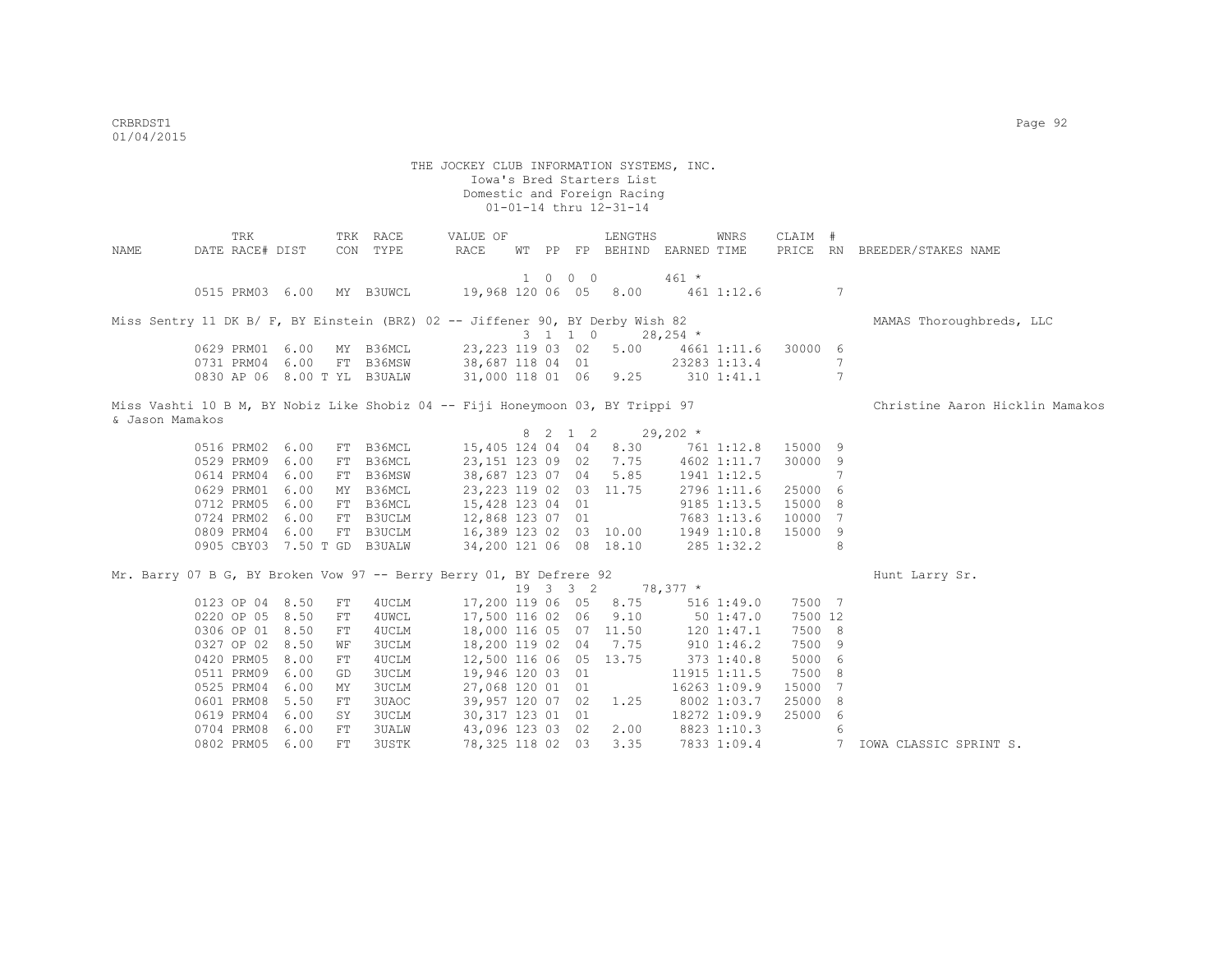THE JOCKEY CLUB INFORMATION SYSTEMS, INC. Iowa's Bred Starters List Domestic and Foreign Racing 01-01-14 thru 12-31-14 TRK TRK RACE VALUE OF LENGTHS WNRS CLAIM # NAME DATE RACE# DIST CON TYPE RACE WT PP FP BEHIND EARNED TIME PRICE RN BREEDER/STAKES NAME 1 0 0 0 461 \* 0515 PRM03 6.00 MY B3UWCL 19,968 120 06 05 8.00 461 1:12.6 7 Miss Sentry 11 DK B/ F, BY Einstein (BRZ) 02 -- Jiffener 90, BY Derby Wish 82 MAMAS Thoroughbreds, LLC 0629 PRM01 6.00 MY B36MCL 37,223 119 03 02 5.00 4661 0623, 223 119 03 02 5.00 4661 1:11.6 30000 6<br>38,687 118 04 01 23283 1:13.4 7 0731 PRM04 6.00 FT B36MSW 38,687 118 04 01 23283 1:13.4 7<br>0830 AP 06 8.00 TYL B3UALW 31,000 118 01 06 9.25 310 1:41.1 7 31,000 118 01 06 9.25 310 1:41.1 Miss Vashti 10 B M, BY Nobiz Like Shobiz 04 -- Fiji Honeymoon 03, BY Trippi 97 Christine Aaron Hicklin Mamakos & Jason Mamakos 8 2 1 2 29,202 \* 0516 PRM02 6.00 FT B36MCL 15,405 124 04 04 8.30 761 1:12.8 15000 9 0529 PRM09 6.00 FT B36MCL 23,151 123 09 02 7.75 4602 1:11.7 30000 9 0614 PRM04 6.00 FT B36MSW 38,687 123 07 04 5.85 1941 1:12.5 7 0629 PRM01 6.00 MY B36MCL 23,223 119 02 03 11.75 2796 1:11.6 25000 6 0712 PRM05 6.00 FT B36MCL 15,428 123 04 01 9185 1:13.5 15000 8 0724 PRM02 6.00 FT B3UCLM 12,868 123 07 01 7683 1:13.6 10000 7<br>0809 PRM04 6.00 FT B3UCLM 16,389 123 02 03 10.00 1949 1:10.8 15000 9 16,389 123 02 03 10.00 1949 1:10.8 15000 9 0905 CBY03 7.50 T GD B3UALW 34,200 121 06 08 18.10 285 1:32.2 8 Mr. Barry 07 B G, BY Broken Vow 97 -- Berry Berry 01, BY Defrere 92 Hunt Larry Sr. 19 3 3 2 78,377 \* 0123 OP 04 8.50 FT 4UCLM 17,200 119 06 05 8.75 516 1:49.0 7500 7 0220 OP 05 8.50 FT 4UWCL 17,500 116 02 06 9.10 50 1:47.0 7500 12 0306 OP 01 8.50 FT 4UCLM 18,000 116 05 07 11.50 120 1:47.1 7500 8 0327 OP 02 8.50 WF 3UCLM 18,200 119 02 04 7.75 910 1:46.2 7500 9<br>0420 PRM05 8.00 FT 4UCLM 12,500 116 06 05 13.75 373 1:40.8 5000 6 0420 PRM05 8.00 FT 4UCLM 12,500 116 06 05 13.75 373 1:40.8 5000 6<br>0511 PRM09 6.00 GD 3UCLM 19,946 120 03 01 11915 1:11.5 7500 8<br>0525 PRM04 6.00 MY 3UCLM 27,068 120 01 01 16263 1:09.9 15000 7 0511 PRM09 6.00 GD 3UCLM 0525 PRM04 6.00 MY 3UCLM 27,068 120 01 01 16263 1:09.9 15000 7<br>0601 PRM08 5.50 FT 3UAOC 39.957 120 07 02 1.25 8002 1:03.7 25000 8 0601 PRM08 5.50 FT 3UAOC 39,957 120 07 02 1.25 8002 1:03.7 0619 PRM04 6.00 SY 3UCLM 30,317 123 01 01 18272 1:09.9 25000 6 0704 PRM08 6.00 FT 3UALW 43,096 123 03 02 2.00 8823 1:10.3 6<br>0802 PRM05 6.00 FT 3USTK 78,325 118 02 03 3.35 7833 1:09.4 7 IOWA CLASSIC SPRINT S.

0802 PRM05 6.00 FT 3USTK 78,325 118 02 03 3.35 7833 1:09.4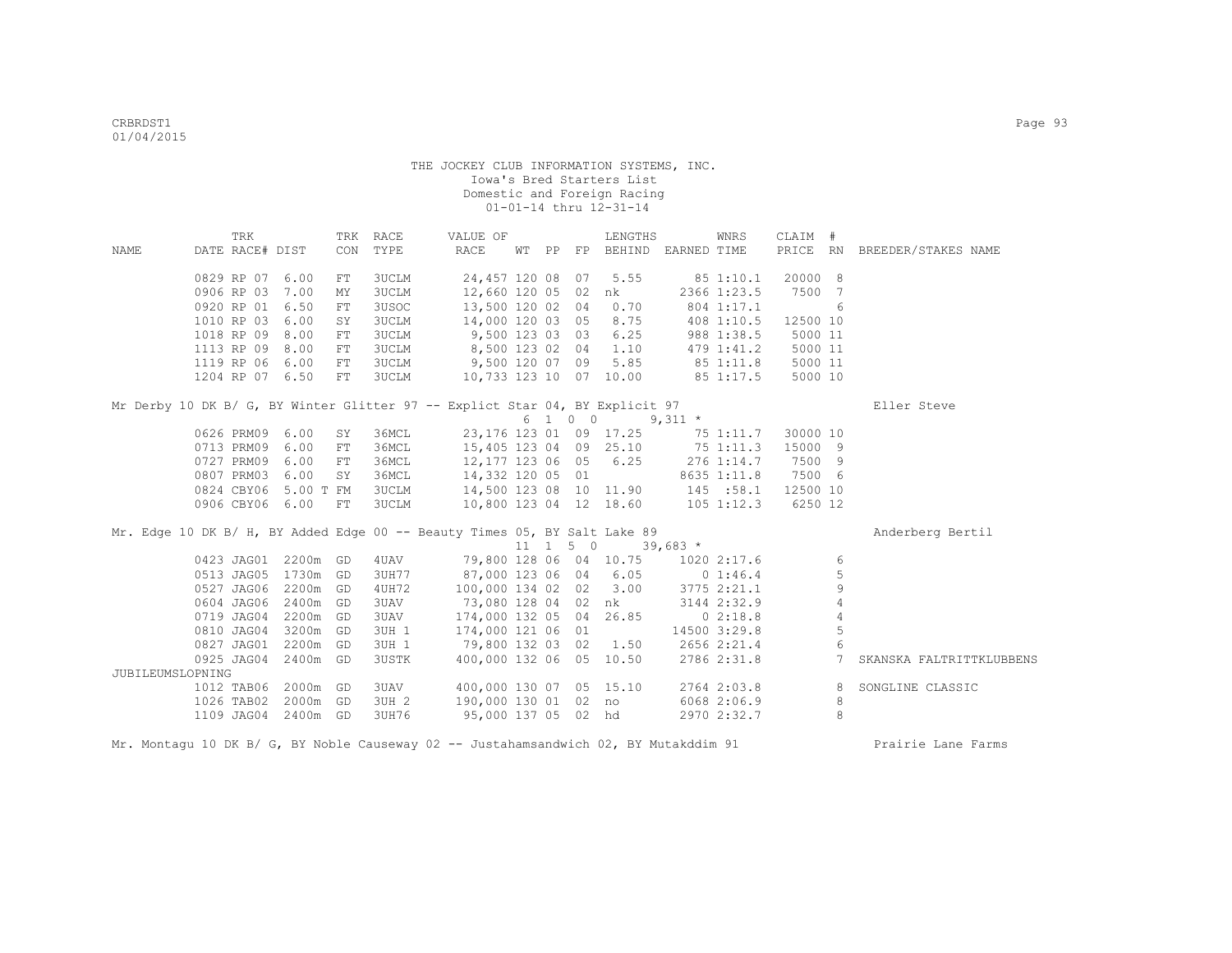|                  | TRK             |           |            | TRK RACE     | VALUE OF                                                                     |  |                              | LENGTHS                                         |             | WNRS         | CLAIM #  |                     |                              |
|------------------|-----------------|-----------|------------|--------------|------------------------------------------------------------------------------|--|------------------------------|-------------------------------------------------|-------------|--------------|----------|---------------------|------------------------------|
| NAME             | DATE RACE# DIST |           |            | CON TYPE     | RACE                                                                         |  |                              | WT PP FP BEHIND EARNED TIME                     |             |              |          |                     | PRICE RN BREEDER/STAKES NAME |
|                  |                 |           |            |              |                                                                              |  |                              |                                                 |             |              |          |                     |                              |
|                  | 0829 RP 07      | 6.00      | FT         | 3UCLM        | 24,457 120 08 07                                                             |  |                              | 5.55                                            |             | 85 1:10.1    | 20000 8  |                     |                              |
|                  | 0906 RP 03      | 7.00      | MΥ         | <b>3UCLM</b> | 12,660 120 05 02                                                             |  |                              | nk                                              |             | 2366 1:23.5  | 7500 7   |                     |                              |
|                  | 0920 RP 01      | 6.50      | FT         | 3USOC        | 13,500 120 02 04                                                             |  |                              | 0.70                                            |             | 804 1:17.1   |          | 6                   |                              |
|                  | 1010 RP 03      | 6.00      | SY         | <b>3UCLM</b> | 14,000 120 03 05                                                             |  |                              | 8.75                                            |             | 408 1:10.5   | 12500 10 |                     |                              |
|                  | 1018 RP 09      | 8.00      | FT         | 3UCLM        | 9,500 123 03 03                                                              |  |                              | 6.25                                            |             | 988 1:38.5   | 5000 11  |                     |                              |
|                  | 1113 RP 09      | 8.00      | ${\rm FT}$ | <b>3UCLM</b> | 8,500 123 02 04                                                              |  |                              | 1.10                                            |             | 479 1:41.2   | 5000 11  |                     |                              |
|                  | 1119 RP 06      | 6.00      | FT         | <b>3UCLM</b> | 9,500 120 07 09                                                              |  |                              | 5.85                                            | 851:11.8    |              | 5000 11  |                     |                              |
|                  | 1204 RP 07 6.50 |           | FT         | <b>3UCLM</b> |                                                                              |  |                              | 10,733 123 10 07 10.00                          | 85 1:17.5   |              | 5000 10  |                     |                              |
|                  |                 |           |            |              | Mr Derby 10 DK B/ G, BY Winter Glitter 97 -- Explict Star 04, BY Explicit 97 |  |                              |                                                 |             |              |          |                     | Eller Steve                  |
|                  |                 |           |            |              |                                                                              |  |                              | $6 \t1 \t0 \t0 \t9,311 \t\t*$                   |             |              |          |                     |                              |
|                  | 0626 PRM09 6.00 |           | SY         | 36MCL        |                                                                              |  |                              | 23, 176 123 01 09 17.25                         |             | 75 1:11.7    | 30000 10 |                     |                              |
|                  | 0713 PRM09      | 6.00      | FT         | 36MCL        | 15,405 123 04 09 25.10                                                       |  |                              |                                                 |             | 75 1:11.3    | 15000 9  |                     |                              |
|                  | 0727 PRM09      | 6.00      | FT         | 36MCL        | 12,177 123 06 05                                                             |  |                              | 6.25                                            |             | 276 1:14.7   | 7500 9   |                     |                              |
|                  | 0807 PRM03      | 6.00      | SY         | 36MCL        | 14,332 120 05 01                                                             |  |                              |                                                 |             | 8635 1:11.8  | 7500 6   |                     |                              |
|                  | 0824 CBY06      | 5.00 T FM |            | <b>3UCLM</b> |                                                                              |  |                              | 14,500 123 08 10 11.90 145 :58.1                |             |              | 12500 10 |                     |                              |
|                  | 0906 CBY06 6.00 |           | FT         | <b>3UCLM</b> |                                                                              |  |                              | 10,800 123 04 12 18.60                          |             | 105 1:12.3   | 6250 12  |                     |                              |
|                  |                 |           |            |              | Mr. Edge 10 DK B/ H, BY Added Edge 00 -- Beauty Times 05, BY Salt Lake 89    |  |                              |                                                 |             |              |          |                     |                              |
|                  |                 |           |            |              |                                                                              |  | $11 \quad 1 \quad 5 \quad 0$ |                                                 |             |              |          |                     | Anderberg Bertil             |
|                  | 0423 JAG01      |           |            | 4 UAV        |                                                                              |  |                              | $39,683*$<br>79,800 128 06 04 10.75 1020 2:17.6 |             |              |          |                     |                              |
|                  |                 | 2200m GD  |            |              |                                                                              |  |                              |                                                 |             |              |          | 6                   |                              |
|                  | 0513 JAG05      | 1730m GD  |            | 3UH77        | 87,000 123 06 04 6.05                                                        |  |                              |                                                 | $0\;1:46.4$ |              |          | 5                   |                              |
|                  | 0527 JAG06      | 2200m GD  |            | 4UH72        | 100,000 134 02 02 3.00                                                       |  |                              |                                                 |             | 3775 2:21.1  |          | 9<br>$\overline{4}$ |                              |
|                  | 0604 JAG06      | 2400m GD  |            | 3UAV         | 73,080 128 04 02 nk                                                          |  |                              |                                                 |             | 3144 2:32.9  |          |                     |                              |
|                  | 0719 JAG04      | 2200m GD  |            | 3UAV         | 174,000 132 05 04 26.85                                                      |  |                              |                                                 |             | 02:18.8      |          | $\overline{4}$      |                              |
|                  | 0810 JAG04      | 3200m GD  |            | 3UH 1        | 174,000 121 06 01                                                            |  |                              |                                                 |             | 14500 3:29.8 |          | 5                   |                              |
|                  | 0827 JAG01      | 2200m GD  |            | 3UH 1        | 79,800 132 03 02                                                             |  |                              | 1.50                                            |             | 2656 2:21.4  |          | 6                   |                              |
|                  | 0925 JAG04      | 2400m GD  |            | 3USTK        | 400,000 132 06 05 10.50                                                      |  |                              |                                                 |             | 2786 2:31.8  |          | $7\overline{ }$     | SKANSKA FALTRITTKLUBBENS     |
| JUBILEUMSLOPNING |                 |           |            |              |                                                                              |  |                              |                                                 |             |              |          |                     |                              |
|                  | 1012 TAB06      | 2000m GD  |            | 3UAV         | 400,000 130 07 05 15.10                                                      |  |                              |                                                 |             | 2764 2:03.8  |          | 8                   | SONGLINE CLASSIC             |
|                  | 1026 TAB02      | 2000m GD  |            | 3UH 2        | 190,000 130 01 02 no                                                         |  |                              |                                                 |             | 6068 2:06.9  |          | 8                   |                              |
|                  | 1109 JAG04      | 2400m GD  |            | 3UH76        | 95,000 137 05 02 hd                                                          |  |                              |                                                 |             | 2970 2:32.7  |          | 8                   |                              |

Mr. Montagu 10 DK B/ G, BY Noble Causeway 02 -- Justahamsandwich 02, BY Mutakddim 91 Prairie Lane Farms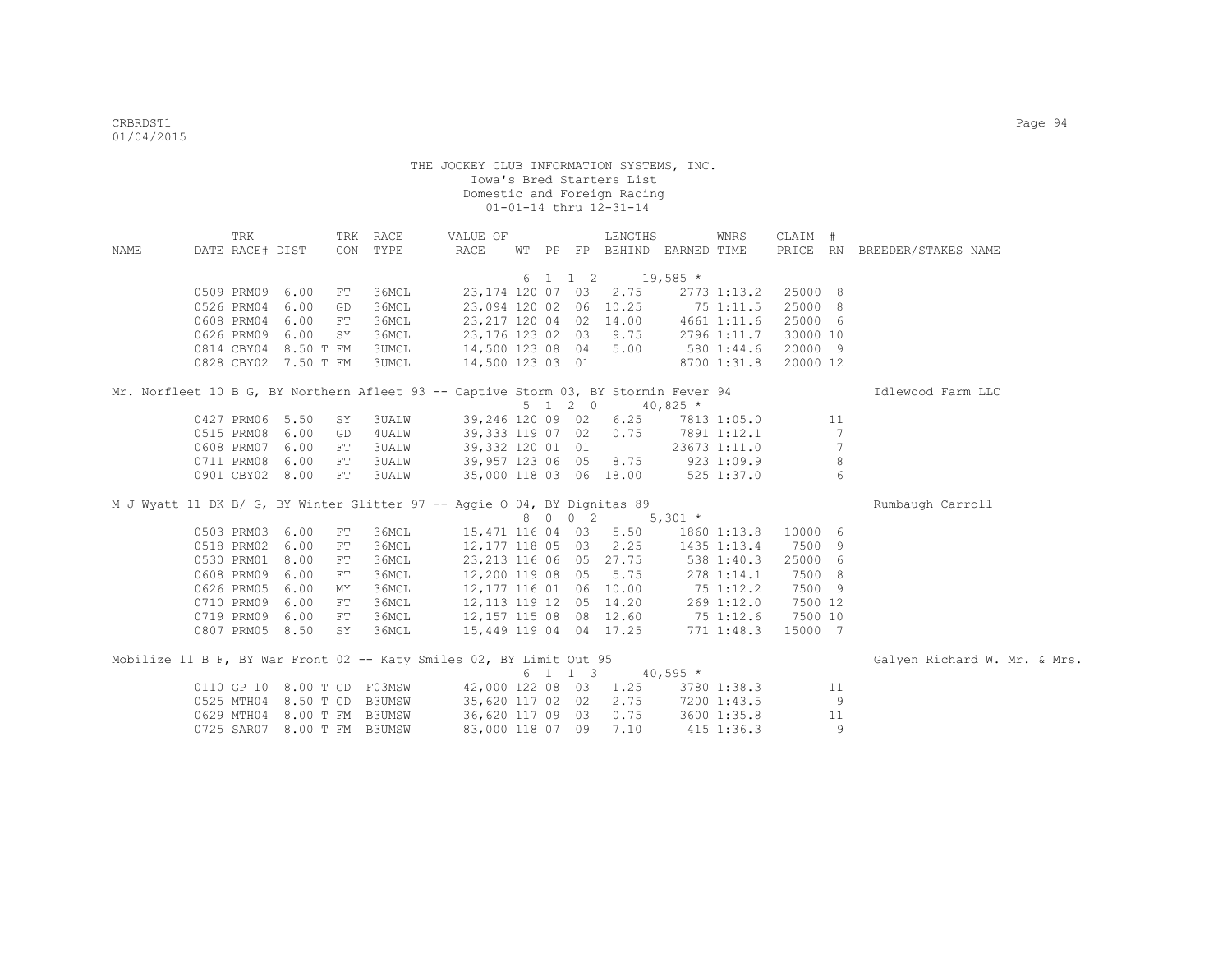|      | TRK             |                             |    | TRK RACE     | VALUE OF                                                                            |       |                 | LENGTHS                           |             | WNRS         | CLAIM #  |                 |                              |
|------|-----------------|-----------------------------|----|--------------|-------------------------------------------------------------------------------------|-------|-----------------|-----------------------------------|-------------|--------------|----------|-----------------|------------------------------|
| NAME | DATE RACE# DIST |                             |    | CON TYPE     | RACE                                                                                | WT PP |                 | FP BEHIND EARNED TIME             |             |              |          |                 | PRICE RN BREEDER/STAKES NAME |
|      |                 |                             |    |              |                                                                                     |       |                 |                                   |             |              |          |                 |                              |
|      |                 |                             |    |              |                                                                                     |       | 6 1 1 2         | $19,585$ *                        |             |              |          |                 |                              |
|      | 0509 PRM09 6.00 |                             | FT | 36MCL        | 23,174 120 07 03                                                                    |       |                 | 2.75                              |             | 2773 1:13.2  | 25000 8  |                 |                              |
|      | 0526 PRM04      | 6.00                        | GD | 36MCL        | 23,094 120 02 06 10.25                                                              |       |                 |                                   | $75$ 1:11.5 |              | 25000 8  |                 |                              |
|      | 0608 PRM04 6.00 |                             | FT | 36MCL        |                                                                                     |       |                 | 23, 217 120 04 02 14.00           |             | 4661 1:11.6  | 25000 6  |                 |                              |
|      | 0626 PRM09 6.00 |                             | SY | 36MCL        | 23,176 123 02 03 9.75                                                               |       |                 |                                   |             | 2796 1:11.7  | 30000 10 |                 |                              |
|      |                 | 0814 CBY04 8.50 T FM        |    | 3UMCL        | 14,500 123 08 04 5.00                                                               |       |                 |                                   |             | 580 1:44.6   | 20000 9  |                 |                              |
|      |                 | 0828 CBY02 7.50 T FM        |    | 3UMCL        | 14,500 123 03 01                                                                    |       |                 |                                   |             | 8700 1:31.8  | 20000 12 |                 |                              |
|      |                 |                             |    |              | Mr. Norfleet 10 B G, BY Northern Afleet 93 -- Captive Storm 03, BY Stormin Fever 94 |       |                 |                                   |             |              |          |                 | Idlewood Farm LLC            |
|      |                 |                             |    |              |                                                                                     |       | $5 \t1 \t2 \t0$ |                                   | $40,825$ *  |              |          |                 |                              |
|      | 0427 PRM06 5.50 |                             | SY | <b>3UALW</b> | 39,246 120 09 02                                                                    |       |                 | 6.25                              |             | 7813 1:05.0  |          | 11              |                              |
|      | 0515 PRM08      | 6.00                        | GD | 4UALW        |                                                                                     |       |                 | 39,333 119 07 02 0.75             |             | 7891 1:12.1  |          | $7\phantom{.0}$ |                              |
|      | 0608 PRM07 6.00 |                             | FT | <b>3UALW</b> | 39,332 120 01 01                                                                    |       |                 |                                   |             | 23673 1:11.0 |          | 7               |                              |
|      | 0711 PRM08 6.00 |                             | FT | <b>3UALW</b> | 39,957 123 06 05 8.75                                                               |       |                 |                                   |             | 9231:09.9    |          | $\,8\,$         |                              |
|      | 0901 CBY02 8.00 |                             | FT | <b>3UALW</b> | 35,000 118 03 06 18.00                                                              |       |                 |                                   |             | 525 1:37.0   |          | 6               |                              |
|      |                 |                             |    |              |                                                                                     |       |                 |                                   |             |              |          |                 |                              |
|      |                 |                             |    |              | M J Wyatt 11 DK B/ G, BY Winter Glitter 97 -- Aqqie O 04, BY Dignitas 89            |       |                 |                                   |             |              |          |                 | Rumbaugh Carroll             |
|      |                 |                             |    |              |                                                                                     |       | 8 0 0 2         | $5,301*$                          |             |              |          |                 |                              |
|      | 0503 PRM03      | 6.00                        | FT | 36MCL        | 15,471 116 04 03 5.50                                                               |       |                 |                                   |             | 1860 1:13.8  | 10000 6  |                 |                              |
|      | 0518 PRM02 6.00 |                             | FT | 36MCL        | 12,177 118 05 03                                                                    |       |                 | 2.25                              |             | 1435 1:13.4  | 7500 9   |                 |                              |
|      | 0530 PRM01      | 8.00                        | FT | 36MCL        | 23, 213 116 06 05 27.75                                                             |       |                 |                                   |             | 538 1:40.3   | 25000 6  |                 |                              |
|      | 0608 PRM09      | 6.00                        | FT | 36MCL        | 12,200 119 08 05                                                                    |       |                 | 5.75                              |             | 278 1:14.1   | 7500 8   |                 |                              |
|      | 0626 PRM05      | 6.00                        | MY | 36MCL        | 12,177 116 01 06 10.00                                                              |       |                 |                                   | 75 1:12.2   |              | 7500 9   |                 |                              |
|      | 0710 PRM09      | 6.00                        | FT | 36MCL        | 12, 113 119 12 05 14.20                                                             |       |                 |                                   | 269 1:12.0  |              | 7500 12  |                 |                              |
|      | 0719 PRM09      | 6.00                        | FT | 36MCL        |                                                                                     |       |                 | 12, 157 115 08 08 12.60 75 1:12.6 |             |              | 7500 10  |                 |                              |
|      | 0807 PRM05 8.50 |                             | SY | 36MCL        |                                                                                     |       |                 | 15,449 119 04 04 17.25            |             | 771 1:48.3   | 15000 7  |                 |                              |
|      |                 |                             |    |              |                                                                                     |       |                 |                                   |             |              |          |                 |                              |
|      |                 |                             |    |              | Mobilize 11 B F, BY War Front 02 -- Katy Smiles 02, BY Limit Out 95                 |       |                 |                                   |             |              |          |                 | Galyen Richard W. Mr. & Mrs. |
|      |                 |                             |    |              |                                                                                     |       | 6 1 1 3         |                                   | $40,595$ *  |              |          |                 |                              |
|      |                 | 0110 GP 10 8.00 T GD        |    | F03MSW       |                                                                                     |       |                 | 42,000 122 08 03 1.25             |             | 3780 1:38.3  |          | 11              |                              |
|      |                 | 0525 MTH04 8.50 T GD        |    | B3UMSW       |                                                                                     |       |                 | 35,620 117 02 02 2.75             |             | 7200 1:43.5  |          | 9               |                              |
|      |                 | 0629 MTH04 8.00 T FM B3UMSW |    |              | 36,620 117 09 03 0.75                                                               |       |                 |                                   |             | 3600 1:35.8  |          | 11              |                              |
|      |                 | 0725 SAR07 8.00 T FM B3UMSW |    |              | 83,000 118 07 09                                                                    |       |                 | 7.10                              |             | 415 1:36.3   |          | 9               |                              |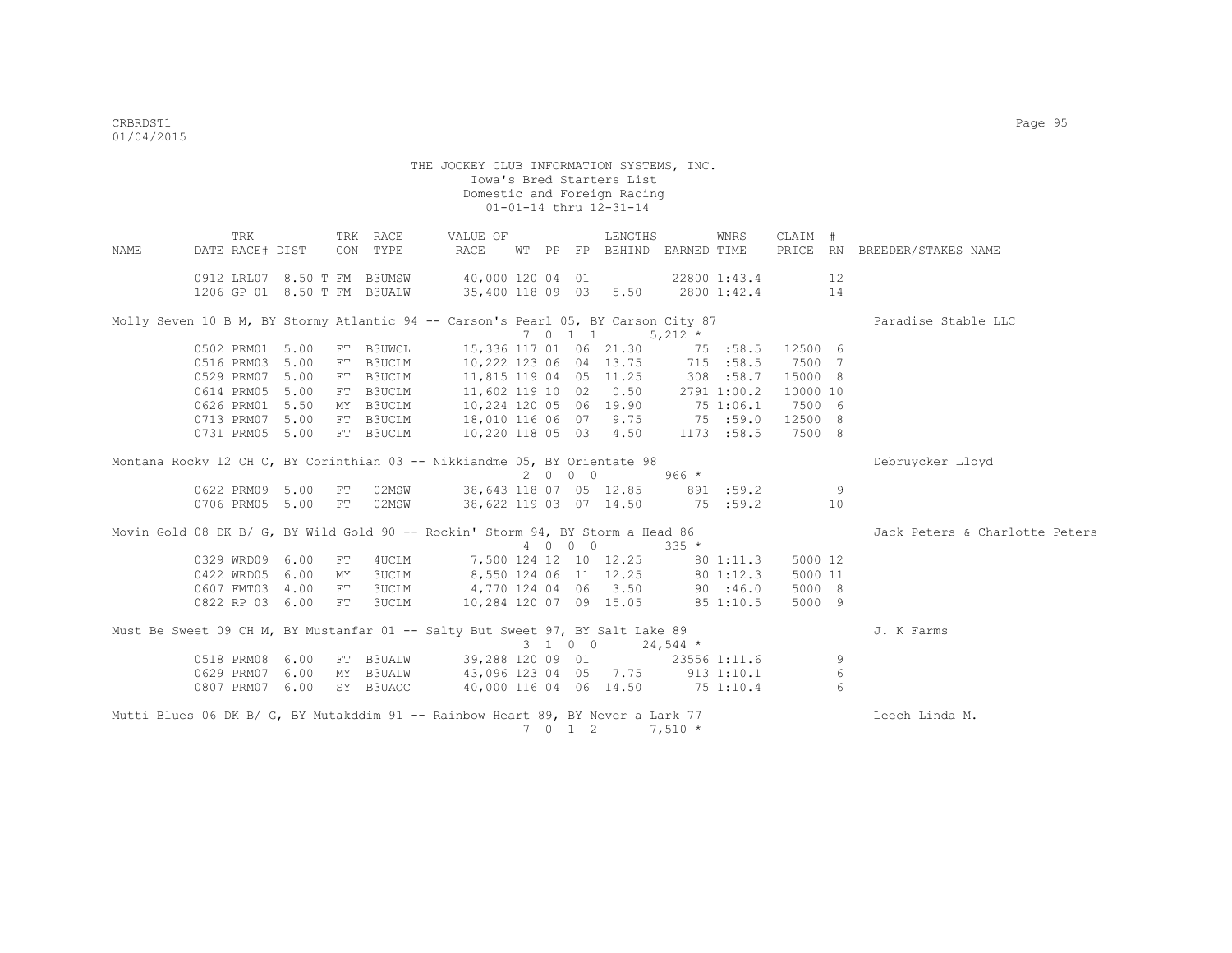|                                                                                 | TRK             |    | TRK RACE                    | VALUE OF                                                                          |  |         | LENGTHS                      |           | WNRS               | CLAIM #  |    |                                |
|---------------------------------------------------------------------------------|-----------------|----|-----------------------------|-----------------------------------------------------------------------------------|--|---------|------------------------------|-----------|--------------------|----------|----|--------------------------------|
| NAME                                                                            | DATE RACE# DIST |    | CON TYPE                    | <b>RACE</b>                                                                       |  |         | WT PP FP BEHIND EARNED TIME  |           |                    |          |    | PRICE RN BREEDER/STAKES NAME   |
|                                                                                 |                 |    | 0912 LRL07 8.50 T FM B3UMSW | 40,000 120 04 01                                                                  |  |         |                              |           | 22800 1:43.4       |          | 12 |                                |
|                                                                                 |                 |    | 1206 GP 01 8.50 T FM B3UALW | 35,400 118 09 03                                                                  |  |         |                              |           | $5.50$ 2800 1:42.4 |          | 14 |                                |
|                                                                                 |                 |    |                             |                                                                                   |  |         |                              |           |                    |          |    |                                |
|                                                                                 |                 |    |                             | Molly Seven 10 B M, BY Stormy Atlantic 94 -- Carson's Pearl 05, BY Carson City 87 |  |         |                              |           |                    |          |    | Paradise Stable LLC            |
|                                                                                 |                 |    |                             |                                                                                   |  | 7 0 1 1 |                              | $5,212$ * |                    |          |    |                                |
|                                                                                 | 0502 PRM01 5.00 |    | FT B3UWCL                   | 15,336 117 01 06 21.30                                                            |  |         |                              | 75 :58.5  |                    | 12500 6  |    |                                |
|                                                                                 | 0516 PRM03 5.00 |    | FT B3UCLM                   | 10,222 123 06 04 13.75                                                            |  |         |                              |           | 715 : 58.5         | 7500 7   |    |                                |
|                                                                                 | 0529 PRM07 5.00 |    | FT B3UCLM                   | 11,815 119 04 05 11.25                                                            |  |         |                              |           | 308 :58.7          | 15000 8  |    |                                |
|                                                                                 | 0614 PRM05 5.00 |    | FT B3UCLM                   | 11,602 119 10 02 0.50                                                             |  |         |                              |           | 2791 1:00.2        | 10000 10 |    |                                |
|                                                                                 | 0626 PRM01 5.50 |    | MY B3UCLM                   | 10,224 120 05 06 19.90                                                            |  |         |                              | 75 1:06.1 |                    | 7500 6   |    |                                |
|                                                                                 | 0713 PRM07 5.00 |    | FT B3UCLM                   | 18,010 116 06 07 9.75                                                             |  |         |                              | 75:59.0   |                    | 12500 8  |    |                                |
|                                                                                 | 0731 PRM05 5.00 |    | FT B3UCLM                   | 10,220 118 05 03 4.50                                                             |  |         |                              |           | 1173 :58.5         | 7500 8   |    |                                |
|                                                                                 |                 |    |                             |                                                                                   |  |         |                              |           |                    |          |    |                                |
|                                                                                 |                 |    |                             | Montana Rocky 12 CH C, BY Corinthian 03 -- Nikkiandme 05, BY Orientate 98         |  |         |                              |           |                    |          |    | Debruycker Lloyd               |
|                                                                                 |                 |    |                             |                                                                                   |  | 2000    |                              | $966 *$   |                    |          |    |                                |
|                                                                                 | 0622 PRM09 5.00 | FT | 02MSW                       | 38,643 118 07 05 12.85                                                            |  |         |                              |           | 891 :59.2          |          | 9  |                                |
|                                                                                 | 0706 PRM05 5.00 | FT | 02MSW                       | 38,622 119 03 07 14.50                                                            |  |         |                              |           | 75 :59.2           |          | 10 |                                |
|                                                                                 |                 |    |                             | Movin Gold 08 DK B/ G, BY Wild Gold 90 -- Rockin' Storm 94, BY Storm a Head 86    |  |         |                              |           |                    |          |    | Jack Peters & Charlotte Peters |
|                                                                                 |                 |    |                             |                                                                                   |  | 4 0 0 0 |                              | $335 *$   |                    |          |    |                                |
|                                                                                 | 0329 WRD09 6.00 | FT | 4UCLM                       |                                                                                   |  |         | 7,500 124 12 10 12.25        |           | 80 1:11.3          | 5000 12  |    |                                |
|                                                                                 | 0422 WRD05 6.00 | MY | 3UCLM                       | 8,550 124 06 11 12.25                                                             |  |         |                              |           | 80 1:12.3          | 5000 11  |    |                                |
|                                                                                 | 0607 FMT03 4.00 | FT | 3UCLM                       | 4,770 124 04 06 3.50                                                              |  |         |                              | 90:46.0   |                    | 5000 8   |    |                                |
|                                                                                 | 0822 RP 03 6.00 | FT | 3UCLM                       | 10,284 120 07 09 15.05                                                            |  |         |                              | 85 1:10.5 |                    | 5000 9   |    |                                |
|                                                                                 |                 |    |                             |                                                                                   |  |         |                              |           |                    |          |    |                                |
|                                                                                 |                 |    |                             | Must Be Sweet 09 CH M, BY Mustanfar 01 -- Salty But Sweet 97, BY Salt Lake 89     |  |         |                              |           |                    |          |    | J. K Farms                     |
|                                                                                 |                 |    |                             |                                                                                   |  |         | $3 \t1 \t0 \t0 \t24.544 \t*$ |           |                    |          |    |                                |
|                                                                                 | 0518 PRM08 6.00 |    | FT B3UALW                   | 39,288 120 09 01 23556 1:11.6                                                     |  |         |                              |           |                    |          | 9  |                                |
|                                                                                 | 0629 PRM07 6.00 |    | MY B3UALW                   | 43,096 123 04 05 7.75 913 1:10.1                                                  |  |         |                              |           |                    |          | 6  |                                |
|                                                                                 | 0807 PRM07 6.00 |    | SY B3UAOC                   | 40,000 116 04 06 14.50                                                            |  |         |                              | 751:10.4  |                    |          | 6  |                                |
| Mutti Blues 06 DK B/ G, BY Mutakddim 91 -- Rainbow Heart 89, BY Never a Lark 77 |                 |    |                             |                                                                                   |  |         |                              |           |                    |          |    | Leech Linda M.                 |
|                                                                                 |                 |    |                             |                                                                                   |  | 7 0 1 2 |                              | $7,510 *$ |                    |          |    |                                |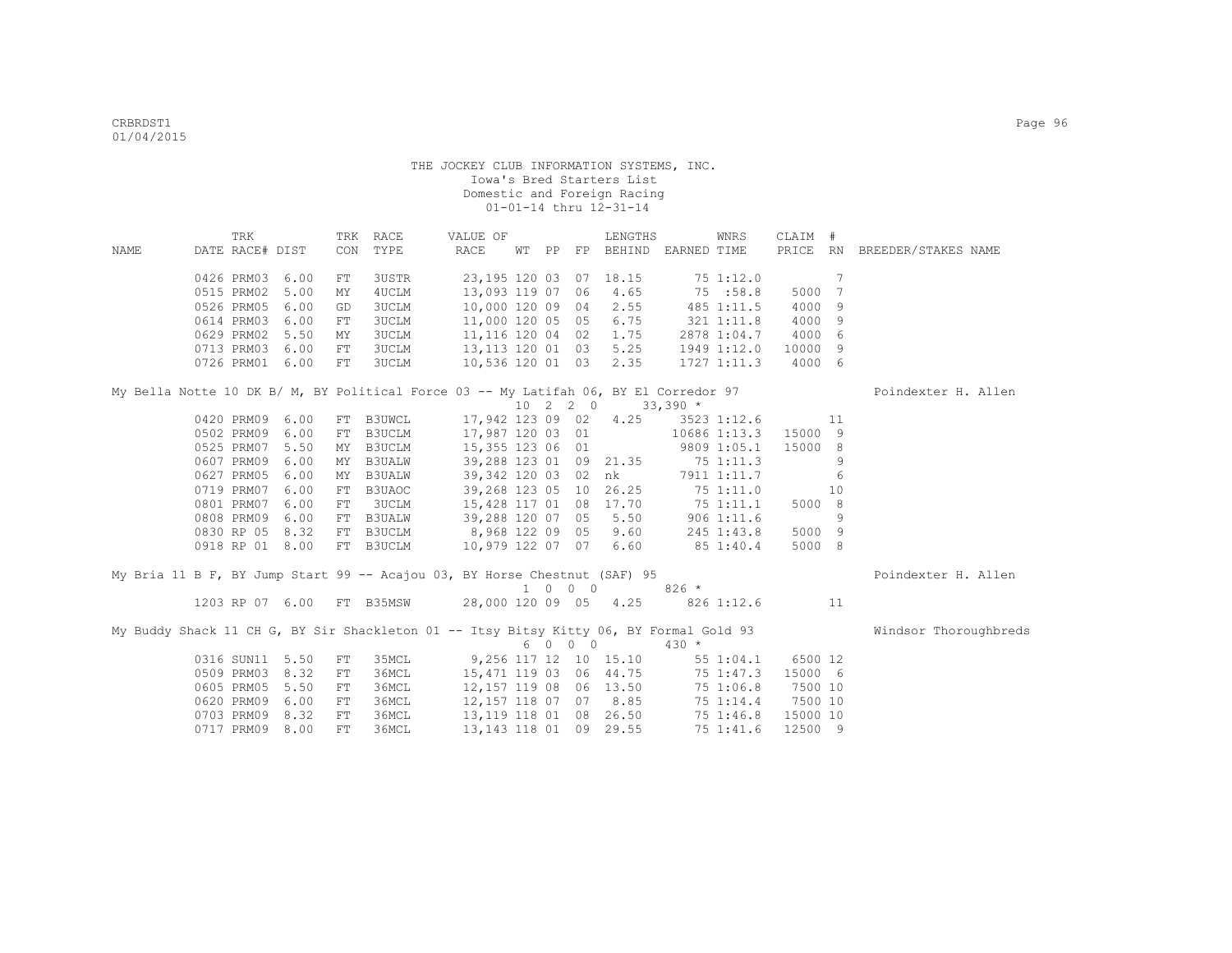|      | TRK                       |      |     | TRK RACE      | VALUE OF                                                                               |  |                             | LENGTHS                     |                | WNRS            | CLAIM #          |                 |                              |
|------|---------------------------|------|-----|---------------|----------------------------------------------------------------------------------------|--|-----------------------------|-----------------------------|----------------|-----------------|------------------|-----------------|------------------------------|
| NAME | DATE RACE# DIST           |      | CON | TYPE          | RACE                                                                                   |  |                             | WT PP FP BEHIND EARNED TIME |                |                 |                  |                 | PRICE RN BREEDER/STAKES NAME |
|      |                           |      |     |               |                                                                                        |  |                             |                             |                |                 |                  |                 |                              |
|      | 0426 PRM03                | 6.00 | FT  | 3USTR         | 23, 195 120 03 07 18.15                                                                |  |                             |                             |                | 751:12.0        |                  | $7\phantom{.0}$ |                              |
|      | 0515 PRM02                | 5.00 | MY  | 4UCLM         | 13,093 119 07                                                                          |  |                             | 06 4.65                     | 75 :58.8       |                 | 5000             | 7               |                              |
|      | 0526 PRM05                | 6.00 | GD  | 3UCLM         | 10,000 120 09 04 2.55                                                                  |  |                             |                             |                | 485 1:11.5      | 4000             | 9               |                              |
|      | 0614 PRM03                | 6.00 | FT  | 3UCLM         | 11,000 120 05 05 6.75                                                                  |  |                             |                             | $321$ $1:11.8$ |                 | 4000             | 9               |                              |
|      | 0629 PRM02                | 5.50 | MY  | 3UCLM         | 11,116 120 04 02 1.75                                                                  |  |                             |                             |                |                 | 2878 1:04.7 4000 | - 6             |                              |
|      | 0713 PRM03                | 6.00 | FT  | 3UCLM         | 13, 113 120 01 03 5.25                                                                 |  |                             |                             |                | 1949 1:12.0     | 10000            | -9              |                              |
|      | 0726 PRM01 6.00           |      | FT  | 3UCLM         | 10,536 120 01 03 2.35                                                                  |  |                             |                             |                | $1727$ $1:11.3$ | 4000 6           |                 |                              |
|      |                           |      |     |               | My Bella Notte 10 DK B/ M, BY Political Force 03 -- My Latifah 06, BY El Corredor 97   |  |                             |                             |                |                 |                  |                 | Poindexter H. Allen          |
|      |                           |      |     |               |                                                                                        |  | 10 2 2 0                    |                             | $33,390*$      |                 |                  |                 |                              |
|      | 0420 PRM09                | 6.00 |     | FT B3UWCL     | 17,942 123 09 02 4.25                                                                  |  |                             |                             |                | 3523 1:12.6     |                  | 11              |                              |
|      | 0502 PRM09                | 6.00 | FT  | B3UCLM        | 17,987 120 03 01                                                                       |  |                             |                             |                | 10686 1:13.3    | 15000 9          |                 |                              |
|      | 0525 PRM07                | 5.50 | MY  | B3UCLM        | 15,355 123 06 01                                                                       |  |                             |                             |                | 9809 1:05.1     | 15000 8          |                 |                              |
|      | 0607 PRM09                | 6.00 | MY  | <b>B3UALW</b> | 39,288 123 01 09 21.35 75 1:11.3                                                       |  |                             |                             |                |                 |                  | 9               |                              |
|      | 0627 PRM05                | 6.00 | MY  | <b>B3UALW</b> | 39,342 120 03 02 nk                                                                    |  |                             |                             |                | 7911 1:11.7     |                  | 6               |                              |
|      | 0719 PRM07                | 6.00 | FT  | B3UAOC        | 39,268 123 05 10 26.25 75 1:11.0                                                       |  |                             |                             |                |                 |                  | 10              |                              |
|      | 0801 PRM07                | 6.00 | FT  | 3UCLM         | 15,428 117 01 08 17.70 75 1:11.1                                                       |  |                             |                             |                |                 | 5000 8           |                 |                              |
|      | 0808 PRM09                | 6.00 | FT  | <b>B3UALW</b> | 39,288 120 07 05 5.50                                                                  |  |                             |                             |                | $906$ 1:11.6    |                  | 9               |                              |
|      | 0830 RP 05 8.32           |      |     | FT B3UCLM     | 8,968 122 09 05 9.60                                                                   |  |                             |                             |                | 245 1:43.8      | 5000 9           |                 |                              |
|      | 0918 RP 01 8.00           |      |     | FT B3UCLM     | 10,979 122 07 07 6.60                                                                  |  |                             |                             | 85 1:40.4      |                 | 5000 8           |                 |                              |
|      |                           |      |     |               |                                                                                        |  |                             |                             |                |                 |                  |                 |                              |
|      |                           |      |     |               | My Bria 11 B F, BY Jump Start 99 -- Acajou 03, BY Horse Chestnut (SAF) 95              |  | $1 \quad 0 \quad 0 \quad 0$ |                             | $826 *$        |                 |                  |                 | Poindexter H. Allen          |
|      | 1203 RP 07 6.00 FT B35MSW |      |     |               | 28,000 120 09 05 4.25                                                                  |  |                             |                             |                | 826 1:12.6      | $\sim$ 11        |                 |                              |
|      |                           |      |     |               |                                                                                        |  |                             |                             |                |                 |                  |                 |                              |
|      |                           |      |     |               | My Buddy Shack 11 CH G, BY Sir Shackleton 01 -- Itsy Bitsy Kitty 06, BY Formal Gold 93 |  |                             |                             |                |                 |                  |                 | Windsor Thoroughbreds        |
|      |                           |      |     |               |                                                                                        |  | 6 0 0 0                     |                             | $430 *$        |                 |                  |                 |                              |
|      | 0316 SUN11 5.50           |      | FT  | 35MCL         |                                                                                        |  |                             | 9,256 117 12 10 15.10       |                | 55 1:04.1       | 6500 12          |                 |                              |
|      | 0509 PRM03                | 8.32 | FT  | 36MCL         | 15,471 119 03 06 44.75                                                                 |  |                             |                             |                | 75 1:47.3       | 15000 6          |                 |                              |
|      | 0605 PRM05                | 5.50 | FT  | 36MCL         | 12,157 119 08 06 13.50                                                                 |  |                             |                             |                | 75 1:06.8       | 7500 10          |                 |                              |
|      | 0620 PRM09                | 6.00 | FT  | 36MCL         | 12,157 118 07 07 8.85                                                                  |  |                             |                             |                | 75 1:14.4       | 7500 10          |                 |                              |
|      | 0703 PRM09                | 8.32 | FT  | 36MCL         | 13,119 118 01                                                                          |  |                             | 08 26.50                    |                | 75 1:46.8       | 15000 10         |                 |                              |
|      | 0717 PRM09                | 8.00 | FT  | 36MCL         | 13, 143 118 01 09 29.55                                                                |  |                             |                             |                | 75 1:41.6       | 12500 9          |                 |                              |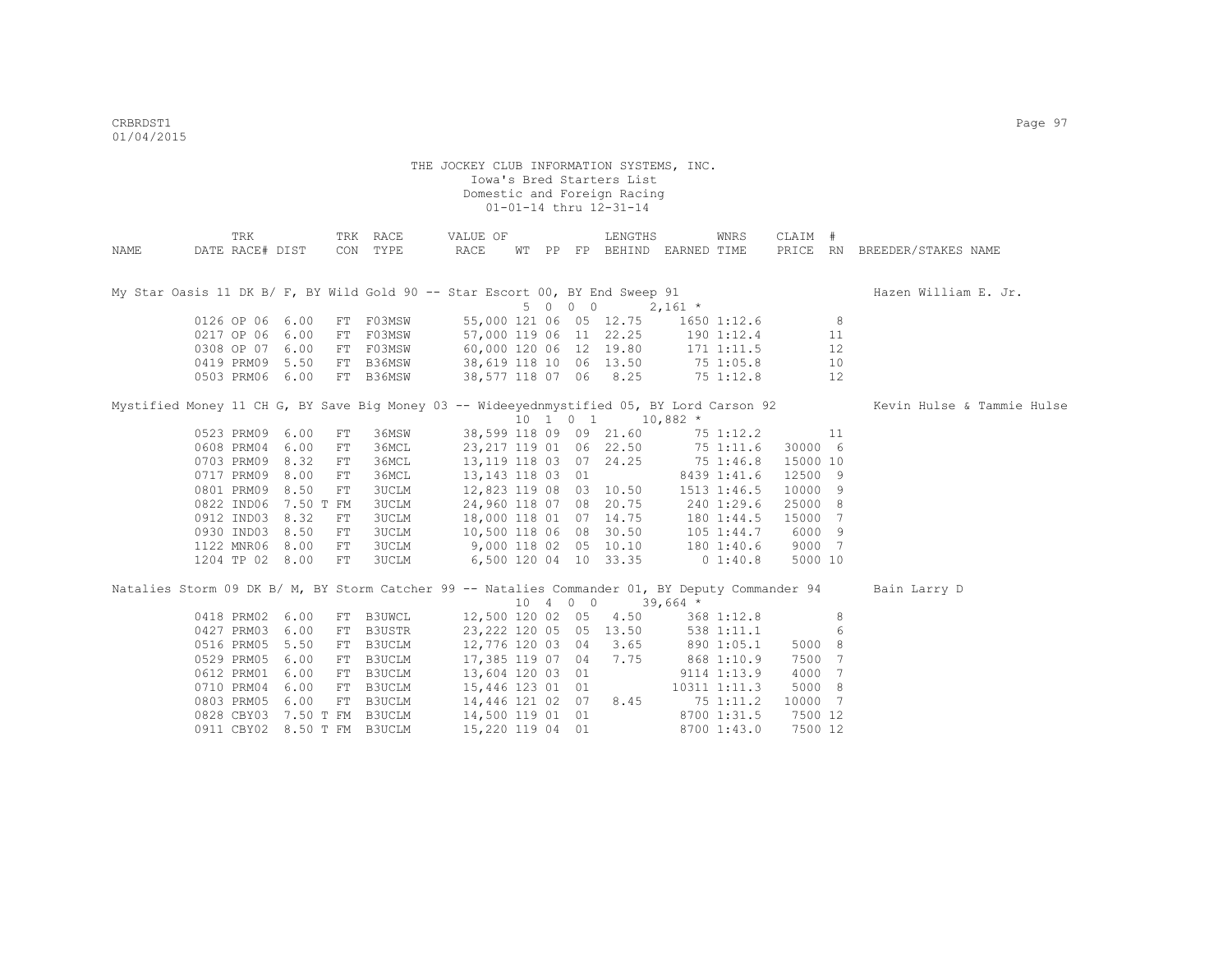|      | TRK                                                                                             |      |    | TRK RACE                            | VALUE OF                                                                            |  |          | LENGTHS                |                                                                       | WNRS         | CLAIM #  |    |                              |
|------|-------------------------------------------------------------------------------------------------|------|----|-------------------------------------|-------------------------------------------------------------------------------------|--|----------|------------------------|-----------------------------------------------------------------------|--------------|----------|----|------------------------------|
| NAME | DATE RACE# DIST                                                                                 |      |    | CON TYPE                            | RACE                                                                                |  |          |                        | WT PP FP BEHIND EARNED TIME                                           |              |          |    | PRICE RN BREEDER/STAKES NAME |
|      |                                                                                                 |      |    |                                     |                                                                                     |  |          |                        |                                                                       |              |          |    |                              |
|      | My Star Oasis 11 DK B/ F, BY Wild Gold 90 -- Star Escort 00, BY End Sweep 91                    |      |    |                                     |                                                                                     |  |          |                        |                                                                       |              |          |    | Hazen William E. Jr.         |
|      |                                                                                                 |      |    |                                     |                                                                                     |  | 5 0 0 0  |                        | $2,161$ *                                                             |              |          |    |                              |
|      | 0126 OP 06 6.00                                                                                 |      |    | FT F03MSW                           |                                                                                     |  |          |                        | 55,000 121 06 05 12.75 1650 1:12.6                                    |              |          | 8  |                              |
|      | 0217 OP 06 6.00                                                                                 |      |    | FT FO3MSW<br>FT FO3MSW<br>FT B36MSW |                                                                                     |  |          |                        | 57,000 119 06 11 22.25 190 1:12.4                                     |              |          | 11 |                              |
|      | 0308 OP 07 6.00                                                                                 |      |    |                                     |                                                                                     |  |          |                        | 60,000 120 06 12 19.80 171 1:11.5<br>38,619 118 10 06 13.50 75 1:05.8 |              |          | 12 |                              |
|      | 0419 PRM09 5.50                                                                                 |      |    |                                     |                                                                                     |  |          |                        |                                                                       |              |          | 10 |                              |
|      | 0503 PRM06 6.00                                                                                 |      |    | FT B36MSW                           |                                                                                     |  |          |                        | 38,577 118 07 06 8.25 75 1:12.8                                       |              |          | 12 |                              |
|      | Mystified Money 11 CH G, BY Save Big Money 03 -- Wideeyednmystified 05, BY Lord Carson 92       |      |    |                                     |                                                                                     |  |          |                        |                                                                       |              |          |    | Kevin Hulse & Tammie Hulse   |
|      |                                                                                                 |      |    |                                     |                                                                                     |  |          |                        | $10 \quad 1 \quad 0 \quad 1 \quad 10,882 \div$                        |              |          |    |                              |
|      | 0523 PRM09                                                                                      | 6.00 | FT | 36MSW                               |                                                                                     |  |          |                        | 38,599 118 09 09 21.60 75 1:12.2                                      |              |          | 11 |                              |
|      | 0608 PRM04                                                                                      | 6.00 | FT | 36MCL                               |                                                                                     |  |          |                        | 23, 217 119 01 06 22.50 75 1:11.6                                     |              | 30000 6  |    |                              |
|      | 0703 PRM09                                                                                      | 8.32 | FT | 36MCL                               |                                                                                     |  |          |                        | 13, 119 118 03 07 24. 25 75 1: 46. 8                                  |              | 15000 10 |    |                              |
|      | 0717 PRM09                                                                                      | 8.00 | FT | 36MCL                               | 13, 143 118 03 01                                                                   |  |          |                        |                                                                       | 8439 1:41.6  | 12500 9  |    |                              |
|      | 0801 PRM09                                                                                      | 8.50 | FT | 3UCLM                               |                                                                                     |  |          | 12,823 119 08 03 10.50 |                                                                       | 1513 1:46.5  | 10000 9  |    |                              |
|      | 0822 IND06 7.50 T FM                                                                            |      |    | <b>3UCLM</b>                        |                                                                                     |  |          |                        | 24,960 118 07 08 20.75 240 1:29.6                                     |              | 25000 8  |    |                              |
|      | 0912 IND03 8.32                                                                                 |      | FT | 3UCLM                               |                                                                                     |  |          | 18,000 118 01 07 14.75 |                                                                       | 180 1:44.5   | 15000 7  |    |                              |
|      | 0930 IND03 8.50                                                                                 |      | FT | 3UCLM                               |                                                                                     |  |          |                        | 10,500 118 06 08 30.50 105 1:44.7                                     |              | 6000 9   |    |                              |
|      | 1122 MNR06 8.00                                                                                 |      | FT | 3UCLM                               | 9,000 118 02 05 10.10                                                               |  |          |                        |                                                                       | 180 1:40.6   | 9000 7   |    |                              |
|      | 1204 TP 02 8.00                                                                                 |      | FT | 3UCLM                               | 6,500 120 04 10 33.35                                                               |  |          |                        | $0\;1:40.8$                                                           |              | 5000 10  |    |                              |
|      | Natalies Storm 09 DK B/ M, BY Storm Catcher 99 -- Natalies Commander 01, BY Deputy Commander 94 |      |    |                                     |                                                                                     |  |          |                        |                                                                       |              |          |    | Bain Larry D                 |
|      |                                                                                                 |      |    |                                     |                                                                                     |  | 10 4 0 0 |                        | $39,664$ *                                                            |              |          |    |                              |
|      | 0418 PRM02 6.00                                                                                 |      |    | FT B3UWCL                           |                                                                                     |  |          | 12,500 120 02 05 4.50  |                                                                       | 368 1:12.8   |          | 8  |                              |
|      | 0427 PRM03                                                                                      | 6.00 |    | FT B3USTR                           |                                                                                     |  |          | 23,222 120 05 05 13.50 |                                                                       | 538 1:11.1   |          | 6  |                              |
|      | 0516 PRM05                                                                                      | 5.50 |    |                                     | FT B3UCLM 12,776 120 03 04 3.65 890 1:05.1                                          |  |          |                        |                                                                       |              | 5000 8   |    |                              |
|      | 0529 PRM05                                                                                      | 6.00 |    | FT B3UCLM                           | 17,385 119 07 04 7.75                                                               |  |          |                        | 868 1:10.9                                                            |              | 7500 7   |    |                              |
|      | 0612 PRM01                                                                                      | 6.00 |    | FT B3UCLM                           | 13,604 120 03 01                                                                    |  |          |                        |                                                                       | 9114 1:13.9  | 4000 7   |    |                              |
|      | 0710 PRM04                                                                                      | 6.00 |    | FT B3UCLM                           | 15,446 123 01 01                                                                    |  |          |                        |                                                                       | 10311 1:11.3 | 5000 8   |    |                              |
|      | 0803 PRM05 6.00                                                                                 |      |    |                                     |                                                                                     |  |          |                        |                                                                       |              | 10000 7  |    |                              |
|      | 0828 CBY03 7.50 T FM B3UCLM                                                                     |      |    |                                     | FT B3UCLM 14,446 121 02 07 8.45 75 1:11.2<br>FM B3UCLM 14,500 119 01 01 8700 1:31.5 |  |          |                        |                                                                       |              | 7500 12  |    |                              |
|      | 0911 CBY02 8.50 T FM B3UCLM                                                                     |      |    |                                     | 15,220 119 04 01                                                                    |  |          |                        |                                                                       | 8700 1:43.0  | 7500 12  |    |                              |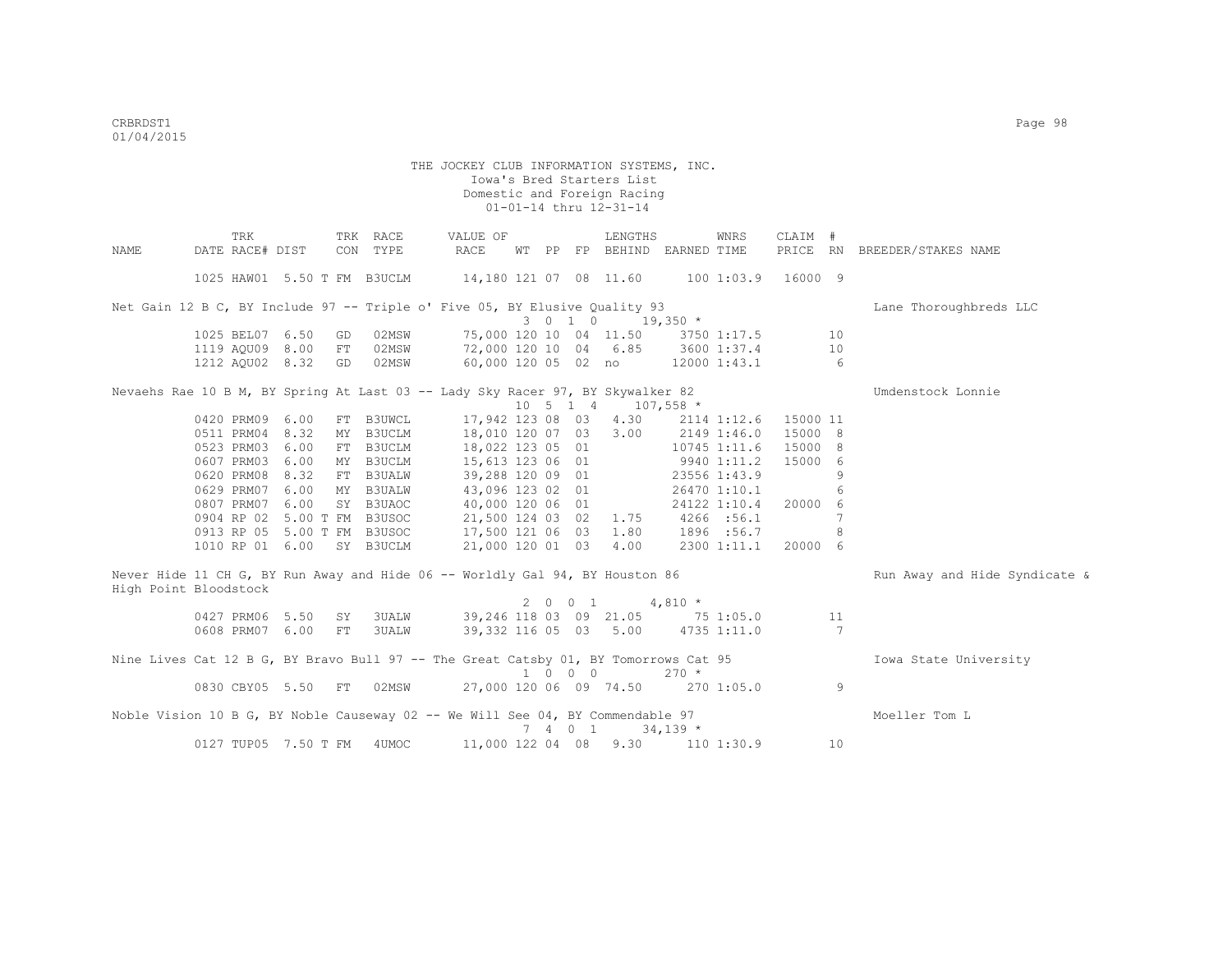|      | TRK                                                                                 |    | TRK RACE      | VALUE OF                               |  |                             | LENGTHS                           |                   | WNRS               | CLAIM #         |    |                               |
|------|-------------------------------------------------------------------------------------|----|---------------|----------------------------------------|--|-----------------------------|-----------------------------------|-------------------|--------------------|-----------------|----|-------------------------------|
| NAME | DATE RACE# DIST                                                                     |    | CON TYPE      | RACE                                   |  |                             | WT PP FP BEHIND EARNED TIME       |                   |                    |                 |    | PRICE RN BREEDER/STAKES NAME  |
|      |                                                                                     |    |               |                                        |  |                             |                                   |                   |                    |                 |    |                               |
|      | 1025 HAW01 5.50 T FM B3UCLM                                                         |    |               | 14,180 121 07 08 11.60                 |  |                             |                                   |                   | 100 1:03.9 16000 9 |                 |    |                               |
|      | Net Gain 12 B C, BY Include 97 -- Triple o' Five 05, BY Elusive Quality 93          |    |               |                                        |  |                             |                                   |                   |                    |                 |    | Lane Thoroughbreds LLC        |
|      |                                                                                     |    |               |                                        |  | 3 0 1 0                     |                                   | $19,350$ *        |                    |                 |    |                               |
|      | 1025 BEL07 6.50                                                                     | GD | 02MSW         |                                        |  |                             | 75,000 120 10 04 11.50            |                   | 3750 1:17.5        |                 | 10 |                               |
|      | 1119 AQU09 8.00                                                                     | FT |               | 02MSW 72,000 120 10 04 6.85            |  |                             |                                   |                   | 3600 1:37.4        |                 | 10 |                               |
|      | 1212 AQU02 8.32                                                                     | GD |               | 02MSW 60,000 120 05 02 no 12000 1:43.1 |  |                             |                                   |                   |                    | $6\overline{6}$ |    |                               |
|      |                                                                                     |    |               |                                        |  |                             |                                   |                   |                    |                 |    |                               |
|      | Nevaehs Rae 10 B M, BY Spring At Last 03 -- Lady Sky Racer 97, BY Skywalker 82      |    |               |                                        |  |                             |                                   |                   |                    |                 |    | Umdenstock Lonnie             |
|      |                                                                                     |    |               |                                        |  |                             | 10 5 1 4 107,558 *                |                   |                    |                 |    |                               |
|      | 0420 PRM09 6.00                                                                     |    | FT B3UWCL     | 17,942 123 08 03                       |  |                             | 4.30                              |                   | 2114 1:12.6        | 15000 11        |    |                               |
|      | 0511 PRM04 8.32                                                                     | MY | <b>B3UCLM</b> | 18,010 120 07 03                       |  |                             | 3.00                              | 2149 1:46.0       |                    | 15000 8         |    |                               |
|      | 0523 PRM03 6.00                                                                     |    | FT B3UCLM     | 18,022 123 05 01                       |  |                             |                                   | 10745 1:11.6      |                    | 15000 8         |    |                               |
|      | 0607 PRM03 6.00                                                                     |    | MY B3UCLM     | 15,613 123 06 01                       |  |                             | $9940$ 1:11.2                     |                   |                    | 15000 6         |    |                               |
|      | 0620 PRM08 8.32                                                                     |    | FT B3UALW     | 39,288 120 09 01                       |  |                             |                                   |                   | 23556 1:43.9       |                 | 9  |                               |
|      | 0629 PRM07 6.00                                                                     |    | MY B3UALW     | 43,096 123 02 01                       |  |                             |                                   |                   | 26470 1:10.1       |                 | 6  |                               |
|      | 0807 PRM07 6.00                                                                     |    | SY B3UAOC     | 40,000 120 06 01                       |  |                             |                                   |                   | 24122 1:10.4       | 20000 6         |    |                               |
|      | 0904 RP 02 5.00 T FM B3USOC                                                         |    |               | 21,500 124 03 02                       |  |                             | 1.75                              | 4266 :56.1        |                    |                 | 7  |                               |
|      | 0913 RP 05 5.00 T FM B3USOC                                                         |    |               | 17,500 121 06 03                       |  |                             | 1.80                              |                   | 1896 : 56.7        |                 | 8  |                               |
|      | 1010 RP 01 6.00                                                                     |    | SY B3UCLM     | 21,000 120 01 03                       |  |                             | 4.00                              |                   | 2300 1:11.1        | 20000 6         |    |                               |
|      | Never Hide 11 CH G, BY Run Away and Hide 06 -- Worldly Gal 94, BY Houston 86        |    |               |                                        |  |                             |                                   |                   |                    |                 |    | Run Away and Hide Syndicate & |
|      | High Point Bloodstock                                                               |    |               |                                        |  |                             |                                   |                   |                    |                 |    |                               |
|      |                                                                                     |    |               |                                        |  | 2001                        | $4,810 *$                         |                   |                    |                 |    |                               |
|      | 0427 PRM06 5.50                                                                     | SY | 3UALW         | 39,246 118 03 09 21.05 75 1:05.0       |  |                             |                                   |                   |                    |                 | 11 |                               |
|      | 0608 PRM07 6.00                                                                     | FT | 3UALW         |                                        |  |                             | 39,332 116 05 03 5.00             |                   | 4735 1:11.0        |                 | 7  |                               |
|      |                                                                                     |    |               |                                        |  |                             |                                   |                   |                    |                 |    |                               |
|      | Nine Lives Cat 12 B G, BY Bravo Bull 97 -- The Great Catsby 01, BY Tomorrows Cat 95 |    |               |                                        |  |                             |                                   |                   |                    |                 |    | Iowa State University         |
|      |                                                                                     |    |               |                                        |  | $1 \quad 0 \quad 0 \quad 0$ |                                   | $270 *$           |                    |                 |    |                               |
|      | 0830 CBY05 5.50                                                                     | FT | 02MSW         |                                        |  |                             | 27,000 120 06 09 74.50 270 1:05.0 |                   |                    |                 | 9  |                               |
|      | Noble Vision 10 B G, BY Noble Causeway 02 -- We Will See 04, BY Commendable 97      |    |               |                                        |  |                             |                                   |                   |                    |                 |    | Moeller Tom L                 |
|      |                                                                                     |    |               |                                        |  | 7 4 0 1                     |                                   | $34,139$ *        |                    |                 |    |                               |
|      | 0127 TUP05 7.50 T FM 4UMOC                                                          |    |               | 11,000 122 04 08                       |  |                             |                                   | $9.30$ 110 1:30.9 |                    |                 | 10 |                               |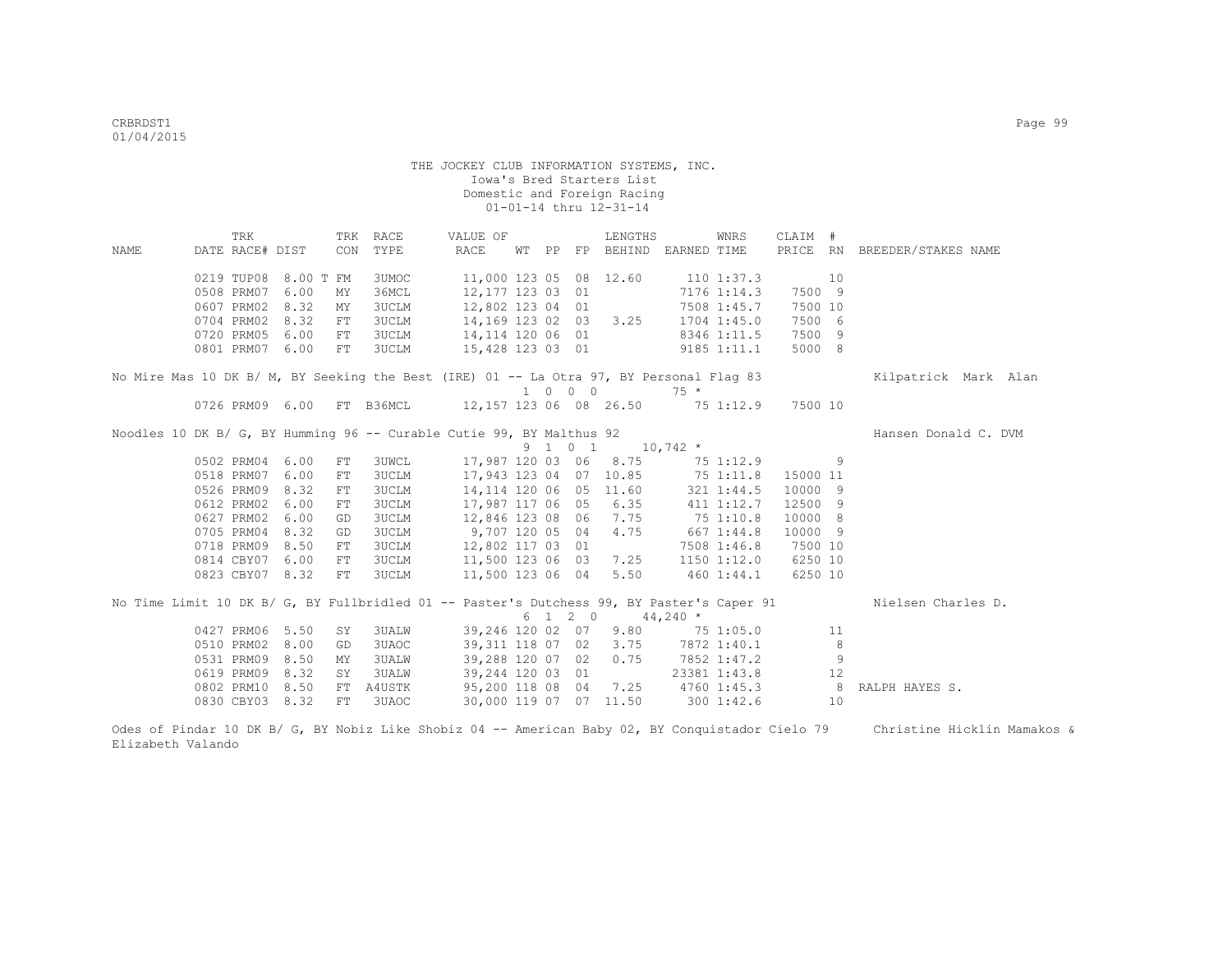|      | TRK                                                                                       |           |     | TRK RACE     | VALUE OF                |       |         | LENGTHS                |                    | WNRS            | CLAIM #  |                |                              |
|------|-------------------------------------------------------------------------------------------|-----------|-----|--------------|-------------------------|-------|---------|------------------------|--------------------|-----------------|----------|----------------|------------------------------|
| NAME | DATE RACE# DIST                                                                           |           | CON | TYPE         | RACE                    | WT PP |         | FP BEHIND EARNED TIME  |                    |                 |          |                | PRICE RN BREEDER/STAKES NAME |
|      |                                                                                           |           |     |              |                         |       |         |                        |                    |                 |          |                |                              |
|      | 0219 TUP08                                                                                | 8.00 T FM |     | 3UMOC        | 11,000 123 05 08 12.60  |       |         |                        | $110$ $1:37.3$     |                 |          | 10             |                              |
|      | 0508 PRM07                                                                                | 6.00      | MΥ  | 36MCL        | 12,177 123 03 01        |       |         |                        |                    | 7176 1:14.3     | 7500 9   |                |                              |
|      | 0607 PRM02                                                                                | 8.32      | MΥ  | <b>3UCLM</b> | 12,802 123 04 01        |       |         |                        |                    | 7508 1:45.7     | 7500 10  |                |                              |
|      | 0704 PRM02                                                                                | 8.32      | FT  | <b>3UCLM</b> | 14,169 123 02 03        |       |         | 3.25                   |                    | $1704$ $1:45.0$ | 7500 6   |                |                              |
|      | 0720 PRM05                                                                                | 6.00      | FT  | <b>3UCLM</b> | 14,114 120 06 01        |       |         |                        |                    | 8346 1:11.5     | 7500 9   |                |                              |
|      | 0801 PRM07                                                                                | 6.00      | FT  | <b>3UCLM</b> | 15,428 123 03 01        |       |         |                        |                    | $9185$ $1:11.1$ | 5000 8   |                |                              |
|      |                                                                                           |           |     |              |                         |       |         |                        |                    |                 |          |                |                              |
|      | No Mire Mas 10 DK B/ M, BY Seeking the Best (IRE) 01 -- La Otra 97, BY Personal Flag 83   |           |     |              |                         |       | 1 0 0 0 |                        | $75 *$             |                 |          |                | Kilpatrick Mark Alan         |
|      |                                                                                           |           |     |              |                         |       |         |                        |                    |                 |          |                |                              |
|      | 0726 PRM09 6.00 FT B36MCL                                                                 |           |     |              | 12,157 123 06 08 26.50  |       |         |                        |                    | 75 1:12.9       | 7500 10  |                |                              |
|      | Noodles 10 DK B/ G, BY Humming 96 -- Curable Cutie 99, BY Malthus 92                      |           |     |              |                         |       |         |                        |                    |                 |          |                | Hansen Donald C. DVM         |
|      |                                                                                           |           |     |              |                         |       | 9 1 0 1 |                        | $10,742$ *         |                 |          |                |                              |
|      | 0502 PRM04                                                                                | 6.00      | FT  | <b>3UWCL</b> | 17,987 120 03 06        |       |         | 8.75                   |                    | 75 1:12.9       |          | 9              |                              |
|      | 0518 PRM07                                                                                | 6.00      | FT  | <b>3UCLM</b> | 17,943 123 04 07 10.85  |       |         |                        |                    | $75$ $1:11.8$   | 15000 11 |                |                              |
|      | 0526 PRM09                                                                                | 8.32      | FT  | <b>3UCLM</b> | 14, 114 120 06 05 11.60 |       |         |                        |                    | 321 1:44.5      | 10000 9  |                |                              |
|      | 0612 PRM02                                                                                | 6.00      | FT  | <b>3UCLM</b> | 17,987 117 06 05        |       |         | 6.35                   |                    | 411 1:12.7      | 12500 9  |                |                              |
|      | 0627 PRM02                                                                                | 6.00      | GD  | <b>3UCLM</b> | 12,846 123 08 06        |       |         | 7.75                   | 75 1:10.8          |                 | 10000 8  |                |                              |
|      | 0705 PRM04                                                                                | 8.32      | GD  | <b>3UCLM</b> | 9,707 120 05 04         |       |         | 4.75                   |                    | 667 1:44.8      | 10000 9  |                |                              |
|      | 0718 PRM09                                                                                | 8.50      | FT  | <b>3UCLM</b> | 12,802 117 03 01        |       |         |                        |                    | 7508 1:46.8     | 7500 10  |                |                              |
|      | 0814 CBY07                                                                                | 6.00      | FT  | 3UCLM        | 11,500 123 06 03        |       |         | 7.25                   |                    | 1150 1:12.0     | 6250 10  |                |                              |
|      | 0823 CBY07 8.32                                                                           |           | FT  | 3UCLM        | 11,500 123 06 04        |       |         | 5.50                   |                    | 460 1:44.1      | 6250 10  |                |                              |
|      |                                                                                           |           |     |              |                         |       |         |                        |                    |                 |          |                |                              |
|      | No Time Limit 10 DK B/ G, BY Fullbridled 01 -- Paster's Dutchess 99, BY Paster's Caper 91 |           |     |              |                         |       |         |                        |                    |                 |          |                | Nielsen Charles D.           |
|      |                                                                                           |           |     |              |                         |       | 6 1 2 0 |                        | $44,240$ *         |                 |          |                |                              |
|      | 0427 PRM06                                                                                | 5.50      | SY  | 3UALW        | 39,246 120 02 07        |       |         |                        | $9.80$ $75$ 1:05.0 |                 |          | 11             |                              |
|      | 0510 PRM02                                                                                | 8.00      | GD  | 3UAOC        | 39, 311 118 07 02 3.75  |       |         |                        | 7872 1:40.1        |                 |          | 8              |                              |
|      | 0531 PRM09                                                                                | 8.50      | MY  | 3UALW        | 39,288 120 07 02        |       |         | 0.75                   | 7852 1:47.2        |                 |          | $\overline{9}$ |                              |
|      | 0619 PRM09                                                                                | 8.32      | SY  | 3UALW        | 39,244 120 03 01        |       |         |                        |                    | 23381 1:43.8    |          | 12             |                              |
|      | 0802 PRM10                                                                                | 8.50      | FT  | A4USTK       | 95,200 118 08 04        |       |         | 7.25                   |                    | 4760 1:45.3     |          | 8              | RALPH HAYES S.               |
|      | 0830 CBY03 8.32                                                                           |           | FT  | 3UAOC        |                         |       |         | 30,000 119 07 07 11.50 |                    | 300 1:42.6      |          | 10             |                              |
|      |                                                                                           |           |     |              |                         |       |         |                        |                    |                 |          |                |                              |

Odes of Pindar 10 DK B/ G, BY Nobiz Like Shobiz 04 -- American Baby 02, BY Conquistador Cielo 79 Christine Hicklin Mamakos & Elizabeth Valando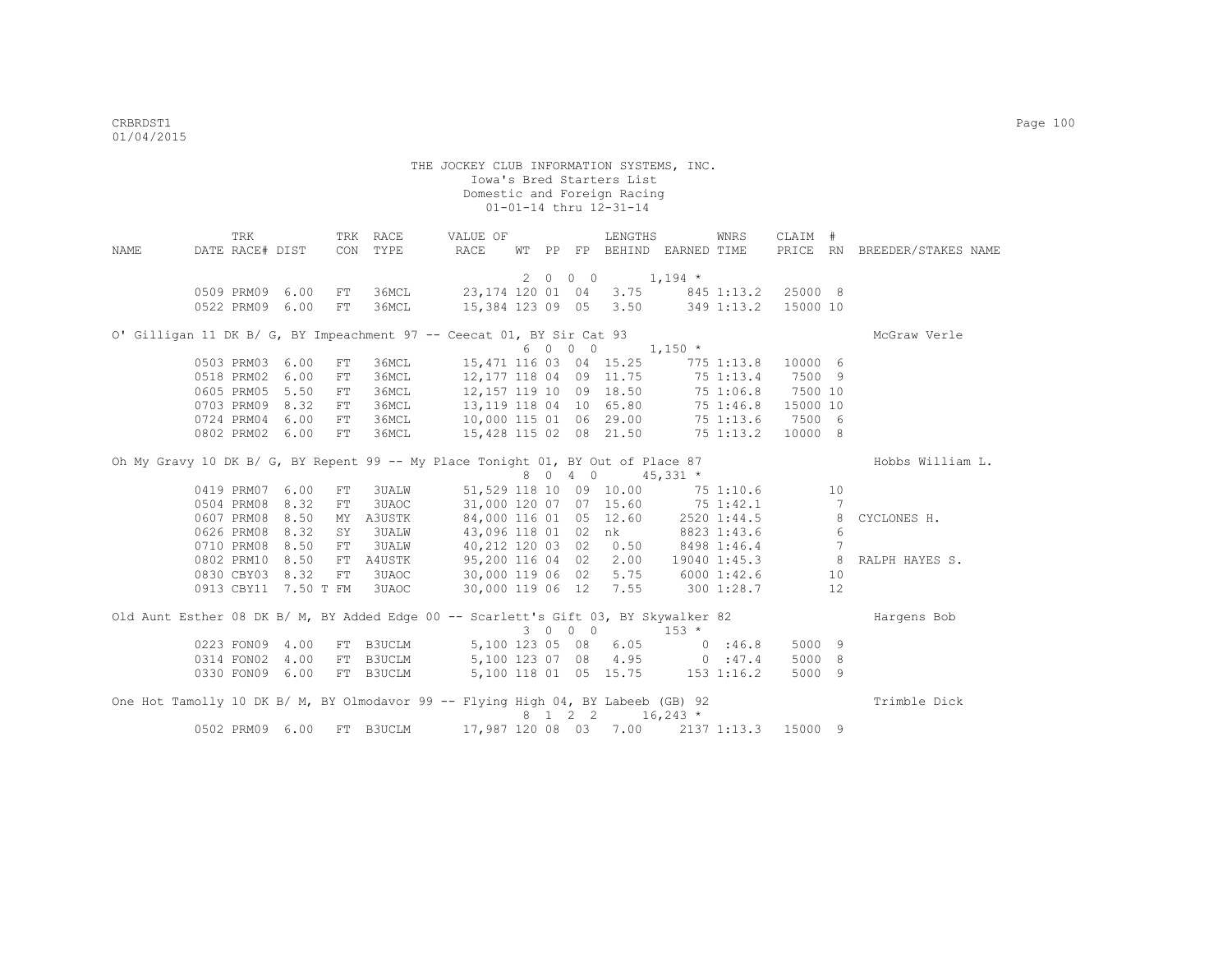| NAME | TRK<br>DATE RACE# DIST     |      |            | TRK RACE<br>CON TYPE | VALUE OF<br>RACE                                                                    | WT PP |         | LENGTHS                | FP BEHIND EARNED TIME                     | WNRS                | CLAIM #  |                 | PRICE RN BREEDER/STAKES NAME       |
|------|----------------------------|------|------------|----------------------|-------------------------------------------------------------------------------------|-------|---------|------------------------|-------------------------------------------|---------------------|----------|-----------------|------------------------------------|
|      |                            |      |            |                      |                                                                                     |       |         |                        | $2 \t 0 \t 0 \t 1,194 \t \star$           |                     |          |                 |                                    |
|      | 0509 PRM09 6.00            |      | FT         | 36MCL                |                                                                                     |       |         |                        | 23, 174 120 01 04 3.75 845 1:13.2 25000 8 |                     |          |                 |                                    |
|      | 0522 PRM09                 | 6.00 | FT         | 36MCL                |                                                                                     |       |         |                        | 15,384 123 09 05 3.50 349 1:13.2          |                     | 15000 10 |                 |                                    |
|      |                            |      |            |                      | O' Gilligan 11 DK B/ G, BY Impeachment 97 -- Ceecat 01, BY Sir Cat 93               |       |         |                        |                                           |                     |          |                 | McGraw Verle                       |
|      |                            |      |            |                      |                                                                                     |       | 6 0 0 0 |                        | $1,150$ *                                 |                     |          |                 |                                    |
|      | 0503 PRM03 6.00            |      | ${\rm FT}$ | 36MCL                |                                                                                     |       |         |                        | 15,471 116 03 04 15.25 775 1:13.8         |                     | 10000 6  |                 |                                    |
|      | 0518 PRM02 6.00            |      | FT         | 36MCL                | 12,177 118 04 09 11.75                                                              |       |         |                        |                                           | 75 1:13.4           | 7500 9   |                 |                                    |
|      | 0605 PRM05 5.50            |      | FT         | 36MCL                | 12,157 119 10 09 18.50                                                              |       |         |                        |                                           | 75 1:06.8           | 7500 10  |                 |                                    |
|      | 0703 PRM09 8.32            |      | FT         | 36MCL                | 13, 119 118 04 10 65.80                                                             |       |         |                        |                                           | 75 1:46.8           | 15000 10 |                 |                                    |
|      | 0724 PRM04 6.00            |      | FT         |                      | 36MCL 10,000 115 01 06 29.00 75 1:13.6 7500 6                                       |       |         |                        |                                           |                     |          |                 |                                    |
|      | 0802 PRM02 6.00            |      | FT         | 36MCL                | 15,428 115 02 08 21.50 75 1:13.2                                                    |       |         |                        |                                           |                     | 10000 8  |                 |                                    |
|      |                            |      |            |                      | Oh My Gravy 10 DK B/ G, BY Repent 99 -- My Place Tonight 01, BY Out of Place 87     |       |         |                        |                                           |                     |          |                 | Hobbs William L.                   |
|      |                            |      |            |                      |                                                                                     |       |         |                        | 8 0 4 0 4 5, 331 *                        |                     |          |                 |                                    |
|      | 0419 PRM07 6.00            |      | FT         | 3UALW                |                                                                                     |       |         | 51,529 118 10 09 10.00 | 75 1:10.6                                 |                     |          | 10              |                                    |
|      | 0504 PRM08                 | 8.32 | FT.        | 3UAOC                |                                                                                     |       |         | 31,000 120 07 07 15.60 | 751:42.1                                  |                     |          | $7\phantom{.0}$ |                                    |
|      | 0607 PRM08                 | 8.50 | MY         | A3USTK               |                                                                                     |       |         | 84,000 116 01 05 12.60 |                                           | 2520 1:44.5         |          | 8               | CYCLONES H.                        |
|      | 0626 PRM08                 | 8.32 | SY         | 3UALW                | 43,096 118 01 02                                                                    |       |         | nk                     |                                           | 8823 1:43.6         |          | 6               |                                    |
|      | 0710 PRM08                 | 8.50 | ${\rm FT}$ | 3UALW                | 40,212 120 03 02                                                                    |       |         | 0.50                   |                                           | 8498 1:46.4         |          | 7               |                                    |
|      | 0802 PRM10                 | 8.50 | FT         | A4USTK               | 95,200 116 04 02                                                                    |       |         |                        |                                           |                     |          |                 | 2.00 19040 1:45.3 8 RALPH HAYES S. |
|      | 0830 CBY03 8.32            |      | FT         | 3UAOC <b>Service</b> |                                                                                     |       |         |                        | 30,000 119 06 02 5.75 6000 1:42.6         |                     |          | 10              |                                    |
|      | 0913 CBY11 7.50 T FM 3UAOC |      |            |                      |                                                                                     |       |         |                        | 30,000 119 06 12 7.55 300 1:28.7          |                     |          | 12              |                                    |
|      |                            |      |            |                      |                                                                                     |       |         |                        |                                           |                     |          |                 |                                    |
|      |                            |      |            |                      | Old Aunt Esther 08 DK B/ M, BY Added Edge 00 -- Scarlett's Gift 03, BY Skywalker 82 |       | 3 0 0 0 |                        | $153 *$                                   |                     |          |                 | Hargens Bob                        |
|      | 0223 FON09 4.00            |      |            |                      | FT B3UCLM 5,100 123 05 08 6.05                                                      |       |         |                        | 0.36.8                                    |                     | 5000 9   |                 |                                    |
|      | 0314 FON02 4.00            |      |            | FT B3UCLM            | 5,100 123 07 08 4.95 0 :47.4                                                        |       |         |                        |                                           |                     | 5000 8   |                 |                                    |
|      | 0330 FON09 6.00            |      |            | FT B3UCLM            |                                                                                     |       |         |                        | 5,100 118 01 05 15.75 153 1:16.2          |                     | 5000 9   |                 |                                    |
|      |                            |      |            |                      |                                                                                     |       |         |                        |                                           |                     |          |                 |                                    |
|      |                            |      |            |                      | One Hot Tamolly 10 DK B/ M, BY Olmodavor 99 -- Flying High 04, BY Labeeb (GB) 92    |       |         |                        |                                           |                     |          |                 | Trimble Dick                       |
|      |                            |      |            |                      |                                                                                     |       |         |                        | 8 1 2 2 16,243 *                          |                     |          |                 |                                    |
|      | 0502 PRM09                 | 6.00 | <b>FT</b>  | <b>B3UCLM</b>        |                                                                                     |       |         | 17,987 120 08 03 7.00  |                                           | 2137 1:13.3 15000 9 |          |                 |                                    |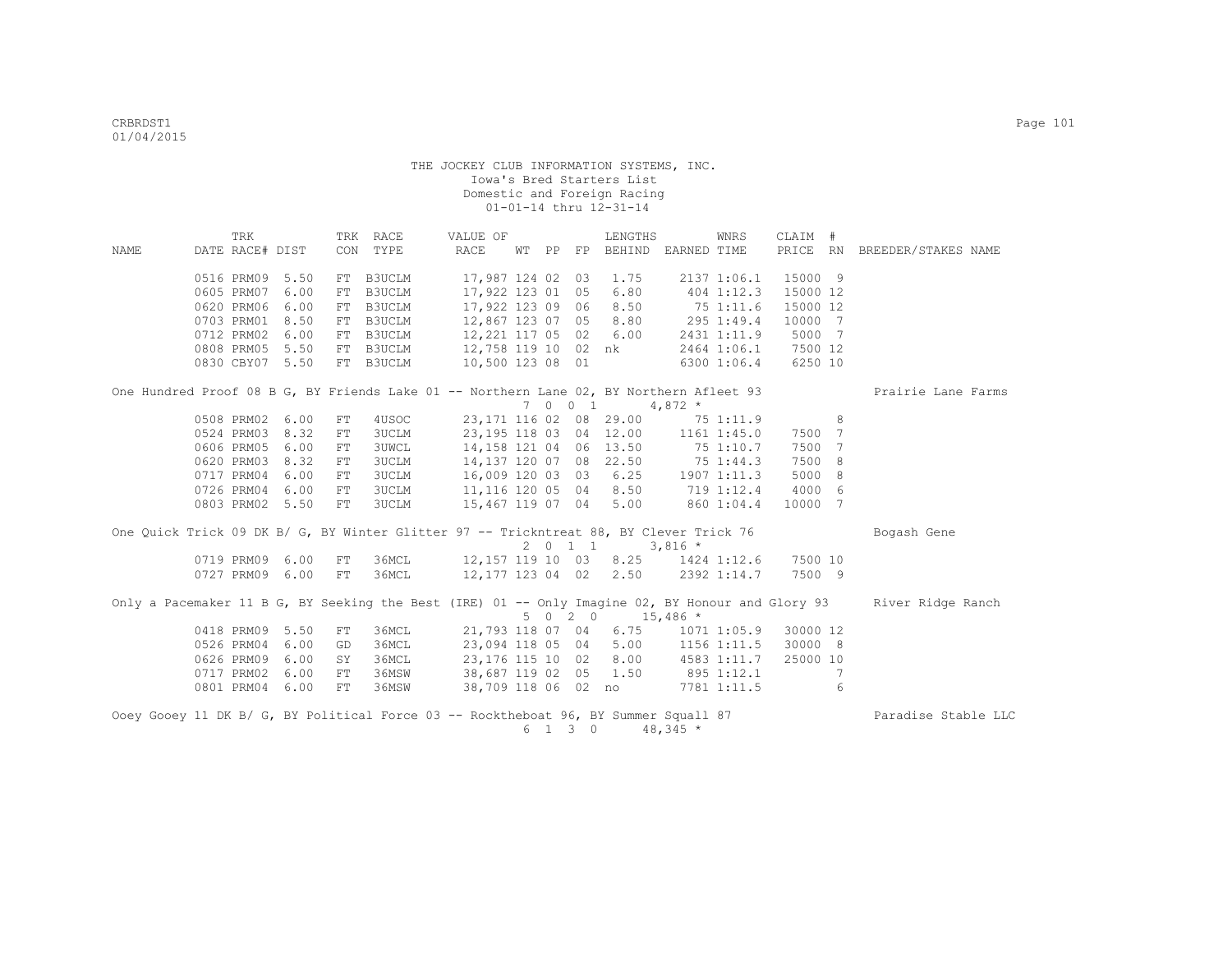|       |                 | TRK |      |            | TRK RACE                     | VALUE OF                                                                                |    |         | LENGTHS           |                                     | WNRS        | CLAIM #  |   |                                                                                                                    |
|-------|-----------------|-----|------|------------|------------------------------|-----------------------------------------------------------------------------------------|----|---------|-------------------|-------------------------------------|-------------|----------|---|--------------------------------------------------------------------------------------------------------------------|
| NAMF. | DATE RACE# DIST |     |      |            | CON TYPE                     | RACE                                                                                    | WТ |         |                   | PP FP BEHIND EARNED TIME            |             | PRICE RN |   | BREEDER/STAKES NAME                                                                                                |
|       | 0516 PRM09 5.50 |     |      | FT         | B3UCLM                       | 17,987 124 02 03 1.75                                                                   |    |         |                   |                                     | 2137 1:06.1 | 15000 9  |   |                                                                                                                    |
|       | 0605 PRM07 6.00 |     |      | FT         | <b>B3UCLM</b>                | 17,922 123 01 05                                                                        |    |         | 6.80              | 404 1:12.3                          |             | 15000 12 |   |                                                                                                                    |
|       | 0620 PRM06      |     | 6.00 | FT         | B3UCLM                       | 17,922 123 09 06                                                                        |    |         | 8.50              | 75 1:11.6                           |             | 15000 12 |   |                                                                                                                    |
|       | 0703 PRM01 8.50 |     |      | FT         | B3UCLM                       | 12,867 123 07 05                                                                        |    |         | 8.80              | $295$ 1:49.4                        |             | 10000 7  |   |                                                                                                                    |
|       | 0712 PRM02 6.00 |     |      | FT         | B3UCLM                       | 12,221 117 05 02 6.00                                                                   |    |         |                   |                                     | 2431 1:11.9 | 5000 7   |   |                                                                                                                    |
|       | 0808 PRM05 5.50 |     |      |            | FT B3UCLM                    | 12,758 119 10 02 nk 2464 1:06.1                                                         |    |         |                   |                                     |             | 7500 12  |   |                                                                                                                    |
|       | 0830 CBY07 5.50 |     |      |            | FT B3UCLM                    | 10,500 123 08 01                                                                        |    |         |                   | 63001:06.4                          |             | 6250 10  |   |                                                                                                                    |
|       |                 |     |      |            |                              | One Hundred Proof 08 B G, BY Friends Lake 01 -- Northern Lane 02, BY Northern Afleet 93 |    |         |                   |                                     |             |          |   | Prairie Lane Farms                                                                                                 |
|       | 0508 PRM02 6.00 |     |      |            |                              | 23, 171 116 02 08 29.00                                                                 |    |         | 7 0 0 1 4,872 $*$ |                                     |             |          | 8 |                                                                                                                    |
|       | 0524 PRM03 8.32 |     |      | FT<br>$FT$ | 4USOC                        |                                                                                         |    |         |                   | 751:11.9                            |             | 7500 7   |   |                                                                                                                    |
|       | 0606 PRM05 6.00 |     |      | FT         | <b>3UCLM</b><br><b>3UWCL</b> |                                                                                         |    |         |                   | 23, 195 118 03 04 12.00 1161 1:45.0 |             | 7500 7   |   |                                                                                                                    |
|       | 0620 PRM03 8.32 |     |      | FT         | <b>3UCLM</b>                 | 14, 137 120 07 08 22.50 75 1:44.3                                                       |    |         |                   | 14, 158 121 04 06 13.50 75 1:10.7   |             | 7500     | 8 |                                                                                                                    |
|       | 0717 PRM04      |     | 6.00 | FT         | <b>3UCLM</b>                 | 16,009 120 03 03 6.25 1907 1:11.3                                                       |    |         |                   |                                     |             | 5000     | 8 |                                                                                                                    |
|       | 0726 PRM04 6.00 |     |      | FT         | <b>3UCLM</b>                 | 11, 116 120 05 04 8.50 719 1:12.4                                                       |    |         |                   |                                     |             | 4000 6   |   |                                                                                                                    |
|       | 0803 PRM02 5.50 |     |      | FT         | <b>3UCLM</b>                 | 15,467 119 07 04                                                                        |    |         | 5.00              |                                     | 860 1:04.4  | 10000 7  |   |                                                                                                                    |
|       |                 |     |      |            |                              |                                                                                         |    |         |                   |                                     |             |          |   |                                                                                                                    |
|       |                 |     |      |            |                              | One Quick Trick 09 DK B/ G, BY Winter Glitter 97 -- Trickntreat 88, BY Clever Trick 76  |    |         | $2 \t0 \t1 \t1$   | $3,816$ *                           |             |          |   | Bogash Gene                                                                                                        |
|       | 0719 PRM09 6.00 |     |      | FT         | 36MCL                        | 12, 157 119 10 03 8.25 1424 1:12.6                                                      |    |         |                   |                                     |             | 7500 10  |   |                                                                                                                    |
|       | 0727 PRM09 6.00 |     |      | FT         | 36MCL                        | 12, 177 123 04 02 2.50 2392 1:14.7                                                      |    |         |                   |                                     |             | 7500 9   |   |                                                                                                                    |
|       |                 |     |      |            |                              |                                                                                         |    |         | 5 0 2 0 15,486 *  |                                     |             |          |   | Only a Pacemaker 11 B G, BY Seeking the Best (IRE) 01 -- Only Imagine 02, BY Honour and Glory 93 River Ridge Ranch |
|       | 0418 PRM09 5.50 |     |      | FT         | 36MCL                        | 21,793 118 07 04                                                                        |    |         |                   | $6.75$ $1071$ $1:05.9$              |             | 30000 12 |   |                                                                                                                    |
|       | 0526 PRM04 6.00 |     |      | GD         | 36MCL                        | 23,094 118 05 04                                                                        |    |         | 5.00              | $1156$ $1:11.5$                     |             | 30000 8  |   |                                                                                                                    |
|       | 0626 PRM09      |     | 6.00 | SY         | 36MCL                        | 23,176 115 10 02                                                                        |    |         | 8.00              | 4583 1:11.7                         |             | 25000 10 |   |                                                                                                                    |
|       | 0717 PRM02      |     | 6.00 | FT         | 36MSW                        | 38,687 119 02 05 1.50                                                                   |    |         |                   | 895 1:12.1                          |             |          | 7 |                                                                                                                    |
|       | 0801 PRM04 6.00 |     |      | FT         | 36MSW                        |                                                                                         |    |         |                   | 38,709 118 06 02 no 7781 1:11.5     |             |          | 6 |                                                                                                                    |
|       |                 |     |      |            |                              | Ooey Gooey 11 DK B/ G, BY Political Force 03 -- Rocktheboat 96, BY Summer Squall 87     |    | 6 1 3 0 |                   | 48,345 *                            |             |          |   | Paradise Stable LLC                                                                                                |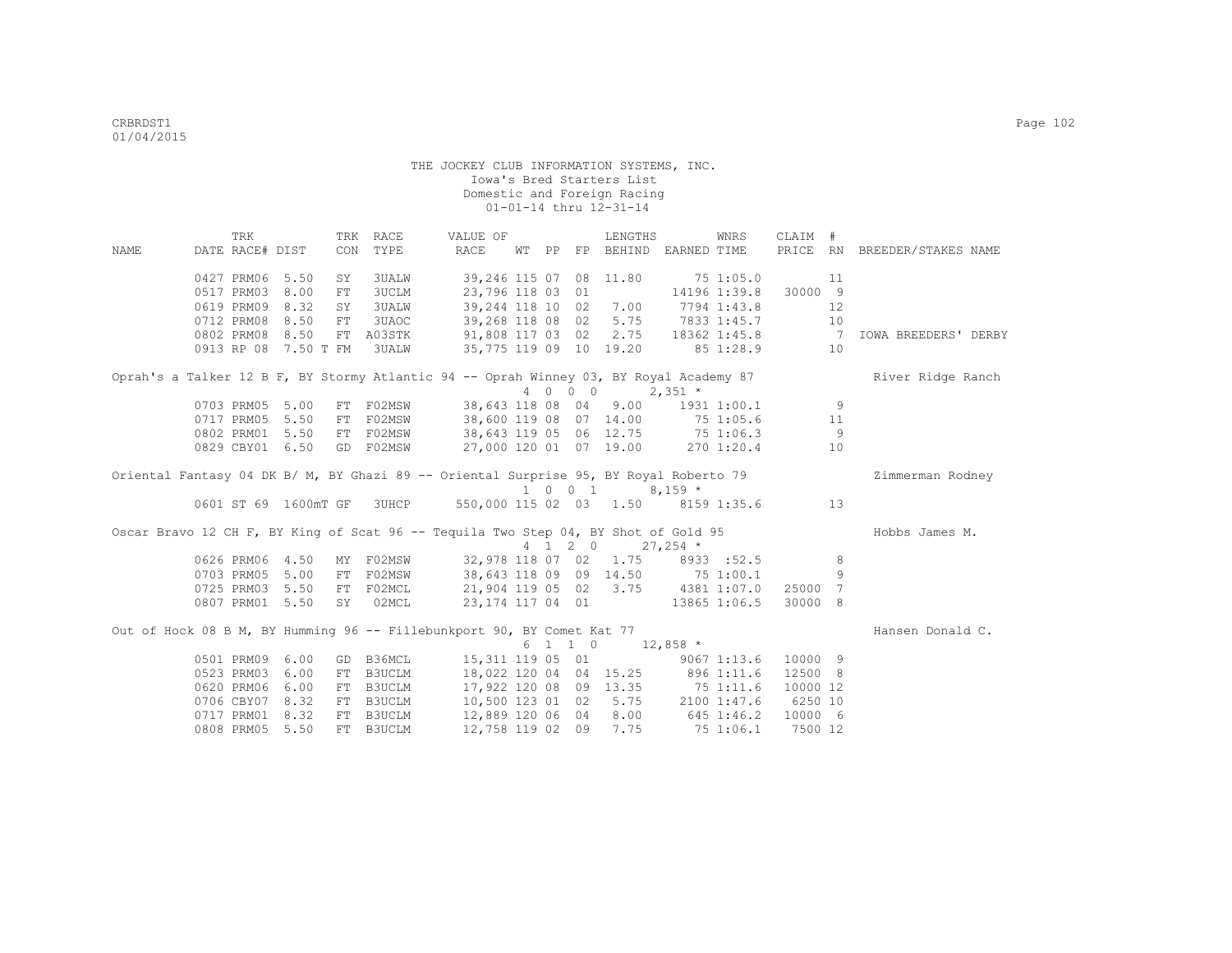|                                                                                        | TRK             |                      |    | TRK RACE     | VALUE OF                                       |                  |         | LENGTHS                 |                                     | WNRS | CLAIM #  |     |                              |
|----------------------------------------------------------------------------------------|-----------------|----------------------|----|--------------|------------------------------------------------|------------------|---------|-------------------------|-------------------------------------|------|----------|-----|------------------------------|
| <b>NAME</b>                                                                            | DATE RACE# DIST |                      |    | CON TYPE     | RACE                                           |                  |         |                         | WT PP FP BEHIND EARNED TIME         |      |          |     | PRICE RN BREEDER/STAKES NAME |
|                                                                                        | 0427 PRM06 5.50 |                      | SY | 3UALW        |                                                |                  |         | 39, 246 115 07 08 11.80 | 75 1:05.0                           |      |          | 11  |                              |
|                                                                                        | 0517 PRM03 8.00 |                      | FT | 3UCLM        |                                                | 23,796 118 03 01 |         |                         | 14196 1:39.8                        |      | 30000 9  |     |                              |
|                                                                                        | 0619 PRM09 8.32 |                      | SY | <b>3UALW</b> |                                                | 39,244 118 10 02 |         | 7.00                    | 7794 1:43.8                         |      |          | 12  |                              |
|                                                                                        | 0712 PRM08 8.50 |                      | FT | 3UAOC        |                                                | 39,268 118 08 02 |         | 5.75                    | 7833 1:45.7                         |      |          | 10  |                              |
|                                                                                        |                 | 0802 PRM08 8.50      |    |              | FT A03STK 91,808 117 03 02 2.75 18362 1:45.8 7 |                  |         |                         |                                     |      |          |     | <b>IOWA BREEDERS' DERBY</b>  |
|                                                                                        |                 | 0913 RP 08 7.50 T FM |    | <b>3UALW</b> | 35,775 119 09 10 19.20 85 1:28.9               |                  |         |                         |                                     |      |          | 10  |                              |
| Oprah's a Talker 12 B F, BY Stormy Atlantic 94 -- Oprah Winney 03, BY Royal Academy 87 |                 |                      |    |              |                                                |                  |         |                         |                                     |      |          |     | River Ridge Ranch            |
|                                                                                        |                 |                      |    |              |                                                |                  |         | 4 0 0 0 $2,351$ *       |                                     |      |          |     |                              |
|                                                                                        | 0703 PRM05 5.00 |                      |    | FT F02MSW    |                                                |                  |         |                         | 38,643 118 08 04 9.00 1931 1:00.1 9 |      |          |     |                              |
|                                                                                        | 0717 PRM05 5.50 |                      |    |              | FT F02MSW 38,600 119 08 07 14.00 75 1:05.6     |                  |         |                         |                                     |      |          | 11  |                              |
|                                                                                        | 0802 PRM01 5.50 |                      |    |              | FT F02MSW 38,643 119 05 06 12.75 75 1:06.3     |                  |         |                         |                                     |      |          | - 9 |                              |
|                                                                                        |                 | 0829 CBY01 6.50      |    | GD F02MSW    | 27,000 120 01 07 19.00 270 1:20.4              |                  |         |                         |                                     |      |          | 10  |                              |
| Oriental Fantasy 04 DK B/ M, BY Ghazi 89 -- Oriental Surprise 95, BY Royal Roberto 79  |                 |                      |    |              |                                                |                  |         |                         |                                     |      |          |     | Zimmerman Rodney             |
|                                                                                        |                 |                      |    |              |                                                |                  |         | 1 0 0 1                 | $8.159*$                            |      |          |     |                              |
|                                                                                        |                 | 0601 ST 69 1600mT GF |    |              | 3UHCP 550,000 115 02 03 1.50 8159 1:35.6       |                  |         |                         |                                     |      |          | 13  |                              |
| Oscar Bravo 12 CH F, BY King of Scat 96 -- Tequila Two Step 04, BY Shot of Gold 95     |                 |                      |    |              |                                                |                  |         |                         |                                     |      |          |     | Hobbs James M.               |
|                                                                                        |                 |                      |    |              |                                                |                  |         | 4 1 2 0 27,254 *        |                                     |      |          |     |                              |
|                                                                                        |                 | 0626 PRM06 4.50      |    | MY F02MSW    |                                                |                  |         |                         | 32,978 118 07 02 1.75 8933 :52.5    |      |          | - 8 |                              |
|                                                                                        |                 | 0703 PRM05 5.00      |    | FT F02MSW    |                                                |                  |         |                         | 38,643 118 09 09 14.50 75 1:00.1    |      |          | 9   |                              |
|                                                                                        |                 | 0725 PRM03 5.50      |    | FT F02MCL    | 21,904 119 05 02 3.75 4381 1:07.0              |                  |         |                         |                                     |      | 25000 7  |     |                              |
|                                                                                        | 0807 PRM01 5.50 |                      |    | SY 02MCL     | 23, 174 117 04 01 13865 1:06.5                 |                  |         |                         |                                     |      | 30000 8  |     |                              |
| Out of Hock 08 B M, BY Humming 96 -- Fillebunkport 90, BY Comet Kat 77                 |                 |                      |    |              |                                                |                  |         |                         |                                     |      |          |     | Hansen Donald C.             |
|                                                                                        |                 |                      |    |              |                                                |                  | 6 1 1 0 |                         | $12,858$ *                          |      |          |     |                              |
|                                                                                        | 0501 PRM09 6.00 |                      |    |              | GD B36MCL 15,311 119 05 01 9067 1:13.6         |                  |         |                         |                                     |      | 10000 9  |     |                              |
|                                                                                        | 0523 PRM03 6.00 |                      |    | FT B3UCLM    |                                                |                  |         |                         | 18,022 120 04 04 15.25 896 1:11.6   |      | 12500 8  |     |                              |
|                                                                                        |                 | 0620 PRM06 6.00      |    |              | FT B3UCLM 17,922 120 08 09 13.35 75 1:11.6     |                  |         |                         |                                     |      | 10000 12 |     |                              |
|                                                                                        | 0706 CBY07 8.32 |                      |    |              | FT B3UCLM 10,500 123 01 02 5.75 2100 1:47.6    |                  |         |                         |                                     |      | 6250 10  |     |                              |
|                                                                                        | 0717 PRM01 8.32 |                      |    | FT B3UCLM    | 12,889 120 06 04 8.00 645 1:46.2               |                  |         |                         |                                     |      | 10000 6  |     |                              |
|                                                                                        | 0808 PRM05 5.50 |                      |    | FT B3UCLM    |                                                |                  |         | 12,758 119 02 09 7.75   | 75 1:06.1                           |      | 7500 12  |     |                              |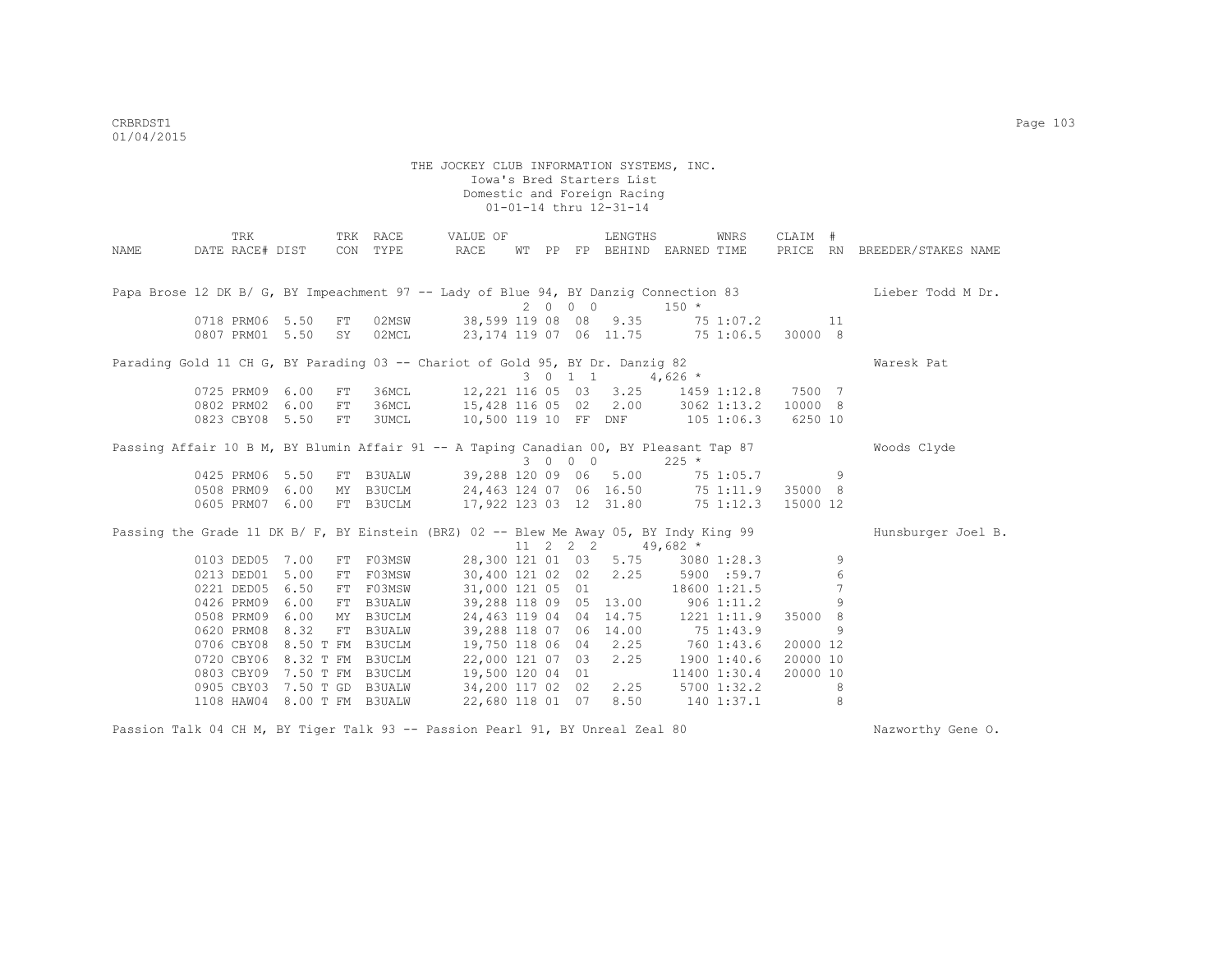|      | TRK                                                                                    |                  |     | TRK RACE      | VALUE OF                         |  |            | LENGTHS                         |                        | WNRS         | CLAIM #  |     |                              |
|------|----------------------------------------------------------------------------------------|------------------|-----|---------------|----------------------------------|--|------------|---------------------------------|------------------------|--------------|----------|-----|------------------------------|
| NAME | DATE RACE# DIST                                                                        |                  | CON | TYPE          | RACE                             |  |            | WT PP FP BEHIND EARNED TIME     |                        |              |          |     | PRICE RN BREEDER/STAKES NAME |
|      |                                                                                        |                  |     |               |                                  |  |            |                                 |                        |              |          |     |                              |
|      |                                                                                        |                  |     |               |                                  |  |            |                                 |                        |              |          |     |                              |
|      | Papa Brose 12 DK B/ G, BY Impeachment 97 -- Lady of Blue 94, BY Danzig Connection 83   |                  |     |               |                                  |  | 2000       |                                 | $150 *$                |              |          |     | Lieber Todd M Dr.            |
|      | 0718 PRM06 5.50                                                                        |                  | FT  | 02MSW         |                                  |  |            | 38,599 119 08 08 9.35           | 75 1:07.2              |              |          | 11  |                              |
|      | 0807 PRM01 5.50                                                                        |                  | SY  | 02MCL         | 23,174 119 07 06 11.75 75 1:06.5 |  |            |                                 |                        |              | 30000 8  |     |                              |
|      |                                                                                        |                  |     |               |                                  |  |            |                                 |                        |              |          |     |                              |
|      | Parading Gold 11 CH G, BY Parading 03 -- Chariot of Gold 95, BY Dr. Danzig 82          |                  |     |               |                                  |  |            |                                 |                        |              |          |     | Waresk Pat                   |
|      |                                                                                        |                  |     |               |                                  |  | 3 0 1 1    |                                 | $4,626$ *              |              |          |     |                              |
|      | 0725 PRM09 6.00                                                                        |                  | FT  | 36MCL         | 12,221 116 05 03                 |  |            |                                 | $3.25$ $1459$ $1:12.8$ |              | 7500 7   |     |                              |
|      | 0802 PRM02 6.00                                                                        |                  | FT  | 36MCL         |                                  |  |            | 15,428 116 05 02 2.00           |                        | 3062 1:13.2  | 10000 8  |     |                              |
|      | 0823 CBY08 5.50                                                                        |                  | FT  | 3UMCL         |                                  |  |            | 10,500 119 10 FF DNF 105 1:06.3 |                        |              | 6250 10  |     |                              |
|      |                                                                                        |                  |     |               |                                  |  |            |                                 |                        |              |          |     |                              |
|      | Passing Affair 10 B M, BY Blumin Affair 91 -- A Taping Canadian 00, BY Pleasant Tap 87 |                  |     |               |                                  |  |            |                                 |                        |              |          |     | Woods Clyde                  |
|      |                                                                                        |                  |     |               |                                  |  | 3 0 0 0    |                                 | $225 *$                |              |          |     |                              |
|      | 0425 PRM06                                                                             | 5.50             | FT  | <b>B3UALW</b> | 39,288 120 09 06                 |  |            | 5.00                            |                        | 75 1:05.7    |          | - 9 |                              |
|      | 0508 PRM09 6.00                                                                        |                  |     |               | MY B3UCLM 24,463 124 07 06 16.50 |  |            |                                 |                        | 75 1:11.9    | 35000 8  |     |                              |
|      | 0605 PRM07 6.00                                                                        |                  |     | FT B3UCLM     | 17,922 123 03 12 31.80           |  |            |                                 |                        | 75 1:12.3    | 15000 12 |     |                              |
|      |                                                                                        |                  |     |               |                                  |  |            |                                 |                        |              |          |     |                              |
|      | Passing the Grade 11 DK B/ F, BY Einstein (BRZ) 02 -- Blew Me Away 05, BY Indy King 99 |                  |     |               |                                  |  | $11$ 2 2 2 |                                 | $49,682$ *             |              |          |     | Hunsburger Joel B.           |
|      | 0103 DED05 7.00                                                                        |                  |     | FT F03MSW     | 28,300 121 01 03                 |  |            |                                 | 5.75 3080 1:28.3       |              |          | 9   |                              |
|      | 0213 DED01 5.00                                                                        |                  | FT  | F03MSW        | 30,400 121 02 02                 |  |            | 2.25                            |                        | 5900 :59.7   |          | 6   |                              |
|      | 0221 DED05                                                                             | 6.50             | FT  | F03MSW        | 31,000 121 05 01                 |  |            |                                 |                        | 18600 1:21.5 |          | 7   |                              |
|      | 0426 PRM09                                                                             | 6.00             | FT  | <b>B3UALW</b> | 39,288 118 09 05                 |  |            | 13.00                           |                        | 9061:11.2    |          | 9   |                              |
|      | 0508 PRM09                                                                             | 6.00             | MY  | B3UCLM        | 24,463 119 04 04                 |  |            | 14.75                           |                        | 1221 1:11.9  | 35000    | - 8 |                              |
|      | 0620 PRM08                                                                             | 8.32             |     | FT B3UALW     | 39,288 118 07 06                 |  |            | 14.00                           | 75 1:43.9              |              |          | 9   |                              |
|      | 0706 CBY08 8.50 T FM B3UCLM                                                            |                  |     |               | 19,750 118 06 04                 |  |            | 2.25                            | 760 1:43.6             |              | 20000 12 |     |                              |
|      | 0720 CBY06 8.32 T FM B3UCLM                                                            |                  |     |               | 22,000 121 07 03                 |  |            | 2.25                            |                        | 1900 1:40.6  | 20000 10 |     |                              |
|      | 0803 CBY09                                                                             | 7.50 T FM B3UCLM |     |               | 19,500 120 04 01                 |  |            |                                 |                        | 11400 1:30.4 | 20000 10 |     |                              |
|      | 0905 CBY03                                                                             | 7.50 T GD B3UALW |     |               | 34,200 117 02 02                 |  |            | 2.25                            |                        | 5700 1:32.2  |          | 8   |                              |
|      | 1108 HAW04                                                                             | 8.00 T FM B3UALW |     |               | 22,680 118 01 07                 |  |            | 8.50                            |                        | 140 1:37.1   |          | 8   |                              |

Passion Talk 04 CH M, BY Tiger Talk 93 -- Passion Pearl 91, BY Unreal Zeal 80 Nazworthy Gene O.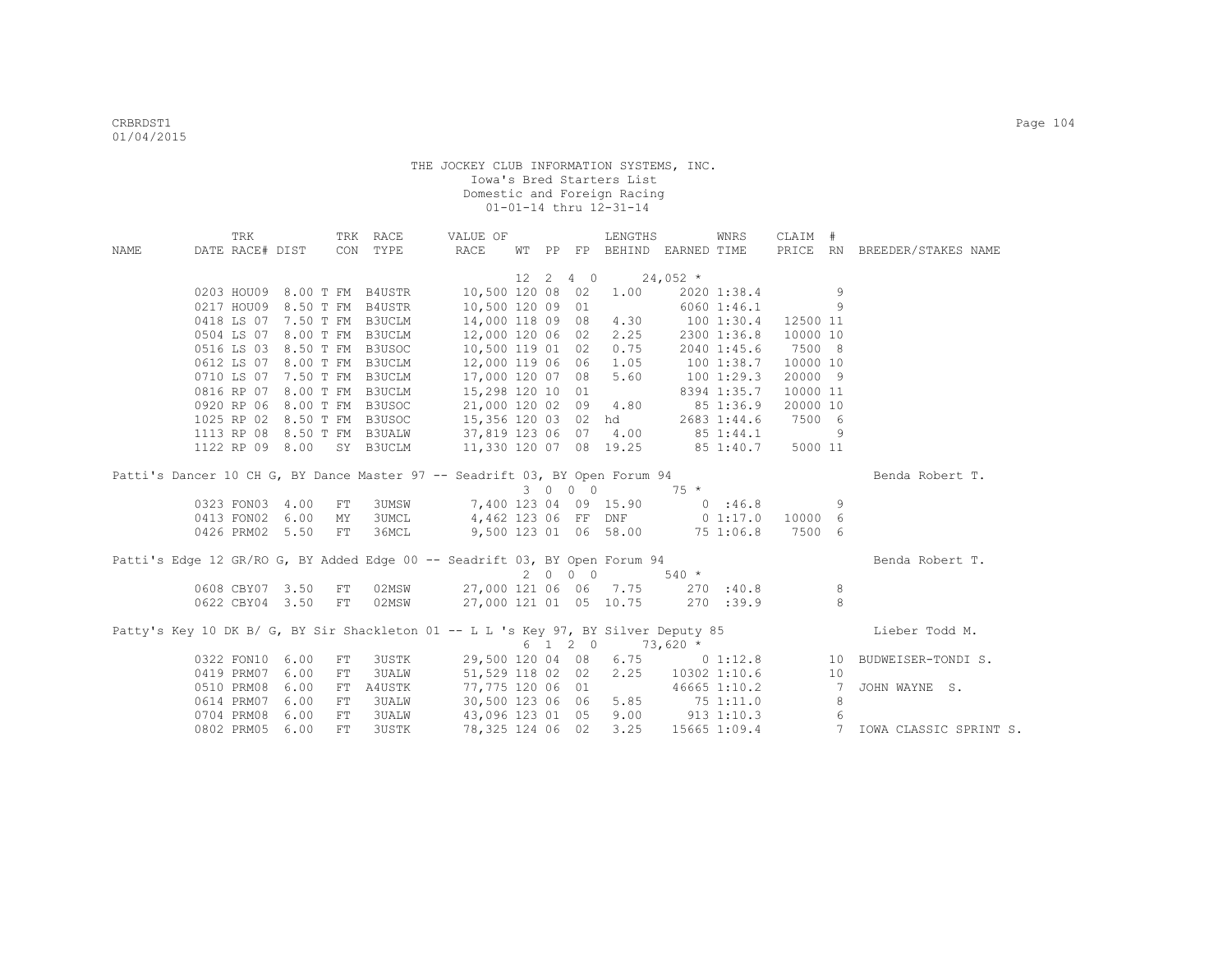|             | TRK        |                 |    | TRK RACE                    | VALUE OF                                                                           |  |                  | LENGTHS                     |                        | WNRS             | CLAIM #  |                |                                                     |  |
|-------------|------------|-----------------|----|-----------------------------|------------------------------------------------------------------------------------|--|------------------|-----------------------------|------------------------|------------------|----------|----------------|-----------------------------------------------------|--|
| <b>NAME</b> |            | DATE RACE# DIST |    | CON TYPE                    | RACE                                                                               |  |                  | WT PP FP BEHIND EARNED TIME |                        |                  |          |                | PRICE RN BREEDER/STAKES NAME                        |  |
|             |            |                 |    |                             |                                                                                    |  |                  |                             |                        |                  |          |                |                                                     |  |
|             |            |                 |    |                             |                                                                                    |  | $12 \t2 \t4 \t0$ |                             | $24,052$ *             |                  |          |                |                                                     |  |
|             |            |                 |    |                             | 0203 HOU09 8.00 T FM B4USTR 10,500 120 08 02                                       |  |                  | 1.00                        |                        | 2020 1:38.4      |          | 9              |                                                     |  |
|             |            |                 |    | 0217 HOU09 8.50 T FM B4USTR | 10,500 120 09 01                                                                   |  |                  |                             |                        | 6060 1:46.1      |          | 9              |                                                     |  |
|             |            |                 |    | 0418 LS 07 7.50 T FM B3UCLM | 14,000 118 09 08 4.30 100 1:30.4                                                   |  |                  |                             |                        |                  | 12500 11 |                |                                                     |  |
|             |            |                 |    | 0504 LS 07 8.00 T FM B3UCLM | 12,000 120 06 02                                                                   |  |                  |                             | $2.25$ $2300$ $1:36.8$ |                  | 10000 10 |                |                                                     |  |
|             |            |                 |    | 0516 LS 03 8.50 T FM B3USOC | 10,500 119 01 02                                                                   |  |                  |                             | $0.75$ 2040 1:45.6     |                  | 7500 8   |                |                                                     |  |
|             |            |                 |    | 0612 LS 07 8.00 T FM B3UCLM | 12,000 119 06 06 1.05                                                              |  |                  |                             | 100 1:38.7             |                  | 10000 10 |                |                                                     |  |
|             |            |                 |    | 0710 LS 07 7.50 T FM B3UCLM | 17,000 120 07 08 5.60                                                              |  |                  |                             | 100 1:29.3             |                  | 20000 9  |                |                                                     |  |
|             |            |                 |    | 0816 RP 07 8.00 T FM B3UCLM | $15,298$ 120 10 01<br>21,000 120 02 09 4.80                                        |  |                  |                             |                        | 8394 1:35.7      | 10000 11 |                |                                                     |  |
|             |            |                 |    | 0920 RP 06 8.00 T FM B3USOC |                                                                                    |  |                  |                             |                        | 85 1:36.9        | 20000 10 |                |                                                     |  |
|             |            |                 |    | 1025 RP 02 8.50 T FM B3USOC | 15,356 120 03 02 hd                                                                |  |                  |                             |                        | 2683 1:44.6      | 7500 6   |                |                                                     |  |
|             |            |                 |    | 1113 RP 08 8.50 T FM B3UALW | 37,819 123 06 07 4.00 85 1:44.1                                                    |  |                  |                             |                        |                  |          | 9              |                                                     |  |
|             |            | 1122 RP 09 8.00 |    | SY B3UCLM                   | 11,330 120 07 08 19.25 85 1:40.7                                                   |  |                  |                             |                        |                  | 5000 11  |                |                                                     |  |
|             |            |                 |    |                             | Patti's Dancer 10 CH G, BY Dance Master 97 -- Seadrift 03, BY Open Forum 94        |  |                  |                             |                        |                  |          |                | Benda Robert T.                                     |  |
|             |            |                 |    |                             |                                                                                    |  | 3 0 0 0          |                             | $75 *$                 |                  |          |                |                                                     |  |
|             |            | 0323 FON03 4.00 | FT | <b>3UMSW</b>                |                                                                                    |  |                  | 7,400 123 04 09 15.90       | 0.36.8                 |                  |          | 9              |                                                     |  |
|             |            | 0413 FON02 6.00 | MY | <b>3UMCL</b>                | 4,462 123 06 FF DNF 0 1:17.0                                                       |  |                  |                             |                        |                  | 10000 6  |                |                                                     |  |
|             |            | 0426 PRM02 5.50 | FT | 36MCL                       |                                                                                    |  |                  | 9,500 123 01 06 58.00       |                        | 75 1:06.8        | 7500 6   |                |                                                     |  |
|             |            |                 |    |                             |                                                                                    |  |                  |                             |                        |                  |          |                |                                                     |  |
|             |            |                 |    |                             | Patti's Edge 12 GR/RO G, BY Added Edge 00 -- Seadrift 03, BY Open Forum 94         |  |                  |                             |                        |                  |          |                | Benda Robert T.                                     |  |
|             |            |                 |    |                             |                                                                                    |  | 2000             |                             | $540 *$                |                  |          |                |                                                     |  |
|             |            | 0608 CBY07 3.50 | FT | 02MSW                       | 27,000 121 06 06 7.75 270 :40.8                                                    |  |                  |                             |                        |                  |          | 8              |                                                     |  |
|             |            | 0622 CBY04 3.50 | FT | 02MSW                       | 27,000 121 01 05 10.75                                                             |  |                  |                             |                        | $270 \quad 39.9$ |          | 8              |                                                     |  |
|             |            |                 |    |                             |                                                                                    |  |                  |                             |                        |                  |          |                |                                                     |  |
|             |            |                 |    |                             | Patty's Key 10 DK B/ G, BY Sir Shackleton 01 -- L L 's Key 97, BY Silver Deputy 85 |  |                  |                             |                        |                  |          |                | Lieber Todd M.                                      |  |
|             |            |                 |    |                             |                                                                                    |  | 6 1 2 0          |                             | $73,620*$              |                  |          |                |                                                     |  |
|             |            | 0322 FON10 6.00 | FT | 3USTK                       |                                                                                    |  |                  |                             |                        |                  |          |                | 29,500 120 04 08 6.75 0 1:12.8 10 BUDWEISER-TONDIS. |  |
|             | 0419 PRM07 | 6.00            | FT | 3UALW                       | 51,529 118 02 02                                                                   |  |                  | 2.25                        |                        | 10302 1:10.6     |          | 10             |                                                     |  |
|             | 0510 PRM08 | 6.00            | FT | A4USTK                      | 77,775 120 06 01                                                                   |  |                  |                             |                        | 46665 1:10.2     |          | $\overline{7}$ | JOHN WAYNE S.                                       |  |
|             | 0614 PRM07 | 6.00            | FT | 3UALW                       | 30,500 123 06 06 5.85 75 1:11.0                                                    |  |                  |                             |                        |                  |          | 8              |                                                     |  |
|             | 0704 PRM08 | 6.00            | FT | <b>3UALW</b>                | 43,096 123 01 05 9.00 913 1:10.3                                                   |  |                  |                             |                        |                  |          | 6              |                                                     |  |
|             | 0802 PRM05 | 6.00            | FT | 3USTK                       | 78,325 124 06 02                                                                   |  |                  | 3.25                        |                        |                  |          |                | 15665 1:09.4 7 IOWA CLASSIC SPRINT S.               |  |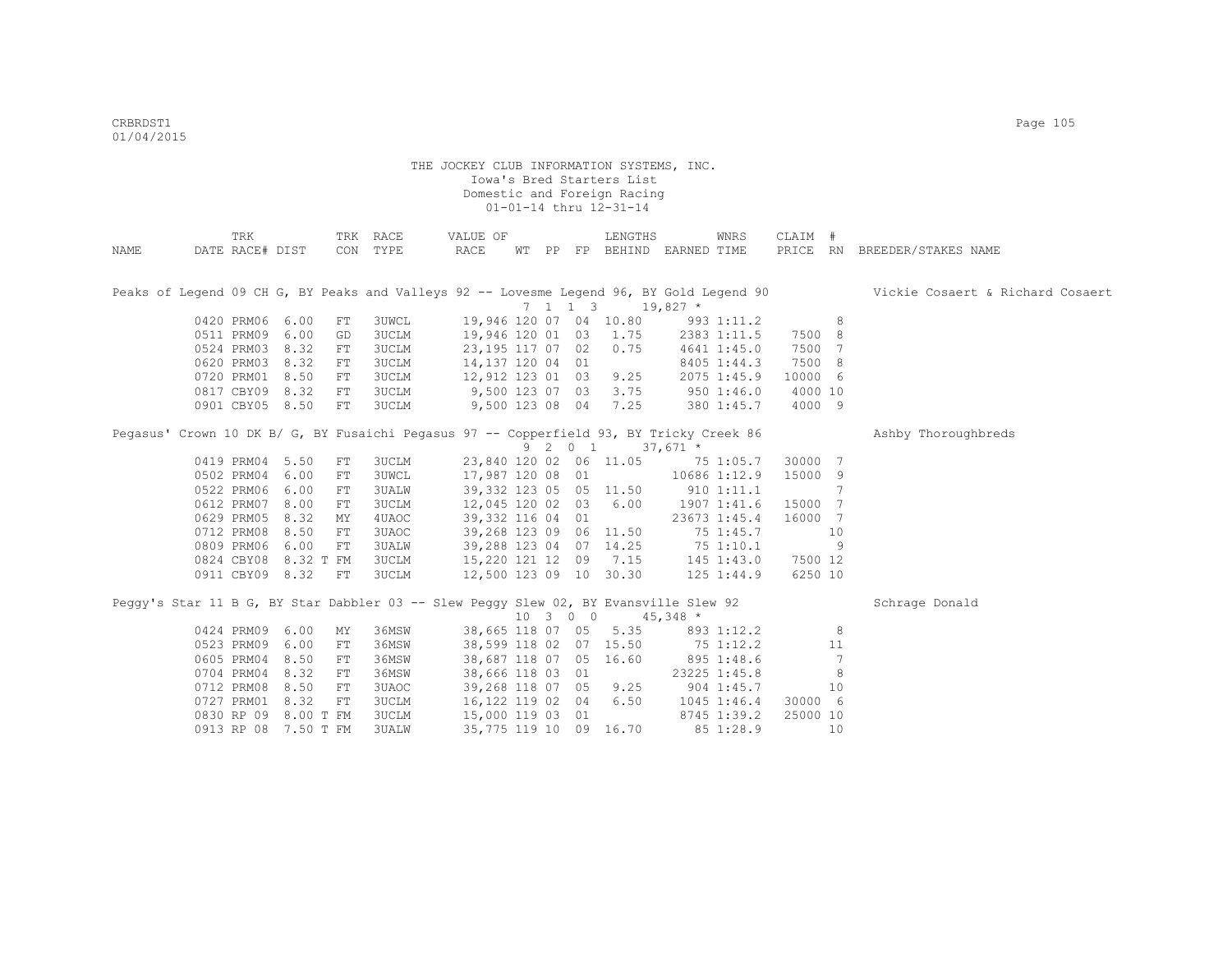| NAME | TRK<br>DATE RACE# DIST |                      |            | TRK RACE<br>CON TYPE                                                                    | VALUE OF<br>RACE       |  |          | LENGTHS<br>WT PP FP BEHIND EARNED TIME         |                | WNRS            | CLAIM #  |                 | PRICE RN BREEDER/STAKES NAME                                                                                              |
|------|------------------------|----------------------|------------|-----------------------------------------------------------------------------------------|------------------------|--|----------|------------------------------------------------|----------------|-----------------|----------|-----------------|---------------------------------------------------------------------------------------------------------------------------|
|      |                        |                      |            |                                                                                         |                        |  |          |                                                |                |                 |          |                 |                                                                                                                           |
|      |                        |                      |            |                                                                                         |                        |  |          |                                                |                |                 |          |                 | Peaks of Legend 09 CH G, BY Peaks and Valleys 92 -- Lovesme Legend 96, BY Gold Legend 90 Vickie Cosaert & Richard Cosaert |
|      |                        |                      |            |                                                                                         |                        |  |          | $7 \quad 1 \quad 1 \quad 3 \quad 19,827 \star$ |                |                 |          |                 |                                                                                                                           |
|      | 0420 PRM06 6.00        |                      | FT         | 3UWCL                                                                                   | 19,946 120 07 04 10.80 |  |          |                                                |                | 993 1:11.2      |          | 8               |                                                                                                                           |
|      | 0511 PRM09 6.00        |                      | GD         | 3UCLM                                                                                   | 19,946 120 01 03       |  |          | 1.75                                           |                | 2383 1:11.5     | 7500 8   |                 |                                                                                                                           |
|      | 0524 PRM03             | 8.32                 | ${\rm FT}$ | <b>3UCLM</b>                                                                            | 23,195 117 07 02       |  |          | 0.75                                           |                | 4641 1:45.0     | 7500 7   |                 |                                                                                                                           |
|      | 0620 PRM03             | 8.32                 | ${\rm FT}$ | 3UCLM                                                                                   | 14,137 120 04 01       |  |          |                                                |                | 8405 1:44.3     | 7500 8   |                 |                                                                                                                           |
|      | 0720 PRM01             | 8.50                 | FT         | 3UCLM                                                                                   | 12,912 123 01 03       |  |          | 9.25                                           |                | 2075 1:45.9     | 10000 6  |                 |                                                                                                                           |
|      | 0817 CBY09             | 8.32                 | FT         | 3UCLM                                                                                   | 9,500 123 07 03        |  |          | 3.75                                           |                | 9501:46.0       | 4000 10  |                 |                                                                                                                           |
|      | 0901 CBY05 8.50        |                      | FT         | <b>3UCLM</b>                                                                            | 9,500 123 08 04        |  |          | 7.25                                           |                | 380 1:45.7      | 4000 9   |                 |                                                                                                                           |
|      |                        |                      |            | Peqasus' Crown 10 DK B/ G, BY Fusaichi Peqasus 97 -- Copperfield 93, BY Tricky Creek 86 |                        |  |          |                                                |                |                 |          |                 | Ashby Thoroughbreds                                                                                                       |
|      |                        |                      |            |                                                                                         |                        |  |          | 9 2 0 1                                        | $37,671$ *     |                 |          |                 |                                                                                                                           |
|      | 0419 PRM04 5.50        |                      | FT         | 3UCLM                                                                                   |                        |  |          | 23,840 120 02 06 11.05                         |                | 75 1:05.7       | 30000 7  |                 |                                                                                                                           |
|      | 0502 PRM04 6.00        |                      | FT         | <b>3UWCL</b>                                                                            | 17,987 120 08 01       |  |          |                                                |                | 10686 1:12.9    | 15000 9  |                 |                                                                                                                           |
|      | 0522 PRM06             | 6.00                 | FT         | 3UALW                                                                                   |                        |  |          | 39, 332 123 05 05 11.50                        | $910$ $1:11.1$ |                 |          | 7               |                                                                                                                           |
|      | 0612 PRM07             | 8.00                 | FT         | 3UCLM                                                                                   | 12,045 120 02 03 6.00  |  |          |                                                |                | 1907 1:41.6     | 15000 7  |                 |                                                                                                                           |
|      | 0629 PRM05             | 8.32                 | МY         | 4UAOC                                                                                   | 39,332 116 04 01       |  |          |                                                |                | 23673 1:45.4    | 16000 7  |                 |                                                                                                                           |
|      | 0712 PRM08             | 8.50                 | FT         | 3UAOC                                                                                   |                        |  |          | 39,268 123 09 06 11.50                         |                | 75 1:45.7       |          | 10              |                                                                                                                           |
|      | 0809 PRM06             | 6.00                 | FT         | 3UALW                                                                                   |                        |  |          | 39,288 123 04 07 14.25                         | 751:10.1       |                 |          | 9               |                                                                                                                           |
|      | 0824 CBY08             | 8.32 T FM            |            | 3UCLM                                                                                   | 15,220 121 12 09       |  |          | 7.15 145 1:43.0                                |                |                 | 7500 12  |                 |                                                                                                                           |
|      |                        | 0911 CBY09 8.32      | FT         | <b>3UCLM</b>                                                                            | 12,500 123 09 10 30.30 |  |          |                                                |                | 125 1:44.9      | 6250 10  |                 |                                                                                                                           |
|      |                        |                      |            | Peqqy's Star 11 B G, BY Star Dabbler 03 -- Slew Peqqy Slew 02, BY Evansville Slew 92    |                        |  |          |                                                |                |                 |          |                 | Schrage Donald                                                                                                            |
|      |                        |                      |            |                                                                                         |                        |  | 10 3 0 0 |                                                | $45,348$ *     |                 |          |                 |                                                                                                                           |
|      | 0424 PRM09 6.00        |                      | MY         | 36MSW                                                                                   |                        |  |          | 38,665 118 07 05 5.35                          |                |                 |          |                 |                                                                                                                           |
|      | 0523 PRM09 6.00        |                      |            |                                                                                         |                        |  |          |                                                |                | 893 1:12.2      |          | 8               |                                                                                                                           |
|      |                        |                      | FT         | 36MSW                                                                                   |                        |  |          | 38,599 118 02 07 15.50                         | 75 1:12.2      |                 |          | 11              |                                                                                                                           |
|      | 0605 PRM04             | 8.50                 | FT         | 36MSW                                                                                   |                        |  |          | 38,687 118 07 05 16.60                         |                | 895 1:48.6      |          | $7\phantom{.0}$ |                                                                                                                           |
|      | 0704 PRM04             | 8.32                 | FT         | 36MSW                                                                                   | 38,666 118 03 01       |  |          |                                                |                | 23225 1:45.8    |          | 8               |                                                                                                                           |
|      | 0712 PRM08             | 8.50                 | FT         | 3UAOC                                                                                   | 39,268 118 07 05 9.25  |  |          |                                                |                | 904 1:45.7      |          | 10              |                                                                                                                           |
|      | 0727 PRM01             | 8.32                 | FT         | <b>3UCLM</b>                                                                            | 16, 122 119 02 04 6.50 |  |          |                                                |                | $1045$ $1:46.4$ | 30000 6  |                 |                                                                                                                           |
|      |                        | 0830 RP 09 8.00 T FM |            | 3UCLM                                                                                   | 15,000 119 03 01       |  |          |                                                |                | 8745 1:39.2     | 25000 10 |                 |                                                                                                                           |
|      | 0913 RP 08             | 7.50 T FM            |            | 3UALW                                                                                   | 35,775 119 10 09       |  |          | 16.70                                          |                | 85 1:28.9       |          | 10              |                                                                                                                           |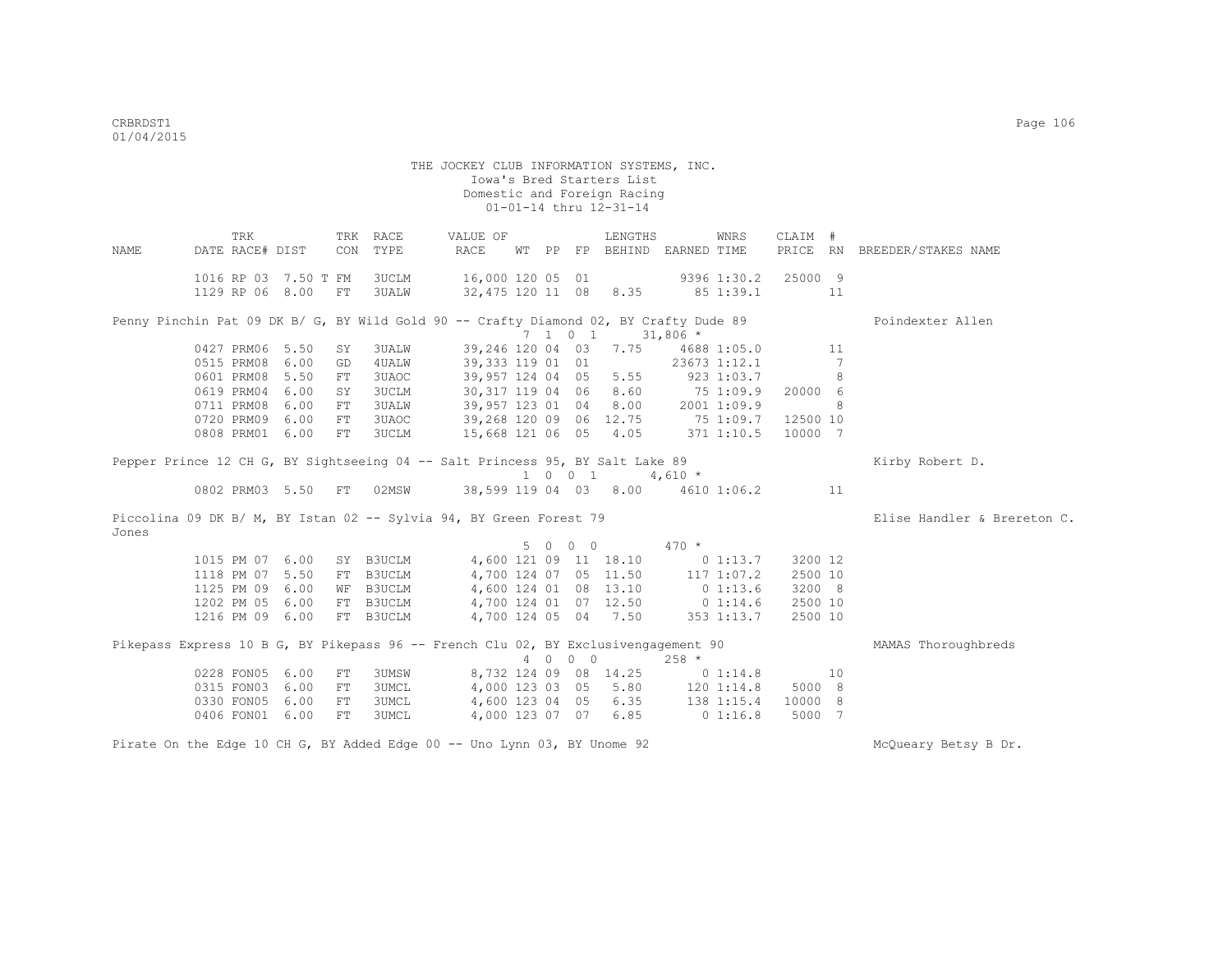THE JOCKEY CLUB INFORMATION SYSTEMS, INC. Iowa's Bred Starters List Domestic and Foreign Racing 01-01-14 thru 12-31-14 TRK TRK RACE VALUE OF LENGTHS WNRS CLAIM # NAME DATE RACE# DIST CON TYPE RACE WT PP FP BEHIND EARNED TIME PRICE RN BREEDER/STAKES NAME 1016 RP 03 7.50 T FM 3UCLM 16,000 120 05 01 9396 1:30.2 25000 9 1129 RP 06 8.00 FT 3UALW 32,475 120 11 08 8.35 85 1:39.1 11 Penny Pinchin Pat 09 DK B/ G, BY Wild Gold 90 -- Crafty Diamond 02, BY Crafty Dude 89 Poindexter Allen 7 1 0 1 31,806 \*<br>0427 PRM06 5.50 SY 3UALW 39,246 120 04 03 7.75 4688 002 10427 PRM06 5.500 120 120 04 04 03 7.75<br>1041 PRM06 39,333 119 01 01 12.673 1:12.1 12.1 0515 PRM08 6.00 GD 4UALW 39,333 119 01 01 23673 1:12.1 7<br>0601 PRM08 5.50 FT 3UAOC 39,957 124 04 05 5.55 923 1:03.7 8 0601 PRM08 5.50 FT 3UAOC 0619 PRM04 6.00 SY 3UCLM 30,317 119 04 06 8.60 75 1:09.9 20000 6 0711 PRM08 6.00 FT 3UALW 39,957 123 01 04 8.00 2001 1:09.9 8 0720 PRM09 6.00 FT 3UAOC 39,268 120 09 06 12.75 75 1:09.7 12500 10<br>0808 PRM01 6.00 FT 3UCLM 15,668 121 06 05 4.05 371 1:10.5 10000 7 0808 PRM01 6.00 FT 3UCLM 15,668 121 06 05 4.05 Pepper Prince 12 CH G, BY Sightseeing 04 -- Salt Princess 95, BY Salt Lake 89 Kirby Robert D. 1 0 0 1 4,610 \*<br>0802 PRM03 5.50 FT 02MSW 38,599 119 04 03 8.00 4610 08.599 119 04 03 8.00 4610 1:06.2 11 Piccolina 09 DK B/ M, BY Istan 02 -- Sylvia 94, BY Green Forest 79 Flise Handler & Brereton C. Jones 5 0 0 0 470 \* 1015 PM 07 6.00 SY B3UCLM 4,600 121 09 11 18.10 0 1:13.7 3200 12 1118 PM 07 5.50 FT B3UCLM 4,700 124 07 05 11.50 117 1:07.2 2500 10 1125 PM 09 6.00 WF B3UCLM 4,600 124 01 08 13.10 0 1:13.6 3200 8 1202 PM 05 6.00 FT B3UCLM 4,700 124 01 07 12.50 0 1:14.6 2500 10 1216 PM 09 6.00 FT B3UCLM 4,700 124 05 04 7.50 353 1:13.7 2500 10 Pikepass Express 10 B G, BY Pikepass 96 -- French Clu 02, BY Exclusivengagement 90 MAMAS Thoroughbreds  $4$  0 0 0 258  $*$ <br>8,732 124 09 08 14.25 0 1:14.8 0228 FON05 6.00 FT 3UMSW 8,732 124 09 08 14.25 0 1:14.8 10<br>0315 FON03 6.00 FT 3UMCL 4,000 123 03 05 5.80 120 1:14.8 5000 8 0315 FON03 6.00 FT 3UMCL 4,000 123 03 05 5.80 120 1:14.8 5000 8 0330 FON05 6.00 FT 3UMCL 4,600 123 04 05 6.35 138 1:15.4 10000 8 0406 FON01 6.00 FT 3UMCL 4,000 123 07 07 6.85 0 1:16.8 5000 7

Pirate On the Edge 10 CH G, BY Added Edge 00 -- Uno Lynn 03, BY Unome 92 Microsoft McQueary Betsy B Dr.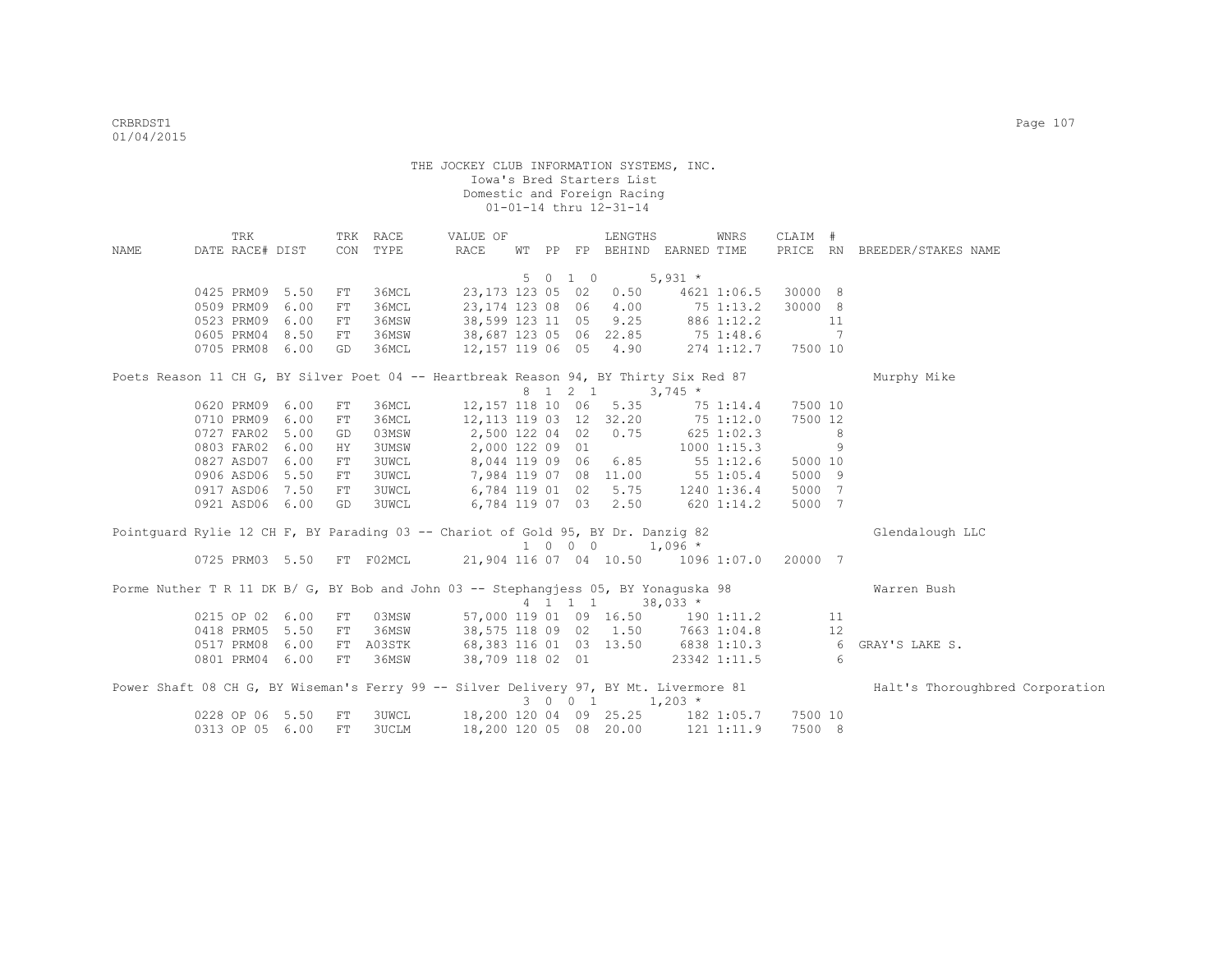|      | TRK             |                 |            | TRK RACE     | VALUE OF                                                                              |  |         | LENGTHS                     |                                                                                    | WNRS | CLAIM #  |    |                                                                                                                       |
|------|-----------------|-----------------|------------|--------------|---------------------------------------------------------------------------------------|--|---------|-----------------------------|------------------------------------------------------------------------------------|------|----------|----|-----------------------------------------------------------------------------------------------------------------------|
| NAME | DATE RACE# DIST |                 |            | CON TYPE     | RACE                                                                                  |  |         |                             | WT PP FP BEHIND EARNED TIME                                                        |      |          |    | PRICE RN BREEDER/STAKES NAME                                                                                          |
|      |                 |                 |            |              |                                                                                       |  | 5 0 1 0 | $5,931$ *                   |                                                                                    |      |          |    |                                                                                                                       |
|      | 0425 PRM09 5.50 |                 | FT         | 36MCL        | 23,173 123 05 02                                                                      |  |         | 0.50                        | 4621 1:06.5                                                                        |      | 30000 8  |    |                                                                                                                       |
|      | 0509 PRM09      | 6.00            | ${\rm FT}$ | 36MCL        |                                                                                       |  |         |                             |                                                                                    |      | 30000 8  |    |                                                                                                                       |
|      | 0523 PRM09 6.00 |                 | FT         | 36MSW        |                                                                                       |  |         |                             | 23,174 123 08 06 4.00 75 1:13.2<br>38,599 123 11 05 9.25 886 1:12.2                |      | 11       |    |                                                                                                                       |
|      | 0605 PRM04 8.50 |                 | FT         | 36MSW        |                                                                                       |  |         |                             |                                                                                    |      | $\sim$ 7 |    |                                                                                                                       |
|      |                 | 0705 PRM08 6.00 | GD         | 36MCL        |                                                                                       |  |         |                             | 38,687 123 05 06 22.85 75 1:48.6<br>12,157 119 06 05 4.90 274 1:12.7<br>274 1:12.7 |      | 7500 10  |    |                                                                                                                       |
|      |                 |                 |            |              |                                                                                       |  |         |                             |                                                                                    |      |          |    |                                                                                                                       |
|      |                 |                 |            |              | Poets Reason 11 CH G, BY Silver Poet 04 -- Heartbreak Reason 94, BY Thirty Six Red 87 |  |         |                             |                                                                                    |      |          |    | Murphy Mike                                                                                                           |
|      | 0620 PRM09 6.00 |                 | FT         | 36MCL        |                                                                                       |  | 8 1 2 1 | 12,157 118 10 06 5.35       | $3,745$ *<br>75 1:14.4                                                             |      | 7500 10  |    |                                                                                                                       |
|      | 0710 PRM09      | 6.00            | FT         | 36MCL        |                                                                                       |  |         |                             | 12, 113 119 03 12 32.20 75 1:12.0                                                  |      | 7500 12  |    |                                                                                                                       |
|      | 0727 FAR02 5.00 |                 | GD         | 03MSW        |                                                                                       |  |         |                             | 2,500 122 04 02 0.75 625 1:02.3                                                    |      | $\sim$ 8 |    |                                                                                                                       |
|      | 0803 FAR02 6.00 |                 | HY.        | <b>3UMSW</b> | 2,000 122 09 01                                                                       |  |         |                             | $1000$ $1:15.3$                                                                    |      | $\sim$ 9 |    |                                                                                                                       |
|      | 0827 ASD07 6.00 |                 | FT         | <b>3UWCL</b> | 8,044 119 09 06 6.85 55 1:12.6                                                        |  |         |                             |                                                                                    |      | 5000 10  |    |                                                                                                                       |
|      |                 | 0906 ASD06 5.50 | FT         | <b>3UWCL</b> | 7,984 119 07 08 11.00 55 1:05.4                                                       |  |         |                             |                                                                                    |      | 5000 9   |    |                                                                                                                       |
|      | 0917 ASD06      | 7.50            | FT         | 3UWCL        | 6,784 119 01 02 5.75 1240 1:36.4                                                      |  |         |                             |                                                                                    |      | 5000 7   |    |                                                                                                                       |
|      |                 | 0921 ASD06 6.00 | GD         | <b>3UWCL</b> | 6,784 119 07 03 2.50 620 1:14.2                                                       |  |         |                             |                                                                                    |      | 5000 7   |    |                                                                                                                       |
|      |                 |                 |            |              |                                                                                       |  |         |                             |                                                                                    |      |          |    |                                                                                                                       |
|      |                 |                 |            |              | Pointguard Rylie 12 CH F, BY Parading 03 -- Chariot of Gold 95, BY Dr. Danzig 82      |  |         |                             |                                                                                    |      |          |    | Glendalough LLC                                                                                                       |
|      |                 |                 |            |              | 0725 PRM03 5.50 FT F02MCL 21,904 116 07 04 10.50 1096 1:07.0 20000 7                  |  |         | $1 \t0 \t0 \t0 \t1,096 \t*$ |                                                                                    |      |          |    |                                                                                                                       |
|      |                 |                 |            |              |                                                                                       |  |         |                             |                                                                                    |      |          |    |                                                                                                                       |
|      |                 |                 |            |              | Porme Nuther T R 11 DK B/ G, BY Bob and John 03 -- Stephangjess 05, BY Yonaguska 98   |  |         |                             |                                                                                    |      |          |    | Warren Bush                                                                                                           |
|      |                 |                 |            |              |                                                                                       |  |         | 4 1 1 1 38,033 *            |                                                                                    |      |          |    |                                                                                                                       |
|      | 0215 OP 02 6.00 |                 | FT         | 03MSW        | 57,000 119 01 09 16.50 190 1:11.2                                                     |  |         |                             |                                                                                    |      |          | 11 |                                                                                                                       |
|      | 0418 PRM05      | 5.50            | FT         | 36MSW        | 38,575 118 09 02 1.50 7663 1:04.8                                                     |  |         |                             |                                                                                    |      |          | 12 |                                                                                                                       |
|      | 0517 PRM08      | 6.00            |            | FT A03STK    | 68,383 116 01 03 13.50 6838 1:10.3 6                                                  |  |         |                             |                                                                                    |      |          |    | GRAY'S LAKE S.                                                                                                        |
|      |                 | 0801 PRM04 6.00 | FT         | 36MSW        | 38,709 118 02 01                                                                      |  |         |                             | 23342 1:11.5 6                                                                     |      |          |    |                                                                                                                       |
|      |                 |                 |            |              |                                                                                       |  |         |                             |                                                                                    |      |          |    | Power Shaft 08 CH G, BY Wiseman's Ferry 99 -- Silver Delivery 97, BY Mt. Livermore 81 Halt's Thoroughbred Corporation |
|      |                 |                 |            |              |                                                                                       |  |         | $3 \t0 \t0 \t1 \t1,203$ *   |                                                                                    |      |          |    |                                                                                                                       |
|      | 0228 OP 06 5.50 |                 | FT         | <b>3UWCL</b> | 18,200 120 04 09 25.25 182 1:05.7 7500 10                                             |  |         |                             |                                                                                    |      |          |    |                                                                                                                       |
|      | 0313 OP 05 6.00 |                 | FT         | 3UCLM        |                                                                                       |  |         |                             | 18,200 120 05 08 20.00 121 1:11.9                                                  |      | 7500 8   |    |                                                                                                                       |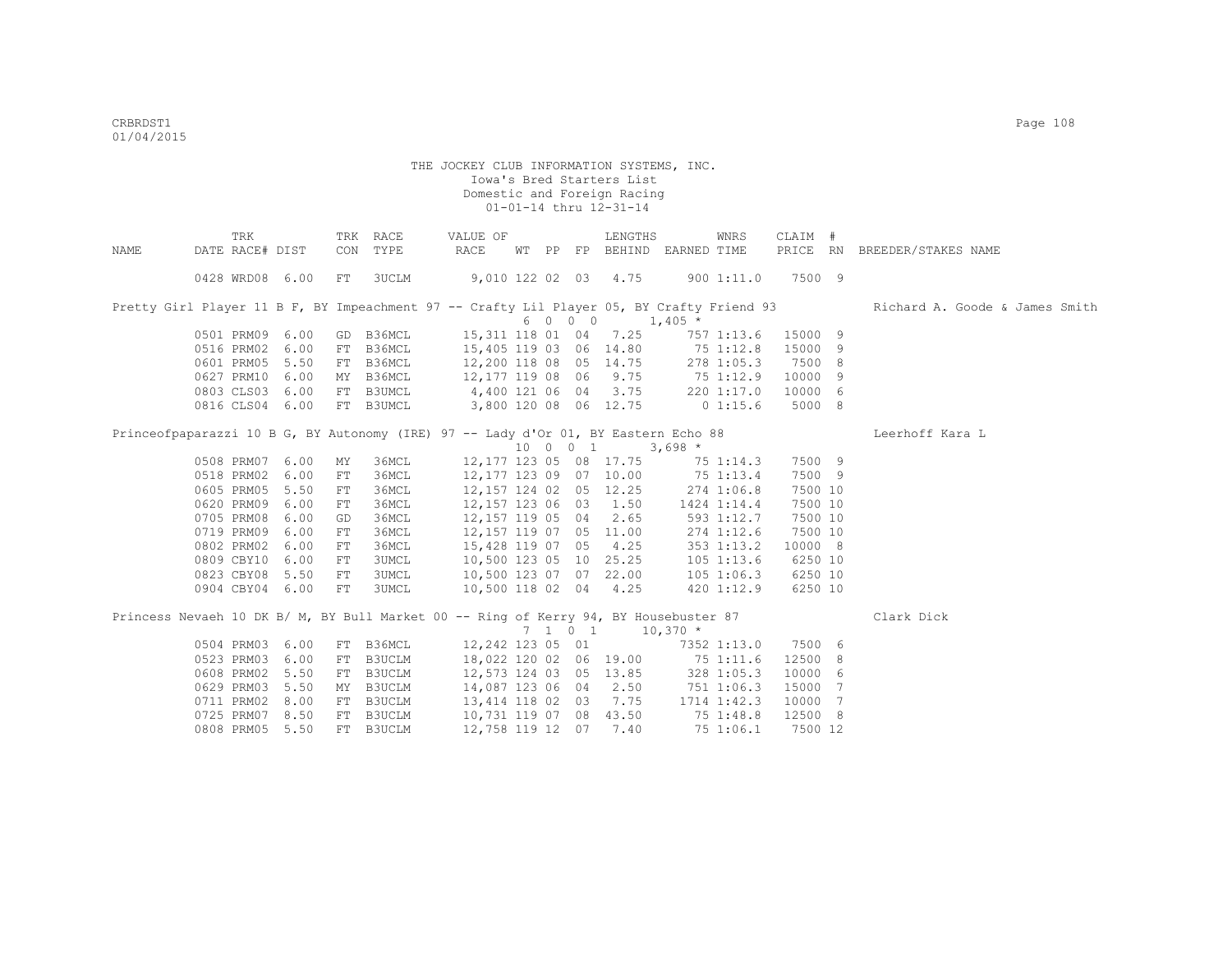|      | TRK                                                                                       |    | TRK RACE  | VALUE OF                         |  |         | LENGTHS                                                 |             | WNRS         | CLAIM #  |                                |
|------|-------------------------------------------------------------------------------------------|----|-----------|----------------------------------|--|---------|---------------------------------------------------------|-------------|--------------|----------|--------------------------------|
| NAME | DATE RACE# DIST                                                                           |    | CON TYPE  | RACE                             |  |         | WT PP FP BEHIND EARNED TIME                             |             |              | PRICE RN | BREEDER/STAKES NAME            |
|      | 0428 WRD08 6.00                                                                           | FT | 3UCLM     | 9,010 122 02 03 4.75             |  |         |                                                         |             | 900 1:11.0   | 7500 9   |                                |
|      | Pretty Girl Player 11 B F, BY Impeachment 97 -- Crafty Lil Player 05, BY Crafty Friend 93 |    |           |                                  |  |         |                                                         |             |              |          | Richard A. Goode & James Smith |
|      |                                                                                           |    |           |                                  |  | 6 0 0 0 |                                                         | $1,405$ *   |              |          |                                |
|      | 0501 PRM09 6.00                                                                           |    | GD B36MCL | 15,311 118 01 04 7.25            |  |         |                                                         |             | 757 1:13.6   | 15000 9  |                                |
|      | 0516 PRM02 6.00                                                                           |    | FT B36MCL | 15,405 119 03 06 14.80           |  |         |                                                         | 751:12.8    |              | 15000 9  |                                |
|      | 0601 PRM05 5.50                                                                           |    | FT B36MCL | 12,200 118 08 05 14.75           |  |         |                                                         |             | 278 1:05.3   | 7500 8   |                                |
|      | 0627 PRM10 6.00                                                                           |    | MY B36MCL | 12, 177 119 08 06 9.75           |  |         |                                                         | 75 1:12.9   |              | 10000 9  |                                |
|      | 0803 CLS03 6.00                                                                           |    | FT B3UMCL | 4,400 121 06 04 3.75             |  |         |                                                         |             | 220 1:17.0   | 10000 6  |                                |
|      | 0816 CLS04 6.00                                                                           |    | FT B3UMCL | 3,800 120 08 06 12.75            |  |         |                                                         | $0\;1:15.6$ |              | 5000 8   |                                |
|      | Princeofpaparazzi 10 B G, BY Autonomy (IRE) 97 -- Lady d'Or 01, BY Eastern Echo 88        |    |           |                                  |  |         |                                                         |             |              |          | Leerhoff Kara L                |
|      |                                                                                           |    |           |                                  |  |         | 10 0 0 1                                                | $3,698$ *   |              |          |                                |
|      | 0508 PRM07 6.00                                                                           | МY | 36MCL     |                                  |  |         | 12,177 123 05 08 17.75                                  |             | 75 1:14.3    | 7500 9   |                                |
|      | 0518 PRM02 6.00                                                                           | FT | 36MCL     | 12,177 123 09 07 10.00           |  |         |                                                         | 75 1:13.4   |              | 7500 9   |                                |
|      | 0605 PRM05 5.50                                                                           | FT | 36MCL     | 12,157 124 02 05 12.25           |  |         |                                                         |             | 274 1:06.8   | 7500 10  |                                |
|      | 0620 PRM09 6.00                                                                           | FT | 36MCL     | 12, 157 123 06 03 1.50           |  |         |                                                         |             | 1424 1:14.4  | 7500 10  |                                |
|      | 0705 PRM08 6.00                                                                           | GD | 36MCL     | 12, 157 119 05 04 2.65           |  |         |                                                         |             | 593 1:12.7   | 7500 10  |                                |
|      | 0719 PRM09 6.00                                                                           | FT | 36MCL     | 12, 157 119 07 05 11.00          |  |         |                                                         |             | 274 1:12.6   | 7500 10  |                                |
|      | 0802 PRM02 6.00                                                                           | FT | 36MCL     | 15,428 119 07 05 4.25            |  |         |                                                         |             | 353 1:13.2   | 10000 8  |                                |
|      | 0809 CBY10 6.00                                                                           | FT | 3UMCL     | 10,500 123 05 10 25.25           |  |         |                                                         |             | $105$ 1:13.6 | 6250 10  |                                |
|      | 0823 CBY08 5.50                                                                           | FT | 3UMCL     | 10,500 123 07 07 22.00           |  |         |                                                         |             | 105 1:06.3   | 6250 10  |                                |
|      | 0904 CBY04 6.00                                                                           | FT | 3UMCL     | 10,500 118 02 04 4.25            |  |         |                                                         |             | 420 1:12.9   | 6250 10  |                                |
|      | Princess Nevaeh 10 DK B/ M, BY Bull Market 00 -- Ring of Kerry 94, BY Housebuster 87      |    |           |                                  |  |         |                                                         |             |              |          | Clark Dick                     |
|      |                                                                                           |    |           |                                  |  |         | $7 \quad 1 \quad 0 \quad 1 \quad 10,370 \quad ^{\star}$ |             |              |          |                                |
|      | 0504 PRM03 6.00                                                                           |    | FT B36MCL | 12,242 123 05 01                 |  |         |                                                         |             | 7352 1:13.0  | 7500 6   |                                |
|      | 0523 PRM03 6.00                                                                           | FT | B3UCLM    | 18,022 120 02 06 19.00 75 1:11.6 |  |         |                                                         |             |              | 12500 8  |                                |
|      | 0608 PRM02 5.50                                                                           |    | FT B3UCLM | 12,573 124 03 05 13.85           |  |         |                                                         |             | 328 1:05.3   | 10000 6  |                                |
|      | 0629 PRM03 5.50                                                                           |    | MY B3UCLM | 14,087 123 06 04 2.50            |  |         |                                                         | 751 1:06.3  |              | 15000 7  |                                |
|      | 0711 PRM02 8.00                                                                           |    | FT B3UCLM | 13,414 118 02 03 7.75            |  |         |                                                         |             | 1714 1:42.3  | 10000 7  |                                |
|      | 0725 PRM07 8.50                                                                           |    | FT B3UCLM | 10,731 119 07 08 43.50           |  |         |                                                         | 75 1:48.8   |              | 12500 8  |                                |
|      | 0808 PRM05 5.50                                                                           |    | FT B3UCLM | 12,758 119 12 07                 |  |         | 7.40                                                    |             | 75 1:06.1    | 7500 12  |                                |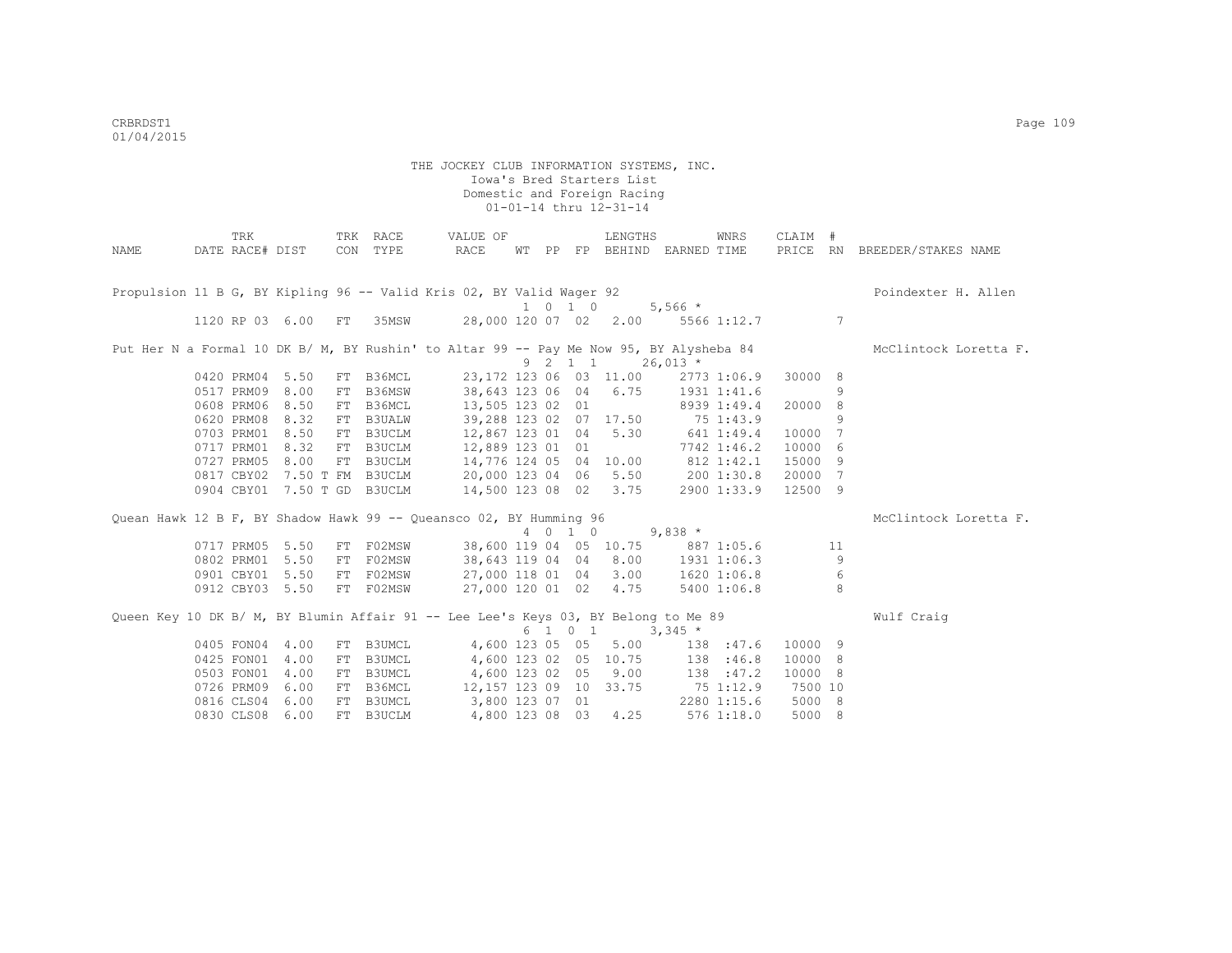|      | TRK             |                 |    | TRK RACE                    | VALUE OF                                                                               |       |                    | LENGTHS                 |                       | WNRS        | CLAIM # |    |                              |
|------|-----------------|-----------------|----|-----------------------------|----------------------------------------------------------------------------------------|-------|--------------------|-------------------------|-----------------------|-------------|---------|----|------------------------------|
| NAME | DATE RACE# DIST |                 |    | CON TYPE                    | RACE                                                                                   | WT PP |                    |                         | FP BEHIND EARNED TIME |             |         |    | PRICE RN BREEDER/STAKES NAME |
|      |                 |                 |    |                             |                                                                                        |       |                    |                         |                       |             |         |    |                              |
|      |                 |                 |    |                             |                                                                                        |       |                    |                         |                       |             |         |    |                              |
|      |                 |                 |    |                             | Propulsion 11 B G, BY Kipling 96 -- Valid Kris 02, BY Valid Wager 92                   |       |                    |                         |                       |             |         |    | Poindexter H. Allen          |
|      |                 |                 |    |                             |                                                                                        |       | $1 \t 0 \t 1 \t 0$ |                         | $5,566$ *             |             |         |    |                              |
|      |                 | 1120 RP 03 6.00 | FT | 35MSW                       | 28,000 120 07 02 2.00                                                                  |       |                    |                         |                       | 5566 1:12.7 |         | 7  |                              |
|      |                 |                 |    |                             |                                                                                        |       |                    |                         |                       |             |         |    |                              |
|      |                 |                 |    |                             | Put Her N a Formal 10 DK B/ M, BY Rushin' to Altar 99 -- Pay Me Now 95, BY Alysheba 84 |       |                    |                         |                       |             |         |    | McClintock Loretta F.        |
|      |                 |                 |    |                             |                                                                                        |       | 9 2 1 1            |                         | $26,013$ *            |             |         |    |                              |
|      | 0420 PRM04      | 5.50            | FT | B36MCL                      |                                                                                        |       |                    | 23, 172 123 06 03 11.00 |                       | 2773 1:06.9 | 30000 8 |    |                              |
|      | 0517 PRM09      | 8.00            | FT | B36MSW                      | 38,643 123 06 04                                                                       |       |                    | 6.75                    |                       | 1931 1:41.6 |         | 9  |                              |
|      | 0608 PRM06      | 8.50            | FT | B36MCL                      | 13,505 123 02 01                                                                       |       |                    |                         |                       | 8939 1:49.4 | 20000 8 |    |                              |
|      | 0620 PRM08      | 8.32            | FT | <b>B3UALW</b>               | 39,288 123 02                                                                          |       |                    | 07 17.50                |                       | 75 1:43.9   |         | 9  |                              |
|      | 0703 PRM01      | 8.50            | FT | B3UCLM                      | 12,867 123 01                                                                          |       | 04                 | 5.30                    | 641 1:49.4            |             | 10000   | 7  |                              |
|      | 0717 PRM01      | 8.32            | FT | B3UCLM                      | 12,889 123 01                                                                          |       | 01                 |                         |                       | 7742 1:46.2 | 10000 6 |    |                              |
|      | 0727 PRM05      | 8.00            | FT | B3UCLM                      | 14,776 124 05                                                                          |       |                    |                         | 04 10.00 812 1:42.1   |             | 15000 9 |    |                              |
|      |                 |                 |    | 0817 CBY02 7.50 T FM B3UCLM | 20,000 123 04 06 5.50 200 1:30.8                                                       |       |                    |                         |                       |             | 20000 7 |    |                              |
|      |                 |                 |    | 0904 CBY01 7.50 T GD B3UCLM | 14,500 123 08 02 3.75                                                                  |       |                    |                         |                       | 2900 1:33.9 | 12500 9 |    |                              |
|      |                 |                 |    |                             |                                                                                        |       |                    |                         |                       |             |         |    |                              |
|      |                 |                 |    |                             | Quean Hawk 12 B F, BY Shadow Hawk 99 -- Queansco 02, BY Humming 96                     |       |                    |                         |                       |             |         |    | McClintock Loretta F.        |
|      |                 |                 |    |                             |                                                                                        |       | 4 0 1 0            |                         | $9,838$ *             |             |         |    |                              |
|      | 0717 PRM05      | 5.50            | FT | F02MSW                      | 38,600 119 04 05 10.75 887 1:05.6                                                      |       |                    |                         |                       |             |         | 11 |                              |
|      | 0802 PRM01      | 5.50            | FT | F02MSW                      | 38,643 119 04 04 8.00                                                                  |       |                    |                         |                       | 1931 1:06.3 |         | 9  |                              |
|      | 0901 CBY01      | 5.50            | FT | F02MSW                      | 27,000 118 01 04 3.00                                                                  |       |                    |                         |                       | 1620 1:06.8 |         | 6  |                              |
|      |                 | 0912 CBY03 5.50 |    | FT F02MSW                   | 27,000 120 01 02                                                                       |       |                    | 4.75                    |                       | 5400 1:06.8 |         | 8  |                              |
|      |                 |                 |    |                             |                                                                                        |       |                    |                         |                       |             |         |    |                              |
|      |                 |                 |    |                             | Queen Key 10 DK B/ M, BY Blumin Affair 91 -- Lee Lee's Keys 03, BY Belong to Me 89     |       |                    |                         |                       |             |         |    | Wulf Craig                   |
|      |                 |                 |    |                             |                                                                                        |       | 6 1 0 1            |                         | $3,345$ *             |             |         |    |                              |
|      | 0405 FON04      | 4.00            | FT | <b>B3UMCL</b>               | 4,600 123 05 05                                                                        |       |                    | 5.00                    |                       | 138 :47.6   | 10000 9 |    |                              |
|      | 0425 FON01      | 4.00            | FT | B3UMCL                      | 4,600 123 02 05 10.75                                                                  |       |                    |                         | 138                   | :46.8       | 10000 8 |    |                              |
|      | 0503 FON01      | 4.00            | FT | B3UMCL                      | 4,600 123 02 05 9.00                                                                   |       |                    |                         | 138 : 47.2            |             | 10000 8 |    |                              |
|      | 0726 PRM09      | 6.00            | FT | B36MCL                      | 12,157 123 09 10                                                                       |       |                    | 33.75                   |                       | 75 1:12.9   | 7500 10 |    |                              |
|      | 0816 CLS04      | 6.00            | FT | <b>B3UMCL</b>               | 3,800 123 07 01                                                                        |       |                    |                         |                       | 2280 1:15.6 | 5000 8  |    |                              |
|      | 0830 CLS08      | 6.00            |    | FT B3UCLM                   | 4,800 123 08                                                                           |       | 03                 | 4.25                    |                       | 576 1:18.0  | 5000 8  |    |                              |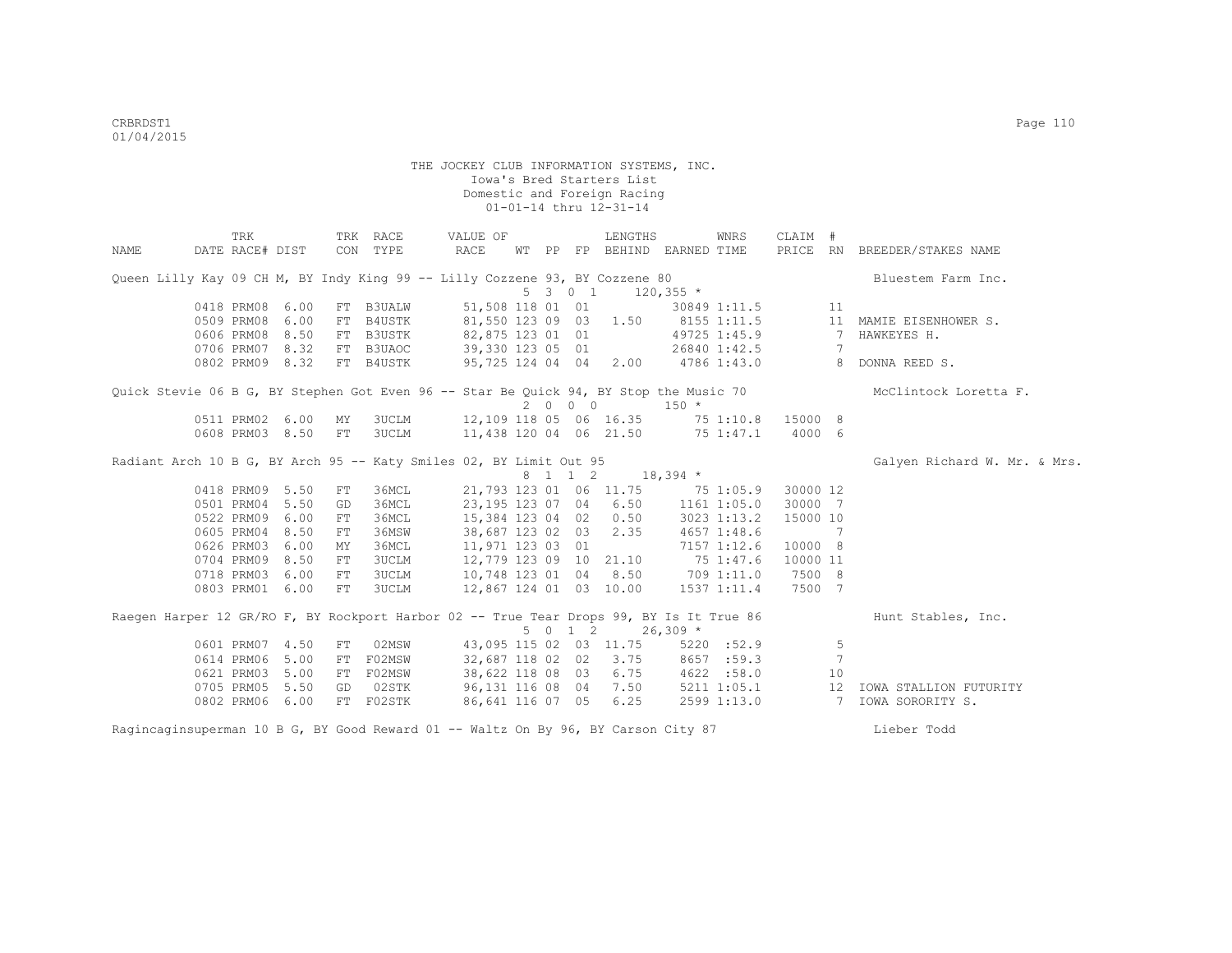|                                                                                         | TRK             |      |    | TRK RACE                  | VALUE OF                                |                  |  |         | LENGTHS                           |             | WNRS         | CLAIM #  |                |                              |
|-----------------------------------------------------------------------------------------|-----------------|------|----|---------------------------|-----------------------------------------|------------------|--|---------|-----------------------------------|-------------|--------------|----------|----------------|------------------------------|
| NAME                                                                                    | DATE RACE# DIST |      |    | CON TYPE                  | RACE                                    |                  |  |         | WT PP FP BEHIND EARNED TIME       |             |              |          |                | PRICE RN BREEDER/STAKES NAME |
| Queen Lilly Kay 09 CH M, BY Indy King 99 -- Lilly Cozzene 93, BY Cozzene 80             |                 |      |    |                           |                                         |                  |  |         |                                   |             |              |          |                | Bluestem Farm Inc.           |
|                                                                                         |                 |      |    |                           |                                         |                  |  | 5301    |                                   | $120,355$ * |              |          |                |                              |
|                                                                                         | 0418 PRM08      | 6.00 | FT | <b>B3UALW</b>             |                                         |                  |  |         | 51,508 118 01 01                  |             | 30849 1:11.5 |          | 11             |                              |
|                                                                                         | 0509 PRM08      | 6.00 | FT | B4USTK                    |                                         |                  |  |         | 81,550 123 09 03 1.50 8155 1:11.5 |             |              |          |                | 11 MAMIE EISENHOWER S.       |
|                                                                                         | 0606 PRM08 8.50 |      | FT | B3USTK                    | 82,875 123 01 01                        |                  |  |         |                                   |             | 49725 1:45.9 |          | $\overline{7}$ | HAWKEYES H.                  |
|                                                                                         | 0706 PRM07 8.32 |      |    |                           | FT B3UAOC 39,330 123 05 01 26840 1:42.5 |                  |  |         |                                   |             |              |          | 7              |                              |
|                                                                                         |                 |      |    | 0802 PRM09 8.32 FT B4USTK |                                         |                  |  |         | 95,725 124 04 04 2.00 4786 1:43.0 |             |              |          |                | 8 DONNA REED S.              |
| Quick Stevie 06 B G, BY Stephen Got Even 96 -- Star Be Quick 94, BY Stop the Music 70   |                 |      |    |                           |                                         |                  |  |         |                                   |             |              |          |                | McClintock Loretta F.        |
|                                                                                         |                 |      |    |                           |                                         |                  |  | 2000    |                                   | $150 *$     |              |          |                |                              |
|                                                                                         | 0511 PRM02 6.00 |      | MY | 3UCLM                     |                                         |                  |  |         | 12,109 118 05 06 16.35 75 1:10.8  |             |              | 15000 8  |                |                              |
|                                                                                         | 0608 PRM03 8.50 |      | FT | 3UCLM                     |                                         |                  |  |         | 11,438 120 04 06 21.50 75 1:47.1  |             |              | 4000 6   |                |                              |
| Radiant Arch 10 B G, BY Arch 95 -- Katy Smiles 02, BY Limit Out 95                      |                 |      |    |                           |                                         |                  |  |         |                                   |             |              |          |                | Galyen Richard W. Mr. & Mrs. |
|                                                                                         |                 |      |    |                           |                                         |                  |  |         | 8 1 1 2 18,394 *                  |             |              |          |                |                              |
|                                                                                         | 0418 PRM09 5.50 |      | FT | 36MCL                     |                                         |                  |  |         | 21,793 123 01 06 11.75 75 1:05.9  |             |              | 30000 12 |                |                              |
|                                                                                         | 0501 PRM04      | 5.50 | GD | 36MCL                     |                                         |                  |  |         | 23,195 123 07 04 6.50             |             | 1161 1:05.0  | 30000 7  |                |                              |
|                                                                                         | 0522 PRM09 6.00 |      | FT | 36MCL                     |                                         |                  |  |         | 15,384 123 04 02 0.50             |             | 3023 1:13.2  | 15000 10 |                |                              |
|                                                                                         | 0605 PRM04 8.50 |      | FT | 36MSW                     |                                         |                  |  |         | 38,687 123 02 03 2.35             |             | 4657 1:48.6  |          | 7              |                              |
|                                                                                         | 0626 PRM03 6.00 |      | MY | 36MCL                     |                                         | 11,971 123 03 01 |  |         |                                   |             | 7157 1:12.6  | 10000 8  |                |                              |
|                                                                                         | 0704 PRM09 8.50 |      | FT | 3UCLM                     |                                         |                  |  |         | 12,779 123 09 10 21.10            |             | 75 1:47.6    | 10000 11 |                |                              |
|                                                                                         | 0718 PRM03 6.00 |      | FT | 3UCLM                     |                                         |                  |  |         | 10,748 123 01 04 8.50 709 1:11.0  |             |              | 7500 8   |                |                              |
|                                                                                         | 0803 PRM01 6.00 |      | FT | 3UCLM                     |                                         |                  |  |         | 12,867 124 01 03 10.00            |             | 1537 1:11.4  | 7500 7   |                |                              |
| Raegen Harper 12 GR/RO F, BY Rockport Harbor 02 -- True Tear Drops 99, BY Is It True 86 |                 |      |    |                           |                                         |                  |  |         |                                   |             |              |          |                | Hunt Stables, Inc.           |
|                                                                                         |                 |      |    |                           |                                         |                  |  | 5 0 1 2 |                                   | $26,309$ *  |              |          |                |                              |
|                                                                                         | 0601 PRM07 4.50 |      | FT |                           | 02MSW                                   |                  |  |         | 43,095 115 02 03 11.75            |             | 5220 : 52.9  |          | 5              |                              |
|                                                                                         | 0614 PRM06 5.00 |      | FT | F02MSW                    |                                         |                  |  |         | 32,687 118 02 02 3.75             |             | 8657 :59.3   |          | 7              |                              |
|                                                                                         | 0621 PRM03 5.00 |      | FT | F02MSW                    |                                         |                  |  |         | 38,622 118 08 03 6.75             |             | 4622 :58.0   |          | 10             |                              |
|                                                                                         | 0705 PRM05 5.50 |      | GD | 02STK                     |                                         |                  |  |         | 96,131 116 08 04 7.50             |             | 5211 1:05.1  |          |                | 12 IOWA STALLION FUTURITY    |
|                                                                                         | 0802 PRM06 6.00 |      |    | FT F02STK                 |                                         |                  |  |         | 86,641 116 07 05 6.25             |             | 2599 1:13.0  |          |                | 7 IOWA SORORITY S.           |
| Ragincaginsuperman 10 B G, BY Good Reward 01 -- Waltz On By 96, BY Carson City 87       |                 |      |    |                           |                                         |                  |  |         |                                   |             |              |          |                | Lieber Todd                  |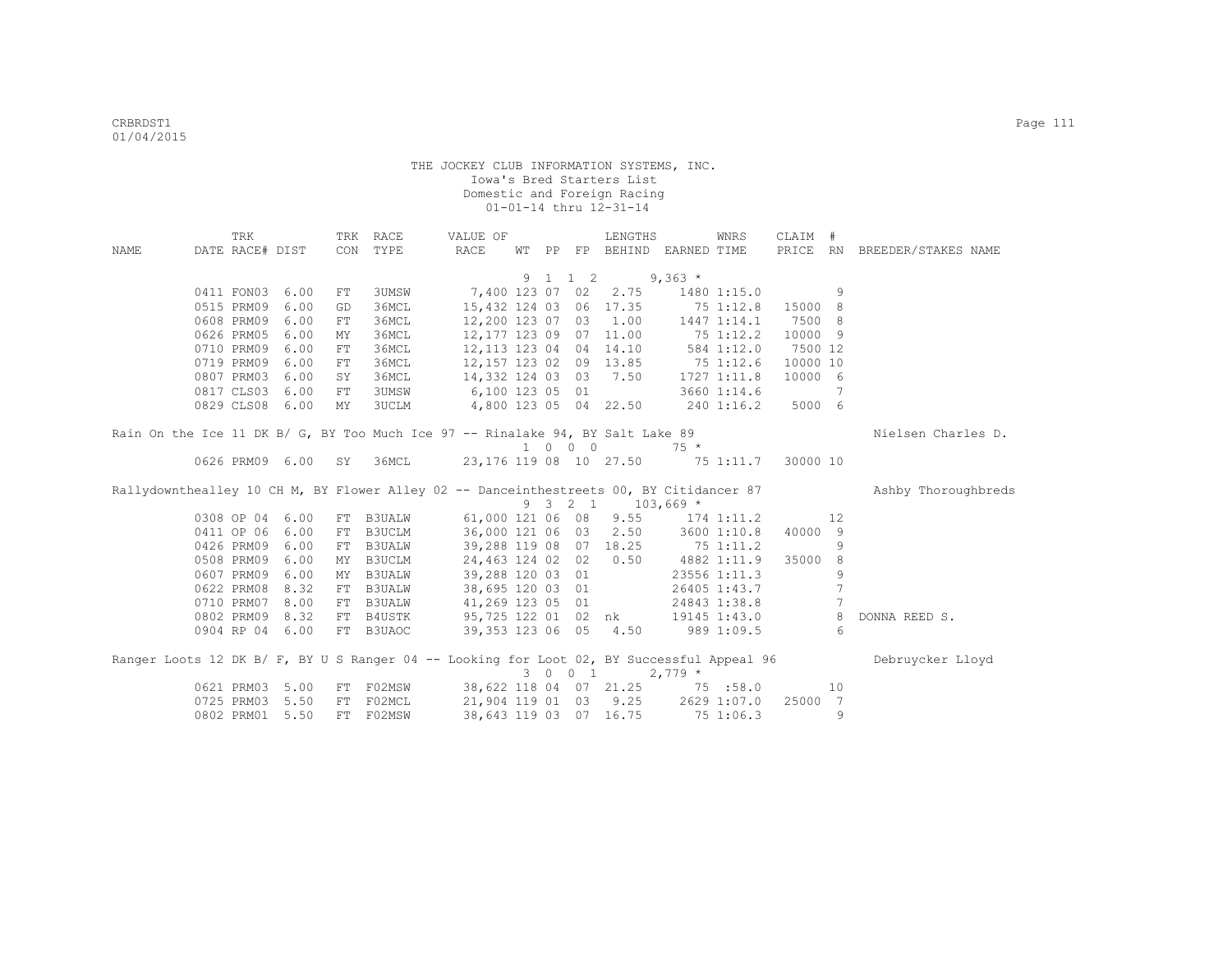|                                                                                           | TRK                      |                    |            | TRK RACE         | VALUE OF                                                    |    |                             | LENGTHS                  |                   | WNRS         | CLAIM #  |                     |                              |
|-------------------------------------------------------------------------------------------|--------------------------|--------------------|------------|------------------|-------------------------------------------------------------|----|-----------------------------|--------------------------|-------------------|--------------|----------|---------------------|------------------------------|
| NAME                                                                                      | DATE RACE# DIST          |                    |            | CON TYPE         | RACE                                                        | WТ |                             | PP FP BEHIND EARNED TIME |                   |              |          |                     | PRICE RN BREEDER/STAKES NAME |
|                                                                                           |                          |                    |            |                  |                                                             |    |                             |                          |                   |              |          |                     |                              |
|                                                                                           |                          |                    |            |                  |                                                             |    | 9 1 1 2                     |                          | $9,363$ *         |              |          |                     |                              |
|                                                                                           | 0411 FON03 6.00          |                    | FT         | 3UMSW            | 7,400 123 07 02                                             |    |                             | 2.75                     |                   | 1480 1:15.0  |          | 9                   |                              |
|                                                                                           | 0515 PRM09               | 6.00               | GD         | 36MCL            | 15,432 124 03                                               |    |                             | 06 17.35                 | 751:12.8          |              | 15000 8  |                     |                              |
|                                                                                           | 0608 PRM09               | 6.00               | ${\rm FT}$ | 36MCL            | 12,200 123 07 03 1.00                                       |    |                             |                          |                   | 1447 1:14.1  | 7500 8   |                     |                              |
|                                                                                           | 0626 PRM05               | 6.00               | MY         | 36MCL            | 12,177 123 09                                               |    |                             | 07 11.00                 | 75 1:12.2         |              | 10000 9  |                     |                              |
|                                                                                           | 0710 PRM09               | 6.00               | FT         | 36MCL            | 12,113 123 04 04 14.10                                      |    |                             |                          |                   | 584 1:12.0   | 7500 12  |                     |                              |
|                                                                                           | 0719 PRM09               | 6.00               | FT         | 36MCL            | 12, 157 123 02 09 13.85 75 1:12.6                           |    |                             |                          |                   |              | 10000 10 |                     |                              |
|                                                                                           | 0807 PRM03               | 6.00               | SY         | 36MCL            | 14,332 124 03 03 7.50                                       |    |                             |                          |                   | 1727 1:11.8  | 10000 6  |                     |                              |
|                                                                                           | 0817 CLS03               | 6.00               | FT         | 3UMSW            | 6,100 123 05 01                                             |    |                             |                          |                   | 3660 1:14.6  |          | 7                   |                              |
|                                                                                           | 0829 CLS08 6.00          |                    | MY         | 3UCLM            | 4,800 123 05 04 22.50 240 1:16.2                            |    |                             |                          |                   |              | 5000 6   |                     |                              |
|                                                                                           |                          |                    |            |                  |                                                             |    |                             |                          |                   |              |          |                     |                              |
| Rain On the Ice 11 DK B/ G, BY Too Much Ice 97 -- Rinalake 94, BY Salt Lake 89            |                          |                    |            |                  |                                                             |    |                             |                          |                   |              |          |                     | Nielsen Charles D.           |
|                                                                                           |                          |                    |            |                  |                                                             |    | $1 \quad 0 \quad 0 \quad 0$ |                          | $75 *$            |              |          |                     |                              |
|                                                                                           |                          | 0626 PRM09 6.00 SY |            | 36MCL            | 23,176 119 08 10 27.50 75 1:11.7                            |    |                             |                          |                   |              | 30000 10 |                     |                              |
| Rallydownthealley 10 CH M, BY Flower Alley 02 -- Danceinthestreets 00, BY Citidancer 87   |                          |                    |            |                  |                                                             |    |                             |                          |                   |              |          |                     | Ashby Thoroughbreds          |
|                                                                                           |                          |                    |            |                  |                                                             |    |                             | 9 3 2 1 103,669 *        |                   |              |          |                     |                              |
|                                                                                           | 0308 OP 04               | 6.00               |            | FT B3UALW        | 61,000 121 06 08                                            |    |                             |                          | $9.55$ 174 1:11.2 |              |          | 12                  |                              |
|                                                                                           | 0411 OP 06               | 6.00               | FT         | B3UCLM           | 36,000 121 06 03 2.50 3600 1:10.8                           |    |                             |                          |                   |              | 40000 9  |                     |                              |
|                                                                                           | 0426 PRM09               | 6.00               | FT         | <b>B3UALW</b>    | 39,288 119 08 07 18.25 75 1:11.2                            |    |                             |                          |                   |              |          | 9                   |                              |
|                                                                                           | 0508 PRM09               | 6.00               | MΥ         | B3UCLM           |                                                             |    |                             |                          |                   |              |          |                     |                              |
|                                                                                           |                          |                    |            |                  |                                                             |    |                             | 24,463 124 02 02 0.50    | 4882 1:11.9       |              | 35000    | 8                   |                              |
|                                                                                           | 0607 PRM09               | 6.00               | MY         | <b>B3UALW</b>    |                                                             |    |                             |                          |                   | 23556 1:11.3 |          | 9                   |                              |
|                                                                                           | 0622 PRM08               | 8.32               |            | FT B3UALW        | 39,288 120 03 01                                            |    |                             |                          |                   | 26405 1:43.7 |          | 7                   |                              |
|                                                                                           | 0710 PRM07               | 8.00               |            | FT B3UALW        | 38,695 120 03 01                                            |    |                             |                          |                   | 24843 1:38.8 |          | 7                   |                              |
|                                                                                           | 0802 PRM09               | 8.32               |            | FT B4USTK        | 41,269 123 05 01                                            |    |                             |                          |                   | 19145 1:43.0 |          | 8                   | DONNA REED S.                |
|                                                                                           | 0904 RP 04 6.00          |                    |            | FT B3UAOC        | 95,725 122 01 02 nk<br>39,353 123 06 05 4.50                |    |                             |                          |                   | 989 1:09.5   |          | 6                   |                              |
|                                                                                           |                          |                    |            |                  |                                                             |    |                             |                          |                   |              |          |                     |                              |
| Ranger Loots 12 DK B/ F, BY U S Ranger 04 -- Looking for Loot 02, BY Successful Appeal 96 |                          |                    |            |                  |                                                             |    |                             |                          |                   |              |          |                     | Debruycker Lloyd             |
|                                                                                           |                          |                    |            |                  |                                                             |    | 3 0 0 1                     |                          | $2,779*$          |              |          |                     |                              |
|                                                                                           | 0621 PRM03               | 5.00               | FT         | F02MSW           | 38,622 118 04 07 21.25 75 :58.0                             |    |                             |                          |                   |              |          | 10                  |                              |
|                                                                                           | 0725 PRM03<br>0802 PRM01 | 5.50<br>5.50       | FT<br>FT.  | F02MCL<br>F02MSW | 21,904 119 01 03 9.25 2629 1:07.0<br>38,643 119 03 07 16.75 |    |                             |                          | 75 1:06.3         |              | 25000    | $\overline{7}$<br>9 |                              |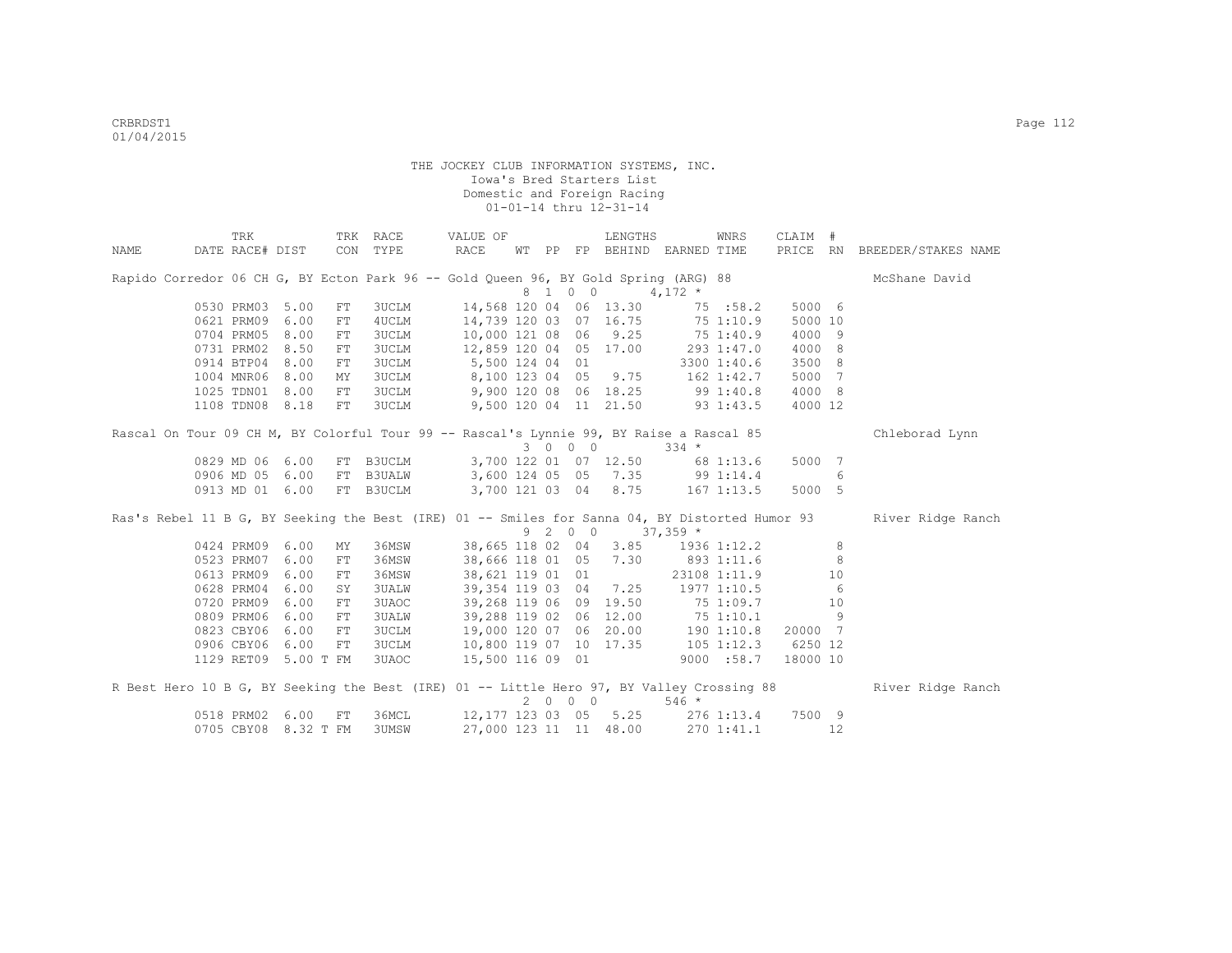|                                                                                           | TRK                  |              |            | TRK RACE     |                        | VALUE OF         |       |         | LENGTHS                |                                          | WNRS         | CLAIM #  |         |                                                                                                                  |
|-------------------------------------------------------------------------------------------|----------------------|--------------|------------|--------------|------------------------|------------------|-------|---------|------------------------|------------------------------------------|--------------|----------|---------|------------------------------------------------------------------------------------------------------------------|
| NAME                                                                                      | DATE RACE# DIST      |              | CON        | TYPE         | RACE                   |                  | WT PP |         |                        | FP BEHIND EARNED TIME                    |              |          |         | PRICE RN BREEDER/STAKES NAME                                                                                     |
| Rapido Corredor 06 CH G, BY Ecton Park 96 -- Gold Queen 96, BY Gold Spring (ARG) 88       |                      |              |            |              |                        |                  |       | 8 1 0 0 |                        | $4,172$ *                                |              |          |         | McShane David                                                                                                    |
|                                                                                           | 0530 PRM03 5.00      |              | FT         | <b>3UCLM</b> |                        |                  |       |         | 14,568 120 04 06 13.30 | 75 :58.2                                 |              | 5000 6   |         |                                                                                                                  |
|                                                                                           | 0621 PRM09           | 6.00         | FT         | 4UCLM        |                        |                  |       |         | 14,739 120 03 07 16.75 | 75 1:10.9                                |              | 5000 10  |         |                                                                                                                  |
|                                                                                           | 0704 PRM05           | 8.00         | ${\rm FT}$ | <b>3UCLM</b> |                        |                  |       |         | 10,000 121 08 06 9.25  | $75\;1:40.9$                             |              | 4000 9   |         |                                                                                                                  |
|                                                                                           | 0731 PRM02           | 8.50         | FT         | <b>3UCLM</b> | 12,859 120 04 05 17.00 |                  |       |         |                        | 293 1:47.0                               |              | 4000 8   |         |                                                                                                                  |
|                                                                                           | 0914 BTP04           | 8.00         | FT         |              | 3UCLM 5,500 124 04 01  |                  |       |         |                        |                                          | 3300 1:40.6  | 3500 8   |         |                                                                                                                  |
|                                                                                           | 1004 MNR06 8.00      |              | MΥ         | <b>3UCLM</b> |                        |                  |       |         |                        | 8,100 123 04 05 9.75 162 1:42.7          |              | 5000 7   |         |                                                                                                                  |
|                                                                                           | 1025 TDN01 8.00      |              | FT         | <b>3UCLM</b> |                        |                  |       |         |                        | 9,900 120 08 06 18.25 99 1:40.8          |              | 4000 8   |         |                                                                                                                  |
|                                                                                           | 1108 TDN08 8.18      |              | ${\rm FT}$ | 3UCLM        |                        |                  |       |         |                        | 9,500 120 04 11 21.50 93 1:43.5          |              | 4000 12  |         |                                                                                                                  |
| Rascal On Tour 09 CH M, BY Colorful Tour 99 -- Rascal's Lynnie 99, BY Raise a Rascal 85   |                      |              |            |              |                        |                  |       |         |                        |                                          |              |          |         | Chleborad Lynn                                                                                                   |
|                                                                                           |                      |              |            |              |                        |                  |       | 3 0 0 0 |                        | $334 *$                                  |              |          |         |                                                                                                                  |
|                                                                                           | 0829 MD 06 6.00      |              |            | FT B3UCLM    |                        |                  |       |         | 3,700 122 01 07 12.50  | 68 1:13.6                                |              | 5000 7   |         |                                                                                                                  |
|                                                                                           | 0906 MD 05 6.00      |              |            |              |                        |                  |       |         |                        | FT B3UALW 3,600 124 05 05 7.35 99 1:14.4 |              |          | 6       |                                                                                                                  |
|                                                                                           | 0913 MD 01 6.00      |              |            | FT B3UCLM    |                        |                  |       |         | 3,700 121 03 04 8.75   |                                          | 167 1:13.5   | 5000 5   |         |                                                                                                                  |
|                                                                                           |                      |              |            |              |                        |                  |       |         |                        |                                          |              |          |         | Ras's Rebel 11 B G, BY Seeking the Best (IRE) 01 -- Smiles for Sanna 04, BY Distorted Humor 93 River Ridge Ranch |
|                                                                                           |                      |              |            |              |                        |                  |       | 9 2 0 0 |                        | $37,359$ *                               |              |          |         |                                                                                                                  |
|                                                                                           | 0424 PRM09 6.00      |              | MΥ         | 36MSW        |                        |                  |       |         | 38,665 118 02 04 3.85  |                                          | 1936 1:12.2  |          | 8       |                                                                                                                  |
|                                                                                           | 0523 PRM07           | 6.00         | FT         | 36MSW        |                        |                  |       |         | 38,666 118 01 05 7.30  | 893 1:11.6                               |              |          | 8       |                                                                                                                  |
|                                                                                           | 0613 PRM09           | 6.00         | FT         | 36MSW        |                        | 38,621 119 01 01 |       |         |                        |                                          | 23108 1:11.9 |          | 10      |                                                                                                                  |
|                                                                                           | 0628 PRM04           | 6.00         | SY         | <b>3UALW</b> |                        | 39,354 119 03 04 |       |         | 7.25                   | 1977 1:10.5                              |              |          | 6       |                                                                                                                  |
|                                                                                           | 0720 PRM09           | 6.00         | ${\rm FT}$ | 3UAOC        |                        |                  |       |         | 39,268 119 06 09 19.50 | 75 1:09.7                                |              |          | 10<br>9 |                                                                                                                  |
|                                                                                           | 0809 PRM06           | 6.00         | ${\rm FT}$ | 3UALW        |                        |                  |       |         | 39,288 119 02 06 12.00 | 751:10.1                                 |              |          |         |                                                                                                                  |
|                                                                                           | 0823 CBY06           | 6.00<br>6.00 | ${\rm FT}$ | <b>3UCLM</b> |                        |                  |       |         | 19,000 120 07 06 20.00 | 1901:10.8                                |              | 20000 7  |         |                                                                                                                  |
|                                                                                           | 0906 CBY06           |              | FT         | 3UCLM        |                        |                  |       |         |                        | 10,800 119 07 10 17.35 105 1:12.3        |              | 6250 12  |         |                                                                                                                  |
|                                                                                           | 1129 RET09 5.00 T FM |              |            | 3UAOC        | 15,500 116 09 01       |                  |       |         |                        |                                          | 9000 : 58.7  | 18000 10 |         |                                                                                                                  |
| R Best Hero 10 B G, BY Seeking the Best (IRE) 01 -- Little Hero 97, BY Valley Crossing 88 |                      |              |            |              |                        |                  |       |         |                        |                                          |              |          |         | River Ridge Ranch                                                                                                |
|                                                                                           |                      |              |            |              |                        |                  |       | 2 0 0 0 |                        | $546 *$                                  |              |          |         |                                                                                                                  |
|                                                                                           | 0518 PRM02 6.00      |              | FT         | 36MCL        |                        |                  |       |         |                        | 12, 177 123 03 05 5.25 276 1:13.4        |              | 7500 9   | 12      |                                                                                                                  |
|                                                                                           | 0705 CBY08           | 8.32 T FM    |            | 3UMSW        |                        |                  |       |         | 27,000 123 11 11 48.00 |                                          | 2701:41.1    |          |         |                                                                                                                  |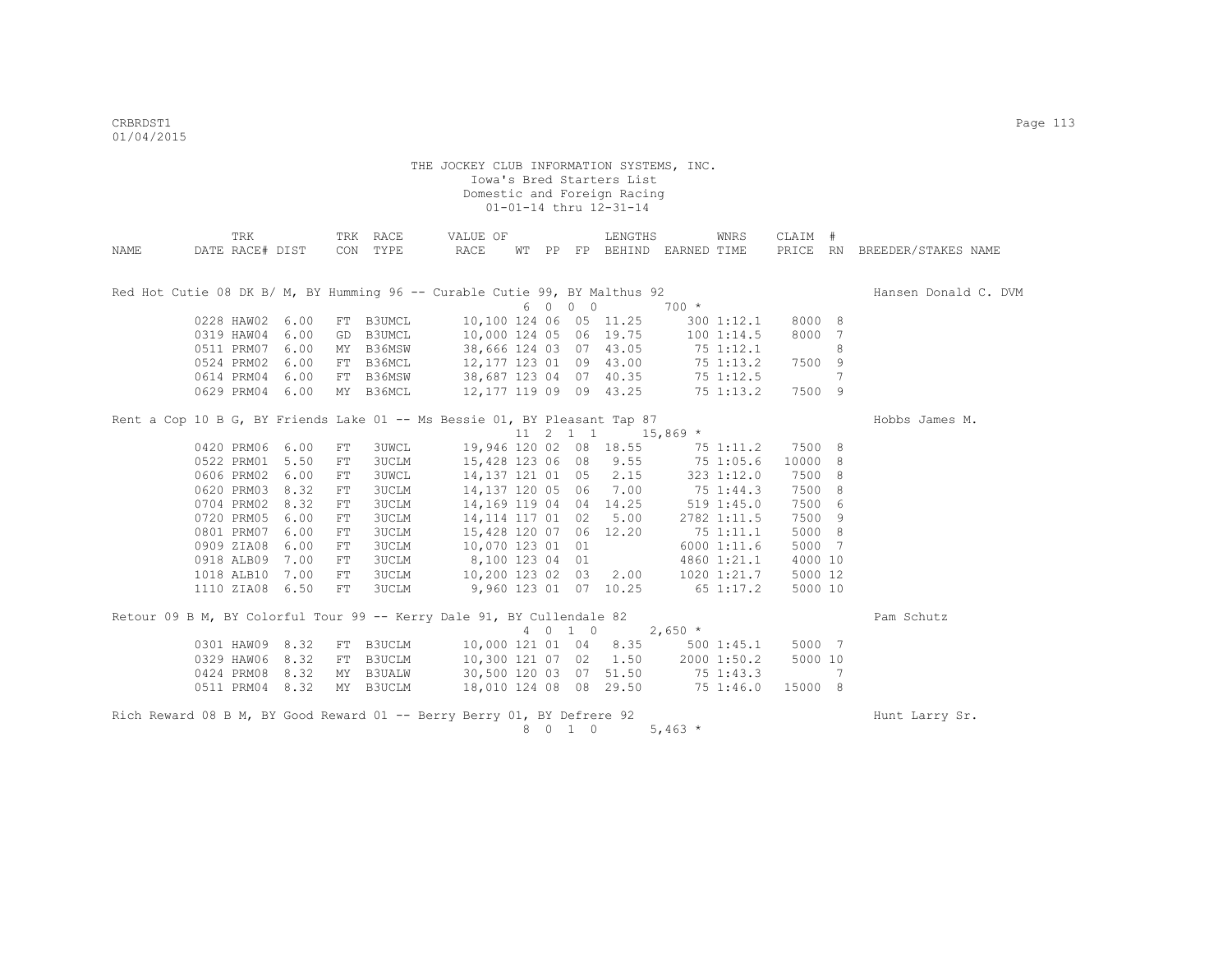| PRICE RN BREEDER/STAKES NAME<br>DATE RACE# DIST<br>CON TYPE<br>RACE<br>WT PP FP BEHIND EARNED TIME<br>NAME<br>Red Hot Cutie 08 DK B/ M, BY Humming 96 -- Curable Cutie 99, BY Malthus 92<br>Hansen Donald C. DVM<br>6 0 0 0<br>$700 *$<br>0228 HAW02 6.00<br>10,100 124 06 05 11.25<br>8000 8<br>FT B3UMCL<br>300 1:12.1<br>8000 7<br>0319 HAW04 6.00<br>B3UMCL<br>10,000 124 05 06 19.75<br>1001:14.5<br>GD<br>38,666 124 03 07 43.05<br>0511 PRM07 6.00<br>B36MSW<br>75 1:12.1<br>8<br>MY<br>12, 177 123 01 09 43.00<br>0524 PRM02 6.00<br>FT B36MCL<br>75 1:13.2<br>7500 9<br>0614 PRM04 6.00<br>B36MSW<br>38,687 123 04 07 40.35<br>75 1:12.5<br>7<br>FT<br>0629 PRM04 6.00<br>MY B36MCL<br>12,177 119 09 09 43.25<br>75 1:13.2<br>7500 9 | TRK |  | TRK RACE | VALUE OF |  | LENGTHS | WNRS | CLAIM # |  |
|-----------------------------------------------------------------------------------------------------------------------------------------------------------------------------------------------------------------------------------------------------------------------------------------------------------------------------------------------------------------------------------------------------------------------------------------------------------------------------------------------------------------------------------------------------------------------------------------------------------------------------------------------------------------------------------------------------------------------------------------------|-----|--|----------|----------|--|---------|------|---------|--|
|                                                                                                                                                                                                                                                                                                                                                                                                                                                                                                                                                                                                                                                                                                                                               |     |  |          |          |  |         |      |         |  |
|                                                                                                                                                                                                                                                                                                                                                                                                                                                                                                                                                                                                                                                                                                                                               |     |  |          |          |  |         |      |         |  |
|                                                                                                                                                                                                                                                                                                                                                                                                                                                                                                                                                                                                                                                                                                                                               |     |  |          |          |  |         |      |         |  |
|                                                                                                                                                                                                                                                                                                                                                                                                                                                                                                                                                                                                                                                                                                                                               |     |  |          |          |  |         |      |         |  |
|                                                                                                                                                                                                                                                                                                                                                                                                                                                                                                                                                                                                                                                                                                                                               |     |  |          |          |  |         |      |         |  |
|                                                                                                                                                                                                                                                                                                                                                                                                                                                                                                                                                                                                                                                                                                                                               |     |  |          |          |  |         |      |         |  |
|                                                                                                                                                                                                                                                                                                                                                                                                                                                                                                                                                                                                                                                                                                                                               |     |  |          |          |  |         |      |         |  |
|                                                                                                                                                                                                                                                                                                                                                                                                                                                                                                                                                                                                                                                                                                                                               |     |  |          |          |  |         |      |         |  |
|                                                                                                                                                                                                                                                                                                                                                                                                                                                                                                                                                                                                                                                                                                                                               |     |  |          |          |  |         |      |         |  |
|                                                                                                                                                                                                                                                                                                                                                                                                                                                                                                                                                                                                                                                                                                                                               |     |  |          |          |  |         |      |         |  |
|                                                                                                                                                                                                                                                                                                                                                                                                                                                                                                                                                                                                                                                                                                                                               |     |  |          |          |  |         |      |         |  |
| Rent a Cop 10 B G, BY Friends Lake 01 -- Ms Bessie 01, BY Pleasant Tap 87<br>Hobbs James M.                                                                                                                                                                                                                                                                                                                                                                                                                                                                                                                                                                                                                                                   |     |  |          |          |  |         |      |         |  |
| $11 \quad 2 \quad 1 \quad 1 \qquad 15,869$ *                                                                                                                                                                                                                                                                                                                                                                                                                                                                                                                                                                                                                                                                                                  |     |  |          |          |  |         |      |         |  |
| 19,946 120 02 08 18.55<br>0420 PRM06 6.00<br>7500 8<br><b>3UWCL</b><br>FT<br>75 1:11.2                                                                                                                                                                                                                                                                                                                                                                                                                                                                                                                                                                                                                                                        |     |  |          |          |  |         |      |         |  |
| 15,428 123 06 08 9.55 75 1:05.6<br>0522 PRM01 5.50<br><b>3UCLM</b><br>10000 8<br>FT                                                                                                                                                                                                                                                                                                                                                                                                                                                                                                                                                                                                                                                           |     |  |          |          |  |         |      |         |  |
| 14, 137 121 01 05 2.15<br>0606 PRM02 6.00<br>323 1:12.0<br>7500 8<br><b>3UWCL</b><br>FT                                                                                                                                                                                                                                                                                                                                                                                                                                                                                                                                                                                                                                                       |     |  |          |          |  |         |      |         |  |
| 14, 137 120 05 06 7.00 75 1:44.3<br>0620 PRM03 8.32<br>7500 8<br><b>3UCLM</b><br>FT                                                                                                                                                                                                                                                                                                                                                                                                                                                                                                                                                                                                                                                           |     |  |          |          |  |         |      |         |  |
| 14, 169 119 04 04 14.25<br>0704 PRM02 8.32<br>519 1:45.0<br>7500 6<br><b>3UCLM</b><br>FT                                                                                                                                                                                                                                                                                                                                                                                                                                                                                                                                                                                                                                                      |     |  |          |          |  |         |      |         |  |
| 0720 PRM05<br>6.00<br>14, 114 117 01 02 5.00<br>2782 1:11.5<br>7500 9<br><b>3UCLM</b><br>FT                                                                                                                                                                                                                                                                                                                                                                                                                                                                                                                                                                                                                                                   |     |  |          |          |  |         |      |         |  |
| 15,428 120 07 06 12.20<br>751:11.1<br>5000 8<br>0801 PRM07 6.00<br><b>3UCLM</b><br>FT                                                                                                                                                                                                                                                                                                                                                                                                                                                                                                                                                                                                                                                         |     |  |          |          |  |         |      |         |  |
| 0909 ZIA08<br>10,070 123 01 01<br>5000 7<br>6.00<br><b>3UCLM</b><br>6000 1:11.6<br>FT                                                                                                                                                                                                                                                                                                                                                                                                                                                                                                                                                                                                                                                         |     |  |          |          |  |         |      |         |  |
| 8,100 123 04 01<br>4000 10<br>0918 ALB09 7.00<br><b>3UCLM</b><br>4860 1:21.1<br>FT                                                                                                                                                                                                                                                                                                                                                                                                                                                                                                                                                                                                                                                            |     |  |          |          |  |         |      |         |  |
| 10,200 123 02 03 2.00 1020 1:21.7<br>5000 12<br>1018 ALB10<br>7.00<br>3UCLM<br>FT                                                                                                                                                                                                                                                                                                                                                                                                                                                                                                                                                                                                                                                             |     |  |          |          |  |         |      |         |  |
| 1110 ZIA08 6.50<br><b>3UCLM</b><br>9,960 123 01 07 10.25<br>651:17.2<br>5000 10<br>FT                                                                                                                                                                                                                                                                                                                                                                                                                                                                                                                                                                                                                                                         |     |  |          |          |  |         |      |         |  |
|                                                                                                                                                                                                                                                                                                                                                                                                                                                                                                                                                                                                                                                                                                                                               |     |  |          |          |  |         |      |         |  |
| Retour 09 B M, BY Colorful Tour 99 -- Kerry Dale 91, BY Cullendale 82<br>Pam Schutz                                                                                                                                                                                                                                                                                                                                                                                                                                                                                                                                                                                                                                                           |     |  |          |          |  |         |      |         |  |
| 4 0 1 0<br>$2,650$ *                                                                                                                                                                                                                                                                                                                                                                                                                                                                                                                                                                                                                                                                                                                          |     |  |          |          |  |         |      |         |  |
| 0301 HAW09 8.32<br>10,000 121 01 04 8.35<br>5000 7<br>FT B3UCLM<br>500 1:45.1                                                                                                                                                                                                                                                                                                                                                                                                                                                                                                                                                                                                                                                                 |     |  |          |          |  |         |      |         |  |
| 0329 HAW06 8.32<br>B3UCLM<br>10,300 121 07 02 1.50<br>2000 1:50.2<br>5000 10<br>FT                                                                                                                                                                                                                                                                                                                                                                                                                                                                                                                                                                                                                                                            |     |  |          |          |  |         |      |         |  |
| 30,500 120 03 07 51.50 75 1:43.3<br>0424 PRM08 8.32<br>MY B3UALW<br>7                                                                                                                                                                                                                                                                                                                                                                                                                                                                                                                                                                                                                                                                         |     |  |          |          |  |         |      |         |  |
| 0511 PRM04 8.32<br>18,010 124 08 08 29.50<br>75 1:46.0<br>15000 8<br>MY B3UCLM                                                                                                                                                                                                                                                                                                                                                                                                                                                                                                                                                                                                                                                                |     |  |          |          |  |         |      |         |  |
| Rich Reward 08 B M, BY Good Reward 01 -- Berry Berry 01, BY Defrere 92                                                                                                                                                                                                                                                                                                                                                                                                                                                                                                                                                                                                                                                                        |     |  |          |          |  |         |      |         |  |
| Hunt Larry Sr.<br>8<br>$\begin{matrix} 0 & 1 & 0 \end{matrix}$<br>5,463 $*$                                                                                                                                                                                                                                                                                                                                                                                                                                                                                                                                                                                                                                                                   |     |  |          |          |  |         |      |         |  |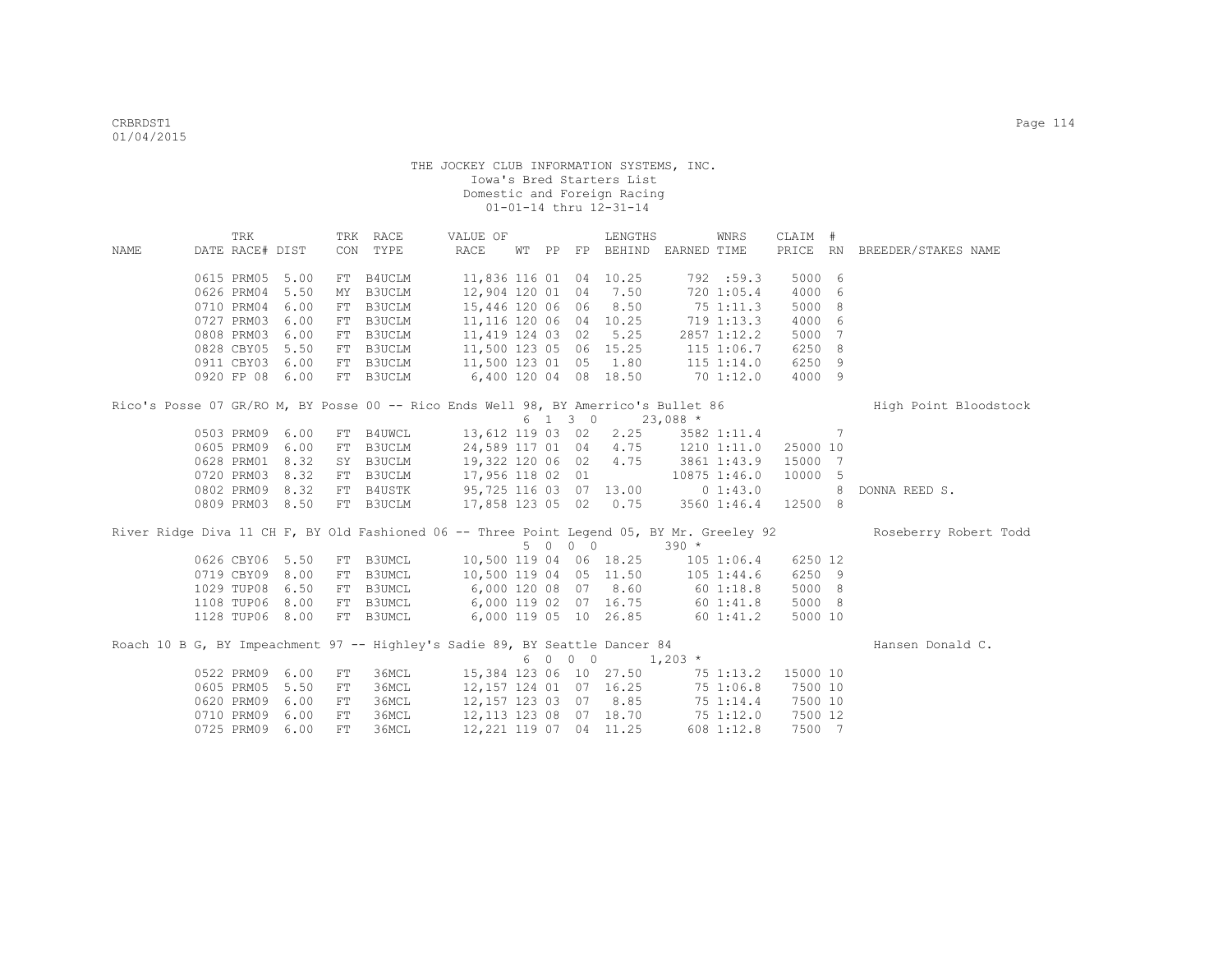|                                                                                    | TRK             |      |     | TRK RACE      | VALUE OF                          |  |         | LENGTHS                  |                                   | WNRS          | CLAIM #        |                                                                                                                 |
|------------------------------------------------------------------------------------|-----------------|------|-----|---------------|-----------------------------------|--|---------|--------------------------|-----------------------------------|---------------|----------------|-----------------------------------------------------------------------------------------------------------------|
| NAME                                                                               | DATE RACE# DIST |      |     | CON TYPE      | RACE                              |  |         |                          | WT PP FP BEHIND EARNED TIME       |               |                | PRICE RN BREEDER/STAKES NAME                                                                                    |
|                                                                                    |                 |      |     |               |                                   |  |         |                          |                                   |               |                |                                                                                                                 |
|                                                                                    | 0615 PRM05      | 5.00 |     | FT B4UCLM     |                                   |  |         | 11,836 116 01 04 10.25   |                                   | 792 :59.3     | 5000 6         |                                                                                                                 |
|                                                                                    | 0626 PRM04      | 5.50 | MY  | <b>B3UCLM</b> |                                   |  |         | 12,904 120 01 04 7.50    |                                   | 720 1:05.4    | 4000 6         |                                                                                                                 |
|                                                                                    | 0710 PRM04      | 6.00 | FT  | B3UCLM        |                                   |  |         | 15,446 120 06 06 8.50    |                                   | 75 1:11.3     | 5000 8         |                                                                                                                 |
|                                                                                    | 0727 PRM03      | 6.00 |     | FT B3UCLM     |                                   |  |         | 11,116 120 06 04 10.25   |                                   | 719 1:13.3    | 4000 6         |                                                                                                                 |
|                                                                                    | 0808 PRM03      | 6.00 |     | FT B3UCLM     | 11,419 124 03 02                  |  |         | 5.25                     |                                   | 2857 1:12.2   | 5000 7         |                                                                                                                 |
|                                                                                    | 0828 CBY05      | 5.50 |     | FT B3UCLM     | 11,500 123 05 06 15.25            |  |         |                          |                                   | 115 1:06.7    | 6250 8         |                                                                                                                 |
|                                                                                    | 0911 CBY03      | 6.00 | FT  | B3UCLM        | 11,500 123 01 05                  |  |         | 1.80                     | $115$ $1:14.0$                    |               | 6250 9         |                                                                                                                 |
|                                                                                    | 0920 FP 08      | 6.00 |     | FT B3UCLM     | 6,400 120 04 08 18.50             |  |         |                          | 701:12.0                          |               | 4000 9         |                                                                                                                 |
| Rico's Posse 07 GR/RO M, BY Posse 00 -- Rico Ends Well 98, BY Amerrico's Bullet 86 |                 |      |     |               |                                   |  |         |                          |                                   |               |                | High Point Bloodstock                                                                                           |
|                                                                                    |                 |      |     |               |                                   |  | 6 1 3 0 |                          | $23,088$ *                        |               |                |                                                                                                                 |
|                                                                                    | 0503 PRM09 6.00 |      | FT  | B4UWCL        | 13,612 119 03 02 2.25             |  |         |                          |                                   | 3582 1:11.4 7 |                |                                                                                                                 |
|                                                                                    | 0605 PRM09 6.00 |      | FT  | B3UCLM        | 24,589 117 01 04 4.75             |  |         |                          |                                   | 1210 1:11.0   | 25000 10       |                                                                                                                 |
|                                                                                    | 0628 PRM01 8.32 |      | SY  | B3UCLM        | 19,322 120 06 02 4.75 3861 1:43.9 |  |         |                          |                                   |               | 15000 7        |                                                                                                                 |
|                                                                                    | 0720 PRM03      | 8.32 |     | FT B3UCLM     | 17,956 118 02 01                  |  |         |                          |                                   | 10875 1:46.0  | 10000 5        |                                                                                                                 |
|                                                                                    | 0802 PRM09 8.32 |      |     | FT B4USTK     | 95,725 116 03 07 13.00 0 1:43.0   |  |         |                          |                                   |               | 8 <sup>1</sup> | DONNA REED S.                                                                                                   |
|                                                                                    | 0809 PRM03 8.50 |      |     | FT B3UCLM     | 17,858 123 05 02 0.75 3560 1:46.4 |  |         |                          |                                   |               | 12500 8        |                                                                                                                 |
|                                                                                    |                 |      |     |               |                                   |  |         |                          |                                   |               |                |                                                                                                                 |
|                                                                                    |                 |      |     |               |                                   |  |         |                          |                                   |               |                | River Ridge Diva 11 CH F, BY Old Fashioned 06 -- Three Point Legend 05, BY Mr. Greeley 92 Roseberry Robert Todd |
|                                                                                    |                 |      |     |               |                                   |  | 5 0 0 0 |                          | $390 *$                           |               |                |                                                                                                                 |
|                                                                                    | 0626 CBY06 5.50 |      |     | FT B3UMCL     | 10,500 119 04 06 18.25            |  |         |                          | $105$ 1:06.4                      |               | 6250 12        |                                                                                                                 |
|                                                                                    | 0719 CBY09      | 8.00 | FT  | <b>B3UMCL</b> | 10,500 119 04 05 11.50            |  |         |                          | 105 1:44.6                        |               | 6250 9         |                                                                                                                 |
|                                                                                    | 1029 TUP08      | 6.50 |     | FT B3UMCL     | 6,000 120 08 07 8.60 60 1:18.8    |  |         |                          |                                   |               | 5000 8         |                                                                                                                 |
|                                                                                    | 1108 TUP06      | 8.00 |     | FT B3UMCL     | 6,000 119 02 07 16.75 60 1:41.8   |  |         |                          |                                   |               | 5000 8         |                                                                                                                 |
|                                                                                    | 1128 TUP06 8.00 |      |     | FT B3UMCL     | $6,000$ 119 05 10 26.85 60 1:41.2 |  |         |                          |                                   |               | 5000 10        |                                                                                                                 |
|                                                                                    |                 |      |     |               |                                   |  |         |                          |                                   |               |                |                                                                                                                 |
| Roach 10 B G, BY Impeachment 97 -- Highley's Sadie 89, BY Seattle Dancer 84        |                 |      |     |               |                                   |  | 6 0 0 0 |                          |                                   |               |                | Hansen Donald C.                                                                                                |
|                                                                                    | 0522 PRM09 6.00 |      | FT  | 36MCL         | 15,384 123 06 10 27.50            |  |         |                          | $1,203$ *                         | 75 1:13.2     | 15000 10       |                                                                                                                 |
|                                                                                    |                 |      |     |               |                                   |  |         |                          |                                   |               |                |                                                                                                                 |
|                                                                                    | 0605 PRM05      | 5.50 | FT  | 36MCL         |                                   |  |         | $12,157$ 124 01 07 16.25 |                                   | 75 1:06.8     | 7500 10        |                                                                                                                 |
|                                                                                    | 0620 PRM09      | 6.00 | FT  | 36MCL         |                                   |  |         | 12, 157 123 03 07 8.85   |                                   | 75 1:14.4     | 7500 10        |                                                                                                                 |
|                                                                                    | 0710 PRM09      | 6.00 | FT  | 36MCL         |                                   |  |         |                          | 12, 113 123 08 07 18.70 75 1:12.0 |               | 7500 12        |                                                                                                                 |
|                                                                                    | 0725 PRM09      | 6.00 | FT. | 36MCL         |                                   |  |         | 12, 221 119 07 04 11.25  |                                   | 608 1:12.8    | 7500 7         |                                                                                                                 |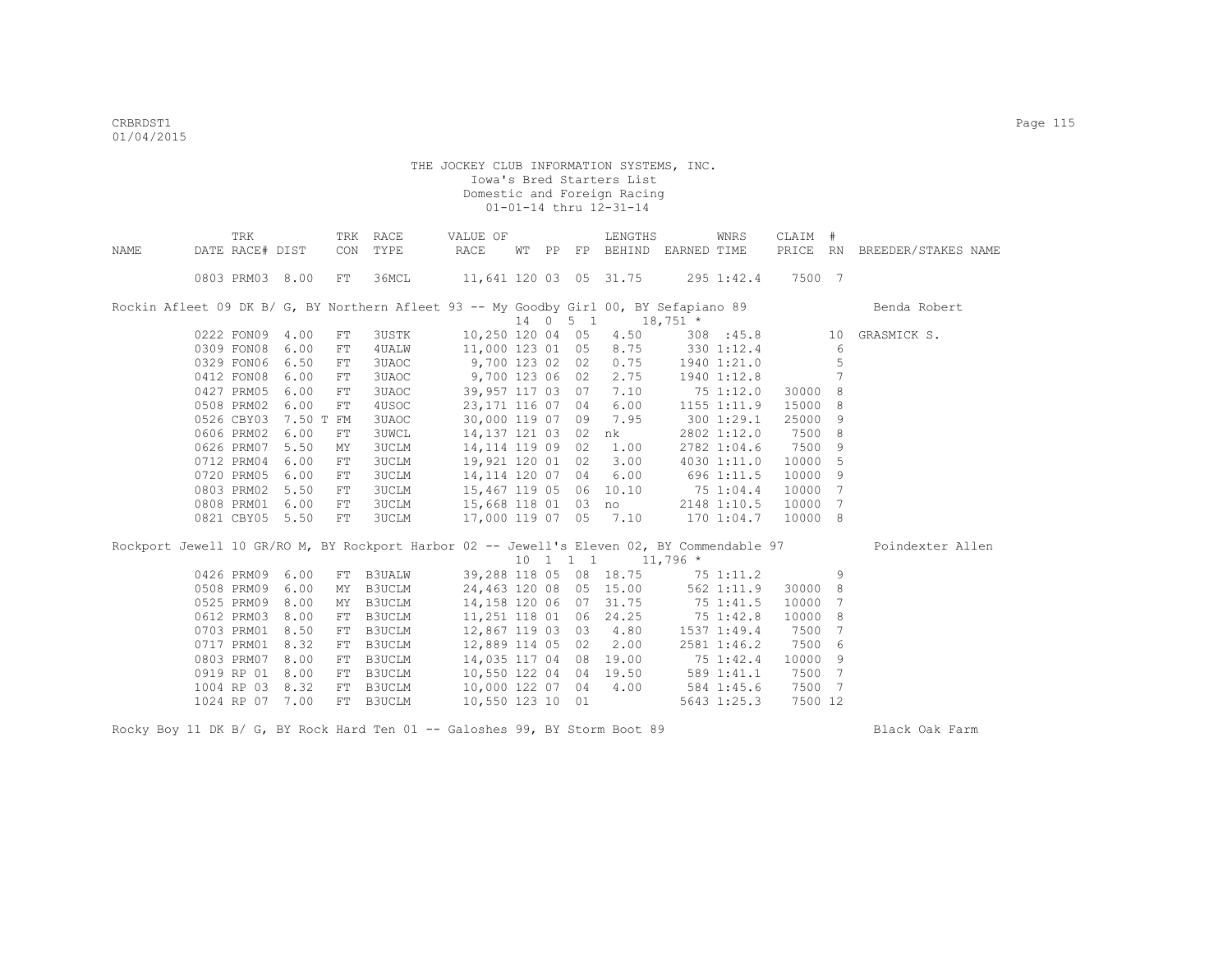|      | TRK             |                 | TRK        | RACE          | VALUE OF                                                                                   |  |                              | LENGTHS                          |               | WNRS        | CLAIM #  |                 |                     |
|------|-----------------|-----------------|------------|---------------|--------------------------------------------------------------------------------------------|--|------------------------------|----------------------------------|---------------|-------------|----------|-----------------|---------------------|
| NAME | DATE RACE# DIST |                 | CON        | TYPE          | RACE                                                                                       |  | WT PP FP                     | BEHIND EARNED TIME               |               |             | PRICE RN |                 | BREEDER/STAKES NAME |
|      |                 | 0803 PRM03 8.00 | FT         | 36MCL         | 11,641 120 03 05 31.75                                                                     |  |                              |                                  | $295$ 1:42.4  |             | 7500 7   |                 |                     |
|      |                 |                 |            |               | Rockin Afleet 09 DK B/ G, BY Northern Afleet 93 -- My Goodby Girl 00, BY Sefapiano 89      |  |                              |                                  |               |             |          |                 | Benda Robert        |
|      |                 |                 |            |               |                                                                                            |  | 14 0 5 1                     | $18,751$ *                       |               |             |          |                 |                     |
|      | 0222 FON09      | 4.00            | FT         | 3USTK         | 10,250 120 04 05                                                                           |  |                              | 4.50                             |               | 308 : 45.8  |          | 10              | GRASMICK S.         |
|      | 0309 FON08      | 6.00            | ${\rm FT}$ | 4 UALW        | 11,000 123 01 05                                                                           |  |                              | 8.75                             | $330$ 1:12.4  |             |          | 6               |                     |
|      | 0329 FON06      | 6.50            | ${\rm FT}$ | 3UAOC         | 9,700 123 02 02                                                                            |  |                              | 0.75                             |               | 1940 1:21.0 |          | 5               |                     |
|      | 0412 FON08      | 6.00            | ${\rm FT}$ | 3UAOC         | 9,700 123 06 02                                                                            |  |                              | 2.75                             |               | 1940 1:12.8 |          | $7\phantom{.0}$ |                     |
|      | 0427 PRM05      | 6.00            | FT         | 3UAOC         | 39,957 117 03 07                                                                           |  |                              | 7.10                             |               | 75 1:12.0   | 30000    | 8               |                     |
|      | 0508 PRM02      | 6.00            | FT         | 4USOC         | 23, 171 116 07 04                                                                          |  |                              | 6.00                             |               | 1155 1:11.9 | 15000    | 8               |                     |
|      | 0526 CBY03      | 7.50 T FM       |            | 3UAOC         | 30,000 119 07 09                                                                           |  |                              | 7.95                             |               | 3001:29.1   | 25000    | 9               |                     |
|      | 0606 PRM02      | 6.00            | ${\rm FT}$ | <b>3UWCL</b>  | 14,137 121 03 02                                                                           |  |                              | nk                               |               | 2802 1:12.0 | 7500     | 8               |                     |
|      | 0626 PRM07      | 5.50            | MΥ         | 3UCLM         | 14, 114 119 09 02                                                                          |  |                              | 1.00                             |               | 2782 1:04.6 | 7500     | 9               |                     |
|      | 0712 PRM04      | 6.00            | ${\rm FT}$ | 3UCLM         | 19,921 120 01 02                                                                           |  |                              | 3.00                             |               | 4030 1:11.0 | 10000    | 5               |                     |
|      | 0720 PRM05      | 6.00            | ${\rm FT}$ | <b>3UCLM</b>  | 14,114 120 07 04                                                                           |  |                              | 6.00                             | 696 1:11.5    |             | 10000    | 9               |                     |
|      | 0803 PRM02      | 5.50            | ${\rm FT}$ | 3UCLM         | 15,467 119 05 06                                                                           |  |                              | 10.10                            | $75 \t1:04.4$ |             | 10000    | 7               |                     |
|      | 0808 PRM01      | 6.00            | ${\rm FT}$ | 3UCLM         |                                                                                            |  |                              | 15,668 118 01 03 no              |               | 2148 1:10.5 | 10000    | 7               |                     |
|      |                 | 0821 CBY05 5.50 | FT         | <b>3UCLM</b>  | 17,000 119 07 05 7.10                                                                      |  |                              |                                  | 170 1:04.7    |             | 10000 8  |                 |                     |
|      |                 |                 |            |               | Rockport Jewell 10 GR/RO M, BY Rockport Harbor 02 -- Jewell's Eleven 02, BY Commendable 97 |  |                              |                                  |               |             |          |                 | Poindexter Allen    |
|      |                 |                 |            |               |                                                                                            |  | $10 \quad 1 \quad 1 \quad 1$ |                                  | $11,796$ *    |             |          |                 |                     |
|      |                 | 0426 PRM09 6.00 |            | FT B3UALW     |                                                                                            |  |                              | 39,288 118 05 08 18.75 75 1:11.2 |               |             |          | 9               |                     |
|      |                 | 0508 PRM09 6.00 | MY         | B3UCLM        | 24,463 120 08 05 15.00                                                                     |  |                              |                                  | 562 1:11.9    |             | 30000 8  |                 |                     |
|      | 0525 PRM09      | 8.00            | MY         | B3UCLM        | 14,158 120 06 07                                                                           |  |                              | 31.75                            | 75 1:41.5     |             | 10000    | 7               |                     |
|      | 0612 PRM03      | 8.00            | FT         | B3UCLM        | 11,251 118 01 06                                                                           |  |                              | 24.25                            |               | 75 1:42.8   | 10000    | 8               |                     |
|      | 0703 PRM01      | 8.50            | FT         | B3UCLM        | 12,867 119 03 03                                                                           |  |                              | 4.80                             |               | 1537 1:49.4 | 7500     | 7               |                     |
|      | 0717 PRM01      | 8.32            | FT         | B3UCLM        | 12,889 114 05 02                                                                           |  |                              | 2.00                             |               | 2581 1:46.2 | 7500     | 6               |                     |
|      | 0803 PRM07      | 8.00            | FT         | B3UCLM        | 14,035 117 04 08                                                                           |  |                              | 19.00                            | 75 1:42.4     |             | 10000    | 9               |                     |
|      | 0919 RP 01      | 8.00            | FT         | B3UCLM        | 10,550 122 04 04 19.50                                                                     |  |                              |                                  | 589 1:41.1    |             | 7500     | 7               |                     |
|      | 1004 RP 03      | 8.32            | FT         | <b>B3UCLM</b> | 10,000 122 07 04                                                                           |  |                              | 4.00                             | 584 1:45.6    |             | 7500     | 7               |                     |
|      |                 | 1024 RP 07 7.00 | FT         | B3UCLM        | 10,550 123 10 01                                                                           |  |                              |                                  |               | 5643 1:25.3 | 7500 12  |                 |                     |

Rocky Boy 11 DK B/ G, BY Rock Hard Ten 01 -- Galoshes 99, BY Storm Boot 89 Black Oak Farm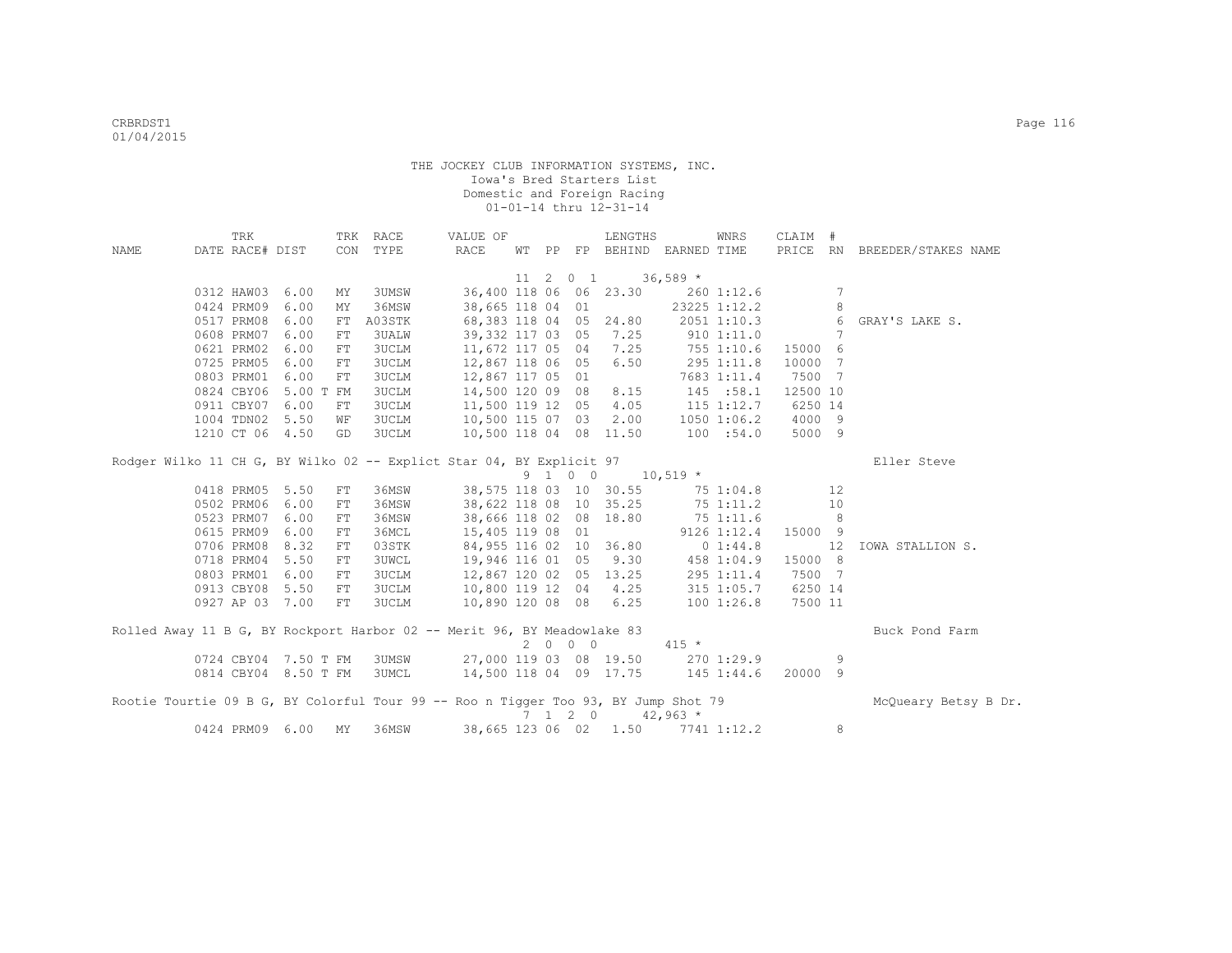|                                                                                    | TRK             |                      |     | TRK RACE     | VALUE OF               |              |                 | LENGTHS                     |            | WNRS            | CLAIM #  |                |                              |
|------------------------------------------------------------------------------------|-----------------|----------------------|-----|--------------|------------------------|--------------|-----------------|-----------------------------|------------|-----------------|----------|----------------|------------------------------|
| <b>NAME</b>                                                                        | DATE RACE# DIST |                      | CON | TYPE         | RACE                   |              |                 | WT PP FP BEHIND EARNED TIME |            |                 |          |                | PRICE RN BREEDER/STAKES NAME |
|                                                                                    |                 |                      |     |              |                        |              |                 |                             |            |                 |          |                |                              |
|                                                                                    |                 |                      |     |              |                        | $11 \quad 2$ | $0\quad 1$      |                             | $36,589$ * |                 |          |                |                              |
|                                                                                    | 0312 HAW03      | 6.00                 | MY  | 3UMSW        |                        |              |                 | 36,400 118 06 06 23.30      |            | 260 1:12.6      |          | 7              |                              |
|                                                                                    | 0424 PRM09      | 6.00                 | MY  | 36MSW        | 38,665 118 04          |              | 01              |                             |            | 23225 1:12.2    |          | 8              |                              |
|                                                                                    | 0517 PRM08      | 6.00                 | FT  | A03STK       | 68,383 118 04 05 24.80 |              |                 |                             |            | 2051 1:10.3     |          | 6              | GRAY'S LAKE S.               |
|                                                                                    | 0608 PRM07      | 6.00                 | FT  | 3UALW        | 39,332 117 03 05       |              |                 | 7.25                        |            | 910 1:11.0      |          | 7              |                              |
|                                                                                    | 0621 PRM02      | 6.00                 | FT  | 3UCLM        | 11,672 117 05 04       |              |                 | 7.25                        |            | 755 1:10.6      | 15000 6  |                |                              |
|                                                                                    | 0725 PRM05      | 6.00                 | FT  | 3UCLM        | 12,867 118 06 05       |              |                 | 6.50                        |            | 295 1:11.8      | 10000    | $\overline{7}$ |                              |
|                                                                                    | 0803 PRM01      | 6.00                 | FT  | 3UCLM        | 12,867 117 05          |              | 01              |                             |            | 7683 1:11.4     | 7500 7   |                |                              |
|                                                                                    | 0824 CBY06      | 5.00 T               | FM  | 3UCLM        | 14,500 120 09 08       |              |                 | 8.15                        |            | 145 : 58.1      | 12500 10 |                |                              |
|                                                                                    | 0911 CBY07      | 6.00                 | FT  | 3UCLM        | 11,500 119 12          |              | 05              | 4.05                        |            | $115$ $1:12.7$  | 6250 14  |                |                              |
|                                                                                    | 1004 TDN02      | 5.50                 | WF  | 3UCLM        | 10,500 115 07 03       |              |                 | 2.00                        |            | $1050$ $1:06.2$ | 4000 9   |                |                              |
|                                                                                    | 1210 CT 06      | 4.50                 | GD  | 3UCLM        | 10,500 118 04 08 11.50 |              |                 |                             |            | 100 : 54.0      | 5000 9   |                |                              |
|                                                                                    |                 |                      |     |              |                        |              |                 |                             |            |                 |          |                |                              |
| Rodger Wilko 11 CH G, BY Wilko 02 -- Explict Star 04, BY Explicit 97               |                 |                      |     |              |                        |              |                 |                             |            |                 |          |                | Eller Steve                  |
|                                                                                    |                 |                      |     |              |                        |              | 9 1 0 0         |                             | $10,519$ * |                 |          |                |                              |
|                                                                                    | 0418 PRM05 5.50 |                      | FT  | 36MSW        |                        |              |                 | 38,575 118 03 10 30.55      |            | 75 1:04.8       |          | 12             |                              |
|                                                                                    | 0502 PRM06      | 6.00                 | FT  | 36MSW        | 38,622 118 08          |              |                 | 10 35.25                    |            | 75 1:11.2       |          | 10             |                              |
|                                                                                    | 0523 PRM07      | 6.00                 | FT  | 36MSW        | 38,666 118 02 08 18.80 |              |                 |                             |            | 75 1:11.6       |          | 8              |                              |
|                                                                                    | 0615 PRM09      | 6.00                 | FT  | 36MCL        | 15,405 119 08          |              | 01              |                             |            | $9126$ $1:12.4$ | 15000 9  |                |                              |
|                                                                                    | 0706 PRM08      | 8.32                 | FT  | 03STK        | 84,955 116 02 10 36.80 |              |                 |                             |            | 0 1:44.8        |          | 12             | IOWA STALLION S.             |
|                                                                                    | 0718 PRM04      | 5.50                 | FT  | <b>3UWCL</b> | 19,946 116 01 05 9.30  |              |                 |                             | 458 1:04.9 |                 | 15000 8  |                |                              |
|                                                                                    | 0803 PRM01      | 6.00                 | FT  | 3UCLM        | 12,867 120 02 05 13.25 |              |                 |                             |            | 295 1:11.4      | 7500 7   |                |                              |
|                                                                                    | 0913 CBY08      | 5.50                 | FT  | 3UCLM        | 10,800 119 12 04       |              |                 | 4.25                        |            | $315$ $1:05.7$  | 6250 14  |                |                              |
|                                                                                    | 0927 AP 03 7.00 |                      | FT  | 3UCLM        | 10,890 120 08 08       |              |                 | 6.25                        |            | 1001:26.8       | 7500 11  |                |                              |
|                                                                                    |                 |                      |     |              |                        |              |                 |                             |            |                 |          |                |                              |
| Rolled Away 11 B G, BY Rockport Harbor 02 -- Merit 96, BY Meadowlake 83            |                 |                      |     |              |                        |              |                 |                             |            |                 |          |                | Buck Pond Farm               |
|                                                                                    |                 |                      |     |              |                        |              | 2000            |                             | $415 *$    |                 |          |                |                              |
|                                                                                    |                 | 0724 CBY04 7.50 T FM |     | 3UMSW        | 27,000 119 03 08 19.50 |              |                 |                             |            | 270 1:29.9      |          | 9              |                              |
|                                                                                    |                 | 0814 CBY04 8.50 T FM |     | 3UMCL        | 14,500 118 04 09 17.75 |              |                 |                             |            | 145 1:44.6      | 20000    | - 9            |                              |
| Rootie Tourtie 09 B G, BY Colorful Tour 99 -- Roo n Tigger Too 93, BY Jump Shot 79 |                 |                      |     |              |                        |              |                 |                             |            |                 |          |                | McOueary Betsy B Dr.         |
|                                                                                    |                 |                      |     |              |                        |              | $7 \t1 \t2 \t0$ |                             | $42,963$ * |                 |          |                |                              |
|                                                                                    | 0424 PRM09 6.00 |                      | MY  | 36MSW        | 38,665 123 06 02       |              |                 | 1.50                        |            | 7741 1:12.2     |          | 8              |                              |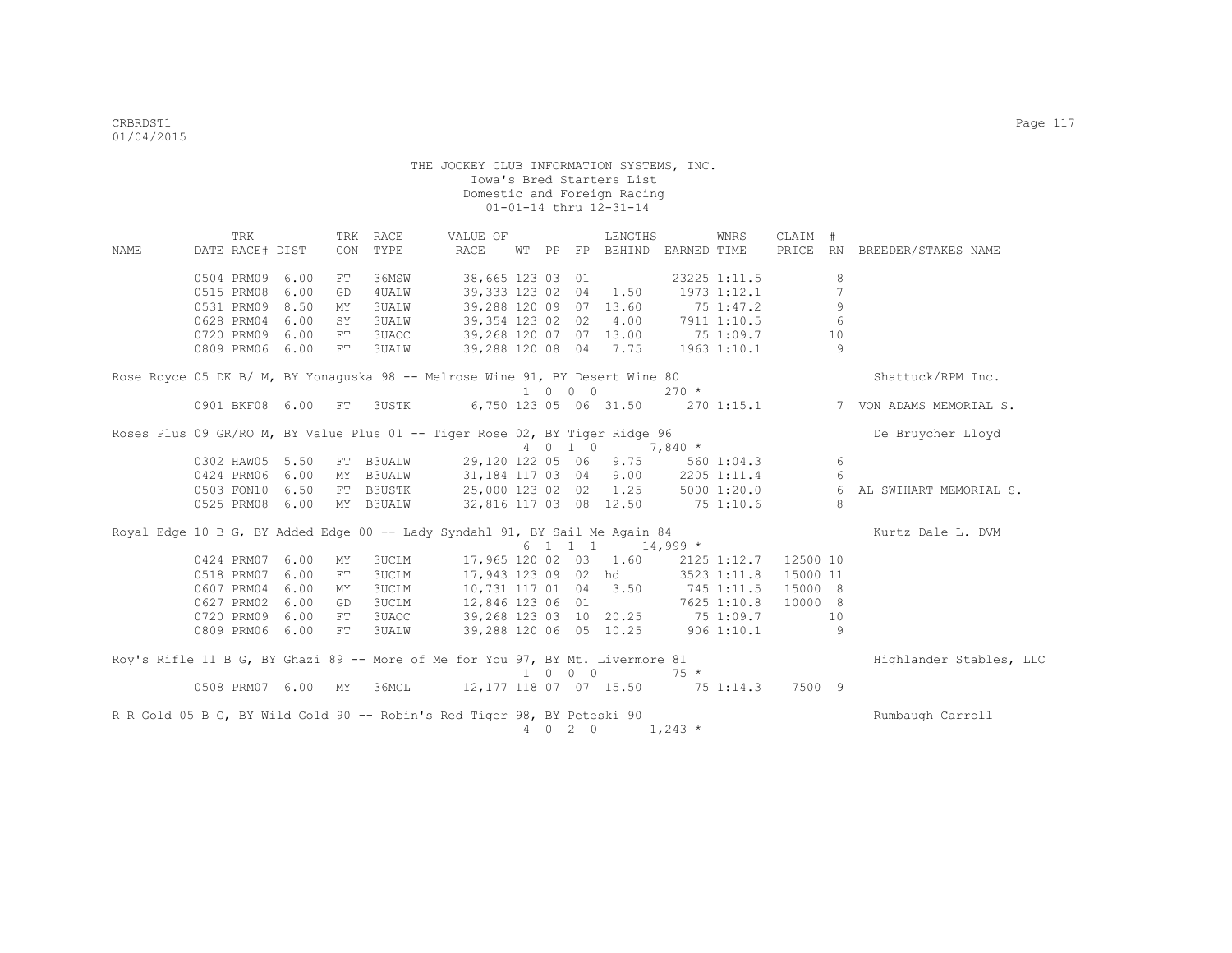|             | TRK                                                                           |      |     | TRK RACE     | VALUE OF               |                |                             | LENGTHS               |                    | WNRS         | CLAIM #  |                 |                         |
|-------------|-------------------------------------------------------------------------------|------|-----|--------------|------------------------|----------------|-----------------------------|-----------------------|--------------------|--------------|----------|-----------------|-------------------------|
| <b>NAME</b> | DATE RACE# DIST                                                               |      | CON | TYPE         | RACE                   |                | WT PP FP                    |                       | BEHIND EARNED TIME |              | PRICE RN |                 | BREEDER/STAKES NAME     |
|             | 0504 PRM09                                                                    | 6.00 | FT  | 36MSW        | 38,665 123 03 01       |                |                             |                       |                    | 23225 1:11.5 |          | 8               |                         |
|             | 0515 PRM08                                                                    | 6.00 | GD  | 4UALW        | 39,333 123 02 04       |                |                             | 1.50                  |                    | 1973 1:12.1  |          | $\overline{7}$  |                         |
|             | 0531 PRM09                                                                    | 8.50 | MY  | <b>3UALW</b> | 39,288 120 09 07 13.60 |                |                             |                       |                    | 75 1:47.2    |          | 9               |                         |
|             | 0628 PRM04                                                                    | 6.00 | SY  | <b>3UALW</b> | 39,354 123 02 02       |                |                             | 4.00                  |                    | 7911 1:10.5  |          | $6\phantom{1}6$ |                         |
|             | 0720 PRM09                                                                    | 6.00 | FT  | 3UAOC        | 39,268 120 07 07 13.00 |                |                             |                       | 751:09.7           |              |          | 10              |                         |
|             | 0809 PRM06 6.00                                                               |      | FT  | 3UALW        | 39,288 120 08 04 7.75  |                |                             |                       |                    | 1963 1:10.1  |          | 9               |                         |
|             |                                                                               |      |     |              |                        |                |                             |                       |                    |              |          |                 |                         |
|             | Rose Royce 05 DK B/ M, BY Yonaguska 98 -- Melrose Wine 91, BY Desert Wine 80  |      |     |              |                        |                | $1 \quad 0 \quad 0 \quad 0$ |                       | $270 *$            |              |          |                 | Shattuck/RPM Inc.       |
|             |                                                                               |      |     | <b>3USTK</b> |                        |                |                             | 6,750 123 05 06 31.50 |                    |              |          |                 | 7 VON ADAMS MEMORIAL S. |
|             | 0901 BKF08 6.00                                                               |      | FT  |              |                        |                |                             |                       |                    | $270$ 1:15.1 |          |                 |                         |
|             | Roses Plus 09 GR/RO M, BY Value Plus 01 -- Tiger Rose 02, BY Tiger Ridge 96   |      |     |              |                        |                |                             |                       |                    |              |          |                 | De Bruycher Lloyd       |
|             |                                                                               |      |     |              |                        |                | 4 0 1 0                     |                       | $7,840*$           |              |          |                 |                         |
|             | 0302 HAW05                                                                    | 5.50 |     | FT B3UALW    | 29,120 122 05 06       |                |                             | 9.75                  |                    | 5601:04.3    |          | 6               |                         |
|             | 0424 PRM06                                                                    | 6.00 |     | MY B3UALW    | 31,184 117 03 04       |                |                             | 9.00                  |                    | 2205 1:11.4  |          | 6               |                         |
|             | 0503 FON10                                                                    | 6.50 |     | FT B3USTK    | 25,000 123 02 02       |                |                             | 1.25                  |                    | 5000 1:20.0  |          | 6               | AL SWIHART MEMORIAL S.  |
|             | 0525 PRM08                                                                    | 6.00 |     | MY B3UALW    | 32,816 117 03 08 12.50 |                |                             |                       | 75 1:10.6          |              |          | 8               |                         |
|             | Royal Edge 10 B G, BY Added Edge 00 -- Lady Syndahl 91, BY Sail Me Again 84   |      |     |              |                        |                |                             |                       |                    |              |          |                 | Kurtz Dale L. DVM       |
|             |                                                                               |      |     |              |                        |                |                             | 6 1 1 1 1 14,999 *    |                    |              |          |                 |                         |
|             | 0424 PRM07                                                                    | 6.00 | MΥ  | 3UCLM        | 17,965 120 02 03       |                |                             | 1.60                  |                    | 2125 1:12.7  | 12500 10 |                 |                         |
|             | 0518 PRM07                                                                    | 6.00 | FT  | <b>3UCLM</b> | 17,943 123 09 02 hd    |                |                             |                       |                    | 3523 1:11.8  | 15000 11 |                 |                         |
|             | 0607 PRM04                                                                    | 6.00 | MY  | <b>3UCLM</b> | 10,731 117 01 04       |                |                             | 3.50                  |                    | 745 1:11.5   | 15000 8  |                 |                         |
|             | 0627 PRM02                                                                    | 6.00 | GD  | <b>3UCLM</b> | 12,846 123 06 01       |                |                             |                       |                    | 7625 1:10.8  | 10000 8  |                 |                         |
|             | 0720 PRM09                                                                    | 6.00 | FT  | 3UAOC        | 39,268 123 03 10 20.25 |                |                             |                       | 75 1:09.7          |              |          | 10              |                         |
|             | 0809 PRM06 6.00                                                               |      | FT  | <b>3UALW</b> | 39,288 120 06 05 10.25 |                |                             |                       |                    | $906$ 1:10.1 |          | 9               |                         |
|             | Roy's Rifle 11 B G, BY Ghazi 89 -- More of Me for You 97, BY Mt. Livermore 81 |      |     |              |                        |                |                             |                       |                    |              |          |                 | Highlander Stables, LLC |
|             |                                                                               |      |     |              |                        |                | 1 0 0 0                     |                       | $75 *$             |              |          |                 |                         |
|             | 0508 PRM07 6.00                                                               |      | MY  | 36MCL        | 12,177 118 07 07 15.50 |                |                             |                       | $75\;1:14.3$       |              | 7500 9   |                 |                         |
|             | R R Gold 05 B G, BY Wild Gold 90 -- Robin's Red Tiger 98, BY Peteski 90       |      |     |              |                        |                |                             |                       |                    |              |          |                 | Rumbaugh Carroll        |
|             |                                                                               |      |     |              |                        | $\overline{4}$ | $0\quad 2\quad 0$           |                       | $1,243$ *          |              |          |                 |                         |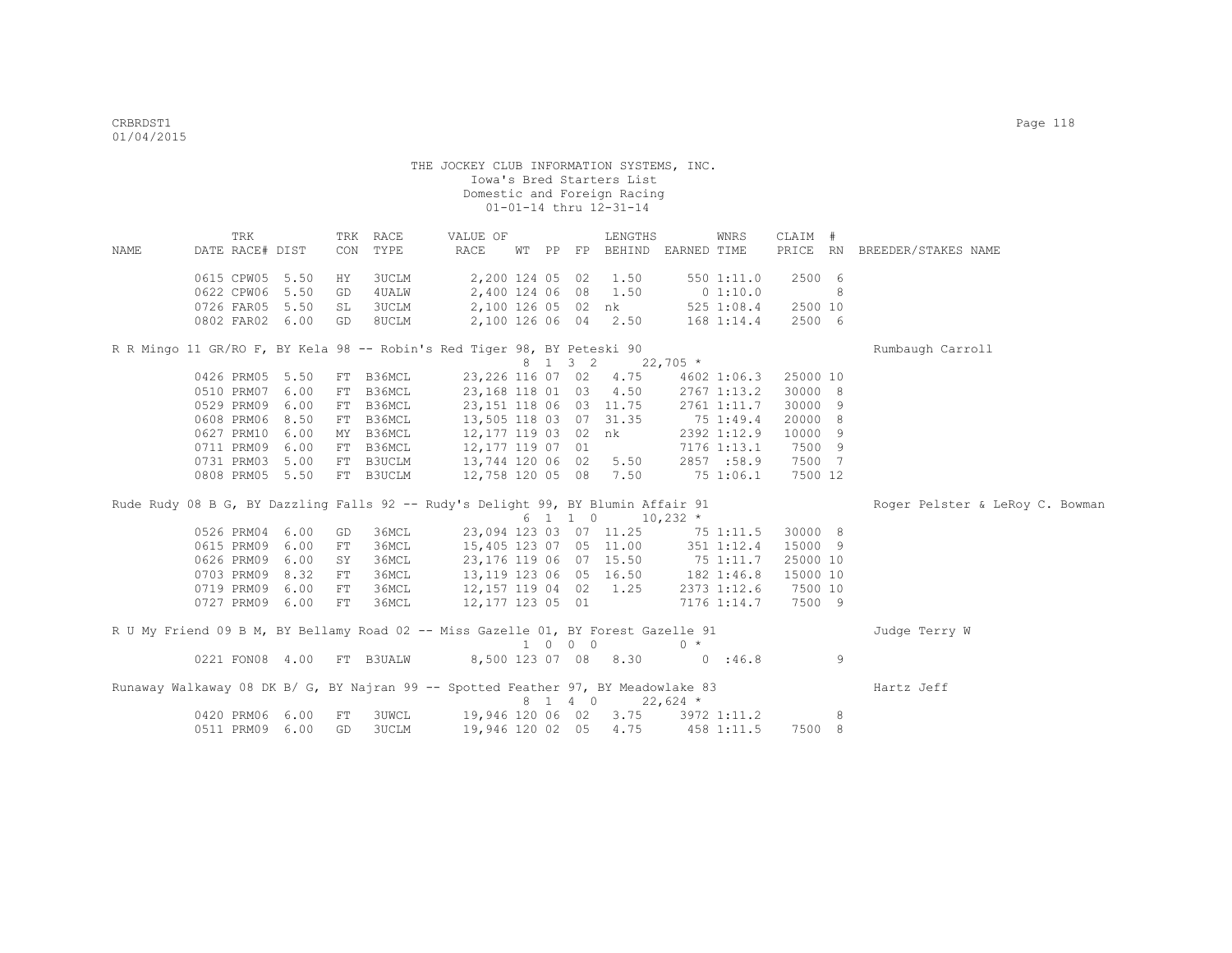| DATE RACE# DIST<br>CON<br>TYPE<br>RACE<br>WT PP FP BEHIND EARNED TIME<br>PRICE RN BREEDER/STAKES NAME<br>NAME<br>0615 CPW05 5.50<br>2,200 124 05 02<br>3UCLM<br>1.50<br>550 1:11.0<br>2500 6<br>HY<br>0622 CPW06 5.50<br>2,400 124 06 08<br>0 1:10.0<br>8<br>4 UALW<br>1.50<br>GD<br>0726 FAR05 5.50<br>2,100 126 05 02 nk<br>3UCLM<br>525 1:08.4<br>2500 10<br>SL<br>2,100 126 06 04 2.50<br>2500 6<br>0802 FAR02 6.00<br>8UCLM<br>168 1:14.4<br>GD<br>R R Mingo 11 GR/RO F, BY Kela 98 -- Robin's Red Tiger 98, BY Peteski 90<br>Rumbaugh Carroll<br>8 1 3 2<br>$22,705$ *<br>23, 226 116 07 02 4.75<br>0426 PRM05 5.50<br>FT B36MCL<br>25000 10<br>4602 1:06.3<br>0510 PRM07 6.00<br>FT B36MCL<br>23,168 118 01 03 4.50<br>2767 1:13.2<br>30000 8<br>0529 PRM09 6.00<br>30000 9<br>FT B36MCL<br>23, 151 118 06 03 11.75<br>2761 1:11.7<br>8.50<br>13,505 118 03 07 31.35<br>20000 8<br>0608 PRM06<br>FT B36MCL<br>75 1:49.4<br>0627 PRM10 6.00<br>B36MCL<br>12,177 119 03 02 nk<br>2392 1:12.9<br>10000 9<br>MY<br>0711 PRM09 6.00<br>7500 9<br>B36MCL<br>12,177 119 07 01<br>7176 1:13.1<br>FT<br>0731 PRM03 5.00<br>13,744 120 06 02 5.50<br>7500 7<br>FT B3UCLM<br>2857 :58.9<br>0808 PRM05 5.50<br>FT B3UCLM<br>12,758 120 05 08 7.50<br>75 1:06.1<br>7500 12<br>Rude Rudy 08 B G, BY Dazzling Falls 92 -- Rudy's Delight 99, BY Blumin Affair 91<br>Roger Pelster & LeRoy C. Bowman<br>6 1 1 0<br>$10,232$ *<br>23,094 123 03 07 11.25<br>0526 PRM04 6.00<br>36MCL<br>75 1:11.5<br>30000 8<br>GD<br>0615 PRM09 6.00<br>36MCL<br>15000 9<br>15,405 123 07 05 11.00<br>351 1:12.4<br>FT<br>0626 PRM09 6.00<br>36MCL<br>23,176 119 06 07 15.50<br>75 1:11.7<br>25000 10<br>SY<br>8.32<br>13,119 123 06 05 16.50<br>0703 PRM09<br>36MCL<br>182 1:46.8<br>15000 10<br>${\rm FT}$<br>0719 PRM09<br>6.00<br>36MCL<br>12,157 119 04 02 1.25<br>2373 1:12.6<br>7500 10<br>${\rm FT}$<br>0727 PRM09 6.00<br>36MCL<br>7500 9<br>FT<br>12,177 123 05 01<br>7176 1:14.7<br>R U My Friend 09 B M, BY Bellamy Road 02 -- Miss Gazelle 01, BY Forest Gazelle 91<br>Judge Terry W<br>1 0 0 0<br>$0 *$<br>8,500 123 07 08 8.30<br>9<br>0221 FON08 4.00<br>FT B3UALW<br>0.36.8<br>Runaway Walkaway 08 DK B/ G, BY Najran 99 -- Spotted Feather 97, BY Meadowlake 83<br>Hartz Jeff<br>8 1 4 0<br>$22,624$ *<br>19,946 120 06 02 3.75 3972 1:11.2<br>0420 PRM06 6.00<br>3UWCL<br>8<br>FT<br>0511 PRM09 6.00<br><b>3UCLM</b><br>19,946 120 02 05<br>4.75<br>7500 8<br>GD<br>458 1:11.5 | TRK |  | TRK RACE | VALUE OF |  | LENGTHS | WNRS | CLAIM # |  |
|--------------------------------------------------------------------------------------------------------------------------------------------------------------------------------------------------------------------------------------------------------------------------------------------------------------------------------------------------------------------------------------------------------------------------------------------------------------------------------------------------------------------------------------------------------------------------------------------------------------------------------------------------------------------------------------------------------------------------------------------------------------------------------------------------------------------------------------------------------------------------------------------------------------------------------------------------------------------------------------------------------------------------------------------------------------------------------------------------------------------------------------------------------------------------------------------------------------------------------------------------------------------------------------------------------------------------------------------------------------------------------------------------------------------------------------------------------------------------------------------------------------------------------------------------------------------------------------------------------------------------------------------------------------------------------------------------------------------------------------------------------------------------------------------------------------------------------------------------------------------------------------------------------------------------------------------------------------------------------------------------------------------------------------------------------------------------------------------------------------------------------------------------------------------------------------------------------------------------------------------------------------------------------------------------------------------------------------------------------------------------------------------------------------------------------------------------------------------------|-----|--|----------|----------|--|---------|------|---------|--|
|                                                                                                                                                                                                                                                                                                                                                                                                                                                                                                                                                                                                                                                                                                                                                                                                                                                                                                                                                                                                                                                                                                                                                                                                                                                                                                                                                                                                                                                                                                                                                                                                                                                                                                                                                                                                                                                                                                                                                                                                                                                                                                                                                                                                                                                                                                                                                                                                                                                                          |     |  |          |          |  |         |      |         |  |
|                                                                                                                                                                                                                                                                                                                                                                                                                                                                                                                                                                                                                                                                                                                                                                                                                                                                                                                                                                                                                                                                                                                                                                                                                                                                                                                                                                                                                                                                                                                                                                                                                                                                                                                                                                                                                                                                                                                                                                                                                                                                                                                                                                                                                                                                                                                                                                                                                                                                          |     |  |          |          |  |         |      |         |  |
|                                                                                                                                                                                                                                                                                                                                                                                                                                                                                                                                                                                                                                                                                                                                                                                                                                                                                                                                                                                                                                                                                                                                                                                                                                                                                                                                                                                                                                                                                                                                                                                                                                                                                                                                                                                                                                                                                                                                                                                                                                                                                                                                                                                                                                                                                                                                                                                                                                                                          |     |  |          |          |  |         |      |         |  |
|                                                                                                                                                                                                                                                                                                                                                                                                                                                                                                                                                                                                                                                                                                                                                                                                                                                                                                                                                                                                                                                                                                                                                                                                                                                                                                                                                                                                                                                                                                                                                                                                                                                                                                                                                                                                                                                                                                                                                                                                                                                                                                                                                                                                                                                                                                                                                                                                                                                                          |     |  |          |          |  |         |      |         |  |
|                                                                                                                                                                                                                                                                                                                                                                                                                                                                                                                                                                                                                                                                                                                                                                                                                                                                                                                                                                                                                                                                                                                                                                                                                                                                                                                                                                                                                                                                                                                                                                                                                                                                                                                                                                                                                                                                                                                                                                                                                                                                                                                                                                                                                                                                                                                                                                                                                                                                          |     |  |          |          |  |         |      |         |  |
|                                                                                                                                                                                                                                                                                                                                                                                                                                                                                                                                                                                                                                                                                                                                                                                                                                                                                                                                                                                                                                                                                                                                                                                                                                                                                                                                                                                                                                                                                                                                                                                                                                                                                                                                                                                                                                                                                                                                                                                                                                                                                                                                                                                                                                                                                                                                                                                                                                                                          |     |  |          |          |  |         |      |         |  |
|                                                                                                                                                                                                                                                                                                                                                                                                                                                                                                                                                                                                                                                                                                                                                                                                                                                                                                                                                                                                                                                                                                                                                                                                                                                                                                                                                                                                                                                                                                                                                                                                                                                                                                                                                                                                                                                                                                                                                                                                                                                                                                                                                                                                                                                                                                                                                                                                                                                                          |     |  |          |          |  |         |      |         |  |
|                                                                                                                                                                                                                                                                                                                                                                                                                                                                                                                                                                                                                                                                                                                                                                                                                                                                                                                                                                                                                                                                                                                                                                                                                                                                                                                                                                                                                                                                                                                                                                                                                                                                                                                                                                                                                                                                                                                                                                                                                                                                                                                                                                                                                                                                                                                                                                                                                                                                          |     |  |          |          |  |         |      |         |  |
|                                                                                                                                                                                                                                                                                                                                                                                                                                                                                                                                                                                                                                                                                                                                                                                                                                                                                                                                                                                                                                                                                                                                                                                                                                                                                                                                                                                                                                                                                                                                                                                                                                                                                                                                                                                                                                                                                                                                                                                                                                                                                                                                                                                                                                                                                                                                                                                                                                                                          |     |  |          |          |  |         |      |         |  |
|                                                                                                                                                                                                                                                                                                                                                                                                                                                                                                                                                                                                                                                                                                                                                                                                                                                                                                                                                                                                                                                                                                                                                                                                                                                                                                                                                                                                                                                                                                                                                                                                                                                                                                                                                                                                                                                                                                                                                                                                                                                                                                                                                                                                                                                                                                                                                                                                                                                                          |     |  |          |          |  |         |      |         |  |
|                                                                                                                                                                                                                                                                                                                                                                                                                                                                                                                                                                                                                                                                                                                                                                                                                                                                                                                                                                                                                                                                                                                                                                                                                                                                                                                                                                                                                                                                                                                                                                                                                                                                                                                                                                                                                                                                                                                                                                                                                                                                                                                                                                                                                                                                                                                                                                                                                                                                          |     |  |          |          |  |         |      |         |  |
|                                                                                                                                                                                                                                                                                                                                                                                                                                                                                                                                                                                                                                                                                                                                                                                                                                                                                                                                                                                                                                                                                                                                                                                                                                                                                                                                                                                                                                                                                                                                                                                                                                                                                                                                                                                                                                                                                                                                                                                                                                                                                                                                                                                                                                                                                                                                                                                                                                                                          |     |  |          |          |  |         |      |         |  |
|                                                                                                                                                                                                                                                                                                                                                                                                                                                                                                                                                                                                                                                                                                                                                                                                                                                                                                                                                                                                                                                                                                                                                                                                                                                                                                                                                                                                                                                                                                                                                                                                                                                                                                                                                                                                                                                                                                                                                                                                                                                                                                                                                                                                                                                                                                                                                                                                                                                                          |     |  |          |          |  |         |      |         |  |
|                                                                                                                                                                                                                                                                                                                                                                                                                                                                                                                                                                                                                                                                                                                                                                                                                                                                                                                                                                                                                                                                                                                                                                                                                                                                                                                                                                                                                                                                                                                                                                                                                                                                                                                                                                                                                                                                                                                                                                                                                                                                                                                                                                                                                                                                                                                                                                                                                                                                          |     |  |          |          |  |         |      |         |  |
|                                                                                                                                                                                                                                                                                                                                                                                                                                                                                                                                                                                                                                                                                                                                                                                                                                                                                                                                                                                                                                                                                                                                                                                                                                                                                                                                                                                                                                                                                                                                                                                                                                                                                                                                                                                                                                                                                                                                                                                                                                                                                                                                                                                                                                                                                                                                                                                                                                                                          |     |  |          |          |  |         |      |         |  |
|                                                                                                                                                                                                                                                                                                                                                                                                                                                                                                                                                                                                                                                                                                                                                                                                                                                                                                                                                                                                                                                                                                                                                                                                                                                                                                                                                                                                                                                                                                                                                                                                                                                                                                                                                                                                                                                                                                                                                                                                                                                                                                                                                                                                                                                                                                                                                                                                                                                                          |     |  |          |          |  |         |      |         |  |
|                                                                                                                                                                                                                                                                                                                                                                                                                                                                                                                                                                                                                                                                                                                                                                                                                                                                                                                                                                                                                                                                                                                                                                                                                                                                                                                                                                                                                                                                                                                                                                                                                                                                                                                                                                                                                                                                                                                                                                                                                                                                                                                                                                                                                                                                                                                                                                                                                                                                          |     |  |          |          |  |         |      |         |  |
|                                                                                                                                                                                                                                                                                                                                                                                                                                                                                                                                                                                                                                                                                                                                                                                                                                                                                                                                                                                                                                                                                                                                                                                                                                                                                                                                                                                                                                                                                                                                                                                                                                                                                                                                                                                                                                                                                                                                                                                                                                                                                                                                                                                                                                                                                                                                                                                                                                                                          |     |  |          |          |  |         |      |         |  |
|                                                                                                                                                                                                                                                                                                                                                                                                                                                                                                                                                                                                                                                                                                                                                                                                                                                                                                                                                                                                                                                                                                                                                                                                                                                                                                                                                                                                                                                                                                                                                                                                                                                                                                                                                                                                                                                                                                                                                                                                                                                                                                                                                                                                                                                                                                                                                                                                                                                                          |     |  |          |          |  |         |      |         |  |
|                                                                                                                                                                                                                                                                                                                                                                                                                                                                                                                                                                                                                                                                                                                                                                                                                                                                                                                                                                                                                                                                                                                                                                                                                                                                                                                                                                                                                                                                                                                                                                                                                                                                                                                                                                                                                                                                                                                                                                                                                                                                                                                                                                                                                                                                                                                                                                                                                                                                          |     |  |          |          |  |         |      |         |  |
|                                                                                                                                                                                                                                                                                                                                                                                                                                                                                                                                                                                                                                                                                                                                                                                                                                                                                                                                                                                                                                                                                                                                                                                                                                                                                                                                                                                                                                                                                                                                                                                                                                                                                                                                                                                                                                                                                                                                                                                                                                                                                                                                                                                                                                                                                                                                                                                                                                                                          |     |  |          |          |  |         |      |         |  |
|                                                                                                                                                                                                                                                                                                                                                                                                                                                                                                                                                                                                                                                                                                                                                                                                                                                                                                                                                                                                                                                                                                                                                                                                                                                                                                                                                                                                                                                                                                                                                                                                                                                                                                                                                                                                                                                                                                                                                                                                                                                                                                                                                                                                                                                                                                                                                                                                                                                                          |     |  |          |          |  |         |      |         |  |
|                                                                                                                                                                                                                                                                                                                                                                                                                                                                                                                                                                                                                                                                                                                                                                                                                                                                                                                                                                                                                                                                                                                                                                                                                                                                                                                                                                                                                                                                                                                                                                                                                                                                                                                                                                                                                                                                                                                                                                                                                                                                                                                                                                                                                                                                                                                                                                                                                                                                          |     |  |          |          |  |         |      |         |  |
|                                                                                                                                                                                                                                                                                                                                                                                                                                                                                                                                                                                                                                                                                                                                                                                                                                                                                                                                                                                                                                                                                                                                                                                                                                                                                                                                                                                                                                                                                                                                                                                                                                                                                                                                                                                                                                                                                                                                                                                                                                                                                                                                                                                                                                                                                                                                                                                                                                                                          |     |  |          |          |  |         |      |         |  |
|                                                                                                                                                                                                                                                                                                                                                                                                                                                                                                                                                                                                                                                                                                                                                                                                                                                                                                                                                                                                                                                                                                                                                                                                                                                                                                                                                                                                                                                                                                                                                                                                                                                                                                                                                                                                                                                                                                                                                                                                                                                                                                                                                                                                                                                                                                                                                                                                                                                                          |     |  |          |          |  |         |      |         |  |
|                                                                                                                                                                                                                                                                                                                                                                                                                                                                                                                                                                                                                                                                                                                                                                                                                                                                                                                                                                                                                                                                                                                                                                                                                                                                                                                                                                                                                                                                                                                                                                                                                                                                                                                                                                                                                                                                                                                                                                                                                                                                                                                                                                                                                                                                                                                                                                                                                                                                          |     |  |          |          |  |         |      |         |  |
|                                                                                                                                                                                                                                                                                                                                                                                                                                                                                                                                                                                                                                                                                                                                                                                                                                                                                                                                                                                                                                                                                                                                                                                                                                                                                                                                                                                                                                                                                                                                                                                                                                                                                                                                                                                                                                                                                                                                                                                                                                                                                                                                                                                                                                                                                                                                                                                                                                                                          |     |  |          |          |  |         |      |         |  |
|                                                                                                                                                                                                                                                                                                                                                                                                                                                                                                                                                                                                                                                                                                                                                                                                                                                                                                                                                                                                                                                                                                                                                                                                                                                                                                                                                                                                                                                                                                                                                                                                                                                                                                                                                                                                                                                                                                                                                                                                                                                                                                                                                                                                                                                                                                                                                                                                                                                                          |     |  |          |          |  |         |      |         |  |
|                                                                                                                                                                                                                                                                                                                                                                                                                                                                                                                                                                                                                                                                                                                                                                                                                                                                                                                                                                                                                                                                                                                                                                                                                                                                                                                                                                                                                                                                                                                                                                                                                                                                                                                                                                                                                                                                                                                                                                                                                                                                                                                                                                                                                                                                                                                                                                                                                                                                          |     |  |          |          |  |         |      |         |  |
|                                                                                                                                                                                                                                                                                                                                                                                                                                                                                                                                                                                                                                                                                                                                                                                                                                                                                                                                                                                                                                                                                                                                                                                                                                                                                                                                                                                                                                                                                                                                                                                                                                                                                                                                                                                                                                                                                                                                                                                                                                                                                                                                                                                                                                                                                                                                                                                                                                                                          |     |  |          |          |  |         |      |         |  |
|                                                                                                                                                                                                                                                                                                                                                                                                                                                                                                                                                                                                                                                                                                                                                                                                                                                                                                                                                                                                                                                                                                                                                                                                                                                                                                                                                                                                                                                                                                                                                                                                                                                                                                                                                                                                                                                                                                                                                                                                                                                                                                                                                                                                                                                                                                                                                                                                                                                                          |     |  |          |          |  |         |      |         |  |
|                                                                                                                                                                                                                                                                                                                                                                                                                                                                                                                                                                                                                                                                                                                                                                                                                                                                                                                                                                                                                                                                                                                                                                                                                                                                                                                                                                                                                                                                                                                                                                                                                                                                                                                                                                                                                                                                                                                                                                                                                                                                                                                                                                                                                                                                                                                                                                                                                                                                          |     |  |          |          |  |         |      |         |  |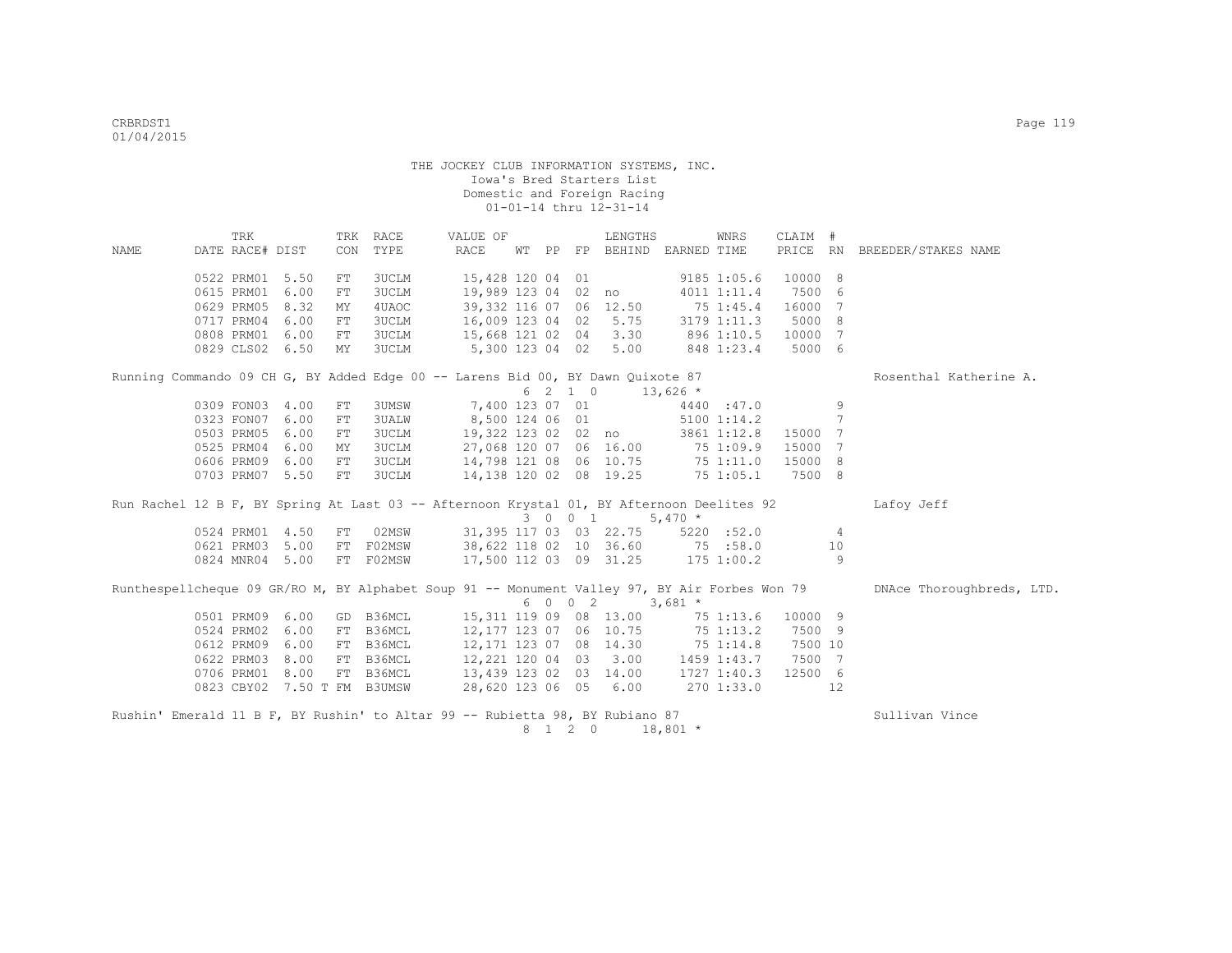|      | TRK                                                                                           |      |    | TRK RACE     | VALUE OF                           |    |    |         | LENGTHS                          |               | WNRS            | CLAIM #  |     |                           |
|------|-----------------------------------------------------------------------------------------------|------|----|--------------|------------------------------------|----|----|---------|----------------------------------|---------------|-----------------|----------|-----|---------------------------|
| NAME | DATE RACE# DIST                                                                               |      |    | CON TYPE     | RACE                               | WТ | PP |         | FP BEHIND EARNED TIME            |               |                 | PRICE RN |     | BREEDER/STAKES NAME       |
|      | 0522 PRM01                                                                                    | 5.50 | FT | 3UCLM        | 15,428 120 04 01                   |    |    |         |                                  |               | 9185 1:05.6     | 10000 8  |     |                           |
|      | 0615 PRM01                                                                                    | 6.00 | FT | 3UCLM        | 19,989 123 04 02                   |    |    |         | no                               |               | 4011 1:11.4     | 7500     | - 6 |                           |
|      | 0629 PRM05                                                                                    | 8.32 | MY | 4UAOC        | 39,332 116 07 06                   |    |    |         | 12.50                            | $75 \t1:45.4$ |                 | 16000    | 7   |                           |
|      | 0717 PRM04                                                                                    | 6.00 | FT | 3UCLM        | 16,009 123 04 02                   |    |    |         | 5.75                             |               | 3179 1:11.3     | 5000 8   |     |                           |
|      | 0808 PRM01                                                                                    | 6.00 | FT | 3UCLM        | 15,668 121 02 04                   |    |    |         | 3.30                             |               | 896 1:10.5      | 10000 7  |     |                           |
|      | 0829 CLS02 6.50                                                                               |      | MY | 3UCLM        | 5,300 123 04 02                    |    |    |         | 5.00                             |               | 848 1:23.4      | 5000 6   |     |                           |
|      | Running Commando 09 CH G, BY Added Edge 00 -- Larens Bid 00, BY Dawn Quixote 87               |      |    |              |                                    |    |    |         |                                  |               |                 |          |     | Rosenthal Katherine A.    |
|      |                                                                                               |      |    |              |                                    |    |    | 6 2 1 0 |                                  | $13,626$ *    |                 |          |     |                           |
|      | 0309 FON03 4.00                                                                               |      | FT | 3UMSW        | 7,400 123 07 01                    |    |    |         |                                  |               | 4440 :47.0      |          | 9   |                           |
|      | 0323 FON07                                                                                    | 6.00 | FT | <b>3UALW</b> | 8,500 124 06 01                    |    |    |         |                                  |               | $5100$ $1:14.2$ |          | 7   |                           |
|      | 0503 PRM05                                                                                    | 6.00 | FT | <b>3UCLM</b> | 19,322 123 02 02 no                |    |    |         |                                  |               | 3861 1:12.8     | 15000 7  |     |                           |
|      | 0525 PRM04                                                                                    | 6.00 | MY | <b>3UCLM</b> |                                    |    |    |         | 27,068 120 07 06 16.00 75 1:09.9 |               |                 | 15000 7  |     |                           |
|      | 0606 PRM09                                                                                    | 6.00 | FT | 3UCLM        |                                    |    |    |         | 14,798 121 08 06 10.75           |               | 75 1:11.0       | 15000    | -8  |                           |
|      | 0703 PRM07 5.50                                                                               |      | FT | <b>3UCLM</b> |                                    |    |    |         | 14,138 120 02 08 19.25           |               | 751:05.1        | 7500 8   |     |                           |
|      | Run Rachel 12 B F, BY Spring At Last 03 -- Afternoon Krystal 01, BY Afternoon Deelites 92     |      |    |              |                                    |    |    |         |                                  |               |                 |          |     | Lafoy Jeff                |
|      |                                                                                               |      |    |              |                                    |    |    | 3 0 0 1 |                                  | $5,470*$      |                 |          |     |                           |
|      | 0524 PRM01 4.50                                                                               |      | FT | 02MSW        |                                    |    |    |         | 31,395 117 03 03 22.75           |               | 5220 : 52.0     |          | 4   |                           |
|      | 0621 PRM03 5.00                                                                               |      |    | FT FO2MSW    |                                    |    |    |         | 38,622 118 02 10 36.60 75 :58.0  |               |                 |          | 10  |                           |
|      | 0824 MNR04 5.00                                                                               |      |    | FT FO2MSW    |                                    |    |    |         | 17,500 112 03 09 31.25           |               | $175$ $1:00.2$  |          | 9   |                           |
|      | Runthespellcheque 09 GR/RO M, BY Alphabet Soup 91 -- Monument Valley 97, BY Air Forbes Won 79 |      |    |              |                                    |    |    |         |                                  |               |                 |          |     | DNAce Thoroughbreds, LTD. |
|      |                                                                                               |      |    |              |                                    |    |    | 6 0 0 2 |                                  | $3,681$ *     |                 |          |     |                           |
|      | 0501 PRM09                                                                                    | 6.00 |    | GD B36MCL    | 15, 311 119 09 08 13.00            |    |    |         |                                  |               | 751:13.6        | 10000 9  |     |                           |
|      | 0524 PRM02                                                                                    | 6.00 |    | FT B36MCL    | 12,177 123 07 06 10.75             |    |    |         |                                  |               | 75 1:13.2       | 7500 9   |     |                           |
|      | 0612 PRM09                                                                                    | 6.00 |    | FT B36MCL    | 12, 171 123 07 08 14.30            |    |    |         |                                  |               | 75 1:14.8       | 7500 10  |     |                           |
|      | 0622 PRM03                                                                                    | 8.00 |    | FT B36MCL    | 12,221 120 04 03                   |    |    |         | 3.00                             | 1459 1:43.7   |                 | 7500 7   |     |                           |
|      | 0706 PRM01                                                                                    | 8.00 |    | FT B36MCL    | 13,439 123 02 03 14.00 1727 1:40.3 |    |    |         |                                  |               |                 | 12500 6  |     |                           |
|      | 0823 CBY02 7.50 T FM B3UMSW                                                                   |      |    |              |                                    |    |    |         | 28,620 123 06 05 6.00 270 1:33.0 |               |                 |          | 12  |                           |
|      | Rushin' Emerald 11 B F, BY Rushin' to Altar 99 -- Rubietta 98, BY Rubiano 87                  |      |    |              |                                    |    |    |         |                                  |               |                 |          |     |                           |
|      |                                                                                               |      |    |              |                                    |    |    | 8 1 2 0 |                                  | $18,801$ *    |                 |          |     | Sullivan Vince            |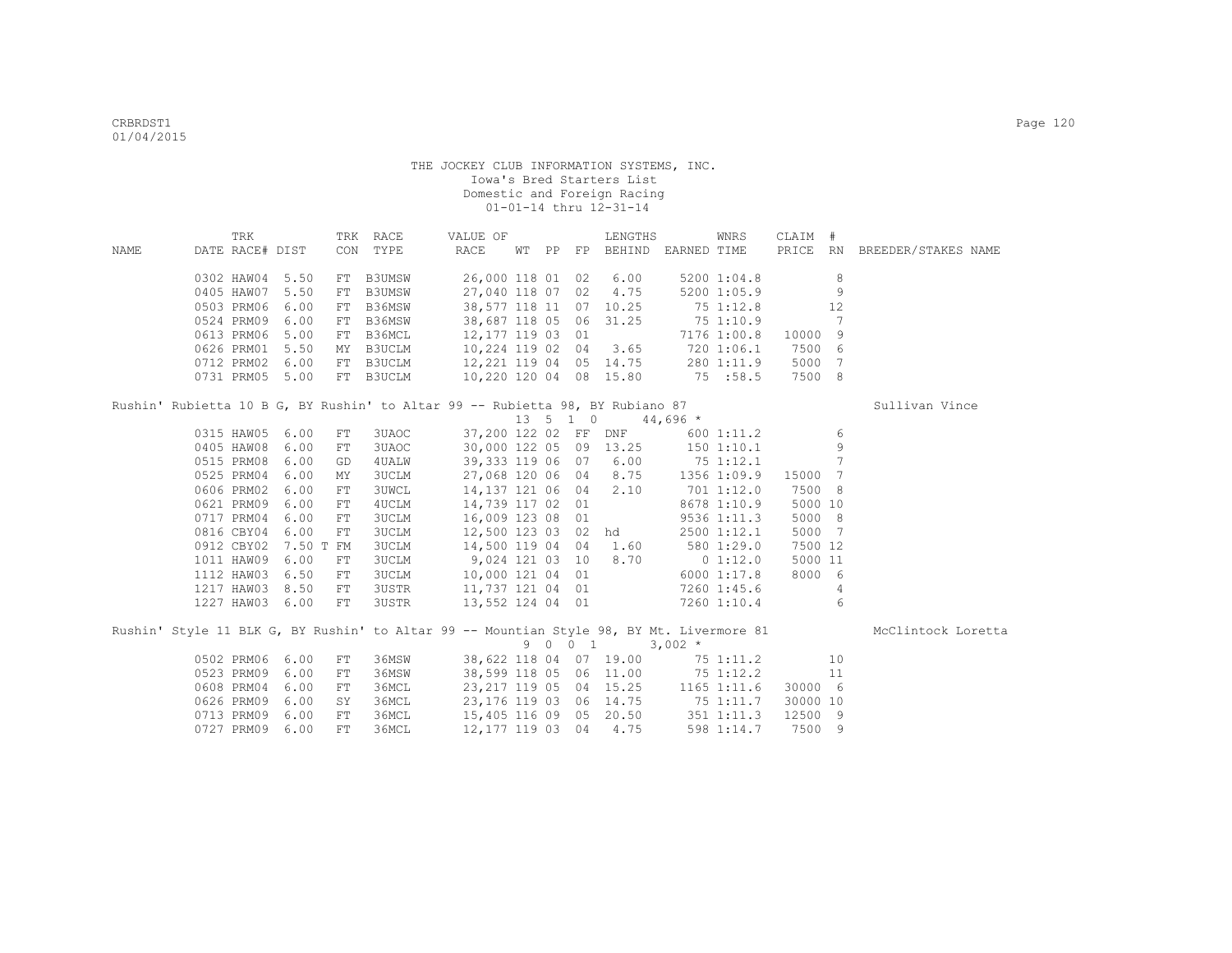|      | TRK                                                                                      |           |            | TRK RACE      | VALUE OF               |  | LENGTHS                                                                                                                                     |            | WNRS        | CLAIM #  |    |                              |
|------|------------------------------------------------------------------------------------------|-----------|------------|---------------|------------------------|--|---------------------------------------------------------------------------------------------------------------------------------------------|------------|-------------|----------|----|------------------------------|
| NAME | DATE RACE# DIST                                                                          |           |            | CON TYPE      | RACE                   |  | WT PP FP BEHIND EARNED TIME                                                                                                                 |            |             |          |    | PRICE RN BREEDER/STAKES NAME |
|      | 0302 HAW04 5.50                                                                          |           | FT         | <b>B3UMSW</b> |                        |  | 26,000 118 01 02 6.00                                                                                                                       |            | 5200 1:04.8 |          | 8  |                              |
|      | 0405 HAW07                                                                               | 5.50      | ${\rm FT}$ | B3UMSW        |                        |  | 27,040 118 07 02 4.75                                                                                                                       |            | 5200 1:05.9 |          | 9  |                              |
|      | 0503 PRM06                                                                               | 6.00      |            | FT B36MSW     |                        |  | 38,577 118 11 07 10.25                                                                                                                      | 751:12.8   |             |          | 12 |                              |
|      | 0524 PRM09 6.00                                                                          |           |            | FT B36MSW     |                        |  | 38,687 118 05 06 31.25                                                                                                                      | 75 1:10.9  |             |          | 7  |                              |
|      | 0613 PRM06                                                                               | 5.00      | ${\rm FT}$ | B36MCL        | 12, 177 119 03 01      |  |                                                                                                                                             |            | 7176 1:00.8 | 10000 9  |    |                              |
|      | 0626 PRM01                                                                               | 5.50      | MY         | B3UCLM        | 10,224 119 02 04       |  | 3.65                                                                                                                                        |            | 720 1:06.1  | 7500 6   |    |                              |
|      | 0712 PRM02                                                                               | 6.00      | FT         | B3UCLM        | 12,221 119 04 05 14.75 |  |                                                                                                                                             |            | 280 1:11.9  | 5000 7   |    |                              |
|      | 0731 PRM05                                                                               | 5.00      |            | FT B3UCLM     | 10,220 120 04 08 15.80 |  |                                                                                                                                             | 75 :58.5   |             | 7500 8   |    |                              |
|      | Rushin' Rubietta 10 B G, BY Rushin' to Altar 99 -- Rubietta 98, BY Rubiano 87            |           |            |               |                        |  |                                                                                                                                             |            |             |          |    | Sullivan Vince               |
|      |                                                                                          |           |            |               |                        |  | $13 \quad 5 \quad 1 \quad 0 \quad 44,696 \quad *$                                                                                           |            |             |          |    |                              |
|      | 0315 HAW05                                                                               | 6.00      | FT         | 3UAOC         |                        |  | 37,200 122 02 FF DNF                                                                                                                        |            | 600 1:11.2  |          | 6  |                              |
|      | 0405 HAW08                                                                               | 6.00      | FT         | 3UAOC         |                        |  | 30,000 122 05 09 13.25                                                                                                                      |            | 1501:10.1   |          | 9  |                              |
|      | 0515 PRM08                                                                               | 6.00      | GD         | 4 UALW        |                        |  | 39,333 119 06 07 6.00                                                                                                                       | 75 1:12.1  |             |          | 7  |                              |
|      | 0525 PRM04                                                                               | 6.00      | MΥ         | 3UCLM         |                        |  | 27,068 120 06 04 8.75                                                                                                                       |            | 1356 1:09.9 | 15000 7  |    |                              |
|      | 0606 PRM02                                                                               | 6.00      | ${\rm FT}$ | <b>3UWCL</b>  | 14,137 121 06 04       |  | 2.10                                                                                                                                        | 701 1:12.0 |             | 7500 8   |    |                              |
|      | 0621 PRM09                                                                               | 6.00      | FT         | 4UCLM         | 14,739 117 02 01       |  | $\label{eq:2} \frac{1}{\sqrt{2\pi}}\frac{1}{\sqrt{2\pi}}\sum_{i=1}^N\frac{1}{\sqrt{2\pi}}\int_{0}^{1}d\theta\,d\theta\,d\theta\,d\theta\,.$ |            | 8678 1:10.9 | 5000 10  |    |                              |
|      | 0717 PRM04                                                                               | 6.00      | ${\rm FT}$ | <b>3UCLM</b>  | 16,009 123 08 01       |  |                                                                                                                                             |            | 9536 1:11.3 | 5000 8   |    |                              |
|      | 0816 CBY04                                                                               | 6.00      | FT         | <b>3UCLM</b>  |                        |  | 12,500 123 03 02 hd                                                                                                                         |            | 2500 1:12.1 | 5000 7   |    |                              |
|      | 0912 CBY02                                                                               | 7.50 T FM |            | 3UCLM         | 14,500 119 04 04       |  | 1.60                                                                                                                                        |            | 580 1:29.0  | 7500 12  |    |                              |
|      | 1011 HAW09                                                                               | 6.00      | FT         | 3UCLM         | 9,024 121 03 10        |  | 8.70                                                                                                                                        | 0 1:12.0   |             | 5000 11  |    |                              |
|      | 1112 HAW03                                                                               | 6.50      | ${\rm FT}$ | <b>3UCLM</b>  | 10,000 121 04 01       |  |                                                                                                                                             |            | 6000 1:17.8 | 8000 6   |    |                              |
|      | 1217 HAW03                                                                               | 8.50      | FT         | 3USTR         | 11,737 121 04 01       |  | 7260 1:45.6                                                                                                                                 |            |             |          | 4  |                              |
|      | 1227 HAW03 6.00                                                                          |           | FT         | 3USTR         | 13,552 124 04 01       |  |                                                                                                                                             |            | 7260 1:10.4 |          | 6  |                              |
|      | Rushin' Style 11 BLK G, BY Rushin' to Altar 99 -- Mountian Style 98, BY Mt. Livermore 81 |           |            |               |                        |  |                                                                                                                                             |            |             |          |    | McClintock Loretta           |
|      |                                                                                          |           |            |               |                        |  | 9 0 0 1                                                                                                                                     | $3,002$ *  |             |          |    |                              |
|      | 0502 PRM06                                                                               | 6.00      | ${\rm FT}$ | 36MSW         |                        |  | 38,622 118 04 07 19.00 75 1:11.2                                                                                                            |            |             |          | 10 |                              |
|      | 0523 PRM09                                                                               | 6.00      | ${\rm FT}$ | 36MSW         |                        |  | 38,599 118 05 06 11.00 75 1:12.2                                                                                                            |            |             |          | 11 |                              |
|      | 0608 PRM04                                                                               | 6.00      | FT         | 36MCL         |                        |  | 23, 217 119 05 04 15.25 1165 1:11.6                                                                                                         |            |             | 30000 6  |    |                              |
|      | 0626 PRM09                                                                               | 6.00      | SY         | 36MCL         |                        |  | 23, 176 119 03 06 14.75 75 1:11.7                                                                                                           |            |             | 30000 10 |    |                              |
|      | 0713 PRM09                                                                               | 6.00      | ${\rm FT}$ | 36MCL         |                        |  | 15,405 116 09 05 20.50                                                                                                                      |            | 351 1:11.3  | 12500 9  |    |                              |
|      | 0727 PRM09                                                                               | 6.00      | FT         | 36MCL         |                        |  | 12, 177 119 03 04 4.75                                                                                                                      |            | 598 1:14.7  | 7500 9   |    |                              |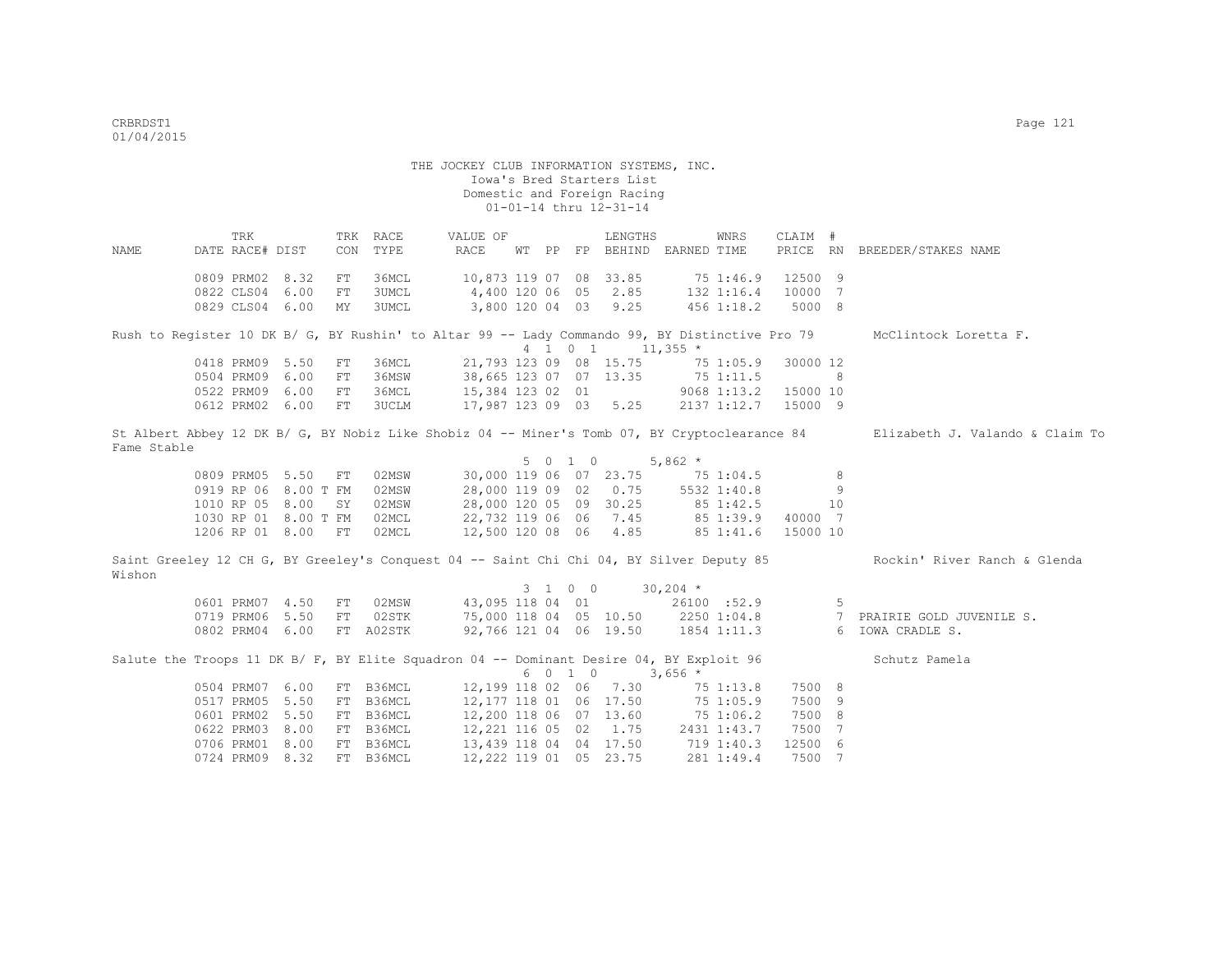THE JOCKEY CLUB INFORMATION SYSTEMS, INC. Iowa's Bred Starters List Domestic and Foreign Racing 01-01-14 thru 12-31-14 TRK TRK RACE VALUE OF LENGTHS WNRS CLAIM # NAME DATE RACE# DIST CON TYPE RACE WT PP FP BEHIND EARNED TIME PRICE RN BREEDER/STAKES NAME 0809 PRM02 8.32 FT 36MCL 10,873 119 07 08 33.85 75 1:46.9 12500 9 0822 CLS04 6.00 FT 3UMCL 4,400 120 06 05 2.85 132 1:16.4 10000 7 0829 CLS04 6.00 MY 3UMCL 3,800 120 04 03 9.25 456 1:18.2 5000 8 Rush to Register 10 DK B/ G, BY Rushin' to Altar 99 -- Lady Commando 99, BY Distinctive Pro 79 McClintock Loretta F.  $4 \overline{1}$  0 1 11,355 \*<br>21.793 123 09 08 15.75 75 1:05.9 30000 12 0418 PRM09 5.50 FT 36MCL 21,793 123 09 08 15.75 75 1:05.9 30000 12<br>0504 PRM09 6.00 FT 36MSW 38,665 123 07 07 13.35 75 1:11.5 8 0504 PRM09 6.00 FT 36MSW 0522 PRM09 6.00 FT 36MCL 15,384 123 02 01 9068 1:13.2 15000 10 0612 PRM02 6.00 FT 3UCLM 17,987 123 09 03 5.25 2137 1:12.7 15000 9 St Albert Abbey 12 DK B/ G, BY Nobiz Like Shobiz 04 -- Miner's Tomb 07, BY Cryptoclearance 84 Elizabeth J. Valando & Claim To Fame Stable  $5 \t 0 \t 1 \t 0 \t 5,862 \times$ <br>30,000 119 06 07 23.75 7 0809 PRM05 5.50 FT 02MSW 30,000 119 06 07 23.75 75 1:04.5 8<br>0919 RP 06 8.00 T FM 02MSW 28,000 119 09 02 0.75 5532 1:40.8 9 28,000 119 09 02 0.75 5532 1:40.8<br>28.000 120 05 09 30.25 85 1:42.5 1010 RP 05 8.00 SY 02MSW 28,000 120 05 09 30.25 85 1:42.5 10<br>1030 RP 01 8.00 T FM 02MCL 22.732 119 06 06 7.45 85 1:39.9 40000 7 1030 RP 01 8.00 T FM 02MCL 22,732 119 06 06 7.45<br>1206 RP 01 8.00 FT 02MCL 12,500 120 08 06 4.85 12,500 120 08 06 4.85 85 1:41.6 15000 10 Saint Greeley 12 CH G, BY Greeley's Conquest 04 -- Saint Chi Chi 04, BY Silver Deputy 85 Rockin' River Ranch & Glenda Wishon 3 1 0 0 30,204 \* 0601 PRM07 4.50 FT 02MSW 43,095 118 04 01 26100 :52.9 5<br>0719 PRM06 5.50 FT 02STK 75,000 118 04 05 10.50 2250 1:04.8 7 PRAIRIE GOLD JUVENILE S. 0719 PRM06 5.50 FT 02STK 75,000 118 04 05 10.50 2250 1:04.8 0802 PRM04 6.00 FT A02STK 92,766 121 04 06 19.50 1854 1:11.3 6 IOWA CRADLE S. Salute the Troops 11 DK B/ F, BY Elite Squadron 04 -- Dominant Desire 04, BY Exploit 96 Schutz Pamela  $6 \t0 \t1 \t0 \t3.656 \t*$ 0504 PRM07 6.00 FT B36MCL 12,199 118 02 06 7.30 75 1:13.8 7500 8<br>0517 PRM05 5.50 FT B36MCL 12,177 118 01 06 17.50 75 1:05.9 7500 9 0517 PRM05 5.50 FT B36MCL 12,177 118 01 06 17.50<br>0601 PRM02 5.50 FT B36MCL 12,200 118 06 07 13.60 0601 PRM02 5.50 FT B36MCL 12,200 118 06 07 13.60 75 1:06.2 7500 8<br>0622 PRM03 8.00 FT B36MCL 12,221 116 05 02 1.75 2431 1:43.7 7500 7 12,221 116 05 02 1.75 2431 1:43.7

 0706 PRM01 8.00 FT B36MCL 13,439 118 04 04 17.50 719 1:40.3 12500 6 0724 PRM09 8.32 FT B36MCL 12,222 119 01 05 23.75 281 1:49.4 7500 7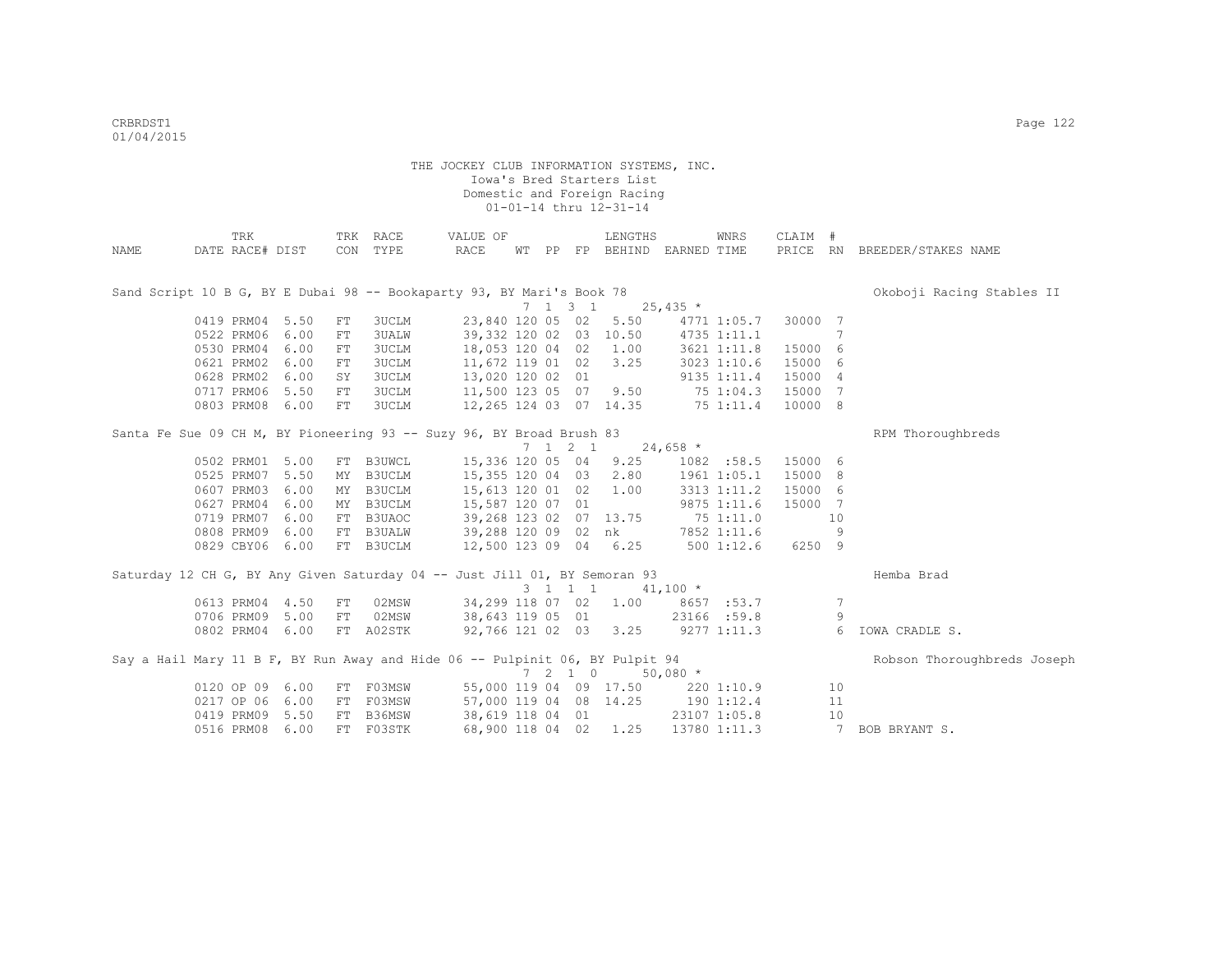|                                                                              | TRK             |      |            | TRK RACE  | VALUE OF                                     |  |                          | LENGTHS                           |            | WNRS         | CLAIM # |    |                              |
|------------------------------------------------------------------------------|-----------------|------|------------|-----------|----------------------------------------------|--|--------------------------|-----------------------------------|------------|--------------|---------|----|------------------------------|
| NAME                                                                         | DATE RACE# DIST |      |            | CON TYPE  | RACE                                         |  |                          | WT PP FP BEHIND EARNED TIME       |            |              |         |    | PRICE RN BREEDER/STAKES NAME |
|                                                                              |                 |      |            |           |                                              |  |                          |                                   |            |              |         |    |                              |
|                                                                              |                 |      |            |           |                                              |  |                          |                                   |            |              |         |    |                              |
| Sand Script 10 B G, BY E Dubai 98 -- Bookaparty 93, BY Mari's Book 78        |                 |      |            |           |                                              |  |                          |                                   |            |              |         |    | Okoboji Racing Stables II    |
|                                                                              |                 |      |            |           |                                              |  | $7 \t1 \t3 \t1$          |                                   | $25,435$ * |              |         |    |                              |
|                                                                              | 0419 PRM04 5.50 |      | FT         | 3UCLM     |                                              |  |                          | 23,840 120 05 02 5.50             |            | 4771 1:05.7  | 30000 7 |    |                              |
|                                                                              | 0522 PRM06 6.00 |      | FT         | 3UALW     |                                              |  |                          | 39,332 120 02 03 10.50            |            | 4735 1:11.1  |         | -7 |                              |
|                                                                              | 0530 PRM04 6.00 |      | FT         | 3UCLM     |                                              |  |                          | 18,053 120 04 02 1.00             |            | 3621 1:11.8  | 15000 6 |    |                              |
|                                                                              | 0621 PRM02 6.00 |      | FT         | 3UCLM     | 11,672 119 01 02 3.25                        |  |                          |                                   |            | 3023 1:10.6  | 15000 6 |    |                              |
|                                                                              | 0628 PRM02      | 6.00 | SY         | 3UCLM     | 13,020 120 02 01                             |  |                          |                                   |            | 9135 1:11.4  | 15000 4 |    |                              |
|                                                                              | 0717 PRM06 5.50 |      | ${\rm FT}$ | 3UCLM     | 11,500 123 05 07 9.50                        |  |                          |                                   |            | 75 1:04.3    | 15000 7 |    |                              |
|                                                                              | 0803 PRM08 6.00 |      | ${\rm FT}$ | 3UCLM     |                                              |  |                          | 12, 265 124 03 07 14.35 75 1:11.4 |            |              | 10000 8 |    |                              |
| Santa Fe Sue 09 CH M, BY Pioneering 93 -- Suzy 96, BY Broad Brush 83         |                 |      |            |           |                                              |  |                          |                                   |            |              |         |    | RPM Thoroughbreds            |
|                                                                              |                 |      |            |           |                                              |  | $7 \t1 \t2 \t1$          |                                   | $24,658$ * |              |         |    |                              |
|                                                                              | 0502 PRM01 5.00 |      |            | FT B3UWCL | 15,336 120 05 04                             |  |                          | 9.25                              |            | 1082 :58.5   | 15000 6 |    |                              |
|                                                                              | 0525 PRM07 5.50 |      | ΜY         | B3UCLM    | 15,355 120 04 03 2.80                        |  |                          |                                   |            | 1961 1:05.1  | 15000 8 |    |                              |
|                                                                              | 0607 PRM03      | 6.00 | MY         | B3UCLM    | 15,613 120 01 02 1.00                        |  |                          |                                   |            | 3313 1:11.2  | 15000 6 |    |                              |
|                                                                              | 0627 PRM04 6.00 |      |            | MY B3UCLM | 15,587 120 07 01                             |  |                          |                                   |            | 9875 1:11.6  | 15000 7 |    |                              |
|                                                                              | 0719 PRM07 6.00 |      |            | FT B3UAOC |                                              |  |                          | 39,268 123 02 07 13.75            |            | 751:11.0     |         | 10 |                              |
|                                                                              | 0808 PRM09 6.00 |      |            | FT B3UALW |                                              |  |                          |                                   |            | 7852 1:11.6  |         | 9  |                              |
|                                                                              |                 |      |            |           | 39,288 120 09 02 nk<br>12,500 123 09 04 6.25 |  |                          |                                   |            |              | 6250 9  |    |                              |
|                                                                              | 0829 CBY06 6.00 |      |            | FT B3UCLM |                                              |  |                          |                                   |            | 5001:12.6    |         |    |                              |
| Saturday 12 CH G, BY Any Given Saturday 04 -- Just Jill 01, BY Semoran 93    |                 |      |            |           |                                              |  |                          |                                   |            |              |         |    | Hemba Brad                   |
|                                                                              |                 |      |            |           |                                              |  | 3 1 1 1                  |                                   | $41,100$ * |              |         |    |                              |
|                                                                              | 0613 PRM04 4.50 |      | FT         | 02MSW     |                                              |  |                          | 34,299 118 07 02 1.00             |            | 8657 :53.7   |         | 7  |                              |
|                                                                              | 0706 PRM09 5.00 |      | FT         | 02MSW     | 38,643 119 05 01                             |  |                          |                                   |            | 23166 :59.8  |         | 9  |                              |
|                                                                              | 0802 PRM04 6.00 |      |            | FT A02STK |                                              |  |                          | 92,766 121 02 03 3.25             |            | 9277 1:11.3  |         | 6  | IOWA CRADLE S.               |
| Say a Hail Mary 11 B F, BY Run Away and Hide 06 -- Pulpinit 06, BY Pulpit 94 |                 |      |            |           |                                              |  |                          |                                   |            |              |         |    | Robson Thoroughbreds Joseph  |
|                                                                              |                 |      |            |           |                                              |  | $7\quad 2\quad 1\quad 0$ |                                   | $50,080$ * |              |         |    |                              |
|                                                                              | 0120 OP 09      | 6.00 |            | FT F03MSW |                                              |  |                          | 55,000 119 04 09 17.50            |            | 220 1:10.9   |         | 10 |                              |
|                                                                              | 0217 OP 06      | 6.00 | FT         | F03MSW    |                                              |  |                          | 57,000 119 04 08 14.25            | 190 1:12.4 |              |         | 11 |                              |
|                                                                              | 0419 PRM09 5.50 |      | FT         | B36MSW    | 38,619 118 04 01                             |  |                          |                                   |            | 23107 1:05.8 |         | 10 |                              |
|                                                                              | 0516 PRM08      | 6.00 | FT         | F03STK    | 68,900 118 04 02                             |  |                          | 1.25                              |            | 13780 1:11.3 |         | 7  | BOB BRYANT S.                |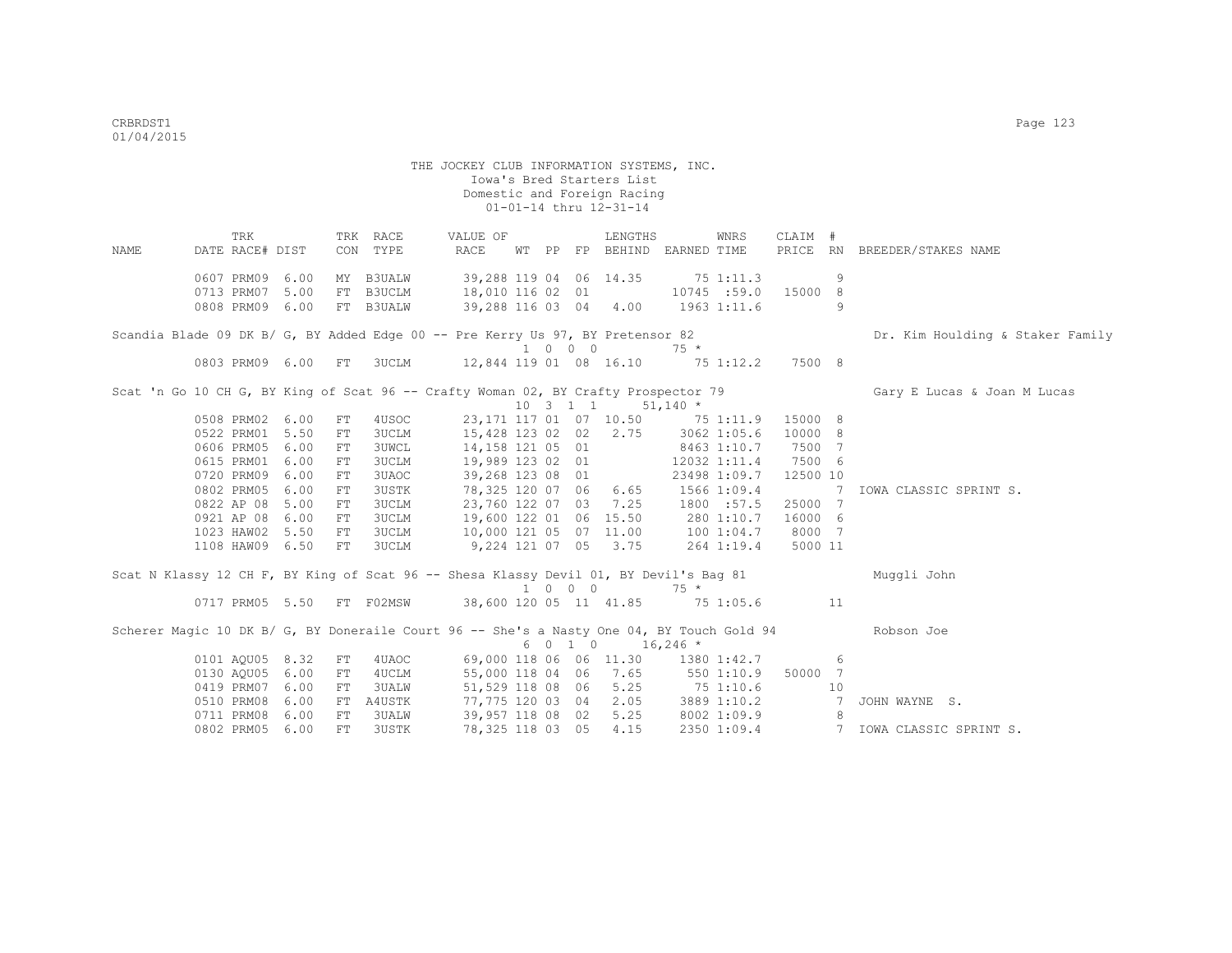THE JOCKEY CLUB INFORMATION SYSTEMS, INC. Iowa's Bred Starters List Domestic and Foreign Racing 01-01-14 thru 12-31-14 TRK TRK RACE VALUE OF LENGTHS WNRS CLAIM # NAME DATE RACE# DIST CON TYPE RACE WT PP FP BEHIND EARNED TIME PRICE RN BREEDER/STAKES NAME 0607 PRM09 6.00 MY B3UALW 39,288 119 04 06 14.35 75 1:11.3 9<br>0713 PRM07 5.00 FT B3UCLM 18,010 116 02 01 10745 :59.0 15000 8 0713 PRM07 5.00 FT B3UCLM 18,010 116 02 01 0808 PRM09 6.00 FT B3UALW 39,288 116 03 04 4.00 1963 1:11.6 9 Scandia Blade 09 DK B/ G, BY Added Edge 00 -- Pre Kerry Us 97, BY Pretensor 82 Dr. Kim Houlding & Staker Family  $1 \t 0 \t 0 \t 75 \t$  0803 PRM09 6.00 FT 3UCLM 12,844 119 01 08 16.10 75 1:12.2 7500 8 Scat 'n Go 10 CH G, BY King of Scat 96 -- Crafty Woman 02, BY Crafty Prospector 79 Gary E Lucas & Joan M Lucas  $\begin{array}{ccccccccc} & & 10 & 3 & 1 & 1 & 51,140 & * \\ 23,171 & 117 & 01 & 07 & 10.50 & 75 \end{array}$  0508 PRM02 6.00 FT 4USOC 23,171 117 01 07 10.50 75 1:11.9 15000 8 0522 PRM01 5.50 FT 3UCLM 15,428 123 02 02 2.75 3062 1:05.6 10000 8 0606 PRM05 6.00 FT 3UWCL 14,158 121 05 01 8463 1:10.7 7500 7 0615 PRM01 6.00 FT 3UCLM 19,989 123 02 01 12032 1:11.4 7500 6 0720 PRM09 6.00 FT 3UAOC 39,268 123 08 01 23498 1:09.7 12500 10 0802 PRM05 6.00 FT 3USTK 78,325 120 07 06 6.65 1566 1:09.4 7 IOWA CLASSIC SPRINT S. 0822 AP 08 5.00 FT 3UCLM 23,760 122 07 03 7.25 1800 :57.5 25000 7 0921 AP 08 6.00 FT 3UCLM 19,600 122 01 06 15.50 280 1:10.7 16000 6 1023 HAW02 5.50 FT 3UCLM 10,000 121 05 07 11.00 100 1:04.7 8000 7 1108 HAW09 6.50 FT 3UCLM 9,224 121 07 05 3.75 264 1:19.4 5000 11 Scat N Klassy 12 CH F, BY King of Scat 96 -- Shesa Klassy Devil 01, BY Devil's Bag 81 Muggli John 1 0 0 0 75 \* 0717 PRM05 5.50 FT F02MSW 38,600 120 05 11 41.85 75 1:05.6 11 Scherer Magic 10 DK B/ G, BY Doneraile Court 96 -- She's a Nasty One 04, BY Touch Gold 94 Robson Joe  $6010$   $16,246$   $*$ <br>0101 AQU05 8.32 FT 4UAOC 69,000 118 06 06 11.30 1380 01101 69,000 118 06 06 11.30 1380 1:42.7 6<br>55,000 118 04 06 7.65 550 1:10.9 50000 7 0130 AQU05 6.00 FT 4UCLM 55,000 118 04 06 7.65 550 1:10.9 50000 7<br>0419 PRM07 6.00 FT 3UALW 51.529 118 08 06 5.25 75 1:10.6 10 0419 PRM07 6.00 FT 3UALW 51,529 118 08 06 5.25 75 1:10.6 10 0510 PRM08 6.00 FT A4USTK 77,775 120 03 04 2.05 3889 1:10.2 0711 PRM08 6.00 FT 3UALW 39,957 118 08 02 5.25 8002 1:09.9 8

0802 PRM05 6.00 FT 3USTK 78,325 118 03 05 4.15 2350 1:09.4 7 IOWA CLASSIC SPRINT S.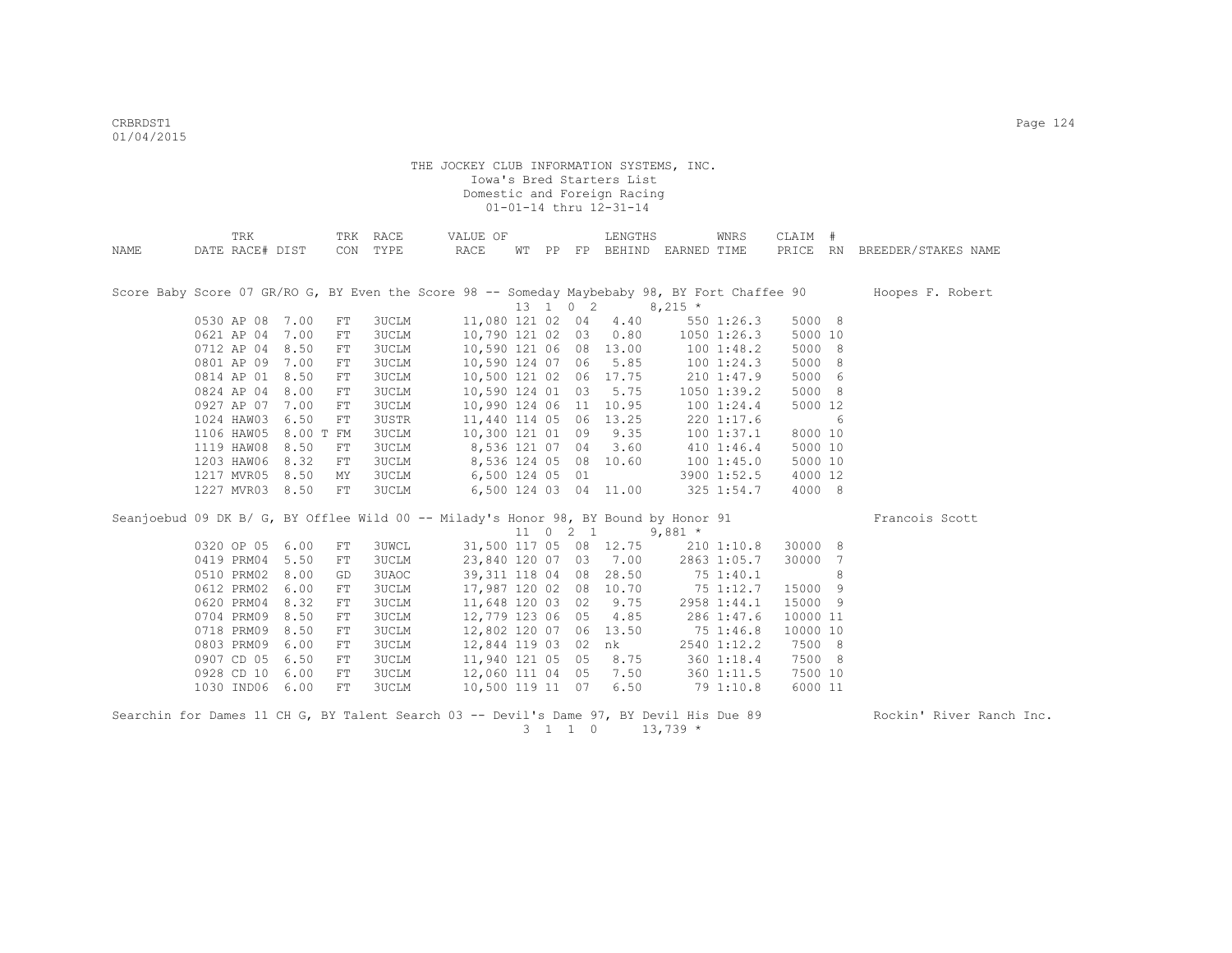|      | TRK             |           |            | TRK RACE     | VALUE OF                                                                                      |  |                     | LENGTHS                |                             | WNRS            | CLAIM #  |   |                              |
|------|-----------------|-----------|------------|--------------|-----------------------------------------------------------------------------------------------|--|---------------------|------------------------|-----------------------------|-----------------|----------|---|------------------------------|
| NAME | DATE RACE# DIST |           | CON        | TYPE         | RACE                                                                                          |  |                     |                        | WT PP FP BEHIND EARNED TIME |                 |          |   | PRICE RN BREEDER/STAKES NAME |
|      |                 |           |            |              |                                                                                               |  |                     |                        |                             |                 |          |   |                              |
|      |                 |           |            |              |                                                                                               |  |                     |                        |                             |                 |          |   |                              |
|      |                 |           |            |              | Score Baby Score 07 GR/RO G, BY Even the Score 98 -- Someday Maybebaby 98, BY Fort Chaffee 90 |  |                     |                        |                             |                 |          |   | Hoopes F. Robert             |
|      |                 |           |            |              |                                                                                               |  | 13 1 0 2            |                        | $8,215$ *                   |                 |          |   |                              |
|      | 0530 AP 08 7.00 |           | ${\rm FT}$ | 3UCLM        | 11,080 121 02 04                                                                              |  |                     | 4.40                   |                             | 550 1:26.3      | 5000 8   |   |                              |
|      | 0621 AP 04      | 7.00      | FT         | <b>3UCLM</b> | 10,790 121 02 03                                                                              |  |                     | 0.80                   |                             | $1050$ $1:26.3$ | 5000 10  |   |                              |
|      | 0712 AP 04      | 8.50      | ${\rm FT}$ | <b>3UCLM</b> | 10,590 121 06 08 13.00                                                                        |  |                     |                        |                             | 1001:48.2       | 5000 8   |   |                              |
|      | 0801 AP 09      | 7.00      | ${\rm FT}$ | <b>3UCLM</b> | 10,590 124 07 06                                                                              |  |                     | 5.85                   |                             | 1001:24.3       | 5000 8   |   |                              |
|      | 0814 AP 01      | 8.50      | FT         | <b>3UCLM</b> | 10,500 121 02 06                                                                              |  |                     | 17.75                  |                             | 210 1:47.9      | 5000 6   |   |                              |
|      | 0824 AP 04      | 8.00      | FT         | 3UCLM        | 10,590 124 01 03                                                                              |  |                     | 5.75                   |                             | 1050 1:39.2     | 5000 8   |   |                              |
|      | 0927 AP 07      | 7.00      | FT         | 3UCLM        | 10,990 124 06 11 10.95                                                                        |  |                     |                        |                             | 100 1:24.4      | 5000 12  |   |                              |
|      | 1024 HAW03      | 6.50      | ${\rm FT}$ | 3USTR        | 11,440 114 05 06                                                                              |  |                     | 13.25                  |                             | 220 1:17.6      |          | 6 |                              |
|      | 1106 HAW05      | 8.00 T FM |            | <b>3UCLM</b> | 10,300 121 01 09                                                                              |  |                     | 9.35                   |                             | 1001:37.1       | 8000 10  |   |                              |
|      | 1119 HAW08      | 8.50      | ${\rm FT}$ | <b>3UCLM</b> | 8,536 121 07 04                                                                               |  |                     | 3.60                   |                             | $410$ 1:46.4    | 5000 10  |   |                              |
|      | 1203 HAW06      | 8.32      | FT         | <b>3UCLM</b> |                                                                                               |  |                     | 8,536 124 05 08 10.60  |                             | 100 1:45.0      | 5000 10  |   |                              |
|      | 1217 MVR05      | 8.50      | MΥ         | 3UCLM        | 6,500 124 05 01                                                                               |  |                     |                        |                             | 3900 1:52.5     | 4000 12  |   |                              |
|      | 1227 MVR03 8.50 |           | FT         | <b>3UCLM</b> |                                                                                               |  |                     | 6,500 124 03 04 11.00  |                             | 325 1:54.7      | 4000 8   |   |                              |
|      |                 |           |            |              |                                                                                               |  |                     |                        |                             |                 |          |   |                              |
|      |                 |           |            |              | Seanjoebud 09 DK B/ G, BY Offlee Wild 00 -- Milady's Honor 98, BY Bound by Honor 91           |  |                     |                        |                             |                 |          |   | Francois Scott               |
|      |                 |           |            |              |                                                                                               |  | $11 \t 0 \t 2 \t 1$ |                        | $9.881 *$                   |                 |          |   |                              |
|      | 0320 OP 05 6.00 |           | FT         | <b>3UWCL</b> |                                                                                               |  |                     | 31,500 117 05 08 12.75 |                             | 210 1:10.8      | 30000 8  |   |                              |
|      | 0419 PRM04      | 5.50      | FT         | 3UCLM        |                                                                                               |  |                     | 23,840 120 07 03 7.00  |                             | 2863 1:05.7     | 30000 7  |   |                              |
|      | 0510 PRM02      | 8.00      | GD         | 3UAOC        | 39, 311 118 04 08 28.50                                                                       |  |                     |                        |                             | 75 1:40.1       |          | 8 |                              |
|      | 0612 PRM02      | 6.00      | ${\rm FT}$ | <b>3UCLM</b> | 17,987 120 02 08                                                                              |  |                     | 10.70                  | 75 1:12.7                   |                 | 15000 9  |   |                              |
|      | 0620 PRM04      | 8.32      | FT         | <b>3UCLM</b> | 11,648 120 03 02                                                                              |  |                     | 9.75                   |                             | 2958 1:44.1     | 15000 9  |   |                              |
|      | 0704 PRM09      | 8.50      | ${\rm FT}$ | <b>3UCLM</b> | 12,779 123 06 05                                                                              |  |                     | 4.85                   |                             | 286 1:47.6      | 10000 11 |   |                              |
|      | 0718 PRM09      | 8.50      | ${\rm FT}$ | 3UCLM        | 12,802 120 07 06                                                                              |  |                     | 13.50                  |                             | 75 1:46.8       | 10000 10 |   |                              |
|      | 0803 PRM09      | 6.00      | ${\rm FT}$ | <b>3UCLM</b> | 12,844 119 03 02                                                                              |  |                     | nk                     |                             | 2540 1:12.2     | 7500 8   |   |                              |
|      | 0907 CD 05      | 6.50      | FT         | <b>3UCLM</b> | 11,940 121 05 05                                                                              |  |                     | 8.75                   |                             | 360 1:18.4      | 7500 8   |   |                              |
|      | 0928 CD 10      | 6.00      | FT         | <b>3UCLM</b> | 12,060 111 04 05                                                                              |  |                     | 7.50                   |                             | 360 1:11.5      | 7500 10  |   |                              |
|      | 1030 IND06      | 6.00      | FT         | <b>3UCLM</b> | 10,500 119 11 07                                                                              |  |                     | 6.50                   |                             | 79 1:10.8       | 6000 11  |   |                              |
|      |                 |           |            |              |                                                                                               |  |                     |                        |                             |                 |          |   |                              |

Searchin for Dames 11 CH G, BY Talent Search 03 -- Devil's Dame 97, BY Devil His Due 89 Rockin' River Ranch Inc.  $3 \t1 \t1 \t0 \t13,739$  \*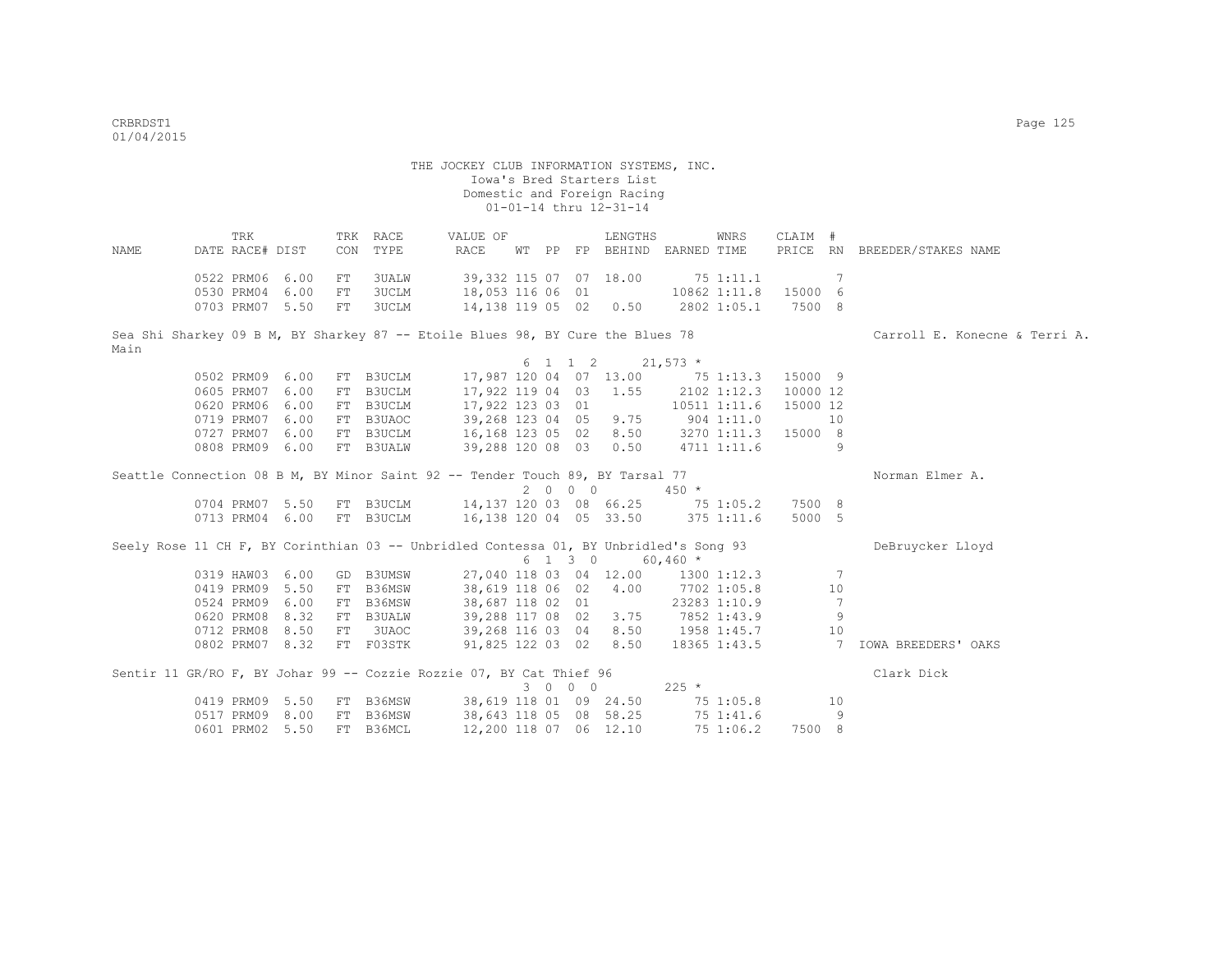|      | TRK             |      |            | TRK RACE     | VALUE OF                                                                              |  |         | LENGTHS                          |              | WNRS         | CLAIM #  |                |                               |
|------|-----------------|------|------------|--------------|---------------------------------------------------------------------------------------|--|---------|----------------------------------|--------------|--------------|----------|----------------|-------------------------------|
| NAME | DATE RACE# DIST |      | CON        | TYPE         | RACE                                                                                  |  |         | WT PP FP BEHIND EARNED TIME      |              |              |          |                | PRICE RN BREEDER/STAKES NAME  |
|      | 0522 PRM06 6.00 |      | FT         | 3UALW        |                                                                                       |  |         | 39,332 115 07 07 18.00           | 751:11.1     |              |          | 7              |                               |
|      | 0530 PRM04      | 6.00 | ${\rm FT}$ | <b>3UCLM</b> | 18,053 116 06 01                                                                      |  |         |                                  |              | 10862 1:11.8 | 15000 6  |                |                               |
|      | 0703 PRM07 5.50 |      | FT         | 3UCLM        |                                                                                       |  |         |                                  |              | 2802 1:05.1  | 7500 8   |                |                               |
|      |                 |      |            |              | 14,138 119 05 02 0.50                                                                 |  |         |                                  |              |              |          |                |                               |
|      |                 |      |            |              | Sea Shi Sharkey 09 B M, BY Sharkey 87 -- Etoile Blues 98, BY Cure the Blues 78        |  |         |                                  |              |              |          |                | Carroll E. Konecne & Terri A. |
| Main |                 |      |            |              |                                                                                       |  |         |                                  |              |              |          |                |                               |
|      |                 |      |            |              |                                                                                       |  | 6 1 1 2 | $21,573$ *                       |              |              |          |                |                               |
|      | 0502 PRM09      | 6.00 |            | FT B3UCLM    |                                                                                       |  |         | 17,987 120 04 07 13.00 75 1:13.3 |              |              | 15000 9  |                |                               |
|      | 0605 PRM07 6.00 |      |            | FT B3UCLM    | 17,922 119 04 03                                                                      |  |         | 1.55                             |              | 2102 1:12.3  | 10000 12 |                |                               |
|      | 0620 PRM06 6.00 |      |            | FT B3UCLM    | 17,922 123 03 01                                                                      |  |         |                                  |              | 10511 1:11.6 | 15000 12 |                |                               |
|      | 0719 PRM07 6.00 |      |            | FT B3UAOC    | 39,268 123 04 05                                                                      |  |         | 9.75                             | $904$ 1:11.0 |              |          | 10             |                               |
|      | 0727 PRM07 6.00 |      |            | FT B3UCLM    | 16, 168 123 05 02                                                                     |  |         | 8.50                             |              | 3270 1:11.3  | 15000 8  |                |                               |
|      | 0808 PRM09 6.00 |      |            | FT B3UALW    | 39,288 120 08 03                                                                      |  |         | 0.50                             |              | 4711 1:11.6  |          | 9              |                               |
|      |                 |      |            |              |                                                                                       |  |         |                                  |              |              |          |                |                               |
|      |                 |      |            |              | Seattle Connection 08 B M, BY Minor Saint 92 -- Tender Touch 89, BY Tarsal 77         |  |         |                                  |              |              |          |                | Norman Elmer A.               |
|      |                 |      |            |              |                                                                                       |  | 2 0 0 0 |                                  | $450 *$      |              |          |                |                               |
|      | 0704 PRM07 5.50 |      |            | FT B3UCLM    | 14,137 120 03 08 66.25                                                                |  |         |                                  |              | 75 1:05.2    | 7500 8   |                |                               |
|      | 0713 PRM04 6.00 |      |            | FT B3UCLM    | 16,138 120 04 05 33.50                                                                |  |         |                                  |              | 375 1:11.6   | 5000 5   |                |                               |
|      |                 |      |            |              |                                                                                       |  |         |                                  |              |              |          |                |                               |
|      |                 |      |            |              | Seely Rose 11 CH F, BY Corinthian 03 -- Unbridled Contessa 01, BY Unbridled's Song 93 |  |         |                                  |              |              |          |                | DeBruycker Lloyd              |
|      |                 |      |            |              |                                                                                       |  | 6 1 3 0 |                                  | $60,460$ *   |              |          |                |                               |
|      | 0319 HAW03 6.00 |      |            | GD B3UMSW    |                                                                                       |  |         | 27,040 118 03 04 12.00           |              | 1300 1:12.3  |          | 7              |                               |
|      | 0419 PRM09 5.50 |      |            | FT B36MSW    | 38,619 118 06 02 4.00                                                                 |  |         |                                  | 7702 1:05.8  |              |          | 10             |                               |
|      | 0524 PRM09      | 6.00 |            | FT B36MSW    | 38,687 118 02 01                                                                      |  |         |                                  |              | 23283 1:10.9 |          | 7              |                               |
|      | 0620 PRM08 8.32 |      |            | FT B3UALW    | 39,288 117 08 02                                                                      |  |         | 3.75                             |              | 7852 1:43.9  |          | 9              |                               |
|      | 0712 PRM08 8.50 |      |            | FT 3UAOC     | 39,268 116 03 04                                                                      |  |         | 8.50                             |              | 1958 1:45.7  |          | 10             |                               |
|      | 0802 PRM07 8.32 |      |            | FT F03STK    | 91,825 122 03 02 8.50                                                                 |  |         |                                  |              | 18365 1:43.5 |          | $\overline{7}$ | IOWA BREEDERS' OAKS           |
|      |                 |      |            |              | Sentir 11 GR/RO F, BY Johar 99 -- Cozzie Rozzie 07, BY Cat Thief 96                   |  |         |                                  |              |              |          |                | Clark Dick                    |
|      |                 |      |            |              |                                                                                       |  | 3 0 0 0 |                                  | $225 *$      |              |          |                |                               |
|      |                 |      |            |              |                                                                                       |  |         |                                  |              |              |          |                |                               |
|      | 0419 PRM09 5.50 |      |            | FT B36MSW    | 38,619 118 01 09 24.50                                                                |  |         |                                  |              | 75 1:05.8    |          | 10             |                               |
|      | 0517 PRM09 8.00 |      |            | FT B36MSW    | 38,643 118 05 08 58.25                                                                |  |         |                                  |              | 75 1:41.6    |          | 9              |                               |
|      | 0601 PRM02 5.50 |      |            | FT B36MCL    | 12,200 118 07 06 12.10                                                                |  |         |                                  |              | 75 1:06.2    | 7500 8   |                |                               |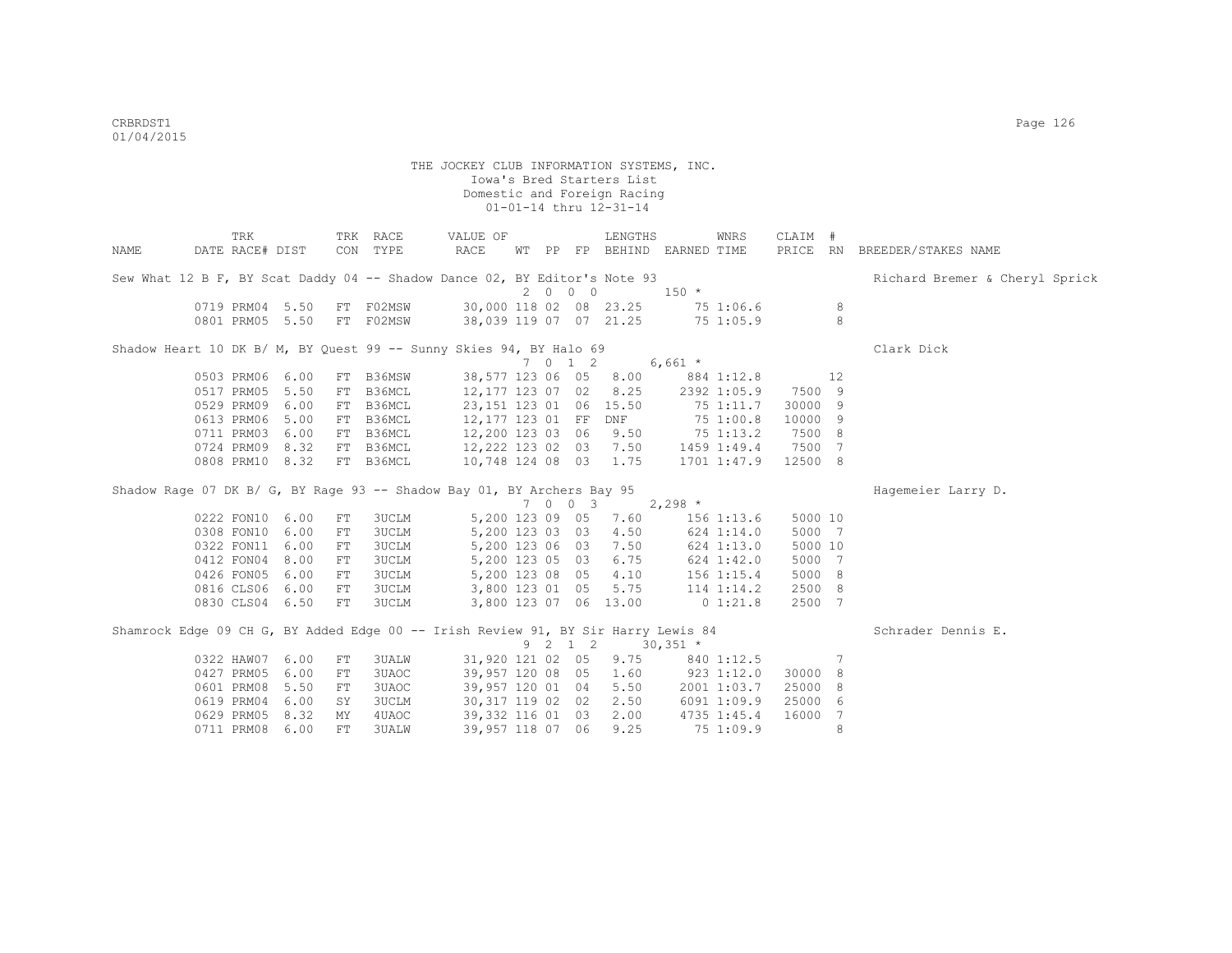| TRK        |            |                                                                                                                                                                                                                                                                                                                                                                                                                             | VALUE OF                                                                                                                                  |  |                                                                                                                                                                                                                    |                                                                                                                                                                                                                                                                                                                                                                                                                                                                                                         | WNRS                                                                                                                                     |                                                                                                                                                                                                                                                                                                                                                                                                             |                                                    |                                                                                                                                                                                                                         |
|------------|------------|-----------------------------------------------------------------------------------------------------------------------------------------------------------------------------------------------------------------------------------------------------------------------------------------------------------------------------------------------------------------------------------------------------------------------------|-------------------------------------------------------------------------------------------------------------------------------------------|--|--------------------------------------------------------------------------------------------------------------------------------------------------------------------------------------------------------------------|---------------------------------------------------------------------------------------------------------------------------------------------------------------------------------------------------------------------------------------------------------------------------------------------------------------------------------------------------------------------------------------------------------------------------------------------------------------------------------------------------------|------------------------------------------------------------------------------------------------------------------------------------------|-------------------------------------------------------------------------------------------------------------------------------------------------------------------------------------------------------------------------------------------------------------------------------------------------------------------------------------------------------------------------------------------------------------|----------------------------------------------------|-------------------------------------------------------------------------------------------------------------------------------------------------------------------------------------------------------------------------|
|            |            |                                                                                                                                                                                                                                                                                                                                                                                                                             | RACE                                                                                                                                      |  |                                                                                                                                                                                                                    |                                                                                                                                                                                                                                                                                                                                                                                                                                                                                                         |                                                                                                                                          |                                                                                                                                                                                                                                                                                                                                                                                                             |                                                    | PRICE RN BREEDER/STAKES NAME                                                                                                                                                                                            |
|            |            |                                                                                                                                                                                                                                                                                                                                                                                                                             |                                                                                                                                           |  |                                                                                                                                                                                                                    |                                                                                                                                                                                                                                                                                                                                                                                                                                                                                                         |                                                                                                                                          |                                                                                                                                                                                                                                                                                                                                                                                                             |                                                    | Richard Bremer & Cheryl Sprick                                                                                                                                                                                          |
|            |            |                                                                                                                                                                                                                                                                                                                                                                                                                             |                                                                                                                                           |  |                                                                                                                                                                                                                    |                                                                                                                                                                                                                                                                                                                                                                                                                                                                                                         |                                                                                                                                          |                                                                                                                                                                                                                                                                                                                                                                                                             |                                                    |                                                                                                                                                                                                                         |
|            |            |                                                                                                                                                                                                                                                                                                                                                                                                                             |                                                                                                                                           |  |                                                                                                                                                                                                                    |                                                                                                                                                                                                                                                                                                                                                                                                                                                                                                         |                                                                                                                                          |                                                                                                                                                                                                                                                                                                                                                                                                             |                                                    |                                                                                                                                                                                                                         |
|            |            |                                                                                                                                                                                                                                                                                                                                                                                                                             |                                                                                                                                           |  |                                                                                                                                                                                                                    |                                                                                                                                                                                                                                                                                                                                                                                                                                                                                                         |                                                                                                                                          |                                                                                                                                                                                                                                                                                                                                                                                                             |                                                    |                                                                                                                                                                                                                         |
|            |            |                                                                                                                                                                                                                                                                                                                                                                                                                             |                                                                                                                                           |  |                                                                                                                                                                                                                    |                                                                                                                                                                                                                                                                                                                                                                                                                                                                                                         |                                                                                                                                          |                                                                                                                                                                                                                                                                                                                                                                                                             |                                                    | Clark Dick                                                                                                                                                                                                              |
|            |            |                                                                                                                                                                                                                                                                                                                                                                                                                             |                                                                                                                                           |  |                                                                                                                                                                                                                    |                                                                                                                                                                                                                                                                                                                                                                                                                                                                                                         |                                                                                                                                          |                                                                                                                                                                                                                                                                                                                                                                                                             |                                                    |                                                                                                                                                                                                                         |
|            | FT         |                                                                                                                                                                                                                                                                                                                                                                                                                             |                                                                                                                                           |  |                                                                                                                                                                                                                    |                                                                                                                                                                                                                                                                                                                                                                                                                                                                                                         |                                                                                                                                          |                                                                                                                                                                                                                                                                                                                                                                                                             |                                                    |                                                                                                                                                                                                                         |
|            |            |                                                                                                                                                                                                                                                                                                                                                                                                                             |                                                                                                                                           |  |                                                                                                                                                                                                                    |                                                                                                                                                                                                                                                                                                                                                                                                                                                                                                         |                                                                                                                                          |                                                                                                                                                                                                                                                                                                                                                                                                             |                                                    |                                                                                                                                                                                                                         |
|            |            |                                                                                                                                                                                                                                                                                                                                                                                                                             |                                                                                                                                           |  |                                                                                                                                                                                                                    |                                                                                                                                                                                                                                                                                                                                                                                                                                                                                                         |                                                                                                                                          |                                                                                                                                                                                                                                                                                                                                                                                                             |                                                    |                                                                                                                                                                                                                         |
|            |            |                                                                                                                                                                                                                                                                                                                                                                                                                             |                                                                                                                                           |  |                                                                                                                                                                                                                    |                                                                                                                                                                                                                                                                                                                                                                                                                                                                                                         |                                                                                                                                          |                                                                                                                                                                                                                                                                                                                                                                                                             |                                                    |                                                                                                                                                                                                                         |
|            |            |                                                                                                                                                                                                                                                                                                                                                                                                                             |                                                                                                                                           |  |                                                                                                                                                                                                                    |                                                                                                                                                                                                                                                                                                                                                                                                                                                                                                         |                                                                                                                                          |                                                                                                                                                                                                                                                                                                                                                                                                             |                                                    |                                                                                                                                                                                                                         |
|            |            |                                                                                                                                                                                                                                                                                                                                                                                                                             |                                                                                                                                           |  |                                                                                                                                                                                                                    |                                                                                                                                                                                                                                                                                                                                                                                                                                                                                                         |                                                                                                                                          |                                                                                                                                                                                                                                                                                                                                                                                                             |                                                    |                                                                                                                                                                                                                         |
|            |            |                                                                                                                                                                                                                                                                                                                                                                                                                             |                                                                                                                                           |  |                                                                                                                                                                                                                    |                                                                                                                                                                                                                                                                                                                                                                                                                                                                                                         |                                                                                                                                          |                                                                                                                                                                                                                                                                                                                                                                                                             |                                                    |                                                                                                                                                                                                                         |
|            |            |                                                                                                                                                                                                                                                                                                                                                                                                                             |                                                                                                                                           |  |                                                                                                                                                                                                                    |                                                                                                                                                                                                                                                                                                                                                                                                                                                                                                         |                                                                                                                                          |                                                                                                                                                                                                                                                                                                                                                                                                             |                                                    | Hagemeier Larry D.                                                                                                                                                                                                      |
|            |            |                                                                                                                                                                                                                                                                                                                                                                                                                             |                                                                                                                                           |  |                                                                                                                                                                                                                    |                                                                                                                                                                                                                                                                                                                                                                                                                                                                                                         |                                                                                                                                          |                                                                                                                                                                                                                                                                                                                                                                                                             |                                                    |                                                                                                                                                                                                                         |
|            | FT         | 3UCLM                                                                                                                                                                                                                                                                                                                                                                                                                       |                                                                                                                                           |  | 7.60                                                                                                                                                                                                               |                                                                                                                                                                                                                                                                                                                                                                                                                                                                                                         |                                                                                                                                          |                                                                                                                                                                                                                                                                                                                                                                                                             |                                                    |                                                                                                                                                                                                                         |
|            | ${\rm FT}$ | 3UCLM                                                                                                                                                                                                                                                                                                                                                                                                                       |                                                                                                                                           |  | 4.50                                                                                                                                                                                                               |                                                                                                                                                                                                                                                                                                                                                                                                                                                                                                         |                                                                                                                                          |                                                                                                                                                                                                                                                                                                                                                                                                             |                                                    |                                                                                                                                                                                                                         |
|            | FT         | 3UCLM                                                                                                                                                                                                                                                                                                                                                                                                                       |                                                                                                                                           |  | 7.50                                                                                                                                                                                                               |                                                                                                                                                                                                                                                                                                                                                                                                                                                                                                         |                                                                                                                                          |                                                                                                                                                                                                                                                                                                                                                                                                             |                                                    |                                                                                                                                                                                                                         |
|            | ${\rm FT}$ | 3UCLM                                                                                                                                                                                                                                                                                                                                                                                                                       |                                                                                                                                           |  | 6.75                                                                                                                                                                                                               |                                                                                                                                                                                                                                                                                                                                                                                                                                                                                                         |                                                                                                                                          |                                                                                                                                                                                                                                                                                                                                                                                                             |                                                    |                                                                                                                                                                                                                         |
|            | FT         | 3UCLM                                                                                                                                                                                                                                                                                                                                                                                                                       |                                                                                                                                           |  | 4.10                                                                                                                                                                                                               |                                                                                                                                                                                                                                                                                                                                                                                                                                                                                                         |                                                                                                                                          |                                                                                                                                                                                                                                                                                                                                                                                                             |                                                    |                                                                                                                                                                                                                         |
|            | FT         | <b>3UCLM</b>                                                                                                                                                                                                                                                                                                                                                                                                                |                                                                                                                                           |  | 5.75                                                                                                                                                                                                               |                                                                                                                                                                                                                                                                                                                                                                                                                                                                                                         |                                                                                                                                          |                                                                                                                                                                                                                                                                                                                                                                                                             |                                                    |                                                                                                                                                                                                                         |
|            | ${\rm FT}$ | 3UCLM                                                                                                                                                                                                                                                                                                                                                                                                                       |                                                                                                                                           |  |                                                                                                                                                                                                                    |                                                                                                                                                                                                                                                                                                                                                                                                                                                                                                         |                                                                                                                                          |                                                                                                                                                                                                                                                                                                                                                                                                             |                                                    |                                                                                                                                                                                                                         |
|            |            |                                                                                                                                                                                                                                                                                                                                                                                                                             |                                                                                                                                           |  |                                                                                                                                                                                                                    |                                                                                                                                                                                                                                                                                                                                                                                                                                                                                                         |                                                                                                                                          |                                                                                                                                                                                                                                                                                                                                                                                                             |                                                    | Schrader Dennis E.                                                                                                                                                                                                      |
|            |            |                                                                                                                                                                                                                                                                                                                                                                                                                             |                                                                                                                                           |  |                                                                                                                                                                                                                    |                                                                                                                                                                                                                                                                                                                                                                                                                                                                                                         |                                                                                                                                          |                                                                                                                                                                                                                                                                                                                                                                                                             |                                                    |                                                                                                                                                                                                                         |
|            | FT         | 3UALW                                                                                                                                                                                                                                                                                                                                                                                                                       |                                                                                                                                           |  |                                                                                                                                                                                                                    |                                                                                                                                                                                                                                                                                                                                                                                                                                                                                                         |                                                                                                                                          |                                                                                                                                                                                                                                                                                                                                                                                                             |                                                    |                                                                                                                                                                                                                         |
|            | FT         | 3UAOC                                                                                                                                                                                                                                                                                                                                                                                                                       |                                                                                                                                           |  |                                                                                                                                                                                                                    |                                                                                                                                                                                                                                                                                                                                                                                                                                                                                                         |                                                                                                                                          |                                                                                                                                                                                                                                                                                                                                                                                                             |                                                    |                                                                                                                                                                                                                         |
| 0601 PRM08 | FT         | 3UAOC                                                                                                                                                                                                                                                                                                                                                                                                                       |                                                                                                                                           |  |                                                                                                                                                                                                                    |                                                                                                                                                                                                                                                                                                                                                                                                                                                                                                         |                                                                                                                                          |                                                                                                                                                                                                                                                                                                                                                                                                             | -8                                                 |                                                                                                                                                                                                                         |
|            | SY         | 3UCLM                                                                                                                                                                                                                                                                                                                                                                                                                       |                                                                                                                                           |  | 2.50                                                                                                                                                                                                               |                                                                                                                                                                                                                                                                                                                                                                                                                                                                                                         |                                                                                                                                          |                                                                                                                                                                                                                                                                                                                                                                                                             | - 6                                                |                                                                                                                                                                                                                         |
|            | MY         | 4UAOC                                                                                                                                                                                                                                                                                                                                                                                                                       |                                                                                                                                           |  | 2.00                                                                                                                                                                                                               |                                                                                                                                                                                                                                                                                                                                                                                                                                                                                                         |                                                                                                                                          |                                                                                                                                                                                                                                                                                                                                                                                                             | -7                                                 |                                                                                                                                                                                                                         |
|            | FT         | 3UALW                                                                                                                                                                                                                                                                                                                                                                                                                       |                                                                                                                                           |  | 9.25                                                                                                                                                                                                               |                                                                                                                                                                                                                                                                                                                                                                                                                                                                                                         |                                                                                                                                          |                                                                                                                                                                                                                                                                                                                                                                                                             | 8                                                  |                                                                                                                                                                                                                         |
|            | 0427 PRM05 | DATE RACE# DIST<br>0719 PRM04 5.50<br>0801 PRM05 5.50<br>0503 PRM06 6.00<br>0517 PRM05 5.50<br>0529 PRM09 6.00<br>0613 PRM06 5.00<br>0711 PRM03 6.00<br>0724 PRM09 8.32<br>0808 PRM10 8.32<br>0222 FON10 6.00<br>0308 FON10 6.00<br>0322 FON11 6.00<br>0412 FON04 8.00<br>0426 FON05 6.00<br>0816 CLS06 6.00<br>0830 CLS04 6.50<br>0322 HAW07 6.00<br>6.00<br>5.50<br>0619 PRM04 6.00<br>0629 PRM05 8.32<br>0711 PRM08 6.00 | TRK RACE<br>CON TYPE<br>F02MSW<br>FT<br>FT F02MSW<br>B36MSW<br>FT B36MCL<br>FT B36MCL<br>FT B36MCL<br>FT B36MCL<br>FT B36MCL<br>FT B36MCL |  | 10,748 124 08 03<br>5,200 123 09 05<br>5,200 123 03 03<br>5,200 123 06 03<br>5,200 123 05 03<br>5,200 123 08 05<br>3,800 123 01 05<br>31,920 121 02 05<br>39,957 120 08 05<br>39,957 120 01 04<br>30,317 119 02 02 | $2\qquad 0\qquad 0\qquad 0$<br>30,000 118 02 08 23.25<br>38,039 119 07 07 21.25<br>Shadow Heart 10 DK B/ M, BY Quest 99 -- Sunny Skies 94, BY Halo 69<br>7 0 1 2<br>12,177 123 07 02<br>8.25<br>23,151 123 01 06 15.50<br>12,177 123 01 FF DNF<br>12,200 123 03 06<br>9.50<br>12,222 123 02 03<br>7.50<br>1.75<br>Shadow Rage 07 DK B/ G, BY Rage 93 -- Shadow Bay 01, BY Archers Bay 95<br>7 0 0 3<br>3,800 123 07 06 13.00<br>9 2 1 2<br>9.75<br>1.60<br>5.50<br>39,332 116 01 03<br>39,957 118 07 06 | LENGTHS<br>Sew What 12 B F, BY Scat Daddy 04 -- Shadow Dance 02, BY Editor's Note 93<br>38,577 123 06 05 8.00<br>$2,298$ *<br>$30,351$ * | WT PP FP BEHIND EARNED TIME<br>$150 *$<br>$6,661$ *<br>884 1:12.8<br>2392 1:05.9<br>75 1:00.8<br>75 1:13.2<br>1459 1:49.4<br>1701 1:47.9<br>$156$ $1:13.6$<br>624 1:14.0<br>624 1:13.0<br>624 1:42.0<br>156 1:15.4<br>114 1:14.2<br>$0\;1:21.8$<br>Shamrock Edge 09 CH G, BY Added Edge 00 -- Irish Review 91, BY Sir Harry Lewis 84<br>840 1:12.5<br>923 1:12.0<br>6091 1:09.9<br>4735 1:45.4<br>75 1:09.9 | 75 1:06.6<br>75 1:05.9<br>75 1:11.7<br>2001 1:03.7 | CLAIM #<br>8<br>8<br>12<br>7500 9<br>30000 9<br>10000 9<br>7500 8<br>7500 7<br>12500 8<br>5000 10<br>5000 7<br>5000 10<br>5000 7<br>5000 8<br>2500 8<br>2500 7<br>$7\phantom{.0}$<br>30000 8<br>25000<br>25000<br>16000 |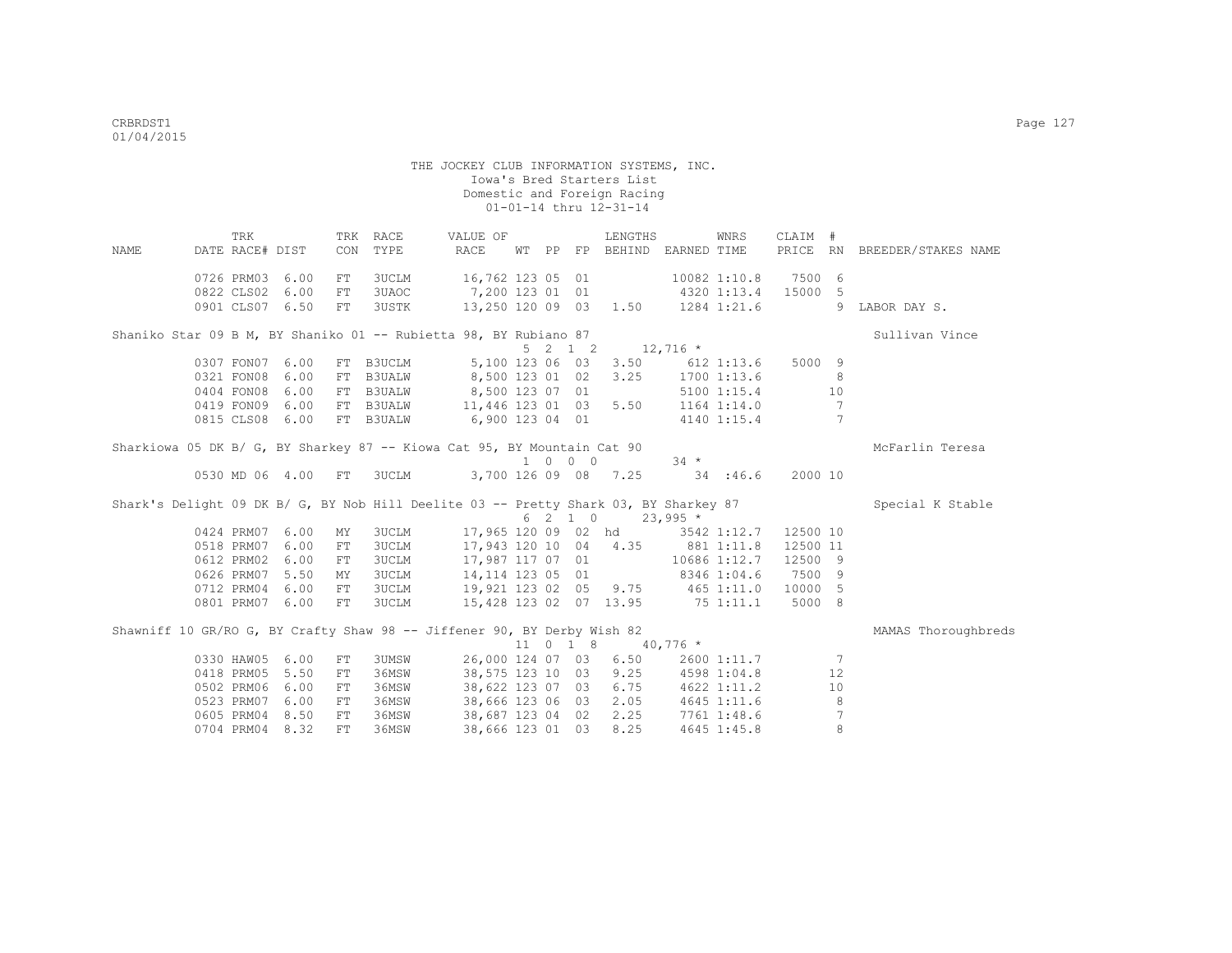THE JOCKEY CLUB INFORMATION SYSTEMS, INC. Iowa's Bred Starters List Domestic and Foreign Racing 01-01-14 thru 12-31-14 TRK TRK RACE WALUE OF LENGTHS WNRS CLAIM # NAME DATE RACE# DIST CON TYPE RACE WT PP FP BEHIND EARNED TIME PRICE RN BREEDER/STAKES NAME

 0726 PRM03 6.00 FT 3UCLM 16,762 123 05 01 10082 1:10.8 7500 6 0822 CLS02 6.00 FT 3UAOC 7,200 123 01 01 4320 1:13.4 15000 5 0901 CLS07 6.50 FT 3USTK 13,250 120 09 03 1.50 1284 1:21.6 9 LABOR DAY S. Shaniko Star 09 B M, BY Shaniko 01 -- Rubietta 98, BY Rubiano 87 Sullivan Vince  $5 \quad 2 \quad 1 \quad 2 \quad 12,716 \quad *$  0307 FON07 6.00 FT B3UCLM 5,100 123 06 03 3.50 612 1:13.6 5000 9 8,500 123 01 02 3.25 1700 1:13.6 8 0404 FON08 6.00 FT B3UALW 8,500 123 07 01 5100 1:15.4 10 0419 FON09 6.00 FT B3UALW 11,446 123 01 03 5.50 1164 1:14.0 7 0815 CLS08 6.00 FT B3UALW 6,900 123 04 01 4140 1:15.4 7 Sharkiowa 05 DK B/ G, BY Sharkey 87 -- Kiowa Cat 95, BY Mountain Cat 90 Mc Montanus McFarlin Teresa 1 0 0 0 34 \* 0530 MD 06 4.00 FT 3UCLM 3,700 126 09 08 7.25 34 :46.6 2000 10 Shark's Delight 09 DK B/ G, BY Nob Hill Deelite 03 -- Pretty Shark 03, BY Sharkey 87 Special K Stable  $6 \quad 2 \quad 1 \quad 0 \quad 23,995 \neq$  0424 PRM07 6.00 MY 3UCLM 17,965 120 09 02 hd 3542 1:12.7 12500 10 0518 PRM07 6.00 FT 3UCLM 17,943 120 10 04 4.35 881 1:11.8 12500 11 0612 PRM02 6.00 FT 3UCLM 17,987 117 07 01 10686 1:12.7 12500 9 0626 PRM07 5.50 MY 3UCLM 14,114 123 05 01 8346 1:04.6 7500 9 0712 PRM04 6.00 FT 3UCLM 19,921 123 02 05 9.75 465 1:11.0 10000 5 0801 PRM07 6.00 FT 3UCLM 15,428 123 02 07 13.95 75 1:11.1 5000 8 Shawniff 10 GR/RO G, BY Crafty Shaw 98 -- Jiffener 90, BY Derby Wish 82 MAMAS Thoroughbreds  $11 \t0 \t1 \t2 \t3 \t4 \t10 \t776 \t+$ 

|                    |               |       |                       |  | $\perp \perp$ 0 $\perp$ 8 40, 776 $\sim$ |             |             |
|--------------------|---------------|-------|-----------------------|--|------------------------------------------|-------------|-------------|
| 0330 HAW05 6.00    | $\mathbf{FT}$ | 3UMSW | 26,000 124 07 03 6.50 |  |                                          | 2600 1:11.7 | 7           |
| 0418 PRM05 5.50 FT |               | 36MSW | 38,575 123 10 03 9.25 |  |                                          | 4598 1:04.8 | 12          |
| 0502 PRM06 6.00 FT |               | 36MSW | 38,622 123 07 03 6.75 |  |                                          | 4622 1:11.2 | 10          |
| 0523 PRM07 6.00 FT |               | 36MSW | 38,666 123 06 03 2.05 |  |                                          | 4645 1:11.6 | 8           |
| 0605 PRM04 8.50    | FT            | 36MSW | 38,687 123 04 02 2.25 |  |                                          | 7761 1:48.6 | 7           |
| 0704 PRM04 8.32 FT |               | 36MSW | 38,666 123 01 03 8.25 |  |                                          | 4645 1:45.8 | $8^{\circ}$ |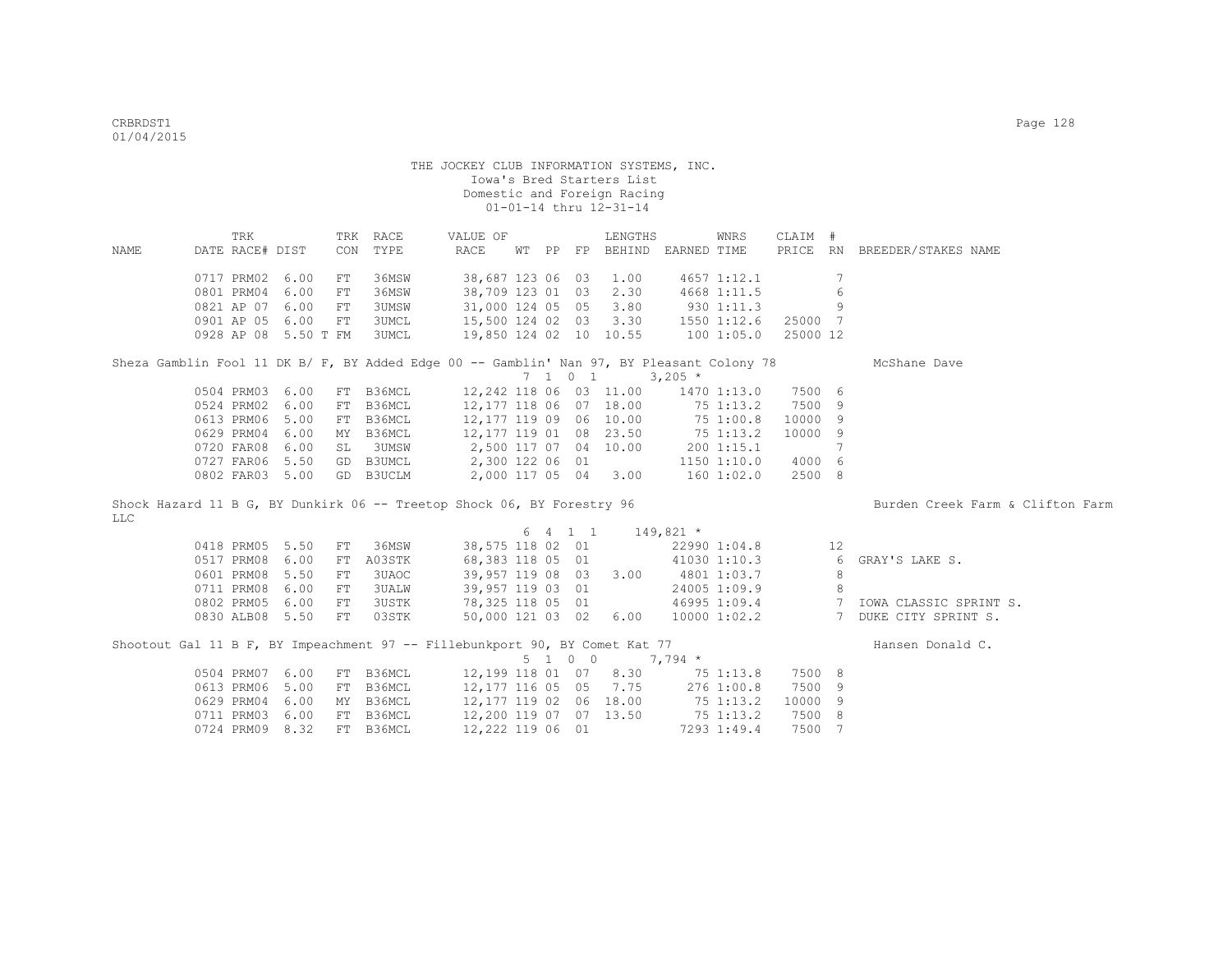| NAME                                                                                      | TRK<br>DATE RACE# DIST |                      |    | TRK RACE<br>CON TYPE | VALUE OF<br>RACE       |  | LENGTHS<br>WT PP FP BEHIND EARNED TIME |             | WNRS           | CLAIM #  |                 | PRICE RN BREEDER/STAKES NAME          |
|-------------------------------------------------------------------------------------------|------------------------|----------------------|----|----------------------|------------------------|--|----------------------------------------|-------------|----------------|----------|-----------------|---------------------------------------|
|                                                                                           |                        |                      |    |                      |                        |  |                                        |             |                |          |                 |                                       |
|                                                                                           | 0717 PRM02             | 6.00                 | FT | 36MSW                | 38,687 123 06 03 1.00  |  |                                        |             | 4657 1:12.1    |          | 7               |                                       |
|                                                                                           | 0801 PRM04             | 6.00                 | FT | 36MSW                | 38,709 123 01 03 2.30  |  |                                        |             | 4668 1:11.5    |          | 6               |                                       |
|                                                                                           | 0821 AP 07             | 6.00                 | FT | <b>3UMSW</b>         | 31,000 124 05 05       |  | 3.80                                   |             | 9301:11.3      |          | 9               |                                       |
|                                                                                           | 0901 AP 05             | 6.00                 | FT | <b>3UMCL</b>         |                        |  | 15,500 124 02 03 3.30                  |             | 1550 1:12.6    | 25000 7  |                 |                                       |
|                                                                                           |                        | 0928 AP 08 5.50 T FM |    | 3UMCL                |                        |  | 19,850 124 02 10 10.55                 |             | 1001:05.0      | 25000 12 |                 |                                       |
| Sheza Gamblin Fool 11 DK B/ F, BY Added Edge 00 -- Gamblin' Nan 97, BY Pleasant Colony 78 |                        |                      |    |                      |                        |  |                                        |             |                |          |                 | McShane Dave                          |
|                                                                                           |                        |                      |    |                      |                        |  | 7 1 0 1                                | $3,205$ *   |                |          |                 |                                       |
|                                                                                           | 0504 PRM03 6.00        |                      |    | FT B36MCL            |                        |  | 12,242 118 06 03 11.00                 |             | 1470 1:13.0    | 7500 6   |                 |                                       |
|                                                                                           | 0524 PRM02             | 6.00                 | FT | B36MCL               |                        |  | 12,177 118 06 07 18.00                 | $75$ 1:13.2 |                | 7500 9   |                 |                                       |
|                                                                                           | 0613 PRM06             | 5.00                 | FT | B36MCL               | 12,177 119 09 06 10.00 |  |                                        |             | 75 1:00.8      | 10000 9  |                 |                                       |
|                                                                                           | 0629 PRM04             | 6.00                 | MY | B36MCL               | 12,177 119 01 08 23.50 |  |                                        |             | 75 1:13.2      | 10000 9  |                 |                                       |
|                                                                                           | 0720 FAR08             | 6.00                 | SL | 3UMSW                | 2,500 117 07 04 10.00  |  |                                        |             | 200 1:15.1     |          | $7\phantom{.0}$ |                                       |
|                                                                                           | 0727 FAR06 5.50        |                      |    | GD B3UMCL            | $2,300$ 122 06 01      |  |                                        |             | 1150 1:10.0    | 4000 6   |                 |                                       |
|                                                                                           | 0802 FAR03 5.00        |                      |    | GD B3UCLM            | 2,000 117 05 04 3.00   |  |                                        |             | $160$ $1:02.0$ | 2500 8   |                 |                                       |
| Shock Hazard 11 B G, BY Dunkirk 06 -- Treetop Shock 06, BY Forestry 96                    |                        |                      |    |                      |                        |  |                                        |             |                |          |                 | Burden Creek Farm & Clifton Farm      |
| <b>LLC</b>                                                                                |                        |                      |    |                      |                        |  |                                        |             |                |          |                 |                                       |
|                                                                                           |                        |                      |    |                      |                        |  | $6 \t 4 \t 1 \t 1 \t 149,821 \t \star$ |             |                |          |                 |                                       |
|                                                                                           | 0418 PRM05             | 5.50                 | FT | 36MSW                |                        |  | 38,575 118 02 01                       |             | 22990 1:04.8   |          | 12              |                                       |
|                                                                                           | 0517 PRM08             | 6.00                 | FT | A03STK               |                        |  | 68,383 118 05 01                       |             | 41030 1:10.3   |          | 6               | GRAY'S LAKE S.                        |
|                                                                                           | 0601 PRM08             | 5.50                 | FT | 3UAOC                |                        |  | 39,957 119 08 03 3.00 4801 1:03.7      |             |                |          | 8               |                                       |
|                                                                                           | 0711 PRM08             | 6.00                 | FT | <b>3UALW</b>         | 39,957 119 03 01       |  |                                        |             | 24005 1:09.9   |          | 8               |                                       |
|                                                                                           | 0802 PRM05             | 6.00                 | FT | <b>3USTK</b>         |                        |  | 78,325 118 05 01                       |             |                |          |                 | 46995 1:09.4 7 IOWA CLASSIC SPRINT S. |
|                                                                                           | 0830 ALB08 5.50        |                      | FT | 03STK                |                        |  | 50,000 121 03 02 6.00                  |             |                |          |                 | 10000 1:02.2 7 DUKE CITY SPRINT S.    |
|                                                                                           |                        |                      |    |                      |                        |  |                                        |             |                |          |                 |                                       |
| Shootout Gal 11 B F, BY Impeachment 97 -- Fillebunkport 90, BY Comet Kat 77               |                        |                      |    |                      |                        |  |                                        |             |                |          |                 | Hansen Donald C.                      |
|                                                                                           |                        |                      |    |                      |                        |  | 5 1 0 0                                | $7,794$ *   |                |          |                 |                                       |
|                                                                                           | 0504 PRM07 6.00        |                      |    | FT B36MCL            |                        |  | 12,199 118 01 07 8.30 75 1:13.8        |             |                | 7500 8   |                 |                                       |
|                                                                                           | 0613 PRM06             | 5.00                 | FT | B36MCL               |                        |  | 12, 177 116 05 05 7.75                 |             | 276 1:00.8     | 7500 9   |                 |                                       |
|                                                                                           | 0629 PRM04             | 6.00                 | MY | B36MCL               | 12,177 119 02 06 18.00 |  |                                        |             | 75 1:13.2      | 10000 9  |                 |                                       |
|                                                                                           | 0711 PRM03             | 6.00                 |    | FT B36MCL            | 12,200 119 07 07 13.50 |  |                                        | 75 1:13.2   |                | 7500 8   |                 |                                       |
|                                                                                           | 0724 PRM09 8.32        |                      |    | FT B36MCL            | 12,222 119 06 01       |  |                                        |             | 7293 1:49.4    | 7500 7   |                 |                                       |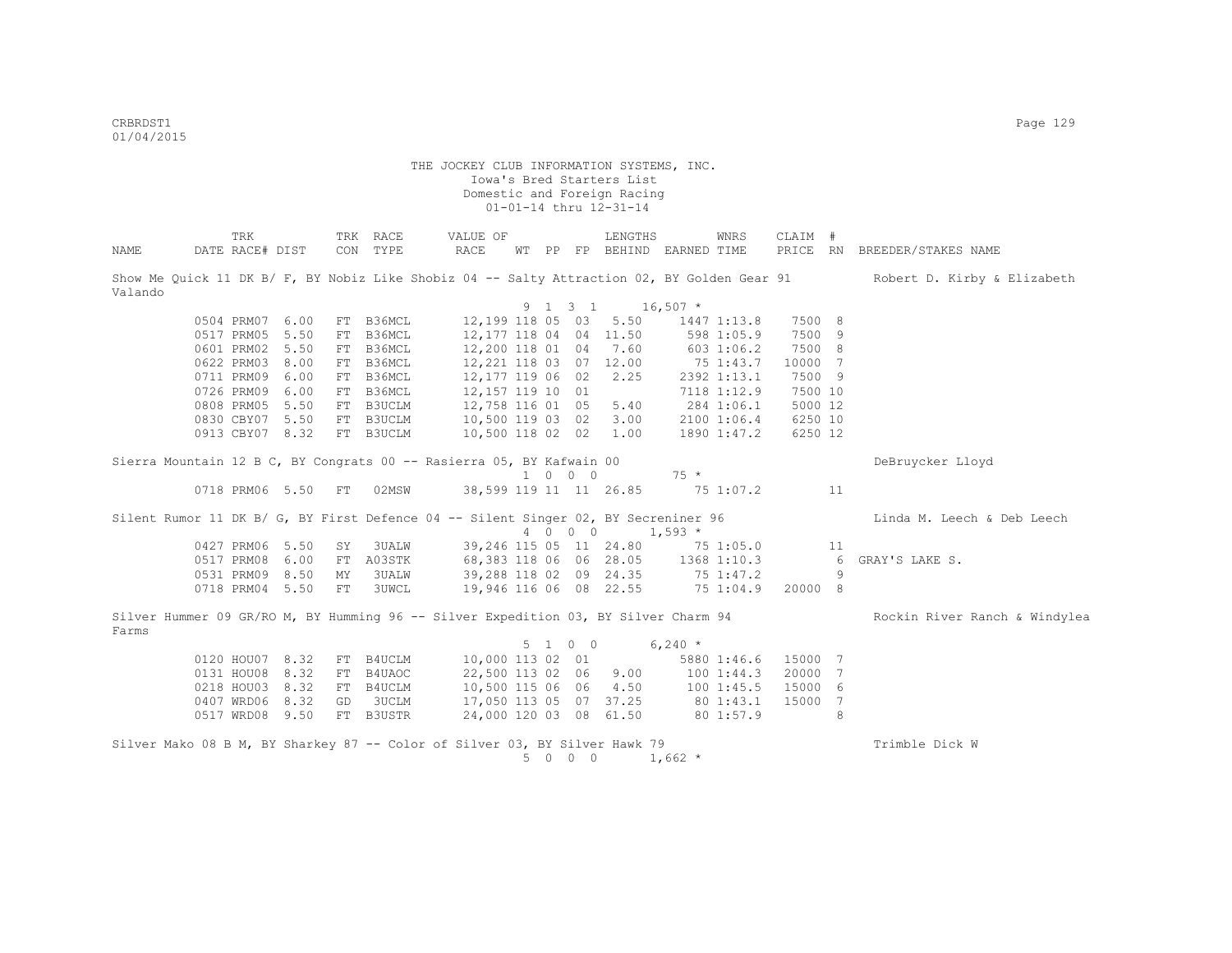CRBRDST1 Page 129 01/04/2015

|         | TRK             |      |    | TRK RACE  | VALUE OF                                                                            |    |                   | LENGTHS                  |             | WNRS        | CLAIM # |                 |                                                                                                                         |
|---------|-----------------|------|----|-----------|-------------------------------------------------------------------------------------|----|-------------------|--------------------------|-------------|-------------|---------|-----------------|-------------------------------------------------------------------------------------------------------------------------|
| NAME    | DATE RACE# DIST |      |    | CON TYPE  | RACE                                                                                | WТ |                   | PP FP BEHIND EARNED TIME |             |             |         |                 | PRICE RN BREEDER/STAKES NAME                                                                                            |
| Valando |                 |      |    |           |                                                                                     |    |                   |                          |             |             |         |                 | Show Me Quick 11 DK B/ F, BY Nobiz Like Shobiz 04 -- Salty Attraction 02, BY Golden Gear 91 Robert D. Kirby & Elizabeth |
|         |                 |      |    |           |                                                                                     |    | 9 1 3 1           | $16,507$ *               |             |             |         |                 |                                                                                                                         |
|         | 0504 PRM07 6.00 |      | FT | B36MCL    | 12,199 118 05 03                                                                    |    |                   | 5.50                     |             | 1447 1:13.8 | 7500 8  |                 |                                                                                                                         |
|         | 0517 PRM05      | 5.50 | FT | B36MCL    | 12,177 118 04 04 11.50                                                              |    |                   |                          |             | 598 1:05.9  | 7500    | - 9             |                                                                                                                         |
|         | 0601 PRM02 5.50 |      | FT | B36MCL    | 12,200 118 01 04                                                                    |    |                   | 7.60                     |             | 6031:06.2   | 7500 8  |                 |                                                                                                                         |
|         | 0622 PRM03 8.00 |      | FT | B36MCL    | 12,221 118 03 07 12.00                                                              |    |                   |                          | 75 1:43.7   |             | 10000 7 |                 |                                                                                                                         |
|         | 0711 PRM09 6.00 |      | FT | B36MCL    | 12,177 119 06 02                                                                    |    |                   | 2.25                     |             | 2392 1:13.1 | 7500 9  |                 |                                                                                                                         |
|         | 0726 PRM09 6.00 |      | FT | B36MCL    | 12,157 119 10 01                                                                    |    |                   |                          |             | 7118 1:12.9 | 7500 10 |                 |                                                                                                                         |
|         | 0808 PRM05      | 5.50 | FT | B3UCLM    | 12,758 116 01 05                                                                    |    |                   | 5.40                     |             | 284 1:06.1  | 5000 12 |                 |                                                                                                                         |
|         | 0830 CBY07 5.50 |      | FT | B3UCLM    | 10,500 119 03 02                                                                    |    |                   | 3.00                     |             | 2100 1:06.4 | 6250 10 |                 |                                                                                                                         |
|         | 0913 CBY07 8.32 |      |    | FT B3UCLM | 10,500 118 02 02                                                                    |    |                   | 1.00                     |             | 1890 1:47.2 | 6250 12 |                 |                                                                                                                         |
|         |                 |      |    |           | Sierra Mountain 12 B C, BY Congrats 00 -- Rasierra 05, BY Kafwain 00                |    | 1 0 0 0           |                          | $75 *$      |             |         |                 | DeBruycker Lloyd                                                                                                        |
|         | 0718 PRM06 5.50 |      | FT | 02MSW     | 38,599 119 11 11 26.85                                                              |    |                   |                          |             | 75 1:07.2   |         | 11              |                                                                                                                         |
|         |                 |      |    |           | Silent Rumor 11 DK B/ G, BY First Defence 04 -- Silent Singer 02, BY Secreniner 96  |    |                   |                          |             |             |         |                 | Linda M. Leech & Deb Leech                                                                                              |
|         |                 |      |    |           |                                                                                     |    | 4 0 0 0           |                          | $1,593*$    |             |         |                 |                                                                                                                         |
|         | 0427 PRM06 5.50 |      | SY | 3UALW     | 39,246 115 05 11 24.80 75 1:05.0                                                    |    |                   |                          |             |             |         | 11              |                                                                                                                         |
|         | 0517 PRM08      | 6.00 |    | FT A03STK | 68,383 118 06 06 28.05                                                              |    |                   |                          | 1368 1:10.3 |             |         | $6\overline{6}$ | GRAY'S LAKE S.                                                                                                          |
|         | 0531 PRM09 8.50 |      | MΥ | 3UALW     | 39,288 118 02 09 24.35                                                              |    |                   |                          |             | 75 1:47.2   |         | 9               |                                                                                                                         |
|         | 0718 PRM04 5.50 |      | FT | 3UWCL     | 19,946 116 06 08 22.55                                                              |    |                   |                          |             | 75 1:04.9   | 20000 8 |                 |                                                                                                                         |
| Farms   |                 |      |    |           | Silver Hummer 09 GR/RO M, BY Humming 96 -- Silver Expedition 03, BY Silver Charm 94 |    |                   |                          |             |             |         |                 | Rockin River Ranch & Windylea                                                                                           |
|         |                 |      |    |           |                                                                                     |    | 5 1 0 0           |                          | $6,240*$    |             |         |                 |                                                                                                                         |
|         | 0120 HOU07 8.32 |      |    | FT B4UCLM | 10,000 113 02 01                                                                    |    |                   |                          |             | 5880 1:46.6 | 15000 7 |                 |                                                                                                                         |
|         | 0131 HOU08 8.32 |      |    | FT B4UAOC | 22,500 113 02 06                                                                    |    |                   | 9.00                     |             | 1001:44.3   | 20000   | 7               |                                                                                                                         |
|         | 0218 HOU03 8.32 |      |    | FT B4UCLM |                                                                                     |    |                   | 10,500 115 06 06 4.50    |             | 100 1:45.5  | 15000   | - 6             |                                                                                                                         |
|         | 0407 WRD06 8.32 |      |    | GD 3UCLM  | 17,050 113 05 07 37.25                                                              |    |                   |                          |             | 80 1:43.1   | 15000   | 7               |                                                                                                                         |
|         | 0517 WRD08 9.50 |      |    | FT B3USTR | 24,000 120 03 08 61.50                                                              |    |                   |                          |             | 80 1:57.9   |         | 8               |                                                                                                                         |
|         |                 |      |    |           | Silver Mako 08 B M, BY Sharkey 87 -- Color of Silver 03, BY Silver Hawk 79          |    |                   |                          |             |             |         |                 | Trimble Dick W                                                                                                          |
|         |                 |      |    |           |                                                                                     | 5  | $0\quad 0\quad 0$ |                          | $1,662$ *   |             |         |                 |                                                                                                                         |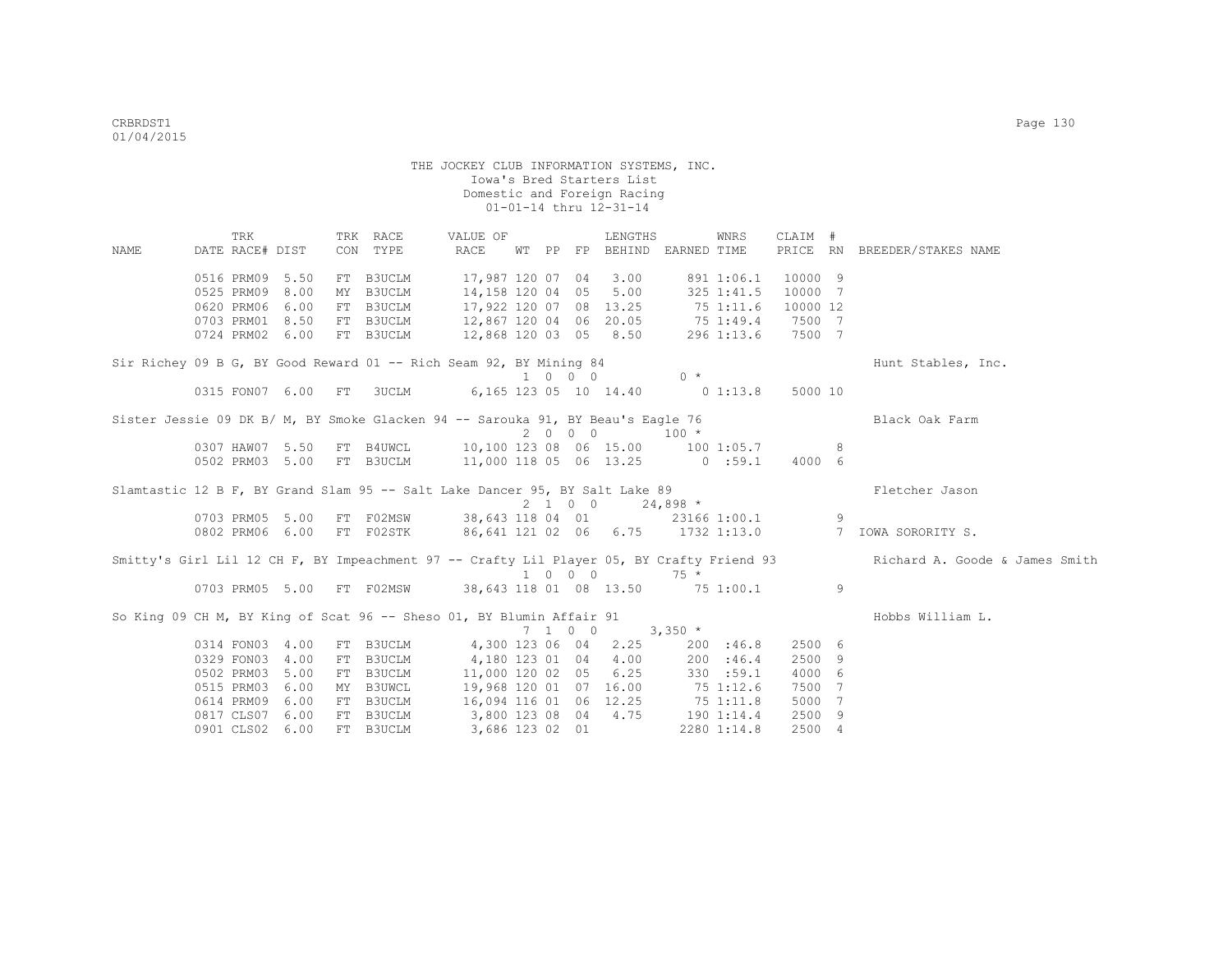TRK TRK RACE VALUE OF LENGTHS WNRS CLAIM # NAME DATE RACE# DIST CON TYPE RACE WT PP FP BEHIND EARNED TIME PRICE RN BREEDER/STAKES NAME 0516 PRM09 5.50 FT B3UCLM 17,987 120 07 04 3.00 891 1:06.1 10000 9<br>0525 PRM09 8.00 MY B3UCLM 14,158 120 04 05 5.00 325 1:41.5 10000 7 0525 PRM09 8.00 MY B3UCLM 14,158 120 04 05 5.00 325 1:41.5 10000 7 0620 PRM06 6.00 FT B3UCLM 17,922 120 07 08 13.25 75 1:11.6 10000 12 0703 PRM01 8.50 FT B3UCLM 12,867 120 04 06 20.05 75 1:49.4 7500 7 0724 PRM02 6.00 FT B3UCLM 12,868 120 03 05 8.50 296 1:13.6 7500 7 Sir Richey 09 B G, BY Good Reward 01 -- Rich Seam 92, BY Mining 84 Hunt Stables, Inc.  $1 \quad 0 \quad 0 \qquad 0$  0315 FON07 6.00 FT 3UCLM 6,165 123 05 10 14.40 0 1:13.8 5000 10 Sister Jessie 09 DK B/ M, BY Smoke Glacken 94 -- Sarouka 91, BY Beau's Eagle 76 Black Oak Farm 2 0 0 0 100 \* 0307 HAW07 5.50 FT B4UWCL 10,100 123 08 06 15.00 100 1:05.7 8 0502 PRM03 5.00 FT B3UCLM 11,000 118 05 06 13.25 0 :59.1 4000 6 Slamtastic 12 B F, BY Grand Slam 95 -- Salt Lake Dancer 95, BY Salt Lake 89 Fletcher Jason  $2 1 0 0 24,898 *$ <br>38,643 118 04 01 23166 0703 PRM05 5.00 FT F02MSW 38,643 118 04 01 23166 1:00.1 9<br>0802 PRM06 6.00 FT F02STK 86.641 121 02 06 6.75 1732 1:13.0 7 TOWA SORORTTY S. 0802 PRM06 6.00 FT F02STK 86,641 121 02 06 6.75 1732 1:13.0 Smitty's Girl Lil 12 CH F, BY Impeachment 97 -- Crafty Lil Player 05, BY Crafty Friend 93 Richard A. Goode & James Smith 1 0 0 0 75 \* 0703 PRM05 5.00 FT F02MSW 38,643 118 01 08 13.50 75 1:00.1 9 So King 09 CH M, BY King of Scat 96 -- Sheso 01, BY Blumin Affair 91 Hobbs William L. 7 1 0 0 3,350 \* 0314 FON03 4.00 FT B3UCLM 4,300 123 06 04 2.25 200 :46.8 2500 6 0329 FON03 4.00 FT B3UCLM 4,180 123 01 04 4.00 200 :46.4 2500 9<br>0502 PRM03 5.00 FT B3UCLM 11,000 120 02 05 6.25 330 :59.1 4000 6  $11,000$  120 02 05 6.25 0515 PRM03 6.00 MY B3UWCL 19,968 120 01 07 16.00 75 1:12.6 7500 7<br>0614 PRM09 6.00 FT B3UCLM 16,094 116 01 06 12.25 75 1:11.8 5000 7 0614 PRM09 6.00 FT B3UCLM 16,094 116 01 06 12.25 75 1:11.8 5000 7 0817 CLS07 6.00 FT B3UCLM 3,800 123 08 04 4.75 190 1:14.4 2500 9 0901 CLS02 6.00 FT B3UCLM 3,686 123 02 01 2280 1:14.8 2500 4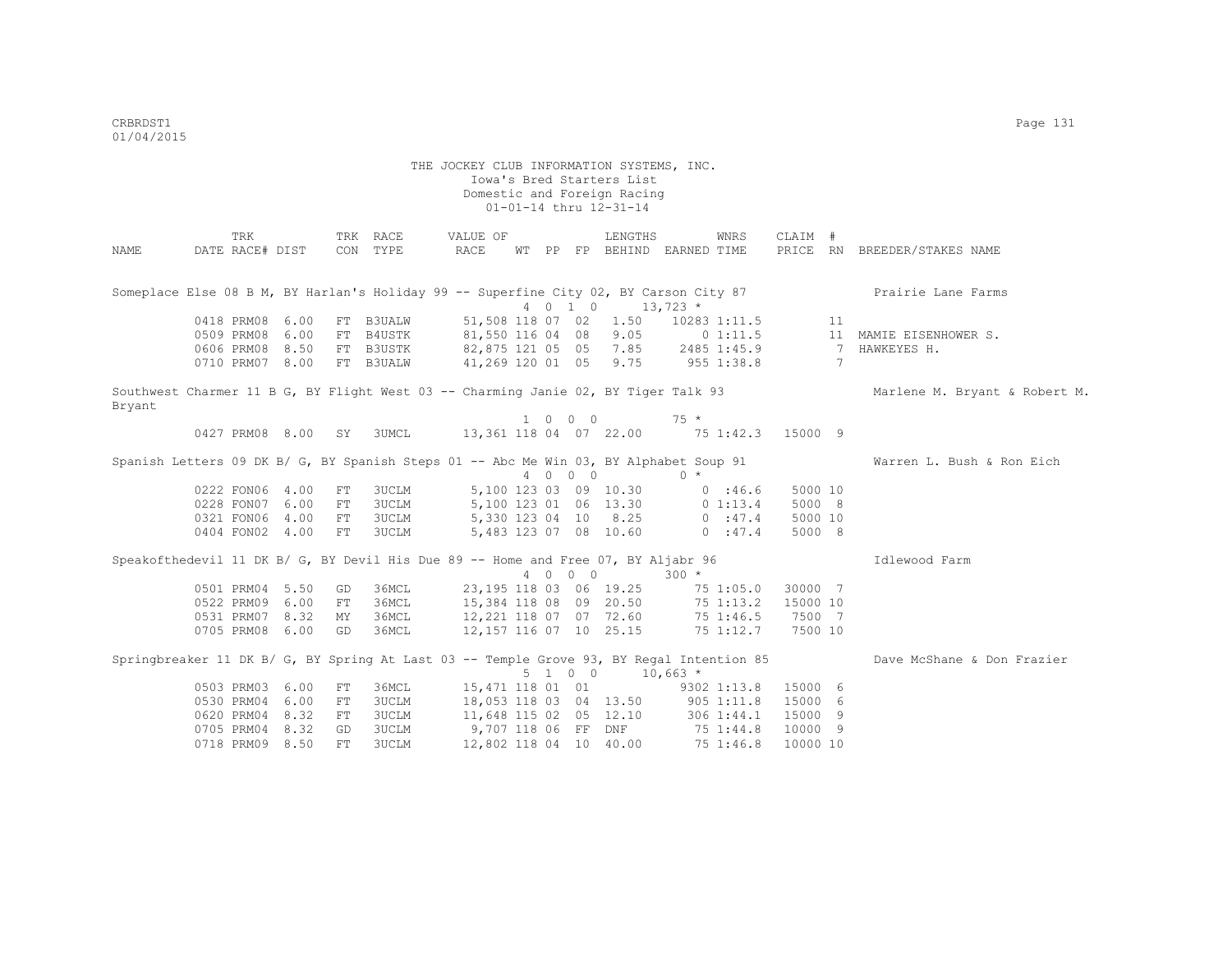|        | TRK             |                          |     | TRK RACE                                                                                                        | VALUE OF                                                                                                   |  |         | LENGTHS                                                                                                                              |           | WNRS                | CLAIM #  |                |                               |
|--------|-----------------|--------------------------|-----|-----------------------------------------------------------------------------------------------------------------|------------------------------------------------------------------------------------------------------------|--|---------|--------------------------------------------------------------------------------------------------------------------------------------|-----------|---------------------|----------|----------------|-------------------------------|
| NAME   | DATE RACE# DIST |                          | CON | TYPE                                                                                                            | RACE                                                                                                       |  |         | WT PP FP BEHIND EARNED TIME                                                                                                          |           |                     |          |                | PRICE RN BREEDER/STAKES NAME  |
|        |                 |                          |     |                                                                                                                 |                                                                                                            |  |         |                                                                                                                                      |           |                     |          |                |                               |
|        |                 |                          |     | Someplace Else 08 B M, BY Harlan's Holiday 99 -- Superfine City 02, BY Carson City 87<br>4 0 1 0 13,723 $\star$ |                                                                                                            |  |         |                                                                                                                                      |           |                     |          |                | Prairie Lane Farms            |
|        |                 |                          |     |                                                                                                                 |                                                                                                            |  |         | 4 0 1 0 13,723 *                                                                                                                     |           |                     |          |                |                               |
|        | 0418 PRM08 6.00 |                          |     | FT B3UALW                                                                                                       | 51,508 118 07 02                                                                                           |  |         |                                                                                                                                      |           | $1.50$ 10283 1:11.5 |          | 11             |                               |
|        | 0509 PRM08 6.00 |                          |     | FT B4USTK                                                                                                       | 81,550 116 04 08                                                                                           |  |         | 9.05                                                                                                                                 |           | 0 1:11.5            |          |                | 11 MAMIE EISENHOWER S.        |
|        | 0606 PRM08 8.50 |                          |     | FT B3USTK                                                                                                       |                                                                                                            |  |         |                                                                                                                                      |           |                     |          | $\overline{7}$ | HAWKEYES H.                   |
|        | 0710 PRM07 8.00 |                          |     | FT B3UALW                                                                                                       | 82,875 121 05 05 7.85 2485 1:45.9<br>82,875 121 05 05 7.85 2485 1:45.9<br>41,269 120 01 05 9.75 955 1:38.8 |  |         |                                                                                                                                      |           |                     |          | 7              |                               |
|        |                 |                          |     | Southwest Charmer 11 B G, BY Flight West 03 -- Charming Janie 02, BY Tiger Talk 93                              |                                                                                                            |  |         |                                                                                                                                      |           |                     |          |                | Marlene M. Bryant & Robert M. |
| Bryant |                 |                          |     |                                                                                                                 |                                                                                                            |  |         |                                                                                                                                      |           |                     |          |                |                               |
|        |                 |                          |     |                                                                                                                 |                                                                                                            |  | 1 0 0 0 |                                                                                                                                      | $75$ $*$  |                     |          |                |                               |
|        |                 | 0427 PRM08 8.00 SY 3UMCL |     |                                                                                                                 | 13,361 118 04 07 22.00 75 1:42.3 15000 9                                                                   |  |         |                                                                                                                                      |           |                     |          |                |                               |
|        |                 |                          |     | Spanish Letters 09 DK B/ G, BY Spanish Steps 01 -- Abc Me Win 03, BY Alphabet Soup 91                           |                                                                                                            |  |         |                                                                                                                                      |           |                     |          |                | Warren L. Bush & Ron Eich     |
|        |                 |                          |     |                                                                                                                 |                                                                                                            |  | 4 0 0 0 |                                                                                                                                      | $0 *$     |                     |          |                |                               |
|        | 0222 FON06 4.00 |                          | FT  | 3UCLM                                                                                                           |                                                                                                            |  |         | 5,100 123 03 09 10.30                                                                                                                | 0.3666    |                     | 5000 10  |                |                               |
|        | 0228 FON07 6.00 |                          | FT  | 3UCLM                                                                                                           |                                                                                                            |  |         |                                                                                                                                      |           |                     | 5000 8   |                |                               |
|        | 0321 FON06 4.00 |                          | FT  | 3UCLM                                                                                                           |                                                                                                            |  |         | ${\begin{array}{cccccc} 5,100 & 123 & 01 & 06 & 13.30 & & & 0 & 1:13.4 \\ 5,330 & 123 & 04 & 10 & 8.25 & & & 0 & :47.4 \end{array}}$ |           |                     | 5000 10  |                |                               |
|        | 0404 FON02 4.00 |                          | FT  | 3UCLM                                                                                                           |                                                                                                            |  |         | 5,483 123 07 08 10.60 0 :47.4                                                                                                        |           |                     | 5000 8   |                |                               |
|        |                 |                          |     |                                                                                                                 |                                                                                                            |  |         |                                                                                                                                      |           |                     |          |                |                               |
|        |                 |                          |     | Speakofthedevil 11 DK B/ G, BY Devil His Due 89 -- Home and Free 07, BY Aljabr 96                               |                                                                                                            |  |         |                                                                                                                                      |           |                     |          |                | Idlewood Farm                 |
|        |                 |                          |     |                                                                                                                 |                                                                                                            |  | 4 0 0 0 |                                                                                                                                      | $300 *$   |                     |          |                |                               |
|        | 0501 PRM04 5.50 |                          | GD  | 36MCL                                                                                                           | 23,195 118 03 06 19.25                                                                                     |  |         |                                                                                                                                      |           | 75 1:05.0           | 30000 7  |                |                               |
|        | 0522 PRM09 6.00 |                          | FT  | 36MCL                                                                                                           | 15,384 118 08 09 20.50                                                                                     |  |         |                                                                                                                                      |           | 75 1:13.2           | 15000 10 |                |                               |
|        | 0531 PRM07 8.32 |                          | MY  | 36MCL                                                                                                           | 12, 221 118 07 07 72.60                                                                                    |  |         |                                                                                                                                      |           | 75 1:46.5           | 7500 7   |                |                               |
|        | 0705 PRM08 6.00 |                          | GD  | 36MCL                                                                                                           | 12,157 116 07 10 25.15                                                                                     |  |         |                                                                                                                                      |           | 75 1:12.7           | 7500 10  |                |                               |
|        |                 |                          |     | Springbreaker 11 DK B/ G, BY Spring At Last 03 -- Temple Grove 93, BY Regal Intention 85                        |                                                                                                            |  |         |                                                                                                                                      |           |                     |          |                | Dave McShane & Don Frazier    |
|        |                 |                          |     |                                                                                                                 |                                                                                                            |  |         | $5 \t1 \t0 \t0 \t10,663 \t*$                                                                                                         |           |                     |          |                |                               |
|        | 0503 PRM03 6.00 |                          | FT  | 36MCL                                                                                                           | 15,471 118 01 01                                                                                           |  |         |                                                                                                                                      |           | 9302 1:13.8         | 15000 6  |                |                               |
|        | 0530 PRM04 6.00 |                          | FT  | 3UCLM                                                                                                           | 18,053 118 03 04 13.50 905 1:11.8                                                                          |  |         |                                                                                                                                      |           |                     | 15000 6  |                |                               |
|        | 0620 PRM04 8.32 |                          | FT  | 3UCLM                                                                                                           | 11,648 115 02 05 12.10                                                                                     |  |         |                                                                                                                                      |           | 3061:34.1           | 15000 9  |                |                               |
|        | 0705 PRM04 8.32 |                          | GD  | 3UCLM                                                                                                           | 9,707 118 06 FF DNF                                                                                        |  |         |                                                                                                                                      | 75 1:44.8 |                     | 10000 9  |                |                               |
|        | 0718 PRM09 8.50 |                          | FT. | 3UCLM                                                                                                           | 12,802 118 04 10 40.00                                                                                     |  |         |                                                                                                                                      |           | 75 1:46.8           | 10000 10 |                |                               |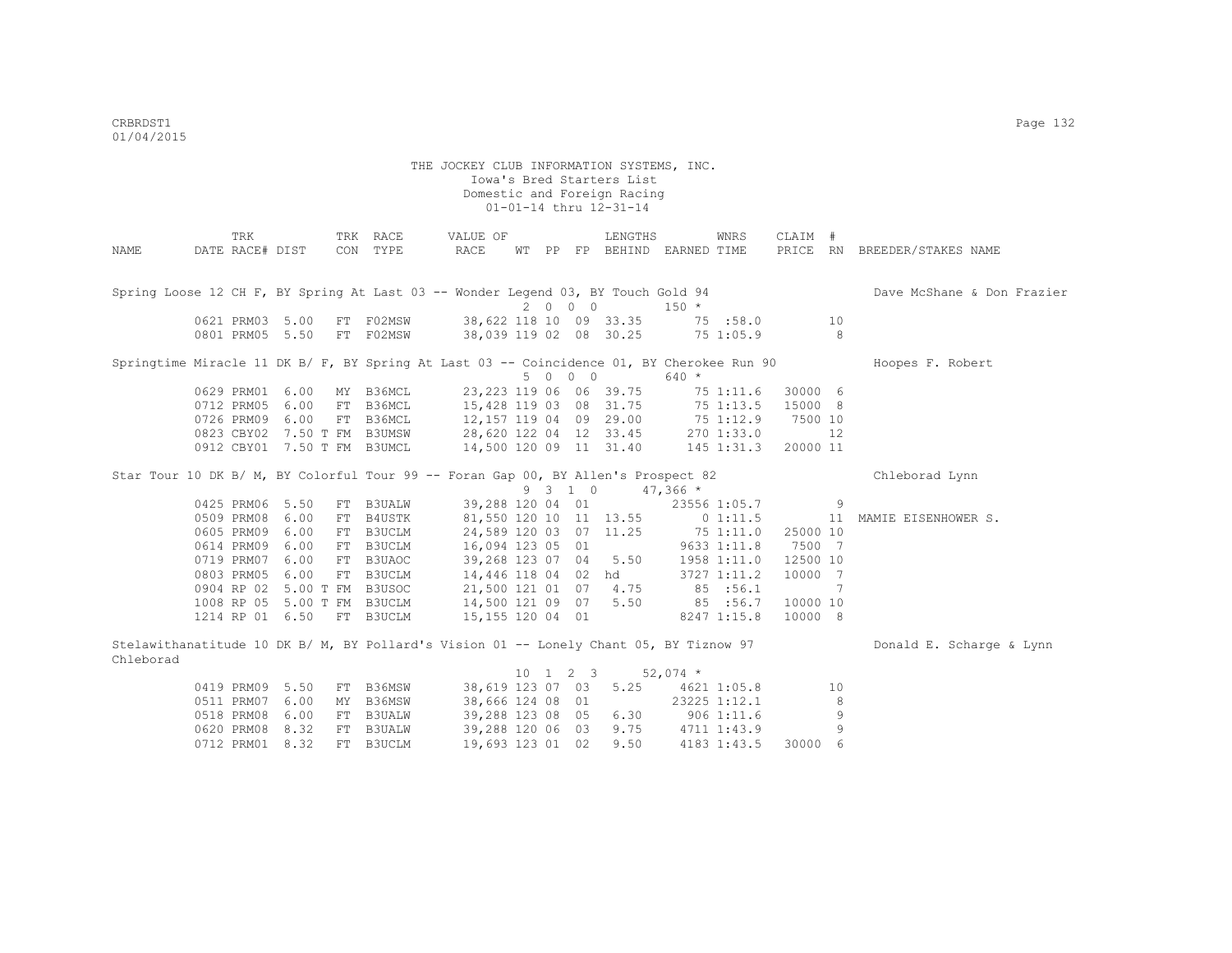|           | TRK                                                                                       |      | TRK RACE  | VALUE OF                          |  |                              | LENGTHS                 |                             | WNRS         | CLAIM #                                                    |                            |                              |
|-----------|-------------------------------------------------------------------------------------------|------|-----------|-----------------------------------|--|------------------------------|-------------------------|-----------------------------|--------------|------------------------------------------------------------|----------------------------|------------------------------|
| NAME      | DATE RACE# DIST                                                                           |      | CON TYPE  | RACE                              |  |                              |                         | WT PP FP BEHIND EARNED TIME |              |                                                            |                            | PRICE RN BREEDER/STAKES NAME |
|           |                                                                                           |      |           |                                   |  |                              |                         |                             |              |                                                            |                            |                              |
|           | Spring Loose 12 CH F, BY Spring At Last 03 -- Wonder Legend 03, BY Touch Gold 94          |      |           |                                   |  |                              |                         |                             |              |                                                            |                            | Dave McShane & Don Frazier   |
|           |                                                                                           |      |           |                                   |  | 2000                         |                         | $150 *$                     |              |                                                            |                            |                              |
|           | 0621 PRM03 5.00                                                                           |      | FT F02MSW |                                   |  |                              | 38,622 118 10 09 33.35  |                             | 75 : 58.0    |                                                            | 10                         |                              |
|           | 0801 PRM05 5.50                                                                           |      | FT F02MSW |                                   |  |                              | 38,039 119 02 08 30.25  |                             | 751:05.9     |                                                            | $\overline{\phantom{0}}$ 8 |                              |
|           |                                                                                           |      |           |                                   |  |                              |                         |                             |              |                                                            |                            |                              |
|           | Springtime Miracle 11 DK B/ F, BY Spring At Last 03 -- Coincidence 01, BY Cherokee Run 90 |      |           |                                   |  |                              |                         |                             |              |                                                            |                            | Hoopes F. Robert             |
|           |                                                                                           |      |           |                                   |  | 5 0 0 0                      |                         | $640 *$                     |              |                                                            |                            |                              |
|           | 0629 PRM01 6.00                                                                           |      | MY B36MCL |                                   |  |                              | 23, 223 119 06 06 39.75 |                             | 75 1:11.6    | 30000 6                                                    |                            |                              |
|           | 0712 PRM05                                                                                | 6.00 | FT B36MCL |                                   |  |                              | 15,428 119 03 08 31.75  |                             | 75 1:13.5    | 15000 8                                                    |                            |                              |
|           | 0726 PRM09                                                                                | 6.00 | FT B36MCL | 12,157 119 04 09 29.00            |  |                              |                         | 75 1:12.9                   |              | 7500 10                                                    |                            |                              |
|           | 0823 CBY02 7.50 T FM B3UMSW                                                               |      |           | 28,620 122 04 12 33.45 270 1:33.0 |  |                              |                         |                             |              |                                                            | 12                         |                              |
|           | 0912 CBY01 7.50 T FM B3UMCL                                                               |      |           | 14,500 120 09 11 31.40 145 1:31.3 |  |                              |                         |                             |              | 20000 11                                                   |                            |                              |
|           | Star Tour 10 DK B/ M, BY Colorful Tour 99 -- Foran Gap 00, BY Allen's Prospect 82         |      |           |                                   |  |                              |                         |                             |              |                                                            |                            | Chleborad Lynn               |
|           |                                                                                           |      |           |                                   |  | 9 3 1 0                      |                         | $47,366$ *                  |              |                                                            |                            |                              |
|           | 0425 PRM06                                                                                | 5.50 | FT B3UALW | 39,288 120 04 01                  |  |                              |                         |                             | 23556 1:05.7 | $\sim$ 0.000 $\sim$ 0.000 $\sim$ 0.000 $\sim$ 0.000 $\sim$ |                            |                              |
|           | 0509 PRM08                                                                                | 6.00 | FT B4USTK |                                   |  |                              | 81,550 120 10 11 13.55  |                             | 01:11.5      |                                                            | 11                         | MAMIE EISENHOWER S.          |
|           | 0605 PRM09                                                                                | 6.00 | FT B3UCLM | 24,589 120 03 07 11.25            |  |                              |                         | 751:11.0                    |              | 25000 10                                                   |                            |                              |
|           | 0614 PRM09                                                                                | 6.00 | FT B3UCLM | 16,094 123 05 01                  |  |                              |                         |                             | 9633 1:11.8  | 7500 7                                                     |                            |                              |
|           | 0719 PRM07                                                                                | 6.00 | FT B3UAOC | 39,268 123 07 04 5.50             |  |                              |                         |                             | 1958 1:11.0  | 12500 10                                                   |                            |                              |
|           | 0803 PRM05                                                                                | 6.00 | FT B3UCLM | 14,446 118 04 02 hd               |  |                              |                         |                             | 3727 1:11.2  | 10000 7                                                    |                            |                              |
|           | 0904 RP 02 5.00 T FM B3USOC                                                               |      |           | 21,500 121 01 07 4.75             |  |                              |                         |                             | 85 : 56.1    |                                                            | 7                          |                              |
|           | 1008 RP 05 5.00 T FM B3UCLM                                                               |      |           | 14,500 121 09 07 5.50             |  |                              |                         | 85 :56.7                    |              | 10000 10                                                   |                            |                              |
|           | 1214 RP 01 6.50                                                                           |      | FT B3UCLM | 15,155 120 04 01                  |  |                              |                         |                             | 8247 1:15.8  | 10000 8                                                    |                            |                              |
|           |                                                                                           |      |           |                                   |  |                              |                         |                             |              |                                                            |                            |                              |
|           | Stelawithanatitude 10 DK B/ M, BY Pollard's Vision 01 -- Lonely Chant 05, BY Tiznow 97    |      |           |                                   |  |                              |                         |                             |              |                                                            |                            | Donald E. Scharge & Lynn     |
| Chleborad |                                                                                           |      |           |                                   |  |                              |                         |                             |              |                                                            |                            |                              |
|           |                                                                                           |      |           |                                   |  | $10 \quad 1 \quad 2 \quad 3$ |                         | 52,074 $*$                  |              |                                                            |                            |                              |
|           | 0419 PRM09 5.50                                                                           |      | FT B36MSW | 38,619 123 07 03                  |  |                              | 5.25                    | 4621 1:05.8                 |              |                                                            | 10                         |                              |
|           | 0511 PRM07                                                                                | 6.00 | MY B36MSW | 38,666 124 08 01                  |  |                              |                         |                             | 23225 1:12.1 |                                                            | 8                          |                              |
|           | 0518 PRM08                                                                                | 6.00 | FT B3UALW | 39,288 123 08 05                  |  |                              | 6.30                    |                             | $906$ 1:11.6 |                                                            | 9                          |                              |
|           | 0620 PRM08                                                                                | 8.32 | FT B3UALW | 39,288 120 06 03                  |  |                              | 9.75                    | 4711 1:43.9                 |              |                                                            | 9                          |                              |
|           | 0712 PRM01                                                                                | 8.32 | FT B3UCLM | 19,693 123 01 02                  |  |                              | 9.50                    |                             | 4183 1:43.5  | 30000 6                                                    |                            |                              |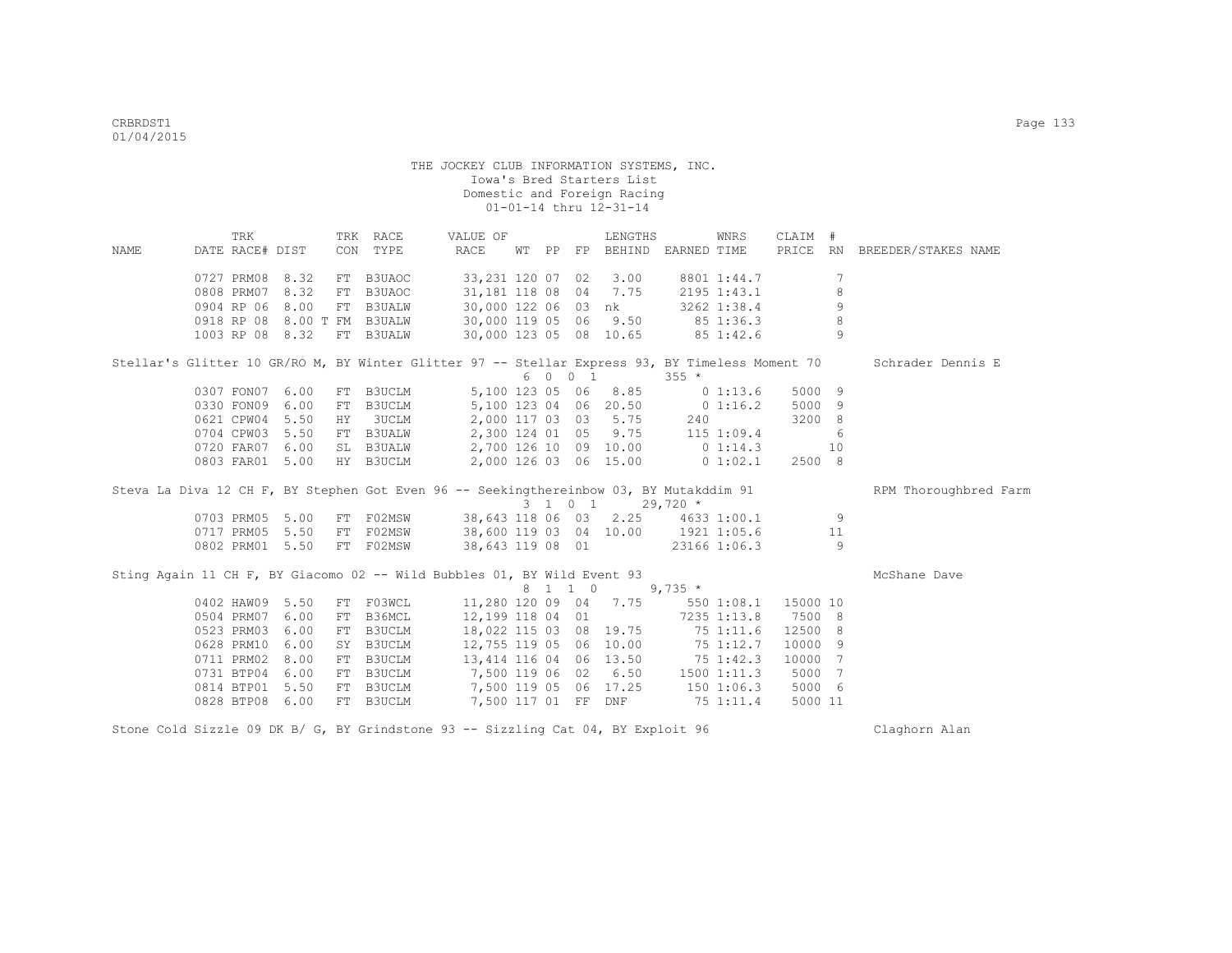|                                                                                        | TRK                  |      |    | TRK RACE      | VALUE OF                                                                     |  | LENGTHS                     |         | WNRS            | CLAIM # |                |                                                                                                                   |
|----------------------------------------------------------------------------------------|----------------------|------|----|---------------|------------------------------------------------------------------------------|--|-----------------------------|---------|-----------------|---------|----------------|-------------------------------------------------------------------------------------------------------------------|
| NAME                                                                                   | DATE RACE# DIST      |      |    | CON TYPE      | RACE                                                                         |  | WT PP FP BEHIND EARNED TIME |         |                 |         |                | PRICE RN BREEDER/STAKES NAME                                                                                      |
|                                                                                        | 0727 PRM08 8.32      |      |    | FT B3UAOC     | 33,231 120 07 02 3.00                                                        |  |                             |         | 8801 1:44.7     |         | 7              |                                                                                                                   |
|                                                                                        | 0808 PRM07           | 8.32 | FT | B3UAOC        | 31,181 118 08 04 7.75                                                        |  |                             |         | 2195 1:43.1     |         | 8              |                                                                                                                   |
|                                                                                        | 0904 RP 06           | 8.00 | FT | <b>B3UALW</b> | 30,000 122 06 03 nk                                                          |  |                             |         | 3262 1:38.4     |         | 9              |                                                                                                                   |
|                                                                                        | 0918 RP 08 8.00 T FM |      |    | <b>B3UALW</b> | 30,000 119 05 06 9.50 85 1:36.3                                              |  |                             |         |                 |         | 8              |                                                                                                                   |
|                                                                                        | 1003 RP 08 8.32      |      |    | FT B3UALW     | $30,000$ 123 05 08 10.65 85 1:42.6                                           |  |                             |         |                 |         | 9              |                                                                                                                   |
|                                                                                        |                      |      |    |               |                                                                              |  |                             |         |                 |         |                | Stellar's Glitter 10 GR/RO M, BY Winter Glitter 97 -- Stellar Express 93, BY Timeless Moment 70 Schrader Dennis E |
|                                                                                        |                      |      |    |               |                                                                              |  | 6 0 0 1                     | $355 *$ |                 |         |                |                                                                                                                   |
|                                                                                        | 0307 FON07 6.00      |      |    | FT B3UCLM     |                                                                              |  | 5,100 123 05 06 8.85        |         | 01:13.6         | 5000 9  |                |                                                                                                                   |
|                                                                                        | 0330 FON09           | 6.00 | FT | B3UCLM        | 5,100 123 04 06 20.50 0 1:16.2                                               |  |                             |         |                 | 5000 9  |                |                                                                                                                   |
|                                                                                        | 0621 CPW04 5.50      |      | HY | <b>3UCLM</b>  | 2,000 117 03 03 5.75 240                                                     |  |                             |         |                 | 3200 8  |                |                                                                                                                   |
|                                                                                        | 0704 CPW03 5.50      |      |    | FT B3UALW     | 2,300 124 01 05 9.75 115 1:09.4                                              |  |                             |         |                 |         | 6              |                                                                                                                   |
|                                                                                        | 0720 FAR07 6.00      |      |    | SL B3UALW     |                                                                              |  |                             |         |                 |         |                |                                                                                                                   |
|                                                                                        | 0803 FAR01 5.00      |      |    | HY B3UCLM     | $2,700$ 126 10 09 10.00 0 1:14.3 10<br>2,000 126 03 06 15.00 0 1:02.1 2500 8 |  |                             |         |                 |         |                |                                                                                                                   |
|                                                                                        |                      |      |    |               |                                                                              |  |                             |         |                 |         |                | RPM Thoroughbred Farm                                                                                             |
| Steva La Diva 12 CH F, BY Stephen Got Even 96 -- Seekingthereinbow 03, BY Mutakddim 91 |                      |      |    |               |                                                                              |  |                             |         |                 |         |                |                                                                                                                   |
|                                                                                        |                      |      |    |               |                                                                              |  | 3 1 0 1 29,720 *            |         |                 |         |                |                                                                                                                   |
|                                                                                        | 0703 PRM05 5.00      |      | FT |               | F02MSW 38,643 118 06 03 2.25 4633 1:00.1                                     |  |                             |         |                 |         | 9              |                                                                                                                   |
|                                                                                        | 0717 PRM05 5.50      |      | FT | F02MSW        | 38,600 119 03 04 10.00 1921 1:05.6 11                                        |  |                             |         |                 |         |                |                                                                                                                   |
|                                                                                        | 0802 PRM01 5.50      |      |    | FT F02MSW     | 38,643 119 08 01                                                             |  |                             |         | 23166 1:06.3    |         | $\overline{9}$ |                                                                                                                   |
| Sting Again 11 CH F, BY Giacomo 02 -- Wild Bubbles 01, BY Wild Event 93                |                      |      |    |               |                                                                              |  |                             |         |                 |         |                | McShane Dave                                                                                                      |
|                                                                                        |                      |      |    |               |                                                                              |  | 8 1 1 0 9,735 *             |         |                 |         |                |                                                                                                                   |
|                                                                                        | 0402 HAW09 5.50      |      |    | FT F03WCL     | $11,280$ 120 09 04 7.75 550 1:08.1 15000 10                                  |  |                             |         |                 |         |                |                                                                                                                   |
|                                                                                        | 0504 PRM07 6.00      |      |    | FT B36MCL     | 12,199 118 04 01 7235 1:13.8                                                 |  |                             |         |                 | 7500 8  |                |                                                                                                                   |
|                                                                                        | 0523 PRM03           | 6.00 |    | FT B3UCLM     | 18,022 115 03 08 19.75 75 1:11.6                                             |  |                             |         |                 | 12500 8 |                |                                                                                                                   |
|                                                                                        | 0628 PRM10 6.00      |      |    | SY B3UCLM     |                                                                              |  |                             |         |                 | 10000 9 |                |                                                                                                                   |
|                                                                                        | 0711 PRM02           | 8.00 |    | FT B3UCLM     | 12,755 119 05 06 10.00 75 1:12.7<br>13, 414 116 04 06 13.50 75 1:42.3        |  |                             |         |                 | 10000 7 |                |                                                                                                                   |
|                                                                                        | 0731 BTP04           | 6.00 |    | FT B3UCLM     | 7,500 119 06 02 6.50                                                         |  |                             |         | $1500$ $1:11.3$ | 5000    | 7              |                                                                                                                   |
|                                                                                        | 0814 BTP01 5.50      |      | FT | B3UCLM        | 7,500 119 05 06 17.25                                                        |  |                             |         | 1501:06.3       | 5000 6  |                |                                                                                                                   |

Stone Cold Sizzle 09 DK B/ G, BY Grindstone 93 -- Sizzling Cat 04, BY Exploit 96 Claghorn Alan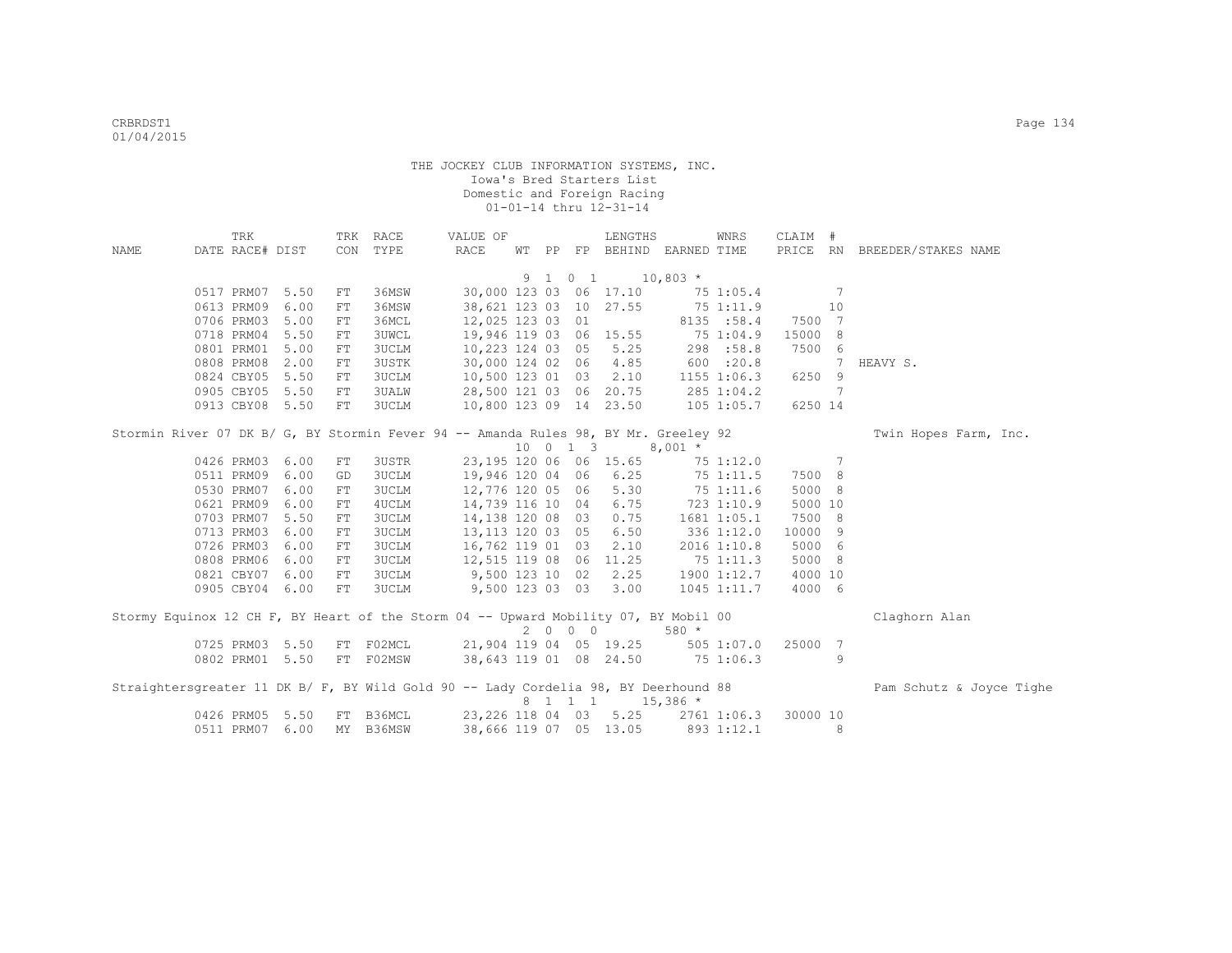|      | TRK             |                 |    | TRK RACE                                                                            | VALUE OF               |  |         | LENGTHS                           |            | WNRS                   | CLAIM #  |    |                              |
|------|-----------------|-----------------|----|-------------------------------------------------------------------------------------|------------------------|--|---------|-----------------------------------|------------|------------------------|----------|----|------------------------------|
| NAME | DATE RACE# DIST |                 |    | CON TYPE                                                                            | RACE                   |  |         | WT PP FP BEHIND EARNED TIME       |            |                        |          |    | PRICE RN BREEDER/STAKES NAME |
|      |                 |                 |    |                                                                                     |                        |  |         |                                   |            |                        |          |    |                              |
|      |                 |                 |    |                                                                                     |                        |  | 9 1 0 1 | $10,803$ *                        |            |                        |          |    |                              |
|      | 0517 PRM07      | 5.50            | FT | 36MSW                                                                               |                        |  |         | 30,000 123 03 06 17.10            |            | 75 1:05.4              |          | 7  |                              |
|      | 0613 PRM09      | 6.00            | FT | 36MSW                                                                               |                        |  |         | 38,621 123 03 10 27.55            | 751:11.9   |                        |          | 10 |                              |
|      | 0706 PRM03      | 5.00            | FT | 36MCL                                                                               | 12,025 123 03 01       |  |         |                                   |            | 8135 :58.4             | 7500 7   |    |                              |
|      | 0718 PRM04      | 5.50            | FT | 3UWCL                                                                               | 19,946 119 03 06 15.55 |  |         |                                   |            | 75 1:04.9              | 15000 8  |    |                              |
|      | 0801 PRM01      | 5.00            | FT | 3UCLM                                                                               | 10,223 124 03 05 5.25  |  |         |                                   |            | 298 :58.8              | 7500 6   |    |                              |
|      | 0808 PRM08      | 2.00            | FT | 3USTK                                                                               | 30,000 124 02 06 4.85  |  |         |                                   |            | 600 :20.8              |          | 7  | HEAVY S.                     |
|      | 0824 CBY05 5.50 |                 | FT | 3UCLM                                                                               |                        |  |         | 10,500 123 01 03 2.10             |            | 1155 1:06.3            | 6250 9   |    |                              |
|      | 0905 CBY05 5.50 |                 | FT | 3UALW                                                                               |                        |  |         | 28,500 121 03 06 20.75            |            | 285 1:04.2             |          | 7  |                              |
|      | 0913 CBY08 5.50 |                 | FT | 3UCLM                                                                               |                        |  |         | 10,800 123 09 14 23.50            |            | 105 1:05.7             | 6250 14  |    |                              |
|      |                 |                 |    |                                                                                     |                        |  |         |                                   |            |                        |          |    |                              |
|      |                 |                 |    | Stormin River 07 DK B/ G, BY Stormin Fever 94 -- Amanda Rules 98, BY Mr. Greeley 92 |                        |  |         |                                   |            |                        |          |    | Twin Hopes Farm, Inc.        |
|      |                 |                 |    |                                                                                     |                        |  |         | 10 0 1 3                          | $8,001$ *  |                        |          |    |                              |
|      | 0426 PRM03      | 6.00            | FT | 3USTR                                                                               |                        |  |         | 23,195 120 06 06 15.65            |            | 75 1:12.0              |          | 7  |                              |
|      | 0511 PRM09      | 6.00            | GD | 3UCLM                                                                               | 19,946 120 04 06       |  |         | 6.25                              |            | 75 1:11.5              | 7500 8   |    |                              |
|      | 0530 PRM07      | 6.00            | FT | 3UCLM                                                                               | 12,776 120 05 06       |  |         | 5.30                              |            | 75 1:11.6              | 5000 8   |    |                              |
|      | 0621 PRM09      | 6.00            | FT | 4UCLM                                                                               | 14,739 116 10 04       |  |         | 6.75                              | 723 1:10.9 |                        | 5000 10  |    |                              |
|      | 0703 PRM07      | 5.50            | FT | 3UCLM                                                                               | 14,138 120 08 03       |  |         | 0.75                              |            | 1681 1:05.1            | 7500 8   |    |                              |
|      | 0713 PRM03      | 6.00            | FT | 3UCLM                                                                               | 13,113 120 03 05       |  |         | 6.50                              |            | 336 1:12.0             | 10000 9  |    |                              |
|      | 0726 PRM03      | 6.00            | FT | 3UCLM                                                                               | 16,762 119 01 03       |  |         | 2.10                              |            | 2016 1:10.8            | 5000 6   |    |                              |
|      | 0808 PRM06      | 6.00            | FT | 3UCLM                                                                               | 12,515 119 08 06 11.25 |  |         |                                   | 751:11.3   |                        | 5000 8   |    |                              |
|      | 0821 CBY07      | 6.00            | FT | 3UCLM                                                                               | 9,500 123 10 02        |  |         | 2.25                              |            | 1900 1:12.7            | 4000 10  |    |                              |
|      | 0905 CBY04 6.00 |                 | FT | 3UCLM                                                                               | 9,500 123 03 03 3.00   |  |         |                                   |            | $1045$ $1:11.7$        | 4000 6   |    |                              |
|      |                 |                 |    |                                                                                     |                        |  |         |                                   |            |                        |          |    |                              |
|      |                 |                 |    | Stormy Equinox 12 CH F, BY Heart of the Storm 04 -- Upward Mobility 07, BY Mobil 00 |                        |  |         |                                   |            |                        |          |    | Claghorn Alan                |
|      |                 |                 |    |                                                                                     |                        |  | 2000    |                                   | 580 *      |                        |          |    |                              |
|      |                 | 0725 PRM03 5.50 |    | FT F02MCL 21,904 119 04 05 19.25 505 1:07.0 25000 7                                 |                        |  |         |                                   |            |                        |          |    |                              |
|      |                 | 0802 PRM01 5.50 |    | FT FO2MSW                                                                           |                        |  |         | 38,643 119 01 08 24.50 75 1:06.3  |            |                        |          | 9  |                              |
|      |                 |                 |    |                                                                                     |                        |  |         |                                   |            |                        |          |    |                              |
|      |                 |                 |    | Straightersgreater 11 DK B/ F, BY Wild Gold 90 -- Lady Cordelia 98, BY Deerhound 88 |                        |  |         |                                   |            |                        |          |    | Pam Schutz & Joyce Tighe     |
|      |                 |                 |    |                                                                                     |                        |  |         | 8 1 1 1 1 1 15,386 *              |            |                        |          |    |                              |
|      |                 | 0426 PRM05 5.50 |    | FT B36MCL                                                                           | 23,226 118 04 03       |  |         |                                   |            | $5.25$ $2761$ $1:06.3$ | 30000 10 |    |                              |
|      | 0511 PRM07 6.00 |                 |    | MY B36MSW                                                                           |                        |  |         | 38,666 119 07 05 13.05 893 1:12.1 |            |                        |          | 8  |                              |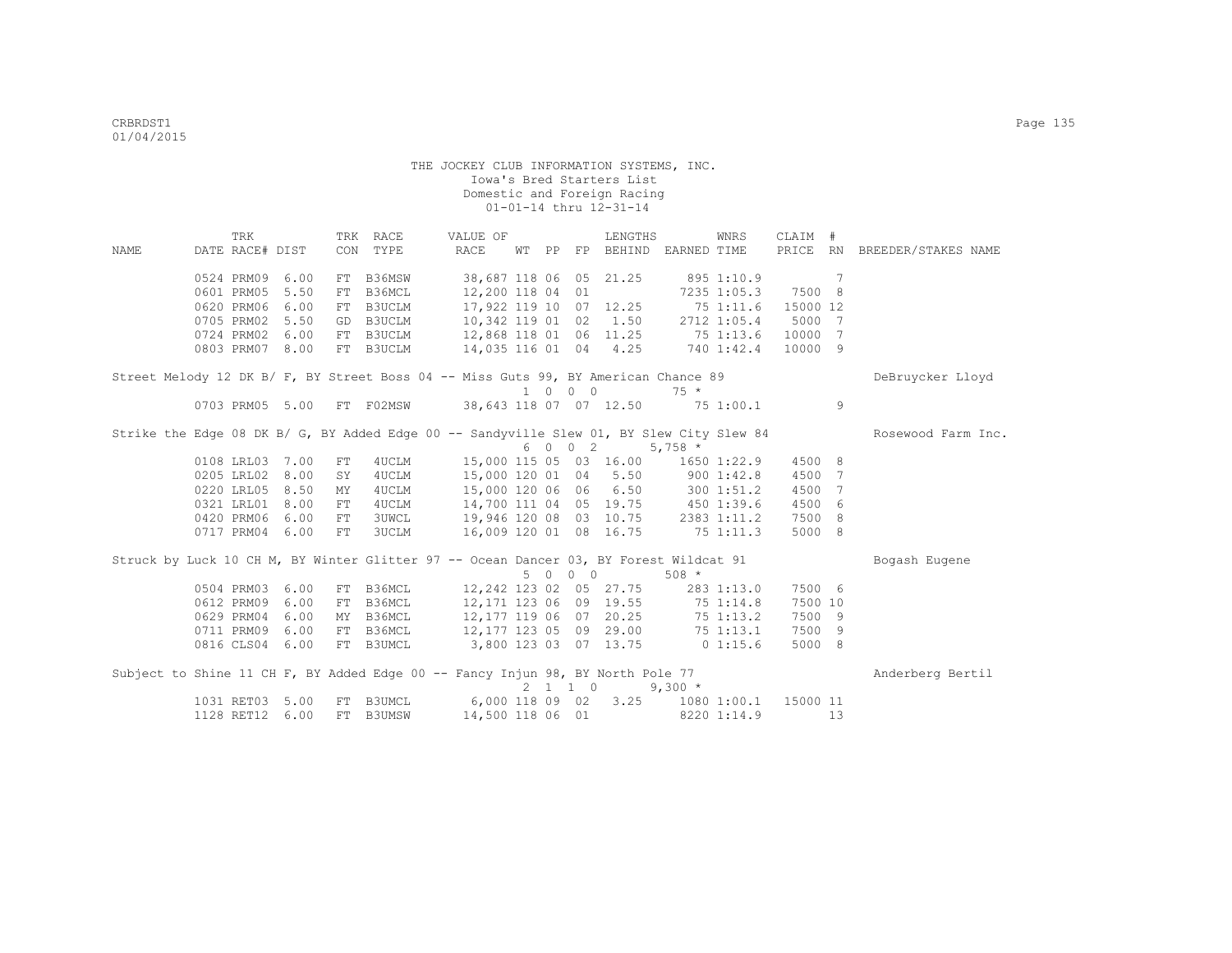|      | TRK             |      |     | TRK RACE      | VALUE OF                                                                              |             |                             | LENGTHS                |             | WNRS        | CLAIM #        |    |                                                                                                             |
|------|-----------------|------|-----|---------------|---------------------------------------------------------------------------------------|-------------|-----------------------------|------------------------|-------------|-------------|----------------|----|-------------------------------------------------------------------------------------------------------------|
| NAME | DATE RACE# DIST |      | CON | TYPE          | RACE                                                                                  | WT PP       |                             | FP BEHIND EARNED TIME  |             |             | PRICE          | RN | BREEDER/STAKES NAME                                                                                         |
|      | 0524 PRM09      | 6.00 | FT  | B36MSW        | 38,687 118 06                                                                         |             |                             | 05 21.25               |             | 895 1:10.9  | $\overline{7}$ |    |                                                                                                             |
|      | 0601 PRM05      | 5.50 | FT  | B36MCL        | 12,200 118 04                                                                         |             | 01                          |                        |             | 7235 1:05.3 | 7500 8         |    |                                                                                                             |
|      | 0620 PRM06      | 6.00 | FT  | B3UCLM        | 17,922 119 10                                                                         |             |                             | $07 \quad 12.25$       | 75 1:11.6   |             | 15000 12       |    |                                                                                                             |
|      | 0705 PRM02      | 5.50 | GD  | B3UCLM        | 10,342 119 01                                                                         |             | 02                          | 1.50                   |             | 2712 1:05.4 | 5000 7         |    |                                                                                                             |
|      | 0724 PRM02      | 6.00 | FT  | B3UCLM        | 12,868 118 01 06 11.25                                                                |             |                             |                        | 75 1:13.6   |             | 10000 7        |    |                                                                                                             |
|      | 0803 PRM07      | 8.00 |     | FT B3UCLM     | 14,035 116 01 04 4.25                                                                 |             |                             |                        |             | 740 1:42.4  | 10000 9        |    |                                                                                                             |
|      |                 |      |     |               | Street Melody 12 DK B/ F, BY Street Boss 04 -- Miss Guts 99, BY American Chance 89    |             |                             |                        |             |             |                |    | DeBruycker Lloyd                                                                                            |
|      |                 |      |     |               |                                                                                       |             | $1 \quad 0 \quad 0 \quad 0$ |                        | $75 *$      |             |                |    |                                                                                                             |
|      | 0703 PRM05 5.00 |      |     | FT F02MSW     | 38,643 118 07 07 12.50                                                                |             |                             |                        | 751:00.1    |             |                | 9  |                                                                                                             |
|      |                 |      |     |               |                                                                                       |             |                             |                        |             |             |                |    | Strike the Edge 08 DK B/ G, BY Added Edge 00 -- Sandyville Slew 01, BY Slew City Slew 84 Rosewood Farm Inc. |
|      |                 |      |     |               |                                                                                       |             | 6 0 0 2                     |                        | $5,758$ *   |             |                |    |                                                                                                             |
|      | 0108 LRL03      | 7.00 | FT  | 4UCLM         |                                                                                       |             |                             | 15,000 115 05 03 16.00 |             | 1650 1:22.9 | 4500 8         |    |                                                                                                             |
|      | 0205 LRL02      | 8.00 | SY  | 4UCLM         | 15,000 120 01 04 5.50                                                                 |             |                             |                        |             | 900 1:42.8  | 4500 7         |    |                                                                                                             |
|      | 0220 LRL05      | 8.50 | MY  | 4UCLM         | 15,000 120 06 06 6.50                                                                 |             |                             |                        |             | 300 1:51.2  | 4500 7         |    |                                                                                                             |
|      | 0321 LRL01      | 8.00 | FT  | 4UCLM         | 14,700 111 04 05 19.75                                                                |             |                             |                        | 450 1:39.6  |             | 4500 6         |    |                                                                                                             |
|      | 0420 PRM06      | 6.00 | FT  | <b>3UWCL</b>  | 19,946 120 08 03 10.75                                                                |             |                             |                        |             | 2383 1:11.2 | 7500 8         |    |                                                                                                             |
|      | 0717 PRM04      | 6.00 | FT  | <b>3UCLM</b>  | 16,009 120 01 08 16.75                                                                |             |                             |                        | 75 1:11.3   |             | 5000 8         |    |                                                                                                             |
|      |                 |      |     |               | Struck by Luck 10 CH M, BY Winter Glitter 97 -- Ocean Dancer 03, BY Forest Wildcat 91 |             |                             |                        |             |             |                |    | Bogash Eugene                                                                                               |
|      |                 |      |     |               |                                                                                       | $5 \quad 0$ | $0\quad 0$                  |                        | $508 *$     |             |                |    |                                                                                                             |
|      | 0504 PRM03      | 6.00 | FT  | B36MCL        |                                                                                       |             |                             | 12,242 123 02 05 27.75 |             | 283 1:13.0  | 7500 6         |    |                                                                                                             |
|      | 0612 PRM09      | 6.00 |     | FT B36MCL     | 12,171 123 06 09 19.55                                                                |             |                             |                        |             | 75 1:14.8   | 7500 10        |    |                                                                                                             |
|      | 0629 PRM04      | 6.00 |     | MY B36MCL     | 12,177 119 06 07 20.25                                                                |             |                             |                        | 75 1:13.2   |             | 7500 9         |    |                                                                                                             |
|      | 0711 PRM09      | 6.00 | FT  | B36MCL        | 12,177 123 05 09 29.00                                                                |             |                             |                        | 75 1:13.1   |             | 7500 9         |    |                                                                                                             |
|      | 0816 CLS04      | 6.00 |     | FT B3UMCL     | 3,800 123 03 07 13.75                                                                 |             |                             |                        | $0\;1:15.6$ |             | 5000 8         |    |                                                                                                             |
|      |                 |      |     |               | Subject to Shine 11 CH F, BY Added Edge 00 -- Fancy Injun 98, BY North Pole 77        |             |                             |                        |             |             |                |    | Anderberg Bertil                                                                                            |
|      |                 |      |     |               |                                                                                       |             | $2 \t1 \t1 \t0$             |                        | $9,300 *$   |             |                |    |                                                                                                             |
|      | 1031 RET03      | 5.00 | FT  | B3UMCL        | $6,000$ 118 09 02                                                                     |             |                             | 3.25                   |             | 1080 1:00.1 | 15000 11       |    |                                                                                                             |
|      | 1128 RET12      | 6.00 | FT. | <b>B3UMSW</b> | 14,500 118 06 01                                                                      |             |                             |                        |             | 8220 1:14.9 |                | 13 |                                                                                                             |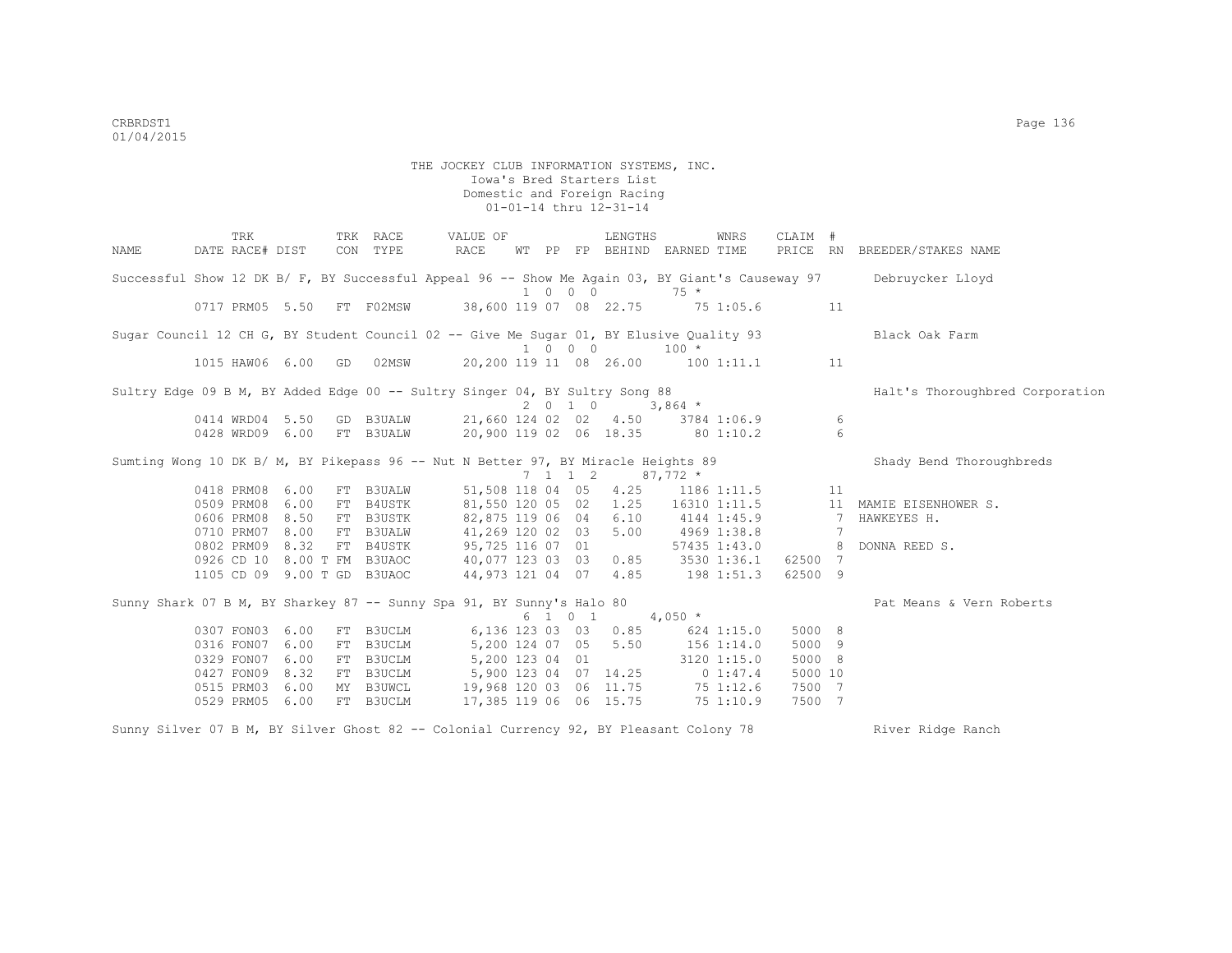TRK TRK RACE VALUE OF LENGTHS WNRS CLAIM # NAME DATE RACE# DIST CON TYPE RACE WT PP FP BEHIND EARNED TIME PRICE RN BREEDER/STAKES NAME Successful Show 12 DK B/ F, BY Successful Appeal 96 -- Show Me Again 03, BY Giant's Causeway 97 Debruycker Lloyd 1 0 0 0 75 \* 0717 PRM05 5.50 FT F02MSW 38,600 119 07 08 22.75 75 1:05.6 11 Sugar Council 12 CH G, BY Student Council 02 -- Give Me Sugar 01, BY Elusive Quality 93 Black Oak Farm  $\begin{array}{cccc} & 1 & 0 & 0 & 0 & 100 \ \hline 20.200 & 119 & 11 & 08 & 26.00 & 100 \end{array}$ 1015 HAW06 6.00 GD 02MSW 20.200 119 11 08 26.00 100 1:11.1 11 Sultry Edge 09 B M, BY Added Edge 00 -- Sultry Singer 04, BY Sultry Song 88 Halt's Thoroughbred Corporation 2 0 1 0 3,864 \* 0414 WRD04 5.50 GD B3UALW 21,660 124 02 02 4.50 3784 1:06.9 6 0428 WRD09 6.00 FT B3UALW 20,900 119 02 06 18.35 80 1:10.2 6 Sumting Wong 10 DK B/ M, BY Pikepass 96 -- Nut N Better 97, BY Miracle Heights 89 Shady Bend Thoroughbreds  $7$  1 1 2 87,772 \*<br>118 04 05 4.25 1186 1:11.5 0418 PRM08 6.00 FT B3UALW 51,508 118 04 05 4.25 1186 1:11.5 11 0509 PRM08 6.00 FT B4USTK 81,550 120 05 02 1.25 16310 1:11.5 11 MAMIE EISENHOWER S. 0606 PRM08 8.50 FT B3USTK 82,875 119 06 04 6.10 4144 1:45.9 7 HAWKEYES H.<br>0710 PRM07 8.00 FT B3UALW 41,269 120 02 03 5.00 4969 1:38.8 7 41,269 120 02 03 5.00<br>95,725 116 07 01 0802 PRM09 8.32 FT B4USTK 95,725 116 07 01 57435 1:43.0 8 DONNA REED S. 0926 CD 10 8.00 T FM B3UAOC 40,077 123 03 03 0.85 3530 1:36.1 62500 7 1105 CD 09 9.00 T GD B3UAOC 44,973 121 04 07 4.85 198 1:51.3 62500 9 Sunny Shark 07 B M, BY Sharkey 87 -- Sunny Spa 91, BY Sunny's Halo 80 Pat Means & Vern Roberts  $6$  1 0 1 4,050  $*$  0307 FON03 6.00 FT B3UCLM 6,136 123 03 03 0.85 624 1:15.0 5000 8 0316 FON07 6.00 FT B3UCLM 5,200 124 07 05 5.50 156 1:14.0 5000 9<br>0329 FON07 6.00 FT B3UCLM 5,200 123 04 01 3120 1:15.0 5000 8 0329 FON07 6.00 FT B3UCLM 5,200 123 04 01 3120 1:15.0 5000 8<br>0427 FON09 8.32 FT B3UCLM 5,900 123 04 07 14.25 0 1:47.4 5000 10 0427 FON09 8.32 FT B3UCLM 5,900 123 04 07 14.25 0 1:47.4<br>0515 PRM03 6.00 MY B3UWCL 19,968 120 03 06 11.75 75 1:12.6 0515 PRM03 6.00 MY B3UWCL 19,968 120 03 06 11.75 75 1:12.6 7500 7<br>0529 PRM05 6.00 FT B3UCLM 17.385 119 06 06 15.75 75 1:10.9 7500 7 0529 PRM05 6.00 FT B3UCLM 17,385 119 06 06 15.75 75 1:10.9 7500 7

Sunny Silver 07 B M, BY Silver Ghost 82 -- Colonial Currency 92, BY Pleasant Colony 78 River Ridge Ranch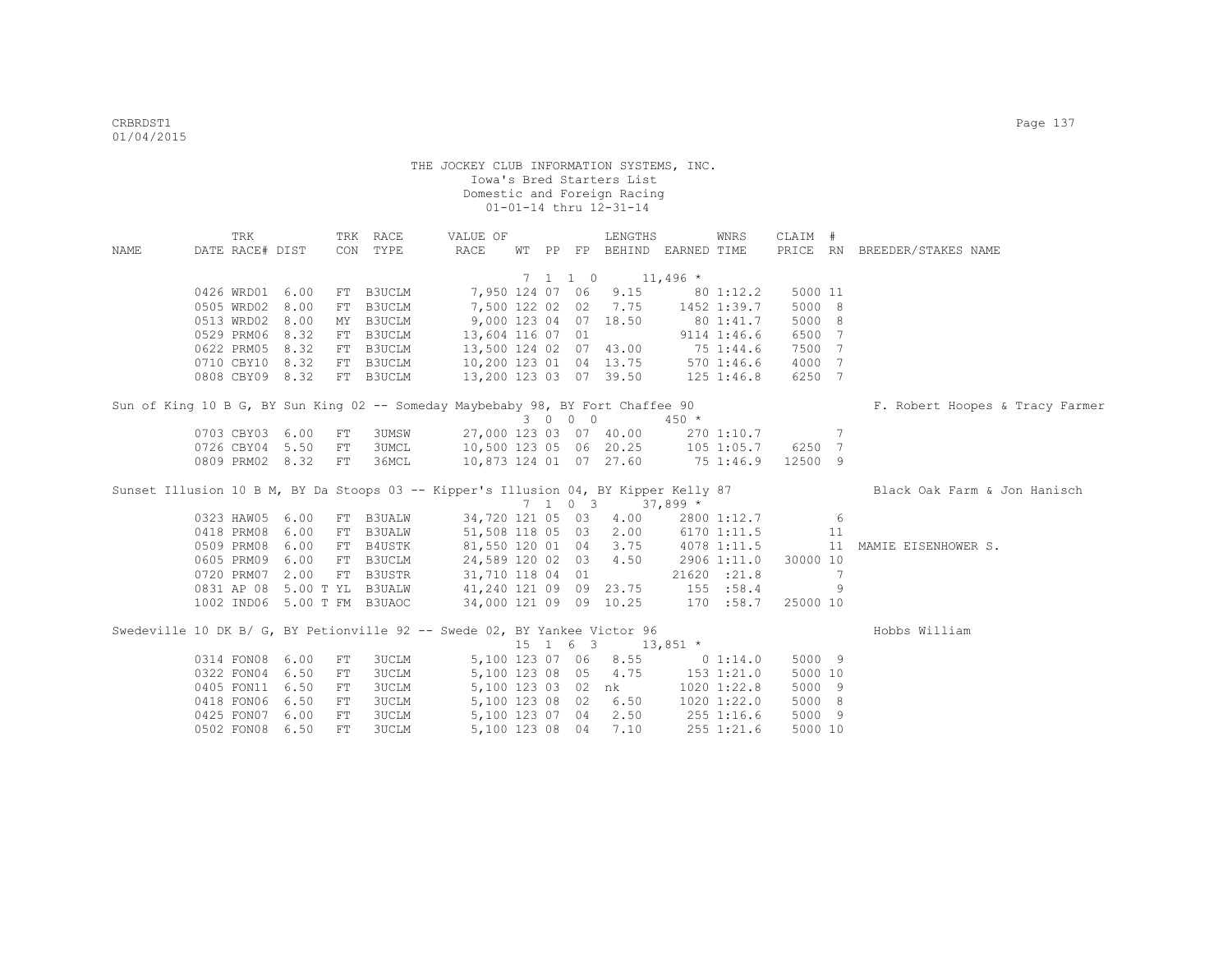| NAME |                       | TRK<br>DATE RACE# DIST |                             | CON | TRK RACE<br>TYPE                                                                    | VALUE OF<br>RACE                         |  |  |          | LENGTHS<br>WT PP FP BEHIND EARNED TIME |               | WNRS            | CLAIM #              |    | PRICE RN BREEDER/STAKES NAME    |
|------|-----------------------|------------------------|-----------------------------|-----|-------------------------------------------------------------------------------------|------------------------------------------|--|--|----------|----------------------------------------|---------------|-----------------|----------------------|----|---------------------------------|
|      |                       |                        |                             |     |                                                                                     |                                          |  |  |          |                                        |               |                 |                      |    |                                 |
|      | 7 1 1 0<br>$11,496$ * |                        |                             |     |                                                                                     |                                          |  |  |          |                                        |               |                 |                      |    |                                 |
|      |                       | 0426 WRD01 6.00        |                             |     | FT B3UCLM                                                                           |                                          |  |  |          | 7,950 124 07 06 9.15 80 1:12.2         |               |                 | 5000 11              |    |                                 |
|      |                       | 0505 WRD02 8.00        |                             |     | FT B3UCLM                                                                           |                                          |  |  |          | 7,500 122 02 02 7.75                   | 1452 1:39.7   |                 | 5000 8               |    |                                 |
|      |                       | 0513 WRD02 8.00        |                             |     | MY B3UCLM                                                                           | 9,000 123 04 07 18.50                    |  |  |          |                                        | 80 1:41.7     |                 | 5000 8               |    |                                 |
|      |                       | 0529 PRM06 8.32        |                             |     | FT B3UCLM                                                                           | 13,604 116 07 01                         |  |  |          |                                        |               | 9114 1:46.6     | 6500 7               |    |                                 |
|      |                       | 0622 PRM05 8.32        |                             |     | FT B3UCLM                                                                           |                                          |  |  |          | 13,500 124 02 07 43.00                 | 75 1:44.6     |                 | 7500 7               |    |                                 |
|      |                       | 0710 CBY10 8.32        |                             |     | FT B3UCLM                                                                           | 10,200 123 01 04 13.75 570 1:46.6        |  |  |          |                                        |               |                 | 4000 7               |    |                                 |
|      |                       | 0808 CBY09 8.32        |                             |     | FT B3UCLM                                                                           | 13,200 123 03 07 39.50 125 1:46.8        |  |  |          |                                        |               |                 | 6250 7               |    |                                 |
|      |                       |                        |                             |     | Sun of King 10 B G, BY Sun King 02 -- Someday Maybebaby 98, BY Fort Chaffee 90      |                                          |  |  |          |                                        |               |                 |                      |    | F. Robert Hoopes & Tracy Farmer |
|      |                       |                        |                             |     |                                                                                     |                                          |  |  | 3 0 0 0  |                                        | $450 *$       |                 |                      |    |                                 |
|      |                       | 0703 CBY03 6.00        |                             | FT  | <b>3UMSW</b>                                                                        |                                          |  |  |          | 27,000 123 03 07 40.00 270 1:10.7 7    |               |                 |                      |    |                                 |
|      |                       | 0726 CBY04 5.50        |                             | FT  | 3UMCL                                                                               | 10,500 123 05 06 20.25 105 1:05.7 6250 7 |  |  |          |                                        |               |                 |                      |    |                                 |
|      |                       |                        | 0809 PRM02 8.32             | FT  | 36MCL                                                                               |                                          |  |  |          | 10,873 124 01 07 27.60 75 1:46.9       |               |                 | 12500 9              |    |                                 |
|      |                       |                        |                             |     | Sunset Illusion 10 B M, BY Da Stoops 03 -- Kipper's Illusion 04, BY Kipper Kelly 87 |                                          |  |  |          |                                        |               |                 |                      |    | Black Oak Farm & Jon Hanisch    |
|      |                       |                        |                             |     |                                                                                     |                                          |  |  |          | 7 1 0 3 37,899 *                       |               |                 |                      |    |                                 |
|      |                       | 0323 HAW05 6.00        |                             |     | FT B3UALW                                                                           |                                          |  |  |          | 34,720 121 05 03 4.00                  |               | 2800 1:12.7     |                      | 6  |                                 |
|      |                       | 0418 PRM08 6.00        |                             |     | FT B3UALW                                                                           |                                          |  |  |          | 51,508 118 05 03 2.00                  |               | 6170 1:11.5     |                      | 11 |                                 |
|      |                       |                        | 0509 PRM08 6.00             |     | FT B4USTK                                                                           | 81,550 120 01 04 3.75                    |  |  |          |                                        |               | 4078 1:11.5     |                      |    | 11 MAMIE EISENHOWER S.          |
|      |                       |                        | 0605 PRM09 6.00             |     | FT B3UCLM                                                                           | 24,589 120 02 03                         |  |  |          | 4.50                                   |               |                 | 2906 1:11.0 30000 10 |    |                                 |
|      |                       | 0720 PRM07 2.00        |                             |     | FT B3USTR                                                                           | 31,710 118 04 01                         |  |  |          |                                        |               | 21620 :21.8     |                      | 7  |                                 |
|      |                       |                        | 0831 AP 08 5.00 T YL B3UALW |     |                                                                                     | 41,240 121 09 09 23.75                   |  |  |          |                                        |               | 155 : 58.4      |                      | 9  |                                 |
|      |                       |                        | 1002 IND06 5.00 T FM B3UAOC |     |                                                                                     | 34,000 121 09 09 10.25 170 :58.7         |  |  |          |                                        |               |                 | 25000 10             |    |                                 |
|      |                       |                        |                             |     | Swedeville 10 DK B/ G, BY Petionville 92 -- Swede 02, BY Yankee Victor 96           |                                          |  |  |          |                                        |               |                 |                      |    | Hobbs William                   |
|      |                       |                        |                             |     |                                                                                     |                                          |  |  | 15 1 6 3 |                                        | $13,851$ *    |                 |                      |    |                                 |
|      |                       | 0314 FON08 6.00        |                             | FT  | 3UCLM                                                                               | 5,100 123 07 06                          |  |  |          |                                        | 8.55 0 1:14.0 |                 | 5000 9               |    |                                 |
|      |                       | 0322 FON04 6.50        |                             | FT  | <b>3UCLM</b>                                                                        |                                          |  |  |          | 5,100 123 08 05 4.75                   |               | 153 1:21.0      | 5000 10              |    |                                 |
|      |                       | 0405 FON11 6.50        |                             | FT  | <b>3UCLM</b>                                                                        |                                          |  |  |          | 5,100 123 03 02 nk                     |               | 1020 1:22.8     | 5000 9               |    |                                 |
|      |                       | 0418 FON06 6.50        |                             | FT  | <b>3UCLM</b>                                                                        |                                          |  |  |          | 5,100 123 08 02 6.50                   |               | $1020$ $1:22.0$ | 5000 8               |    |                                 |
|      |                       | 0425 FON07 6.00        |                             | FT  | <b>3UCLM</b>                                                                        |                                          |  |  |          | 5,100 123 07 04 2.50                   | 255 1:16.6    |                 | 5000 9               |    |                                 |
|      |                       | 0502 FON08 6.50        |                             | FT  | 3UCLM                                                                               |                                          |  |  |          | 5,100 123 08 04 7.10                   |               | 255 1:21.6      | 5000 10              |    |                                 |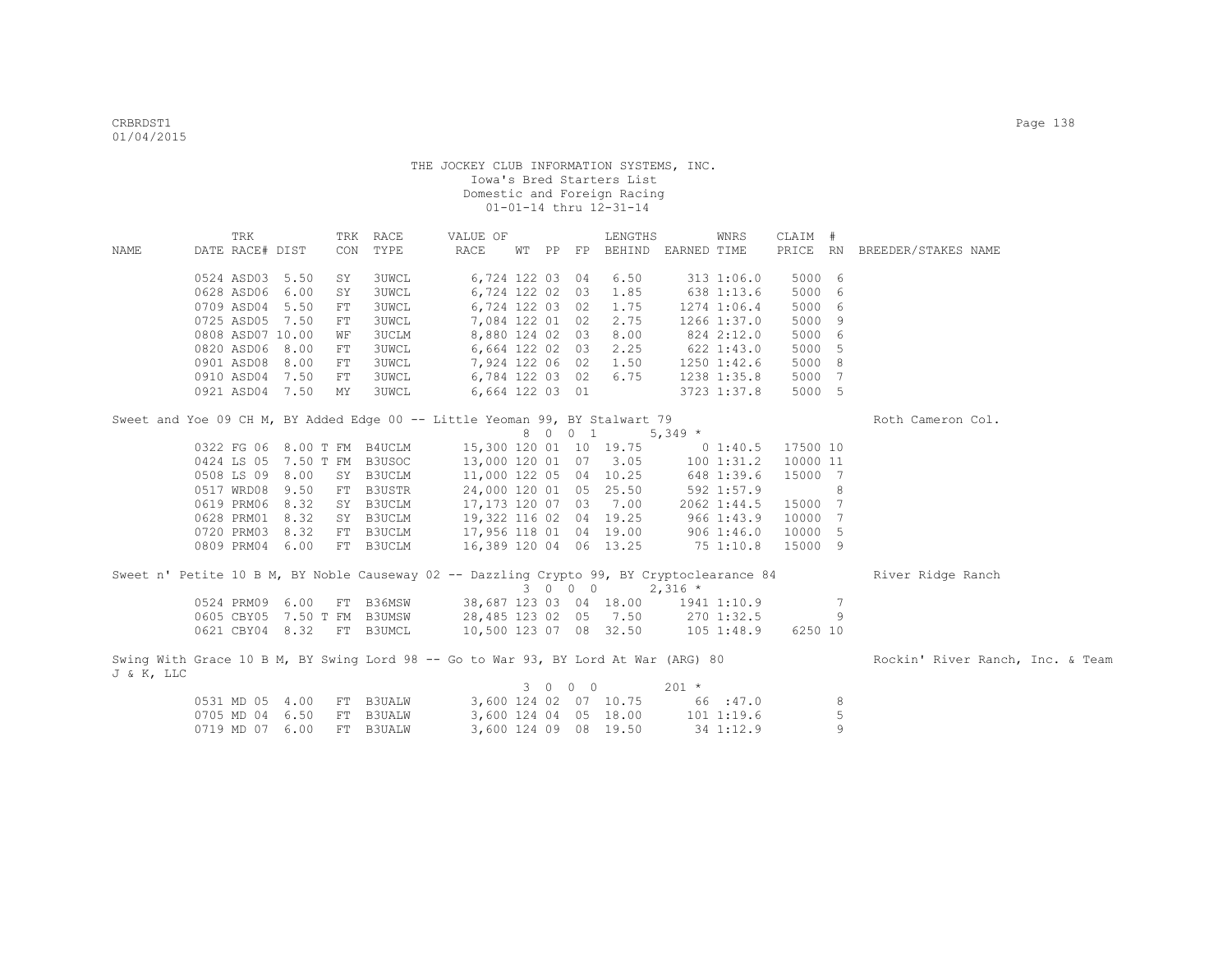| CON TYPE<br>RACE<br>WT PP FP BEHIND EARNED TIME<br>PRICE RN BREEDER/STAKES NAME<br>DATE RACE# DIST<br>NAME<br>0524 ASD03 5.50<br>6,724 122 03 04<br>5000 6<br>SY<br><b>3UWCL</b><br>6.50<br>3131:06.0<br>638 1:13.6<br>5000 6<br>0628 ASD06<br>6.00<br>3UWCL<br>6,724 122 02 03<br>1.85<br>SY<br>0709 ASD04 5.50<br>3UWCL<br>6,724 122 03 02<br>1.75<br>1274 1:06.4<br>5000 6<br>${\rm FT}$<br>2.75<br>5000 9<br>0725 ASD05<br>7.50<br>3UWCL<br>7,084 122 01 02<br>1266 1:37.0<br>FT<br>0808 ASD07 10.00<br>8,880 124 02 03<br>8.00<br>5000 6<br>3UCLM<br>824 2:12.0<br>WЕ<br>0820 ASD06 8.00<br><b>3UWCL</b><br>6,664 122 02 03 2.25<br>$622$ 1:43.0<br>5000 5<br>FT<br>0901 ASD08<br>8.00<br>3UWCL<br>7,924 122 06 02 1.50<br>5000 8<br>${\rm FT}$<br>1250 1:42.6<br>6,784 122 03 02 6.75<br>5000 7<br>0910 ASD04<br>7.50<br>3UWCL<br>1238 1:35.8<br>FT<br>5000 5<br>0921 ASD04 7.50<br>3UWCL<br>6,664 122 03 01<br>3723 1:37.8<br>MY<br>Sweet and Yoe 09 CH M, BY Added Edge 00 -- Little Yeoman 99, BY Stalwart 79<br>Roth Cameron Col.<br>8 0 0 1<br>$5,349$ *<br>0322 FG 06 8.00 T FM B4UCLM<br>15,300 120 01 10 19.75 0 1:40.5<br>17500 10<br>0424 LS 05 7.50 T FM B3USOC<br>13,000 120 01 07 3.05 100 1:31.2<br>10000 11<br>SY B3UCLM<br>11,000 122 05 04 10.25 648 1:39.6<br>15000 7<br>0508 LS 09 8.00<br>24,000 120 01 05 25.50 592 1:57.9<br>FT B3USTR<br>0517 WRD08 9.50<br>8<br>0619 PRM06 8.32<br>SY B3UCLM<br>17,173 120 07 03 7.00<br>15000 7<br>2062 1:44.5<br>0628 PRM01 8.32<br>SY B3UCLM<br>19,322 116 02 04 19.25<br>9661:43.9<br>10000 7<br>17,956 118 01 04 19.00 906 1:46.0<br>0720 PRM03 8.32<br>FT B3UCLM<br>10000 5<br>751:10.8<br>0809 PRM04 6.00<br>FT B3UCLM<br>16,389 120 04 06 13.25<br>15000 9<br>Sweet n' Petite 10 B M, BY Noble Causeway 02 -- Dazzling Crypto 99, BY Cryptoclearance 84 River Ridge Ranch<br>$3 \t0 \t0 \t0 \t2, 316 \t\t*$<br>0524 PRM09 6.00 FT B36MSW 38,687 123 03 04 18.00 1941 1:10.9<br>$7\phantom{.0}$<br>9<br>0605 CBY05 7.50 T FM B3UMSW<br>28,485 123 02 05 7.50 270 1:32.5<br>0621 CBY04 8.32 FT B3UMCL<br>10,500 123 07 08 32.50 105 1:48.9<br>6250 10<br>Swing With Grace 10 B M, BY Swing Lord 98 -- Go to War 93, BY Lord At War (ARG) 80<br>Rockin' River Ranch, Inc. & Team<br>J & K, LLC<br>3 0 0 0<br>$201 *$<br>3,600 124 02 07 10.75 66 :47.0<br>0531 MD 05 4.00 FT B3UALW<br>8<br>$\mathsf S$<br>3,600 124 04 05 18.00 101 1:19.6<br>0705 MD 04 6.50<br>FT B3UALW |  | TRK |  | TRK RACE | VALUE OF |  | LENGTHS | WNRS | CLAIM # |   |  |
|------------------------------------------------------------------------------------------------------------------------------------------------------------------------------------------------------------------------------------------------------------------------------------------------------------------------------------------------------------------------------------------------------------------------------------------------------------------------------------------------------------------------------------------------------------------------------------------------------------------------------------------------------------------------------------------------------------------------------------------------------------------------------------------------------------------------------------------------------------------------------------------------------------------------------------------------------------------------------------------------------------------------------------------------------------------------------------------------------------------------------------------------------------------------------------------------------------------------------------------------------------------------------------------------------------------------------------------------------------------------------------------------------------------------------------------------------------------------------------------------------------------------------------------------------------------------------------------------------------------------------------------------------------------------------------------------------------------------------------------------------------------------------------------------------------------------------------------------------------------------------------------------------------------------------------------------------------------------------------------------------------------------------------------------------------------------------------------------------------------------------------------------------------------------------------------------------------------------------------------------------------------------------------------------------------------------------------------------------------------------------------------------------------------------------------------------|--|-----|--|----------|----------|--|---------|------|---------|---|--|
|                                                                                                                                                                                                                                                                                                                                                                                                                                                                                                                                                                                                                                                                                                                                                                                                                                                                                                                                                                                                                                                                                                                                                                                                                                                                                                                                                                                                                                                                                                                                                                                                                                                                                                                                                                                                                                                                                                                                                                                                                                                                                                                                                                                                                                                                                                                                                                                                                                                |  |     |  |          |          |  |         |      |         |   |  |
|                                                                                                                                                                                                                                                                                                                                                                                                                                                                                                                                                                                                                                                                                                                                                                                                                                                                                                                                                                                                                                                                                                                                                                                                                                                                                                                                                                                                                                                                                                                                                                                                                                                                                                                                                                                                                                                                                                                                                                                                                                                                                                                                                                                                                                                                                                                                                                                                                                                |  |     |  |          |          |  |         |      |         |   |  |
|                                                                                                                                                                                                                                                                                                                                                                                                                                                                                                                                                                                                                                                                                                                                                                                                                                                                                                                                                                                                                                                                                                                                                                                                                                                                                                                                                                                                                                                                                                                                                                                                                                                                                                                                                                                                                                                                                                                                                                                                                                                                                                                                                                                                                                                                                                                                                                                                                                                |  |     |  |          |          |  |         |      |         |   |  |
|                                                                                                                                                                                                                                                                                                                                                                                                                                                                                                                                                                                                                                                                                                                                                                                                                                                                                                                                                                                                                                                                                                                                                                                                                                                                                                                                                                                                                                                                                                                                                                                                                                                                                                                                                                                                                                                                                                                                                                                                                                                                                                                                                                                                                                                                                                                                                                                                                                                |  |     |  |          |          |  |         |      |         |   |  |
|                                                                                                                                                                                                                                                                                                                                                                                                                                                                                                                                                                                                                                                                                                                                                                                                                                                                                                                                                                                                                                                                                                                                                                                                                                                                                                                                                                                                                                                                                                                                                                                                                                                                                                                                                                                                                                                                                                                                                                                                                                                                                                                                                                                                                                                                                                                                                                                                                                                |  |     |  |          |          |  |         |      |         |   |  |
|                                                                                                                                                                                                                                                                                                                                                                                                                                                                                                                                                                                                                                                                                                                                                                                                                                                                                                                                                                                                                                                                                                                                                                                                                                                                                                                                                                                                                                                                                                                                                                                                                                                                                                                                                                                                                                                                                                                                                                                                                                                                                                                                                                                                                                                                                                                                                                                                                                                |  |     |  |          |          |  |         |      |         |   |  |
|                                                                                                                                                                                                                                                                                                                                                                                                                                                                                                                                                                                                                                                                                                                                                                                                                                                                                                                                                                                                                                                                                                                                                                                                                                                                                                                                                                                                                                                                                                                                                                                                                                                                                                                                                                                                                                                                                                                                                                                                                                                                                                                                                                                                                                                                                                                                                                                                                                                |  |     |  |          |          |  |         |      |         |   |  |
|                                                                                                                                                                                                                                                                                                                                                                                                                                                                                                                                                                                                                                                                                                                                                                                                                                                                                                                                                                                                                                                                                                                                                                                                                                                                                                                                                                                                                                                                                                                                                                                                                                                                                                                                                                                                                                                                                                                                                                                                                                                                                                                                                                                                                                                                                                                                                                                                                                                |  |     |  |          |          |  |         |      |         |   |  |
|                                                                                                                                                                                                                                                                                                                                                                                                                                                                                                                                                                                                                                                                                                                                                                                                                                                                                                                                                                                                                                                                                                                                                                                                                                                                                                                                                                                                                                                                                                                                                                                                                                                                                                                                                                                                                                                                                                                                                                                                                                                                                                                                                                                                                                                                                                                                                                                                                                                |  |     |  |          |          |  |         |      |         |   |  |
|                                                                                                                                                                                                                                                                                                                                                                                                                                                                                                                                                                                                                                                                                                                                                                                                                                                                                                                                                                                                                                                                                                                                                                                                                                                                                                                                                                                                                                                                                                                                                                                                                                                                                                                                                                                                                                                                                                                                                                                                                                                                                                                                                                                                                                                                                                                                                                                                                                                |  |     |  |          |          |  |         |      |         |   |  |
|                                                                                                                                                                                                                                                                                                                                                                                                                                                                                                                                                                                                                                                                                                                                                                                                                                                                                                                                                                                                                                                                                                                                                                                                                                                                                                                                                                                                                                                                                                                                                                                                                                                                                                                                                                                                                                                                                                                                                                                                                                                                                                                                                                                                                                                                                                                                                                                                                                                |  |     |  |          |          |  |         |      |         |   |  |
|                                                                                                                                                                                                                                                                                                                                                                                                                                                                                                                                                                                                                                                                                                                                                                                                                                                                                                                                                                                                                                                                                                                                                                                                                                                                                                                                                                                                                                                                                                                                                                                                                                                                                                                                                                                                                                                                                                                                                                                                                                                                                                                                                                                                                                                                                                                                                                                                                                                |  |     |  |          |          |  |         |      |         |   |  |
|                                                                                                                                                                                                                                                                                                                                                                                                                                                                                                                                                                                                                                                                                                                                                                                                                                                                                                                                                                                                                                                                                                                                                                                                                                                                                                                                                                                                                                                                                                                                                                                                                                                                                                                                                                                                                                                                                                                                                                                                                                                                                                                                                                                                                                                                                                                                                                                                                                                |  |     |  |          |          |  |         |      |         |   |  |
|                                                                                                                                                                                                                                                                                                                                                                                                                                                                                                                                                                                                                                                                                                                                                                                                                                                                                                                                                                                                                                                                                                                                                                                                                                                                                                                                                                                                                                                                                                                                                                                                                                                                                                                                                                                                                                                                                                                                                                                                                                                                                                                                                                                                                                                                                                                                                                                                                                                |  |     |  |          |          |  |         |      |         |   |  |
|                                                                                                                                                                                                                                                                                                                                                                                                                                                                                                                                                                                                                                                                                                                                                                                                                                                                                                                                                                                                                                                                                                                                                                                                                                                                                                                                                                                                                                                                                                                                                                                                                                                                                                                                                                                                                                                                                                                                                                                                                                                                                                                                                                                                                                                                                                                                                                                                                                                |  |     |  |          |          |  |         |      |         |   |  |
|                                                                                                                                                                                                                                                                                                                                                                                                                                                                                                                                                                                                                                                                                                                                                                                                                                                                                                                                                                                                                                                                                                                                                                                                                                                                                                                                                                                                                                                                                                                                                                                                                                                                                                                                                                                                                                                                                                                                                                                                                                                                                                                                                                                                                                                                                                                                                                                                                                                |  |     |  |          |          |  |         |      |         |   |  |
|                                                                                                                                                                                                                                                                                                                                                                                                                                                                                                                                                                                                                                                                                                                                                                                                                                                                                                                                                                                                                                                                                                                                                                                                                                                                                                                                                                                                                                                                                                                                                                                                                                                                                                                                                                                                                                                                                                                                                                                                                                                                                                                                                                                                                                                                                                                                                                                                                                                |  |     |  |          |          |  |         |      |         |   |  |
|                                                                                                                                                                                                                                                                                                                                                                                                                                                                                                                                                                                                                                                                                                                                                                                                                                                                                                                                                                                                                                                                                                                                                                                                                                                                                                                                                                                                                                                                                                                                                                                                                                                                                                                                                                                                                                                                                                                                                                                                                                                                                                                                                                                                                                                                                                                                                                                                                                                |  |     |  |          |          |  |         |      |         |   |  |
|                                                                                                                                                                                                                                                                                                                                                                                                                                                                                                                                                                                                                                                                                                                                                                                                                                                                                                                                                                                                                                                                                                                                                                                                                                                                                                                                                                                                                                                                                                                                                                                                                                                                                                                                                                                                                                                                                                                                                                                                                                                                                                                                                                                                                                                                                                                                                                                                                                                |  |     |  |          |          |  |         |      |         |   |  |
|                                                                                                                                                                                                                                                                                                                                                                                                                                                                                                                                                                                                                                                                                                                                                                                                                                                                                                                                                                                                                                                                                                                                                                                                                                                                                                                                                                                                                                                                                                                                                                                                                                                                                                                                                                                                                                                                                                                                                                                                                                                                                                                                                                                                                                                                                                                                                                                                                                                |  |     |  |          |          |  |         |      |         |   |  |
|                                                                                                                                                                                                                                                                                                                                                                                                                                                                                                                                                                                                                                                                                                                                                                                                                                                                                                                                                                                                                                                                                                                                                                                                                                                                                                                                                                                                                                                                                                                                                                                                                                                                                                                                                                                                                                                                                                                                                                                                                                                                                                                                                                                                                                                                                                                                                                                                                                                |  |     |  |          |          |  |         |      |         |   |  |
|                                                                                                                                                                                                                                                                                                                                                                                                                                                                                                                                                                                                                                                                                                                                                                                                                                                                                                                                                                                                                                                                                                                                                                                                                                                                                                                                                                                                                                                                                                                                                                                                                                                                                                                                                                                                                                                                                                                                                                                                                                                                                                                                                                                                                                                                                                                                                                                                                                                |  |     |  |          |          |  |         |      |         |   |  |
|                                                                                                                                                                                                                                                                                                                                                                                                                                                                                                                                                                                                                                                                                                                                                                                                                                                                                                                                                                                                                                                                                                                                                                                                                                                                                                                                                                                                                                                                                                                                                                                                                                                                                                                                                                                                                                                                                                                                                                                                                                                                                                                                                                                                                                                                                                                                                                                                                                                |  |     |  |          |          |  |         |      |         |   |  |
|                                                                                                                                                                                                                                                                                                                                                                                                                                                                                                                                                                                                                                                                                                                                                                                                                                                                                                                                                                                                                                                                                                                                                                                                                                                                                                                                                                                                                                                                                                                                                                                                                                                                                                                                                                                                                                                                                                                                                                                                                                                                                                                                                                                                                                                                                                                                                                                                                                                |  |     |  |          |          |  |         |      |         |   |  |
|                                                                                                                                                                                                                                                                                                                                                                                                                                                                                                                                                                                                                                                                                                                                                                                                                                                                                                                                                                                                                                                                                                                                                                                                                                                                                                                                                                                                                                                                                                                                                                                                                                                                                                                                                                                                                                                                                                                                                                                                                                                                                                                                                                                                                                                                                                                                                                                                                                                |  |     |  |          |          |  |         |      |         |   |  |
|                                                                                                                                                                                                                                                                                                                                                                                                                                                                                                                                                                                                                                                                                                                                                                                                                                                                                                                                                                                                                                                                                                                                                                                                                                                                                                                                                                                                                                                                                                                                                                                                                                                                                                                                                                                                                                                                                                                                                                                                                                                                                                                                                                                                                                                                                                                                                                                                                                                |  |     |  |          |          |  |         |      |         |   |  |
|                                                                                                                                                                                                                                                                                                                                                                                                                                                                                                                                                                                                                                                                                                                                                                                                                                                                                                                                                                                                                                                                                                                                                                                                                                                                                                                                                                                                                                                                                                                                                                                                                                                                                                                                                                                                                                                                                                                                                                                                                                                                                                                                                                                                                                                                                                                                                                                                                                                |  |     |  |          |          |  |         |      |         |   |  |
|                                                                                                                                                                                                                                                                                                                                                                                                                                                                                                                                                                                                                                                                                                                                                                                                                                                                                                                                                                                                                                                                                                                                                                                                                                                                                                                                                                                                                                                                                                                                                                                                                                                                                                                                                                                                                                                                                                                                                                                                                                                                                                                                                                                                                                                                                                                                                                                                                                                |  |     |  |          |          |  |         |      |         |   |  |
|                                                                                                                                                                                                                                                                                                                                                                                                                                                                                                                                                                                                                                                                                                                                                                                                                                                                                                                                                                                                                                                                                                                                                                                                                                                                                                                                                                                                                                                                                                                                                                                                                                                                                                                                                                                                                                                                                                                                                                                                                                                                                                                                                                                                                                                                                                                                                                                                                                                |  |     |  |          |          |  |         |      |         |   |  |
|                                                                                                                                                                                                                                                                                                                                                                                                                                                                                                                                                                                                                                                                                                                                                                                                                                                                                                                                                                                                                                                                                                                                                                                                                                                                                                                                                                                                                                                                                                                                                                                                                                                                                                                                                                                                                                                                                                                                                                                                                                                                                                                                                                                                                                                                                                                                                                                                                                                |  |     |  |          |          |  |         |      |         |   |  |
|                                                                                                                                                                                                                                                                                                                                                                                                                                                                                                                                                                                                                                                                                                                                                                                                                                                                                                                                                                                                                                                                                                                                                                                                                                                                                                                                                                                                                                                                                                                                                                                                                                                                                                                                                                                                                                                                                                                                                                                                                                                                                                                                                                                                                                                                                                                                                                                                                                                |  |     |  |          |          |  |         |      |         |   |  |
|                                                                                                                                                                                                                                                                                                                                                                                                                                                                                                                                                                                                                                                                                                                                                                                                                                                                                                                                                                                                                                                                                                                                                                                                                                                                                                                                                                                                                                                                                                                                                                                                                                                                                                                                                                                                                                                                                                                                                                                                                                                                                                                                                                                                                                                                                                                                                                                                                                                |  |     |  |          |          |  |         |      |         |   |  |
|                                                                                                                                                                                                                                                                                                                                                                                                                                                                                                                                                                                                                                                                                                                                                                                                                                                                                                                                                                                                                                                                                                                                                                                                                                                                                                                                                                                                                                                                                                                                                                                                                                                                                                                                                                                                                                                                                                                                                                                                                                                                                                                                                                                                                                                                                                                                                                                                                                                |  |     |  |          |          |  |         |      |         |   |  |
| 34 1:12.9<br>FT B3UALW<br>3,600 124 09 08 19.50<br>0719 MD 07 6.00                                                                                                                                                                                                                                                                                                                                                                                                                                                                                                                                                                                                                                                                                                                                                                                                                                                                                                                                                                                                                                                                                                                                                                                                                                                                                                                                                                                                                                                                                                                                                                                                                                                                                                                                                                                                                                                                                                                                                                                                                                                                                                                                                                                                                                                                                                                                                                             |  |     |  |          |          |  |         |      |         | 9 |  |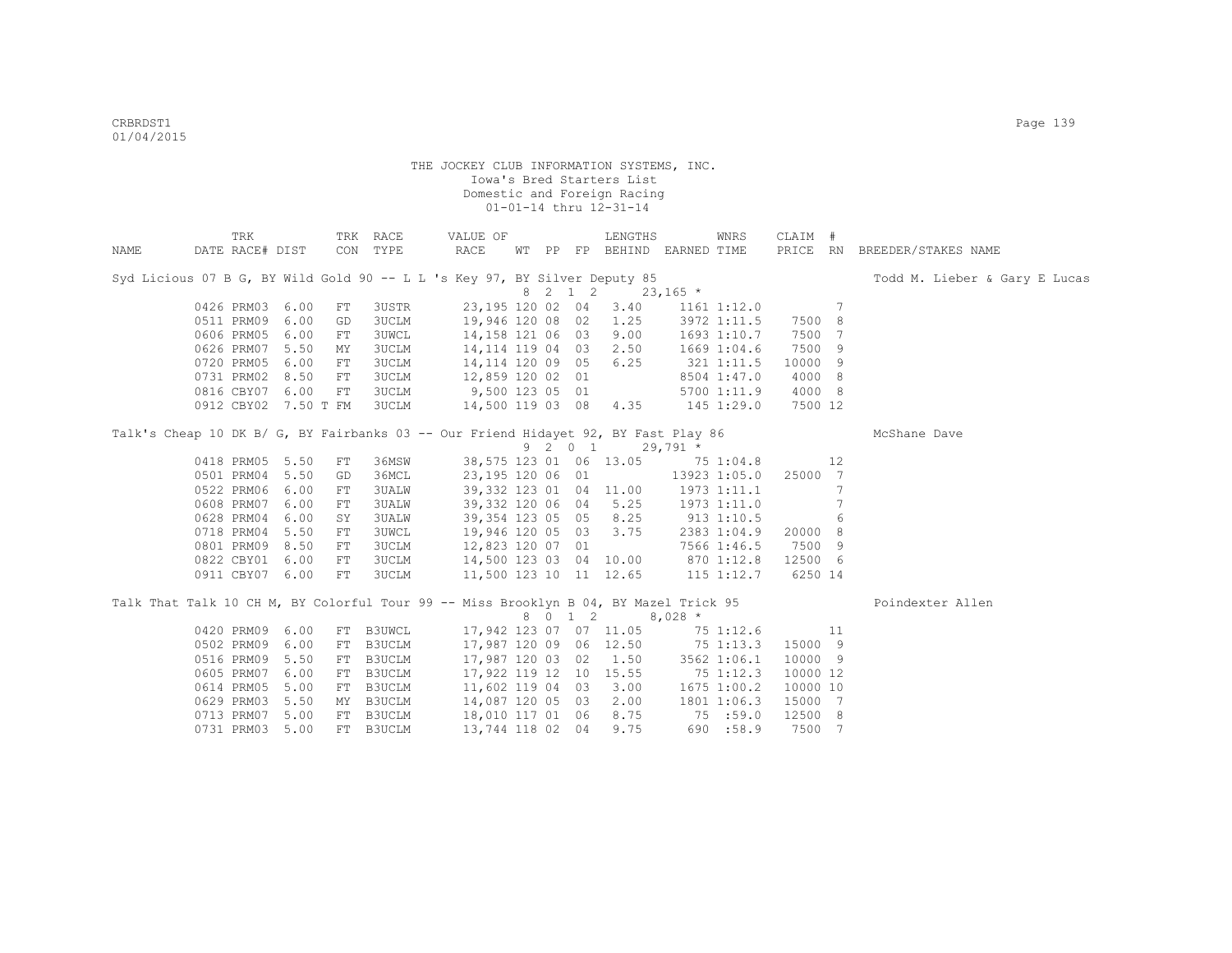|      | TRK                  |      |            | TRK RACE     | VALUE OF                                                                             |  |         | LENGTHS                          |              | WNRS            | CLAIM #  |    |                               |
|------|----------------------|------|------------|--------------|--------------------------------------------------------------------------------------|--|---------|----------------------------------|--------------|-----------------|----------|----|-------------------------------|
| NAME | DATE RACE# DIST      |      |            | CON TYPE     | RACE                                                                                 |  |         | WT PP FP BEHIND EARNED TIME      |              |                 |          |    | PRICE RN BREEDER/STAKES NAME  |
|      |                      |      |            |              | Syd Licious 07 B G, BY Wild Gold 90 -- L L 's Key 97, BY Silver Deputy 85            |  |         |                                  |              |                 |          |    | Todd M. Lieber & Gary E Lucas |
|      |                      |      |            |              |                                                                                      |  | 8 2 1 2 |                                  | $23,165$ *   |                 |          |    |                               |
|      | 0426 PRM03 6.00      |      | FT         | 3USTR        | 23,195 120 02 04                                                                     |  |         | 3.40                             |              | $1161$ $1:12.0$ |          | 7  |                               |
|      | 0511 PRM09 6.00      |      | GD         | 3UCLM        | 19,946 120 08 02                                                                     |  |         | 1.25                             |              | 3972 1:11.5     | 7500 8   |    |                               |
|      | 0606 PRM05 6.00      |      | FT         | <b>3UWCL</b> | 14,158 121 06 03                                                                     |  |         | 9.00                             |              | 1693 1:10.7     | 7500 7   |    |                               |
|      | 0626 PRM07 5.50      |      | MY         | 3UCLM        | 14, 114 119 04 03 2.50                                                               |  |         |                                  |              | 1669 1:04.6     | 7500 9   |    |                               |
|      | 0720 PRM05 6.00      |      | FT         | 3UCLM        | 14,114 120 09 05                                                                     |  |         | 6.25                             |              | 321 1:11.5      | 10000 9  |    |                               |
|      | 0731 PRM02 8.50      |      | FT         | 3UCLM        | 12,859 120 02 01                                                                     |  |         |                                  |              | 8504 1:47.0     | 4000 8   |    |                               |
|      | 0816 CBY07 6.00      |      | FT         | 3UCLM        | 9,500 123 05 01                                                                      |  |         |                                  |              | 5700 1:11.9     | 4000 8   |    |                               |
|      | 0912 CBY02 7.50 T FM |      |            | 3UCLM        | 14,500 119 03 08                                                                     |  |         | 4.35                             |              | 145 1:29.0      | 7500 12  |    |                               |
|      |                      |      |            |              | Talk's Cheap 10 DK B/ G, BY Fairbanks 03 -- Our Friend Hidayet 92, BY Fast Play 86   |  |         |                                  |              |                 |          |    | McShane Dave                  |
|      |                      |      |            |              |                                                                                      |  | 9 2 0 1 |                                  | $29,791$ *   |                 |          |    |                               |
|      | 0418 PRM05 5.50      |      | FT         | 36MSW        |                                                                                      |  |         | 38,575 123 01 06 13.05 75 1:04.8 |              |                 |          | 12 |                               |
|      | 0501 PRM04 5.50      |      | GD         | 36MCL        | 23,195 120 06 01                                                                     |  |         | $13923$ $1:05.0$                 |              |                 | 25000 7  |    |                               |
|      | 0522 PRM06 6.00      |      | FT         | 3UALW        | 39, 332 123 01 04 11.00                                                              |  |         |                                  | 1973 1:11.1  |                 |          | 7  |                               |
|      | 0608 PRM07           | 6.00 | ${\rm FT}$ | <b>3UALW</b> | 39,332 120 06 04 5.25                                                                |  |         |                                  |              | 1973 1:11.0     |          | 7  |                               |
|      | 0628 PRM04           | 6.00 | SY         | 3UALW        | 39, 354 123 05 05 8.25                                                               |  |         |                                  | $913$ 1:10.5 |                 |          | 6  |                               |
|      | 0718 PRM04 5.50      |      | FT         | 3UWCL        | 19,946 120 05 03 3.75                                                                |  |         |                                  |              | 2383 1:04.9     | 20000 8  |    |                               |
|      | 0801 PRM09 8.50      |      | FT         | 3UCLM        | 12,823 120 07 01                                                                     |  |         |                                  |              | 7566 1:46.5     | 7500 9   |    |                               |
|      | 0822 CBY01 6.00      |      | FT         | 3UCLM        | 14,500 123 03 04 10.00                                                               |  |         |                                  | $870$ 1:12.8 |                 | 12500 6  |    |                               |
|      | 0911 CBY07 6.00      |      | FT         | 3UCLM        | 11,500 123 10 11 12.65                                                               |  |         |                                  |              | 115 1:12.7      | 6250 14  |    |                               |
|      |                      |      |            |              | Talk That Talk 10 CH M, BY Colorful Tour 99 -- Miss Brooklyn B 04, BY Mazel Trick 95 |  |         |                                  |              |                 |          |    | Poindexter Allen              |
|      |                      |      |            |              |                                                                                      |  | 8 0 1 2 |                                  | $8,028$ *    |                 |          |    |                               |
|      | 0420 PRM09 6.00      |      | FT         | B3UWCL       | 17,942 123 07 07 11.05                                                               |  |         |                                  | 75 1:12.6    |                 |          | 11 |                               |
|      | 0502 PRM09           | 6.00 | FT         | B3UCLM       | 17,987 120 09 06 12.50                                                               |  |         |                                  | 75 1:13.3    |                 | 15000 9  |    |                               |
|      | 0516 PRM09           | 5.50 | FT         | B3UCLM       | 17,987 120 03 02                                                                     |  |         | 1.50                             |              | 3562 1:06.1     | 10000 9  |    |                               |
|      | 0605 PRM07           | 6.00 | FT         | B3UCLM       | 17,922 119 12 10 15.55                                                               |  |         |                                  | 75 1:12.3    |                 | 10000 12 |    |                               |
|      | 0614 PRM05           | 5.00 | FT         | B3UCLM       | 11,602 119 04 03                                                                     |  |         | 3.00                             |              | 1675 1:00.2     | 10000 10 |    |                               |
|      | 0629 PRM03           | 5.50 | ΜY         | B3UCLM       | 14,087 120 05 03                                                                     |  |         | 2.00                             |              | 1801 1:06.3     | 15000 7  |    |                               |
|      | 0713 PRM07 5.00      |      | FT         | B3UCLM       | 18,010 117 01 06                                                                     |  |         | 8.75                             | 75:59.0      |                 | 12500 8  |    |                               |
|      | 0731 PRM03 5.00      |      |            | FT B3UCLM    | 13,744 118 02 04                                                                     |  |         | 9.75                             |              | 690 :58.9       | 7500 7   |    |                               |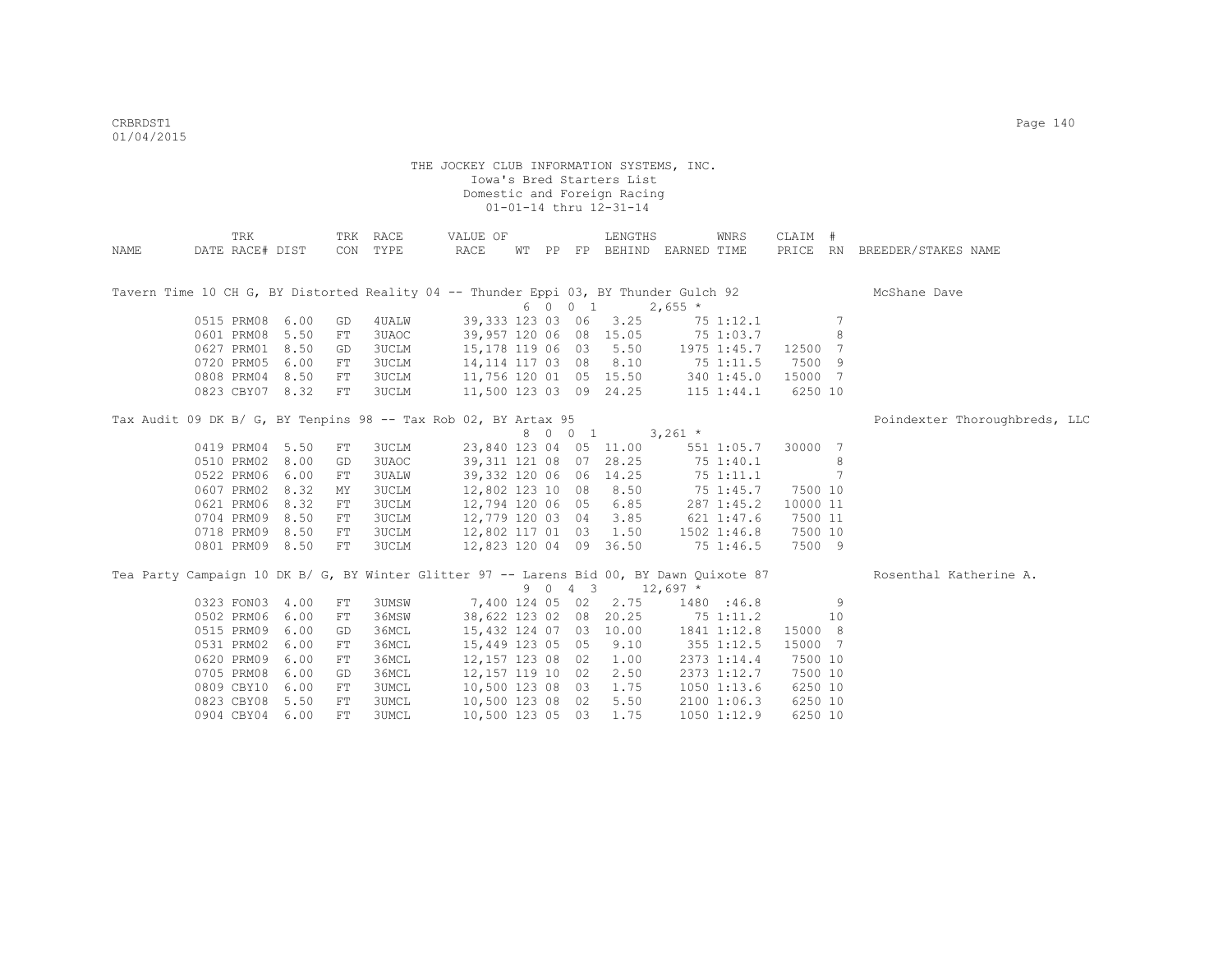|                                                                                          | TRK             |      |    | TRK RACE     | VALUE OF               |  |         | LENGTHS                     |             | WNRS           | CLAIM #  |    |                               |
|------------------------------------------------------------------------------------------|-----------------|------|----|--------------|------------------------|--|---------|-----------------------------|-------------|----------------|----------|----|-------------------------------|
| NAME                                                                                     | DATE RACE# DIST |      |    | CON TYPE     | RACE                   |  |         | WT PP FP BEHIND EARNED TIME |             |                |          |    | PRICE RN BREEDER/STAKES NAME  |
|                                                                                          |                 |      |    |              |                        |  |         |                             |             |                |          |    |                               |
| Tavern Time 10 CH G, BY Distorted Reality 04 -- Thunder Eppi 03, BY Thunder Gulch 92     |                 |      |    |              |                        |  |         |                             |             |                |          |    | McShane Dave                  |
|                                                                                          |                 |      |    |              |                        |  | 6 0 0 1 |                             | $2,655$ *   |                |          |    |                               |
|                                                                                          | 0515 PRM08 6.00 |      | GD | 4UALW        | 39, 333 123 03 06 3.25 |  |         |                             |             | 75 1:12.1      |          | 7  |                               |
|                                                                                          | 0601 PRM08 5.50 |      | FT | 3UAOC        | 39,957 120 06 08 15.05 |  |         |                             | 75 1:03.7   |                |          | 8  |                               |
|                                                                                          | 0627 PRM01 8.50 |      | GD | 3UCLM        | 15,178 119 06 03 5.50  |  |         |                             |             | 1975 1:45.7    | 12500 7  |    |                               |
|                                                                                          | 0720 PRM05      | 6.00 | FT | 3UCLM        | 14,114 117 03 08       |  |         | 8.10                        | $75$ 1:11.5 |                | 7500 9   |    |                               |
|                                                                                          | 0808 PRM04 8.50 |      | FT | 3UCLM        | 11,756 120 01 05 15.50 |  |         |                             |             | 340 1:45.0     | 15000 7  |    |                               |
|                                                                                          | 0823 CBY07 8.32 |      | FT | 3UCLM        | 11,500 123 03 09 24.25 |  |         |                             |             | $115$ $1:44.1$ | 6250 10  |    |                               |
| Tax Audit 09 DK B/ G, BY Tenpins 98 -- Tax Rob 02, BY Artax 95                           |                 |      |    |              |                        |  |         |                             |             |                |          |    | Poindexter Thoroughbreds, LLC |
|                                                                                          |                 |      |    |              |                        |  | 8 0 0 1 |                             | $3,261$ *   |                |          |    |                               |
|                                                                                          | 0419 PRM04 5.50 |      | FT | 3UCLM        | 23,840 123 04 05 11.00 |  |         |                             |             | 551 1:05.7     | 30000 7  |    |                               |
|                                                                                          | 0510 PRM02 8.00 |      | GD | 3UAOC        | 39,311 121 08          |  | 07      | 28.25                       | 75 1:40.1   |                |          | 8  |                               |
|                                                                                          | 0522 PRM06 6.00 |      | FT | <b>3UALW</b> | 39,332 120 06 06 14.25 |  |         |                             | 751:11.1    |                |          | 7  |                               |
|                                                                                          | 0607 PRM02 8.32 |      | MΥ | 3UCLM        | 12,802 123 10 08       |  |         | 8.50                        | 75 1:45.7   |                | 7500 10  |    |                               |
|                                                                                          | 0621 PRM06 8.32 |      | FT | 3UCLM        | 12,794 120 06 05 6.85  |  |         |                             |             | 287 1:45.2     | 10000 11 |    |                               |
|                                                                                          | 0704 PRM09 8.50 |      | FT | 3UCLM        | 12,779 120 03 04       |  |         | 3.85                        |             | 621 1:47.6     | 7500 11  |    |                               |
|                                                                                          | 0718 PRM09 8.50 |      | FT | 3UCLM        | 12,802 117 01 03 1.50  |  |         |                             |             | 1502 1:46.8    | 7500 10  |    |                               |
|                                                                                          | 0801 PRM09 8.50 |      | FT | 3UCLM        | 12,823 120 04 09 36.50 |  |         |                             |             | 75 1:46.5      | 7500 9   |    |                               |
| Tea Party Campaign 10 DK B/ G, BY Winter Glitter 97 -- Larens Bid 00, BY Dawn Quixote 87 |                 |      |    |              |                        |  |         |                             |             |                |          |    | Rosenthal Katherine A.        |
|                                                                                          |                 |      |    |              |                        |  | 9 0 4 3 |                             | $12,697$ *  |                |          |    |                               |
|                                                                                          | 0323 FON03 4.00 |      | FT | 3UMSW        | 7,400 124 05 02        |  |         | 2.75                        |             | 1480 :46.8     |          | -9 |                               |
|                                                                                          | 0502 PRM06 6.00 |      | FT | 36MSW        | 38,622 123 02 08       |  |         | 20.25                       | 75 1:11.2   |                |          | 10 |                               |
|                                                                                          | 0515 PRM09 6.00 |      | GD | 36MCL        | 15,432 124 07 03 10.00 |  |         |                             |             | 1841 1:12.8    | 15000 8  |    |                               |
|                                                                                          | 0531 PRM02      | 6.00 | FT | 36MCL        | 15,449 123 05 05       |  |         | 9.10                        |             | 355 1:12.5     | 15000 7  |    |                               |
|                                                                                          | 0620 PRM09      | 6.00 | FT | 36MCL        | 12, 157 123 08 02      |  |         | 1.00                        |             | 2373 1:14.4    | 7500 10  |    |                               |
|                                                                                          | 0705 PRM08      | 6.00 | GD | 36MCL        | 12, 157 119 10 02      |  |         | 2.50                        |             | 2373 1:12.7    | 7500 10  |    |                               |
|                                                                                          | 0809 CBY10      | 6.00 | FT | 3UMCL        | 10,500 123 08 03       |  |         | 1.75                        |             | 1050 1:13.6    | 6250 10  |    |                               |
|                                                                                          | 0823 CBY08 5.50 |      | FT | 3UMCL        | 10,500 123 08 02       |  |         | 5.50                        |             | 2100 1:06.3    | 6250 10  |    |                               |
|                                                                                          | 0904 CBY04 6.00 |      | FT | <b>3UMCL</b> | 10,500 123 05 03       |  |         | 1.75                        |             | 1050 1:12.9    | 6250 10  |    |                               |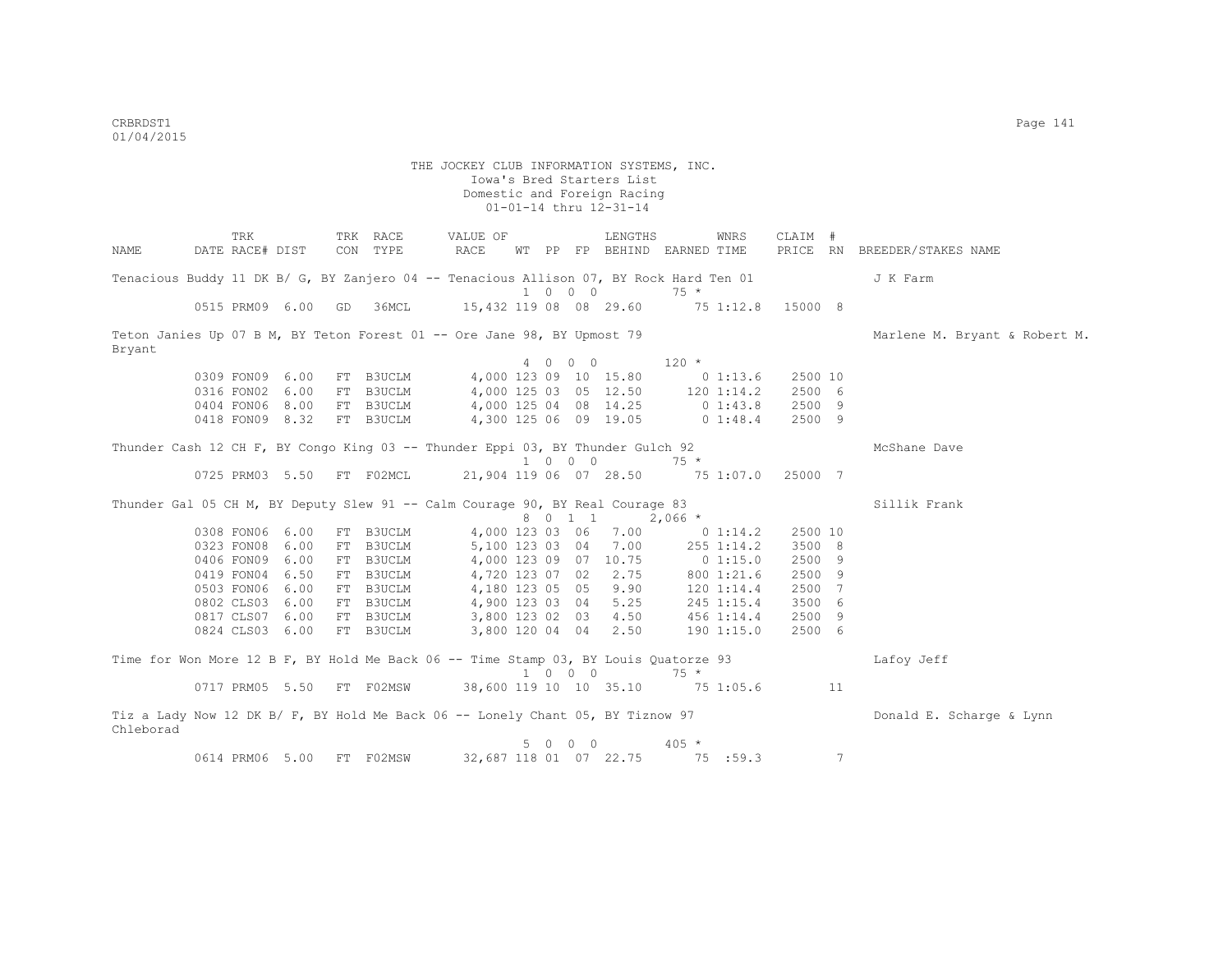|                                                                                             | TRK             |                           |     | TRK RACE  | VALUE OF                                 |                 |         | LENGTHS                     |             | WNRS              | CLAIM # |    |                               |
|---------------------------------------------------------------------------------------------|-----------------|---------------------------|-----|-----------|------------------------------------------|-----------------|---------|-----------------------------|-------------|-------------------|---------|----|-------------------------------|
| NAME                                                                                        | DATE RACE# DIST |                           |     | CON TYPE  | RACE                                     |                 |         | WT PP FP BEHIND EARNED TIME |             |                   |         |    | PRICE RN BREEDER/STAKES NAME  |
| Tenacious Buddy 11 DK B/ G, BY Zanjero 04 -- Tenacious Allison 07, BY Rock Hard Ten 01      |                 |                           |     |           |                                          |                 |         |                             |             |                   |         |    | J K Farm                      |
|                                                                                             |                 |                           |     |           |                                          |                 | 1 0 0 0 |                             | $75 *$      |                   |         |    |                               |
|                                                                                             |                 | 0515 PRM09 6.00 GD 36MCL  |     |           | 15,432 119 08 08 29.60                   |                 |         |                             |             | 75 1:12.8 15000 8 |         |    |                               |
| Teton Janies Up 07 B M, BY Teton Forest 01 -- Ore Jane 98, BY Upmost 79<br>Bryant           |                 |                           |     |           |                                          |                 |         |                             |             |                   |         |    | Marlene M. Bryant & Robert M. |
|                                                                                             |                 |                           |     |           |                                          |                 |         | 4 0 0 0                     | $120 *$     |                   |         |    |                               |
|                                                                                             | 0309 FON09 6.00 |                           |     | FT B3UCLM |                                          |                 |         | 4,000 123 09 10 15.80       |             | $0\;1:13.6$       | 2500 10 |    |                               |
|                                                                                             | 0316 FON02 6.00 |                           |     | FT B3UCLM |                                          |                 |         | 4,000 125 03 05 12.50       |             | $120$ $1:14.2$    | 2500 6  |    |                               |
|                                                                                             |                 | 0404 FON06 8.00           |     | FT B3UCLM | 4,000 125 04 08 14.25                    |                 |         |                             | 0 1:43.8    |                   | 2500 9  |    |                               |
|                                                                                             |                 | 0418 FON09 8.32           |     | FT B3UCLM | 4,300 125 06 09 19.05                    |                 |         |                             | 0 1:48.4    |                   | 2500 9  |    |                               |
| Thunder Cash 12 CH F, BY Congo King 03 -- Thunder Eppi 03, BY Thunder Gulch 92              |                 |                           |     |           |                                          |                 |         |                             |             |                   |         |    | McShane Dave                  |
|                                                                                             |                 |                           |     |           |                                          |                 | 1 0 0 0 |                             | $75 *$      |                   |         |    |                               |
|                                                                                             |                 | 0725 PRM03 5.50 FT F02MCL |     |           | 21,904 119 06 07 28.50 75 1:07.0 25000 7 |                 |         |                             |             |                   |         |    |                               |
| Thunder Gal 05 CH M, BY Deputy Slew 91 -- Calm Courage 90, BY Real Courage 83               |                 |                           |     |           |                                          |                 | 8 0 1 1 |                             | $2,066$ *   |                   |         |    | Sillik Frank                  |
|                                                                                             | 0308 FON06 6.00 |                           |     | FT B3UCLM |                                          | 4,000 123 03 06 |         | 7.00                        |             | 0 1:14.2          | 2500 10 |    |                               |
|                                                                                             | 0323 FON08 6.00 |                           | FT  | B3UCLM    | 5,100 123 03 04                          |                 |         | 7.00                        |             | 255 1:14.2        | 3500 8  |    |                               |
|                                                                                             | 0406 FON09 6.00 |                           | FT  | B3UCLM    | 4,000 123 09 07 10.75                    |                 |         |                             | $0\;1:15.0$ |                   | 2500 9  |    |                               |
|                                                                                             | 0419 FON04 6.50 |                           | FT  | B3UCLM    | 4,720 123 07 02                          |                 |         | 2.75                        |             | 800 1:21.6        | 2500 9  |    |                               |
|                                                                                             | 0503 FON06 6.00 |                           | FT  | B3UCLM    | 4,180 123 05 05                          |                 |         | 9.90                        |             | $120$ $1:14.4$    | 2500 7  |    |                               |
|                                                                                             | 0802 CLS03 6.00 |                           |     | FT B3UCLM | 4,900 123 03 04                          |                 |         | 5.25                        |             | $245$ 1:15.4      | 3500 6  |    |                               |
|                                                                                             | 0817 CLS07 6.00 |                           |     | FT B3UCLM | 3,800 123 02 03                          |                 |         | 4.50                        |             | 456 1:14.4        | 2500 9  |    |                               |
|                                                                                             | 0824 CLS03 6.00 |                           |     | FT B3UCLM |                                          |                 |         | 3,800 120 04 04 2.50        |             | 1901:15.0         | 2500 6  |    |                               |
| Time for Won More 12 B F, BY Hold Me Back 06 -- Time Stamp 03, BY Louis Quatorze 93         |                 |                           |     |           |                                          |                 | 1 0 0 0 |                             | $75 *$      |                   |         |    | Lafoy Jeff                    |
|                                                                                             |                 | 0717 PRM05 5.50 FT F02MSW |     |           | 38,600 119 10 10 35.10 75 1:05.6         |                 |         |                             |             |                   |         | 11 |                               |
| Tiz a Lady Now 12 DK B/ F, BY Hold Me Back 06 -- Lonely Chant 05, BY Tiznow 97<br>Chleborad |                 |                           |     |           |                                          |                 |         |                             |             |                   |         |    | Donald E. Scharge & Lynn      |
|                                                                                             |                 |                           |     |           |                                          |                 | 5 0 0 0 |                             | $405 *$     |                   |         |    |                               |
|                                                                                             | 0614 PRM06 5.00 |                           | FT. | F02MSW    |                                          |                 |         | 32,687 118 01 07 22.75      |             | 75 :59.3          |         | 7  |                               |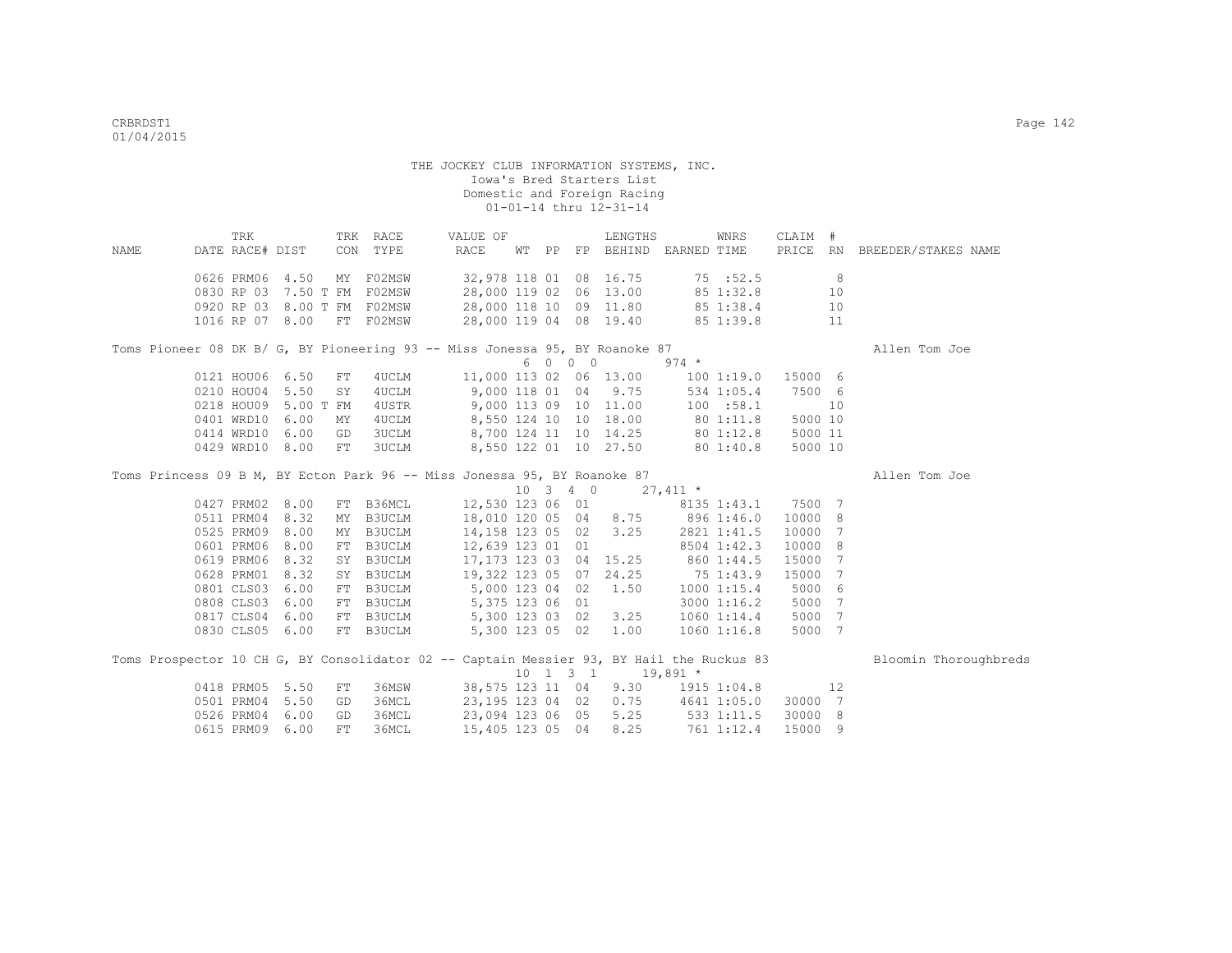| TRK RACE<br>CLAIM #<br>TRK<br>VALUE OF<br>LENGTHS<br>WNRS                                                  |                       |
|------------------------------------------------------------------------------------------------------------|-----------------------|
| CON TYPE<br>RACE<br>PRICE RN BREEDER/STAKES NAME<br>DATE RACE# DIST<br>WT PP FP BEHIND EARNED TIME<br>NAME |                       |
|                                                                                                            |                       |
| 4.50<br>MY F02MSW<br>32,978 118 01 08 16.75 75 :52.5<br>8<br>0626 PRM06                                    |                       |
| 28,000 119 02 06 13.00 85 1:32.8<br>0830 RP 03 7.50 T FM F02MSW<br>10                                      |                       |
| 28,000 118 10 09 11.80 85 1:38.4<br>0920 RP 03 8.00 T FM F02MSW<br>10                                      |                       |
| 28,000 119 04 08 19.40 85 1:39.8<br>1016 RP 07 8.00 FT F02MSW<br>11                                        |                       |
| Toms Pioneer 08 DK B/ G, BY Pioneering 93 -- Miss Jonessa 95, BY Roanoke 87                                | Allen Tom Joe         |
| 6 0 0 0<br>$974 *$                                                                                         |                       |
| 11,000 113 02 06 13.00   100 1:19.0   15000   6<br>0121 HOU06 6.50<br>4UCLM<br>FT                          |                       |
| 0210 HOU04 5.50<br>9,000 118 01 04 9.75<br>7500 6<br>4UCLM<br>534 1:05.4<br>SY                             |                       |
| 0218 HOU09 5.00 T FM<br>4USTR<br>9,000 113 09 10 11.00<br>100 : 58.1<br>10                                 |                       |
| 8,550 124 10 10 18.00 80 1:11.8<br>0401 WRD10<br>6.00<br>5000 10<br>4UCLM<br>МY                            |                       |
| 8,700 124 11 10 14.25 80 1:12.8<br>0414 WRD10<br>6.00<br><b>3UCLM</b><br>5000 11<br>GD                     |                       |
| 8,550 122 01 10 27.50 80 1:40.8<br>0429 WRD10 8.00<br>3UCLM<br>5000 10<br>FT                               |                       |
|                                                                                                            |                       |
| Toms Princess 09 B M, BY Ecton Park 96 -- Miss Jonessa 95, BY Roanoke 87                                   | Allen Tom Joe         |
| $10 \quad 3 \quad 4 \quad 0 \quad 27,411 \quad *$                                                          |                       |
| 12,530 123 06 01 8135 1:43.1 7500 7<br>0427 PRM02 8.00<br>B36MCL<br>FT                                     |                       |
| 18,010 120 05 04 8.75 896 1:46.0<br>0511 PRM04<br>8.32<br>B3UCLM<br>10000<br>8<br>MY                       |                       |
| 14, 158 123 05 02 3.25<br>2821 1:41.5<br>0525 PRM09<br>8.00<br>MY B3UCLM<br>10000<br>7                     |                       |
| 12,639 123 01 01<br>0601 PRM06<br>8.00<br>FT B3UCLM<br>10000<br>- 8<br>8504 1:42.3                         |                       |
| $17,173$ 123 03 04 15.25 860 1:44.5<br>SY B3UCLM<br>15000<br>0619 PRM06<br>8.32<br>- 7                     |                       |
| 19,322 123 05 07 24.25<br>0628 PRM01<br>8.32<br>SY B3UCLM<br>75 1:43.9<br>15000<br>7                       |                       |
| 5,000 123 04 02 1.50<br>5000<br>0801 CLS03<br>6.00<br>FT B3UCLM<br>10001:15.4<br>6                         |                       |
| 0808 CLS03<br>6.00<br>5,375 123 06 01<br>5000<br>$7\phantom{.0}$<br>FT B3UCLM<br>3000 1:16.2               |                       |
| 5,300 123 03 02 3.25<br>6.00<br>5000<br>7<br>0817 CLS04<br>FT B3UCLM<br>$1060$ $1:14.4$                    |                       |
| 5,300 123 05 02 1.00<br>0830 CLS05 6.00<br>FT B3UCLM<br>1060 1:16.8<br>5000<br>7                           |                       |
| Toms Prospector 10 CH G, BY Consolidator 02 -- Captain Messier 93, BY Hail the Ruckus 83                   | Bloomin Thoroughbreds |
| 10 1 3 1<br>$19,891$ *                                                                                     |                       |
| 38,575 123 11 04 9.30 1915 1:04.8<br>12<br>0418 PRM05 5.50<br>36MSW<br>FT                                  |                       |
| 23,195 123 04 02 0.75 4641 1:05.0 30000 7<br>0501 PRM04<br>36MCL<br>5.50<br>GD                             |                       |
| 23,094 123 06 05 5.25 533 1:11.5<br>0526 PRM04<br>6.00<br>36MCL<br>30000 8<br>GD                           |                       |
| 761 1:12.4<br>15,405 123 05 04 8.25<br>0615 PRM09<br>6.00<br>FT<br>36MCL<br>15000 9                        |                       |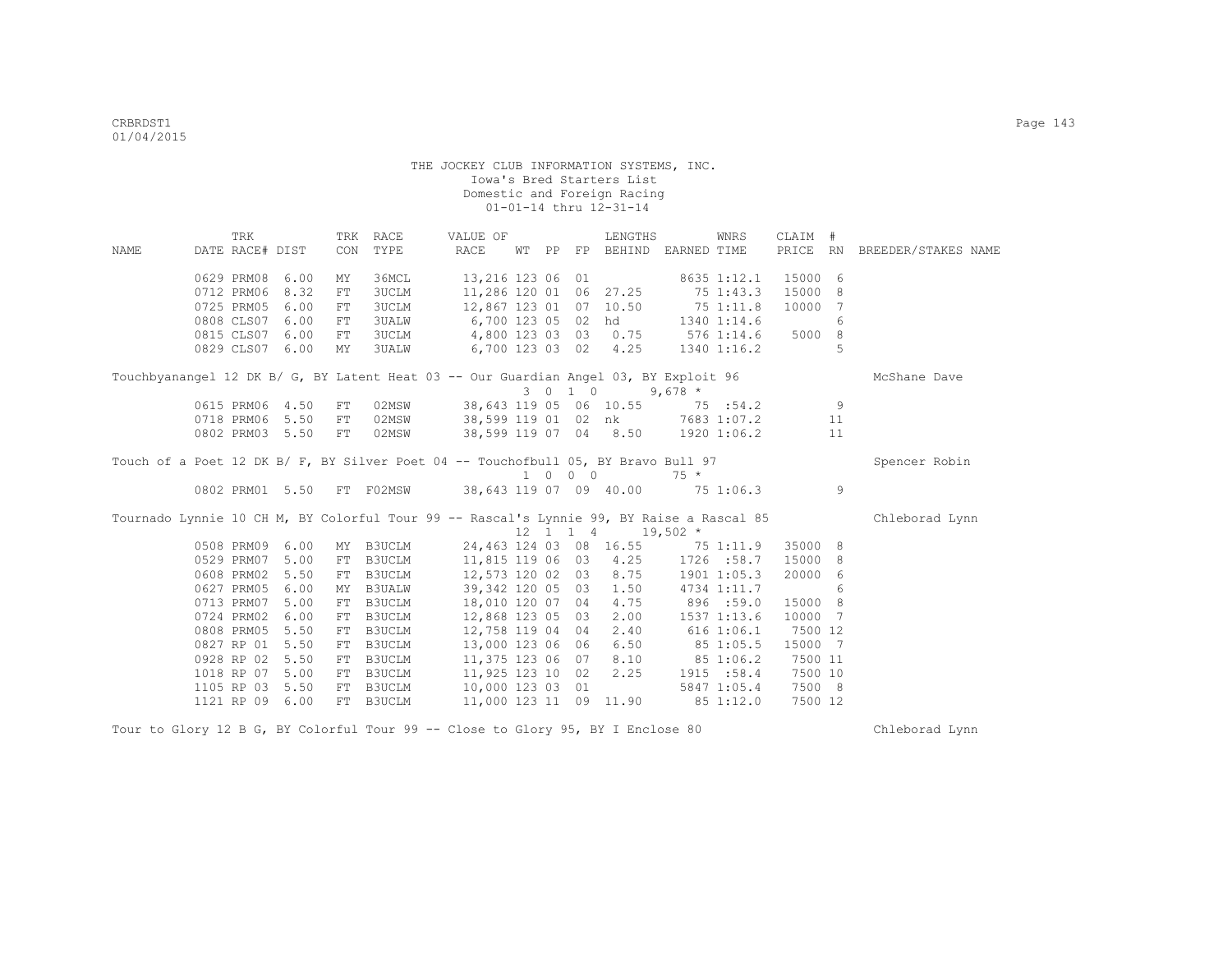|      | TRK             |                 | TRK | RACE          | VALUE OF                                                                                 |       |         | LENGTHS                                                  |                                   | <b>WNRS</b>     | CLAIM #   |    |                              |
|------|-----------------|-----------------|-----|---------------|------------------------------------------------------------------------------------------|-------|---------|----------------------------------------------------------|-----------------------------------|-----------------|-----------|----|------------------------------|
| NAME | DATE RACE# DIST |                 | CON | TYPE          | RACE                                                                                     | WT PP |         |                                                          | FP BEHIND EARNED TIME             |                 |           |    | PRICE RN BREEDER/STAKES NAME |
|      |                 | 0629 PRM08 6.00 | MΥ  | 36MCL         | 13,216 123 06 01                                                                         |       |         |                                                          |                                   | 8635 1:12.1     | 15000 6   |    |                              |
|      | 0712 PRM06      | 8.32            | FT  | <b>3UCLM</b>  | 11,286 120 01 06 27.25                                                                   |       |         |                                                          | 75 1:43.3                         |                 | 15000     | 8  |                              |
|      | 0725 PRM05      | 6.00            | FT  | 3UCLM         | 12,867 123 01 07 10.50                                                                   |       |         |                                                          | 75 1:11.8                         |                 | 10000     | 7  |                              |
|      | 0808 CLS07      | 6.00            | FT  | <b>3UALW</b>  | 6,700 123 05 02 hd 1340 1:14.6                                                           |       |         |                                                          |                                   |                 |           | 6  |                              |
|      | 0815 CLS07      | 6.00            | FT  | <b>3UCLM</b>  | 4,800 123 03 03                                                                          |       |         |                                                          | $0.75$ 576 1:14.6                 |                 | 5000      | 8  |                              |
|      | 0829 CLS07      | 6.00            | MY  |               | 3UALW 6,700 123 03 02 4.25                                                               |       |         |                                                          |                                   | 1340 1:16.2     |           | 5  |                              |
|      |                 |                 |     |               | Touchbyanangel 12 DK B/ G, BY Latent Heat 03 -- Our Guardian Angel 03, BY Exploit 96     |       |         |                                                          |                                   |                 |           |    | McShane Dave                 |
|      |                 |                 |     |               |                                                                                          |       | 3 0 1 0 |                                                          | $9,678$ *                         |                 |           |    |                              |
|      |                 | 0615 PRM06 4.50 | FT  | 02MSW         |                                                                                          |       |         | 38,643 119 05 06 10.55                                   | 75 : 54.2                         |                 |           | 9  |                              |
|      |                 | 0718 PRM06 5.50 | FT  |               | 02MSW 38,599 119 01 02 nk 7683 1:07.2                                                    |       |         |                                                          |                                   |                 |           | 11 |                              |
|      |                 | 0802 PRM03 5.50 | FT  | 02MSW         |                                                                                          |       |         |                                                          | 38,599 119 07 04 8.50 1920 1:06.2 |                 |           | 11 |                              |
|      |                 |                 |     |               | Touch of a Poet 12 DK B/ F, BY Silver Poet 04 -- Touchofbull 05, BY Bravo Bull 97        |       |         |                                                          |                                   |                 |           |    | Spencer Robin                |
|      |                 |                 |     |               |                                                                                          |       | 1 0 0 0 |                                                          | $75 *$                            |                 |           |    |                              |
|      |                 | 0802 PRM01 5.50 |     |               | FT F02MSW 38,643 119 07 09 40.00                                                         |       |         |                                                          |                                   |                 | 75 1:06.3 | 9  |                              |
|      |                 |                 |     |               | Tournado Lynnie 10 CH M, BY Colorful Tour 99 -- Rascal's Lynnie 99, BY Raise a Rascal 85 |       |         |                                                          |                                   |                 |           |    | Chleborad Lynn               |
|      |                 |                 |     |               |                                                                                          |       |         | $12 \quad 1 \quad 1 \quad 4 \quad 19,502 \quad ^{\star}$ |                                   |                 |           |    |                              |
|      |                 | 0508 PRM09 6.00 | MY  | B3UCLM        |                                                                                          |       |         | 24,463 124 03 08 16.55                                   |                                   | 75 1:11.9       | 35000 8   |    |                              |
|      | 0529 PRM07      | 5.00            | FT  | B3UCLM        |                                                                                          |       |         | 11,815 119 06 03 4.25                                    |                                   | 1726 :58.7      | 15000 8   |    |                              |
|      | 0608 PRM02      | 5.50            | FT  |               | B3UCLM 12,573 120 02 03                                                                  |       |         | 8.75                                                     |                                   | $1901$ $1:05.3$ | 20000     | 6  |                              |
|      | 0627 PRM05      | 6.00            | MY  | B3UALW        | 39,342 120 05 03                                                                         |       |         | 1.50                                                     |                                   | 4734 1:11.7     |           | 6  |                              |
|      | 0713 PRM07      | 5.00            | FT  | B3UCLM        | 18,010 120 07 04                                                                         |       |         | 4.75                                                     | 896 :59.0                         |                 | 15000     | 8  |                              |
|      | 0724 PRM02      | 6.00            | FT  | B3UCLM        | 12,868 123 05 03                                                                         |       |         | 2.00                                                     |                                   | 1537 1:13.6     | 10000     | 7  |                              |
|      | 0808 PRM05      | 5.50            | FT  | <b>B3UCLM</b> | 12,758 119 04 04                                                                         |       |         | 2.40                                                     | 616 1:06.1                        |                 | 7500 12   |    |                              |
|      | 0827 RP 01      | 5.50            | FT  | <b>B3UCLM</b> | 13,000 123 06 06                                                                         |       |         | 6.50                                                     | 85 1:05.5                         |                 | 15000 7   |    |                              |
|      |                 | 0928 RP 02 5.50 | FT  | B3UCLM        | 11,375 123 06 07                                                                         |       |         | 8.10                                                     | 85 1:06.2                         |                 | 7500 11   |    |                              |
|      |                 | 1018 RP 07 5.00 |     | FT B3UCLM     | 11,925 123 10 02                                                                         |       |         | 2.25                                                     |                                   | 1915 :58.4      | 7500 10   |    |                              |
|      |                 | 1105 RP 03 5.50 | FT  | B3UCLM        | 10,000 123 03 01                                                                         |       |         |                                                          |                                   | 5847 1:05.4     | 7500 8    |    |                              |
|      |                 | 1121 RP 09 6.00 |     | FT B3UCLM     | 11,000 123 11 09 11.90                                                                   |       |         |                                                          |                                   | 85 1:12.0       | 7500 12   |    |                              |

Tour to Glory 12 B G, BY Colorful Tour 99 -- Close to Glory 95, BY I Enclose 80 Chleborad Lynn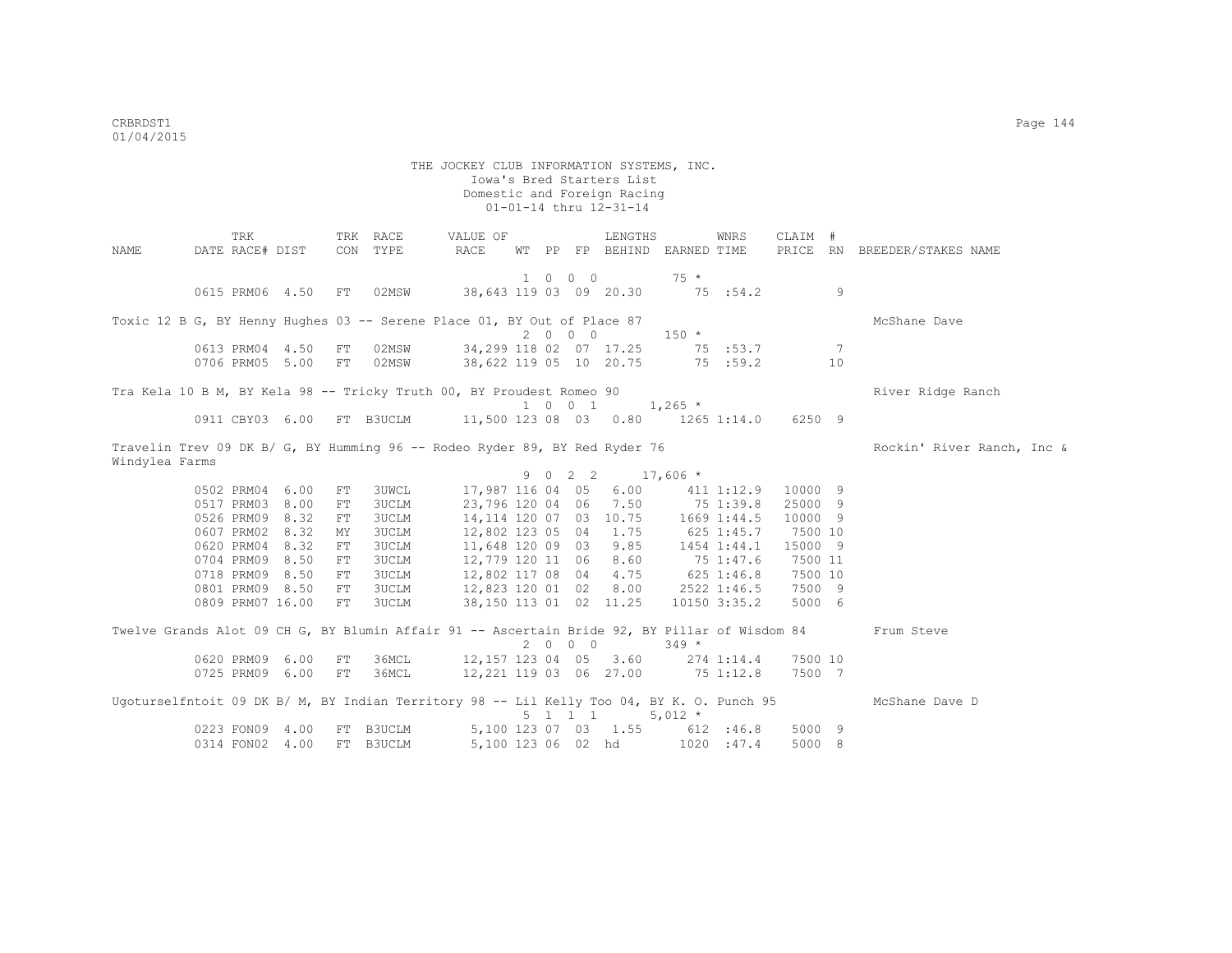THE JOCKEY CLUB INFORMATION SYSTEMS, INC. Iowa's Bred Starters List Domestic and Foreign Racing 01-01-14 thru 12-31-14 TRK TRK RACE VALUE OF LENGTHS WNRS CLAIM # NAME DATE RACE# DIST CON TYPE RACE WT PP FP BEHIND EARNED TIME PRICE RN BREEDER/STAKES NAME 1 0 0 0 75 \* 0615 PRM06 4.50 FT 02MSW 38,643 119 03 09 20.30 75 :54.2 9 Toxic 12 B G, BY Henny Hughes 03 -- Serene Place 01, BY Out of Place 87  $2 \t0 \t0 \t0$  150  $*$ 0613 PRM04 4.50 FT 02MSW 34,299 118 02 07 17.25 75 :53.7 7 0706 PRM05 5.00 FT 02MSW 38,622 119 05 10 20.75 75 :59.2 10 Tra Kela 10 B M, BY Kela 98 -- Tricky Truth 00, BY Proudest Romeo 90 River Ridge Ranch  $1 \t0 \t0 \t1 \t1,265 \t*$  0911 CBY03 6.00 FT B3UCLM 11,500 123 08 03 0.80 1265 1:14.0 6250 9 Travelin Trev 09 DK B/ G, BY Humming 96 -- Rodeo Ryder 89, BY Red Ryder 76 Rockin' River Ranch, Inc & Windylea Farms 9 0 2 2 17,606 \*<br>0502 PRM04 6.00 FT 3UWCL 17,987 116 04 05 6.00 411 0502 PRM04 6.00 FT 3UWCL 17,987 116 04 05 6.00 411 1:12.9 10000 9 0517 PRM03 8.00 FT 3UCLM 23,796 120 04 06 7.50 0526 PRM09 8.32 FT 3UCLM 14,114 120 07 03 10.75 1669 1:44.5 10000 9<br>0607 PRM02 8.32 MY 3UCLM 12,802 123 05 04 1.75 625 1:45.7 7500 10 12,802 123 05 04 1.75 625 1:45.7 0620 PRM04 8.32 FT 3UCLM 11,648 120 09 03 9.85 1454 1:44.1 15000 9 0704 PRM09 8.50 FT 3UCLM 12,779 120 11 06 8.60 75 1:47.6 7500 11 0718 PRM09 8.50 FT 3UCLM 12,802 117 08 04 4.75 625 1:46.8 7500 10 0801 PRM09 8.50 FT 3UCLM 12,823 120 01 02 8.00 2522 1:46.5 7500 9 0809 PRM07 16.00 FT 3UCLM 38,150 113 01 02 11.25 10150 3:35.2 5000 6 Twelve Grands Alot 09 CH G, BY Blumin Affair 91 -- Ascertain Bride 92, BY Pillar of Wisdom 84 Frum Steve  $2 \t 0 \t 0 \t 349 \t \times$ <br>12,157 123 04 05 3.60 274 1:14.4 7500 10 0620 PRM09 6.00 FT 36MCL<br>0725 PRM09 6.00 FT 36MCL  $0.221$  119 03 06 27.00 75 1:12.8 7500 7 Ugoturselfntoit 09 DK B/ M, BY Indian Territory 98 -- Lil Kelly Too 04, BY K. O. Punch 95 McShane Dave D  $5 \t1 \t1 \t5.012 \t*$  0223 FON09 4.00 FT B3UCLM 5,100 123 07 03 1.55 612 :46.8 5000 9 0314 FON02 4.00 FT B3UCLM 5,100 123 06 02 hd 1020 :47.4 5000 8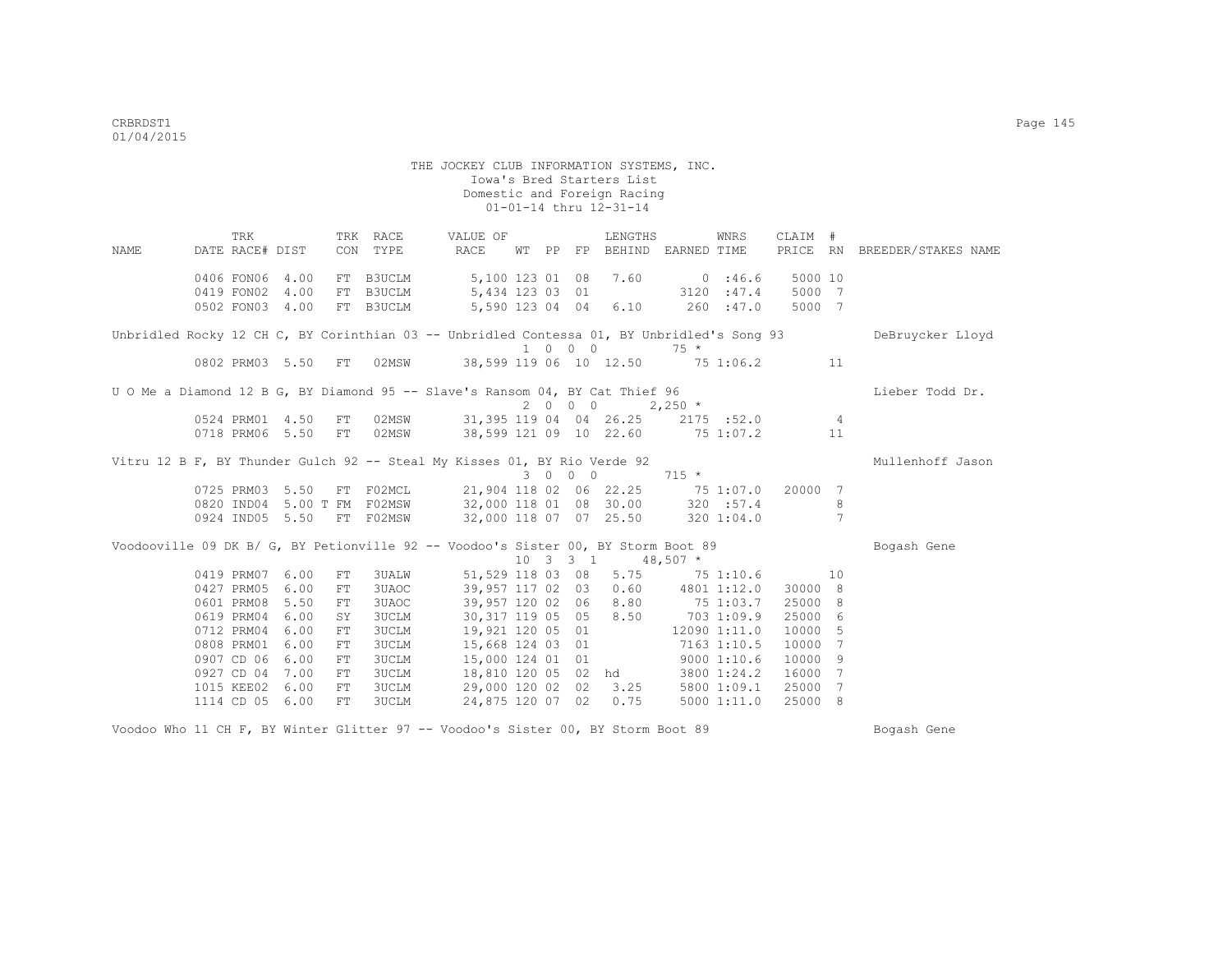|      | TRK             |                      |    | TRK RACE            | VALUE OF                                                                                   |       |                             | LENGTHS                             |            | WNRS         | CLAIM # |     |                              |
|------|-----------------|----------------------|----|---------------------|--------------------------------------------------------------------------------------------|-------|-----------------------------|-------------------------------------|------------|--------------|---------|-----|------------------------------|
| NAME | DATE RACE# DIST |                      |    | CON TYPE            | RACE                                                                                       | WT PP | FP                          | BEHIND EARNED TIME                  |            |              |         |     | PRICE RN BREEDER/STAKES NAME |
|      | 0406 FON06 4.00 |                      |    | FT B3UCLM           | 5,100 123 01 08                                                                            |       |                             | 7.60                                |            | 0.146.6      | 5000 10 |     |                              |
|      | 0419 FON02      | 4.00                 |    | FT B3UCLM           | 5,434 123 03 01                                                                            |       |                             |                                     |            | 3120 : 47.4  | 5000 7  |     |                              |
|      | 0502 FON03 4.00 |                      |    | FT B3UCLM           | 5,590 123 04 04                                                                            |       |                             | 6.10                                |            | 260 : 47.0   | 5000 7  |     |                              |
|      |                 |                      |    |                     | Unbridled Rocky 12 CH C, BY Corinthian 03 -- Unbridled Contessa 01, BY Unbridled's Song 93 |       | $1 \quad 0 \quad 0 \quad 0$ |                                     | $75 *$     |              |         |     | DeBruycker Lloyd             |
|      | 0802 PRM03 5.50 |                      | FT | 02MSW               |                                                                                            |       |                             | 38,599 119 06 10 12.50 75 1:06.2    |            |              |         | 11  |                              |
|      |                 |                      |    |                     | U O Me a Diamond 12 B G, BY Diamond 95 -- Slave's Ransom 04, BY Cat Thief 96               |       |                             |                                     |            |              |         |     | Lieber Todd Dr.              |
|      |                 |                      |    |                     |                                                                                            |       | 2000                        |                                     | $2,250$ *  |              |         |     |                              |
|      |                 | 0524 PRM01 4.50      | FT | 02MSW               |                                                                                            |       |                             | 31,395 119 04 04 26.25 2175 :52.0 4 |            |              |         |     |                              |
|      |                 | 0718 PRM06 5.50      | FT | 02MSW               | 38,599 121 09 10 22.60 75 1:07.2                                                           |       |                             |                                     |            |              |         | 11  |                              |
|      |                 |                      |    |                     | Vitru 12 B F, BY Thunder Gulch 92 -- Steal My Kisses 01, BY Rio Verde 92                   |       |                             |                                     |            |              |         |     | Mullenhoff Jason             |
|      |                 |                      |    |                     |                                                                                            |       | 3 0 0 0                     |                                     | $715 *$    |              |         |     |                              |
|      | 0725 PRM03 5.50 |                      | FT | F02MCL              | 21,904 118 02 06 22.25                                                                     |       |                             |                                     |            | 75 1:07.0    | 20000   | 7   |                              |
|      |                 | 0820 IND04 5.00 T FM |    |                     | F02MSW 32,000 118 01 08 30.00 320 :57.4                                                    |       |                             |                                     |            |              |         | 8   |                              |
|      |                 | 0924 IND05 5.50      |    |                     | FT F02MSW 32,000 118 07 07 25.50 320 1:04.0                                                |       |                             |                                     |            |              |         | 7   |                              |
|      |                 |                      |    |                     | Voodooville 09 DK B/ G, BY Petionville 92 -- Voodoo's Sister 00, BY Storm Boot 89          |       |                             |                                     |            |              |         |     | Bogash Gene                  |
|      |                 |                      |    |                     |                                                                                            |       | $10 \t3 \t3 \t1$            |                                     | $48,507$ * |              |         |     |                              |
|      | 0419 PRM07      | 6.00                 | FT | 3UALW               |                                                                                            |       |                             | 51,529 118 03 08 5.75 75 1:10.6     |            |              |         | 10  |                              |
|      | 0427 PRM05      | 6.00                 | FT | 3UAOC <b>Second</b> | 39,957 117 02 03                                                                           |       |                             | $0.60$ 4801 1:12.0                  |            |              | 30000 8 |     |                              |
|      | 0601 PRM08      | 5.50                 | FT | 3UAOC               | 39,957 120 02 06                                                                           |       |                             | 8.80                                |            | 75 1:03.7    | 25000 8 |     |                              |
|      | 0619 PRM04      | 6.00                 | SY | 3UCLM               | 30, 317 119 05 05                                                                          |       |                             | 8.50                                | 703 1:09.9 |              | 25000   | 6   |                              |
|      | 0712 PRM04      | 6.00                 | FT | 3UCLM               | 19,921 120 05 01                                                                           |       |                             |                                     |            | 12090 1:11.0 | 10000   | 5   |                              |
|      | 0808 PRM01      | 6.00                 | FT | 3UCLM               | 15,668 124 03 01                                                                           |       |                             |                                     |            | 7163 1:10.5  | 10000   | 7   |                              |
|      | 0907 CD 06      | 6.00                 | FT | <b>3UCLM</b>        | 15,000 124 01 01                                                                           |       |                             |                                     |            | 90001:10.6   | 10000   | 9   |                              |
|      | 0927 CD 04      | 7.00                 | FT | 3UCLM               |                                                                                            |       |                             | 18,810 120 05 02 hd                 |            | 3800 1:24.2  | 16000   | 7   |                              |
|      | 1015 KEE02      | 6.00                 | FT | 3UCLM               | 29,000 120 02 02                                                                           |       |                             | 3.25                                |            | 5800 1:09.1  | 25000   | 7   |                              |
|      | 1114 CD 05 6.00 |                      | FT | 3UCLM               | 24,875 120 07 02                                                                           |       |                             | 0.75                                |            | 50001:11.0   | 25000   | - 8 |                              |

Voodoo Who 11 CH F, BY Winter Glitter 97 -- Voodoo's Sister 00, BY Storm Boot 89 Bogash Gene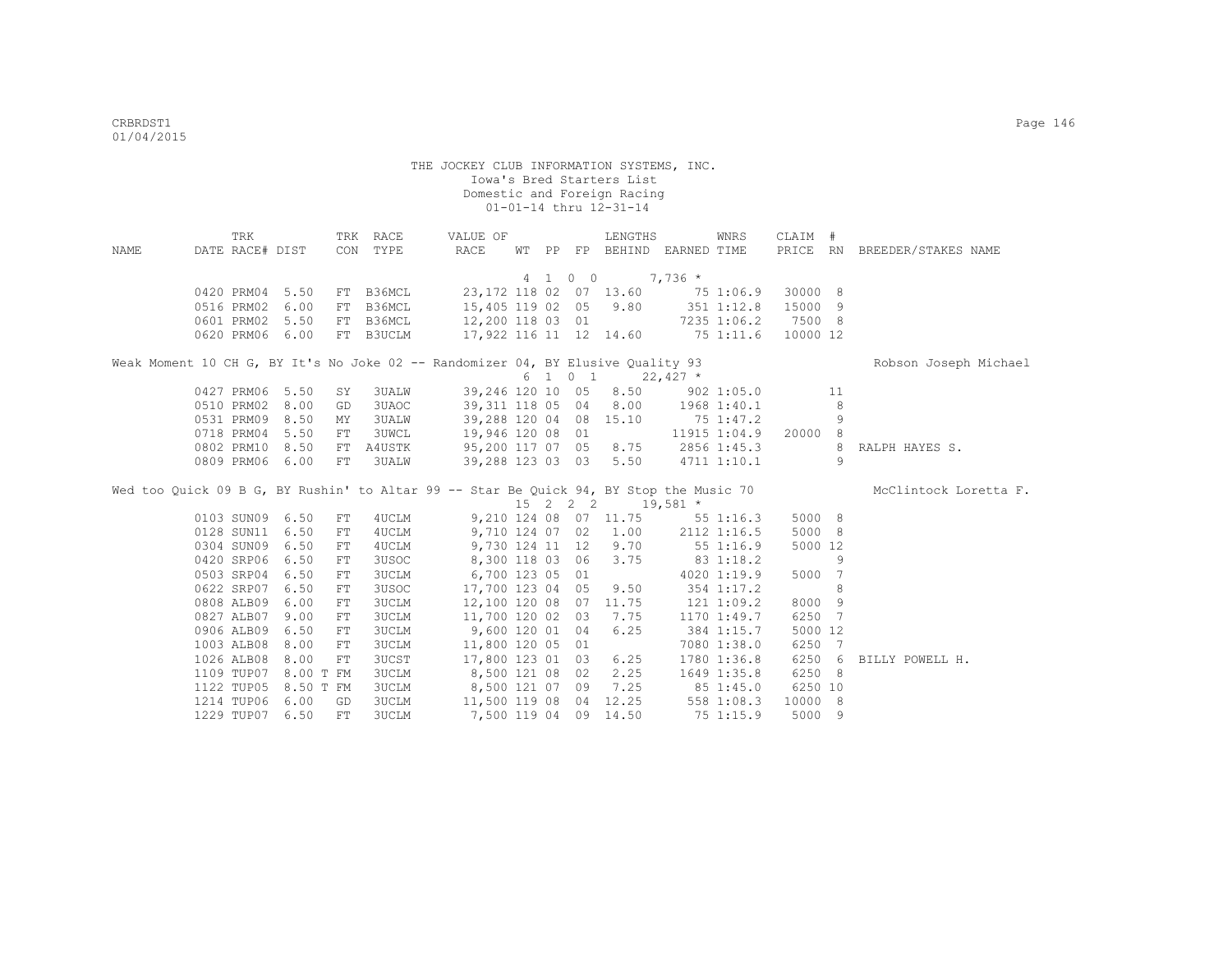|      | TRK                      |                   |    | TRK RACE              | VALUE OF                                                                               |  |    | LENGTHS                                       |                                 | WNRS           | CLAIM #            |     |                              |
|------|--------------------------|-------------------|----|-----------------------|----------------------------------------------------------------------------------------|--|----|-----------------------------------------------|---------------------------------|----------------|--------------------|-----|------------------------------|
| NAME | DATE RACE# DIST          |                   |    | CON TYPE              | RACE                                                                                   |  |    |                                               | WT PP FP BEHIND EARNED TIME     |                |                    |     | PRICE RN BREEDER/STAKES NAME |
|      |                          |                   |    |                       |                                                                                        |  |    |                                               |                                 |                |                    |     |                              |
|      |                          |                   |    |                       |                                                                                        |  |    | 4 1 0 0                                       | $7,736$ *                       |                |                    |     |                              |
|      | 0420 PRM04 5.50          |                   |    | FT B36MCL             | 23,172 118 02 07 13.60 75 1:06.9                                                       |  |    |                                               |                                 |                | 30000 8            |     |                              |
|      | 0516 PRM02               | 6.00              | FT | B36MCL                | 15,405 119 02 05 9.80 351 1:12.8                                                       |  |    |                                               |                                 |                | 15000 9            |     |                              |
|      | 0601 PRM02               | 5.50              | FT | B36MCL                | 12,200 118 03 01                                                                       |  |    |                                               |                                 | 7235 1:06.2    | 7500 8             |     |                              |
|      | 0620 PRM06               | 6.00              | FT | B3UCLM                | 17,922 116 11 12 14.60 75 1:11.6                                                       |  |    |                                               |                                 |                | 10000 12           |     |                              |
|      |                          |                   |    |                       | Weak Moment 10 CH G, BY It's No Joke 02 -- Randomizer 04, BY Elusive Quality 93        |  |    |                                               |                                 |                |                    |     | Robson Joseph Michael        |
|      |                          |                   |    |                       |                                                                                        |  |    | $6 \quad 1 \quad 0 \quad 1 \quad 22,427 \neq$ |                                 |                |                    |     |                              |
|      | 0427 PRM06 5.50          |                   | SY | 3UALW                 | 39,246 120 10 05 8.50 902 1:05.0                                                       |  |    |                                               |                                 |                |                    | 11  |                              |
|      | 0510 PRM02               | 8.00              | GD | 3UAOC                 | 39,311 118 05 04 8.00 1968 1:40.1                                                      |  |    |                                               |                                 |                |                    | 8   |                              |
|      | 0531 PRM09               | 8.50              | MY | 3UALW                 | 39,288 120 04 08 15.10                                                                 |  |    |                                               | 75 1:47.2                       |                |                    | 9   |                              |
|      | 0718 PRM04               | 5.50              | FT | 3UWCL                 | 19,946 120 08 01                                                                       |  |    |                                               |                                 | 11915 1:04.9   | 20000 8            |     |                              |
|      | 0802 PRM10 8.50          |                   | FT | A4USTK                | 95,200 117 07 05 8.75 2856 1:45.3                                                      |  |    |                                               |                                 |                |                    | 8   | RALPH HAYES S.               |
|      | 0809 PRM06 6.00          |                   | FT | 3UALW                 | 39,288 123 03 03 5.50 4711 1:10.1                                                      |  |    |                                               |                                 |                |                    | 9   |                              |
|      |                          |                   |    |                       | Wed too Quick 09 B G, BY Rushin' to Altar 99 -- Star Be Quick 94, BY Stop the Music 70 |  |    |                                               |                                 |                |                    |     | McClintock Loretta F.        |
|      |                          |                   |    |                       |                                                                                        |  |    | 15 2 2 2 19,581 *                             |                                 |                |                    |     |                              |
|      | 0103 SUN09 6.50          |                   |    |                       |                                                                                        |  |    |                                               |                                 |                |                    |     |                              |
|      |                          |                   | FT | 4UCLM                 |                                                                                        |  |    |                                               | 9,210 124 08 07 11.75 55 1:16.3 |                | 5000 8             |     |                              |
|      | 0128 SUN11               | 6.50              | FT | 4UCLM                 | 9,710 124 07 02 1.00 2112 1:16.5                                                       |  |    |                                               |                                 |                | 5000 8             |     |                              |
|      | 0304 SUN09               | 6.50              | FT | 4UCLM                 | $9,730$ 124 11 12 9.70                                                                 |  |    |                                               | 551:16.9                        |                | 5000 12            |     |                              |
|      | 0420 SRP06               | 6.50              | FT | 3USOC                 |                                                                                        |  |    | 8,300 118 03 06 3.75                          | 83 1:18.2                       |                |                    | 9   |                              |
|      | 0503 SRP04 6.50          |                   | FT |                       |                                                                                        |  |    |                                               |                                 |                | 5000 7             |     |                              |
|      |                          |                   |    | <b>3UCLM</b>          | 6,700 123 05 01                                                                        |  |    |                                               |                                 | 4020 1:19.9    |                    |     |                              |
|      | 0622 SRP07 6.50          |                   | FT | 3USOC                 | 17,700 123 04 05 9.50                                                                  |  |    |                                               |                                 | 354 1:17.2     |                    | 8   |                              |
|      | 0808 ALB09               | 6.00              | FT | <b>3UCLM</b>          | 12,100 120 08 07 11.75                                                                 |  |    |                                               |                                 | $121$ $1:09.2$ | 8000 9             |     |                              |
|      | 0827 ALB07               | 9.00              | FT | <b>3UCLM</b>          | 11,700 120 02 03                                                                       |  |    | 7.75                                          |                                 | 1170 1:49.7    | 6250 7             |     |                              |
|      | 0906 ALB09               | 6.50              | FT | <b>3UCLM</b>          | 9,600 120 01                                                                           |  | 04 | 6.25                                          |                                 | 384 1:15.7     | 5000 12            |     |                              |
|      | 1003 ALB08               | 8.00              | FT | 3UCLM                 | 11,800 120 05 01                                                                       |  |    |                                               |                                 | 7080 1:38.0    | 6250               | -7  |                              |
|      | 1026 ALB08               | 8.00              | FT | <b>3UCST</b>          | 17,800 123 01 03                                                                       |  |    | 6.25                                          |                                 | 1780 1:36.8    | 6250               | - 6 | BILLY POWELL H.              |
|      | 1109 TUP07               | 8.00 T FM         |    | <b>3UCLM</b>          | 8,500 121 08 02 2.25                                                                   |  |    |                                               |                                 | 1649 1:35.8    | 6250 8             |     |                              |
|      | 1122 TUP05<br>1214 TUP06 | 8.50 T FM<br>6.00 | GD | <b>3UCLM</b><br>3UCLM | 8,500 121 07 09 7.25 85 1:45.0<br>11,500 119 08 04 12.25                               |  |    |                                               |                                 | 558 1:08.3     | 6250 10<br>10000 8 |     |                              |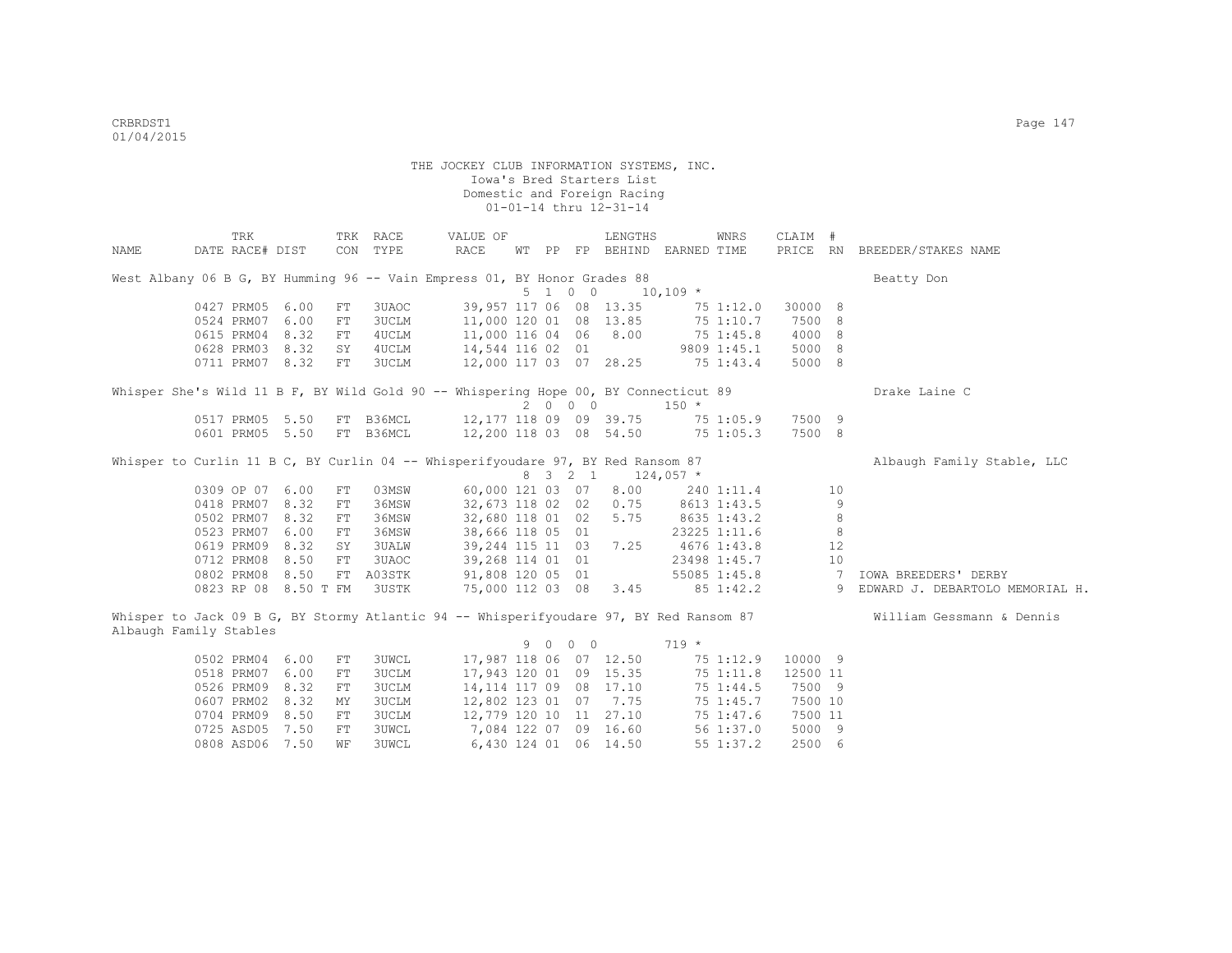|      | TRK                                                                                    |      |            | TRK RACE     | VALUE OF                |  |                 | LENGTHS                     |             | WNRS         | CLAIM #  |                |                                 |
|------|----------------------------------------------------------------------------------------|------|------------|--------------|-------------------------|--|-----------------|-----------------------------|-------------|--------------|----------|----------------|---------------------------------|
| NAME | DATE RACE# DIST                                                                        |      |            | CON TYPE     | RACE                    |  |                 | WT PP FP BEHIND EARNED TIME |             |              |          |                | PRICE RN BREEDER/STAKES NAME    |
|      | West Albany 06 B G, BY Humming 96 -- Vain Empress 01, BY Honor Grades 88               |      |            |              |                         |  |                 |                             |             |              |          |                | Beatty Don                      |
|      |                                                                                        |      |            |              |                         |  | $5 \t1 \t0 \t0$ |                             | $10,109$ *  |              |          |                |                                 |
|      | 0427 PRM05                                                                             | 6.00 | FT         | 3UAOC        |                         |  |                 | 39,957 117 06 08 13.35      |             | 75 1:12.0    | 30000 8  |                |                                 |
|      | 0524 PRM07                                                                             | 6.00 | FT         | <b>3UCLM</b> | 11,000 120 01 08 13.85  |  |                 |                             | 75 1:10.7   |              | 7500 8   |                |                                 |
|      | 0615 PRM04                                                                             | 8.32 | FT         | 4UCLM        | 11,000 116 04 06 8.00   |  |                 |                             | 75 1:45.8   |              | 4000 8   |                |                                 |
|      | 0628 PRM03 8.32                                                                        |      | SY         | 4UCLM        | 14,544 116 02 01        |  |                 |                             | 9809 1:45.1 |              | 5000 8   |                |                                 |
|      | 0711 PRM07 8.32                                                                        |      | FT         | <b>3UCLM</b> | 12,000 117 03 07 28.25  |  |                 |                             | 75 1:43.4   |              | 5000 8   |                |                                 |
|      | Whisper She's Wild 11 B F, BY Wild Gold 90 -- Whispering Hope 00, BY Connecticut 89    |      |            |              |                         |  |                 |                             |             |              |          |                | Drake Laine C                   |
|      |                                                                                        |      |            |              |                         |  | 2 0 0 0         |                             | $150 *$     |              |          |                |                                 |
|      | 0517 PRM05 5.50                                                                        |      |            | FT B36MCL    | 12,177 118 09 09 39.75  |  |                 |                             |             | 75 1:05.9    | 7500 9   |                |                                 |
|      | 0601 PRM05 5.50                                                                        |      |            | FT B36MCL    | 12,200 118 03 08 54.50  |  |                 |                             |             | 75 1:05.3    | 7500 8   |                |                                 |
|      | Whisper to Curlin 11 B C, BY Curlin 04 -- Whisperifyoudare 97, BY Red Ransom 87        |      |            |              |                         |  |                 |                             |             |              |          |                | Albaugh Family Stable, LLC      |
|      |                                                                                        |      |            |              |                         |  | 8 3 2 1         |                             | $124,057$ * |              |          |                |                                 |
|      | 0309 OP 07 6.00                                                                        |      | FT         | 03MSW        | 60,000 121 03 07        |  |                 | 8.00                        |             | 240 1:11.4   |          | 10             |                                 |
|      | 0418 PRM07 8.32                                                                        |      | FT         | 36MSW        | 32,673 118 02 02        |  |                 | 0.75                        | 8613 1:43.5 |              |          | $\overline{9}$ |                                 |
|      | 0502 PRM07 8.32                                                                        |      | FT         | 36MSW        | 32,680 118 01 02        |  |                 | 5.75                        | 8635 1:43.2 |              |          | 8              |                                 |
|      | 0523 PRM07 6.00                                                                        |      | FT         | 36MSW        | 38,666 118 05 01        |  |                 |                             |             | 23225 1:11.6 |          | 8              |                                 |
|      | 0619 PRM09 8.32                                                                        |      | SY         | 3UALW        | 39,244 115 11 03        |  |                 | 7.25                        | 4676 1:43.8 |              |          | 12             |                                 |
|      | 0712 PRM08 8.50                                                                        |      | FT         | 3UAOC        | 39,268 114 01 01        |  |                 |                             |             | 23498 1:45.7 |          | 10             |                                 |
|      | 0802 PRM08 8.50                                                                        |      |            | FT A03STK    | 91,808 120 05 01        |  |                 |                             |             | 55085 1:45.8 |          | $\overline{7}$ | IOWA BREEDERS' DERBY            |
|      | 0823 RP 08 8.50 T FM                                                                   |      |            | 3USTK        |                         |  |                 | 75,000 112 03 08 3.45       |             | 85 1:42.2    |          | 9              | EDWARD J. DEBARTOLO MEMORIAL H. |
|      | Whisper to Jack 09 B G, BY Stormy Atlantic 94 -- Whisperifyoudare 97, BY Red Ransom 87 |      |            |              |                         |  |                 |                             |             |              |          |                | William Gessmann & Dennis       |
|      | Albaugh Family Stables                                                                 |      |            |              |                         |  |                 |                             |             |              |          |                |                                 |
|      |                                                                                        |      |            |              |                         |  | 9 0 0 0         |                             | $719 *$     |              |          |                |                                 |
|      | 0502 PRM04 6.00                                                                        |      | FT         | 3UWCL        | 17,987 118 06 07 12.50  |  |                 |                             |             | 75 1:12.9    | 10000 9  |                |                                 |
|      | 0518 PRM07 6.00                                                                        |      | FT         | 3UCLM        | 17,943 120 01 09 15.35  |  |                 |                             |             | 75 1:11.8    | 12500 11 |                |                                 |
|      | 0526 PRM09 8.32                                                                        |      | ${\rm FT}$ | 3UCLM        | 14, 114 117 09 08 17.10 |  |                 |                             |             | 75 1:44.5    | 7500 9   |                |                                 |
|      | 0607 PRM02 8.32                                                                        |      | MΥ         | <b>3UCLM</b> | 12,802 123 01 07 7.75   |  |                 |                             |             | 75 1:45.7    | 7500 10  |                |                                 |
|      | 0704 PRM09 8.50                                                                        |      | FT         | 3UCLM        | 12,779 120 10 11 27.10  |  |                 |                             |             | 75 1:47.6    | 7500 11  |                |                                 |
|      | 0725 ASD05 7.50                                                                        |      | ${\rm FT}$ | <b>3UWCL</b> | 7,084 122 07 09 16.60   |  |                 |                             |             | 561:37.0     | 5000 9   |                |                                 |
|      | 0808 ASD06                                                                             | 7.50 | WF         | <b>3UWCL</b> |                         |  |                 | 6,430 124 01 06 14.50       |             | 55 1:37.2    | 2500 6   |                |                                 |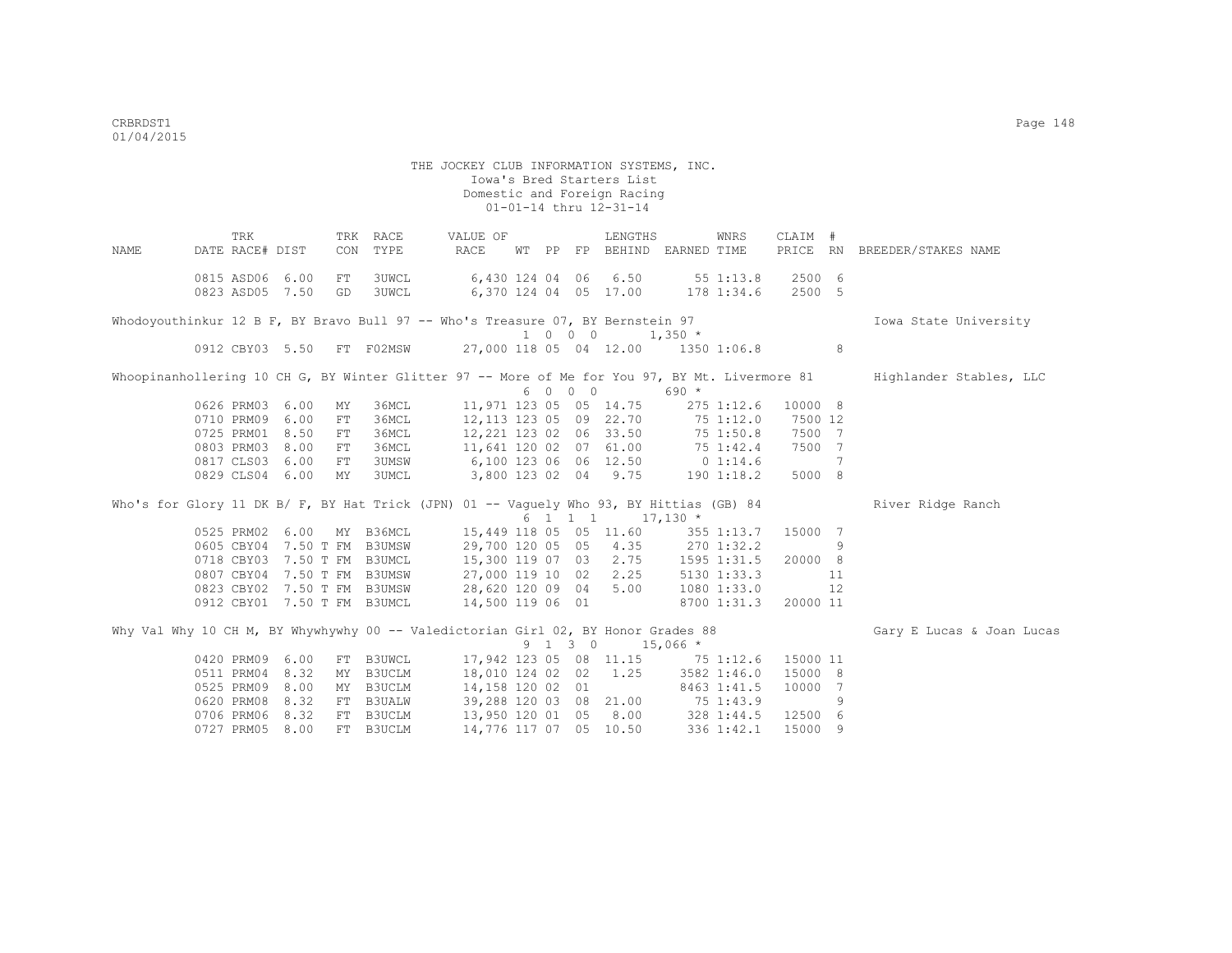THE JOCKEY CLUB INFORMATION SYSTEMS, INC. Iowa's Bred Starters List Domestic and Foreign Racing  $01-01-14$  thru  $12-31-14$  TRK TRK RACE VALUE OF LENGTHS WNRS CLAIM # NAME DATE RACE# DIST CON TYPE RACE WT PP FP BEHIND EARNED TIME PRICE RN BREEDER/STAKES NAME 0815 ASD06 6.00 FT 3UWCL 6,430 124 04 06 6.50 55 1:13.8 2500 6 0823 ASD05 7.50 GD 3UWCL 6,370 124 04 05 17.00 178 1:34.6 2500 5 Whodoyouthinkur 12 B F, BY Bravo Bull 97 -- Who's Treasure 07, BY Bernstein 97 1000 Iowa State University 1 0 0 0 1,350 \* 27,000 118 05 04 12.00 1350 1:06.8 8 Whoopinanhollering 10 CH G, BY Winter Glitter 97 -- More of Me for You 97, BY Mt. Livermore 81 Highlander Stables, LLC 6 0 0 0 690 \* 0626 PRM03 6.00 MY 36MCL 11,971 123 05 05 14.75 275 1:12.6 10000 8 0710 PRM09 6.00 FT 36MCL 12,113 123 05 09 22.70 75 1:12.0 7500 12 0725 PRM01 8.50 FT 36MCL 12,221 123 02 06 33.50 75 1:50.8 7500 7 0803 PRM03 8.00 FT 36MCL 11,641 120 02 07 61.00 75 1:42.4 7500 7 0817 CLS03 6.00 FT 3UMSW 6,100 123 06 06 12.50 0 1:14.6 7 0829 CLS04 6.00 MY 3UMCL 3,800 123 02 04 9.75 190 1:18.2 5000 8 Who's for Glory 11 DK B/ F, BY Hat Trick (JPN) 01 -- Vaguely Who 93, BY Hittias (GB) 84 River Ridge Ranch  $6$  1 1 1  $1$  17,130 \*<br>15,449 118 05 05 11.60 355 1:13.7 15000 7 0525 PRM02 6.00 MY B36MCL 15,449 118 05 05 11.60<br>0605 CBY04 7.50 T FM B3UMSW 29,700 120 05 05 4.35 0605 CBY04 7.50 T FM B3UMSW 29,700 120 05 05 4.35 270 1:32.2 9 0718 CBY03 7.50 T FM B3UMCL 15,300 119 07 03 2.75 1595 1:31.5 20000 8 0807 CBY04 7.50 T FM B3UMSW 27,000 119 10 02 2.25 5130 1:33.3 11 0823 CBY02 7.50 T FM B3UMSW 28,620 120 09 04 5.00 1080 1:33.0 12 0912 CBY01 7.50 T FM B3UMCL 14,500 119 06 01 8700 1:31.3 20000 11 Why Val Why 10 CH M, BY Whywhywhy 00 -- Valedictorian Girl 02, BY Honor Grades 88 Gary E Lucas & Joan Lucas  $9 \t1 \t3 \t0 \t15,066 \t\t*$ <br>17,942 123 05 08 11.15 75 1:12.6 15000 11 0420 PRM09 6.00 FT B3UWCL 17,942 123 05 08 11.15 75 1:12.6 15000 11<br>0511 PRM04 8.32 MY B3UCLM 18.010 124 02 02 1.25 3582 1:46.0 15000 8 0511 PRM04 8.32 MY B3UCLM 18,010 124 02 02 1.25 3582 1:46.0 15000 8<br>0525 PRM09 8.00 MY B3UCLM 14,158 120 02 01 8463 1:41.5 10000 7 0525 PRM09 8.00 MY B3UCLM 14,158 120 02 01 8463 1:41.5<br>0620 PRM08 8.32 FT B3UALW 39,288 120 03 08 21.00 75 1:43.9 0620 PRM08 8.32 FT B3UALW 39,288 120 03 08 21.00 75 1:43.9 9 0706 PRM06 8.32 FT B3UCLM 13,950 120 01 05 8.00 328 1:44.5 12500 6 0727 PRM05 8.00 FT B3UCLM 14,776 117 07 05 10.50 336 1:42.1 15000 9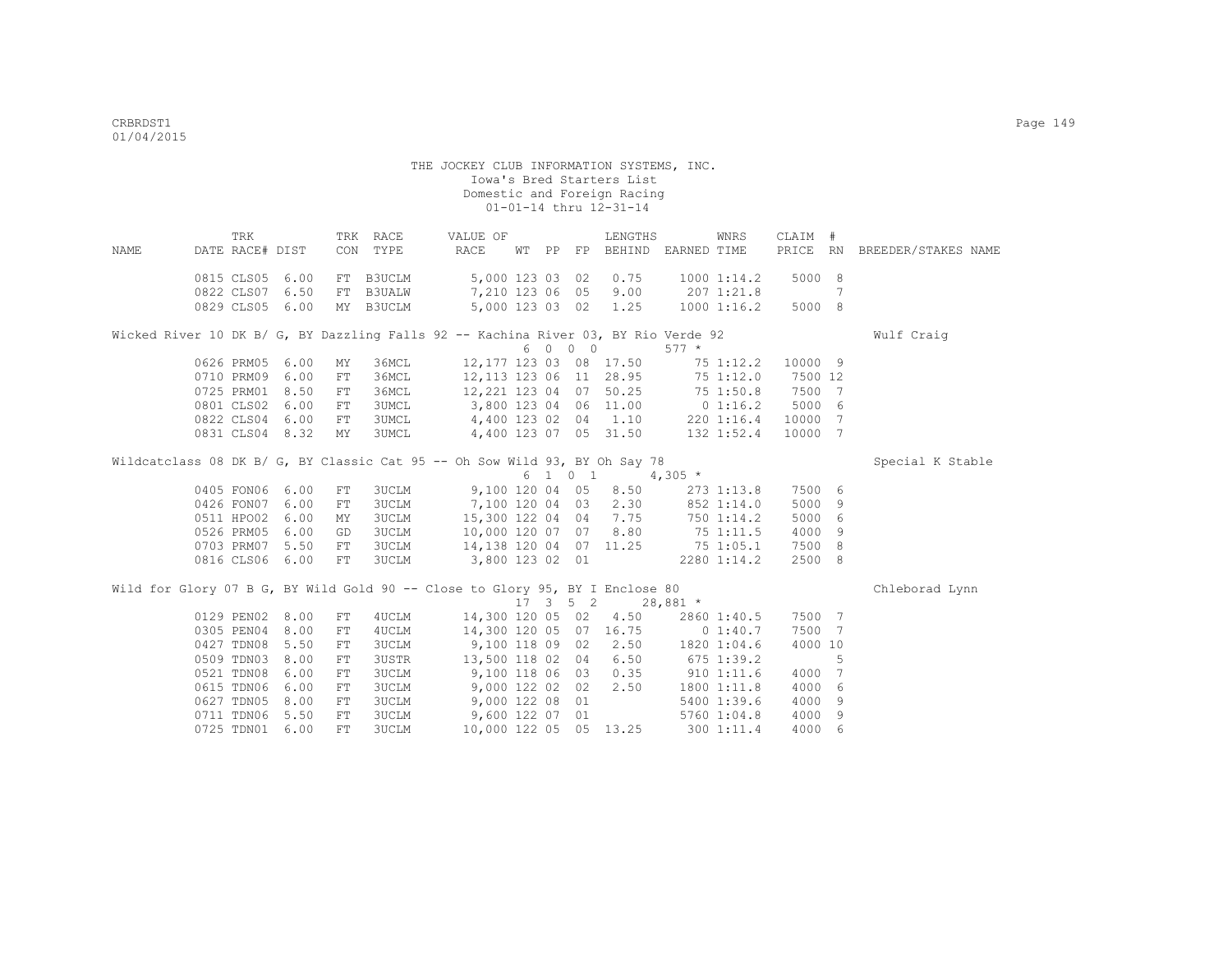| <b>NAME</b> | TRK<br>DATE RACE# DIST |      |            | TRK RACE<br>CON TYPE | VALUE OF<br>RACE                                                                           |  |                              | LENGTHS                                       | WNRS<br>WT PP FP BEHIND EARNED TIME                                                | CLAIM # |    | PRICE RN BREEDER/STAKES NAME |
|-------------|------------------------|------|------------|----------------------|--------------------------------------------------------------------------------------------|--|------------------------------|-----------------------------------------------|------------------------------------------------------------------------------------|---------|----|------------------------------|
|             |                        |      |            |                      |                                                                                            |  |                              |                                               |                                                                                    |         |    |                              |
|             | 0815 CLS05 6.00        |      |            | FT B3UCLM            | 5,000 123 03 02                                                                            |  |                              | 0.75                                          | 10001:14.2                                                                         | 5000 8  |    |                              |
|             | 0822 CLS07 6.50        |      |            | FT B3UALW            | 7,210 123 06 05                                                                            |  |                              | 9.00                                          | 207 1:21.8                                                                         |         | 7  |                              |
|             | 0829 CLS05 6.00        |      |            | MY B3UCLM            |                                                                                            |  |                              | 5,000 123 03 02 1.25                          | $1000$ $1:16.2$                                                                    | 5000 8  |    |                              |
|             |                        |      |            |                      |                                                                                            |  |                              |                                               |                                                                                    |         |    |                              |
|             |                        |      |            |                      |                                                                                            |  |                              |                                               | Wicked River 10 DK B/ G, BY Dazzling Falls 92 -- Kachina River 03, BY Rio Verde 92 |         |    | Wulf Craig                   |
|             |                        |      |            |                      |                                                                                            |  | 6 0 0 0                      |                                               | $577 *$                                                                            |         |    |                              |
|             | 0626 PRM05             | 6.00 | MY         | 36MCL                |                                                                                            |  |                              | 12,177 123 03 08 17.50                        | 751:12.2                                                                           | 10000 9 |    |                              |
|             | 0710 PRM09             | 6.00 | FT         | 36MCL                |                                                                                            |  |                              |                                               | 12, 113 123 06 11 28.95 75 1:12.0                                                  | 7500 12 |    |                              |
|             | 0725 PRM01             | 8.50 | FT         |                      |                                                                                            |  |                              |                                               | 36MCL 12,221 123 04 07 50.25 75 1:50.8                                             | 7500 7  |    |                              |
|             | 0801 CLS02 6.00        |      | ${\rm FT}$ |                      |                                                                                            |  |                              |                                               | 3UMCL 3,800 123 04 06 11.00 0 1:16.2                                               | 5000 6  |    |                              |
|             | 0822 CLS04 6.00        |      | FT         | 3UMCL                |                                                                                            |  |                              | 4,400 123 02 04 1.10                          | 220 1:16.4                                                                         | 10000 7 |    |                              |
|             | 0831 CLS04 8.32        |      | MY         | 3UMCL                |                                                                                            |  |                              | 4,400 123 07 05 31.50                         | 132 1:52.4                                                                         | 10000 7 |    |                              |
|             |                        |      |            |                      |                                                                                            |  |                              |                                               |                                                                                    |         |    |                              |
|             |                        |      |            |                      | Wildcatclass 08 DK B/ G, BY Classic Cat 95 -- Oh Sow Wild 93, BY Oh Say 78                 |  |                              |                                               |                                                                                    |         |    | Special K Stable             |
|             |                        |      |            |                      |                                                                                            |  |                              | $6 \quad 1 \quad 0 \quad 1 \quad 4,305 \star$ |                                                                                    |         |    |                              |
|             | 0405 FON06 6.00        |      | FT         | 3UCLM                | 9,100 120 04 05                                                                            |  |                              | 8.50                                          | 273 1:13.8                                                                         | 7500 6  |    |                              |
|             | 0426 FON07 6.00        |      | FT         | 3UCLM                | 7,100 120 04 03 2.30                                                                       |  |                              |                                               | 852 1:14.0                                                                         | 5000 9  |    |                              |
|             | 0511 HPO02 6.00        |      | MY         |                      | 3UCLM 15,300 122 04 04 7.75<br>3UCLM 10,000 120 07 07 8.80<br>3UCLM 14,138 120 04 07 11.25 |  |                              |                                               | 750 1:14.2<br>75 1:11.5                                                            | 5000 6  |    |                              |
|             | 0526 PRM05 6.00        |      | GD         |                      |                                                                                            |  |                              |                                               |                                                                                    | 4000 9  |    |                              |
|             | 0703 PRM07 5.50        |      | FT         |                      |                                                                                            |  |                              |                                               | 75 1:05.1                                                                          | 7500 8  |    |                              |
|             | 0816 CLS06 6.00        |      | FT         | <b>3UCLM</b>         | 3,800 123 02 01                                                                            |  |                              |                                               | 2280 1:14.2                                                                        | 2500 8  |    |                              |
|             |                        |      |            |                      |                                                                                            |  |                              |                                               |                                                                                    |         |    |                              |
|             |                        |      |            |                      | Wild for Glory 07 B G, BY Wild Gold 90 -- Close to Glory 95, BY I Enclose 80               |  |                              |                                               |                                                                                    |         |    | Chleborad Lynn               |
|             |                        |      |            |                      |                                                                                            |  | $17 \quad 3 \quad 5 \quad 2$ | $28,881$ *                                    |                                                                                    |         |    |                              |
|             | 0129 PEN02 8.00        |      | FT         | 4UCLM                | 14,300 120 05 02                                                                           |  |                              | 4.50                                          | 2860 1:40.5                                                                        | 7500 7  |    |                              |
|             | 0305 PEN04             | 8.00 | ${\rm FT}$ | 4UCLM                |                                                                                            |  |                              | 14,300 120 05 07 16.75                        | 0 1:40.7                                                                           | 7500 7  |    |                              |
|             | 0427 TDN08             | 5.50 | FT         | 3UCLM                | $9,100$ 118 09 02                                                                          |  |                              | 2.50                                          | 1820 1:04.6                                                                        | 4000 10 |    |                              |
|             | 0509 TDN03             | 8.00 | FT         | 3USTR                | 13,500 118 02 04                                                                           |  |                              | 6.50                                          | $675$ 1:39.2                                                                       |         | -5 |                              |
|             | 0521 TDN08             | 6.00 | FT         |                      | 3UCLM 9,100 118 06 03                                                                      |  |                              | 0.35                                          | $910$ $1:11.6$                                                                     | 4000 7  |    |                              |
|             | 0615 TDN06             | 6.00 | ${\rm FT}$ | 3UCLM                | 9,000 122 02 02                                                                            |  |                              | 2.50                                          | 1800 1:11.8                                                                        | 4000 6  |    |                              |
|             | 0627 TDN05             | 8.00 | FT         | <b>3UCLM</b>         | 9,000 122 08 01                                                                            |  |                              |                                               | 5400 1:39.6                                                                        | 4000 9  |    |                              |
|             | 0711 TDN06             | 5.50 | FT         | <b>3UCLM</b>         | 9,600 122 07 01                                                                            |  |                              |                                               | 5760 1:04.8                                                                        | 4000 9  |    |                              |
|             | 0725 TDN01 6.00        |      | ${\rm FT}$ | <b>3UCLM</b>         |                                                                                            |  |                              | 10,000 122 05 05 13.25                        | 300 1:11.4                                                                         | 4000 6  |    |                              |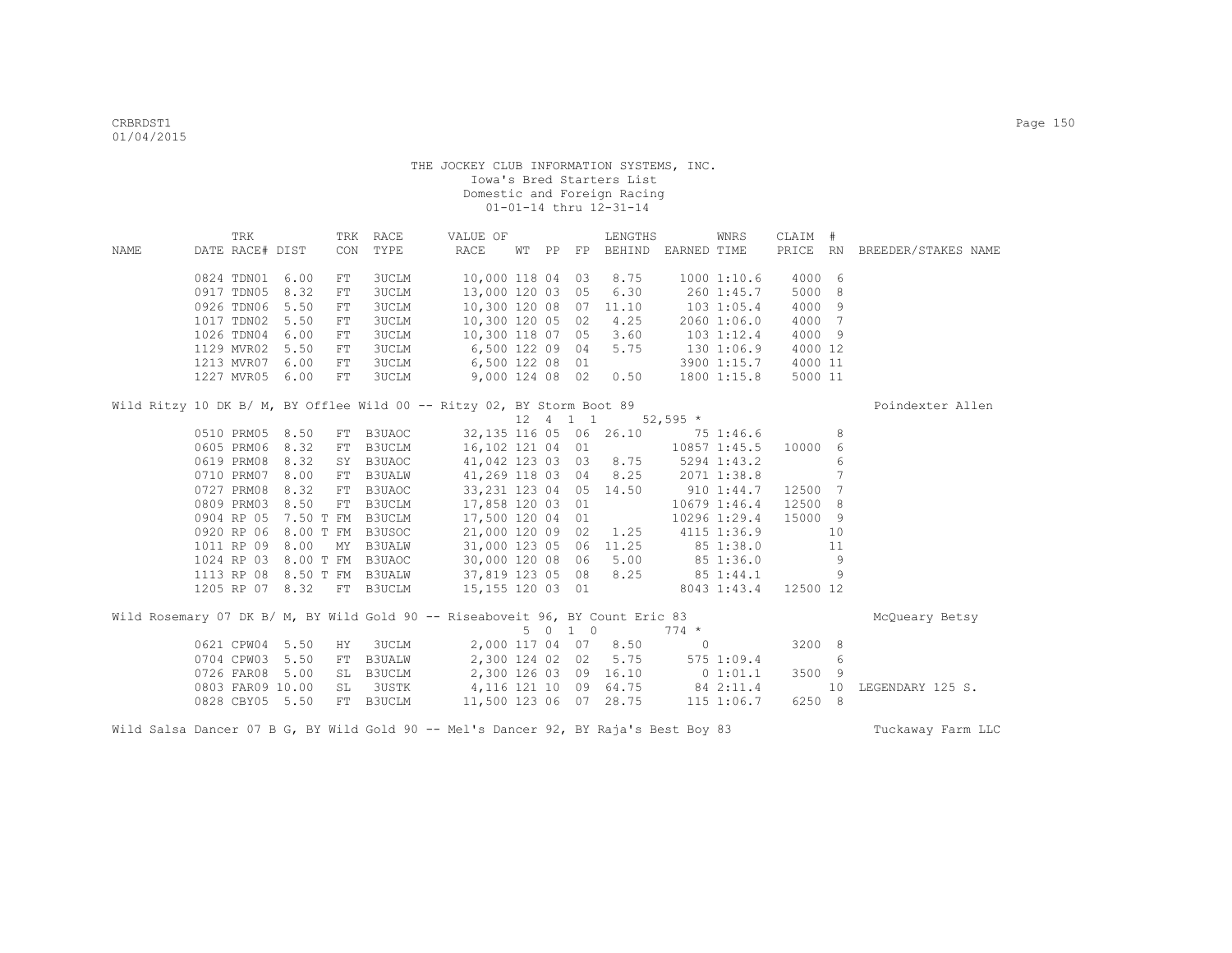|      | TRK              |           |            | TRK RACE      | VALUE OF                                                                                     |  |             | LENGTHS                           |              | WNRS           | CLAIM #  |     |                              |
|------|------------------|-----------|------------|---------------|----------------------------------------------------------------------------------------------|--|-------------|-----------------------------------|--------------|----------------|----------|-----|------------------------------|
| NAME | DATE RACE# DIST  |           | CON        | TYPE          | RACE                                                                                         |  |             | WT PP FP BEHIND EARNED TIME       |              |                |          |     | PRICE RN BREEDER/STAKES NAME |
|      | 0824 TDN01 6.00  |           | FT         | <b>3UCLM</b>  | 10,000 118 04 03                                                                             |  |             | 8.75                              |              | 10001:10.6     | 4000 6   |     |                              |
|      | 0917 TDN05       | 8.32      | FT         | <b>3UCLM</b>  | 13,000 120 03 05                                                                             |  |             | 6.30                              |              | 260 1:45.7     | 5000 8   |     |                              |
|      | 0926 TDN06       | 5.50      | ${\rm FT}$ | <b>3UCLM</b>  | 10,300 120 08 07                                                                             |  |             | 11.10                             |              | $103$ $1:05.4$ | 4000 9   |     |                              |
|      | 1017 TDN02       | 5.50      | ${\rm FT}$ | <b>3UCLM</b>  | 10,300 120 05 02                                                                             |  |             | 4.25                              |              | 2060 1:06.0    | 4000 7   |     |                              |
|      | 1026 TDN04       | 6.00      | FT         | <b>3UCLM</b>  | 10,300 118 07 05                                                                             |  |             | 3.60                              |              | 103 1:12.4     | 4000 9   |     |                              |
|      | 1129 MVR02       | 5.50      | FT         | <b>3UCLM</b>  | 6,500 122 09 04                                                                              |  |             | 5.75                              | 130 1:06.9   |                | 4000 12  |     |                              |
|      | 1213 MVR07 6.00  |           | FT         | <b>3UCLM</b>  | 6,500 122 08 01                                                                              |  |             |                                   |              | 3900 1:15.7    | 4000 11  |     |                              |
|      | 1227 MVR05 6.00  |           | FT         | <b>3UCLM</b>  | 9,000 124 08 02                                                                              |  |             | 0.50                              |              | 1800 1:15.8    | 5000 11  |     |                              |
|      |                  |           |            |               | Wild Ritzy 10 DK B/ M, BY Offlee Wild 00 -- Ritzy 02, BY Storm Boot 89                       |  |             |                                   |              |                |          |     | Poindexter Allen             |
|      |                  |           |            |               |                                                                                              |  | 12  4  1  1 |                                   | $52,595$ *   |                |          |     |                              |
|      | 0510 PRM05 8.50  |           |            | FT B3UAOC     |                                                                                              |  |             | 32, 135 116 05 06 26.10 75 1:46.6 |              |                |          | - 8 |                              |
|      | 0605 PRM06 8.32  |           |            | FT B3UCLM     | 16,102 121 04 01                                                                             |  |             |                                   | 10857 1:45.5 |                | 10000 6  |     |                              |
|      | 0619 PRM08 8.32  |           |            | SY B3UAOC     | 41,042 123 03 03 8.75                                                                        |  |             |                                   | 5294 1:43.2  |                |          | 6   |                              |
|      | 0710 PRM07 8.00  |           |            | FT B3UALW     | 41,269 118 03 04 8.25                                                                        |  |             |                                   | 2071 1:38.8  |                |          | 7   |                              |
|      | 0727 PRM08       | 8.32      | FT         | B3UAOC        | 33, 231 123 04 05 14.50                                                                      |  |             |                                   | 910 1:44.7   |                | 12500 7  |     |                              |
|      | 0809 PRM03       | 8.50      | FT         | <b>B3UCLM</b> | 17,858 120 03 01                                                                             |  |             |                                   |              | 10679 1:46.4   | 12500 8  |     |                              |
|      | 0904 RP 05       | 7.50 T FM |            | <b>B3UCLM</b> | 17,500 120 04 01                                                                             |  |             |                                   |              | 10296 1:29.4   | 15000 9  |     |                              |
|      | 0920 RP 06       | 8.00 T FM |            | B3USOC        | 21,000 120 09 02                                                                             |  |             | 1.25 4115 1:36.9                  |              |                |          | 10  |                              |
|      | 1011 RP 09 8.00  |           |            | MY B3UALW     | 31,000 123 05 06                                                                             |  |             | 11.25                             | 85 1:38.0    |                |          | 11  |                              |
|      |                  |           |            |               | 1024 RP 03 8.00 T FM B3UAOC 30,000 120 08 06<br>1113 RP 08 8.50 T FM B3UALW 37,819 123 05 08 |  |             | 5.00                              | 85 1:36.0    |                |          | - 9 |                              |
|      |                  |           |            |               |                                                                                              |  |             | 8.25                              | 85 1:44.1    |                |          | 9   |                              |
|      | 1205 RP 07 8.32  |           |            | FT B3UCLM     | 15,155 120 03 01                                                                             |  |             | 8043 1:43.4                       |              |                | 12500 12 |     |                              |
|      |                  |           |            |               | Wild Rosemary 07 DK B/ M, BY Wild Gold 90 -- Riseaboveit 96, BY Count Eric 83                |  |             |                                   |              |                |          |     | McOueary Betsy               |
|      |                  |           |            |               |                                                                                              |  | 5 0 1 0     |                                   | $774 *$      |                |          |     |                              |
|      | 0621 CPW04 5.50  |           | HY         | 3UCLM         | 2,000 117 04 07                                                                              |  |             | 8.50                              | $\sim$ 0     |                | 3200 8   |     |                              |
|      | 0704 CPW03 5.50  |           | FT         | <b>B3UALW</b> | 2,300 124 02 02                                                                              |  |             | 5.75                              |              | 5751:09.4      |          | 6   |                              |
|      | 0726 FAR08 5.00  |           | SL         | <b>B3UCLM</b> |                                                                                              |  |             | 2,300 126 03 09 16.10             | 0 1:01.1     |                | 3500 9   |     |                              |
|      | 0803 FAR09 10.00 |           | SL         |               | 3USTK 4,116 121 10 09 64.75 84 2:11.4                                                        |  |             |                                   |              |                |          | 10  | LEGENDARY 125 S.             |
|      | 0828 CBY05 5.50  |           | FT         | B3UCLM        | 11,500 123 06 07 28.75                                                                       |  |             |                                   |              | $115$ $1:06.7$ | 6250 8   |     |                              |
|      |                  |           |            |               |                                                                                              |  |             |                                   |              |                |          |     |                              |

Wild Salsa Dancer 07 B G, BY Wild Gold 90 -- Mel's Dancer 92, BY Raja's Best Boy 83 Tuckaway Farm LLC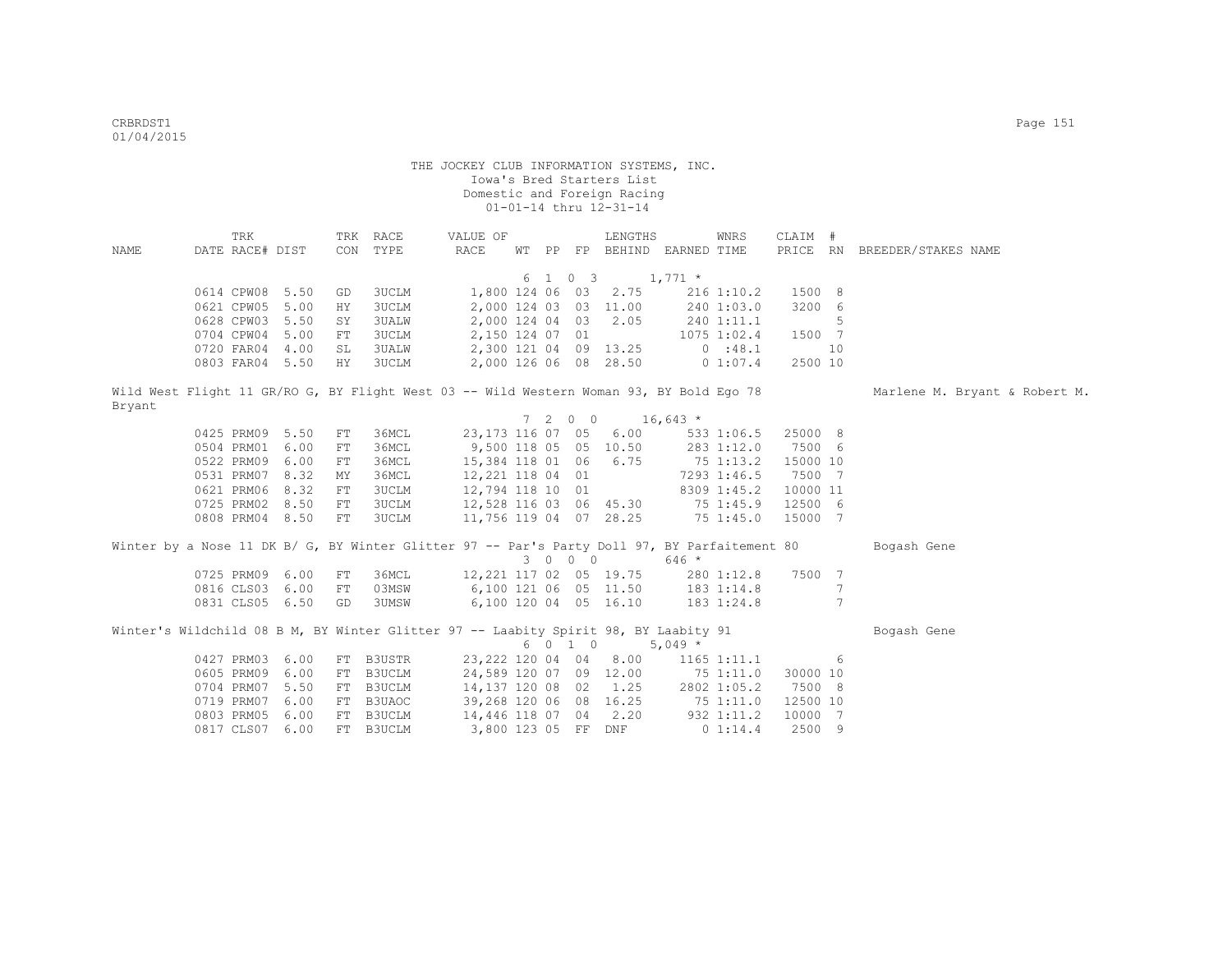| NAME   | TRK<br>DATE RACE# DIST |  |    | TRK RACE<br>CON TYPE                                                                         | VALUE OF<br>RACE                 | WT PP |         | LENGTHS<br>FP BEHIND EARNED TIME |            | WNRS            | CLAIM #  |                 | PRICE RN BREEDER/STAKES NAME  |
|--------|------------------------|--|----|----------------------------------------------------------------------------------------------|----------------------------------|-------|---------|----------------------------------|------------|-----------------|----------|-----------------|-------------------------------|
|        |                        |  |    |                                                                                              |                                  |       |         |                                  |            |                 |          |                 |                               |
|        |                        |  |    |                                                                                              |                                  |       | 6 1 0 3 | $1,771$ *                        |            |                 |          |                 |                               |
|        | 0614 CPW08 5.50        |  | GD | 3UCLM                                                                                        |                                  |       |         | 1,800 124 06 03 2.75             |            | $216$ 1:10.2    | 1500 8   |                 |                               |
|        | 0621 CPW05 5.00        |  | ΗY | 3UCLM                                                                                        |                                  |       |         | 2,000 124 03 03 11.00            |            | 240 1:03.0      | 3200 6   |                 |                               |
|        | 0628 CPW03 5.50        |  | SY | 3UALW                                                                                        | 2,000 124 04 03                  |       |         | 2.05                             | 240 1:11.1 |                 |          | 5               |                               |
|        | 0704 CPW04 5.00        |  | FT | <b>3UCLM</b>                                                                                 | 2,150 124 07 01                  |       |         |                                  |            | $1075$ $1:02.4$ | 1500 7   |                 |                               |
|        | 0720 FAR04 4.00        |  | SL | <b>3UALW</b>                                                                                 |                                  |       |         | 2,300 121 04 09 13.25            |            | 0:48.1          |          | 10              |                               |
|        | 0803 FAR04 5.50        |  | HY | 3UCLM                                                                                        |                                  |       |         | 2,000 126 06 08 28.50            | 0 1:07.4   |                 | 2500 10  |                 |                               |
| Bryant |                        |  |    | Wild West Flight 11 GR/RO G, BY Flight West 03 -- Wild Western Woman 93, BY Bold Ego 78      |                                  |       |         |                                  |            |                 |          |                 | Marlene M. Bryant & Robert M. |
|        |                        |  |    |                                                                                              |                                  |       |         | $7 \t2 \t0 \t0 \t16,643 \t*$     |            |                 |          |                 |                               |
|        | 0425 PRM09 5.50        |  | FT | 36MCL                                                                                        | 23,173 116 07 05                 |       |         | 6.00                             |            | 533 1:06.5      | 25000 8  |                 |                               |
|        | 0504 PRM01 6.00        |  | FT | 36MCL                                                                                        | 9,500 118 05 05 10.50            |       |         |                                  |            | 283 1:12.0      | 7500 6   |                 |                               |
|        | 0522 PRM09 6.00        |  | FT | 36MCL                                                                                        | 15,384 118 01 06                 |       |         | 6.75                             |            | 75 1:13.2       | 15000 10 |                 |                               |
|        | 0531 PRM07 8.32        |  | MY | 36MCL                                                                                        | 12,221 118 04 01                 |       |         |                                  |            | 7293 1:46.5     | 7500 7   |                 |                               |
|        | 0621 PRM06 8.32        |  | FT | 3UCLM                                                                                        | 12,794 118 10 01                 |       |         |                                  |            | 8309 1:45.2     | 10000 11 |                 |                               |
|        | 0725 PRM02 8.50        |  | FT | 3UCLM                                                                                        | 12,528 116 03 06 45.30 75 1:45.9 |       |         |                                  |            |                 | 12500 6  |                 |                               |
|        | 0808 PRM04 8.50        |  | FT | 3UCLM                                                                                        | 11,756 119 04 07 28.25           |       |         |                                  | 751:45.0   |                 | 15000 7  |                 |                               |
|        |                        |  |    | Winter by a Nose 11 DK B/ G, BY Winter Glitter 97 -- Par's Party Doll 97, BY Parfaitement 80 |                                  |       |         |                                  |            |                 |          |                 | Bogash Gene                   |
|        |                        |  |    |                                                                                              |                                  |       | 3 0 0 0 |                                  | $646 *$    |                 |          |                 |                               |
|        | 0725 PRM09 6.00        |  | FT | 36MCL                                                                                        | 12,221 117 02 05 19.75           |       |         |                                  |            | 280 1:12.8      | 7500     | $7\phantom{.0}$ |                               |
|        | 0816 CLS03 6.00        |  | FT | 03MSW                                                                                        | 6,100 121 06 05 11.50            |       |         |                                  |            | 183 1:14.8      |          | 7               |                               |
|        | 0831 CLS05 6.50        |  | GD | 3UMSW                                                                                        |                                  |       |         | 6,100 120 04 05 16.10            |            | 183 1:24.8      |          | $7\phantom{.0}$ |                               |
|        |                        |  |    | Winter's Wildchild 08 B M, BY Winter Glitter 97 -- Laabity Spirit 98, BY Laabity 91          |                                  |       |         |                                  |            |                 |          |                 | Bogash Gene                   |
|        |                        |  |    |                                                                                              |                                  |       | 6 0 1 0 |                                  | $5,049*$   |                 |          |                 |                               |
|        | 0427 PRM03 6.00        |  |    | FT B3USTR                                                                                    | 23,222 120 04 04                 |       |         | 8.00                             |            | $1165$ $1:11.1$ |          | 6               |                               |
|        | 0605 PRM09 6.00        |  | FT | B3UCLM                                                                                       | 24,589 120 07 09 12.00           |       |         |                                  |            | 751:11.0        | 30000 10 |                 |                               |
|        | 0704 PRM07 5.50        |  | FT | B3UCLM                                                                                       | 14,137 120 08 02 1.25            |       |         |                                  |            | 2802 1:05.2     | 7500 8   |                 |                               |
|        | 0719 PRM07 6.00        |  | FT | B3UAOC                                                                                       | 39,268 120 06 08 16.25           |       |         |                                  |            | 751:11.0        | 12500 10 |                 |                               |
|        | 0803 PRM05 6.00        |  | FT | B3UCLM                                                                                       | 14,446 118 07 04                 |       |         | 2.20                             |            | 932 1:11.2      | 10000 7  |                 |                               |
|        | 0817 CLS07 6.00        |  |    | FT B3UCLM                                                                                    | 3,800 123 05 FF DNF              |       |         |                                  |            | 0 1:14.4        | 2500 9   |                 |                               |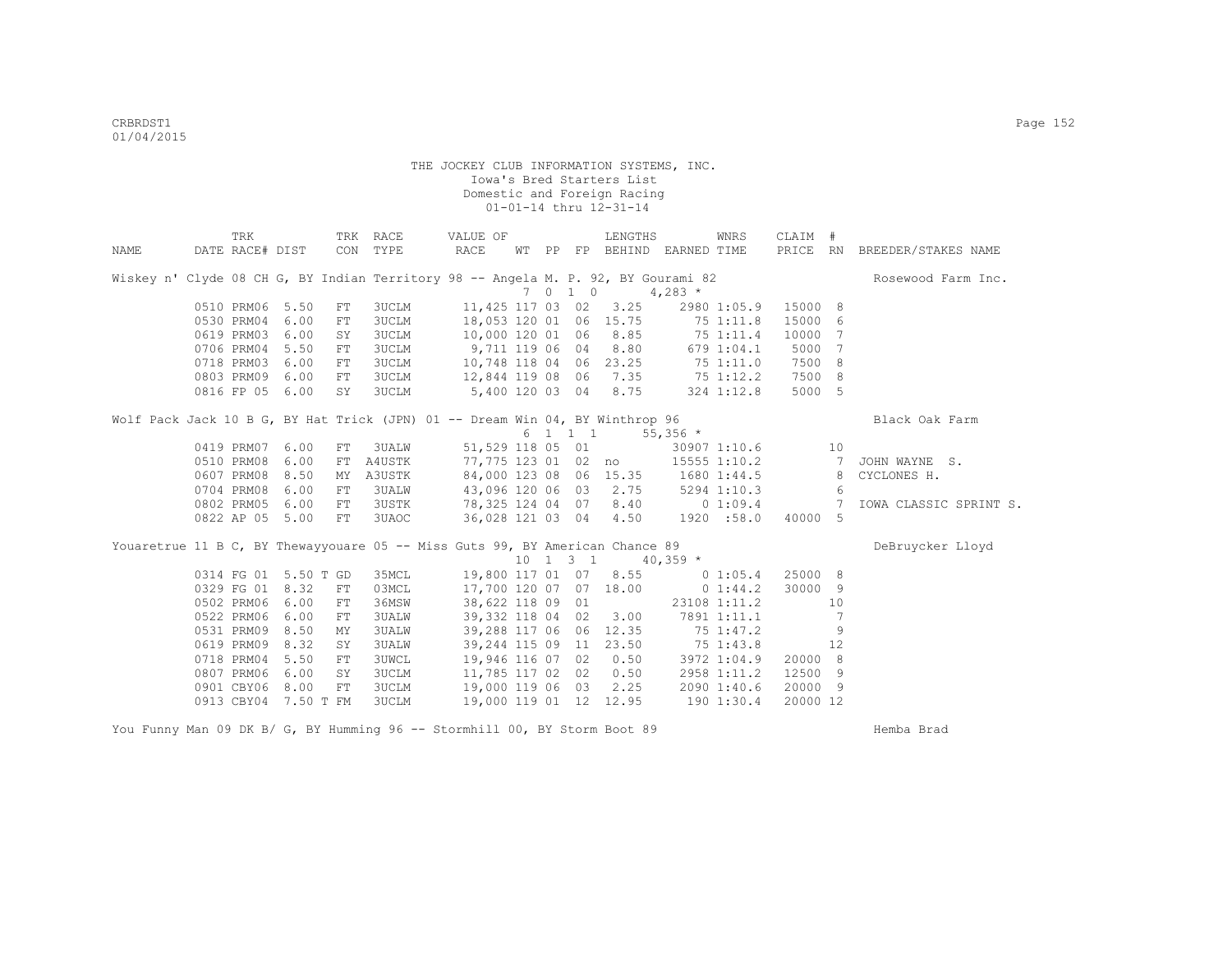|      | TRK                      |                      |                  | TRK RACE                     | VALUE OF                                                                          |  |                              | LENGTHS               |             | WNRS         | CLAIM #          |    |                              |
|------|--------------------------|----------------------|------------------|------------------------------|-----------------------------------------------------------------------------------|--|------------------------------|-----------------------|-------------|--------------|------------------|----|------------------------------|
| NAME | DATE RACE# DIST          |                      |                  | CON TYPE                     | RACE                                                                              |  |                              | WT PP FP BEHIND       | EARNED TIME |              |                  |    | PRICE RN BREEDER/STAKES NAME |
|      |                          |                      |                  |                              | Wiskey n' Clyde 08 CH G, BY Indian Territory 98 -- Angela M. P. 92, BY Gourami 82 |  |                              |                       |             |              |                  |    | Rosewood Farm Inc.           |
|      |                          |                      |                  |                              |                                                                                   |  | 7 0 1 0                      |                       | $4,283*$    |              |                  |    |                              |
|      | 0510 PRM06 5.50          |                      | FT<br>${\rm FT}$ | <b>3UCLM</b>                 | 11,425 117 03 02                                                                  |  |                              | 3.25                  |             | 2980 1:05.9  | 15000 8          |    |                              |
|      | 0530 PRM04<br>0619 PRM03 | 6.00<br>6.00         | SY               | 3UCLM                        | 18,053 120 01                                                                     |  |                              | 06 15.75              |             | 75 1:11.8    | 15000 6          | 7  |                              |
|      | 0706 PRM04               | 5.50                 |                  | <b>3UCLM</b><br><b>3UCLM</b> | 10,000 120 01 06 8.85<br>9,711 119 06 04                                          |  |                              | 8.80                  | 751:11.4    |              | 10000<br>5000 7  |    |                              |
|      | 0718 PRM03               | 6.00                 | FT               |                              | 10,748 118 04 06 23.25 75 1:11.0                                                  |  |                              |                       |             | 6791:04.1    | 7500 8           |    |                              |
|      |                          |                      | FT               | <b>3UCLM</b>                 |                                                                                   |  |                              |                       |             |              |                  |    |                              |
|      | 0803 PRM09               | 6.00                 | FT               | 3UCLM                        | 12,844 119 08 06 7.35 75 1:12.2                                                   |  |                              | 8.75                  |             |              | 7500 8<br>5000 5 |    |                              |
|      | 0816 FP 05               | 6.00                 | SY               | 3UCLM                        | 5,400 120 03 04                                                                   |  |                              |                       |             | 324 1:12.8   |                  |    |                              |
|      |                          |                      |                  |                              | Wolf Pack Jack 10 B G, BY Hat Trick (JPN) 01 -- Dream Win 04, BY Winthrop 96      |  |                              |                       |             |              |                  |    | Black Oak Farm               |
|      |                          |                      |                  |                              |                                                                                   |  |                              | 6 1 1 1               | $55,356$ *  |              |                  |    |                              |
|      | 0419 PRM07               | 6.00                 | FT               | 3UALW                        | 51,529 118 05 01                                                                  |  |                              |                       |             | 30907 1:10.6 |                  | 10 |                              |
|      | 0510 PRM08               | 6.00                 | FT               | A4USTK                       |                                                                                   |  |                              | 77,775 123 01 02 no   |             | 15555 1:10.2 |                  |    | JOHN WAYNE S.                |
|      | 0607 PRM08               | 8.50                 | MΥ               | A3USTK                       | 84,000 123 08 06 15.35 1680 1:44.5                                                |  |                              |                       |             |              |                  | 8  | CYCLONES H.                  |
|      | 0704 PRM08               | 6.00                 | FT               | 3UALW                        | 43,096 120 06 03 2.75 5294 1:10.3                                                 |  |                              |                       |             |              |                  | 6  |                              |
|      | 0802 PRM05               | 6.00                 | FT               | <b>3USTK</b>                 | 78,325 124 04 07 8.40 0 1:09.4                                                    |  |                              |                       |             |              |                  | 7  | IOWA CLASSIC SPRINT S.       |
|      |                          | 0822 AP 05 5.00      | FT               | 3UAOC                        | 36,028 121 03 04                                                                  |  |                              | 4.50                  | 1920 :58.0  |              | 40000 5          |    |                              |
|      |                          |                      |                  |                              | Youaretrue 11 B C, BY Thewayyouare 05 -- Miss Guts 99, BY American Chance 89      |  |                              |                       |             |              |                  |    | DeBruycker Lloyd             |
|      |                          |                      |                  |                              |                                                                                   |  | $10 \quad 1 \quad 3 \quad 1$ |                       | $40,359$ *  |              |                  |    |                              |
|      |                          | 0314 FG 01 5.50 T GD |                  | 35MCL                        | 19,800 117 01 07 8.55 0 1:05.4                                                    |  |                              |                       |             |              | 25000 8          |    |                              |
|      | 0329 FG 01               | 8.32                 | FT               | 03MCL                        | 17,700 120 07 07 18.00                                                            |  |                              |                       | $0\;1:44.2$ |              | 30000 9          |    |                              |
|      | 0502 PRM06               | 6.00                 | FT               | 36MSW                        | 38,622 118 09 01                                                                  |  |                              |                       |             | 23108 1:11.2 |                  | 10 |                              |
|      | 0522 PRM06               | 6.00                 | FT               | <b>3UALW</b>                 | 39,332 118 04 02                                                                  |  |                              | 3.00                  |             | 7891 1:11.1  |                  | -7 |                              |
|      | 0531 PRM09               | 8.50                 | MΥ               | <b>3UALW</b>                 | 39,288 117 06 06 12.35                                                            |  |                              |                       |             | 75 1:47.2    |                  | 9  |                              |
|      | 0619 PRM09               | 8.32                 | SY               | 3UALW                        | 39,244 115 09                                                                     |  |                              | 11 23.50              | 75 1:43.8   |              |                  | 12 |                              |
|      | 0718 PRM04               | 5.50                 | FT               | <b>3UWCL</b>                 |                                                                                   |  |                              | 19,946 116 07 02 0.50 |             | 3972 1:04.9  | 20000 8          |    |                              |
|      | 0807 PRM06               | 6.00                 | SY               | 3UCLM                        | 11,785 117 02 02                                                                  |  |                              | 0.50                  |             | 2958 1:11.2  | 12500 9          |    |                              |
|      | 0901 CBY06               | 8.00                 | FT               | <b>3UCLM</b>                 | 19,000 119 06 03                                                                  |  |                              | 2.25                  |             | 2090 1:40.6  | 20000 9          |    |                              |
|      |                          | 0913 CBY04 7.50 T FM |                  | 3UCLM                        | 19,000 119 01 12 12.95                                                            |  |                              |                       |             | 190 1:30.4   | 20000 12         |    |                              |

You Funny Man 09 DK B/ G, BY Humming 96 -- Stormhill 00, BY Storm Boot 89

Hemba Brad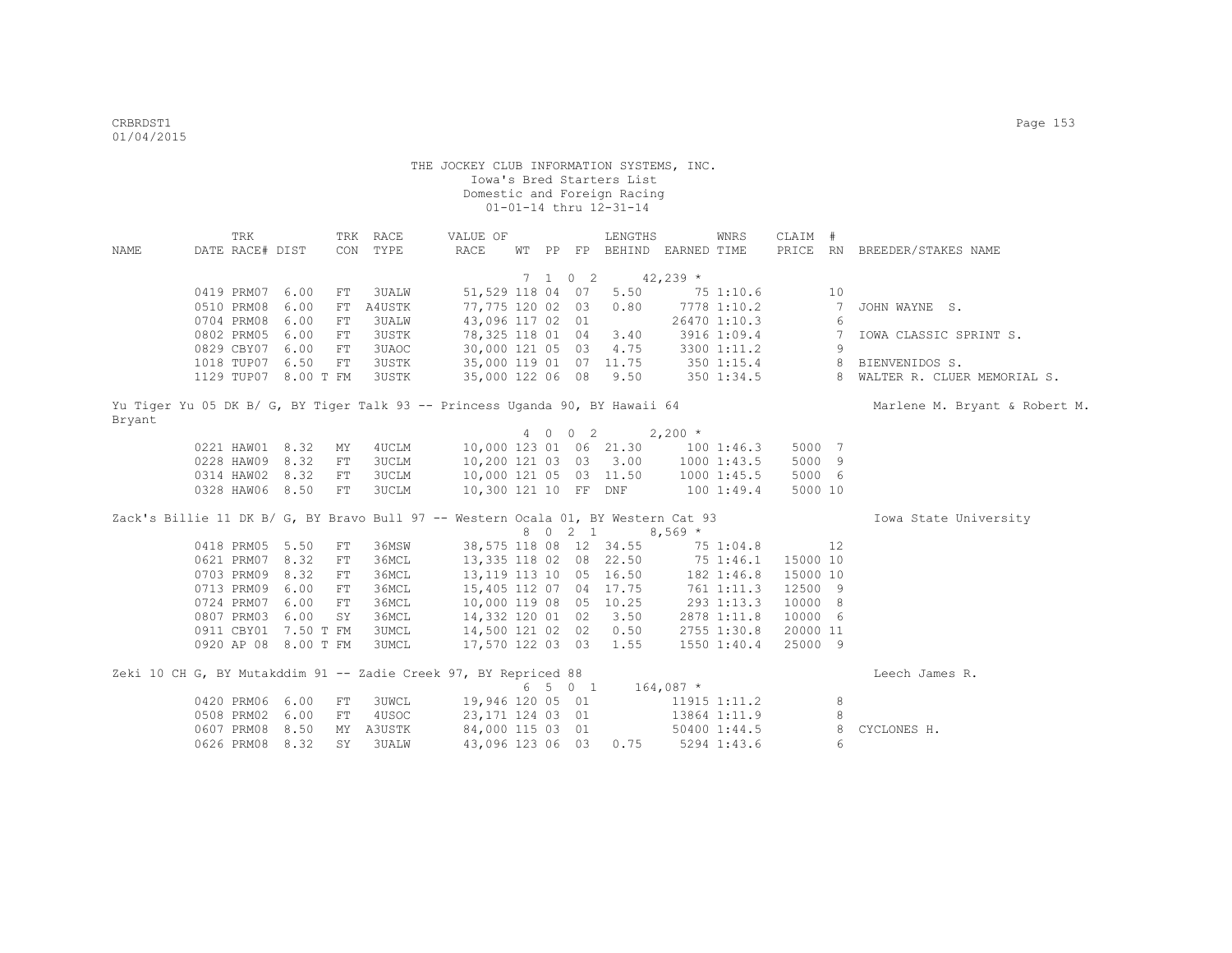|                                                                                   | <b>TRK</b>      |                      |             | TRK RACE     | VALUE OF                                                        |  |                          | LENGTHS                     |             | WNRS         | CLAIM #  |                 |                               |
|-----------------------------------------------------------------------------------|-----------------|----------------------|-------------|--------------|-----------------------------------------------------------------|--|--------------------------|-----------------------------|-------------|--------------|----------|-----------------|-------------------------------|
| <b>NAME</b>                                                                       | DATE RACE# DIST |                      |             | CON TYPE     | <b>RACE</b>                                                     |  |                          | WT PP FP BEHIND EARNED TIME |             |              |          |                 | PRICE RN BREEDER/STAKES NAME  |
|                                                                                   |                 |                      |             |              |                                                                 |  |                          |                             |             |              |          |                 |                               |
|                                                                                   |                 |                      |             |              |                                                                 |  | $7\quad 1\quad 0\quad 2$ | $42,239$ *                  |             |              |          |                 |                               |
|                                                                                   | 0419 PRM07 6.00 |                      | FT          | <b>3UALW</b> | 51,529 118 04 07                                                |  |                          | 5.50                        |             | 751:10.6     |          | 10              |                               |
|                                                                                   | 0510 PRM08      | 6.00                 | FT          | A4USTK       | 77,775 120 02 03                                                |  |                          | 0.80                        |             | 7778 1:10.2  |          | $7\overline{ }$ | JOHN WAYNE S.                 |
|                                                                                   | 0704 PRM08 6.00 |                      | FT          | <b>3UALW</b> | 43,096 117 02 01                                                |  |                          |                             |             | 26470 1:10.3 |          | 6               |                               |
|                                                                                   | 0802 PRM05 6.00 |                      | FT          | 3USTK        | 78,325 118 01 04                                                |  |                          | 3.40                        |             | 3916 1:09.4  |          | $7\overline{ }$ | IOWA CLASSIC SPRINT S.        |
|                                                                                   | 0829 CBY07 6.00 |                      | FT          | 3UAOC        | 30,000 121 05 03                                                |  |                          | 4.75                        |             | 3300 1:11.2  |          | 9               |                               |
|                                                                                   | 1018 TUP07 6.50 |                      | FT          | 3USTK        | 35,000 119 01 07 11.75                                          |  |                          |                             |             | 350 1:15.4   |          | 8               | BIENVENIDOS S.                |
|                                                                                   |                 | 1129 TUP07 8.00 T FM |             | 3USTK        | 35,000 122 06 08 9.50                                           |  |                          |                             |             | 350 1:34.5   |          |                 | 8 WALTER R. CLUER MEMORIAL S. |
|                                                                                   |                 |                      |             |              |                                                                 |  |                          |                             |             |              |          |                 |                               |
| Yu Tiger Yu 05 DK B/ G, BY Tiger Talk 93 -- Princess Uganda 90, BY Hawaii 64      |                 |                      |             |              |                                                                 |  |                          |                             |             |              |          |                 | Marlene M. Bryant & Robert M. |
| Bryant                                                                            |                 |                      |             |              |                                                                 |  |                          |                             |             |              |          |                 |                               |
|                                                                                   |                 |                      |             |              |                                                                 |  | 4 0 0 2                  |                             | $2,200$ *   |              |          |                 |                               |
|                                                                                   | 0221 HAW01 8.32 |                      | ΜY          | 4UCLM        |                                                                 |  |                          | 10,000 123 01 06 21.30      |             | 1001:46.3    | 5000 7   |                 |                               |
|                                                                                   | 0228 HAW09 8.32 |                      | FT          | 3UCLM        | 10,200 121 03 03 3.00                                           |  |                          |                             |             | 1000 1:43.5  | 5000 9   |                 |                               |
|                                                                                   | 0314 HAW02 8.32 |                      | FT          | 3UCLM        | 10,000 121 05 03 11.50                                          |  |                          |                             |             | 1000 1:45.5  | 5000 6   |                 |                               |
|                                                                                   | 0328 HAW06 8.50 |                      | FT          | 3UCLM        | 10,300 121 10 FF DNF 100 1:49.4                                 |  |                          |                             |             |              | 5000 10  |                 |                               |
|                                                                                   |                 |                      |             |              |                                                                 |  |                          |                             |             |              |          |                 |                               |
| Zack's Billie 11 DK B/ G, BY Bravo Bull 97 -- Western Ocala 01, BY Western Cat 93 |                 |                      |             |              |                                                                 |  |                          |                             |             |              |          |                 | Iowa State University         |
|                                                                                   |                 |                      |             |              |                                                                 |  | 8 0 2 1                  |                             | $8,569*$    |              |          |                 |                               |
|                                                                                   | 0418 PRM05 5.50 |                      | FT          | 36MSW        |                                                                 |  |                          | 38,575 118 08 12 34.55      |             | 75 1:04.8    |          | 12              |                               |
|                                                                                   | 0621 PRM07 8.32 |                      | FT          | 36MCL        |                                                                 |  |                          | 13,335 118 02 08 22.50      |             | 75 1:46.1    | 15000 10 |                 |                               |
|                                                                                   | 0703 PRM09 8.32 |                      | FT          | 36MCL        | 13, 119 113 10 05 16.50                                         |  |                          |                             |             | 182 1:46.8   | 15000 10 |                 |                               |
|                                                                                   | 0713 PRM09 6.00 |                      | ${\rm FT}$  | 36MCL        | 15,405 112 07 04 17.75                                          |  |                          |                             |             | 761 1:11.3   | 12500 9  |                 |                               |
|                                                                                   | 0724 PRM07 6.00 |                      | $_{\rm FT}$ | 36MCL        | 10,000 119 08 05 10.25                                          |  |                          |                             |             | 293 1:13.3   | 10000 8  |                 |                               |
|                                                                                   | 0807 PRM03 6.00 |                      | SY          | 36MCL        | 14,332 120 01 02 3.50                                           |  |                          |                             |             | 2878 1:11.8  | 10000 6  |                 |                               |
|                                                                                   |                 | 0911 CBY01 7.50 T FM |             | 3UMCL        | 14,500 121 02 02                                                |  |                          | 0.50                        |             | 2755 1:30.8  | 20000 11 |                 |                               |
|                                                                                   |                 | 0920 AP 08 8.00 T FM |             | 3UMCL        | 17,570 122 03 03                                                |  |                          | 1.55                        |             | 1550 1:40.4  | 25000 9  |                 |                               |
|                                                                                   |                 |                      |             |              |                                                                 |  |                          |                             |             |              |          |                 |                               |
|                                                                                   |                 |                      |             |              | Zeki 10 CH G, BY Mutakddim 91 -- Zadie Creek 97, BY Repriced 88 |  |                          |                             |             |              |          |                 | Leech James R.                |
|                                                                                   |                 |                      |             |              |                                                                 |  | 6 5 0 1                  |                             | $164,087$ * |              |          |                 |                               |
|                                                                                   | 0420 PRM06 6.00 |                      | FT          | 3UWCL        | 19,946 120 05 01                                                |  |                          |                             |             | 11915 1:11.2 |          | 8               |                               |
|                                                                                   | 0508 PRM02 6.00 |                      | FT          | 4USOC        | 23,171 124 03 01                                                |  |                          |                             |             | 13864 1:11.9 |          | 8               |                               |
|                                                                                   | 0607 PRM08 8.50 |                      | MY          | A3USTK       | 84,000 115 03 01                                                |  |                          |                             |             | 50400 1:44.5 |          | 8               | CYCLONES H.                   |
|                                                                                   | 0626 PRM08      | 8.32                 | <b>SY</b>   | 3UALW        | 43,096 123 06 03                                                |  |                          | 0.75                        |             | 5294 1:43.6  |          | 6               |                               |